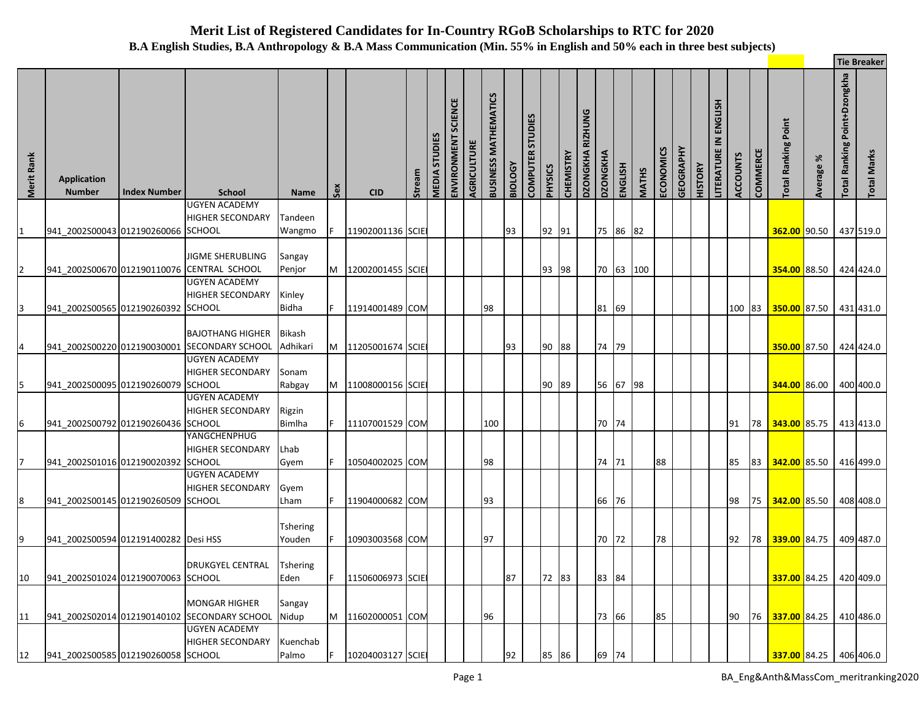## **Merit List of Registered Candidates for In-Country RGoB Scholarships to RTC for 2020 B.A English Studies, B.A Anthropology & B.A Mass Communication (Min. 55% in English and 50% each in three best subjects)**

|                |                                      |                     |                                                                  |                           |     |                  |        |                      |                               |             |                                |                |                                   |                |                  |                            |                 |                |              |           |           |                |                                        |                 |          |                            |              |                              | <b>Tie Breaker</b> |
|----------------|--------------------------------------|---------------------|------------------------------------------------------------------|---------------------------|-----|------------------|--------|----------------------|-------------------------------|-------------|--------------------------------|----------------|-----------------------------------|----------------|------------------|----------------------------|-----------------|----------------|--------------|-----------|-----------|----------------|----------------------------------------|-----------------|----------|----------------------------|--------------|------------------------------|--------------------|
| Merit Rank     | <b>Application</b><br><b>Number</b>  | <b>Index Number</b> | <b>School</b>                                                    | Name                      | Sex | <b>CID</b>       | Stream | <b>MEDIA STUDIES</b> | <b>SCIENCE</b><br>ENVIRONMENT | AGRICULTURE | MATHEMATICS<br><b>BUSINESS</b> | <b>BIOLOGY</b> | <b>STUDIES</b><br><b>COMPUTER</b> | <b>PHYSICS</b> | <b>CHEMISTRY</b> | RIZHUNG<br><b>DZONGKHA</b> | <b>DZONGKHA</b> | <b>ENGLISH</b> | <b>MATHS</b> | ECONOMICS | GEOGRAPHY | <b>HISTORY</b> | ENGLISH<br>$\leq$<br><b>LITERATURE</b> | <b>ACCOUNTS</b> | COMMERCE | <b>Total Ranking Point</b> | ৯<br>Average | Total Ranking Point+Dzongkha | <b>Total Marks</b> |
| 1              | 941 2002S00043 012190260066 SCHOOL   |                     | UGYEN ACADEMY<br><b>HIGHER SECONDARY</b>                         | Tandeen<br>Wangmo         |     | 11902001136 SCIE |        |                      |                               |             |                                | 93             |                                   | 92 91          |                  |                            |                 | 75 86 82       |              |           |           |                |                                        |                 |          | 362.00 90.50               |              |                              | 437 519.0          |
| $\overline{2}$ | 941_2002S00670 012190110076          |                     | JIGME SHERUBLING<br><b>CENTRAL SCHOOL</b>                        | Sangay<br>Penjor          | M   | 12002001455 SCIE |        |                      |                               |             |                                |                |                                   | 93 98          |                  |                            |                 | 70 63 100      |              |           |           |                |                                        |                 |          | 354.00 88.50               |              |                              | 424 424.0          |
| 3              | 941_2002S00565 012190260392 SCHOOL   |                     | UGYEN ACADEMY<br><b>HIGHER SECONDARY</b>                         | Kinley<br><b>Bidha</b>    |     | 11914001489 COM  |        |                      |                               |             | 98                             |                |                                   |                |                  |                            | 81              | 69             |              |           |           |                |                                        | 100 83          |          | 350.00 87.50               |              |                              | 431 431.0          |
| 4              | 941 2002S00220 012190030001          |                     | <b>BAJOTHANG HIGHER</b><br><b>SECONDARY SCHOOL</b>               | <b>Bikash</b><br>Adhikari | M   | 11205001674 SCIE |        |                      |                               |             |                                | 93             |                                   | 90 88          |                  |                            | 74 79           |                |              |           |           |                |                                        |                 |          | 350.00 87.50               |              |                              | 424 424.0          |
|                | 941_2002S00095 012190260079          |                     | <b>UGYEN ACADEMY</b><br><b>HIGHER SECONDARY</b><br><b>SCHOOL</b> | Sonam<br>Rabgay           | M   | 11008000156 SCIE |        |                      |                               |             |                                |                |                                   | 90 89          |                  |                            |                 | 56 67 98       |              |           |           |                |                                        |                 |          | 344.00 86.00               |              |                              | 400 400.0          |
| 6              | 941 2002S00792 012190260436 SCHOOL   |                     | <b>UGYEN ACADEMY</b><br><b>HIGHER SECONDARY</b>                  | Rigzin<br><b>Bimlha</b>   |     | 11107001529 COM  |        |                      |                               |             | 100                            |                |                                   |                |                  |                            | 70 74           |                |              |           |           |                |                                        | 91              | 78       | 343.00 85.75               |              |                              | 413 413.0          |
| 7              | 941 2002S01016 012190020392          |                     | YANGCHENPHUG<br><b>HIGHER SECONDARY</b><br><b>SCHOOL</b>         | Lhab<br>Gyem              |     | 10504002025 COM  |        |                      |                               |             | 98                             |                |                                   |                |                  |                            | 74 71           |                |              | 88        |           |                |                                        | 85              | 83       | 342.00 85.50               |              |                              | 416 499.0          |
| 8              | 941 2002S00145 012190260509 SCHOOL   |                     | <b>UGYEN ACADEMY</b><br><b>HIGHER SECONDARY</b>                  | Gyem<br>Lham              |     | 11904000682 COM  |        |                      |                               |             | 93                             |                |                                   |                |                  |                            | 66 76           |                |              |           |           |                |                                        | 98              |          | 75 342.00 85.50            |              |                              | 408 408.0          |
| 9              | 941_2002S00594 012191400282 Desi HSS |                     |                                                                  | Tshering<br>Youden        |     | 10903003568 COM  |        |                      |                               |             | 97                             |                |                                   |                |                  |                            | 70              | 72             |              | 78        |           |                |                                        | 92              |          | 78 339.00 84.75            |              |                              | 409 487.0          |
| 10             | 941_2002S01024 012190070063          |                     | <b>DRUKGYEL CENTRAL</b><br><b>SCHOOL</b>                         | Tshering<br>Eden          |     | 11506006973 SCIE |        |                      |                               |             |                                | 87             |                                   | 72 83          |                  |                            | 83              | 84             |              |           |           |                |                                        |                 |          | 337.00 84.25               |              |                              | 420 409.0          |
| 11             | 941 2002S02014 012190140102          |                     | <b>MONGAR HIGHER</b><br><b>SECONDARY SCHOOL</b>                  | Sangay<br>Nidup           | M   | 11602000051 COM  |        |                      |                               |             | 96                             |                |                                   |                |                  |                            | 73              | 66             |              | 85        |           |                |                                        | 90              | 76       | 337.00 84.25               |              |                              | 410 486.0          |
| 12             | 941_2002S00585 012190260058 SCHOOL   |                     | <b>UGYEN ACADEMY</b><br><b>HIGHER SECONDARY</b>                  | Kuenchab<br>Palmo         |     | 10204003127 SCIE |        |                      |                               |             |                                | 92             |                                   | 85 86          |                  |                            | 69              | 74             |              |           |           |                |                                        |                 |          | 337.00 84.25               |              |                              | 406 406.0          |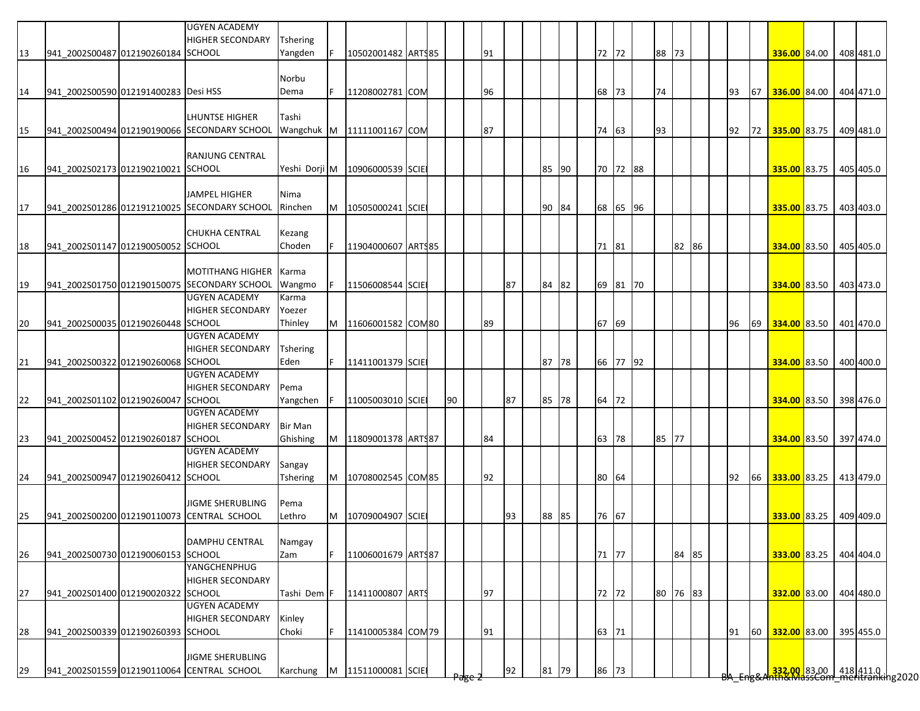|    |                                      | <b>UGYEN ACADEMY</b><br><b>HIGHER SECONDARY</b>                       | <b>Tshering</b> |     |                                  |  |    |    |    |       |    |    |       |          |    |          |  |    |      |                                                                          |  |           |
|----|--------------------------------------|-----------------------------------------------------------------------|-----------------|-----|----------------------------------|--|----|----|----|-------|----|----|-------|----------|----|----------|--|----|------|--------------------------------------------------------------------------|--|-----------|
| 13 | 941 2002S00487 012190260184 SCHOOL   |                                                                       | Yangden         |     | 10502001482 ARTS85               |  |    | 91 |    |       |    |    | 72 72 |          |    | 88 73    |  |    |      | 336.00 84.00                                                             |  | 408 481.0 |
|    |                                      |                                                                       |                 |     |                                  |  |    |    |    |       |    |    |       |          |    |          |  |    |      |                                                                          |  |           |
|    |                                      |                                                                       | Norbu           |     |                                  |  |    |    |    |       |    |    |       |          |    |          |  |    |      |                                                                          |  |           |
| 14 | 941 2002S00590 012191400283 Desi HSS |                                                                       | Dema            | E   | 11208002781 COM                  |  |    | 96 |    |       |    |    | 68 73 |          | 74 |          |  | 93 | 67 I | 336.00 84.00 404 471.0                                                   |  |           |
|    |                                      |                                                                       |                 |     |                                  |  |    |    |    |       |    |    |       |          |    |          |  |    |      |                                                                          |  |           |
|    |                                      | LHUNTSE HIGHER                                                        | Tashi           |     |                                  |  |    |    |    |       |    |    |       |          |    |          |  |    |      |                                                                          |  |           |
| 15 |                                      | 941_2002S00494 012190190066 SECONDARY SCHOOL                          |                 |     | Wangchuk M 11111001167 COM       |  |    | 87 |    |       |    |    | 74 63 |          | 93 |          |  | 92 | 72   | 335.00 83.75                                                             |  | 409 481.0 |
|    |                                      |                                                                       |                 |     |                                  |  |    |    |    |       |    |    |       |          |    |          |  |    |      |                                                                          |  |           |
|    |                                      | <b>RANJUNG CENTRAL</b>                                                |                 |     |                                  |  |    |    |    |       |    |    |       |          |    |          |  |    |      |                                                                          |  |           |
| 16 | 941_2002S02173 012190210021 SCHOOL   |                                                                       |                 |     | Yeshi Dorji M   10906000539 SCIE |  |    |    |    | 85 90 |    |    |       | 70 72 88 |    |          |  |    |      | 335.00 83.75                                                             |  | 405 405.0 |
|    |                                      |                                                                       |                 |     |                                  |  |    |    |    |       |    |    |       |          |    |          |  |    |      |                                                                          |  |           |
|    |                                      | <b>JAMPEL HIGHER</b>                                                  | Nima            |     |                                  |  |    |    |    |       |    |    |       |          |    |          |  |    |      |                                                                          |  |           |
| 17 |                                      | 941_2002S01286 012191210025 SECONDARY SCHOOL                          | Rinchen         | M   | 10505000241 SCIE                 |  |    |    |    | 90 84 |    |    |       | 68 65 96 |    |          |  |    |      | 335.00 83.75                                                             |  | 403 403.0 |
|    |                                      |                                                                       |                 |     |                                  |  |    |    |    |       |    |    |       |          |    |          |  |    |      |                                                                          |  |           |
|    |                                      | <b>CHUKHA CENTRAL</b>                                                 | Kezang          |     |                                  |  |    |    |    |       |    |    |       |          |    |          |  |    |      |                                                                          |  |           |
| 18 | 941 2002S01147 012190050052 SCHOOL   |                                                                       | Choden          |     | 11904000607 ARTS85               |  |    |    |    |       |    |    | 71 81 |          |    | 82 86    |  |    |      | 334.00 83.50 405 405.0                                                   |  |           |
|    |                                      |                                                                       |                 |     |                                  |  |    |    |    |       |    |    |       |          |    |          |  |    |      |                                                                          |  |           |
|    |                                      | <b>MOTITHANG HIGHER</b>                                               | Karma           |     |                                  |  |    |    |    |       |    |    |       |          |    |          |  |    |      |                                                                          |  |           |
| 19 |                                      | 941 2002S01750 012190150075 SECONDARY SCHOOL                          | Wangmo          | IF. | 11506008544 SCIE                 |  |    |    | 87 | 84 82 |    |    |       | 69 81 70 |    |          |  |    |      | 334.00 83.50                                                             |  | 403 473.0 |
|    |                                      | <b>UGYEN ACADEMY</b>                                                  | Karma           |     |                                  |  |    |    |    |       |    |    |       |          |    |          |  |    |      |                                                                          |  |           |
|    |                                      | <b>HIGHER SECONDARY</b>                                               | Yoezer          |     |                                  |  |    |    |    |       |    |    |       |          |    |          |  |    |      |                                                                          |  |           |
| 20 | 941_2002S00035 012190260448 SCHOOL   |                                                                       | Thinley         |     | M   11606001582 COM80            |  |    | 89 |    |       |    |    | 67 69 |          |    |          |  | 96 |      | 69 334.00 83.50 401 470.0                                                |  |           |
|    |                                      | <b>UGYEN ACADEMY</b>                                                  |                 |     |                                  |  |    |    |    |       |    |    |       |          |    |          |  |    |      |                                                                          |  |           |
|    |                                      | <b>HIGHER SECONDARY</b>                                               | <b>Tshering</b> |     |                                  |  |    |    |    |       |    |    |       |          |    |          |  |    |      |                                                                          |  |           |
| 21 | 941_2002S00322 012190260068 SCHOOL   |                                                                       | Eden            | IF. | 11411001379 SCIE                 |  |    |    |    | 87    | 78 |    |       | 66 77 92 |    |          |  |    |      | 334.00 83.50 400 400.0                                                   |  |           |
|    |                                      | <b>UGYEN ACADEMY</b>                                                  |                 |     |                                  |  |    |    |    |       |    |    |       |          |    |          |  |    |      |                                                                          |  |           |
|    |                                      | <b>HIGHER SECONDARY</b>                                               | Pema            |     |                                  |  |    |    |    |       |    |    |       |          |    |          |  |    |      |                                                                          |  |           |
| 22 | 941_2002S01102 012190260047 SCHOOL   |                                                                       | Yangchen        | IF. | 11005003010 SCIE                 |  | 90 |    | 87 | 85    | 78 |    | 64 72 |          |    |          |  |    |      | 334.00 83.50 398 476.0                                                   |  |           |
|    |                                      | <b>UGYEN ACADEMY</b>                                                  |                 |     |                                  |  |    |    |    |       |    |    |       |          |    |          |  |    |      |                                                                          |  |           |
|    |                                      | <b>HIGHER SECONDARY</b>                                               | <b>Bir Man</b>  |     |                                  |  |    |    |    |       |    |    |       |          |    |          |  |    |      |                                                                          |  |           |
| 23 | 941 2002S00452 012190260187 SCHOOL   |                                                                       | Ghishing        |     | M   11809001378   ARTS87         |  |    | 84 |    |       |    |    | 63 78 |          |    | 85 77    |  |    |      | 334.00 83.50 397 474.0                                                   |  |           |
|    |                                      | UGYEN ACADEMY                                                         |                 |     |                                  |  |    |    |    |       |    |    |       |          |    |          |  |    |      |                                                                          |  |           |
|    |                                      | <b>HIGHER SECONDARY</b>                                               | Sangay          |     |                                  |  |    |    |    |       |    |    |       |          |    |          |  |    |      |                                                                          |  |           |
| 24 | 941 2002S00947 012190260412 SCHOOL   |                                                                       | Tshering        | M   | 10708002545 COM85                |  |    | 92 |    |       |    | 80 | 64    |          |    |          |  | 92 | 66   | 333.00 83.25                                                             |  | 413 479.0 |
|    |                                      |                                                                       |                 |     |                                  |  |    |    |    |       |    |    |       |          |    |          |  |    |      |                                                                          |  |           |
|    |                                      | <b>JIGME SHERUBLING</b>                                               | Pema            |     |                                  |  |    |    |    |       |    |    |       |          |    |          |  |    |      |                                                                          |  |           |
| 25 |                                      | 941 2002S00200 012190110073 CENTRAL SCHOOL                            | Lethro          | M   | 10709004907 SCIE                 |  |    |    | 93 | 88 85 |    |    | 76 67 |          |    |          |  |    |      | 333.00 83.25                                                             |  | 409 409.0 |
|    |                                      |                                                                       |                 |     |                                  |  |    |    |    |       |    |    |       |          |    |          |  |    |      |                                                                          |  |           |
|    |                                      | DAMPHU CENTRAL                                                        | Namgay          |     |                                  |  |    |    |    |       |    |    |       |          |    |          |  |    |      |                                                                          |  |           |
| 26 | 941 2002S00730 012190060153 SCHOOL   |                                                                       | Zam             | F   | 11006001679 ARTS87               |  |    |    |    |       |    |    | 71 77 |          |    | 84 85    |  |    |      | 333.00 83.25 404 404.0                                                   |  |           |
|    |                                      | YANGCHENPHUG                                                          |                 |     |                                  |  |    |    |    |       |    |    |       |          |    |          |  |    |      |                                                                          |  |           |
|    |                                      | <b>HIGHER SECONDARY</b>                                               |                 |     |                                  |  |    |    |    |       |    |    |       |          |    |          |  |    |      |                                                                          |  |           |
| 27 | 941 2002S01400 012190020322 SCHOOL   |                                                                       | Tashi Dem F     |     | 11411000807 ARTS                 |  |    | 97 |    |       |    |    | 72 72 |          |    | 80 76 83 |  |    |      | 332.00 83.00 404 480.0                                                   |  |           |
|    |                                      | <b>UGYEN ACADEMY</b>                                                  |                 |     |                                  |  |    |    |    |       |    |    |       |          |    |          |  |    |      |                                                                          |  |           |
|    |                                      | <b>HIGHER SECONDARY</b>                                               | Kinley          |     |                                  |  |    |    |    |       |    |    |       |          |    |          |  |    |      |                                                                          |  |           |
| 28 | 941 2002S00339 012190260393 SCHOOL   |                                                                       | Choki           | IF. | 11410005384 COM 79               |  |    | 91 |    |       |    |    | 63 71 |          |    |          |  | 91 | 60   | 332.00 83.00 395 455.0                                                   |  |           |
|    |                                      |                                                                       |                 |     |                                  |  |    |    |    |       |    |    |       |          |    |          |  |    |      |                                                                          |  |           |
|    |                                      | <b>JIGME SHERUBLING</b><br>941 2002S01559 012190110064 CENTRAL SCHOOL |                 |     |                                  |  |    |    |    |       |    |    |       |          |    |          |  |    |      |                                                                          |  |           |
| 29 |                                      |                                                                       | Karchung        | M   | 11511000081 SCIE                 |  |    |    | 92 | 81    | 79 |    | 86 73 |          |    |          |  |    |      | <mark>332,00 </mark> 83,00   418 411.0  <br>hth&MassCom meritranking2020 |  |           |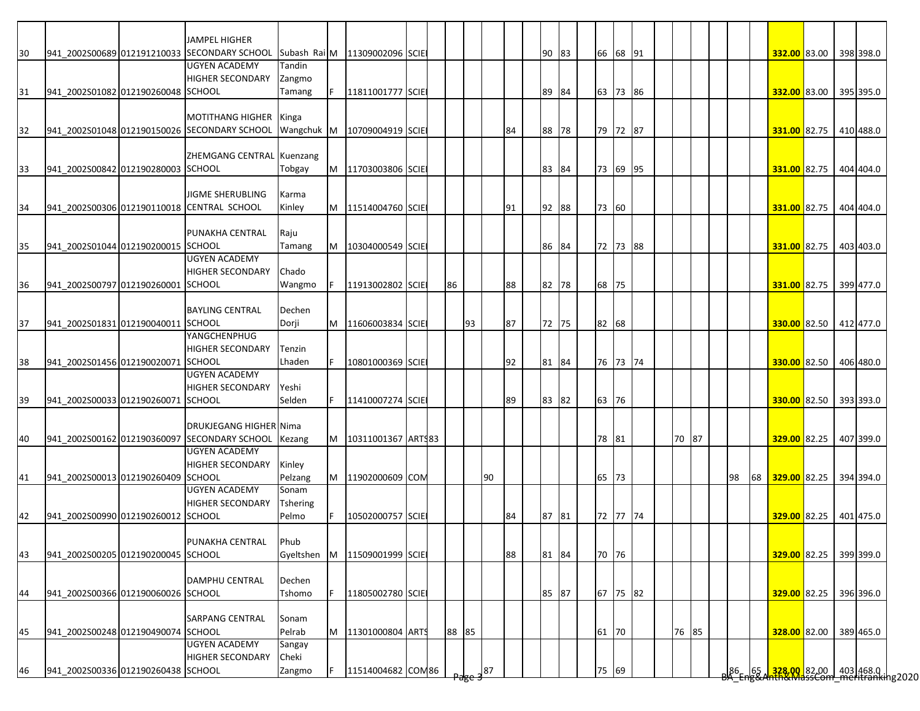|                |                                    |                                    | JAMPEL HIGHER                                |                 |     |                               |  |       |    |    |    |       |       |          |  |       |  |    |    |                                                                  |  |           |
|----------------|------------------------------------|------------------------------------|----------------------------------------------|-----------------|-----|-------------------------------|--|-------|----|----|----|-------|-------|----------|--|-------|--|----|----|------------------------------------------------------------------|--|-----------|
| 30             |                                    |                                    | 941 2002S00689 012191210033 SECONDARY SCHOOL |                 |     | Subash Rai M 11309002096 SCIE |  |       |    |    |    | 90 83 |       | 66 68 91 |  |       |  |    |    | 332.00 83.00                                                     |  | 398 398.0 |
|                |                                    |                                    | <b>UGYEN ACADEMY</b>                         | Tandin          |     |                               |  |       |    |    |    |       |       |          |  |       |  |    |    |                                                                  |  |           |
|                |                                    |                                    | <b>HIGHER SECONDARY</b>                      | Zangmo          |     |                               |  |       |    |    |    |       |       |          |  |       |  |    |    |                                                                  |  |           |
| 31             | 941 2002S01082 012190260048 SCHOOL |                                    |                                              | Tamang          | F.  | 11811001777 SCIE              |  |       |    |    |    | 89 84 |       | 63 73 86 |  |       |  |    |    | 332.00 83.00                                                     |  | 395 395.0 |
|                |                                    |                                    |                                              |                 |     |                               |  |       |    |    |    |       |       |          |  |       |  |    |    |                                                                  |  |           |
|                |                                    |                                    | MOTITHANG HIGHER Kinga                       |                 |     |                               |  |       |    |    |    |       |       |          |  |       |  |    |    |                                                                  |  |           |
| 32             |                                    |                                    | 941_2002S01048 012190150026 SECONDARY SCHOOL |                 |     | Wangchuk M   10709004919 SCIE |  |       |    |    | 84 | 88 78 |       | 79 72 87 |  |       |  |    |    | 331.00 82.75                                                     |  | 410 488.0 |
|                |                                    |                                    |                                              |                 |     |                               |  |       |    |    |    |       |       |          |  |       |  |    |    |                                                                  |  |           |
|                |                                    |                                    | ZHEMGANG CENTRAL Kuenzang                    |                 |     |                               |  |       |    |    |    |       |       |          |  |       |  |    |    |                                                                  |  |           |
| 33             | 941_2002S00842 012190280003 SCHOOL |                                    |                                              | Tobgay          |     | M   11703003806 SCIE          |  |       |    |    |    | 83 84 |       | 73 69 95 |  |       |  |    |    | 331.00 82.75                                                     |  | 404 404.0 |
|                |                                    |                                    |                                              |                 |     |                               |  |       |    |    |    |       |       |          |  |       |  |    |    |                                                                  |  |           |
|                |                                    |                                    | <b>JIGME SHERUBLING</b>                      | Karma           |     |                               |  |       |    |    |    |       |       |          |  |       |  |    |    |                                                                  |  |           |
| 34             |                                    |                                    | 941 2002S00306 012190110018 CENTRAL SCHOOL   | Kinley          |     | M   11514004760 SCIE          |  |       |    |    | 91 | 92 88 | 73 60 |          |  |       |  |    |    | 331.00 82.75                                                     |  | 404 404.0 |
|                |                                    |                                    |                                              |                 |     |                               |  |       |    |    |    |       |       |          |  |       |  |    |    |                                                                  |  |           |
|                |                                    |                                    | PUNAKHA CENTRAL                              | Raju            |     |                               |  |       |    |    |    |       |       |          |  |       |  |    |    |                                                                  |  |           |
| 35             | 941 2002S01044 012190200015 SCHOOL |                                    |                                              | Tamang          |     | M   10304000549 SCIE          |  |       |    |    |    | 86 84 |       | 72 73 88 |  |       |  |    |    | 331.00 82.75                                                     |  | 403 403.0 |
|                |                                    |                                    | <b>UGYEN ACADEMY</b>                         |                 |     |                               |  |       |    |    |    |       |       |          |  |       |  |    |    |                                                                  |  |           |
|                |                                    |                                    | <b>HIGHER SECONDARY</b>                      | Chado           |     |                               |  |       |    |    |    |       |       |          |  |       |  |    |    |                                                                  |  |           |
| 36             | 941_2002S00797 012190260001 SCHOOL |                                    |                                              | Wangmo          |     | 11913002802 SCIE              |  | 86    |    |    | 88 | 82 78 | 68    | 75       |  |       |  |    |    | 331.00 82.75                                                     |  | 399 477.0 |
|                |                                    |                                    |                                              |                 |     |                               |  |       |    |    |    |       |       |          |  |       |  |    |    |                                                                  |  |           |
|                |                                    |                                    | <b>BAYLING CENTRAL</b>                       | Dechen          |     |                               |  |       |    |    |    |       |       |          |  |       |  |    |    |                                                                  |  |           |
| 37             | 941_2002S01831 012190040011 SCHOOL |                                    |                                              | Dorji           |     | M 11606003834 SCIE            |  |       | 93 |    | 87 | 72 75 | 82 68 |          |  |       |  |    |    | 330.00 82.50 412 477.0                                           |  |           |
|                |                                    |                                    | YANGCHENPHUG                                 |                 |     |                               |  |       |    |    |    |       |       |          |  |       |  |    |    |                                                                  |  |           |
|                |                                    |                                    | <b>HIGHER SECONDARY</b>                      | Tenzin          |     |                               |  |       |    |    |    |       |       |          |  |       |  |    |    |                                                                  |  |           |
| 38             | 941_2002S01456 012190020071 SCHOOL |                                    |                                              | Lhaden          | IF. | 10801000369 SCIE              |  |       |    |    | 92 | 81 84 |       | 76 73 74 |  |       |  |    |    | 330.00 82.50                                                     |  | 406 480.0 |
|                |                                    |                                    | <b>UGYEN ACADEMY</b>                         |                 |     |                               |  |       |    |    |    |       |       |          |  |       |  |    |    |                                                                  |  |           |
|                |                                    |                                    | <b>HIGHER SECONDARY</b>                      | Yeshi           |     |                               |  |       |    |    |    |       |       |          |  |       |  |    |    |                                                                  |  |           |
| 39             | 941_2002S00033 012190260071 SCHOOL |                                    |                                              | Selden          | F   | 11410007274 SCIE              |  |       |    |    | 89 | 83 82 | 63 76 |          |  |       |  |    |    | 330.00 82.50                                                     |  | 393 393.0 |
|                |                                    |                                    |                                              |                 |     |                               |  |       |    |    |    |       |       |          |  |       |  |    |    |                                                                  |  |           |
|                |                                    |                                    | DRUKJEGANG HIGHER Nima                       |                 |     |                               |  |       |    |    |    |       |       |          |  |       |  |    |    |                                                                  |  |           |
| 40             |                                    |                                    | 941 2002S00162 012190360097 SECONDARY SCHOOL | Kezang          |     | M   10311001367   ARTS83      |  |       |    |    |    |       | 78 81 |          |  | 70 87 |  |    |    | 329.00 82.25                                                     |  | 407 399.0 |
|                |                                    |                                    | UGYEN ACADEMY                                |                 |     |                               |  |       |    |    |    |       |       |          |  |       |  |    |    |                                                                  |  |           |
|                |                                    |                                    | <b>HIGHER SECONDARY</b>                      | Kinley          |     |                               |  |       |    |    |    |       |       |          |  |       |  |    |    |                                                                  |  |           |
| 41             | 941 2002S00013 012190260409 SCHOOL |                                    |                                              | Pelzang         |     | M 11902000609 COM             |  |       |    | 90 |    |       | 65 73 |          |  |       |  | 98 | 68 | 329.00 82.25                                                     |  | 394 394.0 |
|                |                                    |                                    | <b>UGYEN ACADEMY</b>                         | Sonam           |     |                               |  |       |    |    |    |       |       |          |  |       |  |    |    |                                                                  |  |           |
|                |                                    |                                    | <b>HIGHER SECONDARY</b>                      | <b>Tshering</b> |     |                               |  |       |    |    |    |       |       |          |  |       |  |    |    |                                                                  |  |           |
| 42             | 941 2002S00990 012190260012 SCHOOL |                                    |                                              | Pelmo           |     | 10502000757 SCIE              |  |       |    |    | 84 | 87 81 |       | 72 77 74 |  |       |  |    |    | 329.00 82.25                                                     |  | 401 475.0 |
|                |                                    |                                    |                                              |                 |     |                               |  |       |    |    |    |       |       |          |  |       |  |    |    |                                                                  |  |           |
|                |                                    |                                    | PUNAKHA CENTRAL                              | Phub            |     |                               |  |       |    |    |    |       |       |          |  |       |  |    |    |                                                                  |  |           |
|                |                                    | 941 2002S00205 012190200045 SCHOOL |                                              | Gyeltshen       |     | M 11509001999 SCIE            |  |       |    |    | 88 | 81 84 | 70 76 |          |  |       |  |    |    | 329.00 82.25 399 399.0                                           |  |           |
|                |                                    |                                    |                                              |                 |     |                               |  |       |    |    |    |       |       |          |  |       |  |    |    |                                                                  |  |           |
|                |                                    |                                    |                                              |                 |     |                               |  |       |    |    |    |       |       |          |  |       |  |    |    |                                                                  |  |           |
|                |                                    |                                    | <b>DAMPHU CENTRAL</b>                        | Dechen          |     |                               |  |       |    |    |    |       |       |          |  |       |  |    |    |                                                                  |  |           |
|                | 941 2002S00366 012190060026 SCHOOL |                                    |                                              | Tshomo          |     | 11805002780 SCIE              |  |       |    |    |    | 85 87 |       | 67 75 82 |  |       |  |    |    | 329.00 82.25                                                     |  | 396 396.0 |
|                |                                    |                                    |                                              |                 |     |                               |  |       |    |    |    |       |       |          |  |       |  |    |    |                                                                  |  |           |
|                |                                    |                                    | <b>SARPANG CENTRAL</b>                       | Sonam           |     |                               |  |       |    |    |    |       |       |          |  |       |  |    |    |                                                                  |  |           |
|                | 941_2002S00248 012190490074 SCHOOL |                                    |                                              | Pelrab          | M   | 11301000804 ARTS              |  | 88 85 |    |    |    |       | 61    | 70       |  | 76 85 |  |    |    | 328.00 82.00                                                     |  | 389 465.0 |
|                |                                    |                                    | <b>UGYEN ACADEMY</b>                         | Sangay          |     |                               |  |       |    |    |    |       |       |          |  |       |  |    |    |                                                                  |  |           |
| 43<br>44<br>45 |                                    |                                    | <b>HIGHER SECONDARY</b>                      | Cheki           |     |                               |  |       |    |    |    |       |       |          |  |       |  |    |    | 65 328.00 82.00 403 468.0<br>ABRANTING MassCom meritranking 2020 |  |           |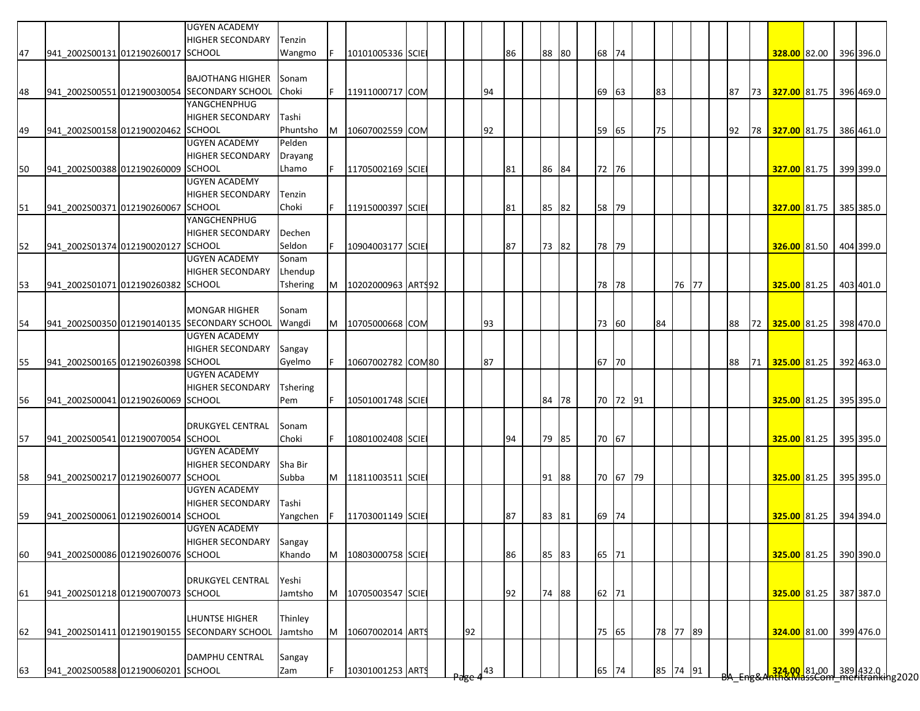|    |                                    | <b>UGYEN ACADEMY</b><br><b>HIGHER SECONDARY</b> | Tenzin          |     |                      |  |    |    |    |       |    |    |          |    |          |  |    |    |                        |  |           |
|----|------------------------------------|-------------------------------------------------|-----------------|-----|----------------------|--|----|----|----|-------|----|----|----------|----|----------|--|----|----|------------------------|--|-----------|
| 47 | 941 2002S00131 012190260017 SCHOOL |                                                 | Wangmo          | IF. | 10101005336 SCIE     |  |    |    | 86 | 88    | 80 |    | 68 74    |    |          |  |    |    | 328.00 82.00           |  | 396 396.0 |
|    |                                    |                                                 |                 |     |                      |  |    |    |    |       |    |    |          |    |          |  |    |    |                        |  |           |
|    |                                    | <b>BAJOTHANG HIGHER</b>                         | Sonam           |     |                      |  |    |    |    |       |    |    |          |    |          |  |    |    |                        |  |           |
| 48 |                                    | 941 2002S00551 012190030054 SECONDARY SCHOOL    | Choki           | IF. | 11911000717 COM      |  |    | 94 |    |       |    |    | 69 63    | 83 |          |  | 87 |    | 73 327.00 81.75        |  | 396 469.0 |
|    |                                    | YANGCHENPHUG                                    |                 |     |                      |  |    |    |    |       |    |    |          |    |          |  |    |    |                        |  |           |
|    |                                    | <b>HIGHER SECONDARY</b>                         | Tashi           |     |                      |  |    |    |    |       |    |    |          |    |          |  |    |    |                        |  |           |
| 49 | 941_2002S00158 012190020462 SCHOOL |                                                 | Phuntsho        | IM. | 10607002559 COM      |  |    | 92 |    |       |    | 59 | 65       | 75 |          |  | 92 | 78 | 327.00 81.75           |  | 386 461.0 |
|    |                                    | <b>UGYEN ACADEMY</b>                            | Pelden          |     |                      |  |    |    |    |       |    |    |          |    |          |  |    |    |                        |  |           |
|    |                                    | <b>HIGHER SECONDARY</b>                         | Drayang         |     |                      |  |    |    |    |       |    |    |          |    |          |  |    |    |                        |  |           |
| 50 | 941_2002S00388 012190260009 SCHOOL |                                                 | Lhamo           | IF. | 11705002169 SCIE     |  |    |    | 81 | 86 84 |    |    | 72 76    |    |          |  |    |    | 327.00 81.75           |  | 399 399.0 |
|    |                                    | <b>UGYEN ACADEMY</b>                            |                 |     |                      |  |    |    |    |       |    |    |          |    |          |  |    |    |                        |  |           |
|    |                                    | <b>HIGHER SECONDARY</b>                         | Tenzin          |     |                      |  |    |    |    |       |    |    |          |    |          |  |    |    |                        |  |           |
| 51 | 941_2002S00371 012190260067 SCHOOL |                                                 | Choki           |     | 11915000397 SCIE     |  |    |    | 81 | 85    | 82 |    | 58 79    |    |          |  |    |    | 327.00 81.75           |  | 385 385.0 |
|    |                                    | YANGCHENPHUG                                    |                 |     |                      |  |    |    |    |       |    |    |          |    |          |  |    |    |                        |  |           |
|    |                                    | <b>HIGHER SECONDARY</b>                         | Dechen          |     |                      |  |    |    |    |       |    |    |          |    |          |  |    |    |                        |  |           |
| 52 | 941_2002S01374 012190020127 SCHOOL |                                                 | Seldon          |     | 10904003177 SCIE     |  |    |    | 87 | 73 82 |    |    | 78 79    |    |          |  |    |    | 326.00 81.50           |  | 404 399.0 |
|    |                                    | <b>UGYEN ACADEMY</b>                            | Sonam           |     |                      |  |    |    |    |       |    |    |          |    |          |  |    |    |                        |  |           |
|    |                                    | <b>HIGHER SECONDARY</b>                         | Lhendup         |     |                      |  |    |    |    |       |    |    |          |    |          |  |    |    |                        |  |           |
| 53 | 941 2002S01071 012190260382 SCHOOL |                                                 | <b>Tshering</b> | M   | 10202000963 ARTS92   |  |    |    |    |       |    |    | 78 78    |    | 76 77    |  |    |    | 325.00 81.25           |  | 403 401.0 |
|    |                                    |                                                 |                 |     |                      |  |    |    |    |       |    |    |          |    |          |  |    |    |                        |  |           |
|    |                                    | <b>MONGAR HIGHER</b>                            | Sonam           |     |                      |  |    |    |    |       |    |    |          |    |          |  |    |    |                        |  |           |
| 54 |                                    | 941 2002S00350 012190140135 SECONDARY SCHOOL    | Wangdi          |     | M 10705000668 COM    |  |    | 93 |    |       |    |    | 73 60    | 84 |          |  | 88 |    | 72 325.00 81.25        |  | 398 470.0 |
|    |                                    | <b>UGYEN ACADEMY</b>                            |                 |     |                      |  |    |    |    |       |    |    |          |    |          |  |    |    |                        |  |           |
|    |                                    | <b>HIGHER SECONDARY</b>                         | Sangay          |     |                      |  |    |    |    |       |    |    |          |    |          |  |    |    |                        |  |           |
| 55 | 941_2002S00165 012190260398 SCHOOL |                                                 | Gyelmo          | IF. | 10607002782 COM80    |  |    | 87 |    |       |    |    | 67 70    |    |          |  | 88 | 71 | 325.00 81.25           |  | 392 463.0 |
|    |                                    | <b>UGYEN ACADEMY</b>                            |                 |     |                      |  |    |    |    |       |    |    |          |    |          |  |    |    |                        |  |           |
|    |                                    | <b>HIGHER SECONDARY</b>                         | <b>Tshering</b> |     |                      |  |    |    |    |       |    |    |          |    |          |  |    |    |                        |  |           |
| 56 | 941_2002S00041 012190260069 SCHOOL |                                                 | Pem             | IF. | 10501001748 SCIE     |  |    |    |    | 84    | 78 |    | 70 72 91 |    |          |  |    |    | 325.00 81.25           |  | 395 395.0 |
|    |                                    |                                                 |                 |     |                      |  |    |    |    |       |    |    |          |    |          |  |    |    |                        |  |           |
|    |                                    | <b>DRUKGYEL CENTRAL</b>                         | Sonam           |     |                      |  |    |    |    |       |    |    |          |    |          |  |    |    |                        |  |           |
| 57 | 941_2002S00541 012190070054 SCHOOL |                                                 | Choki           | IF. | 10801002408 SCIE     |  |    |    | 94 | 79 85 |    |    | 70 67    |    |          |  |    |    | 325.00 81.25           |  | 395 395.0 |
|    |                                    | <b>UGYEN ACADEMY</b>                            |                 |     |                      |  |    |    |    |       |    |    |          |    |          |  |    |    |                        |  |           |
|    |                                    | <b>HIGHER SECONDARY</b>                         | Sha Bir         |     |                      |  |    |    |    |       |    |    |          |    |          |  |    |    |                        |  |           |
| 58 | 941_2002S00217 012190260077 SCHOOL |                                                 | Subba           |     | M 11811003511 SCIE   |  |    |    |    | 91 88 |    |    | 70 67 79 |    |          |  |    |    | 325.00 81.25           |  | 395 395.0 |
|    |                                    | <b>UGYEN ACADEMY</b>                            |                 |     |                      |  |    |    |    |       |    |    |          |    |          |  |    |    |                        |  |           |
|    |                                    | <b>HIGHER SECONDARY</b>                         | Tashi           |     |                      |  |    |    |    |       |    |    |          |    |          |  |    |    |                        |  |           |
| 59 | 941 2002S00061 012190260014 SCHOOL |                                                 | Yangchen        | IF. | 11703001149 SCIE     |  |    |    | 87 | 83 81 |    |    | 69 74    |    |          |  |    |    | 325.00 81.25 394 394.0 |  |           |
|    |                                    | <b>UGYEN ACADEMY</b>                            |                 |     |                      |  |    |    |    |       |    |    |          |    |          |  |    |    |                        |  |           |
|    |                                    | <b>HIGHER SECONDARY</b>                         | Sangay          |     |                      |  |    |    |    |       |    |    |          |    |          |  |    |    |                        |  |           |
| 60 | 941 2002S00086 012190260076 SCHOOL |                                                 | Khando          | M   | 10803000758 SCIE     |  |    |    | 86 | 85 83 |    |    | 65 71    |    |          |  |    |    | 325.00 81.25           |  | 390 390.0 |
|    |                                    |                                                 |                 |     |                      |  |    |    |    |       |    |    |          |    |          |  |    |    |                        |  |           |
|    |                                    | <b>DRUKGYEL CENTRAL</b>                         | Yeshi           |     |                      |  |    |    |    |       |    |    |          |    |          |  |    |    |                        |  |           |
| 61 | 941_2002S01218 012190070073 SCHOOL |                                                 | Jamtsho         |     | M   10705003547 SCIE |  |    |    | 92 | 74 88 |    |    | 62 71    |    |          |  |    |    | 325.00 81.25           |  | 387 387.0 |
|    |                                    |                                                 |                 |     |                      |  |    |    |    |       |    |    |          |    |          |  |    |    |                        |  |           |
|    |                                    | LHUNTSE HIGHER                                  | Thinley         |     |                      |  |    |    |    |       |    |    |          |    |          |  |    |    |                        |  |           |
| 62 |                                    | 941 2002S01411 012190190155 SECONDARY SCHOOL    | Jamtsho         | M   | 10607002014 ARTS     |  | 92 |    |    |       |    |    | 75 65    |    | 78 77 89 |  |    |    | 324.00 81.00           |  | 399 476.0 |
|    |                                    |                                                 |                 |     |                      |  |    |    |    |       |    |    |          |    |          |  |    |    |                        |  |           |
|    |                                    |                                                 |                 |     |                      |  |    |    |    |       |    |    |          |    |          |  |    |    |                        |  |           |
|    |                                    | <b>DAMPHU CENTRAL</b>                           | Sangay          |     |                      |  |    |    |    |       |    |    |          |    |          |  |    |    |                        |  |           |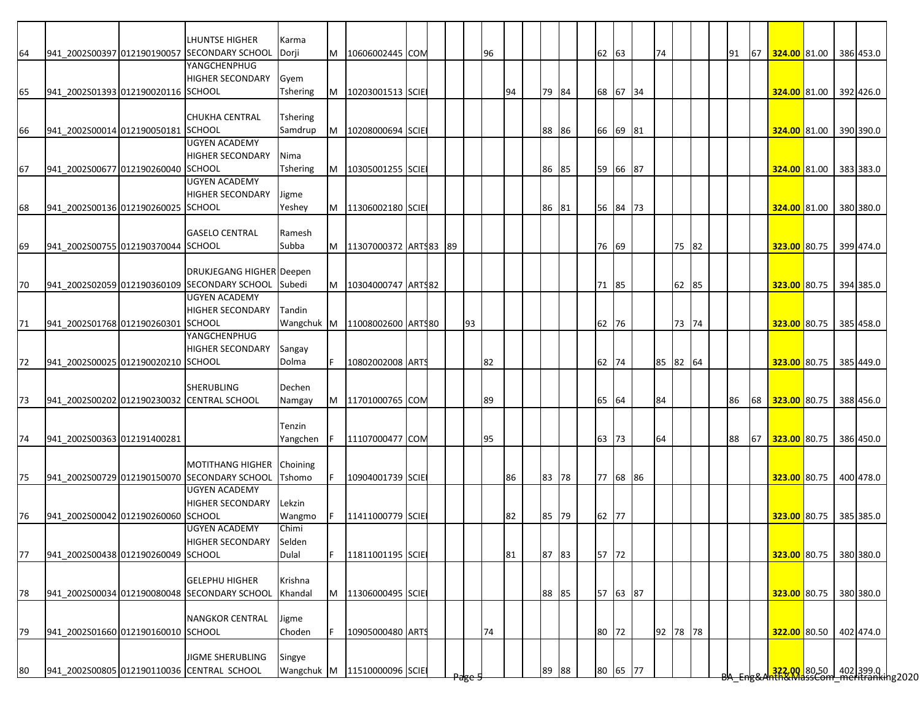|    |                                    | LHUNTSE HIGHER                               | Karma           |     |                               |  |                 |    |    |       |    |       |          |          |       |  |    |                           |  |           |
|----|------------------------------------|----------------------------------------------|-----------------|-----|-------------------------------|--|-----------------|----|----|-------|----|-------|----------|----------|-------|--|----|---------------------------|--|-----------|
| 64 |                                    | 941 2002S00397 012190190057 SECONDARY SCHOOL | Dorji           |     | M 10606002445 COM             |  |                 | 96 |    |       |    | 62 63 |          | 74       |       |  | 91 | 67 324.00 81.00 386 453.0 |  |           |
|    |                                    | YANGCHENPHUG                                 |                 |     |                               |  |                 |    |    |       |    |       |          |          |       |  |    |                           |  |           |
|    |                                    | <b>HIGHER SECONDARY</b>                      | Gyem            |     |                               |  |                 |    |    |       |    |       |          |          |       |  |    |                           |  |           |
| 65 | 941 2002S01393 012190020116 SCHOOL |                                              | Tshering        |     | M 10203001513 SCIE            |  |                 |    | 94 | 79 84 |    |       | 68 67 34 |          |       |  |    | 324.00 81.00 392 426.0    |  |           |
|    |                                    |                                              |                 |     |                               |  |                 |    |    |       |    |       |          |          |       |  |    |                           |  |           |
|    |                                    | CHUKHA CENTRAL                               | <b>Tshering</b> |     |                               |  |                 |    |    |       |    |       |          |          |       |  |    |                           |  |           |
| 66 | 941_2002S00014 012190050181 SCHOOL |                                              | Samdrup         | M   | 10208000694 SCIE              |  |                 |    |    | 88 86 |    |       | 66 69 81 |          |       |  |    | 324.00 81.00 390 390.0    |  |           |
|    |                                    | <b>UGYEN ACADEMY</b>                         |                 |     |                               |  |                 |    |    |       |    |       |          |          |       |  |    |                           |  |           |
|    |                                    | <b>HIGHER SECONDARY</b>                      | Nima            |     |                               |  |                 |    |    |       |    |       |          |          |       |  |    |                           |  |           |
| 67 | 941_2002S00677 012190260040 SCHOOL |                                              | Tshering        |     | M 10305001255 SCIE            |  |                 |    |    | 86 85 |    |       | 59 66 87 |          |       |  |    | 324.00 81.00 383 383.0    |  |           |
|    |                                    | <b>UGYEN ACADEMY</b>                         |                 |     |                               |  |                 |    |    |       |    |       |          |          |       |  |    |                           |  |           |
|    |                                    | <b>HIGHER SECONDARY</b>                      | Jigme           |     |                               |  |                 |    |    |       |    |       |          |          |       |  |    |                           |  |           |
| 68 | 941 2002S00136 012190260025 SCHOOL |                                              | Yeshey          |     | M   11306002180 SCIE          |  |                 |    |    | 86    | 81 |       | 56 84 73 |          |       |  |    | 324.00 81.00 380 380.0    |  |           |
|    |                                    |                                              |                 |     |                               |  |                 |    |    |       |    |       |          |          |       |  |    |                           |  |           |
|    |                                    | <b>GASELO CENTRAL</b>                        | Ramesh          |     |                               |  |                 |    |    |       |    |       |          |          |       |  |    |                           |  |           |
| 69 | 941 2002S00755 012190370044 SCHOOL |                                              | Subba           |     | M   11307000372 ARTS83   89   |  |                 |    |    |       |    | 76 69 |          |          | 75 82 |  |    | 323.00 80.75 399 474.0    |  |           |
|    |                                    |                                              |                 |     |                               |  |                 |    |    |       |    |       |          |          |       |  |    |                           |  |           |
|    |                                    | DRUKJEGANG HIGHER Deepen                     |                 |     |                               |  |                 |    |    |       |    |       |          |          |       |  |    |                           |  |           |
| 70 |                                    | 941_2002S02059 012190360109 SECONDARY SCHOOL | Subedi          |     | M   10304000747   ARTS82      |  |                 |    |    |       |    | 71 85 |          |          | 62 85 |  |    | 323.00 80.75 394 385.0    |  |           |
|    |                                    | <b>UGYEN ACADEMY</b>                         |                 |     |                               |  |                 |    |    |       |    |       |          |          |       |  |    |                           |  |           |
|    |                                    | <b>HIGHER SECONDARY</b>                      | Tandin          |     |                               |  |                 |    |    |       |    |       |          |          |       |  |    |                           |  |           |
| 71 | 941_2002S01768 012190260301        | <b>SCHOOL</b>                                |                 |     | Wangchuk M 11008002600 ARTS80 |  | 93              |    |    |       |    | 62 76 |          |          | 73 74 |  |    | 323.00 80.75 385 458.0    |  |           |
|    |                                    | YANGCHENPHUG                                 |                 |     |                               |  |                 |    |    |       |    |       |          |          |       |  |    |                           |  |           |
|    |                                    | <b>HIGHER SECONDARY</b>                      | Sangay          |     |                               |  |                 |    |    |       |    |       |          |          |       |  |    |                           |  |           |
| 72 | 941_2002S00025 012190020210 SCHOOL |                                              | Dolma           | IF. | 10802002008 ARTS              |  |                 | 82 |    |       |    | 62 74 |          | 85 82 64 |       |  |    | 323.00 80.75              |  | 385 449.0 |
|    |                                    |                                              |                 |     |                               |  |                 |    |    |       |    |       |          |          |       |  |    |                           |  |           |
|    |                                    | SHERUBLING                                   | Dechen          |     |                               |  |                 |    |    |       |    |       |          |          |       |  |    |                           |  |           |
| 73 |                                    | 941 2002S00202 012190230032 CENTRAL SCHOOL   | Namgay          |     | M 11701000765 COM             |  |                 | 89 |    |       |    | 65 64 |          | 84       |       |  | 86 | 68 323.00 80.75           |  | 388 456.0 |
|    |                                    |                                              |                 |     |                               |  |                 |    |    |       |    |       |          |          |       |  |    |                           |  |           |
|    |                                    |                                              | Tenzin          |     |                               |  |                 |    |    |       |    |       |          |          |       |  |    |                           |  |           |
| 74 | 941 2002S00363 012191400281        |                                              | Yangchen        | IF. | 11107000477 COM               |  |                 | 95 |    |       |    | 63 73 |          | 64       |       |  | 88 | 67 323.00 80.75 386 450.0 |  |           |
|    |                                    |                                              |                 |     |                               |  |                 |    |    |       |    |       |          |          |       |  |    |                           |  |           |
|    |                                    | <b>MOTITHANG HIGHER</b>                      | Choining        |     |                               |  |                 |    |    |       |    |       |          |          |       |  |    |                           |  |           |
| 75 |                                    | 941 2002S00729 012190150070 SECONDARY SCHOOL | Tshomo          |     | 10904001739 SCIE              |  |                 |    | 86 | 83 78 |    |       | 77 68 86 |          |       |  |    | 323.00 80.75              |  | 400 478.0 |
|    |                                    | <b>UGYEN ACADEMY</b>                         |                 |     |                               |  |                 |    |    |       |    |       |          |          |       |  |    |                           |  |           |
|    |                                    | <b>HIGHER SECONDARY</b>                      | Lekzin          |     |                               |  |                 |    |    |       |    |       |          |          |       |  |    |                           |  |           |
| 76 | 941 2002S00042 012190260060 SCHOOL |                                              | Wangmo          | IF. | 11411000779 SCIE              |  |                 |    | 82 | 85 79 |    | 62 77 |          |          |       |  |    | 323.00 80.75 385 385.0    |  |           |
|    |                                    | <b>UGYEN ACADEMY</b>                         | Chimi           |     |                               |  |                 |    |    |       |    |       |          |          |       |  |    |                           |  |           |
|    |                                    | HIGHER SECONDARY                             | Selden          |     |                               |  |                 |    |    |       |    |       |          |          |       |  |    |                           |  |           |
| 77 | 941 2002S00438 012190260049 SCHOOL |                                              | Dulal           | IF. | 11811001195 SCIE              |  |                 |    | 81 | 87 83 |    | 57 72 |          |          |       |  |    | 323.00 80.75 380 380.0    |  |           |
|    |                                    |                                              |                 |     |                               |  |                 |    |    |       |    |       |          |          |       |  |    |                           |  |           |
|    |                                    | <b>GELEPHU HIGHER</b>                        | Krishna         |     |                               |  |                 |    |    |       |    |       |          |          |       |  |    |                           |  |           |
| 78 |                                    | 941 2002S00034 012190080048 SECONDARY SCHOOL | Khandal         |     | M 11306000495 SCIE            |  |                 |    |    | 88 85 |    |       | 57 63 87 |          |       |  |    | 323.00 80.75              |  | 380 380.0 |
|    |                                    |                                              |                 |     |                               |  |                 |    |    |       |    |       |          |          |       |  |    |                           |  |           |
|    |                                    | <b>NANGKOR CENTRAL</b>                       | Jigme           |     |                               |  |                 |    |    |       |    |       |          |          |       |  |    |                           |  |           |
| 79 | 941 2002S01660 012190160010 SCHOOL |                                              | Choden          | IF. |                               |  |                 | 74 |    |       |    | 80 72 |          | 92 78 78 |       |  |    |                           |  | 402 474.0 |
|    |                                    |                                              |                 |     | 10905000480 ARTS              |  |                 |    |    |       |    |       |          |          |       |  |    | 322.00 80.50              |  |           |
|    |                                    | <b>JIGME SHERUBLING</b>                      | Singye          |     |                               |  |                 |    |    |       |    |       |          |          |       |  |    |                           |  |           |
| 80 |                                    | 941 2002S00805 012190110036 CENTRAL SCHOOL   |                 |     |                               |  |                 |    |    |       |    |       | 80 65 77 |          |       |  |    |                           |  |           |
|    |                                    |                                              |                 |     | Wangchuk M 11510000096 SCIE   |  | <del>rage</del> |    |    | 89    | 88 |       |          |          |       |  |    |                           |  |           |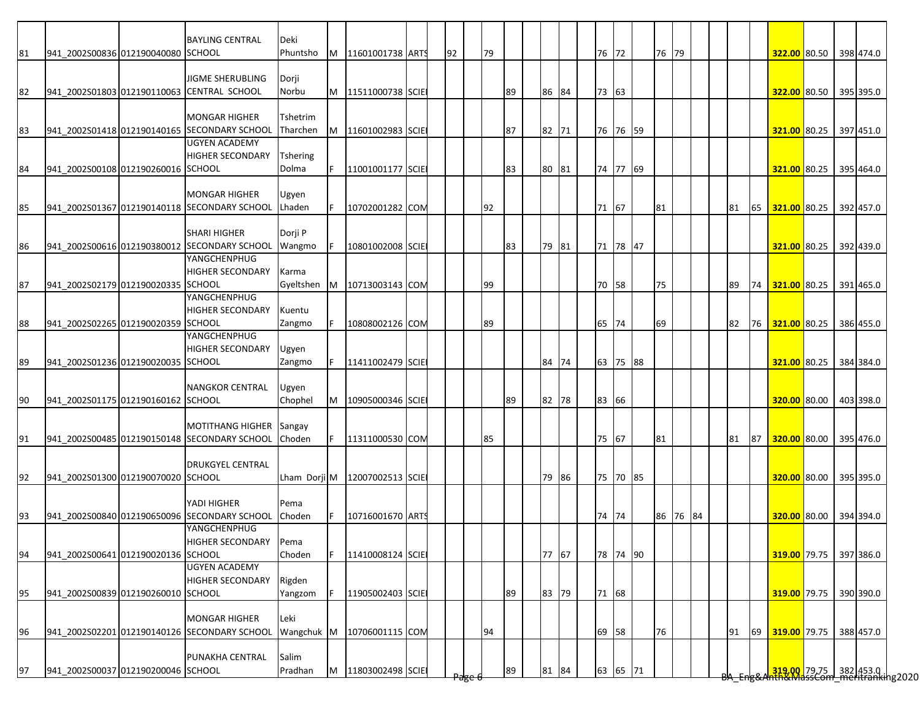|    |                                    | <b>BAYLING CENTRAL</b>                       | Deki            |          |                                 |  |    |    |    |       |  |          |       |          |  |    |    |                           |  |                                                                    |
|----|------------------------------------|----------------------------------------------|-----------------|----------|---------------------------------|--|----|----|----|-------|--|----------|-------|----------|--|----|----|---------------------------|--|--------------------------------------------------------------------|
| 81 | 941 2002S00836 012190040080 SCHOOL |                                              | Phuntsho        |          | M 11601001738 ARTS              |  | 92 | 79 |    |       |  | 76 72    | 76 79 |          |  |    |    | 322.00 80.50 398 474.0    |  |                                                                    |
|    |                                    | <b>JIGME SHERUBLING</b>                      | Dorji           |          |                                 |  |    |    |    |       |  |          |       |          |  |    |    |                           |  |                                                                    |
| 82 | 941 2002S01803 012190110063        | <b>CENTRAL SCHOOL</b>                        | Norbu           |          | M 11511000738 SCIE              |  |    |    | 89 | 86 84 |  | 73 63    |       |          |  |    |    | 322.00 80.50 395 395.0    |  |                                                                    |
|    |                                    |                                              |                 |          |                                 |  |    |    |    |       |  |          |       |          |  |    |    |                           |  |                                                                    |
|    |                                    | <b>MONGAR HIGHER</b>                         | Tshetrim        |          |                                 |  |    |    |    |       |  |          |       |          |  |    |    |                           |  |                                                                    |
| 83 |                                    | 941 2002S01418 012190140165 SECONDARY SCHOOL | Tharchen        | M        | 11601002983 SCIE                |  |    |    | 87 | 82 71 |  | 76 76 59 |       |          |  |    |    | 321.00 80.25              |  | 397 451.0                                                          |
|    |                                    | <b>UGYEN ACADEMY</b>                         |                 |          |                                 |  |    |    |    |       |  |          |       |          |  |    |    |                           |  |                                                                    |
|    |                                    | <b>HIGHER SECONDARY</b>                      | <b>Tshering</b> |          |                                 |  |    |    |    |       |  |          |       |          |  |    |    |                           |  |                                                                    |
| 84 | 941_2002S00108 012190260016 SCHOOL |                                              | Dolma           | IF.      | 11001001177 SCIE                |  |    |    | 83 | 80 81 |  | 74 77 69 |       |          |  |    |    | 321.00 80.25 395 464.0    |  |                                                                    |
|    |                                    |                                              |                 |          |                                 |  |    |    |    |       |  |          |       |          |  |    |    |                           |  |                                                                    |
|    |                                    | <b>MONGAR HIGHER</b>                         | Jgyen           |          |                                 |  |    |    |    |       |  |          |       |          |  |    |    |                           |  |                                                                    |
| 85 |                                    | 941_2002S01367 012190140118 SECONDARY SCHOOL | Lhaden          | IF.      | 10702001282 COM                 |  |    | 92 |    |       |  | 71 67    | 81    |          |  | 81 | 65 | 321.00 80.25 392 457.0    |  |                                                                    |
|    |                                    | <b>SHARI HIGHER</b>                          | Dorji P         |          |                                 |  |    |    |    |       |  |          |       |          |  |    |    |                           |  |                                                                    |
| 86 |                                    | 941 2002S00616 012190380012 SECONDARY SCHOOL | Wangmo          | F        | 10801002008 SCIE                |  |    |    | 83 | 79 81 |  | 71 78 47 |       |          |  |    |    | 321.00 80.25 392 439.0    |  |                                                                    |
|    |                                    | YANGCHENPHUG                                 |                 |          |                                 |  |    |    |    |       |  |          |       |          |  |    |    |                           |  |                                                                    |
|    |                                    | <b>HIGHER SECONDARY</b>                      | Karma           |          |                                 |  |    |    |    |       |  |          |       |          |  |    |    |                           |  |                                                                    |
| 87 | 941_2002S02179 012190020335 SCHOOL |                                              | Gyeltshen       | <b>M</b> | 10713003143 COM                 |  |    | 99 |    |       |  | 70 58    | 75    |          |  | 89 |    | 74 321.00 80.25 391 465.0 |  |                                                                    |
|    |                                    | YANGCHENPHUG                                 |                 |          |                                 |  |    |    |    |       |  |          |       |          |  |    |    |                           |  |                                                                    |
|    |                                    | <b>HIGHER SECONDARY</b>                      | Kuentu          |          |                                 |  |    |    |    |       |  |          |       |          |  |    |    |                           |  |                                                                    |
| 88 | 941_2002S02265 012190020359        | <b>SCHOOL</b>                                | Zangmo          |          | 10808002126 COM                 |  |    | 89 |    |       |  | 65 74    | 69    |          |  | 82 |    | 76 321.00 80.25 386 455.0 |  |                                                                    |
|    |                                    | YANGCHENPHUG                                 |                 |          |                                 |  |    |    |    |       |  |          |       |          |  |    |    |                           |  |                                                                    |
|    |                                    | <b>HIGHER SECONDARY</b>                      | Ugyen           |          |                                 |  |    |    |    |       |  |          |       |          |  |    |    |                           |  |                                                                    |
| 89 | 941_2002S01236 012190020035 SCHOOL |                                              | Zangmo          | IF.      | 11411002479 SCIE                |  |    |    |    | 84 74 |  | 63 75 88 |       |          |  |    |    | 321.00 80.25              |  | 384 384.0                                                          |
|    |                                    | <b>NANGKOR CENTRAL</b>                       | Ugyen           |          |                                 |  |    |    |    |       |  |          |       |          |  |    |    |                           |  |                                                                    |
| 90 | 941_2002S01175 012190160162 SCHOOL |                                              | Chophel         | M        | 10905000346 SCIE                |  |    |    | 89 | 82 78 |  | 83 66    |       |          |  |    |    | 320.00 80.00 403 398.0    |  |                                                                    |
|    |                                    |                                              |                 |          |                                 |  |    |    |    |       |  |          |       |          |  |    |    |                           |  |                                                                    |
|    |                                    | <b>MOTITHANG HIGHER</b>                      | Sangay          |          |                                 |  |    |    |    |       |  |          |       |          |  |    |    |                           |  |                                                                    |
| 91 |                                    | 941_2002S00485 012190150148 SECONDARY SCHOOL | Choden          | IF.      | 11311000530 COM                 |  |    | 85 |    |       |  | 75 67    | 81    |          |  | 81 |    | 87 320.00 80.00 395 476.0 |  |                                                                    |
|    |                                    |                                              |                 |          |                                 |  |    |    |    |       |  |          |       |          |  |    |    |                           |  |                                                                    |
|    |                                    | <b>DRUKGYEL CENTRAL</b>                      |                 |          |                                 |  |    |    |    |       |  |          |       |          |  |    |    |                           |  |                                                                    |
| 92 | 941_2002S01300 012190070020 SCHOOL |                                              |                 |          | Lham Dorji M   12007002513 SCIE |  |    |    |    | 79 86 |  | 75 70 85 |       |          |  |    |    | 320.00 80.00 395 395.0    |  |                                                                    |
|    |                                    |                                              |                 |          |                                 |  |    |    |    |       |  |          |       |          |  |    |    |                           |  |                                                                    |
|    |                                    | YADI HIGHER                                  | Pema            |          |                                 |  |    |    |    |       |  |          |       |          |  |    |    |                           |  |                                                                    |
| 93 |                                    | 941 2002S00840 012190650096 SECONDARY SCHOOL | Choden          | IF.      | 10716001670 ARTS                |  |    |    |    |       |  | 74 74    |       | 86 76 84 |  |    |    | 320.00 80.00 394 394.0    |  |                                                                    |
|    |                                    | YANGCHENPHUG<br>HIGHER SECONDARY             | Pema            |          |                                 |  |    |    |    |       |  |          |       |          |  |    |    |                           |  |                                                                    |
| 94 | 941_2002S00641 012190020136 SCHOOL |                                              | Choden          | IF.      | 11410008124 SCIE                |  |    |    |    | 77 67 |  | 78 74 90 |       |          |  |    |    | 319.00 79.75 397 386.0    |  |                                                                    |
|    |                                    | <b>UGYEN ACADEMY</b>                         |                 |          |                                 |  |    |    |    |       |  |          |       |          |  |    |    |                           |  |                                                                    |
|    |                                    | <b>HIGHER SECONDARY</b>                      | Rigden          |          |                                 |  |    |    |    |       |  |          |       |          |  |    |    |                           |  |                                                                    |
| 95 | 941_2002S00839 012190260010 SCHOOL |                                              | Yangzom         | IF.      | 11905002403 SCIE                |  |    |    | 89 | 83 79 |  | 71 68    |       |          |  |    |    | 319.00 79.75 390 390.0    |  |                                                                    |
|    |                                    |                                              |                 |          |                                 |  |    |    |    |       |  |          |       |          |  |    |    |                           |  |                                                                    |
|    |                                    | <b>MONGAR HIGHER</b>                         | Leki            |          |                                 |  |    |    |    |       |  |          |       |          |  |    |    |                           |  |                                                                    |
| 96 |                                    | 941_2002S02201 012190140126 SECONDARY SCHOOL |                 |          | Wangchuk M 10706001115 COM      |  |    | 94 |    |       |  | 69 58    | 76    |          |  | 91 | 69 | 319.00 79.75              |  | 388 457.0                                                          |
|    |                                    |                                              |                 |          |                                 |  |    |    |    |       |  |          |       |          |  |    |    |                           |  |                                                                    |
|    |                                    | PUNAKHA CENTRAL                              | Salim           |          |                                 |  |    |    |    |       |  |          |       |          |  |    |    |                           |  |                                                                    |
| 97 | 941 2002S00037 012190200046 SCHOOL |                                              | Pradhan         |          | M 11803002498 SCIE              |  |    |    | 89 | 81 84 |  | 63 65 71 |       |          |  |    |    |                           |  | 319.00 79.75 382 453.0  <br>319.00 - 382   453.0   453.0   453.020 |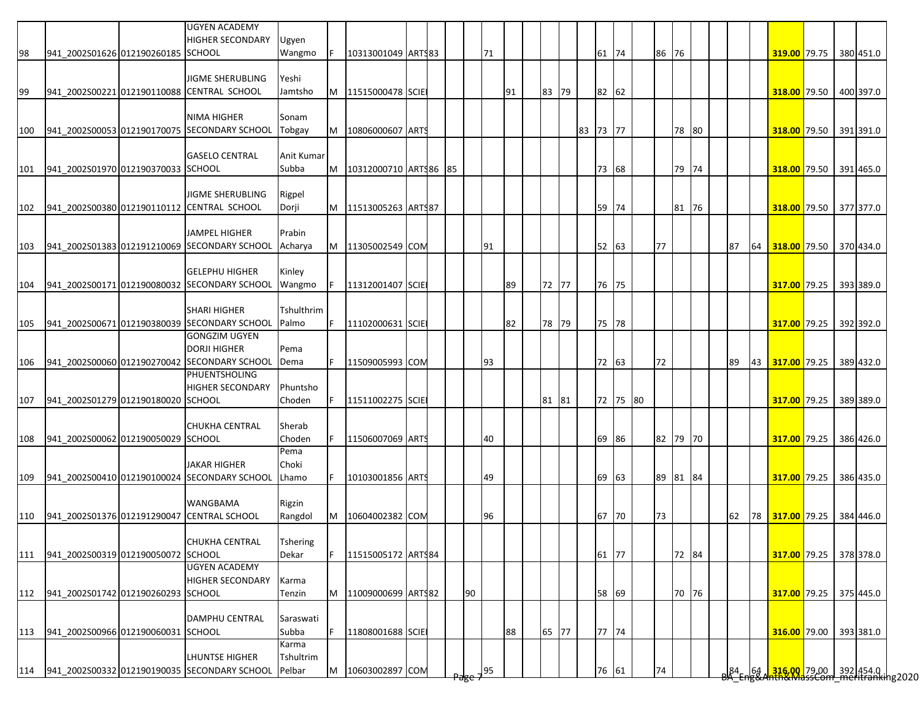|     |                                    | <b>UGYEN ACADEMY</b><br><b>HIGHER SECONDARY</b>                       | Ugyen               |    |                          |  |    |    |    |       |          |          |          |       |  |         |    |                                                                                       |  |           |
|-----|------------------------------------|-----------------------------------------------------------------------|---------------------|----|--------------------------|--|----|----|----|-------|----------|----------|----------|-------|--|---------|----|---------------------------------------------------------------------------------------|--|-----------|
| 98  | 941 2002S01626 012190260185 SCHOOL |                                                                       | Wangmo              |    | 10313001049 ARTS83       |  |    | 71 |    |       | 61       | 74       | 86 76    |       |  |         |    | 319.00 79.75 380 451.0                                                                |  |           |
|     |                                    | <b>JIGME SHERUBLING</b>                                               | Yeshi               |    |                          |  |    |    |    |       |          |          |          |       |  |         |    |                                                                                       |  |           |
| 99  |                                    | 941 2002S00221 012190110088 CENTRAL SCHOOL                            | Jamtsho             |    | M 11515000478 SCIE       |  |    |    | 91 | 83 79 |          | 82 62    |          |       |  |         |    | 318.00 79.50 400 397.0                                                                |  |           |
|     |                                    |                                                                       |                     |    |                          |  |    |    |    |       |          |          |          |       |  |         |    |                                                                                       |  |           |
|     |                                    | <b>NIMA HIGHER</b>                                                    | Sonam               |    |                          |  |    |    |    |       |          |          |          |       |  |         |    |                                                                                       |  |           |
| 100 |                                    | 941 2002S00053 012190170075 SECONDARY SCHOOL                          | Tobgay              | M  | 10806000607 ARTS         |  |    |    |    |       | 83 73 77 |          |          | 78 80 |  |         |    | 318.00 79.50 391 391.0                                                                |  |           |
|     |                                    |                                                                       |                     |    |                          |  |    |    |    |       |          |          |          |       |  |         |    |                                                                                       |  |           |
| 101 | 941_2002S01970 012190370033 SCHOOL | <b>GASELO CENTRAL</b>                                                 | Anit Kumar<br>Subba | M  | 10312000710 ARTS86 85    |  |    |    |    |       |          | 73 68    |          | 79 74 |  |         |    | 318.00 79.50 391 465.0                                                                |  |           |
|     |                                    |                                                                       |                     |    |                          |  |    |    |    |       |          |          |          |       |  |         |    |                                                                                       |  |           |
|     |                                    | JIGME SHERUBLING                                                      | Rigpel              |    |                          |  |    |    |    |       |          |          |          |       |  |         |    |                                                                                       |  |           |
| 102 |                                    | 941_2002S00380 012190110112 CENTRAL SCHOOL                            | Dorji               |    | M   11513005263   ARTS87 |  |    |    |    |       | 59       | 74       |          | 81 76 |  |         |    | 318.00 79.50 377 377.0                                                                |  |           |
|     |                                    |                                                                       |                     |    |                          |  |    |    |    |       |          |          |          |       |  |         |    |                                                                                       |  |           |
|     |                                    | <b>JAMPEL HIGHER</b>                                                  | Prabin              |    |                          |  |    |    |    |       |          |          |          |       |  |         |    |                                                                                       |  |           |
| 103 |                                    | 941 2002S01383 012191210069 SECONDARY SCHOOL                          | Acharya             |    | M 11305002549 COM        |  |    | 91 |    |       |          | 52 63    | 77       |       |  | 87      | 64 | 318.00 79.50 370 434.0                                                                |  |           |
|     |                                    | <b>GELEPHU HIGHER</b>                                                 | Kinley              |    |                          |  |    |    |    |       |          |          |          |       |  |         |    |                                                                                       |  |           |
| 104 |                                    | 941 2002S00171 012190080032 SECONDARY SCHOOL                          | Wangmo              | F. | 11312001407 SCIE         |  |    |    | 89 | 72 77 | 76 75    |          |          |       |  |         |    | 317.00 79.25                                                                          |  | 393 389.0 |
|     |                                    |                                                                       |                     |    |                          |  |    |    |    |       |          |          |          |       |  |         |    |                                                                                       |  |           |
|     |                                    | <b>SHARI HIGHER</b>                                                   | Tshulthrim          |    |                          |  |    |    |    |       |          |          |          |       |  |         |    |                                                                                       |  |           |
| 105 |                                    | 941_2002S00671 012190380039 SECONDARY SCHOOL                          | Palmo               | F. | 11102000631 SCIE         |  |    |    | 82 | 78 79 |          | 75 78    |          |       |  |         |    | 317.00 79.25 392 392.0                                                                |  |           |
|     |                                    | <b>GONGZIM UGYEN</b>                                                  |                     |    |                          |  |    |    |    |       |          |          |          |       |  |         |    |                                                                                       |  |           |
|     |                                    | <b>DORJI HIGHER</b>                                                   | Pema                |    |                          |  |    |    |    |       |          |          |          |       |  |         |    |                                                                                       |  |           |
| 106 |                                    | 941 2002S00060 012190270042 SECONDARY SCHOOL                          | Dema                |    | 11509005993 COM          |  |    | 93 |    |       |          | 72 63    | 72       |       |  | 89      | 43 | 317.00 79.25 389 432.0                                                                |  |           |
|     |                                    | PHUENTSHOLING                                                         |                     |    |                          |  |    |    |    |       |          |          |          |       |  |         |    |                                                                                       |  |           |
|     |                                    | <b>HIGHER SECONDARY</b>                                               | Phuntsho            |    |                          |  |    |    |    |       |          |          |          |       |  |         |    |                                                                                       |  |           |
| 107 | 941 2002S01279 012190180020 SCHOOL |                                                                       | Choden              | F  | 11511002275 SCIE         |  |    |    |    | 81 81 |          | 72 75 80 |          |       |  |         |    | 317.00 79.25 389 389.0                                                                |  |           |
|     |                                    | <b>CHUKHA CENTRAL</b>                                                 | Sherab              |    |                          |  |    |    |    |       |          |          |          |       |  |         |    |                                                                                       |  |           |
| 108 | 941 2002S00062 012190050029 SCHOOL |                                                                       | Choden              |    | 11506007069 ARTS         |  |    | 40 |    |       | 69       | 86       | 82 79 70 |       |  |         |    | 317.00 79.25 386 426.0                                                                |  |           |
|     |                                    |                                                                       | Pema                |    |                          |  |    |    |    |       |          |          |          |       |  |         |    |                                                                                       |  |           |
|     |                                    | <b>JAKAR HIGHER</b>                                                   | Choki               |    |                          |  |    |    |    |       |          |          |          |       |  |         |    |                                                                                       |  |           |
| 109 |                                    | 941 2002S00410 012190100024 SECONDARY SCHOOL                          | Lhamo               |    | 10103001856 ARTS         |  |    | 49 |    |       | 69       | 63       | 89 81 84 |       |  |         |    | 317.00 79.25 386 435.0                                                                |  |           |
|     |                                    |                                                                       |                     |    |                          |  |    |    |    |       |          |          |          |       |  |         |    |                                                                                       |  |           |
|     |                                    | <b>WANGBAMA</b>                                                       | Rigzin              |    |                          |  |    |    |    |       |          |          |          |       |  |         |    |                                                                                       |  |           |
| 110 |                                    | 941 2002S01376 012191290047 CENTRAL SCHOOL                            | Rangdol             | M  | 10604002382 COM          |  |    | 96 |    |       | 67       | 70       | 73       |       |  | 62      |    | 78 317.00 79.25 384 446.0                                                             |  |           |
|     |                                    | CHUKHA CENTRAL                                                        | <b>Tshering</b>     |    |                          |  |    |    |    |       |          |          |          |       |  |         |    |                                                                                       |  |           |
| 111 | 941 2002S00319 012190050072 SCHOOL |                                                                       | Dekar               | F. | 11515005172 ARTS84       |  |    |    |    |       |          | 61 77    |          | 72 84 |  |         |    | 317.00 79.25 378 378.0                                                                |  |           |
|     |                                    | <b>UGYEN ACADEMY</b>                                                  |                     |    |                          |  |    |    |    |       |          |          |          |       |  |         |    |                                                                                       |  |           |
|     |                                    | <b>HIGHER SECONDARY</b>                                               | Karma               |    |                          |  |    |    |    |       |          |          |          |       |  |         |    |                                                                                       |  |           |
| 112 | 941_2002S01742 012190260293 SCHOOL |                                                                       | Tenzin              | M  | 11009000699 ARTS82       |  | 90 |    |    |       |          | 58 69    |          | 70 76 |  |         |    | 317.00 79.25 375 445.0                                                                |  |           |
|     |                                    |                                                                       |                     |    |                          |  |    |    |    |       |          |          |          |       |  |         |    |                                                                                       |  |           |
|     |                                    | DAMPHU CENTRAL                                                        | Saraswati           |    |                          |  |    |    |    |       |          |          |          |       |  |         |    |                                                                                       |  |           |
| 113 | 941_2002S00966 012190060031 SCHOOL |                                                                       | Subba               | F. | 11808001688 SCIE         |  |    |    | 88 | 65 77 |          | 77 74    |          |       |  |         |    | 316.00 79.00 393 381.0                                                                |  |           |
|     |                                    |                                                                       | Karma               |    |                          |  |    |    |    |       |          |          |          |       |  |         |    |                                                                                       |  |           |
|     |                                    | <b>LHUNTSE HIGHER</b><br>941_2002S00332 012190190035 SECONDARY SCHOOL | Tshultrim<br>Pelbar | M  | 10603002897 COM          |  |    |    |    |       |          | 76 61    | 74       |       |  |         |    |                                                                                       |  |           |
| 114 |                                    |                                                                       |                     |    |                          |  |    | 95 |    |       |          |          |          |       |  | $84-64$ |    | <mark>.316.00.</mark> 79.00 392 454.0<br><del>hth&amp;MassCom meritranki</del> ng2020 |  |           |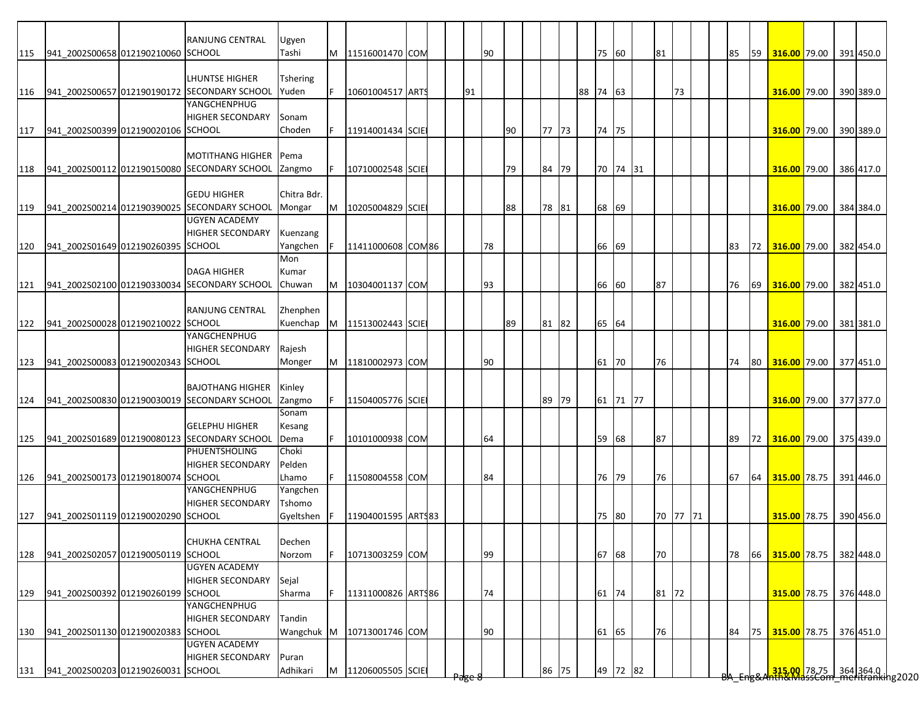|     |                                        | RANJUNG CENTRAL                              | Ugyen       |   |                    |  |        |    |    |       |          |          |          |    |  |    |    |                                                                                      |  |           |
|-----|----------------------------------------|----------------------------------------------|-------------|---|--------------------|--|--------|----|----|-------|----------|----------|----------|----|--|----|----|--------------------------------------------------------------------------------------|--|-----------|
| 115 | 941_2002S00658 012190210060 SCHOOL     |                                              | Tashi       | M | 11516001470 COM    |  |        | 90 |    |       |          | 75 60    | 81       |    |  | 85 | 59 | 316.00 79.00 391 450.0                                                               |  |           |
|     |                                        |                                              |             |   |                    |  |        |    |    |       |          |          |          |    |  |    |    |                                                                                      |  |           |
|     |                                        | LHUNTSE HIGHER                               | Tshering    |   |                    |  |        |    |    |       |          |          |          |    |  |    |    |                                                                                      |  |           |
| 116 |                                        | 941_2002S00657 012190190172 SECONDARY SCHOOL | Yuden       | F | 10601004517 ARTS   |  | 91     |    |    |       | 88 74 63 |          |          | 73 |  |    |    | 316.00 79.00 390 389.0                                                               |  |           |
|     |                                        | YANGCHENPHUG                                 |             |   |                    |  |        |    |    |       |          |          |          |    |  |    |    |                                                                                      |  |           |
|     |                                        |                                              |             |   |                    |  |        |    |    |       |          |          |          |    |  |    |    |                                                                                      |  |           |
|     |                                        | <b>HIGHER SECONDARY</b>                      | Sonam       |   |                    |  |        |    |    |       |          |          |          |    |  |    |    |                                                                                      |  |           |
| 117 | 941 2002S00399 012190020106 SCHOOL     |                                              | Choden      |   | 11914001434 SCIE   |  |        |    | 90 | 77 73 |          | 74 75    |          |    |  |    |    | 316.00 79.00                                                                         |  | 390 389.0 |
|     |                                        |                                              |             |   |                    |  |        |    |    |       |          |          |          |    |  |    |    |                                                                                      |  |           |
|     |                                        | <b>MOTITHANG HIGHER</b>                      | Pema        |   |                    |  |        |    |    |       |          |          |          |    |  |    |    |                                                                                      |  |           |
| 118 |                                        | 941 2002S00112 012190150080 SECONDARY SCHOOL | Zangmo      |   | 10710002548 SCIE   |  |        |    | 79 | 84 79 |          | 70 74 31 |          |    |  |    |    | 316.00 79.00 386 417.0                                                               |  |           |
|     |                                        |                                              |             |   |                    |  |        |    |    |       |          |          |          |    |  |    |    |                                                                                      |  |           |
|     |                                        | <b>GEDU HIGHER</b>                           | Chitra Bdr. |   |                    |  |        |    |    |       |          |          |          |    |  |    |    |                                                                                      |  |           |
| 119 |                                        | 941 2002S00214 012190390025 SECONDARY SCHOOL | Mongar      | M | 10205004829 SCIE   |  |        |    | 88 | 78 81 | 68       | 69       |          |    |  |    |    | 316.00 79.00 384 384.0                                                               |  |           |
|     |                                        | <b>UGYEN ACADEMY</b>                         |             |   |                    |  |        |    |    |       |          |          |          |    |  |    |    |                                                                                      |  |           |
|     |                                        | <b>HIGHER SECONDARY</b>                      | Kuenzang    |   |                    |  |        |    |    |       |          |          |          |    |  |    |    |                                                                                      |  |           |
| 120 | 941 2002S01649 012190260395 SCHOOL     |                                              | Yangchen    |   | 11411000608 COM86  |  |        | 78 |    |       | 66       | 69       |          |    |  | 83 |    | 72 316.00 79.00                                                                      |  | 382 454.0 |
|     |                                        |                                              | Mon         |   |                    |  |        |    |    |       |          |          |          |    |  |    |    |                                                                                      |  |           |
|     |                                        | <b>DAGA HIGHER</b>                           | Kumar       |   |                    |  |        |    |    |       |          |          |          |    |  |    |    |                                                                                      |  |           |
| 121 |                                        | 941_2002S02100 012190330034 SECONDARY SCHOOL | Chuwan      | M | 10304001137 COM    |  |        | 93 |    |       | 66       | 60       | 87       |    |  | 76 | 69 | 316.00 79.00                                                                         |  | 382 451.0 |
|     |                                        |                                              |             |   |                    |  |        |    |    |       |          |          |          |    |  |    |    |                                                                                      |  |           |
|     |                                        |                                              |             |   |                    |  |        |    |    |       |          |          |          |    |  |    |    |                                                                                      |  |           |
|     |                                        | <b>RANJUNG CENTRAL</b>                       | Zhenphen    |   |                    |  |        |    |    |       |          |          |          |    |  |    |    |                                                                                      |  |           |
| 122 | 941 2002S00028 012190210022            | <b>SCHOOL</b>                                | Kuenchap    | M | 11513002443 SCIE   |  |        |    | 89 | 81 82 |          | 65 64    |          |    |  |    |    | 316.00 79.00 381 381.0                                                               |  |           |
|     |                                        | YANGCHENPHUG                                 |             |   |                    |  |        |    |    |       |          |          |          |    |  |    |    |                                                                                      |  |           |
|     |                                        | <b>HIGHER SECONDARY</b>                      | Rajesh      |   |                    |  |        |    |    |       |          |          |          |    |  |    |    |                                                                                      |  |           |
| 123 | 941_2002S00083 012190020343 SCHOOL     |                                              | Monger      | M | 11810002973 COM    |  |        | 90 |    |       | 61       | 70       | 76       |    |  | 74 | 80 | 316.00 79.00 377 451.0                                                               |  |           |
|     |                                        |                                              |             |   |                    |  |        |    |    |       |          |          |          |    |  |    |    |                                                                                      |  |           |
|     |                                        | <b>BAJOTHANG HIGHER</b>                      | Kinley      |   |                    |  |        |    |    |       |          |          |          |    |  |    |    |                                                                                      |  |           |
| 124 |                                        | 941_2002S00830 012190030019 SECONDARY SCHOOL | Zangmo      |   | 11504005776 SCIE   |  |        |    |    | 89 79 |          | 61 71 77 |          |    |  |    |    | 316.00 79.00 377 377.0                                                               |  |           |
|     |                                        |                                              | Sonam       |   |                    |  |        |    |    |       |          |          |          |    |  |    |    |                                                                                      |  |           |
|     |                                        | <b>GELEPHU HIGHER</b>                        | Kesang      |   |                    |  |        |    |    |       |          |          |          |    |  |    |    |                                                                                      |  |           |
| 125 |                                        | 941 2002S01689 012190080123 SECONDARY SCHOOL | Dema        |   | 10101000938 COM    |  |        | 64 |    |       |          | 59 68    | 87       |    |  | 89 |    | 72 316.00 79.00 375 439.0                                                            |  |           |
|     |                                        | PHUENTSHOLING                                | Choki       |   |                    |  |        |    |    |       |          |          |          |    |  |    |    |                                                                                      |  |           |
|     |                                        | <b>HIGHER SECONDARY</b>                      | Pelden      |   |                    |  |        |    |    |       |          |          |          |    |  |    |    |                                                                                      |  |           |
|     | 126 941 2002S00173 012190180074 SCHOOL |                                              | Lhamo       |   | 11508004558 COM    |  |        | 84 |    |       |          | 76 79    | 76       |    |  | 67 |    | 64 315.00 78.75 391 446.0                                                            |  |           |
|     |                                        | YANGCHENPHUG                                 | Yangchen    |   |                    |  |        |    |    |       |          |          |          |    |  |    |    |                                                                                      |  |           |
|     |                                        | <b>HIGHER SECONDARY</b>                      | Tshomo      |   |                    |  |        |    |    |       |          |          |          |    |  |    |    |                                                                                      |  |           |
| 127 | 941 2002S01119 012190020290 SCHOOL     |                                              | Gyeltshen   |   | 11904001595 ARTS83 |  |        |    |    |       |          | 75 80    | 70 77 71 |    |  |    |    | 315.00 78.75 390 456.0                                                               |  |           |
|     |                                        |                                              |             |   |                    |  |        |    |    |       |          |          |          |    |  |    |    |                                                                                      |  |           |
|     |                                        | <b>CHUKHA CENTRAL</b>                        |             |   |                    |  |        |    |    |       |          |          |          |    |  |    |    |                                                                                      |  |           |
|     |                                        |                                              | Dechen      |   |                    |  |        |    |    |       |          |          |          |    |  |    |    |                                                                                      |  |           |
| 128 | 941_2002S02057 012190050119 SCHOOL     |                                              | Norzom      |   | 10713003259 COM    |  |        | 99 |    |       |          | 67 68    | 70       |    |  | 78 |    | 66 315.00 78.75 382 448.0                                                            |  |           |
|     |                                        | <b>UGYEN ACADEMY</b>                         |             |   |                    |  |        |    |    |       |          |          |          |    |  |    |    |                                                                                      |  |           |
|     |                                        | <b>HIGHER SECONDARY</b>                      | Sejal       |   |                    |  |        |    |    |       |          |          |          |    |  |    |    |                                                                                      |  |           |
| 129 | 941 2002S00392 012190260199 SCHOOL     |                                              | Sharma      |   | 11311000826 ARTS86 |  |        | 74 |    |       |          | 61 74    | 81 72    |    |  |    |    | 315.00 78.75 376 448.0                                                               |  |           |
|     |                                        | YANGCHENPHUG                                 |             |   |                    |  |        |    |    |       |          |          |          |    |  |    |    |                                                                                      |  |           |
|     |                                        | <b>HIGHER SECONDARY</b>                      | Tandin      |   |                    |  |        |    |    |       |          |          |          |    |  |    |    |                                                                                      |  |           |
| 130 | 941_2002S01130 012190020383 SCHOOL     |                                              | Wangchuk M  |   | 10713001746 COM    |  |        | 90 |    |       |          | 61 65    | 76       |    |  | 84 | 75 | 315.00 78.75                                                                         |  | 376 451.0 |
|     |                                        | <b>UGYEN ACADEMY</b>                         |             |   |                    |  |        |    |    |       |          |          |          |    |  |    |    |                                                                                      |  |           |
|     |                                        | <b>HIGHER SECONDARY</b>                      | Puran       |   |                    |  |        |    |    |       |          |          |          |    |  |    |    |                                                                                      |  |           |
| 131 | 941 2002S00203 012190260031 SCHOOL     |                                              | Adhikari    | M | 11206005505 SCIE   |  |        |    |    | 86 75 |          | 49 72 82 |          |    |  |    |    | <mark>315.00 78.75 364</mark> 364.0  <br><del>Nh&amp;MassCom meritranki</del> ng2020 |  |           |
|     |                                        |                                              |             |   |                    |  | Page & |    |    |       |          |          |          |    |  |    |    |                                                                                      |  |           |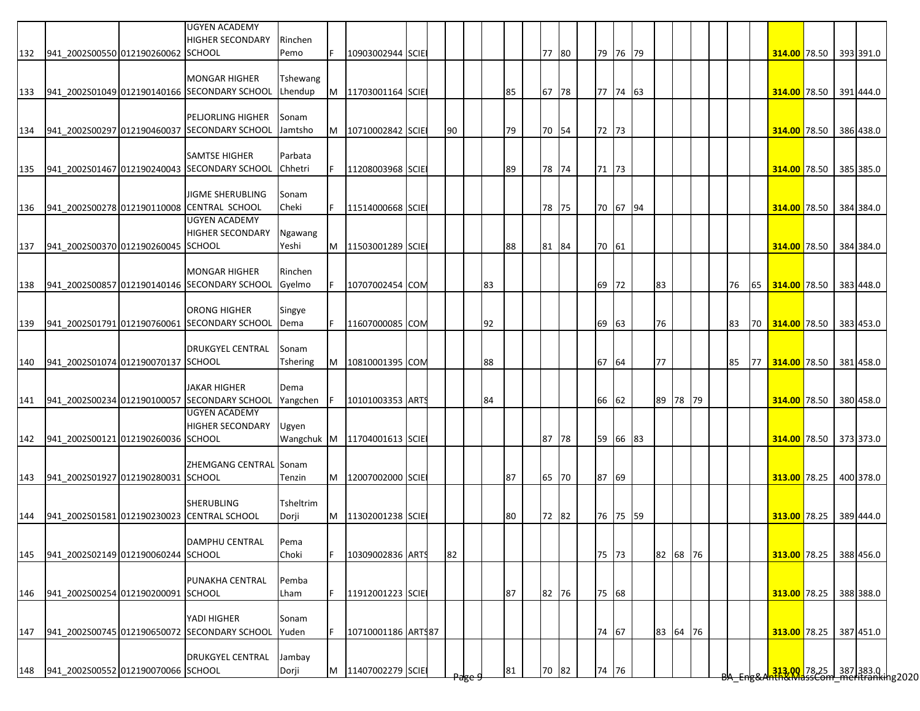|     |                                    | <b>UGYEN ACADEMY</b><br><b>HIGHER SECONDARY</b> | Rinchen   |    |                             |  |    |    |    |    |       |       |          |          |  |    |                                                                         |  |           |
|-----|------------------------------------|-------------------------------------------------|-----------|----|-----------------------------|--|----|----|----|----|-------|-------|----------|----------|--|----|-------------------------------------------------------------------------|--|-----------|
| 132 | 941 2002S00550 012190260062 SCHOOL |                                                 | Pemo      |    | 10903002944 SCIE            |  |    |    |    |    | 77 80 |       | 79 76 79 |          |  |    | 314.00 78.50 393 391.0                                                  |  |           |
|     |                                    | <b>MONGAR HIGHER</b>                            | Tshewang  |    |                             |  |    |    |    |    |       |       |          |          |  |    |                                                                         |  |           |
| 133 |                                    | 941 2002S01049 012190140166 SECONDARY SCHOOL    | Lhendup   | M  | 11703001164 SCIE            |  |    |    |    | 85 | 67 78 |       | 77 74 63 |          |  |    | 314.00 78.50 391 444.0                                                  |  |           |
|     |                                    |                                                 |           |    |                             |  |    |    |    |    |       |       |          |          |  |    |                                                                         |  |           |
|     |                                    | <b>PELJORLING HIGHER</b>                        | Sonam     |    |                             |  |    |    |    |    |       |       |          |          |  |    |                                                                         |  |           |
| 134 |                                    | 941 2002S00297 012190460037 SECONDARY SCHOOL    | Jamtsho   | M  | 10710002842 SCIE            |  | 90 |    |    | 79 | 70 54 | 72 73 |          |          |  |    | 314.00 78.50 386 438.0                                                  |  |           |
|     |                                    | <b>SAMTSE HIGHER</b>                            | Parbata   |    |                             |  |    |    |    |    |       |       |          |          |  |    |                                                                         |  |           |
| 135 |                                    | 941_2002S01467 012190240043 SECONDARY SCHOOL    | Chhetri   |    | 11208003968 SCIE            |  |    |    |    | 89 | 78 74 | 71 73 |          |          |  |    | 314.00 78.50 385 385.0                                                  |  |           |
|     |                                    |                                                 |           |    |                             |  |    |    |    |    |       |       |          |          |  |    |                                                                         |  |           |
|     |                                    | <b>JIGME SHERUBLING</b>                         | Sonam     |    |                             |  |    |    |    |    |       |       |          |          |  |    |                                                                         |  |           |
| 136 |                                    | 941_2002S00278 012190110008 CENTRAL SCHOOL      | Cheki     | F. | 11514000668 SCIE            |  |    |    |    |    | 78 75 |       | 70 67 94 |          |  |    | 314.00 78.50 384 384.0                                                  |  |           |
|     |                                    | <b>UGYEN ACADEMY</b>                            |           |    |                             |  |    |    |    |    |       |       |          |          |  |    |                                                                         |  |           |
|     | 941 2002S00370 012190260045 SCHOOL | <b>HIGHER SECONDARY</b>                         | Ngawang   |    |                             |  |    |    |    |    |       |       |          |          |  |    |                                                                         |  |           |
| 137 |                                    |                                                 | Yeshi     | M  | 11503001289 SCIE            |  |    |    |    | 88 | 81 84 | 70 61 |          |          |  |    | 314.00 78.50 384 384.0                                                  |  |           |
|     |                                    | <b>MONGAR HIGHER</b>                            | Rinchen   |    |                             |  |    |    |    |    |       |       |          |          |  |    |                                                                         |  |           |
| 138 |                                    | 941 2002S00857 012190140146 SECONDARY SCHOOL    | Gyelmo    |    | 10707002454 COM             |  |    | 83 |    |    |       | 69    | 72       | 83       |  | 76 | 65 314.00 78.50 383 448.0                                               |  |           |
|     |                                    |                                                 |           |    |                             |  |    |    |    |    |       |       |          |          |  |    |                                                                         |  |           |
|     |                                    | <b>ORONG HIGHER</b>                             | Singye    |    |                             |  |    |    |    |    |       |       |          |          |  |    |                                                                         |  |           |
| 139 |                                    | 941_2002S01791 012190760061 SECONDARY SCHOOL    | Dema      | F. | 11607000085 COM             |  |    |    | 92 |    |       | 69 63 |          | 76       |  | 83 | 70 314.00 78.50 383 453.0                                               |  |           |
|     |                                    |                                                 |           |    |                             |  |    |    |    |    |       |       |          |          |  |    |                                                                         |  |           |
|     | 941 2002S01074 012190070137 SCHOOL | <b>DRUKGYEL CENTRAL</b>                         | Sonam     |    |                             |  |    |    |    |    |       |       |          | 77       |  |    |                                                                         |  |           |
| 140 |                                    |                                                 | Tshering  | M  | 10810001395 COM             |  |    |    | 88 |    |       | 67    | 64       |          |  | 85 | 77 314.00 78.50 381 458.0                                               |  |           |
|     |                                    | <b>JAKAR HIGHER</b>                             | Dema      |    |                             |  |    |    |    |    |       |       |          |          |  |    |                                                                         |  |           |
| 141 |                                    | 941 2002S00234 012190100057 SECONDARY SCHOOL    | Yangchen  | F  | 10101003353 ARTS            |  |    |    | 84 |    |       | 66    | 62       | 89 78 79 |  |    | 314.00 78.50 380 458.0                                                  |  |           |
|     |                                    | <b>UGYEN ACADEMY</b>                            |           |    |                             |  |    |    |    |    |       |       |          |          |  |    |                                                                         |  |           |
|     |                                    | <b>HIGHER SECONDARY</b>                         | Ugyen     |    |                             |  |    |    |    |    |       |       |          |          |  |    |                                                                         |  |           |
| 142 | 941 2002S00121 012190260036 SCHOOL |                                                 |           |    | Wangchuk M 11704001613 SCIE |  |    |    |    |    | 87 78 | 59    | 66 83    |          |  |    | 314.00 78.50 373 373.0                                                  |  |           |
|     |                                    |                                                 |           |    |                             |  |    |    |    |    |       |       |          |          |  |    |                                                                         |  |           |
|     |                                    | <b>ZHEMGANG CENTRAL Sonam</b>                   |           |    |                             |  |    |    |    |    |       |       |          |          |  |    |                                                                         |  |           |
| 143 | 941 2002S01927 012190280031 SCHOOL |                                                 | Tenzin    |    | M 12007002000 SCIE          |  |    |    |    | 87 | 65 70 | 87    | 69       |          |  |    | 313.00 78.25 400 378.0                                                  |  |           |
|     |                                    | <b>SHERUBLING</b>                               | Tsheltrim |    |                             |  |    |    |    |    |       |       |          |          |  |    |                                                                         |  |           |
| 144 |                                    | 941 2002S01581 012190230023 CENTRAL SCHOOL      | Dorji     |    | M 11302001238 SCIE          |  |    |    |    | 80 | 72 82 |       | 76 75 59 |          |  |    | 313.00 78.25 389 444.0                                                  |  |           |
|     |                                    |                                                 |           |    |                             |  |    |    |    |    |       |       |          |          |  |    |                                                                         |  |           |
|     |                                    | DAMPHU CENTRAL                                  | Pema      |    |                             |  |    |    |    |    |       |       |          |          |  |    |                                                                         |  |           |
| 145 | 941 2002S02149 012190060244 SCHOOL |                                                 | Choki     | F  | 10309002836 ARTS            |  | 82 |    |    |    |       | 75 73 |          | 82 68 76 |  |    | 313.00 78.25 388 456.0                                                  |  |           |
|     |                                    |                                                 |           |    |                             |  |    |    |    |    |       |       |          |          |  |    |                                                                         |  |           |
|     |                                    | PUNAKHA CENTRAL                                 | Pemba     |    |                             |  |    |    |    |    |       |       |          |          |  |    |                                                                         |  |           |
| 146 | 941_2002S00254 012190200091 SCHOOL |                                                 | Lham      |    | 11912001223 SCIE            |  |    |    |    | 87 | 82 76 | 75 68 |          |          |  |    | 313.00 78.25                                                            |  | 388 388.0 |
|     |                                    | YADI HIGHER                                     | Sonam     |    |                             |  |    |    |    |    |       |       |          |          |  |    |                                                                         |  |           |
| 147 |                                    | 941 2002S00745 012190650072 SECONDARY SCHOOL    | Yuden     | F. | 10710001186 ARTS87          |  |    |    |    |    |       | 74    | 67       | 83 64 76 |  |    | 313.00 78.25                                                            |  | 387 451.0 |
|     |                                    |                                                 |           |    |                             |  |    |    |    |    |       |       |          |          |  |    |                                                                         |  |           |
|     |                                    | <b>DRUKGYEL CENTRAL</b>                         | Jambay    |    |                             |  |    |    |    |    |       |       |          |          |  |    |                                                                         |  |           |
| 148 | 941 2002S00552 012190070066 SCHOOL |                                                 | Dorji     | M  | 11407002279 SCIE            |  |    |    |    | 81 | 70 82 | 74    | 76       |          |  |    | <mark>.313.00.</mark> 78.25 387 383.0  <br>hth&MassCom meritranking2020 |  |           |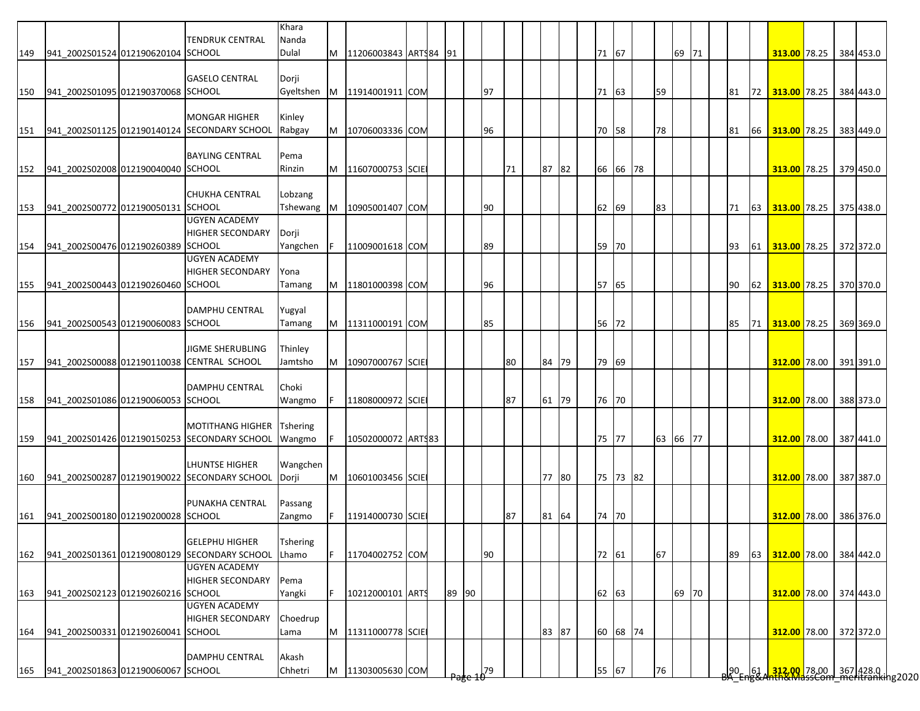|     |                                        | TENDRUK CENTRAL                                  | Khara<br>Nanda  |   |                       |  |       |    |    |       |    |          |          |       |  |           |    |                                                                                         |  |           |
|-----|----------------------------------------|--------------------------------------------------|-----------------|---|-----------------------|--|-------|----|----|-------|----|----------|----------|-------|--|-----------|----|-----------------------------------------------------------------------------------------|--|-----------|
| 149 | 941 2002S01524 012190620104 SCHOOL     |                                                  | Dulal           | M | 11206003843 ARTS84 91 |  |       |    |    |       |    | 71 67    |          | 69 71 |  |           |    | 313.00 78.25 384 453.0                                                                  |  |           |
|     |                                        |                                                  |                 |   |                       |  |       |    |    |       |    |          |          |       |  |           |    |                                                                                         |  |           |
|     |                                        | <b>GASELO CENTRAL</b>                            | Dorji           |   |                       |  |       |    |    |       |    |          |          |       |  |           |    |                                                                                         |  |           |
| 150 | 941 2002S01095 012190370068 SCHOOL     |                                                  | Gyeltshen       |   | M 11914001911 COM     |  |       | 97 |    |       |    | 71 63    | 59       |       |  | 81        |    | 72 313.00 78.25 384 443.0                                                               |  |           |
|     |                                        |                                                  |                 |   |                       |  |       |    |    |       |    |          |          |       |  |           |    |                                                                                         |  |           |
|     |                                        | <b>MONGAR HIGHER</b>                             | Kinley          |   |                       |  |       |    |    |       |    |          |          |       |  |           |    |                                                                                         |  |           |
|     |                                        | 151 941_2002S01125 012190140124 SECONDARY SCHOOL | Rabgay          | M | 10706003336 COM       |  |       | 96 |    |       | 70 | 58       | 78       |       |  | 81        | 66 | 313.00 78.25 383 449.0                                                                  |  |           |
|     |                                        |                                                  |                 |   |                       |  |       |    |    |       |    |          |          |       |  |           |    |                                                                                         |  |           |
|     |                                        | <b>BAYLING CENTRAL</b>                           | Pema            |   |                       |  |       |    |    |       |    |          |          |       |  |           |    |                                                                                         |  |           |
| 152 | 941_2002S02008 012190040040 SCHOOL     |                                                  | Rinzin          | M | 11607000753 SCIE      |  |       |    | 71 | 87 82 |    | 66 66 78 |          |       |  |           |    | 313.00 78.25 379 450.0                                                                  |  |           |
|     |                                        |                                                  |                 |   |                       |  |       |    |    |       |    |          |          |       |  |           |    |                                                                                         |  |           |
|     |                                        | <b>CHUKHA CENTRAL</b>                            | Lobzang         |   |                       |  |       |    |    |       |    |          |          |       |  |           |    |                                                                                         |  |           |
| 153 | 941_2002S00772 012190050131 SCHOOL     |                                                  | Tshewang        | M | 10905001407 COM       |  |       | 90 |    |       | 62 | 69       | 83       |       |  | 71        | 63 | 313.00 78.25 375 438.0                                                                  |  |           |
|     |                                        | <b>UGYEN ACADEMY</b>                             |                 |   |                       |  |       |    |    |       |    |          |          |       |  |           |    |                                                                                         |  |           |
|     |                                        | <b>HIGHER SECONDARY</b>                          | Dorji           |   |                       |  |       |    |    |       |    |          |          |       |  |           |    |                                                                                         |  |           |
| 154 | 941 2002S00476 012190260389 SCHOOL     |                                                  | Yangchen        |   | 11009001618 COM       |  |       | 89 |    |       | 59 | 70       |          |       |  | 93        |    | 61 313.00 78.25 372 372.0                                                               |  |           |
|     |                                        | <b>UGYEN ACADEMY</b>                             |                 |   |                       |  |       |    |    |       |    |          |          |       |  |           |    |                                                                                         |  |           |
|     |                                        | <b>HIGHER SECONDARY</b>                          | Yona            |   |                       |  |       |    |    |       |    |          |          |       |  |           |    |                                                                                         |  |           |
| 155 | 941 2002S00443 012190260460 SCHOOL     |                                                  | Tamang          | M | 11801000398 COM       |  |       | 96 |    |       |    | 57 65    |          |       |  | 90        |    | 62 313.00 78.25 370 370.0                                                               |  |           |
|     |                                        |                                                  |                 |   |                       |  |       |    |    |       |    |          |          |       |  |           |    |                                                                                         |  |           |
|     |                                        | <b>DAMPHU CENTRAL</b>                            | Yugyal          |   |                       |  |       |    |    |       |    |          |          |       |  |           |    |                                                                                         |  |           |
|     | 156 941 2002S00543 012190060083 SCHOOL |                                                  | Tamang          | M | 11311000191 COM       |  |       | 85 |    |       |    | 56 72    |          |       |  | 85        |    | 71 313.00 78.25 369 369.0                                                               |  |           |
|     |                                        |                                                  |                 |   |                       |  |       |    |    |       |    |          |          |       |  |           |    |                                                                                         |  |           |
|     |                                        | <b>JIGME SHERUBLING</b>                          | Thinley         |   |                       |  |       |    |    |       |    |          |          |       |  |           |    |                                                                                         |  |           |
| 157 |                                        | 941_2002S00088 012190110038 CENTRAL SCHOOL       | Jamtsho         | M | 10907000767 SCIE      |  |       |    | 80 | 84 79 |    | 79 69    |          |       |  |           |    | 312.00 78.00 391 391.0                                                                  |  |           |
|     |                                        |                                                  |                 |   |                       |  |       |    |    |       |    |          |          |       |  |           |    |                                                                                         |  |           |
|     |                                        | <b>DAMPHU CENTRAL</b>                            | Choki           |   |                       |  |       |    |    |       |    |          |          |       |  |           |    |                                                                                         |  |           |
| 158 | 941_2002S01086 012190060053 SCHOOL     |                                                  | Wangmo          |   | 11808000972 SCIE      |  |       |    | 87 | 61 79 |    | 76 70    |          |       |  |           |    | 312.00 78.00 388 373.0                                                                  |  |           |
|     |                                        |                                                  |                 |   |                       |  |       |    |    |       |    |          |          |       |  |           |    |                                                                                         |  |           |
|     |                                        | <b>MOTITHANG HIGHER</b>                          | <b>Tshering</b> |   |                       |  |       |    |    |       |    |          |          |       |  |           |    |                                                                                         |  |           |
| 159 |                                        | 941_2002S01426 012190150253 SECONDARY SCHOOL     | Wangmo          | F | 10502000072 ARTS83    |  |       |    |    |       |    | 75 77    | 63 66 77 |       |  |           |    | 312.00 78.00 387 441.0                                                                  |  |           |
|     |                                        |                                                  |                 |   |                       |  |       |    |    |       |    |          |          |       |  |           |    |                                                                                         |  |           |
|     |                                        | LHUNTSE HIGHER                                   | Wangchen        |   |                       |  |       |    |    |       |    |          |          |       |  |           |    |                                                                                         |  |           |
| 160 |                                        | 941_2002S00287 012190190022 SECONDARY SCHOOL     | Dorji           | M | 10601003456 SCIE      |  |       |    |    | 77 80 |    | 75 73 82 |          |       |  |           |    | 312.00 78.00                                                                            |  | 387 387.0 |
|     |                                        |                                                  |                 |   |                       |  |       |    |    |       |    |          |          |       |  |           |    |                                                                                         |  |           |
|     |                                        | <b>PUNAKHA CENTRAL</b>                           | Passang         |   |                       |  |       |    |    |       |    |          |          |       |  |           |    |                                                                                         |  |           |
|     | 161 941 2002S00180 012190200028 SCHOOL |                                                  | Zangmo          |   | 11914000730 SCIE      |  |       |    | 87 | 81 64 |    | 74 70    |          |       |  |           |    | 312.00 78.00 386 376.0                                                                  |  |           |
|     |                                        |                                                  |                 |   |                       |  |       |    |    |       |    |          |          |       |  |           |    |                                                                                         |  |           |
|     |                                        | <b>GELEPHU HIGHER</b>                            | <b>Tshering</b> |   |                       |  |       |    |    |       |    |          |          |       |  |           |    |                                                                                         |  |           |
| 162 |                                        | 941 2002S01361 012190080129 SECONDARY SCHOOL     | Lhamo           |   | 11704002752 COM       |  |       | 90 |    |       |    | 72 61    | 67       |       |  | 89        | 63 | 312.00 78.00 384 442.0                                                                  |  |           |
|     |                                        | <b>UGYEN ACADEMY</b>                             |                 |   |                       |  |       |    |    |       |    |          |          |       |  |           |    |                                                                                         |  |           |
|     |                                        | <b>HIGHER SECONDARY</b>                          | Pema            |   |                       |  |       |    |    |       |    |          |          |       |  |           |    |                                                                                         |  |           |
| 163 | 941 2002S02123 012190260216 SCHOOL     |                                                  | Yangki          |   | 10212000101 ARTS      |  | 89 90 |    |    |       |    | 62 63    |          | 69 70 |  |           |    | 312.00 78.00 374 443.0                                                                  |  |           |
|     |                                        | <b>UGYEN ACADEMY</b>                             |                 |   |                       |  |       |    |    |       |    |          |          |       |  |           |    |                                                                                         |  |           |
|     |                                        | <b>HIGHER SECONDARY</b>                          | Choedrup        |   |                       |  |       |    |    |       |    |          |          |       |  |           |    |                                                                                         |  |           |
| 164 | 941_2002S00331 012190260041 SCHOOL     |                                                  | Lama            | M | 11311000778 SCIE      |  |       |    |    | 83 87 |    | 60 68 74 |          |       |  |           |    | 312.00 78.00 372 372.0                                                                  |  |           |
|     |                                        |                                                  |                 |   |                       |  |       |    |    |       |    |          |          |       |  |           |    |                                                                                         |  |           |
|     |                                        | <b>DAMPHU CENTRAL</b>                            | Akash           |   |                       |  |       |    |    |       |    |          |          |       |  |           |    |                                                                                         |  |           |
| 165 | 941_2002S01863 012190060067 SCHOOL     |                                                  | Chhetri         | M | 11303005630 COM       |  |       | 79 |    |       |    | 55 67    | 76       |       |  | $90 - 61$ |    | <mark>.312.00.</mark> 78.00 367 428.0  <br><del>nth&amp;MassCom meritranki</del> ng2020 |  |           |
|     |                                        |                                                  |                 |   |                       |  |       |    |    |       |    |          |          |       |  |           |    |                                                                                         |  |           |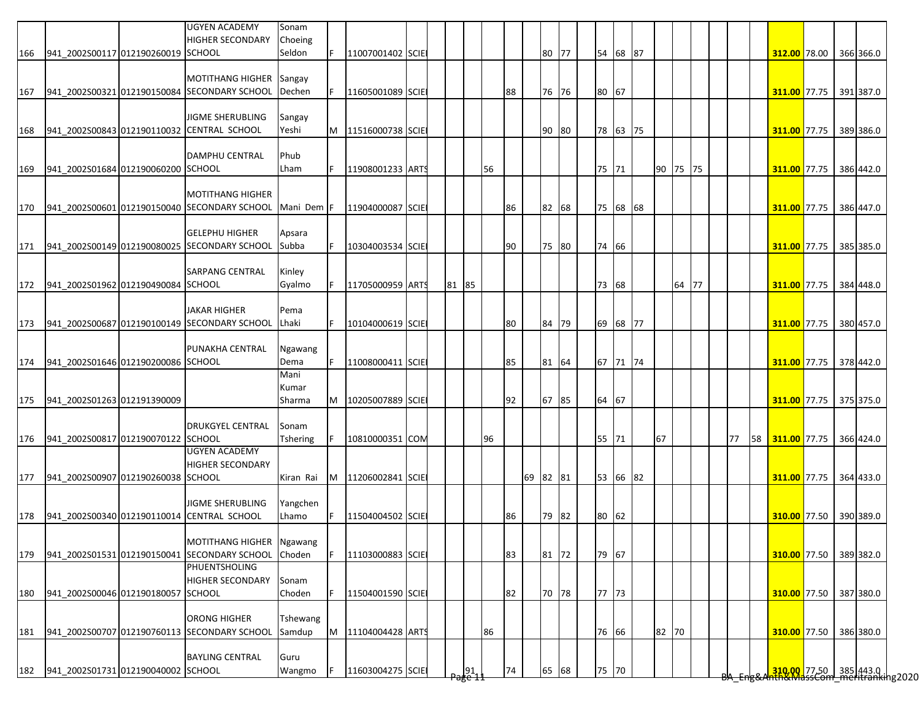|     |                                        | <b>UGYEN ACADEMY</b><br><b>HIGHER SECONDARY</b>  | Sonam<br>Choeing |   |                  |  |       |                  |    |    |          |  |       |          |    |          |       |    |                                                                     |  |           |
|-----|----------------------------------------|--------------------------------------------------|------------------|---|------------------|--|-------|------------------|----|----|----------|--|-------|----------|----|----------|-------|----|---------------------------------------------------------------------|--|-----------|
| 166 | 941_2002S00117 012190260019 SCHOOL     |                                                  | Seldon           |   | 11007001402 SCIE |  |       |                  |    |    | 80 77    |  |       | 54 68 87 |    |          |       |    | 312.00 78.00                                                        |  | 366 366.0 |
|     |                                        |                                                  |                  |   |                  |  |       |                  |    |    |          |  |       |          |    |          |       |    |                                                                     |  |           |
|     |                                        | <b>MOTITHANG HIGHER</b>                          | Sangay           |   |                  |  |       |                  |    |    |          |  |       |          |    |          |       |    |                                                                     |  |           |
| 167 |                                        | 941 2002S00321 012190150084 SECONDARY SCHOOL     | Dechen           |   | 11605001089 SCIE |  |       |                  |    | 88 | 76 76    |  | 80 67 |          |    |          |       |    | 311.00 77.75 391 387.0                                              |  |           |
|     |                                        |                                                  |                  |   |                  |  |       |                  |    |    |          |  |       |          |    |          |       |    |                                                                     |  |           |
|     |                                        | <b>JIGME SHERUBLING</b>                          | Sangay           |   |                  |  |       |                  |    |    |          |  |       |          |    |          |       |    |                                                                     |  |           |
| 168 |                                        | 941 2002S00843 012190110032 CENTRAL SCHOOL       | Yeshi            | M | 11516000738 SCIE |  |       |                  |    |    | 90 80    |  |       | 78 63 75 |    |          |       |    | 311.00 77.75                                                        |  | 389 386.0 |
|     |                                        |                                                  |                  |   |                  |  |       |                  |    |    |          |  |       |          |    |          |       |    |                                                                     |  |           |
|     |                                        | <b>DAMPHU CENTRAL</b>                            | Phub             |   |                  |  |       |                  |    |    |          |  |       |          |    |          |       |    |                                                                     |  |           |
| 169 | 941_2002S01684 012190060200 SCHOOL     |                                                  | Lham             |   | 11908001233 ARTS |  |       |                  | 56 |    |          |  | 75 71 |          |    | 90 75 75 |       |    | 311.00 77.75                                                        |  | 386 442.0 |
|     |                                        |                                                  |                  |   |                  |  |       |                  |    |    |          |  |       |          |    |          |       |    |                                                                     |  |           |
|     |                                        | <b>MOTITHANG HIGHER</b>                          |                  |   |                  |  |       |                  |    |    |          |  |       |          |    |          |       |    |                                                                     |  |           |
| 170 |                                        | 941_2002S00601 012190150040 SECONDARY SCHOOL     | Mani Dem         |   | 11904000087 SCIE |  |       |                  |    | 86 | 82 68    |  |       | 75 68 68 |    |          |       |    | 311.00 77.75                                                        |  | 386 447.0 |
|     |                                        |                                                  |                  |   |                  |  |       |                  |    |    |          |  |       |          |    |          |       |    |                                                                     |  |           |
|     |                                        | <b>GELEPHU HIGHER</b>                            | Apsara           |   |                  |  |       |                  |    |    |          |  |       |          |    |          |       |    |                                                                     |  |           |
|     |                                        | 171 941_2002S00149 012190080025 SECONDARY SCHOOL | Subba            |   | 10304003534 SCIE |  |       |                  |    | 90 | 75 80    |  | 74 66 |          |    |          |       |    | 311.00 77.75                                                        |  | 385 385.0 |
|     |                                        | <b>SARPANG CENTRAL</b>                           | Kinley           |   |                  |  |       |                  |    |    |          |  |       |          |    |          |       |    |                                                                     |  |           |
|     | 172 941_2002S01962 012190490084 SCHOOL |                                                  | Gyalmo           |   | 11705000959 ARTS |  | 81 85 |                  |    |    |          |  | 73 68 |          |    |          | 64 77 |    | 311.00 77.75 384 448.0                                              |  |           |
|     |                                        |                                                  |                  |   |                  |  |       |                  |    |    |          |  |       |          |    |          |       |    |                                                                     |  |           |
|     |                                        | <b>JAKAR HIGHER</b>                              | Pema             |   |                  |  |       |                  |    |    |          |  |       |          |    |          |       |    |                                                                     |  |           |
|     |                                        | 173 941_2002S00687 012190100149 SECONDARY SCHOOL | Lhaki            |   | 10104000619 SCIE |  |       |                  |    | 80 | 84 79    |  |       | 69 68 77 |    |          |       |    | 311.00 77.75 380 457.0                                              |  |           |
|     |                                        |                                                  |                  |   |                  |  |       |                  |    |    |          |  |       |          |    |          |       |    |                                                                     |  |           |
|     |                                        | PUNAKHA CENTRAL                                  | Ngawang          |   |                  |  |       |                  |    |    |          |  |       |          |    |          |       |    |                                                                     |  |           |
| 174 | 941 2002S01646 012190200086 SCHOOL     |                                                  | Dema             |   | 11008000411 SCIE |  |       |                  |    | 85 | 81 64    |  |       | 67 71 74 |    |          |       |    | 311.00 77.75 378 442.0                                              |  |           |
|     |                                        |                                                  | Mani             |   |                  |  |       |                  |    |    |          |  |       |          |    |          |       |    |                                                                     |  |           |
|     |                                        |                                                  | Kumar            |   |                  |  |       |                  |    |    |          |  |       |          |    |          |       |    |                                                                     |  |           |
| 175 | 941_2002S01263 012191390009            |                                                  | Sharma           | M | 10205007889 SCIE |  |       |                  |    | 92 | 67 85    |  | 64 67 |          |    |          |       |    | 311.00 77.75 375 375.0                                              |  |           |
|     |                                        |                                                  |                  |   |                  |  |       |                  |    |    |          |  |       |          |    |          |       |    |                                                                     |  |           |
|     |                                        | <b>DRUKGYEL CENTRAL</b>                          | Sonam            |   |                  |  |       |                  |    |    |          |  |       |          |    |          |       |    |                                                                     |  |           |
| 176 | 941_2002S00817 012190070122 SCHOOL     |                                                  | Tshering         |   | 10810000351 COM  |  |       |                  | 96 |    |          |  | 55 71 |          | 67 |          |       | 77 | 58 311.00 77.75 366 424.0                                           |  |           |
|     |                                        | <b>UGYEN ACADEMY</b>                             |                  |   |                  |  |       |                  |    |    |          |  |       |          |    |          |       |    |                                                                     |  |           |
|     |                                        | <b>HIGHER SECONDARY</b>                          |                  |   |                  |  |       |                  |    |    |          |  |       |          |    |          |       |    |                                                                     |  |           |
| 177 | 941_2002S00907 012190260038 SCHOOL     |                                                  | Kiran Rai        | M | 11206002841 SCIE |  |       |                  |    |    | 69 82 81 |  |       | 53 66 82 |    |          |       |    | 311.00 77.75                                                        |  | 364 433.0 |
|     |                                        |                                                  |                  |   |                  |  |       |                  |    |    |          |  |       |          |    |          |       |    |                                                                     |  |           |
|     |                                        | <b>JIGME SHERUBLING</b>                          | Yangchen         |   |                  |  |       |                  |    |    |          |  |       |          |    |          |       |    |                                                                     |  |           |
| 178 |                                        | 941_2002S00340 012190110014 CENTRAL SCHOOL       | Lhamo            |   | 11504004502 SCIE |  |       |                  |    | 86 | 79 82    |  | 80 62 |          |    |          |       |    | 310.00 77.50 390 389.0                                              |  |           |
|     |                                        |                                                  |                  |   |                  |  |       |                  |    |    |          |  |       |          |    |          |       |    |                                                                     |  |           |
|     |                                        | MOTITHANG HIGHER                                 | Ngawang          |   |                  |  |       |                  |    |    |          |  |       |          |    |          |       |    |                                                                     |  |           |
| 179 |                                        | 941_2002S01531 012190150041 SECONDARY SCHOOL     | Choden           |   | 11103000883 SCIE |  |       |                  |    | 83 | 81 72    |  | 79 67 |          |    |          |       |    | 310.00 77.50 389 382.0                                              |  |           |
|     |                                        | <b>PHUENTSHOLING</b>                             |                  |   |                  |  |       |                  |    |    |          |  |       |          |    |          |       |    |                                                                     |  |           |
|     |                                        | <b>HIGHER SECONDARY</b>                          | Sonam            |   |                  |  |       |                  |    |    |          |  |       |          |    |          |       |    |                                                                     |  |           |
| 180 | 941 2002S00046 012190180057 SCHOOL     |                                                  | Choden           |   | 11504001590 SCIE |  |       |                  |    | 82 | 70 78    |  | 77 73 |          |    |          |       |    | 310.00 77.50 387 380.0                                              |  |           |
|     |                                        | <b>ORONG HIGHER</b>                              |                  |   |                  |  |       |                  |    |    |          |  |       |          |    |          |       |    |                                                                     |  |           |
|     |                                        |                                                  | Tshewang         |   |                  |  |       |                  |    |    |          |  |       |          |    |          |       |    |                                                                     |  |           |
| 181 |                                        | 941_2002S00707 012190760113 SECONDARY SCHOOL     | Samdup           | M | 11104004428 ARTS |  |       |                  | 86 |    |          |  | 76 66 |          |    | 82 70    |       |    | 310.00 77.50 386 380.0                                              |  |           |
|     |                                        | <b>BAYLING CENTRAL</b>                           | Guru             |   |                  |  |       |                  |    |    |          |  |       |          |    |          |       |    |                                                                     |  |           |
|     | 182 941_2002S01731 012190040002 SCHOOL |                                                  | Wangmo           |   | 11603004275 SCIE |  |       | $\frac{191}{65}$ |    | 74 | 65 68    |  | 75 70 |          |    |          |       |    |                                                                     |  |           |
|     |                                        |                                                  |                  |   |                  |  |       |                  |    |    |          |  |       |          |    |          |       |    | <mark>310.00 77.50 385</mark> 443.0<br>hth&MassCom meritranking2020 |  |           |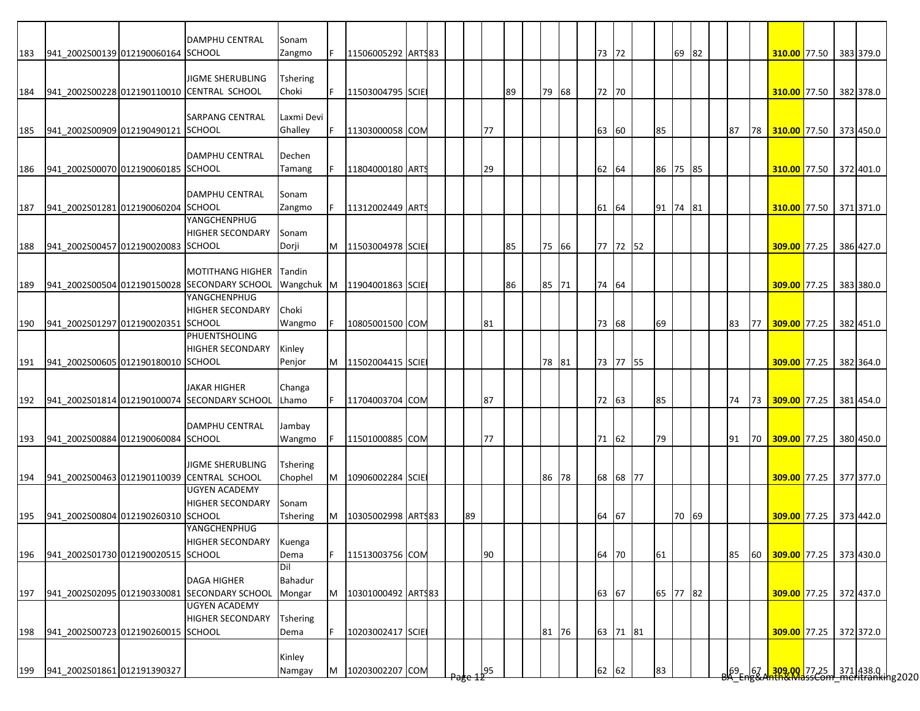|     |                                    | DAMPHU CENTRAL                                               | Sonam           |    |                    |  |    |     |    |       |  |          |          |    |    |                |     |                                                                                                                |  |           |
|-----|------------------------------------|--------------------------------------------------------------|-----------------|----|--------------------|--|----|-----|----|-------|--|----------|----------|----|----|----------------|-----|----------------------------------------------------------------------------------------------------------------|--|-----------|
| 183 | 941 2002S00139 012190060164 SCHOOL |                                                              | Zangmo          |    | 11506005292 ARTS83 |  |    |     |    |       |  | 73 72    |          | 69 | 82 |                |     | 310.00 77.50 383 379.0                                                                                         |  |           |
|     |                                    | JIGME SHERUBLING                                             | Tshering        |    |                    |  |    |     |    |       |  |          |          |    |    |                |     |                                                                                                                |  |           |
| 184 |                                    | 941_2002S00228 012190110010 CENTRAL SCHOOL                   | Choki           | F. | 11503004795 SCIE   |  |    |     | 89 | 79 68 |  | 72 70    |          |    |    |                |     | 310.00 77.50 382 378.0                                                                                         |  |           |
|     |                                    |                                                              |                 |    |                    |  |    |     |    |       |  |          |          |    |    |                |     |                                                                                                                |  |           |
|     |                                    | SARPANG CENTRAL                                              | Laxmi Devi      |    |                    |  |    |     |    |       |  |          |          |    |    |                |     |                                                                                                                |  |           |
| 185 | 941 2002S00909 012190490121 SCHOOL |                                                              | Ghalley         | F. | 11303000058 COM    |  |    | 77  |    |       |  | 63 60    | 85       |    |    | 87             | 78  | 310.00 77.50 373 450.0                                                                                         |  |           |
|     |                                    |                                                              |                 |    |                    |  |    |     |    |       |  |          |          |    |    |                |     |                                                                                                                |  |           |
|     |                                    | <b>DAMPHU CENTRAL</b>                                        | Dechen          |    |                    |  |    |     |    |       |  |          |          |    |    |                |     |                                                                                                                |  |           |
| 186 | 941 2002S00070 012190060185 SCHOOL |                                                              | Tamang          |    | 11804000180 ARTS   |  |    | 29  |    |       |  | 62 64    | 86 75 85 |    |    |                |     | 310.00 77.50 372 401.0                                                                                         |  |           |
|     |                                    |                                                              |                 |    |                    |  |    |     |    |       |  |          |          |    |    |                |     |                                                                                                                |  |           |
|     |                                    | DAMPHU CENTRAL                                               | Sonam           |    |                    |  |    |     |    |       |  |          |          |    |    |                |     |                                                                                                                |  |           |
| 187 | 941 2002S01281 012190060204 SCHOOL |                                                              | Zangmo          |    | 11312002449 ARTS   |  |    |     |    |       |  | 61 64    | 91 74    |    | 81 |                |     | 310.00 77.50 371 371.0                                                                                         |  |           |
|     |                                    | YANGCHENPHUG                                                 |                 |    |                    |  |    |     |    |       |  |          |          |    |    |                |     |                                                                                                                |  |           |
|     |                                    | <b>HIGHER SECONDARY</b>                                      | Sonam           |    |                    |  |    |     |    |       |  |          |          |    |    |                |     |                                                                                                                |  |           |
| 188 | 941 2002S00457 012190020083 SCHOOL |                                                              | Dorji           |    | M 11503004978 SCIE |  |    |     | 85 | 75 66 |  | 77 72 52 |          |    |    |                |     | 309.00 77.25                                                                                                   |  | 386 427.0 |
|     |                                    |                                                              |                 |    |                    |  |    |     |    |       |  |          |          |    |    |                |     |                                                                                                                |  |           |
|     |                                    | <b>MOTITHANG HIGHER</b>                                      | Tandin          |    |                    |  |    |     |    |       |  |          |          |    |    |                |     |                                                                                                                |  |           |
| 189 |                                    | 941_2002S00504 012190150028 SECONDARY SCHOOL<br>YANGCHENPHUG | Wangchuk M      |    | 11904001863 SCIE   |  |    |     | 86 | 85 71 |  | 74 64    |          |    |    |                |     | 309.00 77.25                                                                                                   |  | 383 380.0 |
|     |                                    | <b>HIGHER SECONDARY</b>                                      | Choki           |    |                    |  |    |     |    |       |  |          |          |    |    |                |     |                                                                                                                |  |           |
| 190 | 941 2002S01297 012190020351        | <b>SCHOOL</b>                                                | Wangmo          |    | 10805001500 COM    |  |    | 81  |    |       |  | 73 68    | 69       |    |    | 83             | 177 | 309.00 77.25                                                                                                   |  | 382 451.0 |
|     |                                    | PHUENTSHOLING                                                |                 |    |                    |  |    |     |    |       |  |          |          |    |    |                |     |                                                                                                                |  |           |
|     |                                    | HIGHER SECONDARY                                             | Kinley          |    |                    |  |    |     |    |       |  |          |          |    |    |                |     |                                                                                                                |  |           |
| 191 | 941_2002S00605 012190180010 SCHOOL |                                                              | Penjor          | M  | 11502004415 SCIE   |  |    |     |    | 78 81 |  | 73 77 55 |          |    |    |                |     | <b>309.00</b> 77.25                                                                                            |  | 382 364.0 |
|     |                                    |                                                              |                 |    |                    |  |    |     |    |       |  |          |          |    |    |                |     |                                                                                                                |  |           |
|     |                                    | <b>JAKAR HIGHER</b>                                          | Changa          |    |                    |  |    |     |    |       |  |          |          |    |    |                |     |                                                                                                                |  |           |
| 192 |                                    | 941_2002S01814 012190100074 SECONDARY SCHOOL                 | Lhamo           |    | 11704003704 COM    |  |    | 87  |    |       |  | 72 63    | 85       |    |    | 74             |     | 73 309.00 77.25                                                                                                |  | 381 454.0 |
|     |                                    |                                                              |                 |    |                    |  |    |     |    |       |  |          |          |    |    |                |     |                                                                                                                |  |           |
|     |                                    | DAMPHU CENTRAL                                               | Jambay          |    |                    |  |    |     |    |       |  |          |          |    |    |                |     |                                                                                                                |  |           |
| 193 | 941 2002S00884 012190060084 SCHOOL |                                                              | Wangmo          |    | 11501000885 COM    |  |    | 77  |    |       |  | 71 62    | 79       |    |    | 91             |     | 70 309.00 77.25 380 450.0                                                                                      |  |           |
|     |                                    |                                                              |                 |    |                    |  |    |     |    |       |  |          |          |    |    |                |     |                                                                                                                |  |           |
|     |                                    | JIGME SHERUBLING                                             | Tshering        |    |                    |  |    |     |    |       |  |          |          |    |    |                |     |                                                                                                                |  |           |
| 194 |                                    | 941_2002S00463 012190110039 CENTRAL SCHOOL<br>UGYEN ACADEMY  | Chophel         | M  | 10906002284 SCIE   |  |    |     |    | 86 78 |  | 68 68 77 |          |    |    |                |     | 309.00 77.25 377 377.0                                                                                         |  |           |
|     |                                    | <b>HIGHER SECONDARY</b>                                      | Sonam           |    |                    |  |    |     |    |       |  |          |          |    |    |                |     |                                                                                                                |  |           |
| 195 | 941 2002S00804 012190260310 SCHOOL |                                                              | Tshering        | M  | 10305002998 ARTS83 |  | 89 |     |    |       |  | 64 67    |          | 70 | 69 |                |     | 309.00 77.25 373 442.0                                                                                         |  |           |
|     |                                    | YANGCHENPHUG                                                 |                 |    |                    |  |    |     |    |       |  |          |          |    |    |                |     |                                                                                                                |  |           |
|     |                                    | HIGHER SECONDARY                                             | Kuenga          |    |                    |  |    |     |    |       |  |          |          |    |    |                |     |                                                                                                                |  |           |
| 196 | 941 2002S01730 012190020515 SCHOOL |                                                              | Dema            | F. | 11513003756 COM    |  |    | 90  |    |       |  | 64 70    | 61       |    |    | 85             | 60  | 309.00 77.25 373 430.0                                                                                         |  |           |
|     |                                    |                                                              | Dil             |    |                    |  |    |     |    |       |  |          |          |    |    |                |     |                                                                                                                |  |           |
|     |                                    | <b>DAGA HIGHER</b>                                           | Bahadur         |    |                    |  |    |     |    |       |  |          |          |    |    |                |     |                                                                                                                |  |           |
| 197 |                                    | 941 2002S02095 012190330081 SECONDARY SCHOOL                 | Mongar          | M  | 10301000492 ARTS83 |  |    |     |    |       |  | 63 67    | 65 77 82 |    |    |                |     | 309.00 77.25 372 437.0                                                                                         |  |           |
|     |                                    | UGYEN ACADEMY                                                |                 |    |                    |  |    |     |    |       |  |          |          |    |    |                |     |                                                                                                                |  |           |
|     |                                    | <b>HIGHER SECONDARY</b>                                      | <b>Tshering</b> |    |                    |  |    |     |    |       |  |          |          |    |    |                |     |                                                                                                                |  |           |
| 198 | 941_2002S00723 012190260015 SCHOOL |                                                              | Dema            |    | 10203002417 SCIE   |  |    |     |    | 81 76 |  | 63 71 81 |          |    |    |                |     | 309.00 77.25 372 372.0                                                                                         |  |           |
|     |                                    |                                                              |                 |    |                    |  |    |     |    |       |  |          |          |    |    |                |     |                                                                                                                |  |           |
|     |                                    |                                                              | Kinley          |    |                    |  |    |     |    |       |  |          |          |    |    |                |     |                                                                                                                |  |           |
| 199 | 941 2002S01861 012191390327        |                                                              | Namgay          | M  | 10203002207 COM    |  |    | 195 |    |       |  | 62 62    | 83       |    |    | $\frac{69}{5}$ |     | 67 309.00 77.25 371 438.0 average av 177.25 571 438.0 av 178.0 av 179.1 av 179.1 av 179.1 av 179.1 av 179.1 av |  |           |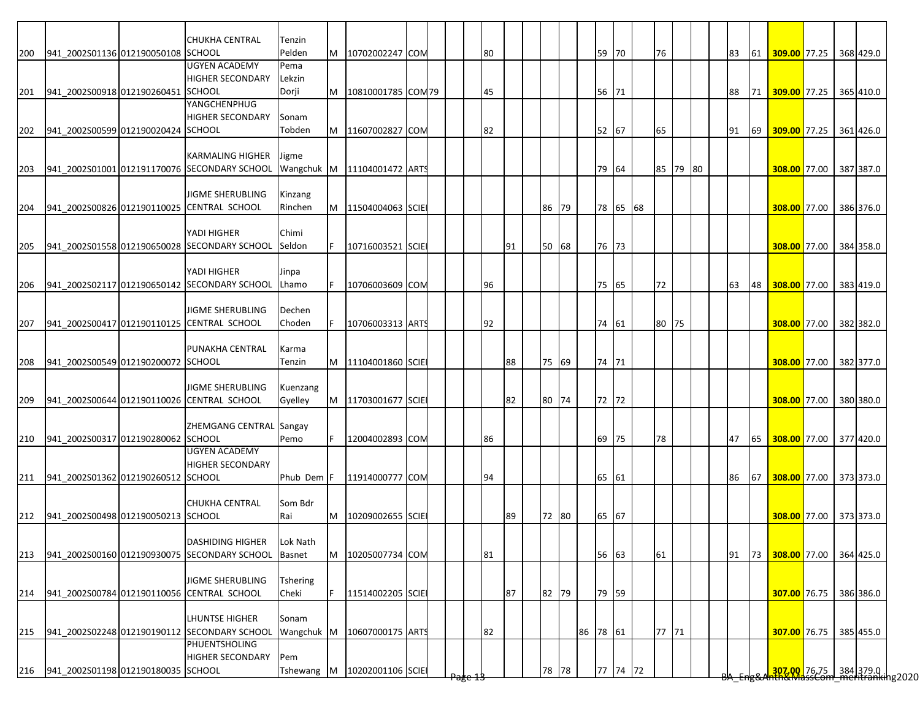|     |                                    | <b>CHUKHA CENTRAL</b>                        | Tenzin          |    |                             |  |                    |    |     |    |       |          |          |          |  |    |    |                                                                                       |  |           |
|-----|------------------------------------|----------------------------------------------|-----------------|----|-----------------------------|--|--------------------|----|-----|----|-------|----------|----------|----------|--|----|----|---------------------------------------------------------------------------------------|--|-----------|
| 200 | 941 2002S01136 012190050108 SCHOOL |                                              | Pelden          | M  | 10702002247 COM             |  |                    | 80 |     |    |       | 59       | 70       | 76       |  | 83 | 61 | 309.00 77.25 368 429.0                                                                |  |           |
|     |                                    | <b>UGYEN ACADEMY</b>                         | Pema            |    |                             |  |                    |    |     |    |       |          |          |          |  |    |    |                                                                                       |  |           |
|     |                                    | <b>HIGHER SECONDARY</b>                      | Lekzin          |    |                             |  |                    |    |     |    |       |          |          |          |  |    |    |                                                                                       |  |           |
| 201 | 941_2002S00918 012190260451 SCHOOL |                                              | Dorji           |    | M   10810001785 COM 79      |  |                    | 45 |     |    |       | 56 71    |          |          |  | 88 |    | 71 309.00 77.25 365 410.0                                                             |  |           |
|     |                                    | YANGCHENPHUG                                 |                 |    |                             |  |                    |    |     |    |       |          |          |          |  |    |    |                                                                                       |  |           |
|     |                                    | <b>HIGHER SECONDARY</b>                      | Sonam           |    |                             |  |                    |    |     |    |       |          |          |          |  |    |    |                                                                                       |  |           |
| 202 | 941 2002S00599 012190020424 SCHOOL |                                              | Tobden          | M  | 11607002827 COM             |  |                    | 82 |     |    |       | 52 67    |          | 65       |  | 91 |    | 69 309.00 77.25 361 426.0                                                             |  |           |
|     |                                    |                                              |                 |    |                             |  |                    |    |     |    |       |          |          |          |  |    |    |                                                                                       |  |           |
|     |                                    | <b>KARMALING HIGHER</b>                      | Jigme           |    |                             |  |                    |    |     |    |       |          |          |          |  |    |    |                                                                                       |  |           |
| 203 |                                    | 941 2002S01001 012191170076 SECONDARY SCHOOL |                 |    | Wangchuk M 11104001472 ARTS |  |                    |    |     |    |       | 79       | 64       | 85 79 80 |  |    |    | 308.00 77.00 387 387.0                                                                |  |           |
|     |                                    |                                              |                 |    |                             |  |                    |    |     |    |       |          |          |          |  |    |    |                                                                                       |  |           |
|     |                                    | <b>JIGME SHERUBLING</b>                      | Kinzang         |    |                             |  |                    |    |     |    |       |          |          |          |  |    |    |                                                                                       |  |           |
| 204 |                                    | 941 2002S00826 012190110025 CENTRAL SCHOOL   | Rinchen         | M  | 11504004063 SCIE            |  |                    |    |     | 86 | 79    |          | 78 65 68 |          |  |    |    | 308.00 77.00 386 376.0                                                                |  |           |
|     |                                    |                                              |                 |    |                             |  |                    |    |     |    |       |          |          |          |  |    |    |                                                                                       |  |           |
|     |                                    | YADI HIGHER                                  | Chimi           |    |                             |  |                    |    |     |    |       |          |          |          |  |    |    |                                                                                       |  |           |
| 205 |                                    | 941 2002S01558 012190650028 SECONDARY SCHOOL | Seldon          |    | 10716003521 SCIE            |  |                    |    | 191 |    | 50 68 | 76 73    |          |          |  |    |    | 308.00 77.00 384 358.0                                                                |  |           |
|     |                                    |                                              |                 |    |                             |  |                    |    |     |    |       |          |          |          |  |    |    |                                                                                       |  |           |
|     |                                    | YADI HIGHER                                  | Jinpa           |    |                             |  |                    |    |     |    |       |          |          |          |  |    |    |                                                                                       |  |           |
| 206 |                                    | 941 2002S02117 012190650142 SECONDARY SCHOOL | Lhamo           |    | 10706003609 COM             |  |                    | 96 |     |    |       | 75       | 65       | 72       |  | 63 | 48 | 308.00 77.00 383 419.0                                                                |  |           |
|     |                                    |                                              |                 |    |                             |  |                    |    |     |    |       |          |          |          |  |    |    |                                                                                       |  |           |
|     |                                    | JIGME SHERUBLING                             | Dechen          |    |                             |  |                    |    |     |    |       |          |          |          |  |    |    |                                                                                       |  |           |
| 207 |                                    | 941_2002S00417 012190110125 CENTRAL SCHOOL   | Choden          |    | 10706003313 ARTS            |  |                    | 92 |     |    |       | 74 61    |          | 80 75    |  |    |    | 308.00 77.00 382 382.0                                                                |  |           |
|     |                                    |                                              |                 |    |                             |  |                    |    |     |    |       |          |          |          |  |    |    |                                                                                       |  |           |
|     |                                    | PUNAKHA CENTRAL                              | Karma           |    |                             |  |                    |    |     |    |       |          |          |          |  |    |    |                                                                                       |  |           |
| 208 | 941 2002S00549 012190200072 SCHOOL |                                              | Tenzin          | M  | 11104001860 SCIE            |  |                    |    | 88  |    | 75 69 | 74 71    |          |          |  |    |    | 308.00 77.00 382 377.0                                                                |  |           |
|     |                                    |                                              |                 |    |                             |  |                    |    |     |    |       |          |          |          |  |    |    |                                                                                       |  |           |
|     |                                    | <b>JIGME SHERUBLING</b>                      | Kuenzang        |    |                             |  |                    |    |     |    |       |          |          |          |  |    |    |                                                                                       |  |           |
| 209 |                                    | 941_2002S00644 012190110026 CENTRAL SCHOOL   | Gyelley         | M  | 11703001677 SCIE            |  |                    |    | 82  |    | 80 74 | 72 72    |          |          |  |    |    | 308.00 77.00 380 380.0                                                                |  |           |
|     |                                    |                                              |                 |    |                             |  |                    |    |     |    |       |          |          |          |  |    |    |                                                                                       |  |           |
|     |                                    | ZHEMGANG CENTRAL Sangay                      |                 |    |                             |  |                    |    |     |    |       |          |          |          |  |    |    |                                                                                       |  |           |
| 210 | 941 2002S00317 012190280062 SCHOOL |                                              | Pemo            |    | 12004002893 COM             |  |                    | 86 |     |    |       | 69       | 75       | 78       |  | 47 | 65 | 308.00 77.00 377 420.0                                                                |  |           |
|     |                                    | <b>UGYEN ACADEMY</b>                         |                 |    |                             |  |                    |    |     |    |       |          |          |          |  |    |    |                                                                                       |  |           |
|     |                                    | <b>HIGHER SECONDARY</b>                      |                 |    |                             |  |                    |    |     |    |       |          |          |          |  |    |    |                                                                                       |  |           |
| 211 | 941_2002S01362 012190260512 SCHOOL |                                              | Phub Dem F      |    | 11914000777 COM             |  |                    | 94 |     |    |       | 65 61    |          |          |  | 86 |    | 67 308.00 77.00 373 373.0                                                             |  |           |
|     |                                    |                                              |                 |    |                             |  |                    |    |     |    |       |          |          |          |  |    |    |                                                                                       |  |           |
|     |                                    | <b>CHUKHA CENTRAL</b>                        | Som Bdr         |    |                             |  |                    |    |     |    |       |          |          |          |  |    |    |                                                                                       |  |           |
| 212 | 941 2002S00498 012190050213 SCHOOL |                                              | Rai             | M  | 10209002655 SCIE            |  |                    |    | 89  |    | 72 80 | 65 67    |          |          |  |    |    | 308.00 77.00 373 373.0                                                                |  |           |
|     |                                    |                                              |                 |    |                             |  |                    |    |     |    |       |          |          |          |  |    |    |                                                                                       |  |           |
|     |                                    | <b>DASHIDING HIGHER</b>                      | Lok Nath        |    |                             |  |                    |    |     |    |       |          |          |          |  |    |    |                                                                                       |  |           |
| 213 |                                    | 941_2002S00160 012190930075 SECONDARY SCHOOL | <b>Basnet</b>   | M  | 10205007734 COM             |  |                    | 81 |     |    |       | 56 63    |          | 61       |  | 91 | 73 | 308.00 77.00 364 425.0                                                                |  |           |
|     |                                    |                                              |                 |    |                             |  |                    |    |     |    |       |          |          |          |  |    |    |                                                                                       |  |           |
|     |                                    | JIGME SHERUBLING                             | <b>Tshering</b> |    |                             |  |                    |    |     |    |       |          |          |          |  |    |    |                                                                                       |  |           |
| 214 |                                    | 941 2002S00784 012190110056 CENTRAL SCHOOL   | Cheki           | F. | 11514002205 SCIE            |  |                    |    | 87  |    | 82 79 | 79 59    |          |          |  |    |    | 307.00 76.75 386 386.0                                                                |  |           |
|     |                                    |                                              |                 |    |                             |  |                    |    |     |    |       |          |          |          |  |    |    |                                                                                       |  |           |
|     |                                    | LHUNTSE HIGHER                               | Sonam           |    |                             |  |                    |    |     |    |       |          |          |          |  |    |    |                                                                                       |  |           |
| 215 |                                    | 941_2002S02248 012190190112 SECONDARY SCHOOL | Wangchuk M      |    | 10607000175 ARTS            |  |                    | 82 |     |    |       | 86 78 61 |          | 77 71    |  |    |    | 307.00 76.75                                                                          |  | 385 455.0 |
|     |                                    | PHUENTSHOLING                                |                 |    |                             |  |                    |    |     |    |       |          |          |          |  |    |    |                                                                                       |  |           |
|     |                                    | <b>HIGHER SECONDARY</b>                      | Pem             |    |                             |  |                    |    |     |    |       |          |          |          |  |    |    |                                                                                       |  |           |
| 216 | 941 2002S01198 012190180035 SCHOOL |                                              | Tshewang M      |    | 10202001106 SCIE            |  | <del>rage 15</del> |    |     |    | 78 78 |          | 77 74 72 |          |  |    |    | <mark>307.00.</mark> 76.75 384 379.0  <br><del>1h&amp;MassCom meritranki</del> ng2020 |  |           |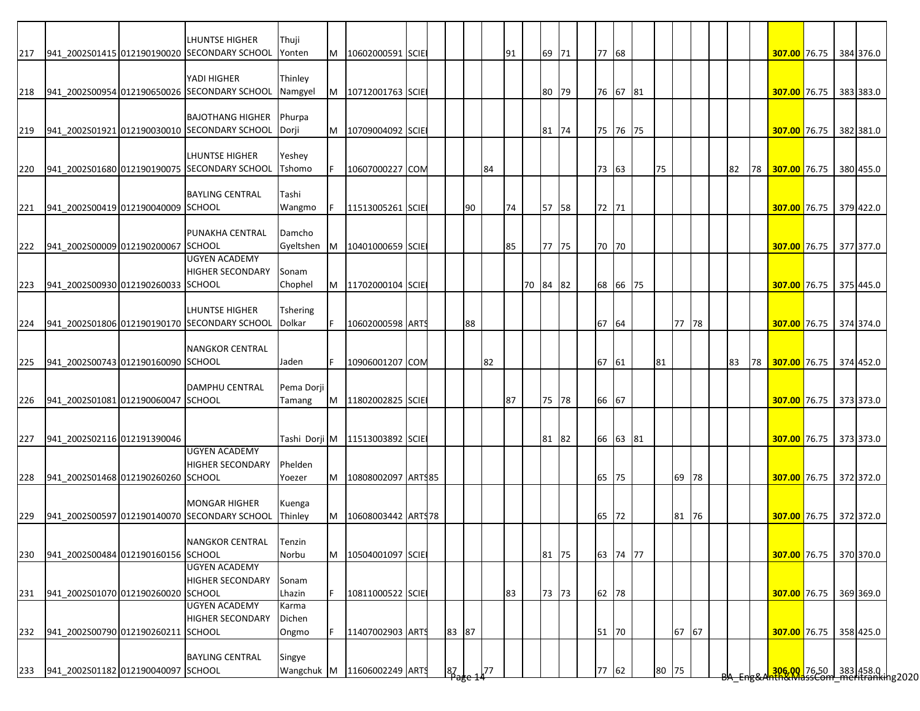|     |                                        | LHUNTSE HIGHER                                   | Thuji           |   |                                |  |        |    |      |    |          |       |  |       |          |       |       |  |    |    |                           |  |                                                          |
|-----|----------------------------------------|--------------------------------------------------|-----------------|---|--------------------------------|--|--------|----|------|----|----------|-------|--|-------|----------|-------|-------|--|----|----|---------------------------|--|----------------------------------------------------------|
| 217 |                                        | 941 2002S01415 012190190020 SECONDARY SCHOOL     | Yonten          | M | 10602000591 SCIE               |  |        |    |      | 91 |          | 69 71 |  | 77 68 |          |       |       |  |    |    | 307.00 76.75 384 376.0    |  |                                                          |
|     |                                        |                                                  |                 |   |                                |  |        |    |      |    |          |       |  |       |          |       |       |  |    |    |                           |  |                                                          |
|     |                                        | YADI HIGHER                                      | Thinley         |   |                                |  |        |    |      |    |          |       |  |       |          |       |       |  |    |    |                           |  |                                                          |
| 218 |                                        | 941 2002S00954 012190650026 SECONDARY SCHOOL     | Namgyel         | M | 10712001763 SCIE               |  |        |    |      |    |          | 80 79 |  |       | 76 67 81 |       |       |  |    |    | 307.00 76.75 383 383.0    |  |                                                          |
|     |                                        |                                                  |                 |   |                                |  |        |    |      |    |          |       |  |       |          |       |       |  |    |    |                           |  |                                                          |
|     |                                        | <b>BAJOTHANG HIGHER</b>                          | Phurpa          |   |                                |  |        |    |      |    |          |       |  |       |          |       |       |  |    |    |                           |  |                                                          |
| 219 |                                        | 941 2002S01921 012190030010 SECONDARY SCHOOL     | Dorji           | M | 10709004092 SCIE               |  |        |    |      |    |          | 81 74 |  |       | 75 76 75 |       |       |  |    |    | 307.00 76.75 382 381.0    |  |                                                          |
|     |                                        |                                                  |                 |   |                                |  |        |    |      |    |          |       |  |       |          |       |       |  |    |    |                           |  |                                                          |
|     |                                        | <b>LHUNTSE HIGHER</b>                            | Yeshey          |   |                                |  |        |    |      |    |          |       |  |       |          |       |       |  |    |    |                           |  |                                                          |
| 220 |                                        | 941_2002S01680 012190190075 SECONDARY SCHOOL     | Tshomo          |   | 10607000227 COM                |  |        |    | 84   |    |          |       |  | 73 63 |          | 75    |       |  | 82 |    | 78 307.00 76.75 380 455.0 |  |                                                          |
|     |                                        |                                                  |                 |   |                                |  |        |    |      |    |          |       |  |       |          |       |       |  |    |    |                           |  |                                                          |
|     |                                        | <b>BAYLING CENTRAL</b>                           | Tashi           |   |                                |  |        |    |      |    |          |       |  |       |          |       |       |  |    |    |                           |  |                                                          |
| 221 | 941 2002S00419 012190040009 SCHOOL     |                                                  | Wangmo          |   | 11513005261 SCIE               |  |        | 90 |      | 74 |          | 57 58 |  | 72 71 |          |       |       |  |    |    | 307.00 76.75 379 422.0    |  |                                                          |
|     |                                        |                                                  |                 |   |                                |  |        |    |      |    |          |       |  |       |          |       |       |  |    |    |                           |  |                                                          |
|     |                                        | PUNAKHA CENTRAL                                  | Damcho          |   |                                |  |        |    |      |    |          |       |  |       |          |       |       |  |    |    |                           |  |                                                          |
|     | 222 941_2002S00009 012190200067 SCHOOL |                                                  | Gyeltshen       | M | 10401000659 SCIE               |  |        |    |      | 85 |          | 77 75 |  | 70 70 |          |       |       |  |    |    | 307.00 76.75 377 377.0    |  |                                                          |
|     |                                        | <b>UGYEN ACADEMY</b>                             |                 |   |                                |  |        |    |      |    |          |       |  |       |          |       |       |  |    |    |                           |  |                                                          |
|     |                                        | <b>HIGHER SECONDARY</b>                          | Sonam           |   |                                |  |        |    |      |    |          |       |  |       |          |       |       |  |    |    |                           |  |                                                          |
| 223 | 941 2002S00930 012190260033 SCHOOL     |                                                  | Chophel         | M | 11702000104 SCIE               |  |        |    |      |    | 70 84 82 |       |  |       | 68 66 75 |       |       |  |    |    | 307.00 76.75              |  | 375 445.0                                                |
|     |                                        |                                                  |                 |   |                                |  |        |    |      |    |          |       |  |       |          |       |       |  |    |    |                           |  |                                                          |
|     |                                        | <b>LHUNTSE HIGHER</b>                            | <b>Tshering</b> |   |                                |  |        |    |      |    |          |       |  |       |          |       |       |  |    |    |                           |  |                                                          |
|     |                                        | 224 941 2002S01806 012190190170 SECONDARY SCHOOL | Dolkar          |   | 10602000598 ARTS               |  |        | 88 |      |    |          |       |  | 67 64 |          |       | 77 78 |  |    |    | 307.00 76.75 374 374.0    |  |                                                          |
|     |                                        |                                                  |                 |   |                                |  |        |    |      |    |          |       |  |       |          |       |       |  |    |    |                           |  |                                                          |
|     |                                        | <b>NANGKOR CENTRAL</b>                           |                 |   |                                |  |        |    |      |    |          |       |  |       |          |       |       |  |    |    |                           |  |                                                          |
| 225 | 941 2002S00743 012190160090 SCHOOL     |                                                  | Jaden           |   | 10906001207 COM                |  |        |    | 82   |    |          |       |  | 67 61 |          | 81    |       |  | 83 | 78 | 307.00 76.75 374 452.0    |  |                                                          |
|     |                                        |                                                  |                 |   |                                |  |        |    |      |    |          |       |  |       |          |       |       |  |    |    |                           |  |                                                          |
|     |                                        | <b>DAMPHU CENTRAL</b>                            | Pema Dorji      |   |                                |  |        |    |      |    |          |       |  |       |          |       |       |  |    |    |                           |  |                                                          |
|     | 226 941_2002S01081 012190060047 SCHOOL |                                                  | Tamang          | M | 11802002825 SCIE               |  |        |    |      | 87 |          | 75 78 |  | 66 67 |          |       |       |  |    |    | 307.00 76.75 373 373.0    |  |                                                          |
|     |                                        |                                                  |                 |   |                                |  |        |    |      |    |          |       |  |       |          |       |       |  |    |    |                           |  |                                                          |
|     |                                        |                                                  |                 |   |                                |  |        |    |      |    |          |       |  |       |          |       |       |  |    |    |                           |  |                                                          |
| 227 | 941_2002S02116 012191390046            |                                                  |                 |   | Tashi Dorji M 11513003892 SCIE |  |        |    |      |    |          | 81 82 |  |       | 66 63 81 |       |       |  |    |    | 307.00 76.75 373 373.0    |  |                                                          |
|     |                                        | <b>UGYEN ACADEMY</b>                             |                 |   |                                |  |        |    |      |    |          |       |  |       |          |       |       |  |    |    |                           |  |                                                          |
|     |                                        | <b>HIGHER SECONDARY</b>                          | Phelden         |   |                                |  |        |    |      |    |          |       |  |       |          |       |       |  |    |    |                           |  |                                                          |
| 228 | 941_2002S01468 012190260260 SCHOOL     |                                                  | Yoezer          | M | 10808002097 ARTS85             |  |        |    |      |    |          |       |  | 65 75 |          |       | 69 78 |  |    |    | 307.00 76.75 372 372.0    |  |                                                          |
|     |                                        |                                                  |                 |   |                                |  |        |    |      |    |          |       |  |       |          |       |       |  |    |    |                           |  |                                                          |
|     |                                        | <b>MONGAR HIGHER</b>                             | Kuenga          |   |                                |  |        |    |      |    |          |       |  |       |          |       |       |  |    |    |                           |  |                                                          |
| 229 |                                        | 941 2002S00597 012190140070 SECONDARY SCHOOL     | Thinley         | M | 10608003442 ARTS78             |  |        |    |      |    |          |       |  | 65    | 72       |       | 81 76 |  |    |    | 307.00 76.75 372 372.0    |  |                                                          |
|     |                                        |                                                  |                 |   |                                |  |        |    |      |    |          |       |  |       |          |       |       |  |    |    |                           |  |                                                          |
|     |                                        | <b>NANGKOR CENTRAL</b>                           | Tenzin          |   |                                |  |        |    |      |    |          |       |  |       |          |       |       |  |    |    |                           |  |                                                          |
| 230 | 941_2002S00484 012190160156 SCHOOL     |                                                  | Norbu           | M | 10504001097 SCIE               |  |        |    |      |    |          | 81 75 |  |       | 63 74 77 |       |       |  |    |    | 307.00 76.75 370 370.0    |  |                                                          |
|     |                                        | <b>UGYEN ACADEMY</b>                             |                 |   |                                |  |        |    |      |    |          |       |  |       |          |       |       |  |    |    |                           |  |                                                          |
|     |                                        | <b>HIGHER SECONDARY</b>                          | Sonam           |   |                                |  |        |    |      |    |          |       |  |       |          |       |       |  |    |    |                           |  |                                                          |
| 231 | 941 2002S01070 012190260020 SCHOOL     |                                                  | Lhazin          |   | 10811000522 SCIE               |  |        |    |      | 83 |          | 73 73 |  | 62 78 |          |       |       |  |    |    | 307.00 76.75              |  | 369 369.0                                                |
|     |                                        | <b>UGYEN ACADEMY</b>                             | Karma           |   |                                |  |        |    |      |    |          |       |  |       |          |       |       |  |    |    |                           |  |                                                          |
|     |                                        | <b>HIGHER SECONDARY</b>                          | Dichen          |   |                                |  |        |    |      |    |          |       |  |       |          |       |       |  |    |    |                           |  |                                                          |
| 232 | 941 2002S00790 012190260211 SCHOOL     |                                                  | Ongmo           |   | 11407002903 ARTS               |  | 83 87  |    |      |    |          |       |  | 51    | 70       |       | 67 67 |  |    |    | 307.00 76.75              |  | 358 425.0                                                |
|     |                                        | <b>BAYLING CENTRAL</b>                           |                 |   |                                |  |        |    |      |    |          |       |  |       |          |       |       |  |    |    |                           |  |                                                          |
|     | 941 2002S01182 012190040097 SCHOOL     |                                                  | Singye          |   |                                |  |        |    |      |    |          |       |  |       |          |       |       |  |    |    |                           |  |                                                          |
| 233 |                                        |                                                  | Wangchuk M      |   | 11606002249 ARTS               |  | $87 -$ |    | 77 ، |    |          |       |  | 77 62 |          | 80 75 |       |  |    |    |                           |  | 306.00 76.50 383 458.0  <br>hth&MassCom meritranking2020 |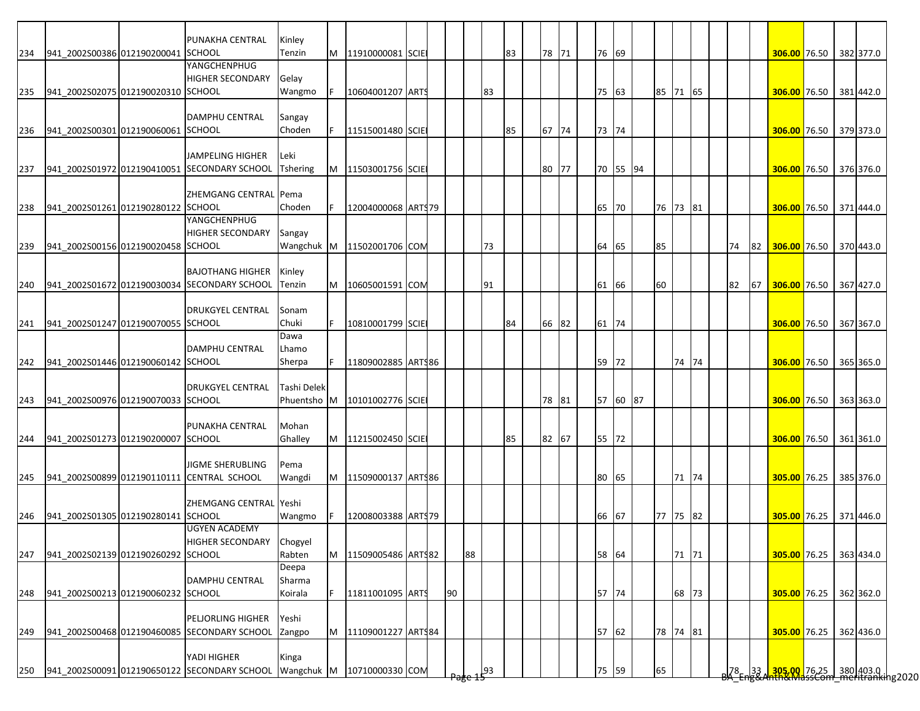| 234 | 941_2002S00386 012190200041 SCHOOL | PUNAKHA CENTRAL                                                                        | Kinley<br>Tenzin | M  | 11910000081 SCIE         |  |    |    |    | 83 | 78 71 |    | 76 69    |          |       |  |    |    | 306.00 76.50 382 377.0                                                                         |  |           |
|-----|------------------------------------|----------------------------------------------------------------------------------------|------------------|----|--------------------------|--|----|----|----|----|-------|----|----------|----------|-------|--|----|----|------------------------------------------------------------------------------------------------|--|-----------|
|     |                                    | YANGCHENPHUG                                                                           |                  |    |                          |  |    |    |    |    |       |    |          |          |       |  |    |    |                                                                                                |  |           |
|     |                                    | <b>HIGHER SECONDARY</b>                                                                | Gelay            |    |                          |  |    |    |    |    |       |    |          |          |       |  |    |    |                                                                                                |  |           |
| 235 | 941 2002S02075 012190020310 SCHOOL |                                                                                        | Wangmo           | F  | 10604001207 ARTS         |  |    |    | 83 |    |       |    | 75 63    | 85 71 65 |       |  |    |    | 306.00 76.50                                                                                   |  | 381 442.0 |
|     |                                    |                                                                                        |                  |    |                          |  |    |    |    |    |       |    |          |          |       |  |    |    |                                                                                                |  |           |
|     |                                    | DAMPHU CENTRAL                                                                         | Sangay           |    |                          |  |    |    |    |    |       |    |          |          |       |  |    |    |                                                                                                |  |           |
| 236 | 941 2002S00301 012190060061 SCHOOL |                                                                                        | Choden           |    | 11515001480 SCIE         |  |    |    |    | 85 | 67 74 |    | 73 74    |          |       |  |    |    | 306.00 76.50 379 373.0                                                                         |  |           |
|     |                                    |                                                                                        |                  |    |                          |  |    |    |    |    |       |    |          |          |       |  |    |    |                                                                                                |  |           |
|     |                                    | <b>JAMPELING HIGHER</b>                                                                | Leki             |    |                          |  |    |    |    |    |       |    |          |          |       |  |    |    |                                                                                                |  |           |
| 237 |                                    | 941_2002S01972 012190410051 SECONDARY SCHOOL                                           | <b>Tshering</b>  |    | M   11503001756 SCIE     |  |    |    |    |    | 80 77 |    | 70 55 94 |          |       |  |    |    | 306.00 76.50 376 376.0                                                                         |  |           |
|     |                                    |                                                                                        |                  |    |                          |  |    |    |    |    |       |    |          |          |       |  |    |    |                                                                                                |  |           |
|     |                                    | ZHEMGANG CENTRAL Pema                                                                  |                  |    |                          |  |    |    |    |    |       |    |          |          |       |  |    |    |                                                                                                |  |           |
| 238 | 941_2002S01261 012190280122 SCHOOL |                                                                                        | Choden           |    | 12004000068 ARTS79       |  |    |    |    |    |       | 65 | 70       | 76 73 81 |       |  |    |    | 306.00 76.50                                                                                   |  | 371 444.0 |
|     |                                    | YANGCHENPHUG                                                                           |                  |    |                          |  |    |    |    |    |       |    |          |          |       |  |    |    |                                                                                                |  |           |
|     |                                    | <b>HIGHER SECONDARY</b>                                                                | Sangay           |    |                          |  |    |    |    |    |       |    |          |          |       |  |    |    |                                                                                                |  |           |
| 239 | 941 2002S00156 012190020458 SCHOOL |                                                                                        | Wangchuk M       |    | 11502001706 COM          |  |    |    | 73 |    |       |    | 64 65    | 85       |       |  | 74 | 82 | 306.00 76.50                                                                                   |  | 370 443.0 |
|     |                                    | <b>BAJOTHANG HIGHER</b>                                                                |                  |    |                          |  |    |    |    |    |       |    |          |          |       |  |    |    |                                                                                                |  |           |
|     |                                    | 941_2002S01672 012190030034 SECONDARY SCHOOL                                           | Kinley<br>Tenzin | M  |                          |  |    |    | 91 |    |       |    | 61 66    | 60       |       |  | 82 | 67 | 306.00 76.50                                                                                   |  | 367 427.0 |
| 240 |                                    |                                                                                        |                  |    | 10605001591 COM          |  |    |    |    |    |       |    |          |          |       |  |    |    |                                                                                                |  |           |
|     |                                    | <b>DRUKGYEL CENTRAL</b>                                                                | Sonam            |    |                          |  |    |    |    |    |       |    |          |          |       |  |    |    |                                                                                                |  |           |
| 241 | 941 2002S01247 012190070055 SCHOOL |                                                                                        | Chuki            |    | 10810001799 SCIE         |  |    |    |    | 84 | 66 82 |    | 61 74    |          |       |  |    |    | 306.00 76.50 367 367.0                                                                         |  |           |
|     |                                    |                                                                                        | Dawa             |    |                          |  |    |    |    |    |       |    |          |          |       |  |    |    |                                                                                                |  |           |
|     |                                    | <b>DAMPHU CENTRAL</b>                                                                  | Lhamo            |    |                          |  |    |    |    |    |       |    |          |          |       |  |    |    |                                                                                                |  |           |
| 242 | 941 2002S01446 012190060142 SCHOOL |                                                                                        | Sherpa           |    | 11809002885 ARTS86       |  |    |    |    |    |       |    | 59 72    |          | 74 74 |  |    |    | 306.00 76.50 365 365.0                                                                         |  |           |
|     |                                    |                                                                                        |                  |    |                          |  |    |    |    |    |       |    |          |          |       |  |    |    |                                                                                                |  |           |
|     |                                    | <b>DRUKGYEL CENTRAL</b>                                                                | Tashi Delek      |    |                          |  |    |    |    |    |       |    |          |          |       |  |    |    |                                                                                                |  |           |
| 243 | 941_2002S00976 012190070033 SCHOOL |                                                                                        | Phuentsho M      |    | 10101002776 SCIE         |  |    |    |    |    | 78 81 |    | 57 60 87 |          |       |  |    |    | 306.00 76.50 363 363.0                                                                         |  |           |
|     |                                    |                                                                                        |                  |    |                          |  |    |    |    |    |       |    |          |          |       |  |    |    |                                                                                                |  |           |
|     |                                    | PUNAKHA CENTRAL                                                                        | Mohan            |    |                          |  |    |    |    |    |       |    |          |          |       |  |    |    |                                                                                                |  |           |
| 244 | 941 2002S01273 012190200007 SCHOOL |                                                                                        | Ghalley          |    | M   11215002450 SCIE     |  |    |    |    | 85 | 82 67 |    | 55 72    |          |       |  |    |    | 306.00 76.50 361 361.0                                                                         |  |           |
|     |                                    |                                                                                        |                  |    |                          |  |    |    |    |    |       |    |          |          |       |  |    |    |                                                                                                |  |           |
|     |                                    | <b>JIGME SHERUBLING</b>                                                                | Pema             |    |                          |  |    |    |    |    |       |    |          |          |       |  |    |    |                                                                                                |  |           |
| 245 |                                    | 941_2002S00899 012190110111 CENTRAL SCHOOL                                             | Wangdi           |    | M   11509000137   ARTS86 |  |    |    |    |    |       |    | 80 65    |          | 71 74 |  |    |    | 305.00 76.25                                                                                   |  | 385 376.0 |
|     |                                    | ZHEMGANG CENTRAL Yeshi                                                                 |                  |    |                          |  |    |    |    |    |       |    |          |          |       |  |    |    |                                                                                                |  |           |
| 246 | 941 2002S01305 012190280141 SCHOOL |                                                                                        | Wangmo           | F. | 12008003388 ARTS79       |  |    |    |    |    |       |    | 66 67    | 77 75 82 |       |  |    |    | 305.00 76.25 371 446.0                                                                         |  |           |
|     |                                    | <b>UGYEN ACADEMY</b>                                                                   |                  |    |                          |  |    |    |    |    |       |    |          |          |       |  |    |    |                                                                                                |  |           |
|     |                                    | HIGHER SECONDARY                                                                       | Chogyel          |    |                          |  |    |    |    |    |       |    |          |          |       |  |    |    |                                                                                                |  |           |
| 247 | 941 2002S02139 012190260292 SCHOOL |                                                                                        | Rabten           | M  | 11509005486 ARTS82       |  |    | 88 |    |    |       |    | 58 64    |          | 71 71 |  |    |    | 305.00 76.25                                                                                   |  | 363 434.0 |
|     |                                    |                                                                                        | Deepa            |    |                          |  |    |    |    |    |       |    |          |          |       |  |    |    |                                                                                                |  |           |
|     |                                    | <b>DAMPHU CENTRAL</b>                                                                  | Sharma           |    |                          |  |    |    |    |    |       |    |          |          |       |  |    |    |                                                                                                |  |           |
| 248 | 941_2002S00213 012190060232 SCHOOL |                                                                                        | Koirala          |    | 11811001095 ARTS         |  | 90 |    |    |    |       |    | 57 74    |          | 68 73 |  |    |    | 305.00 76.25                                                                                   |  | 362 362.0 |
|     |                                    |                                                                                        |                  |    |                          |  |    |    |    |    |       |    |          |          |       |  |    |    |                                                                                                |  |           |
|     |                                    | <b>PELJORLING HIGHER</b>                                                               | Yeshi            |    |                          |  |    |    |    |    |       |    |          |          |       |  |    |    |                                                                                                |  |           |
| 249 |                                    | 941_2002S00468 012190460085 SECONDARY SCHOOL                                           | Zangpo           | M  | 11109001227 ARTS84       |  |    |    |    |    |       |    | 57 62    | 78 74 81 |       |  |    |    | 305.00 76.25                                                                                   |  | 362 436.0 |
|     |                                    |                                                                                        |                  |    |                          |  |    |    |    |    |       |    |          |          |       |  |    |    |                                                                                                |  |           |
|     |                                    |                                                                                        |                  |    |                          |  |    |    |    |    |       |    |          |          |       |  |    |    |                                                                                                |  |           |
|     |                                    | YADI HIGHER<br>941_2002S00091 012190650122 SECONDARY SCHOOL Wangchuk M 10710000330 COM | Kinga            |    |                          |  |    |    |    |    |       |    | 75 59    | 65       |       |  |    |    | 78   33 <mark>  305,00 </mark>  76,25    380  403.0   <br>3A Eng&Anth&MassCom meritranking2020 |  |           |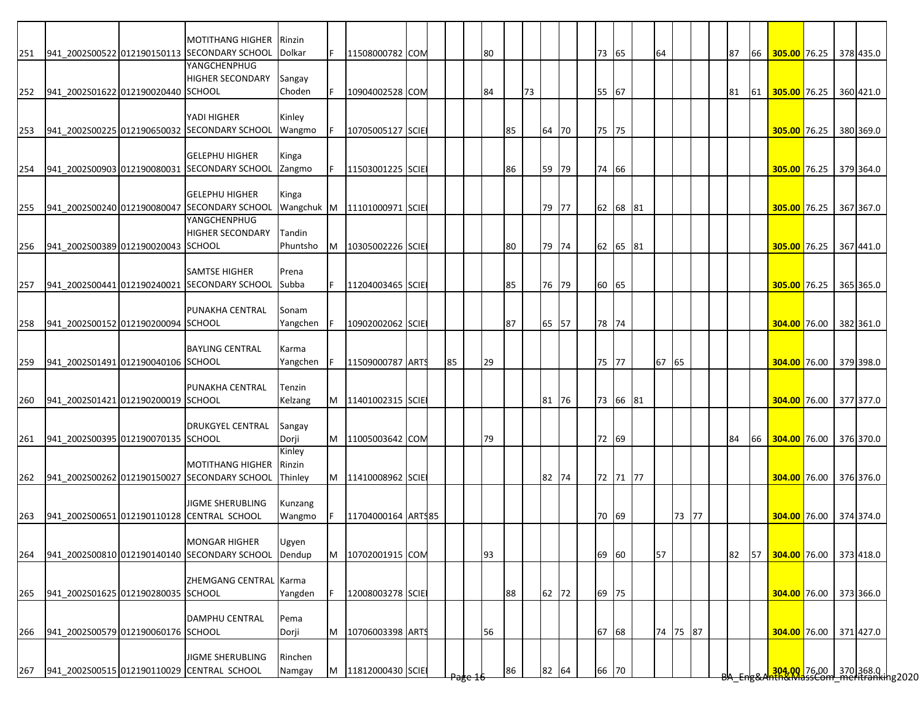|     |                                    | <b>MOTITHANG HIGHER</b>                                               | Rinzin            | F  |                             |  |    |    |    |    |       |       |          |       |          |  |    |    |                                                                      |  |           |
|-----|------------------------------------|-----------------------------------------------------------------------|-------------------|----|-----------------------------|--|----|----|----|----|-------|-------|----------|-------|----------|--|----|----|----------------------------------------------------------------------|--|-----------|
| 251 |                                    | 941 2002S00522 012190150113 SECONDARY SCHOOL<br>YANGCHENPHUG          | Dolkar            |    | 11508000782 COM             |  |    | 80 |    |    |       | 73 65 |          | 64    |          |  | 87 | 66 | 305.00 76.25                                                         |  | 378 435.0 |
|     |                                    | <b>HIGHER SECONDARY</b>                                               |                   |    |                             |  |    |    |    |    |       |       |          |       |          |  |    |    |                                                                      |  |           |
|     |                                    |                                                                       | Sangay            |    |                             |  |    |    |    |    |       |       |          |       |          |  |    |    |                                                                      |  |           |
| 252 | 941_2002S01622 012190020440 SCHOOL |                                                                       | Choden            | F  | 10904002528 COM             |  |    | 84 |    | 73 |       | 55 67 |          |       |          |  | 81 | 61 | 305.00 76.25                                                         |  | 360 421.0 |
|     |                                    |                                                                       |                   |    |                             |  |    |    |    |    |       |       |          |       |          |  |    |    |                                                                      |  |           |
|     |                                    | YADI HIGHER                                                           | Kinley            |    |                             |  |    |    |    |    |       |       |          |       |          |  |    |    |                                                                      |  |           |
| 253 |                                    | 941 2002S00225 012190650032 SECONDARY SCHOOL                          | Wangmo            | F  | 10705005127 SCIE            |  |    |    | 85 |    | 64 70 | 75 75 |          |       |          |  |    |    | 305.00 76.25                                                         |  | 380 369.0 |
|     |                                    |                                                                       |                   |    |                             |  |    |    |    |    |       |       |          |       |          |  |    |    |                                                                      |  |           |
|     |                                    | <b>GELEPHU HIGHER</b>                                                 | Kinga             |    |                             |  |    |    |    |    |       |       |          |       |          |  |    |    |                                                                      |  |           |
| 254 |                                    | 941 2002S00903 012190080031 SECONDARY SCHOOL                          | Zangmo            |    | 11503001225 SCIE            |  |    |    | 86 |    | 59 79 | 74 66 |          |       |          |  |    |    | 305.00 76.25 379 364.0                                               |  |           |
|     |                                    |                                                                       |                   |    |                             |  |    |    |    |    |       |       |          |       |          |  |    |    |                                                                      |  |           |
|     |                                    | <b>GELEPHU HIGHER</b>                                                 | Kinga             |    |                             |  |    |    |    |    |       |       |          |       |          |  |    |    |                                                                      |  |           |
| 255 |                                    | 941 2002S00240 012190080047 SECONDARY SCHOOL                          |                   |    | Wangchuk M 11101000971 SCIE |  |    |    |    |    | 79 77 |       | 62 68 81 |       |          |  |    |    | <b>305.00</b> 76.25                                                  |  | 367 367.0 |
|     |                                    | YANGCHENPHUG                                                          |                   |    |                             |  |    |    |    |    |       |       |          |       |          |  |    |    |                                                                      |  |           |
|     |                                    | <b>HIGHER SECONDARY</b>                                               | Tandin            |    |                             |  |    |    |    |    |       |       |          |       |          |  |    |    |                                                                      |  |           |
| 256 | 941 2002S00389 012190020043 SCHOOL |                                                                       | Phuntsho          | M  | 10305002226 SCIE            |  |    |    | 80 |    | 79 74 |       | 62 65 81 |       |          |  |    |    | 305.00 76.25                                                         |  | 367 441.0 |
|     |                                    |                                                                       |                   |    |                             |  |    |    |    |    |       |       |          |       |          |  |    |    |                                                                      |  |           |
|     |                                    | <b>SAMTSE HIGHER</b>                                                  | Prena             |    |                             |  |    |    |    |    |       |       |          |       |          |  |    |    |                                                                      |  |           |
| 257 |                                    | 941_2002S00441 012190240021 SECONDARY SCHOOL                          | Subba             |    | 11204003465 SCIE            |  |    |    | 85 |    | 76 79 | 60 65 |          |       |          |  |    |    | 305.00 76.25                                                         |  | 365 365.0 |
|     |                                    |                                                                       |                   |    |                             |  |    |    |    |    |       |       |          |       |          |  |    |    |                                                                      |  |           |
|     |                                    | PUNAKHA CENTRAL                                                       | Sonam             |    |                             |  |    |    |    |    |       |       |          |       |          |  |    |    |                                                                      |  |           |
| 258 | 941_2002S00152 012190200094 SCHOOL |                                                                       | Yangchen          |    | 10902002062 SCIE            |  |    |    | 87 |    | 65 57 | 78 74 |          |       |          |  |    |    | 304.00 76.00                                                         |  | 382 361.0 |
|     |                                    |                                                                       |                   |    |                             |  |    |    |    |    |       |       |          |       |          |  |    |    |                                                                      |  |           |
|     |                                    | <b>BAYLING CENTRAL</b>                                                | Karma             |    |                             |  |    |    |    |    |       |       |          |       |          |  |    |    |                                                                      |  |           |
|     | 941 2002S01491 012190040106 SCHOOL |                                                                       | Yangchen          |    |                             |  | 85 | 29 |    |    |       | 75 77 |          | 67 65 |          |  |    |    |                                                                      |  | 379 398.0 |
| 259 |                                    |                                                                       |                   |    | 11509000787 ARTS            |  |    |    |    |    |       |       |          |       |          |  |    |    | 304.00 76.00                                                         |  |           |
|     |                                    |                                                                       |                   |    |                             |  |    |    |    |    |       |       |          |       |          |  |    |    |                                                                      |  |           |
|     |                                    | PUNAKHA CENTRAL                                                       | Tenzin            |    |                             |  |    |    |    |    |       |       |          |       |          |  |    |    |                                                                      |  |           |
| 260 | 941 2002S01421 012190200019 SCHOOL |                                                                       | Kelzang           | M  | 11401002315 SCIE            |  |    |    |    |    | 81 76 |       | 73 66 81 |       |          |  |    |    | 304.00 76.00 377 377.0                                               |  |           |
|     |                                    |                                                                       |                   |    |                             |  |    |    |    |    |       |       |          |       |          |  |    |    |                                                                      |  |           |
|     |                                    | <b>DRUKGYEL CENTRAL</b>                                               | Sangay            |    |                             |  |    |    |    |    |       |       |          |       |          |  |    |    |                                                                      |  |           |
| 261 | 941 2002S00395 012190070135 SCHOOL |                                                                       | Dorji             |    | 11005003642 COM             |  |    | 79 |    |    |       | 72 69 |          |       |          |  | 84 | 66 | 304.00 76.00 376 370.0                                               |  |           |
|     |                                    |                                                                       | Kinley            |    |                             |  |    |    |    |    |       |       |          |       |          |  |    |    |                                                                      |  |           |
|     |                                    | <b>MOTITHANG HIGHER</b>                                               | Rinzin            |    |                             |  |    |    |    |    |       |       |          |       |          |  |    |    |                                                                      |  |           |
| 262 |                                    | 941 2002S00262 012190150027 SECONDARY SCHOOL                          | Thinley           |    | M   11410008962 SCIE        |  |    |    |    |    | 82 74 |       | 72 71 77 |       |          |  |    |    | 304.00 76.00                                                         |  | 376 376.0 |
|     |                                    |                                                                       |                   |    |                             |  |    |    |    |    |       |       |          |       |          |  |    |    |                                                                      |  |           |
|     |                                    | <b>JIGME SHERUBLING</b>                                               | Kunzang           |    |                             |  |    |    |    |    |       |       |          |       |          |  |    |    |                                                                      |  |           |
| 263 |                                    | 941 2002S00651 012190110128 CENTRAL SCHOOL                            | Wangmo            | F  | 11704000164 ARTS85          |  |    |    |    |    |       | 70 69 |          |       | 73 77    |  |    |    | 304.00 76.00 374 374.0                                               |  |           |
|     |                                    |                                                                       |                   |    |                             |  |    |    |    |    |       |       |          |       |          |  |    |    |                                                                      |  |           |
|     |                                    | <b>MONGAR HIGHER</b>                                                  | Ugyen             |    |                             |  |    |    |    |    |       |       |          |       |          |  |    |    |                                                                      |  |           |
| 264 |                                    | 941 2002S00810 012190140140 SECONDARY SCHOOL                          | Dendup            | M  | 10702001915 COM             |  |    | 93 |    |    |       |       | 69 60    | 57    |          |  | 82 | 57 | 304.00 76.00 373 418.0                                               |  |           |
|     |                                    |                                                                       |                   |    |                             |  |    |    |    |    |       |       |          |       |          |  |    |    |                                                                      |  |           |
|     |                                    | ZHEMGANG CENTRAL Karma                                                |                   |    |                             |  |    |    |    |    |       |       |          |       |          |  |    |    |                                                                      |  |           |
| 265 | 941 2002S01625 012190280035 SCHOOL |                                                                       | Yangden           | F. | 12008003278 SCIE            |  |    |    | 88 |    | 62 72 | 69 75 |          |       |          |  |    |    | 304.00 76.00 373 366.0                                               |  |           |
|     |                                    |                                                                       |                   |    |                             |  |    |    |    |    |       |       |          |       |          |  |    |    |                                                                      |  |           |
|     |                                    |                                                                       |                   |    |                             |  |    |    |    |    |       |       |          |       |          |  |    |    |                                                                      |  |           |
|     |                                    | <b>DAMPHU CENTRAL</b>                                                 | Pema              |    |                             |  |    |    |    |    |       |       |          |       |          |  |    |    |                                                                      |  |           |
| 266 | 941 2002S00579 012190060176 SCHOOL |                                                                       | Dorji             | M  | 10706003398 ARTS            |  |    | 56 |    |    |       | 67 68 |          |       | 74 75 87 |  |    |    | 304.00 76.00                                                         |  | 371 427.0 |
|     |                                    |                                                                       |                   |    |                             |  |    |    |    |    |       |       |          |       |          |  |    |    |                                                                      |  |           |
|     |                                    |                                                                       |                   |    |                             |  |    |    |    |    |       |       |          |       |          |  |    |    |                                                                      |  |           |
| 267 |                                    | <b>JIGME SHERUBLING</b><br>941 2002S00515 012190110029 CENTRAL SCHOOL | Rinchen<br>Namgay | M  | 11812000430 SCIE            |  |    |    | 86 |    | 82 64 | 66 70 |          |       |          |  |    |    | <mark>304.00 76.00 370</mark> 368.0  <br>Hh&MdssCom meritranking2020 |  |           |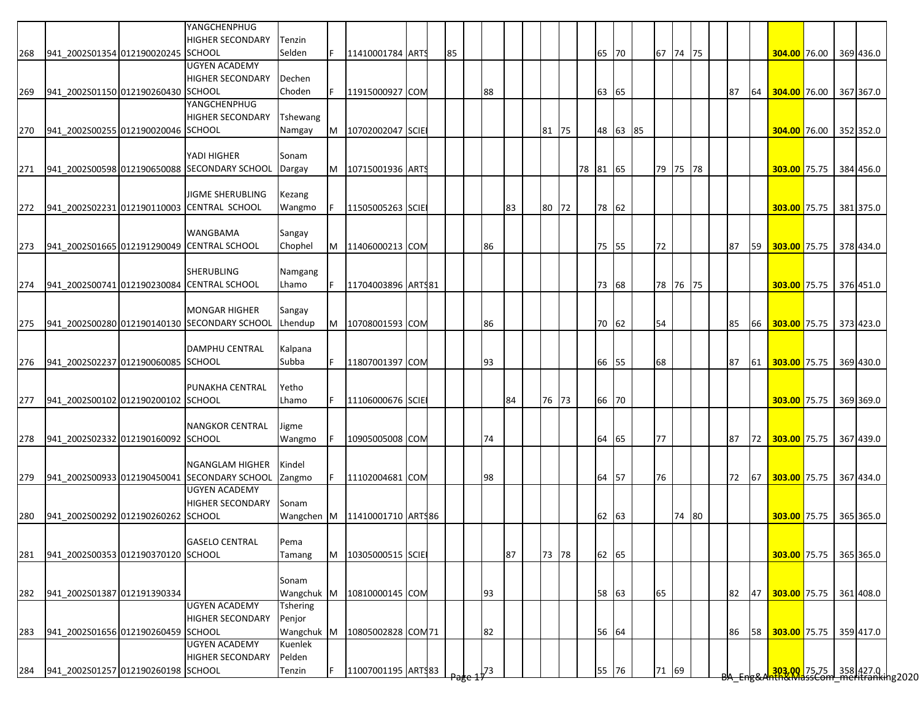|     |                                    | YANGCHENPHUG                                 |                 |     |                               |  |    |    |    |       |          |          |          |       |  |    |    |                           |  |           |
|-----|------------------------------------|----------------------------------------------|-----------------|-----|-------------------------------|--|----|----|----|-------|----------|----------|----------|-------|--|----|----|---------------------------|--|-----------|
|     |                                    | <b>HIGHER SECONDARY</b>                      | Tenzin          |     |                               |  |    |    |    |       |          |          |          |       |  |    |    |                           |  |           |
| 268 | 941_2002S01354 012190020245 SCHOOL |                                              | Selden          |     | 11410001784 ARTS              |  | 85 |    |    |       | 65       | 70       | 67 74 75 |       |  |    |    | 304.00 76.00              |  | 369 436.0 |
|     |                                    | <b>UGYEN ACADEMY</b>                         |                 |     |                               |  |    |    |    |       |          |          |          |       |  |    |    |                           |  |           |
|     |                                    | <b>HIGHER SECONDARY</b>                      | Dechen          |     |                               |  |    |    |    |       |          |          |          |       |  |    |    |                           |  |           |
| 269 | 941 2002S01150 012190260430 SCHOOL |                                              | Choden          |     | 11915000927 COM               |  |    | 88 |    |       | 63       | 65       |          |       |  | 87 | 64 | 304.00 76.00              |  | 367 367.0 |
|     |                                    | YANGCHENPHUG                                 |                 |     |                               |  |    |    |    |       |          |          |          |       |  |    |    |                           |  |           |
|     |                                    | <b>HIGHER SECONDARY</b>                      | <b>Tshewang</b> |     |                               |  |    |    |    |       |          |          |          |       |  |    |    |                           |  |           |
| 270 | 941 2002S00255 012190020046 SCHOOL |                                              | Namgay          | M   | 10702002047 SCIE              |  |    |    |    | 81 75 |          | 48 63 85 |          |       |  |    |    | 304.00 76.00              |  | 352 352.0 |
|     |                                    |                                              |                 |     |                               |  |    |    |    |       |          |          |          |       |  |    |    |                           |  |           |
|     |                                    | YADI HIGHER                                  | Sonam           |     |                               |  |    |    |    |       |          |          |          |       |  |    |    |                           |  |           |
| 271 |                                    | 941_2002S00598 012190650088 SECONDARY SCHOOL | Dargay          |     | M   10715001936   ARTS        |  |    |    |    |       | 78 81 65 |          | 79 75 78 |       |  |    |    | 303.00 75.75 384 456.0    |  |           |
|     |                                    |                                              |                 |     |                               |  |    |    |    |       |          |          |          |       |  |    |    |                           |  |           |
|     |                                    | <b>JIGME SHERUBLING</b>                      | Kezang          |     |                               |  |    |    |    |       |          |          |          |       |  |    |    |                           |  |           |
| 272 |                                    | 941_2002S02231 012190110003 CENTRAL SCHOOL   | Wangmo          |     | 11505005263 SCIE              |  |    |    | 83 | 80 72 | 78 62    |          |          |       |  |    |    | 303.00 75.75              |  | 381 375.0 |
|     |                                    |                                              |                 |     |                               |  |    |    |    |       |          |          |          |       |  |    |    |                           |  |           |
|     |                                    | WANGBAMA                                     | Sangay          |     |                               |  |    |    |    |       |          |          |          |       |  |    |    |                           |  |           |
| 273 |                                    | 941_2002S01665 012191290049 CENTRAL SCHOOL   | Chophel         | M   | 11406000213 COM               |  |    | 86 |    |       | 75 55    |          | 72       |       |  | 87 | 59 | 303.00 75.75              |  | 378 434.0 |
|     |                                    |                                              |                 |     |                               |  |    |    |    |       |          |          |          |       |  |    |    |                           |  |           |
|     |                                    | <b>SHERUBLING</b>                            | Namgang         |     |                               |  |    |    |    |       |          |          |          |       |  |    |    |                           |  |           |
| 274 |                                    | 941 2002S00741 012190230084 CENTRAL SCHOOL   | Lhamo           | IF. | 11704003896 ARTS81            |  |    |    |    |       | 73       | 68       | 78 76 75 |       |  |    |    | 303.00 75.75              |  | 376 451.0 |
|     |                                    |                                              |                 |     |                               |  |    |    |    |       |          |          |          |       |  |    |    |                           |  |           |
|     |                                    | <b>MONGAR HIGHER</b>                         | Sangay          |     |                               |  |    |    |    |       |          |          |          |       |  |    |    |                           |  |           |
| 275 |                                    | 941 2002S00280 012190140130 SECONDARY SCHOOL | Lhendup         |     | M 10708001593 COM             |  |    | 86 |    |       | 70 62    |          | 54       |       |  | 85 |    | 66 303.00 75.75 373 423.0 |  |           |
|     |                                    |                                              |                 |     |                               |  |    |    |    |       |          |          |          |       |  |    |    |                           |  |           |
|     |                                    | <b>DAMPHU CENTRAL</b>                        | Kalpana         |     |                               |  |    |    |    |       |          |          |          |       |  |    |    |                           |  |           |
| 276 | 941 2002S02237 012190060085 SCHOOL |                                              | Subba           | IF. | 11807001397 COM               |  |    | 93 |    |       | 66 55    |          | 68       |       |  | 87 | 61 | 303.00 75.75              |  | 369 430.0 |
|     |                                    |                                              |                 |     |                               |  |    |    |    |       |          |          |          |       |  |    |    |                           |  |           |
|     |                                    | PUNAKHA CENTRAL                              | Yetho           |     |                               |  |    |    |    |       |          |          |          |       |  |    |    |                           |  |           |
| 277 | 941_2002S00102 012190200102 SCHOOL |                                              | Lhamo           | IF. | 11106000676 SCIE              |  |    |    | 84 | 76 73 | 66 70    |          |          |       |  |    |    | 303.00 75.75              |  | 369 369.0 |
|     |                                    |                                              |                 |     |                               |  |    |    |    |       |          |          |          |       |  |    |    |                           |  |           |
|     |                                    | <b>NANGKOR CENTRAL</b>                       | Jigme           |     |                               |  |    |    |    |       |          |          |          |       |  |    |    |                           |  |           |
| 278 | 941_2002S02332 012190160092 SCHOOL |                                              | Wangmo          | F   | 10905005008 COM               |  |    | 74 |    |       | 64       | 65       | 77       |       |  | 87 |    | 72 303.00 75.75           |  | 367 439.0 |
|     |                                    |                                              |                 |     |                               |  |    |    |    |       |          |          |          |       |  |    |    |                           |  |           |
|     |                                    | <b>NGANGLAM HIGHER</b>                       | Kindel          |     |                               |  |    |    |    |       |          |          |          |       |  |    |    |                           |  |           |
| 279 |                                    | 941_2002S00933 012190450041 SECONDARY SCHOOL | Zangmo          |     | 11102004681 COM               |  |    | 98 |    |       | 64 57    |          | 76       |       |  | 72 | 67 | 303.00 75.75              |  | 367 434.0 |
|     |                                    | <b>UGYEN ACADEMY</b>                         |                 |     |                               |  |    |    |    |       |          |          |          |       |  |    |    |                           |  |           |
|     |                                    | <b>HIGHER SECONDARY</b>                      | Sonam           |     |                               |  |    |    |    |       |          |          |          |       |  |    |    |                           |  |           |
| 280 | 941 2002S00292 012190260262 SCHOOL |                                              |                 |     | Wangchen M 11410001710 ARTS86 |  |    |    |    |       | 62       | 63       |          | 74 80 |  |    |    | 303.00 75.75 365 365.0    |  |           |
|     |                                    |                                              |                 |     |                               |  |    |    |    |       |          |          |          |       |  |    |    |                           |  |           |
|     |                                    | <b>GASELO CENTRAL</b>                        | Pema            |     |                               |  |    |    |    |       |          |          |          |       |  |    |    |                           |  |           |
| 281 | 941 2002S00353 012190370120 SCHOOL |                                              | Tamang          | M   | 10305000515 SCIE              |  |    |    | 87 | 73 78 | 62 65    |          |          |       |  |    |    | 303.00 75.75              |  | 365 365.0 |
|     |                                    |                                              |                 |     |                               |  |    |    |    |       |          |          |          |       |  |    |    |                           |  |           |
|     |                                    |                                              | Sonam           |     |                               |  |    |    |    |       |          |          |          |       |  |    |    |                           |  |           |
| 282 | 941 2002S01387 012191390334        |                                              |                 |     | Wangchuk M 10810000145 COM    |  |    | 93 |    |       | 58 63    |          | 65       |       |  | 82 | 47 | 303.00 75.75              |  | 361 408.0 |
|     |                                    | <b>UGYEN ACADEMY</b>                         | <b>Tshering</b> |     |                               |  |    |    |    |       |          |          |          |       |  |    |    |                           |  |           |
|     |                                    | <b>HIGHER SECONDARY</b>                      | Penjor          |     |                               |  |    |    |    |       |          |          |          |       |  |    |    |                           |  |           |
| 283 | 941_2002S01656 012190260459 SCHOOL |                                              | Wangchuk M      |     | 10805002828 COM 71            |  |    | 82 |    |       | 56 64    |          |          |       |  | 86 | 58 | 303.00 75.75              |  | 359 417.0 |
|     |                                    | <b>UGYEN ACADEMY</b>                         | Kuenlek         |     |                               |  |    |    |    |       |          |          |          |       |  |    |    |                           |  |           |
|     |                                    |                                              |                 |     |                               |  |    |    |    |       |          |          |          |       |  |    |    |                           |  |           |
|     |                                    | <b>HIGHER SECONDARY</b>                      | Pelden          |     |                               |  |    |    |    |       |          |          |          |       |  |    |    |                           |  |           |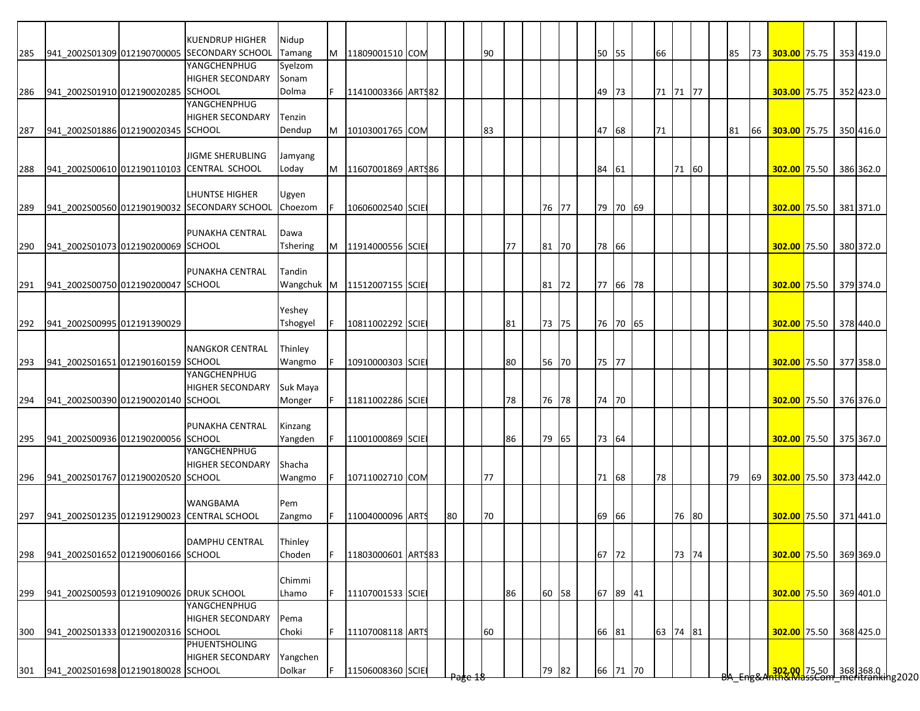|     |                                         | KUENDRUP HIGHER                              | Nidup           |   |                    |  |    |                    |    |    |       |       |          |          |       |  |    |    |                           |  |                                                            |
|-----|-----------------------------------------|----------------------------------------------|-----------------|---|--------------------|--|----|--------------------|----|----|-------|-------|----------|----------|-------|--|----|----|---------------------------|--|------------------------------------------------------------|
| 285 |                                         | 941 2002S01309 012190700005 SECONDARY SCHOOL | Tamang          | M | 11809001510 COM    |  |    |                    | 90 |    |       |       | 50 55    | 66       |       |  | 85 | 73 | 303.00 75.75 353 419.0    |  |                                                            |
|     |                                         | YANGCHENPHUG                                 | Syelzom         |   |                    |  |    |                    |    |    |       |       |          |          |       |  |    |    |                           |  |                                                            |
|     |                                         | <b>HIGHER SECONDARY</b>                      | Sonam           |   |                    |  |    |                    |    |    |       |       |          |          |       |  |    |    |                           |  |                                                            |
| 286 | 941_2002S01910 012190020285 SCHOOL      |                                              | Dolma           |   | 11410003366 ARTS82 |  |    |                    |    |    |       | 49    | 73       | 71 71 77 |       |  |    |    | 303.00 75.75 352 423.0    |  |                                                            |
|     |                                         | YANGCHENPHUG                                 |                 |   |                    |  |    |                    |    |    |       |       |          |          |       |  |    |    |                           |  |                                                            |
|     |                                         | <b>HIGHER SECONDARY</b>                      | Tenzin          |   |                    |  |    |                    |    |    |       |       |          |          |       |  |    |    |                           |  |                                                            |
| 287 | 941 2002S01886 012190020345 SCHOOL      |                                              | Dendup          | M | 10103001765 COM    |  |    |                    | 83 |    |       |       | 47 68    | 71       |       |  | 81 | 66 | 303.00 75.75 350 416.0    |  |                                                            |
|     |                                         |                                              |                 |   |                    |  |    |                    |    |    |       |       |          |          |       |  |    |    |                           |  |                                                            |
|     |                                         | <b>JIGME SHERUBLING</b>                      | Jamyang         |   |                    |  |    |                    |    |    |       |       |          |          |       |  |    |    |                           |  |                                                            |
| 288 |                                         | 941 2002S00610 012190110103 CENTRAL SCHOOL   | Loday           | M | 11607001869 ARTS86 |  |    |                    |    |    |       | 84 61 |          |          | 71 60 |  |    |    | 302.00 75.50              |  | 386 362.0                                                  |
|     |                                         |                                              |                 |   |                    |  |    |                    |    |    |       |       |          |          |       |  |    |    |                           |  |                                                            |
|     |                                         | <b>LHUNTSE HIGHER</b>                        | Ugyen           |   |                    |  |    |                    |    |    |       |       |          |          |       |  |    |    |                           |  |                                                            |
| 289 |                                         | 941 2002S00560 012190190032 SECONDARY SCHOOL | Choezom         |   | 10606002540 SCIE   |  |    |                    |    |    | 76 77 |       | 79 70 69 |          |       |  |    |    | 302.00 75.50 381 371.0    |  |                                                            |
|     |                                         |                                              |                 |   |                    |  |    |                    |    |    |       |       |          |          |       |  |    |    |                           |  |                                                            |
|     |                                         | PUNAKHA CENTRAL                              | Dawa            |   |                    |  |    |                    |    |    |       |       |          |          |       |  |    |    |                           |  |                                                            |
| 290 | 941 2002S01073 012190200069 SCHOOL      |                                              | <b>Tshering</b> |   | M 11914000556 SCIE |  |    |                    |    | 77 | 81 70 |       | 78 66    |          |       |  |    |    | 302.00 75.50 380 372.0    |  |                                                            |
|     |                                         |                                              |                 |   |                    |  |    |                    |    |    |       |       |          |          |       |  |    |    |                           |  |                                                            |
|     |                                         | PUNAKHA CENTRAL                              | Tandin          |   |                    |  |    |                    |    |    |       |       |          |          |       |  |    |    |                           |  |                                                            |
| 291 | 941 2002S00750 012190200047 SCHOOL      |                                              | Wangchuk M      |   | 11512007155 SCIE   |  |    |                    |    |    | 81 72 |       | 77 66 78 |          |       |  |    |    | 302.00 75.50              |  | 379 374.0                                                  |
|     |                                         |                                              |                 |   |                    |  |    |                    |    |    |       |       |          |          |       |  |    |    |                           |  |                                                            |
|     |                                         |                                              | Yeshey          |   |                    |  |    |                    |    |    |       |       |          |          |       |  |    |    |                           |  |                                                            |
| 292 | 941 2002S00995 012191390029             |                                              | Tshogyel        |   | 10811002292 SCIE   |  |    |                    |    | 81 | 73 75 |       | 76 70 65 |          |       |  |    |    | 302.00 75.50 378 440.0    |  |                                                            |
|     |                                         |                                              |                 |   |                    |  |    |                    |    |    |       |       |          |          |       |  |    |    |                           |  |                                                            |
|     |                                         | <b>NANGKOR CENTRAL</b>                       | Thinley         |   |                    |  |    |                    |    |    |       |       |          |          |       |  |    |    |                           |  |                                                            |
| 293 | 941_2002S01651 012190160159 SCHOOL      |                                              | Wangmo          |   | 10910000303 SCIE   |  |    |                    |    | 80 | 56 70 |       | 75 77    |          |       |  |    |    | 302.00 75.50 377 358.0    |  |                                                            |
|     |                                         | YANGCHENPHUG                                 |                 |   |                    |  |    |                    |    |    |       |       |          |          |       |  |    |    |                           |  |                                                            |
|     |                                         | <b>HIGHER SECONDARY</b>                      | Suk Maya        |   |                    |  |    |                    |    |    |       |       |          |          |       |  |    |    |                           |  |                                                            |
| 294 | 941_2002S00390 012190020140 SCHOOL      |                                              | Monger          |   | 11811002286 SCIE   |  |    |                    |    | 78 | 76 78 |       | 74 70    |          |       |  |    |    | 302.00 75.50 376 376.0    |  |                                                            |
|     |                                         |                                              |                 |   |                    |  |    |                    |    |    |       |       |          |          |       |  |    |    |                           |  |                                                            |
|     |                                         | PUNAKHA CENTRAL                              | Kinzang         |   |                    |  |    |                    |    |    |       |       |          |          |       |  |    |    |                           |  |                                                            |
| 295 | 941 2002S00936 012190200056 SCHOOL      |                                              | Yangden         |   | 11001000869 SCIE   |  |    |                    |    | 86 | 79 65 |       | 73 64    |          |       |  |    |    | 302.00 75.50 375 367.0    |  |                                                            |
|     |                                         | YANGCHENPHUG                                 |                 |   |                    |  |    |                    |    |    |       |       |          |          |       |  |    |    |                           |  |                                                            |
|     |                                         | <b>HIGHER SECONDARY</b>                      | Shacha          |   |                    |  |    |                    |    |    |       |       |          |          |       |  |    |    |                           |  |                                                            |
| 296 | 941 2002S01767 012190020520 SCHOOL      |                                              | Wangmo          |   | 10711002710 COM    |  |    |                    | 77 |    |       |       | 71 68    | 78       |       |  | 79 |    | 69 302.00 75.50 373 442.0 |  |                                                            |
|     |                                         |                                              |                 |   |                    |  |    |                    |    |    |       |       |          |          |       |  |    |    |                           |  |                                                            |
|     |                                         | <b>WANGBAMA</b>                              | Pem             |   |                    |  |    |                    |    |    |       |       |          |          |       |  |    |    |                           |  |                                                            |
| 297 |                                         | 941 2002S01235 012191290023 CENTRAL SCHOOL   | Zangmo          |   | 11004000096 ARTS   |  | 80 |                    | 70 |    |       |       | 69 66    |          | 76 80 |  |    |    | 302.00 75.50 371 441.0    |  |                                                            |
|     |                                         |                                              |                 |   |                    |  |    |                    |    |    |       |       |          |          |       |  |    |    |                           |  |                                                            |
|     |                                         | <b>DAMPHU CENTRAL</b>                        | Thinley         |   |                    |  |    |                    |    |    |       |       |          |          |       |  |    |    |                           |  |                                                            |
| 298 | 941_2002S01652 012190060166 SCHOOL      |                                              | Choden          | F | 11803000601 ARTS83 |  |    |                    |    |    |       |       | 67 72    |          | 73 74 |  |    |    | 302.00 75.50 369 369.0    |  |                                                            |
|     |                                         |                                              |                 |   |                    |  |    |                    |    |    |       |       |          |          |       |  |    |    |                           |  |                                                            |
|     |                                         |                                              | Chimmi          |   |                    |  |    |                    |    |    |       |       |          |          |       |  |    |    |                           |  |                                                            |
| 299 | 941 2002S00593 012191090026 DRUK SCHOOL |                                              | Lhamo           |   | 11107001533 SCIE   |  |    |                    |    | 86 | 60 58 |       | 67 89 41 |          |       |  |    |    | 302.00 75.50              |  | 369 401.0                                                  |
|     |                                         | YANGCHENPHUG                                 |                 |   |                    |  |    |                    |    |    |       |       |          |          |       |  |    |    |                           |  |                                                            |
|     |                                         | <b>HIGHER SECONDARY</b>                      | Pema            |   |                    |  |    |                    |    |    |       |       |          |          |       |  |    |    |                           |  |                                                            |
|     | 941_2002S01333 012190020316 SCHOOL      |                                              |                 | F |                    |  |    |                    |    |    |       |       | 66 81    | 63 74 81 |       |  |    |    |                           |  | 368 425.0                                                  |
| 300 |                                         | PHUENTSHOLING                                | Choki           |   | 11107008118 ARTS   |  |    |                    | 60 |    |       |       |          |          |       |  |    |    | 302.00 75.50              |  |                                                            |
|     |                                         | <b>HIGHER SECONDARY</b>                      |                 |   |                    |  |    |                    |    |    |       |       |          |          |       |  |    |    |                           |  |                                                            |
|     |                                         |                                              | Yangchen        |   |                    |  |    |                    |    |    |       |       |          |          |       |  |    |    |                           |  |                                                            |
| 301 | 941 2002S01698 012190180028 SCHOOL      |                                              | Dolkar          |   | 11506008360 SCIE   |  |    | <del>rage 18</del> |    |    | 79 82 |       | 66 71 70 |          |       |  |    |    |                           |  | 302.00 75.50 368 368.0  <br>AntwinassCom meritranking 2020 |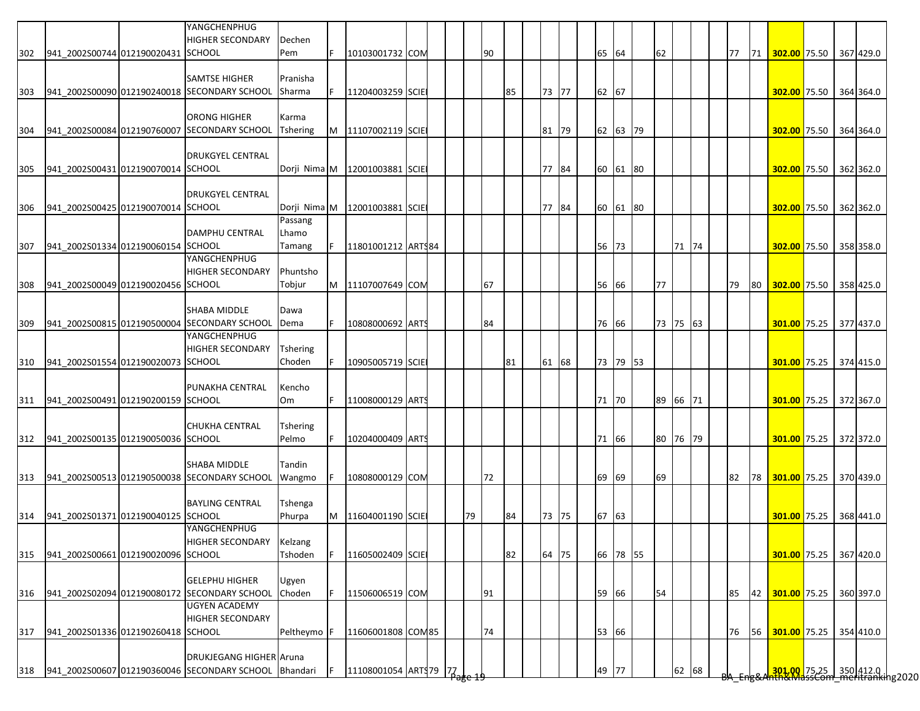|     |                                        | YANGCHENPHUG<br><b>HIGHER SECONDARY</b>      | Dechen          |   |                                 |  |    |    |    |       |  |          |    |          |  |    |    |                                                                      |  |           |
|-----|----------------------------------------|----------------------------------------------|-----------------|---|---------------------------------|--|----|----|----|-------|--|----------|----|----------|--|----|----|----------------------------------------------------------------------|--|-----------|
| 302 | 941 2002S00744 012190020431 SCHOOL     |                                              | Pem             |   | 10103001732 COM                 |  |    | 90 |    |       |  | 65 64    | 62 |          |  | 77 | 71 | 302.00 75.50 367 429.0                                               |  |           |
|     |                                        |                                              |                 |   |                                 |  |    |    |    |       |  |          |    |          |  |    |    |                                                                      |  |           |
|     |                                        | <b>SAMTSE HIGHER</b>                         | Pranisha        |   |                                 |  |    |    |    |       |  |          |    |          |  |    |    |                                                                      |  |           |
| 303 |                                        | 941 2002S00090 012190240018 SECONDARY SCHOOL | Sharma          |   | 11204003259 SCIE                |  |    |    | 85 | 73 77 |  | 62 67    |    |          |  |    |    | 302.00 75.50 364 364.0                                               |  |           |
|     |                                        | <b>ORONG HIGHER</b>                          | Karma           |   |                                 |  |    |    |    |       |  |          |    |          |  |    |    |                                                                      |  |           |
| 304 |                                        | 941_2002S00084 012190760007 SECONDARY SCHOOL | <b>Tshering</b> | M | 11107002119 SCIE                |  |    |    |    | 81 79 |  | 62 63 79 |    |          |  |    |    | 302.00 75.50                                                         |  | 364 364.0 |
|     |                                        |                                              |                 |   |                                 |  |    |    |    |       |  |          |    |          |  |    |    |                                                                      |  |           |
|     |                                        | <b>DRUKGYEL CENTRAL</b>                      |                 |   |                                 |  |    |    |    |       |  |          |    |          |  |    |    |                                                                      |  |           |
| 305 | 941 2002S00431 012190070014 SCHOOL     |                                              |                 |   | Dorji Nima M   12001003881 SCIE |  |    |    |    | 77 84 |  | 60 61 80 |    |          |  |    |    | 302.00 75.50                                                         |  | 362 362.0 |
|     |                                        |                                              |                 |   |                                 |  |    |    |    |       |  |          |    |          |  |    |    |                                                                      |  |           |
|     |                                        | <b>DRUKGYEL CENTRAL</b>                      |                 |   |                                 |  |    |    |    |       |  |          |    |          |  |    |    |                                                                      |  |           |
| 306 | 941_2002S00425 012190070014 SCHOOL     |                                              | Dorji Nima M    |   | 12001003881 SCIE                |  |    |    |    | 77 84 |  | 60 61 80 |    |          |  |    |    | 302.00 75.50 362 362.0                                               |  |           |
|     |                                        |                                              | Passang         |   |                                 |  |    |    |    |       |  |          |    |          |  |    |    |                                                                      |  |           |
|     |                                        | <b>DAMPHU CENTRAL</b>                        | Lhamo           |   |                                 |  |    |    |    |       |  |          |    |          |  |    |    |                                                                      |  |           |
| 307 | 941 2002S01334 012190060154 SCHOOL     |                                              | Tamang          |   | 11801001212 ARTS84              |  |    |    |    |       |  | 56 73    |    | 71 74    |  |    |    | 302.00 75.50 358 358.0                                               |  |           |
|     |                                        | YANGCHENPHUG                                 |                 |   |                                 |  |    |    |    |       |  |          |    |          |  |    |    |                                                                      |  |           |
|     |                                        | <b>HIGHER SECONDARY</b>                      | Phuntsho        |   |                                 |  |    |    |    |       |  |          |    |          |  |    |    |                                                                      |  |           |
| 308 | 941 2002S00049 012190020456 SCHOOL     |                                              | Tobjur          | M | 11107007649 COM                 |  |    | 67 |    |       |  | 56 66    | 77 |          |  | 79 | 80 | 302.00 75.50 358 425.0                                               |  |           |
|     |                                        | <b>SHABA MIDDLE</b>                          |                 |   |                                 |  |    |    |    |       |  |          |    |          |  |    |    |                                                                      |  |           |
|     |                                        | 941 2002S00815 012190500004 SECONDARY SCHOOL | Dawa<br>Dema    |   | 10808000692 ARTS                |  |    | 84 |    |       |  | 76 66    |    | 73 75 63 |  |    |    | 301.00 75.25 377 437.0                                               |  |           |
| 309 |                                        | YANGCHENPHUG                                 |                 |   |                                 |  |    |    |    |       |  |          |    |          |  |    |    |                                                                      |  |           |
|     |                                        | <b>HIGHER SECONDARY</b>                      | <b>Tshering</b> |   |                                 |  |    |    |    |       |  |          |    |          |  |    |    |                                                                      |  |           |
| 310 | 941 2002S01554 012190020073 SCHOOL     |                                              | Choden          |   | 10905005719 SCIE                |  |    |    | 81 | 61 68 |  | 73 79 53 |    |          |  |    |    | 301.00 75.25 374 415.0                                               |  |           |
|     |                                        |                                              |                 |   |                                 |  |    |    |    |       |  |          |    |          |  |    |    |                                                                      |  |           |
|     |                                        | PUNAKHA CENTRAL                              | Kencho          |   |                                 |  |    |    |    |       |  |          |    |          |  |    |    |                                                                      |  |           |
|     | 311 941_2002S00491 012190200159 SCHOOL |                                              | Om              |   | 11008000129 ARTS                |  |    |    |    |       |  | 71 70    |    | 89 66 71 |  |    |    | 301.00 75.25                                                         |  | 372 367.0 |
|     |                                        |                                              |                 |   |                                 |  |    |    |    |       |  |          |    |          |  |    |    |                                                                      |  |           |
|     |                                        | <b>CHUKHA CENTRAL</b>                        | Tshering        |   |                                 |  |    |    |    |       |  |          |    |          |  |    |    |                                                                      |  |           |
| 312 | 941_2002S00135 012190050036 SCHOOL     |                                              | Pelmo           |   | 10204000409 ARTS                |  |    |    |    |       |  | 71 66    |    | 80 76 79 |  |    |    | 301.00 75.25 372 372.0                                               |  |           |
|     |                                        |                                              |                 |   |                                 |  |    |    |    |       |  |          |    |          |  |    |    |                                                                      |  |           |
|     |                                        | <b>SHABA MIDDLE</b>                          | Tandin          |   |                                 |  |    |    |    |       |  |          |    |          |  |    |    |                                                                      |  |           |
| 313 |                                        | 941_2002S00513 012190500038 SECONDARY SCHOOL | Wangmo          |   | 10808000129 COM                 |  |    | 72 |    |       |  | 69 69    | 69 |          |  | 82 | 78 | 301.00 75.25                                                         |  | 370 439.0 |
|     |                                        |                                              |                 |   |                                 |  |    |    |    |       |  |          |    |          |  |    |    |                                                                      |  |           |
|     |                                        | <b>BAYLING CENTRAL</b>                       | Tshenga         |   |                                 |  |    |    |    |       |  |          |    |          |  |    |    |                                                                      |  |           |
| 314 | 941_2002S01371 012190040125 SCHOOL     |                                              | Phurpa          | M | 11604001190 SCIE                |  | 79 |    | 84 | 73 75 |  | 67 63    |    |          |  |    |    | 301.00 75.25 368 441.0                                               |  |           |
|     |                                        | YANGCHENPHUG                                 |                 |   |                                 |  |    |    |    |       |  |          |    |          |  |    |    |                                                                      |  |           |
|     |                                        | <b>HIGHER SECONDARY</b>                      | Kelzang         |   |                                 |  |    |    |    |       |  |          |    |          |  |    |    |                                                                      |  |           |
| 315 | 941 2002S00661 012190020096 SCHOOL     |                                              | Tshoden         |   | 11605002409 SCIE                |  |    |    | 82 | 64 75 |  | 66 78 55 |    |          |  |    |    | 301.00 75.25                                                         |  | 367 420.0 |
|     |                                        | <b>GELEPHU HIGHER</b>                        |                 |   |                                 |  |    |    |    |       |  |          |    |          |  |    |    |                                                                      |  |           |
|     |                                        | 941 2002S02094 012190080172 SECONDARY SCHOOL | Ugyen<br>Choden |   | 11506006519 COM                 |  |    | 91 |    |       |  | 59 66    | 54 |          |  | 85 | 42 | 301.00 75.25                                                         |  | 360 397.0 |
| 316 |                                        | <b>UGYEN ACADEMY</b>                         |                 |   |                                 |  |    |    |    |       |  |          |    |          |  |    |    |                                                                      |  |           |
|     |                                        | <b>HIGHER SECONDARY</b>                      |                 |   |                                 |  |    |    |    |       |  |          |    |          |  |    |    |                                                                      |  |           |
| 317 | 941_2002S01336 012190260418 SCHOOL     |                                              | Peltheymo       |   | 11606001808 COM85               |  |    | 74 |    |       |  | 53 66    |    |          |  | 76 | 56 | 301.00 75.25                                                         |  | 354 410.0 |
|     |                                        |                                              |                 |   |                                 |  |    |    |    |       |  |          |    |          |  |    |    |                                                                      |  |           |
|     |                                        | <b>DRUKJEGANG HIGHER Aruna</b>               |                 |   |                                 |  |    |    |    |       |  |          |    |          |  |    |    |                                                                      |  |           |
| 318 |                                        | 941_2002S00607 012190360046 SECONDARY SCHOOL | <b>Bhandari</b> |   | 11108001054 ARTS 79 77          |  |    |    |    |       |  | 49 77    |    | 62 68    |  |    |    |                                                                      |  |           |
|     |                                        |                                              |                 |   |                                 |  |    |    |    |       |  |          |    |          |  |    |    | <mark>301.00 </mark> 75.25 350 412.0<br>hth&MassCom meritranking2020 |  |           |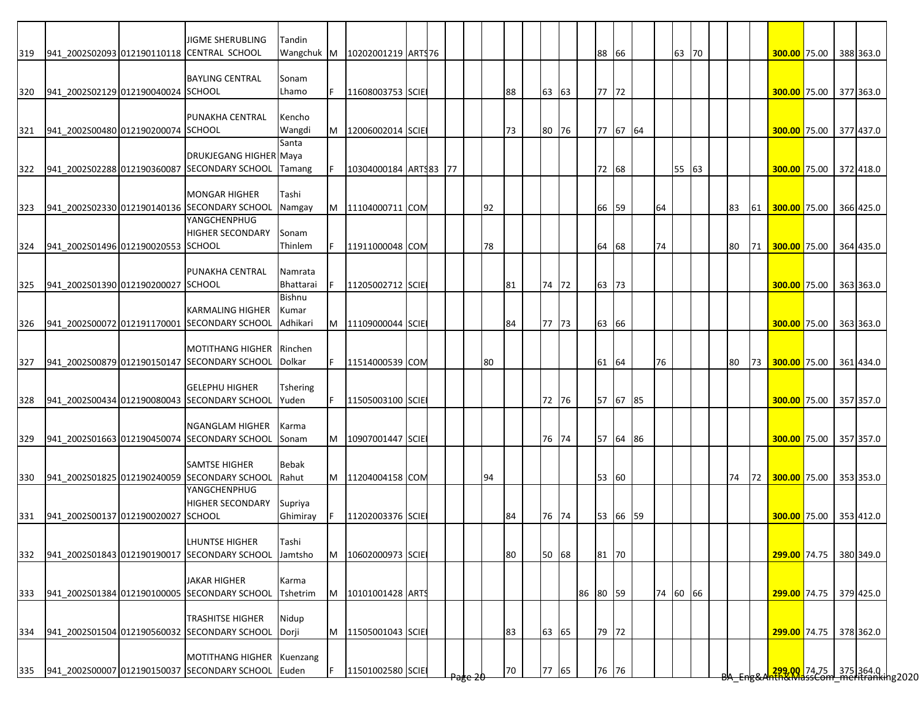|     |                                    | <b>JIGME SHERUBLING</b>                            | Tandin              |    |                       |  |    |    |       |          |       |          |          |       |  |    |    |                                                             |  |           |
|-----|------------------------------------|----------------------------------------------------|---------------------|----|-----------------------|--|----|----|-------|----------|-------|----------|----------|-------|--|----|----|-------------------------------------------------------------|--|-----------|
| 319 |                                    | 941 2002S02093 012190110118 CENTRAL SCHOOL         | Wangchuk M          |    | 10202001219 ARTS76    |  |    |    |       |          | 88 66 |          |          | 63 70 |  |    |    | 300.00 75.00                                                |  | 388 363.0 |
|     |                                    |                                                    |                     |    |                       |  |    |    |       |          |       |          |          |       |  |    |    |                                                             |  |           |
|     |                                    | <b>BAYLING CENTRAL</b>                             | Sonam               |    |                       |  |    |    |       |          |       |          |          |       |  |    |    |                                                             |  |           |
| 320 | 941 2002S02129 012190040024 SCHOOL |                                                    | Lhamo               | F. | 11608003753 SCIE      |  |    | 88 | 63 63 |          | 77 72 |          |          |       |  |    |    | 300.00 75.00                                                |  | 377 363.0 |
|     |                                    |                                                    |                     |    |                       |  |    |    |       |          |       |          |          |       |  |    |    |                                                             |  |           |
|     |                                    | PUNAKHA CENTRAL                                    | Kencho              |    |                       |  |    | 73 |       |          |       |          |          |       |  |    |    |                                                             |  |           |
| 321 | 941 2002S00480 012190200074 SCHOOL |                                                    | Wangdi<br>Santa     | M  | 12006002014 SCIE      |  |    |    | 80 76 |          |       | 77 67 64 |          |       |  |    |    | 300.00 75.00                                                |  | 377 437.0 |
|     |                                    | DRUKJEGANG HIGHER Maya                             |                     |    |                       |  |    |    |       |          |       |          |          |       |  |    |    |                                                             |  |           |
| 322 |                                    | 941 2002S02288 012190360087 SECONDARY SCHOOL       | Tamang              | F. | 10304000184 ARTS83 77 |  |    |    |       |          | 72 68 |          |          | 55 63 |  |    |    | 300.00 75.00                                                |  | 372 418.0 |
|     |                                    |                                                    |                     |    |                       |  |    |    |       |          |       |          |          |       |  |    |    |                                                             |  |           |
|     |                                    | <b>MONGAR HIGHER</b>                               | Tashi               |    |                       |  |    |    |       |          |       |          |          |       |  |    |    |                                                             |  |           |
| 323 |                                    | 941 2002S02330 012190140136 SECONDARY SCHOOL       | Namgay              | M  | 11104000711 COM       |  | 92 |    |       |          | 66    | 59       | 64       |       |  | 83 | 61 | 300.00 75.00                                                |  | 366 425.0 |
|     |                                    | YANGCHENPHUG                                       |                     |    |                       |  |    |    |       |          |       |          |          |       |  |    |    |                                                             |  |           |
|     |                                    | <b>HIGHER SECONDARY</b>                            | Sonam               |    |                       |  |    |    |       |          |       |          |          |       |  |    |    |                                                             |  |           |
| 324 | 941 2002S01496 012190020553 SCHOOL |                                                    | Thinlem             |    | 11911000048 COM       |  | 78 |    |       |          | 64 68 |          | 74       |       |  | 80 | 71 | 300.00 75.00                                                |  | 364 435.0 |
|     |                                    |                                                    |                     |    |                       |  |    |    |       |          |       |          |          |       |  |    |    |                                                             |  |           |
|     |                                    | PUNAKHA CENTRAL                                    | Namrata             |    |                       |  |    |    |       |          |       |          |          |       |  |    |    |                                                             |  |           |
| 325 | 941 2002S01390 012190200027 SCHOOL |                                                    | Bhattarai<br>Bishnu |    | 11205002712 SCIE      |  |    | 81 | 74 72 |          | 63    | 73       |          |       |  |    |    | 300.00 75.00                                                |  | 363 363.0 |
|     |                                    | <b>KARMALING HIGHER</b>                            | Kumar               |    |                       |  |    |    |       |          |       |          |          |       |  |    |    |                                                             |  |           |
| 326 |                                    | 941_2002S00072 012191170001 SECONDARY SCHOOL       | Adhikari            | M  | 11109000044 SCIE      |  |    | 84 | 77 73 |          | 63 66 |          |          |       |  |    |    | 300.00 75.00                                                |  | 363 363.0 |
|     |                                    |                                                    |                     |    |                       |  |    |    |       |          |       |          |          |       |  |    |    |                                                             |  |           |
|     |                                    | MOTITHANG HIGHER Rinchen                           |                     |    |                       |  |    |    |       |          |       |          |          |       |  |    |    |                                                             |  |           |
| 327 |                                    | 941_2002S00879 012190150147 SECONDARY SCHOOL       | Dolkar              | F. | 11514000539 COM       |  | 80 |    |       |          | 61 64 |          | 76       |       |  | 80 | 73 | 300.00 75.00                                                |  | 361 434.0 |
|     |                                    |                                                    |                     |    |                       |  |    |    |       |          |       |          |          |       |  |    |    |                                                             |  |           |
|     |                                    | <b>GELEPHU HIGHER</b>                              | <b>Tshering</b>     |    |                       |  |    |    |       |          |       |          |          |       |  |    |    |                                                             |  |           |
| 328 |                                    | 941_2002S00434 012190080043 SECONDARY SCHOOL       | Yuden               |    | 11505003100 SCIE      |  |    |    | 72 76 |          |       | 57 67 85 |          |       |  |    |    | 300.00 75.00                                                |  | 357 357.0 |
|     |                                    |                                                    |                     |    |                       |  |    |    |       |          |       |          |          |       |  |    |    |                                                             |  |           |
|     |                                    | <b>NGANGLAM HIGHER</b>                             | Karma               |    |                       |  |    |    |       |          |       |          |          |       |  |    |    |                                                             |  |           |
| 329 |                                    | 941 2002S01663 012190450074 SECONDARY SCHOOL       | Sonam               | M  | 10907001447 SCIE      |  |    |    | 76 74 |          |       | 57 64 86 |          |       |  |    |    | 300.00 75.00 357 357.0                                      |  |           |
|     |                                    | <b>SAMTSE HIGHER</b>                               | <b>Bebak</b>        |    |                       |  |    |    |       |          |       |          |          |       |  |    |    |                                                             |  |           |
| 330 |                                    | 941 2002S01825 012190240059 SECONDARY SCHOOL       | Rahut               |    | M  11204004158 COM    |  | 94 |    |       |          | 53 60 |          |          |       |  | 74 |    | 72 300.00 75.00                                             |  | 353 353.0 |
|     |                                    | YANGCHENPHUG                                       |                     |    |                       |  |    |    |       |          |       |          |          |       |  |    |    |                                                             |  |           |
|     |                                    | <b>HIGHER SECONDARY</b>                            | Supriya             |    |                       |  |    |    |       |          |       |          |          |       |  |    |    |                                                             |  |           |
| 331 | 941 2002S00137 012190020027 SCHOOL |                                                    | Ghimiray            | F  | 11202003376 SCIE      |  |    | 84 | 76 74 |          |       | 53 66 59 |          |       |  |    |    | 300.00 75.00 353 412.0                                      |  |           |
|     |                                    |                                                    |                     |    |                       |  |    |    |       |          |       |          |          |       |  |    |    |                                                             |  |           |
|     |                                    | LHUNTSE HIGHER                                     | Tashi               |    |                       |  |    |    |       |          |       |          |          |       |  |    |    |                                                             |  |           |
| 332 |                                    | 941_2002S01843 012190190017 SECONDARY SCHOOL       | Jamtsho             | M  | 10602000973 SCIE      |  |    | 80 | 50 68 |          | 81 70 |          |          |       |  |    |    | 299.00 74.75 380 349.0                                      |  |           |
|     |                                    |                                                    |                     |    |                       |  |    |    |       |          |       |          |          |       |  |    |    |                                                             |  |           |
|     |                                    | <b>JAKAR HIGHER</b>                                | Karma               |    |                       |  |    |    |       |          |       |          |          |       |  |    |    |                                                             |  |           |
| 333 |                                    | 941 2002S01384 012190100005 SECONDARY SCHOOL       | Tshetrim            | M  | 10101001428 ARTS      |  |    |    |       | 86 80 59 |       |          | 74 60 66 |       |  |    |    | 299.00 74.75 379 425.0                                      |  |           |
|     |                                    | <b>TRASHITSE HIGHER</b>                            | Nidup               |    |                       |  |    |    |       |          |       |          |          |       |  |    |    |                                                             |  |           |
| 334 |                                    | 941 2002S01504 012190560032 SECONDARY SCHOOL Dorji |                     | M  | 11505001043 SCIE      |  |    | 83 | 63 65 |          | 79 72 |          |          |       |  |    |    | 299.00 74.75                                                |  | 378 362.0 |
|     |                                    |                                                    |                     |    |                       |  |    |    |       |          |       |          |          |       |  |    |    |                                                             |  |           |
|     |                                    |                                                    |                     |    |                       |  |    |    |       |          |       |          |          |       |  |    |    |                                                             |  |           |
|     |                                    | MOTITHANG HIGHER Kuenzang                          |                     |    |                       |  |    |    |       |          |       |          |          |       |  |    |    | 209.00 74.75 375 364.0  <br>2020 3435 Com meritranking 2020 |  |           |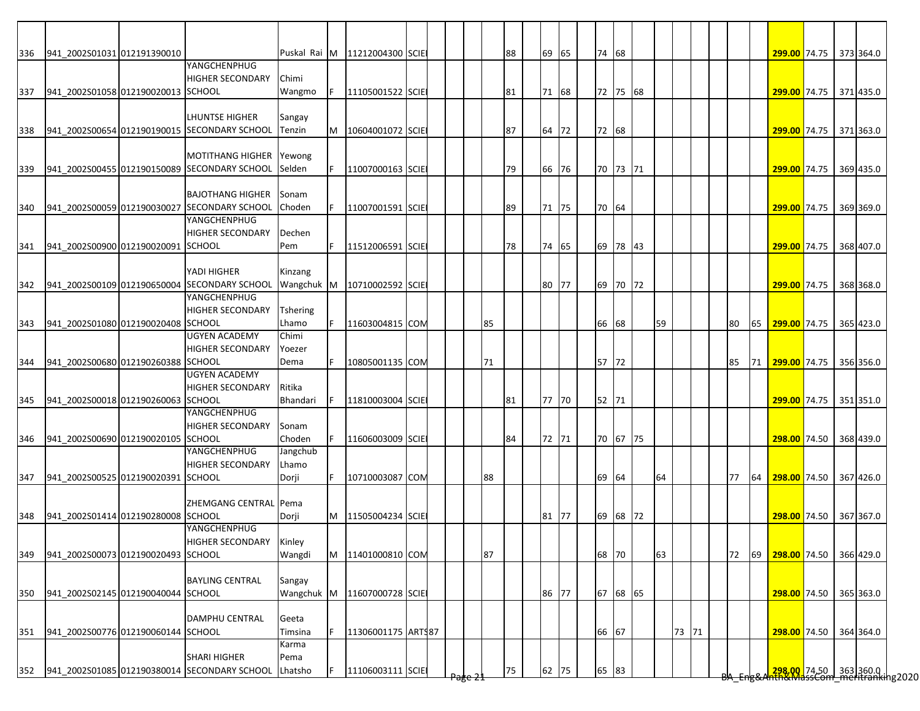| 336 | 941 2002S01031 012191390010        |                                                                     |                 |    | Puskal Rai M 11212004300 SCIE |  |    | 88 | 69 65 |       | 74 68 |          |    |       |  |    |    | 299.00 74.75 373 364.0 |                                                      |           |
|-----|------------------------------------|---------------------------------------------------------------------|-----------------|----|-------------------------------|--|----|----|-------|-------|-------|----------|----|-------|--|----|----|------------------------|------------------------------------------------------|-----------|
|     |                                    | YANGCHENPHUG                                                        |                 |    |                               |  |    |    |       |       |       |          |    |       |  |    |    |                        |                                                      |           |
|     |                                    | <b>HIGHER SECONDARY</b>                                             | Chimi           |    |                               |  |    |    |       |       |       |          |    |       |  |    |    |                        |                                                      |           |
| 337 | 941 2002S01058 012190020013 SCHOOL |                                                                     | Wangmo          | F. | 11105001522 SCIE              |  |    | 81 | 71 68 |       |       | 72 75 68 |    |       |  |    |    | 299.00 74.75 371 435.0 |                                                      |           |
|     |                                    |                                                                     |                 |    |                               |  |    |    |       |       |       |          |    |       |  |    |    |                        |                                                      |           |
|     |                                    | LHUNTSE HIGHER                                                      | Sangay          |    |                               |  |    |    |       |       |       |          |    |       |  |    |    |                        |                                                      |           |
| 338 |                                    | 941_2002S00654 012190190015 SECONDARY SCHOOL                        | Tenzin          | M  | 10604001072 SCIE              |  |    | 87 |       | 64 72 | 72 68 |          |    |       |  |    |    | 299.00 74.75           |                                                      | 371 363.0 |
|     |                                    |                                                                     |                 |    |                               |  |    |    |       |       |       |          |    |       |  |    |    |                        |                                                      |           |
|     |                                    | <b>MOTITHANG HIGHER</b>                                             | Yewong          |    |                               |  |    |    |       |       |       |          |    |       |  |    |    |                        |                                                      |           |
| 339 |                                    | 941_2002S00455 012190150089 SECONDARY SCHOOL                        | Selden          |    | 11007000163 SCIE              |  |    | 79 | 66 76 |       |       | 70 73 71 |    |       |  |    |    | 299.00 74.75           |                                                      | 369 435.0 |
|     |                                    |                                                                     |                 |    |                               |  |    |    |       |       |       |          |    |       |  |    |    |                        |                                                      |           |
|     |                                    | <b>BAJOTHANG HIGHER</b>                                             | Sonam           |    |                               |  |    |    |       |       |       |          |    |       |  |    |    |                        |                                                      |           |
| 340 |                                    | 941 2002S00059 012190030027 SECONDARY SCHOOL                        | Choden          |    | 11007001591 SCIE              |  |    | 89 | 71 75 |       | 70 64 |          |    |       |  |    |    | 299.00 74.75           |                                                      | 369 369.0 |
|     |                                    | YANGCHENPHUG                                                        |                 |    |                               |  |    |    |       |       |       |          |    |       |  |    |    |                        |                                                      |           |
|     |                                    | <b>HIGHER SECONDARY</b>                                             | Dechen          |    |                               |  |    |    |       |       |       |          |    |       |  |    |    |                        |                                                      |           |
| 341 | 941 2002S00900 012190020091 SCHOOL |                                                                     | Pem             |    | 11512006591 SCIE              |  |    | 78 | 74 65 |       |       | 69 78 43 |    |       |  |    |    | 299.00 74.75           |                                                      | 368 407.0 |
|     |                                    |                                                                     |                 |    |                               |  |    |    |       |       |       |          |    |       |  |    |    |                        |                                                      |           |
|     |                                    | YADI HIGHER                                                         | Kinzang         |    |                               |  |    |    |       |       |       |          |    |       |  |    |    |                        |                                                      |           |
| 342 |                                    | 941 2002S00109 012190650004 SECONDARY SCHOOL                        | Wangchuk M      |    | 10710002592 SCIE              |  |    |    | 80 77 |       |       | 69 70 72 |    |       |  |    |    | 299.00 74.75           |                                                      | 368 368.0 |
|     |                                    | YANGCHENPHUG                                                        |                 |    |                               |  |    |    |       |       |       |          |    |       |  |    |    |                        |                                                      |           |
|     |                                    | <b>HIGHER SECONDARY</b>                                             | <b>Tshering</b> |    |                               |  |    |    |       |       |       |          |    |       |  |    |    |                        |                                                      |           |
| 343 | 941_2002S01080 012190020408 SCHOOL |                                                                     | Lhamo           |    | 11603004815 COM               |  | 85 |    |       |       | 66 68 |          | 59 |       |  | 80 |    | 65 299.00 74.75        |                                                      | 365 423.0 |
|     |                                    | <b>UGYEN ACADEMY</b>                                                | Chimi           |    |                               |  |    |    |       |       |       |          |    |       |  |    |    |                        |                                                      |           |
|     |                                    | HIGHER SECONDARY                                                    | Yoezer          |    |                               |  |    |    |       |       |       |          |    |       |  |    |    |                        |                                                      |           |
| 344 | 941_2002S00680 012190260388 SCHOOL |                                                                     | Dema            |    | 10805001135 COM               |  | 71 |    |       |       | 57 72 |          |    |       |  | 85 | 71 | 299.00 74.75           |                                                      | 356 356.0 |
|     |                                    | UGYEN ACADEMY                                                       |                 |    |                               |  |    |    |       |       |       |          |    |       |  |    |    |                        |                                                      |           |
|     |                                    | <b>HIGHER SECONDARY</b>                                             | Ritika          |    |                               |  |    |    |       |       |       |          |    |       |  |    |    |                        |                                                      |           |
| 345 | 941_2002S00018 012190260063 SCHOOL |                                                                     | Bhandari        |    | 11810003004 SCIE              |  |    | 81 | 77 70 |       | 52 71 |          |    |       |  |    |    | 299.00 74.75 351 351.0 |                                                      |           |
|     |                                    | YANGCHENPHUG                                                        |                 |    |                               |  |    |    |       |       |       |          |    |       |  |    |    |                        |                                                      |           |
|     |                                    | <b>HIGHER SECONDARY</b>                                             | Sonam           |    |                               |  |    |    |       |       |       |          |    |       |  |    |    |                        |                                                      |           |
| 346 | 941 2002S00690 012190020105 SCHOOL |                                                                     | Choden          |    | 11606003009 SCIE              |  |    | 84 | 72 71 |       |       | 70 67 75 |    |       |  |    |    | 298.00 74.50 368 439.0 |                                                      |           |
|     |                                    | YANGCHENPHUG                                                        | Jangchub        |    |                               |  |    |    |       |       |       |          |    |       |  |    |    |                        |                                                      |           |
|     |                                    | HIGHER SECONDARY                                                    | Lhamo           |    |                               |  |    |    |       |       |       |          |    |       |  |    |    |                        |                                                      |           |
| 347 | 941 2002S00525 012190020391 SCHOOL |                                                                     | Dorji           |    | 10710003087 COM               |  | 88 |    |       |       | 69 64 |          | 64 |       |  | 77 | 64 | 298.00 74.50 367 426.0 |                                                      |           |
|     |                                    |                                                                     |                 |    |                               |  |    |    |       |       |       |          |    |       |  |    |    |                        |                                                      |           |
|     |                                    | ZHEMGANG CENTRAL Pema                                               |                 |    |                               |  |    |    |       |       |       |          |    |       |  |    |    |                        |                                                      |           |
| 348 | 941_2002S01414 012190280008 SCHOOL |                                                                     | Dorji           | M  | 11505004234 SCIE              |  |    |    | 81 77 |       |       | 69 68 72 |    |       |  |    |    | 298.00 74.50 367 367.0 |                                                      |           |
|     |                                    | YANGCHENPHUG                                                        |                 |    |                               |  |    |    |       |       |       |          |    |       |  |    |    |                        |                                                      |           |
|     |                                    | HIGHER SECONDARY Kinley                                             |                 |    |                               |  |    |    |       |       |       |          |    |       |  |    |    |                        |                                                      |           |
| 349 | 941 2002S00073 012190020493 SCHOOL |                                                                     | Wangdi          |    | M 11401000810 COM             |  | 87 |    |       |       | 68 70 |          | 63 |       |  | 72 | 69 | 298.00 74.50 366 429.0 |                                                      |           |
|     |                                    |                                                                     |                 |    |                               |  |    |    |       |       |       |          |    |       |  |    |    |                        |                                                      |           |
|     |                                    | <b>BAYLING CENTRAL</b>                                              | Sangay          |    |                               |  |    |    |       |       |       |          |    |       |  |    |    |                        |                                                      |           |
| 350 | 941 2002S02145 012190040044 SCHOOL |                                                                     |                 |    | Wangchuk M 11607000728 SCIE   |  |    |    |       | 86 77 |       | 67 68 65 |    |       |  |    |    | 298.00 74.50 365 363.0 |                                                      |           |
|     |                                    |                                                                     |                 |    |                               |  |    |    |       |       |       |          |    |       |  |    |    |                        |                                                      |           |
|     |                                    | DAMPHU CENTRAL                                                      | Geeta           |    |                               |  |    |    |       |       |       |          |    |       |  |    |    |                        |                                                      |           |
| 351 | 941_2002S00776 012190060144 SCHOOL |                                                                     | Timsina         |    | 11306001175 ARTS87            |  |    |    |       |       | 66 67 |          |    | 73 71 |  |    |    | 298.00 74.50           |                                                      | 364 364.0 |
|     |                                    |                                                                     | Karma           |    |                               |  |    |    |       |       |       |          |    |       |  |    |    |                        |                                                      |           |
|     |                                    | <b>SHARI HIGHER</b><br>941 2002S01085 012190380014 SECONDARY SCHOOL | Pema<br>Lhatsho |    | 11106003111 SCIE              |  |    | 75 |       |       |       | 65 83    |    |       |  |    |    |                        | 288.00 74.50 363 360.0  <br>288.00 74.50   363 360.0 |           |
| 352 |                                    |                                                                     |                 |    |                               |  |    |    |       | 62 75 |       |          |    |       |  |    |    |                        |                                                      |           |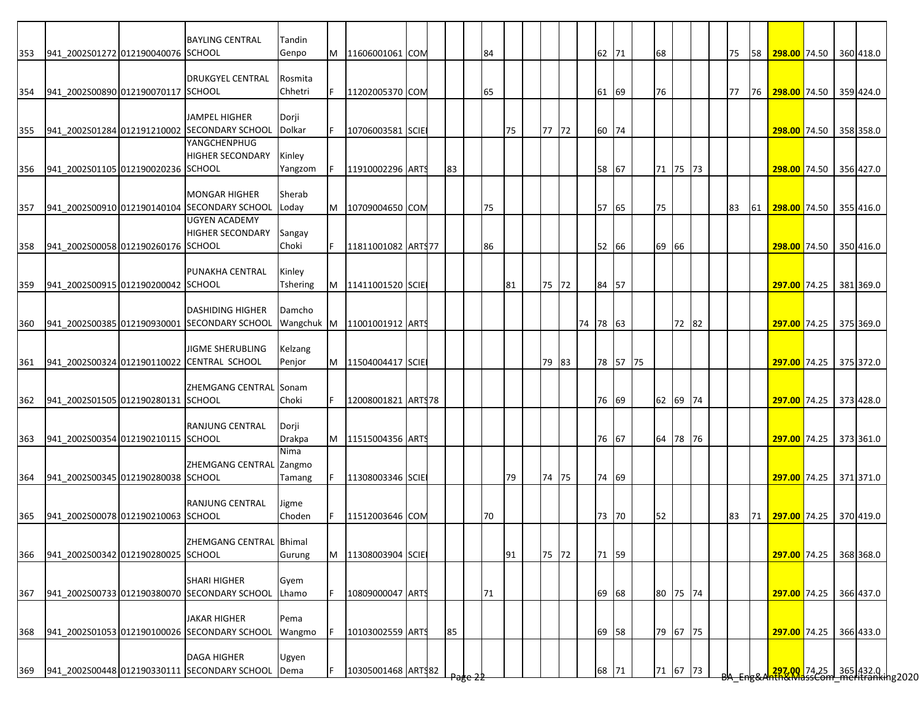| 353 | 941_2002S01272 012190040076 SCHOOL     | <b>BAYLING CENTRAL</b>                                       | Tandin<br>Genpo    | M | 11606001061 COM    |  |    | 84 |    |       | 62 71    |          | 68       |       |  | 75 | 58 | 298.00 74.50 360 418.0                               |  |           |
|-----|----------------------------------------|--------------------------------------------------------------|--------------------|---|--------------------|--|----|----|----|-------|----------|----------|----------|-------|--|----|----|------------------------------------------------------|--|-----------|
|     |                                        |                                                              |                    |   |                    |  |    |    |    |       |          |          |          |       |  |    |    |                                                      |  |           |
|     |                                        | <b>DRUKGYEL CENTRAL</b>                                      | Rosmita            |   |                    |  |    |    |    |       |          |          |          |       |  |    |    |                                                      |  |           |
| 354 | 941 2002S00890 012190070117 SCHOOL     |                                                              | Chhetri            |   | 11202005370 COM    |  |    | 65 |    |       | 61 69    |          | 76       |       |  | 77 | 76 | 298.00 74.50 359 424.0                               |  |           |
|     |                                        |                                                              |                    |   |                    |  |    |    |    |       |          |          |          |       |  |    |    |                                                      |  |           |
|     |                                        | <b>JAMPEL HIGHER</b>                                         | Dorji              |   |                    |  |    |    |    |       |          |          |          |       |  |    |    |                                                      |  |           |
| 355 |                                        | 941_2002S01284 012191210002 SECONDARY SCHOOL<br>YANGCHENPHUG | Dolkar             |   | 10706003581 SCIE   |  |    |    | 75 | 77 72 | 60 74    |          |          |       |  |    |    | 298.00 74.50 358 358.0                               |  |           |
|     |                                        | <b>HIGHER SECONDARY</b>                                      | Kinley             |   |                    |  |    |    |    |       |          |          |          |       |  |    |    |                                                      |  |           |
| 356 | 941 2002S01105 012190020236 SCHOOL     |                                                              | Yangzom            |   | 11910002296 ARTS   |  | 83 |    |    |       | 58 67    |          | 71 75 73 |       |  |    |    | 298.00 74.50 356 427.0                               |  |           |
|     |                                        |                                                              |                    |   |                    |  |    |    |    |       |          |          |          |       |  |    |    |                                                      |  |           |
|     |                                        | <b>MONGAR HIGHER</b>                                         | Sherab             |   |                    |  |    |    |    |       |          |          |          |       |  |    |    |                                                      |  |           |
| 357 |                                        | 941 2002S00910 012190140104 SECONDARY SCHOOL                 | Loday              | M | 10709004650 COM    |  |    | 75 |    |       | 57 65    |          | 75       |       |  | 83 | 61 | 298.00 74.50 355 416.0                               |  |           |
|     |                                        | <b>UGYEN ACADEMY</b>                                         |                    |   |                    |  |    |    |    |       |          |          |          |       |  |    |    |                                                      |  |           |
|     |                                        | <b>HIGHER SECONDARY</b>                                      | Sangay             |   |                    |  |    |    |    |       |          |          |          |       |  |    |    |                                                      |  |           |
| 358 | 941 2002S00058 012190260176 SCHOOL     |                                                              | Choki              |   | 11811001082 ARTS77 |  |    | 86 |    |       | 52 66    |          | 69       | 66    |  |    |    | 298.00 74.50 350 416.0                               |  |           |
|     |                                        |                                                              |                    |   |                    |  |    |    |    |       |          |          |          |       |  |    |    |                                                      |  |           |
|     | 941 2002S00915 012190200042 SCHOOL     | PUNAKHA CENTRAL                                              | Kinley<br>Tshering |   | 11411001520 SCIE   |  |    |    | 81 | 75 72 | 84 57    |          |          |       |  |    |    | 297.00 74.25                                         |  | 381 369.0 |
| 359 |                                        |                                                              |                    | M |                    |  |    |    |    |       |          |          |          |       |  |    |    |                                                      |  |           |
|     |                                        | <b>DASHIDING HIGHER</b>                                      | Damcho             |   |                    |  |    |    |    |       |          |          |          |       |  |    |    |                                                      |  |           |
| 360 |                                        | 941_2002S00385 012190930001 SECONDARY SCHOOL                 | Wangchuk M         |   | 11001001912 ARTS   |  |    |    |    |       | 74 78 63 |          |          | 72 82 |  |    |    | 297.00 74.25 375 369.0                               |  |           |
|     |                                        |                                                              |                    |   |                    |  |    |    |    |       |          |          |          |       |  |    |    |                                                      |  |           |
|     |                                        | <b>JIGME SHERUBLING</b>                                      | Kelzang            |   |                    |  |    |    |    |       |          |          |          |       |  |    |    |                                                      |  |           |
| 361 |                                        | 941_2002S00324 012190110022 CENTRAL SCHOOL                   | Penjor             | M | 11504004417 SCIE   |  |    |    |    | 79 83 |          | 78 57 75 |          |       |  |    |    | <b>297.00</b> 74.25                                  |  | 375 372.0 |
|     |                                        |                                                              |                    |   |                    |  |    |    |    |       |          |          |          |       |  |    |    |                                                      |  |           |
|     |                                        | ZHEMGANG CENTRAL Sonam                                       |                    |   |                    |  |    |    |    |       |          |          |          |       |  |    |    |                                                      |  |           |
|     | 362 941_2002S01505 012190280131 SCHOOL |                                                              | Choki              |   | 12008001821 ARTS78 |  |    |    |    |       | 76 69    |          | 62 69 74 |       |  |    |    | 297.00 74.25 373 428.0                               |  |           |
|     |                                        | <b>RANJUNG CENTRAL</b>                                       | Dorji              |   |                    |  |    |    |    |       |          |          |          |       |  |    |    |                                                      |  |           |
| 363 | 941 2002S00354 012190210115 SCHOOL     |                                                              | Drakpa             |   | 11515004356 ARTS   |  |    |    |    |       | 76 67    |          | 64 78 76 |       |  |    |    | 297.00 74.25 373 361.0                               |  |           |
|     |                                        |                                                              | Nima               |   |                    |  |    |    |    |       |          |          |          |       |  |    |    |                                                      |  |           |
|     |                                        | ZHEMGANG CENTRAL Zangmo                                      |                    |   |                    |  |    |    |    |       |          |          |          |       |  |    |    |                                                      |  |           |
| 364 | 941_2002S00345 012190280038 SCHOOL     |                                                              | Tamang             |   | 11308003346 SCIE   |  |    |    | 79 | 74 75 | 74 69    |          |          |       |  |    |    | 297.00 74.25 371 371.0                               |  |           |
|     |                                        |                                                              |                    |   |                    |  |    |    |    |       |          |          |          |       |  |    |    |                                                      |  |           |
|     |                                        | <b>RANJUNG CENTRAL</b>                                       | Jigme              |   |                    |  |    |    |    |       |          |          |          |       |  |    |    |                                                      |  |           |
| 365 | 941 2002S00078 012190210063 SCHOOL     |                                                              | Choden             |   | 11512003646 COM    |  |    | 70 |    |       | 73 70    |          | 52       |       |  | 83 | 71 | 297.00 74.25 370 419.0                               |  |           |
|     |                                        |                                                              |                    |   |                    |  |    |    |    |       |          |          |          |       |  |    |    |                                                      |  |           |
|     |                                        | ZHEMGANG CENTRAL Bhimal                                      |                    |   |                    |  |    |    |    |       |          |          |          |       |  |    |    |                                                      |  |           |
| 366 | 941 2002S00342 012190280025 SCHOOL     |                                                              | Gurung             | M | 11308003904 SCIE   |  |    |    | 91 | 75 72 | 71 59    |          |          |       |  |    |    | 297.00 74.25 368 368.0                               |  |           |
|     |                                        | <b>SHARI HIGHER</b>                                          | Gyem               |   |                    |  |    |    |    |       |          |          |          |       |  |    |    |                                                      |  |           |
| 367 |                                        | 941 2002S00733 012190380070 SECONDARY SCHOOL                 | Lhamo              |   | 10809000047 ARTS   |  |    | 71 |    |       | 69 68    |          | 80 75 74 |       |  |    |    | 297.00 74.25                                         |  | 366 437.0 |
|     |                                        |                                                              |                    |   |                    |  |    |    |    |       |          |          |          |       |  |    |    |                                                      |  |           |
|     |                                        | <b>JAKAR HIGHER</b>                                          | Pema               |   |                    |  |    |    |    |       |          |          |          |       |  |    |    |                                                      |  |           |
| 368 |                                        | 941_2002S01053 012190100026 SECONDARY SCHOOL                 | Wangmo             |   | 10103002559 ARTS   |  | 85 |    |    |       | 69 58    |          | 79 67 75 |       |  |    |    | 297.00 74.25                                         |  | 366 433.0 |
|     |                                        |                                                              |                    |   |                    |  |    |    |    |       |          |          |          |       |  |    |    |                                                      |  |           |
|     |                                        | <b>DAGA HIGHER</b>                                           | Ugyen              |   |                    |  |    |    |    |       |          |          |          |       |  |    |    |                                                      |  |           |
| 369 |                                        | 941 2002S00448 012190330111 SECONDARY SCHOOL                 | Dema               |   | 10305001468 ARTS82 |  |    |    |    |       | 68 71    |          | 71 67 73 |       |  |    |    | 297.00 74.25 365 432.0  <br>282.00 74.25   365 432.0 |  |           |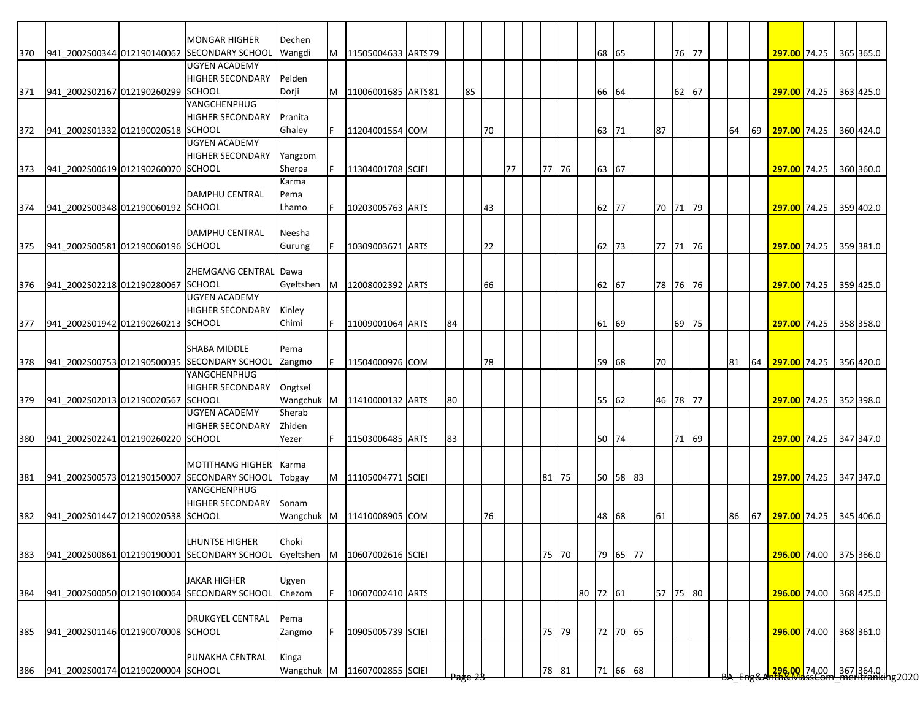|     |                                    | <b>MONGAR HIGHER</b>                         | Dechen     |           |                              |  |    |    |    |    |       |    |          |       |          |          |       |    |    |                                                                                   |  |           |
|-----|------------------------------------|----------------------------------------------|------------|-----------|------------------------------|--|----|----|----|----|-------|----|----------|-------|----------|----------|-------|----|----|-----------------------------------------------------------------------------------|--|-----------|
| 370 |                                    | 941 2002S00344 012190140062 SECONDARY SCHOOL | Wangdi     |           | M   11505004633   ARTS 79    |  |    |    |    |    |       |    |          | 68 65 |          |          | 76 77 |    |    | 297.00 74.25 365 365.0                                                            |  |           |
|     |                                    | <b>UGYEN ACADEMY</b>                         |            |           |                              |  |    |    |    |    |       |    |          |       |          |          |       |    |    |                                                                                   |  |           |
|     |                                    | <b>HIGHER SECONDARY</b>                      | Pelden     |           |                              |  |    |    |    |    |       |    |          |       |          |          |       |    |    |                                                                                   |  |           |
| 371 | 941 2002S02167 012190260299 SCHOOL |                                              | Dorji      |           | M   11006001685   ARTS81     |  |    | 85 |    |    |       |    |          | 66 64 |          |          | 62 67 |    |    | 297.00 74.25 363 425.0                                                            |  |           |
|     |                                    | YANGCHENPHUG                                 |            |           |                              |  |    |    |    |    |       |    |          |       |          |          |       |    |    |                                                                                   |  |           |
|     |                                    | <b>HIGHER SECONDARY</b>                      | Pranita    |           |                              |  |    |    |    |    |       |    |          |       |          |          |       |    |    |                                                                                   |  |           |
| 372 | 941 2002S01332 012190020518 SCHOOL |                                              | Ghaley     | IF.       | 11204001554 COM              |  |    |    | 70 |    |       |    |          | 63 71 |          | 87       |       | 64 | 69 | 297.00 74.25                                                                      |  | 360 424.0 |
|     |                                    | <b>UGYEN ACADEMY</b>                         |            |           |                              |  |    |    |    |    |       |    |          |       |          |          |       |    |    |                                                                                   |  |           |
|     |                                    | <b>HIGHER SECONDARY</b>                      | Yangzom    |           |                              |  |    |    |    |    |       |    |          |       |          |          |       |    |    |                                                                                   |  |           |
| 373 | 941 2002S00619 012190260070 SCHOOL |                                              | Sherpa     | IF.       | 11304001708 SCIE             |  |    |    |    | 77 | 77 76 |    |          | 63 67 |          |          |       |    |    | 297.00 74.25 360 360.0                                                            |  |           |
|     |                                    |                                              | Karma      |           |                              |  |    |    |    |    |       |    |          |       |          |          |       |    |    |                                                                                   |  |           |
|     |                                    | <b>DAMPHU CENTRAL</b>                        | Pema       |           |                              |  |    |    |    |    |       |    |          |       |          |          |       |    |    |                                                                                   |  |           |
| 374 | 941 2002S00348 012190060192 SCHOOL |                                              | Lhamo      |           | 10203005763 ARTS             |  |    |    | 43 |    |       |    |          | 62    | 77       | 70 71 79 |       |    |    | 297.00 74.25 359 402.0                                                            |  |           |
|     |                                    |                                              |            |           |                              |  |    |    |    |    |       |    |          |       |          |          |       |    |    |                                                                                   |  |           |
|     |                                    | DAMPHU CENTRAL                               | Neesha     |           |                              |  |    |    |    |    |       |    |          |       |          |          |       |    |    |                                                                                   |  |           |
| 375 | 941 2002S00581 012190060196 SCHOOL |                                              | Gurung     |           | 10309003671 ARTS             |  |    |    | 22 |    |       |    |          | 62 73 |          | 77 71 76 |       |    |    | 297.00 74.25 359 381.0                                                            |  |           |
|     |                                    |                                              |            |           |                              |  |    |    |    |    |       |    |          |       |          |          |       |    |    |                                                                                   |  |           |
|     |                                    | ZHEMGANG CENTRAL Dawa                        |            |           |                              |  |    |    |    |    |       |    |          |       |          |          |       |    |    |                                                                                   |  |           |
| 376 | 941 2002S02218 012190280067 SCHOOL |                                              | Gyeltshen  | <b>IM</b> | 12008002392 ARTS             |  |    |    | 66 |    |       |    |          | 62 67 |          | 78 76 76 |       |    |    | 297.00 74.25 359 425.0                                                            |  |           |
|     |                                    | <b>UGYEN ACADEMY</b>                         |            |           |                              |  |    |    |    |    |       |    |          |       |          |          |       |    |    |                                                                                   |  |           |
|     |                                    | HIGHER SECONDARY                             | Kinley     |           |                              |  |    |    |    |    |       |    |          |       |          |          |       |    |    |                                                                                   |  |           |
| 377 | 941 2002S01942 012190260213 SCHOOL |                                              | Chimi      | IF.       | 11009001064 ARTS             |  | 84 |    |    |    |       |    |          | 61 69 |          |          | 69 75 |    |    | 297.00 74.25 358 358.0                                                            |  |           |
|     |                                    |                                              |            |           |                              |  |    |    |    |    |       |    |          |       |          |          |       |    |    |                                                                                   |  |           |
|     |                                    | SHABA MIDDLE                                 | Pema       |           |                              |  |    |    |    |    |       |    |          |       |          |          |       |    |    |                                                                                   |  |           |
| 378 |                                    | 941_2002S00753 012190500035 SECONDARY SCHOOL | Zangmo     | IF.       | 11504000976 COM              |  |    |    | 78 |    |       |    |          | 59 68 |          | 70       |       | 81 | 64 | 297.00 74.25                                                                      |  | 356 420.0 |
|     |                                    | YANGCHENPHUG                                 |            |           |                              |  |    |    |    |    |       |    |          |       |          |          |       |    |    |                                                                                   |  |           |
|     |                                    | <b>HIGHER SECONDARY</b>                      | Ongtsel    |           |                              |  |    |    |    |    |       |    |          |       |          |          |       |    |    |                                                                                   |  |           |
| 379 | 941_2002S02013 012190020567 SCHOOL |                                              | Wangchuk M |           | 11410000132 ARTS             |  | 80 |    |    |    |       |    |          | 55 62 |          | 46 78 77 |       |    |    | 297.00 74.25                                                                      |  | 352 398.0 |
|     |                                    | <b>UGYEN ACADEMY</b>                         | Sherab     |           |                              |  |    |    |    |    |       |    |          |       |          |          |       |    |    |                                                                                   |  |           |
|     |                                    | <b>HIGHER SECONDARY</b>                      | Zhiden     |           |                              |  |    |    |    |    |       |    |          |       |          |          |       |    |    |                                                                                   |  |           |
| 380 | 941 2002S02241 012190260220 SCHOOL |                                              | Yezer      | IF.       | 11503006485 ARTS             |  | 83 |    |    |    |       |    |          | 50 74 |          |          | 71 69 |    |    | 297.00 74.25 347 347.0                                                            |  |           |
|     |                                    |                                              |            |           |                              |  |    |    |    |    |       |    |          |       |          |          |       |    |    |                                                                                   |  |           |
|     |                                    | <b>MOTITHANG HIGHER</b>                      | Karma      |           |                              |  |    |    |    |    |       |    |          |       |          |          |       |    |    |                                                                                   |  |           |
| 381 |                                    | 941 2002S00573 012190150007 SECONDARY SCHOOL | Tobgay     |           | M 11105004771 SCIE           |  |    |    |    |    | 81 75 |    |          |       | 50 58 83 |          |       |    |    | 297.00 74.25 347 347.0                                                            |  |           |
|     |                                    | YANGCHENPHUG                                 |            |           |                              |  |    |    |    |    |       |    |          |       |          |          |       |    |    |                                                                                   |  |           |
|     |                                    | <b>HIGHER SECONDARY</b>                      | Sonam      |           |                              |  |    |    |    |    |       |    |          |       |          |          |       |    |    |                                                                                   |  |           |
| 382 | 941 2002S01447 012190020538 SCHOOL |                                              |            |           | Wangchuk M 11410008905 COM   |  |    |    | 76 |    |       |    |          | 48 68 |          | 61       |       | 86 | 67 | 297.00 74.25 345 406.0                                                            |  |           |
|     |                                    |                                              |            |           |                              |  |    |    |    |    |       |    |          |       |          |          |       |    |    |                                                                                   |  |           |
|     |                                    | <b>LHUNTSE HIGHER</b>                        | Choki      |           |                              |  |    |    |    |    |       |    |          |       |          |          |       |    |    |                                                                                   |  |           |
| 383 |                                    | 941_2002S00861 012190190001 SECONDARY SCHOOL |            |           | Gyeltshen M 10607002616 SCIE |  |    |    |    |    | 75 70 |    |          |       | 79 65 77 |          |       |    |    | 296.00 74.00 375 366.0                                                            |  |           |
|     |                                    |                                              |            |           |                              |  |    |    |    |    |       |    |          |       |          |          |       |    |    |                                                                                   |  |           |
|     |                                    | <b>JAKAR HIGHER</b>                          | Ugyen      |           |                              |  |    |    |    |    |       |    |          |       |          |          |       |    |    |                                                                                   |  |           |
| 384 |                                    | 941 2002S00050 012190100064 SECONDARY SCHOOL | Chezom     | lF.       | 10607002410 ARTS             |  |    |    |    |    |       |    | 80 72 61 |       |          | 57 75 80 |       |    |    | 296.00 74.00 368 425.0                                                            |  |           |
|     |                                    |                                              |            |           |                              |  |    |    |    |    |       |    |          |       |          |          |       |    |    |                                                                                   |  |           |
|     |                                    | DRUKGYEL CENTRAL                             | Pema       |           |                              |  |    |    |    |    |       |    |          |       |          |          |       |    |    |                                                                                   |  |           |
| 385 | 941_2002S01146 012190070008 SCHOOL |                                              | Zangmo     | IF.       | 10905005739 SCIE             |  |    |    |    |    | 75    | 79 |          |       | 72 70 65 |          |       |    |    | 296.00 74.00                                                                      |  | 368 361.0 |
|     |                                    |                                              |            |           |                              |  |    |    |    |    |       |    |          |       |          |          |       |    |    |                                                                                   |  |           |
|     |                                    |                                              |            |           |                              |  |    |    |    |    |       |    |          |       |          |          |       |    |    |                                                                                   |  |           |
|     |                                    | PUNAKHA CENTRAL                              | Kinga      |           |                              |  |    |    |    |    |       |    |          |       | 71 66 68 |          |       |    |    | <mark>296.00 74.00 367</mark> 364.0  <br>HRXM <del>assCom meritranki</del> ng2020 |  |           |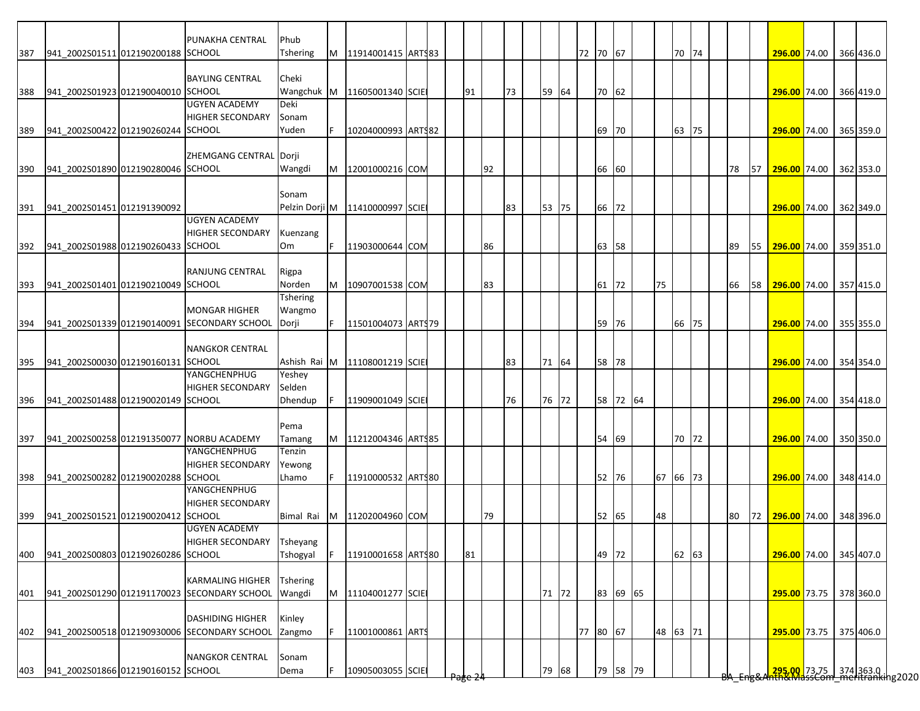|     |                                    | PUNAKHA CENTRAL                              | Phub            |    |                             |  |                    |    |    |       |          |       |          |          |       |  |    |    |                        |  |           |
|-----|------------------------------------|----------------------------------------------|-----------------|----|-----------------------------|--|--------------------|----|----|-------|----------|-------|----------|----------|-------|--|----|----|------------------------|--|-----------|
| 387 | 941 2002S01511 012190200188 SCHOOL |                                              | Tshering        | M  | 11914001415 ARTS83          |  |                    |    |    |       | 72 70 67 |       |          |          | 70 74 |  |    |    | 296.00 74.00           |  | 366 436.0 |
|     |                                    |                                              |                 |    |                             |  |                    |    |    |       |          |       |          |          |       |  |    |    |                        |  |           |
|     |                                    | <b>BAYLING CENTRAL</b>                       | Cheki           |    |                             |  |                    |    |    |       |          |       |          |          |       |  |    |    |                        |  |           |
| 388 | 941 2002S01923 012190040010 SCHOOL |                                              |                 |    | Wangchuk M 11605001340 SCIE |  | 91                 |    | 73 | 59 64 |          | 70 62 |          |          |       |  |    |    | 296.00 74.00           |  | 366 419.0 |
|     |                                    | <b>UGYEN ACADEMY</b>                         | Deki            |    |                             |  |                    |    |    |       |          |       |          |          |       |  |    |    |                        |  |           |
|     |                                    | <b>HIGHER SECONDARY</b>                      | Sonam           |    |                             |  |                    |    |    |       |          |       |          |          |       |  |    |    |                        |  |           |
| 389 | 941 2002S00422 012190260244 SCHOOL |                                              | Yuden           |    | 10204000993 ARTS82          |  |                    |    |    |       |          | 69    | 70       |          | 63 75 |  |    |    | 296.00 74.00           |  | 365 359.0 |
|     |                                    |                                              |                 |    |                             |  |                    |    |    |       |          |       |          |          |       |  |    |    |                        |  |           |
|     |                                    | ZHEMGANG CENTRAL Dorji                       |                 |    |                             |  |                    |    |    |       |          |       |          |          |       |  |    |    |                        |  |           |
| 390 | 941 2002S01890 012190280046 SCHOOL |                                              | Wangdi          |    | M 12001000216 COM           |  |                    | 92 |    |       |          | 66 60 |          |          |       |  | 78 | 57 | 296.00 74.00           |  | 362 353.0 |
|     |                                    |                                              |                 |    |                             |  |                    |    |    |       |          |       |          |          |       |  |    |    |                        |  |           |
|     |                                    |                                              | Sonam           |    |                             |  |                    |    |    |       |          |       |          |          |       |  |    |    |                        |  |           |
| 391 | 941 2002S01451 012191390092        |                                              | Pelzin Dorji M  |    | 11410000997 SCIE            |  |                    |    | 83 | 53 75 |          | 66    | 72       |          |       |  |    |    | 296.00 74.00           |  | 362 349.0 |
|     |                                    | <b>UGYEN ACADEMY</b>                         |                 |    |                             |  |                    |    |    |       |          |       |          |          |       |  |    |    |                        |  |           |
|     |                                    | <b>HIGHER SECONDARY</b>                      | Kuenzang        |    |                             |  |                    |    |    |       |          |       |          |          |       |  |    |    |                        |  |           |
| 392 | 941_2002S01988 012190260433 SCHOOL |                                              | Om              | F. | 11903000644 COM             |  |                    | 86 |    |       |          | 63 58 |          |          |       |  | 89 |    | 55 296.00 74.00        |  | 359 351.0 |
|     |                                    |                                              |                 |    |                             |  |                    |    |    |       |          |       |          |          |       |  |    |    |                        |  |           |
|     |                                    | RANJUNG CENTRAL                              | Rigpa           |    |                             |  |                    |    |    |       |          |       |          |          |       |  |    |    |                        |  |           |
| 393 | 941 2002S01401 012190210049 SCHOOL |                                              | Norden          | M  | 10907001538 COM             |  |                    | 83 |    |       |          | 61    | 72       | 75       |       |  | 66 | 58 | 296.00 74.00           |  | 357 415.0 |
|     |                                    |                                              | Tshering        |    |                             |  |                    |    |    |       |          |       |          |          |       |  |    |    |                        |  |           |
|     |                                    | <b>MONGAR HIGHER</b>                         | Wangmo          |    |                             |  |                    |    |    |       |          |       |          |          |       |  |    |    |                        |  |           |
| 394 |                                    | 941_2002S01339 012190140091 SECONDARY SCHOOL | Dorji           | F. | 11501004073 ARTS79          |  |                    |    |    |       |          | 59 76 |          |          | 66 75 |  |    |    | 296.00 74.00           |  | 355 355.0 |
|     |                                    |                                              |                 |    |                             |  |                    |    |    |       |          |       |          |          |       |  |    |    |                        |  |           |
|     |                                    | <b>NANGKOR CENTRAL</b>                       |                 |    |                             |  |                    |    |    |       |          |       |          |          |       |  |    |    |                        |  |           |
| 395 | 941 2002S00030 012190160131 SCHOOL |                                              | Ashish Rai M    |    | 11108001219 SCIE            |  |                    |    | 83 | 71 64 |          | 58 78 |          |          |       |  |    |    | 296.00 74.00           |  | 354 354.0 |
|     |                                    | YANGCHENPHUG                                 | Yeshey          |    |                             |  |                    |    |    |       |          |       |          |          |       |  |    |    |                        |  |           |
|     |                                    | <b>HIGHER SECONDARY</b>                      | Selden          |    |                             |  |                    |    |    |       |          |       |          |          |       |  |    |    |                        |  |           |
| 396 | 941_2002S01488 012190020149 SCHOOL |                                              | Dhendup         |    | 11909001049 SCIE            |  |                    |    | 76 | 76 72 |          |       | 58 72 64 |          |       |  |    |    | 296.00 74.00           |  | 354 418.0 |
|     |                                    |                                              |                 |    |                             |  |                    |    |    |       |          |       |          |          |       |  |    |    |                        |  |           |
|     |                                    |                                              | Pema            |    |                             |  |                    |    |    |       |          |       |          |          |       |  |    |    |                        |  |           |
| 397 |                                    | 941_2002S00258 012191350077 NORBU ACADEMY    | Tamang          |    | M   11212004346   ARTS85    |  |                    |    |    |       |          | 54 69 |          |          | 70 72 |  |    |    | 296.00 74.00           |  | 350 350.0 |
|     |                                    | YANGCHENPHUG                                 | Tenzin          |    |                             |  |                    |    |    |       |          |       |          |          |       |  |    |    |                        |  |           |
|     |                                    | <b>HIGHER SECONDARY</b>                      | Yewong          |    |                             |  |                    |    |    |       |          |       |          |          |       |  |    |    |                        |  |           |
| 398 | 941_2002S00282 012190020288 SCHOOL |                                              | Lhamo           | F  | 11910000532 ARTS80          |  |                    |    |    |       |          | 52 76 |          | 67 66 73 |       |  |    |    | 296.00 74.00           |  | 348 414.0 |
|     |                                    | <b>YANGCHENPHUG</b>                          |                 |    |                             |  |                    |    |    |       |          |       |          |          |       |  |    |    |                        |  |           |
|     |                                    | <b>HIGHER SECONDARY</b>                      |                 |    |                             |  |                    |    |    |       |          |       |          |          |       |  |    |    |                        |  |           |
| 399 | 941_2002S01521 012190020412 SCHOOL |                                              | Bimal Rai       | M  | 11202004960 COM             |  |                    | 79 |    |       |          | 52 65 |          | 48       |       |  | 80 | 72 | 296.00 74.00           |  | 348 396.0 |
|     |                                    | <b>UGYEN ACADEMY</b>                         |                 |    |                             |  |                    |    |    |       |          |       |          |          |       |  |    |    |                        |  |           |
|     |                                    | HIGHER SECONDARY                             | Tsheyang        |    |                             |  |                    |    |    |       |          |       |          |          |       |  |    |    |                        |  |           |
| 400 | 941 2002S00803 012190260286 SCHOOL |                                              | Tshogyal        |    | 11910001658 ARTS80          |  | 81                 |    |    |       |          | 49 72 |          |          | 62 63 |  |    |    | 296.00 74.00           |  | 345 407.0 |
|     |                                    |                                              |                 |    |                             |  |                    |    |    |       |          |       |          |          |       |  |    |    |                        |  |           |
|     |                                    | <b>KARMALING HIGHER</b>                      | <b>Tshering</b> |    |                             |  |                    |    |    |       |          |       |          |          |       |  |    |    |                        |  |           |
| 401 |                                    | 941_2002S01290 012191170023 SECONDARY SCHOOL | Wangdi          | M  | 11104001277 SCIE            |  |                    |    |    | 71 72 |          |       | 83 69 65 |          |       |  |    |    | 295.00 73.75 378 360.0 |  |           |
|     |                                    |                                              |                 |    |                             |  |                    |    |    |       |          |       |          |          |       |  |    |    |                        |  |           |
|     |                                    | <b>DASHIDING HIGHER</b>                      | Kinley          |    |                             |  |                    |    |    |       |          |       |          |          |       |  |    |    |                        |  |           |
| 402 |                                    | 941_2002S00518 012190930006 SECONDARY SCHOOL | Zangmo          |    | 11001000861 ARTS            |  |                    |    |    |       | 77 80 67 |       |          | 48 63 71 |       |  |    |    | 295.00 73.75           |  | 375 406.0 |
|     |                                    |                                              |                 |    |                             |  |                    |    |    |       |          |       |          |          |       |  |    |    |                        |  |           |
|     |                                    | <b>NANGKOR CENTRAL</b>                       | Sonam           |    |                             |  |                    |    |    |       |          |       |          |          |       |  |    |    |                        |  |           |
| 403 | 941_2002S01866 012190160152 SCHOOL |                                              | Dema            |    | 10905003055 SCIE            |  |                    |    |    | 79 68 |          |       | 79 58 79 |          |       |  |    |    |                        |  |           |
|     |                                    |                                              |                 |    |                             |  | <del>'age z'</del> |    |    |       |          |       |          |          |       |  |    |    |                        |  |           |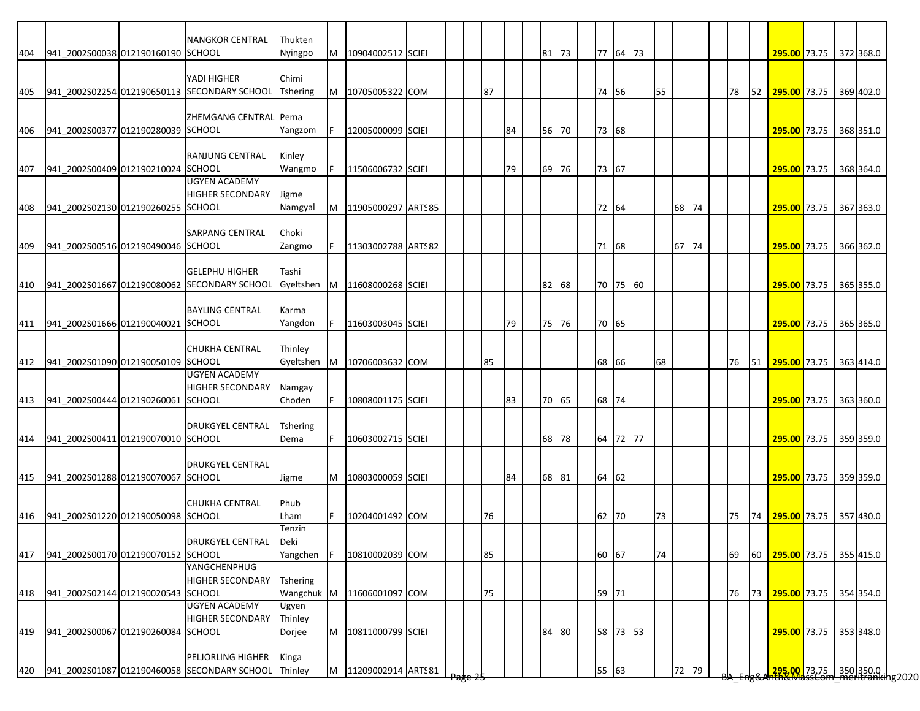|     |                                    | <b>NANGKOR CENTRAL</b>                       | Thukten     |   |                          |  |    |    |       |       |          |    |       |    |    |    |                                                                      |  |           |
|-----|------------------------------------|----------------------------------------------|-------------|---|--------------------------|--|----|----|-------|-------|----------|----|-------|----|----|----|----------------------------------------------------------------------|--|-----------|
| 404 | 941 2002S00038 012190160190 SCHOOL |                                              | Nyingpo     | M | 10904002512 SCIE         |  |    |    | 81 73 |       | 77 64 73 |    |       |    |    |    | 295.00 73.75 372 368.0                                               |  |           |
|     |                                    |                                              |             |   |                          |  |    |    |       |       |          |    |       |    |    |    |                                                                      |  |           |
|     |                                    | YADI HIGHER                                  | Chimi       |   |                          |  |    |    |       |       |          |    |       |    |    |    |                                                                      |  |           |
| 405 |                                    | 941_2002S02254 012190650113 SECONDARY SCHOOL | Tshering    |   | M 10705005322 COM        |  | 87 |    |       | 74 56 |          | 55 |       |    | 78 | 52 | 295.00 73.75                                                         |  | 369 402.0 |
|     |                                    |                                              |             |   |                          |  |    |    |       |       |          |    |       |    |    |    |                                                                      |  |           |
|     |                                    | ZHEMGANG CENTRAL Pema                        |             |   |                          |  |    |    |       |       |          |    |       |    |    |    |                                                                      |  |           |
| 406 | 941 2002S00377 012190280039 SCHOOL |                                              | Yangzom     |   | 12005000099 SCIE         |  |    | 84 | 56 70 | 73 68 |          |    |       |    |    |    | <b>295.00</b> 73.75                                                  |  | 368 351.0 |
|     |                                    | RANJUNG CENTRAL                              | Kinley      |   |                          |  |    |    |       |       |          |    |       |    |    |    |                                                                      |  |           |
|     | 941_2002S00409 012190210024 SCHOOL |                                              |             |   |                          |  |    | 79 |       |       |          |    |       |    |    |    |                                                                      |  | 368 364.0 |
| 407 |                                    | <b>UGYEN ACADEMY</b>                         | Wangmo      |   | 11506006732 SCIE         |  |    |    | 69 76 | 73 67 |          |    |       |    |    |    | 295.00 73.75                                                         |  |           |
|     |                                    | <b>HIGHER SECONDARY</b>                      | Jigme       |   |                          |  |    |    |       |       |          |    |       |    |    |    |                                                                      |  |           |
|     |                                    |                                              |             |   |                          |  |    |    |       |       |          |    |       |    |    |    |                                                                      |  |           |
| 408 | 941 2002S02130 012190260255 SCHOOL |                                              | Namgyal     | M | 11905000297 ARTS85       |  |    |    |       | 72 64 |          |    | 68 74 |    |    |    | 295.00 73.75                                                         |  | 367 363.0 |
|     |                                    |                                              | Choki       |   |                          |  |    |    |       |       |          |    |       |    |    |    |                                                                      |  |           |
|     | 941 2002S00516 012190490046 SCHOOL | <b>SARPANG CENTRAL</b>                       |             |   |                          |  |    |    |       |       |          |    | 67    | 74 |    |    | 295.00 73.75                                                         |  |           |
| 409 |                                    |                                              | Zangmo      |   | 11303002788 ART\$82      |  |    |    |       | 71 68 |          |    |       |    |    |    |                                                                      |  | 366 362.0 |
|     |                                    | <b>GELEPHU HIGHER</b>                        | Tashi       |   |                          |  |    |    |       |       |          |    |       |    |    |    |                                                                      |  |           |
|     |                                    | 941_2002S01667 012190080062 SECONDARY SCHOOL | Gyeltshen   | M |                          |  |    |    | 82 68 |       | 70 75 60 |    |       |    |    |    | 295.00 73.75                                                         |  | 365 355.0 |
| 410 |                                    |                                              |             |   | 11608000268 SCIE         |  |    |    |       |       |          |    |       |    |    |    |                                                                      |  |           |
|     |                                    | <b>BAYLING CENTRAL</b>                       |             |   |                          |  |    |    |       |       |          |    |       |    |    |    |                                                                      |  |           |
|     |                                    |                                              | Karma       |   |                          |  |    |    |       |       |          |    |       |    |    |    |                                                                      |  |           |
| 411 | 941 2002S01666 012190040021 SCHOOL |                                              | Yangdon     |   | 11603003045 SCIE         |  |    | 79 | 75 76 | 70 65 |          |    |       |    |    |    | 295.00 73.75                                                         |  | 365 365.0 |
|     |                                    | <b>CHUKHA CENTRAL</b>                        |             |   |                          |  |    |    |       |       |          |    |       |    |    |    |                                                                      |  |           |
|     |                                    |                                              | Thinley     |   |                          |  |    |    |       |       |          |    |       |    |    |    |                                                                      |  |           |
| 412 | 941 2002S01090 012190050109 SCHOOL | <b>UGYEN ACADEMY</b>                         | Gyeltshen M |   | 10706003632 COM          |  | 85 |    |       | 68 66 |          | 68 |       |    | 76 | 51 | 295.00 73.75                                                         |  | 363 414.0 |
|     |                                    | <b>HIGHER SECONDARY</b>                      |             |   |                          |  |    |    |       |       |          |    |       |    |    |    |                                                                      |  |           |
|     |                                    |                                              | Namgay      |   |                          |  |    |    |       |       |          |    |       |    |    |    |                                                                      |  |           |
| 413 | 941_2002S00444 012190260061 SCHOOL |                                              | Choden      |   | 10808001175 SCIE         |  |    | 83 | 70 65 | 68 74 |          |    |       |    |    |    | 295.00 73.75                                                         |  | 363 360.0 |
|     |                                    |                                              |             |   |                          |  |    |    |       |       |          |    |       |    |    |    |                                                                      |  |           |
|     |                                    | <b>DRUKGYEL CENTRAL</b>                      | Tshering    |   |                          |  |    |    |       |       |          |    |       |    |    |    |                                                                      |  |           |
| 414 | 941_2002S00411 012190070010 SCHOOL |                                              | Dema        |   | 10603002715 SCIE         |  |    |    | 68 78 |       | 64 72 77 |    |       |    |    |    | 295.00 73.75 359 359.0                                               |  |           |
|     |                                    |                                              |             |   |                          |  |    |    |       |       |          |    |       |    |    |    |                                                                      |  |           |
|     |                                    | <b>DRUKGYEL CENTRAL</b>                      |             |   |                          |  |    |    |       |       |          |    |       |    |    |    |                                                                      |  |           |
| 415 | 941_2002S01288 012190070067 SCHOOL |                                              | Jigme       | M | 10803000059 SCIE         |  |    | 84 | 68 81 | 64 62 |          |    |       |    |    |    | 295.00 73.75                                                         |  | 359 359.0 |
|     |                                    |                                              |             |   |                          |  |    |    |       |       |          |    |       |    |    |    |                                                                      |  |           |
|     |                                    | <b>CHUKHA CENTRAL</b>                        | Phub        |   |                          |  |    |    |       |       |          |    |       |    |    |    |                                                                      |  |           |
| 416 | 941 2002S01220 012190050098 SCHOOL |                                              | Lham        |   | 10204001492 COM          |  | 76 |    |       | 62 70 |          | 73 |       |    | 75 | 74 | 295.00 73.75                                                         |  | 357 430.0 |
|     |                                    |                                              | Tenzin      |   |                          |  |    |    |       |       |          |    |       |    |    |    |                                                                      |  |           |
|     |                                    | DRUKGYEL CENTRAL                             | Deki        |   |                          |  |    |    |       |       |          |    |       |    |    |    |                                                                      |  |           |
| 417 | 941_2002S00170 012190070152 SCHOOL |                                              | Yangchen    |   | 10810002039 COM          |  | 85 |    |       | 60 67 |          | 74 |       |    | 69 | 60 | 295.00 73.75 355 415.0                                               |  |           |
|     |                                    | YANGCHENPHUG                                 |             |   |                          |  |    |    |       |       |          |    |       |    |    |    |                                                                      |  |           |
|     |                                    | <b>HIGHER SECONDARY</b>                      | Tshering    |   |                          |  |    |    |       |       |          |    |       |    |    |    |                                                                      |  |           |
| 418 | 941_2002S02144 012190020543 SCHOOL |                                              | Wangchuk M  |   | 11606001097 COM          |  | 75 |    |       | 59 71 |          |    |       |    | 76 | 73 | 295.00 73.75                                                         |  | 354 354.0 |
|     |                                    | <b>UGYEN ACADEMY</b>                         | Ugyen       |   |                          |  |    |    |       |       |          |    |       |    |    |    |                                                                      |  |           |
|     |                                    | <b>HIGHER SECONDARY</b>                      | Thinley     |   |                          |  |    |    |       |       |          |    |       |    |    |    |                                                                      |  |           |
| 419 | 941_2002S00067 012190260084 SCHOOL |                                              | Dorjee      | M | 10811000799 SCIE         |  |    |    | 84 80 |       | 58 73 53 |    |       |    |    |    | 295.00 73.75                                                         |  | 353 348.0 |
|     |                                    |                                              |             |   |                          |  |    |    |       |       |          |    |       |    |    |    |                                                                      |  |           |
|     |                                    | PELJORLING HIGHER                            | Kinga       |   |                          |  |    |    |       |       |          |    |       |    |    |    |                                                                      |  |           |
| 420 |                                    | 941 2002S01087 012190460058 SECONDARY SCHOOL | Thinley     |   | M   11209002914   ARTS81 |  |    |    |       | 55 63 |          |    | 72 79 |    |    |    | <mark>295.00 </mark> 73.75 350 350.0<br>hth&MassCom meritranking2020 |  |           |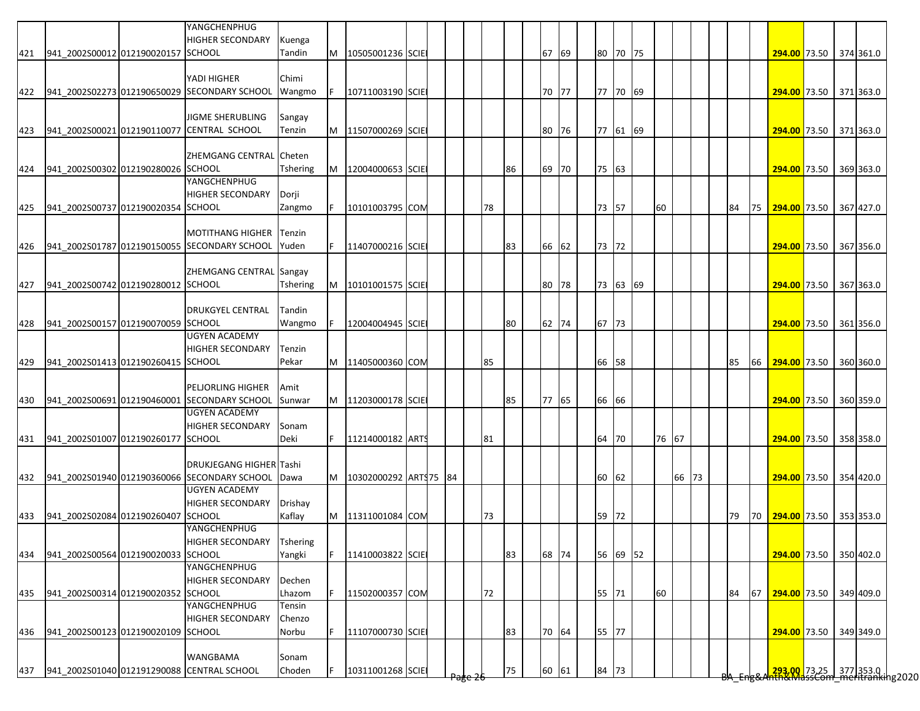|     |                                        | YANGCHENPHUG<br><b>HIGHER SECONDARY</b>                                  | Kuenga          |   |                        |  |    |    |       |    |       |          |       |       |  |    |    |                           |  |  |
|-----|----------------------------------------|--------------------------------------------------------------------------|-----------------|---|------------------------|--|----|----|-------|----|-------|----------|-------|-------|--|----|----|---------------------------|--|--|
|     | 421 941_2002S00012 012190020157 SCHOOL |                                                                          | Tandin          | M | 10505001236 SCIE       |  |    |    | 67 69 | 80 |       | 70 75    |       |       |  |    |    | 294.00 73.50 374 361.0    |  |  |
|     |                                        |                                                                          |                 |   |                        |  |    |    |       |    |       |          |       |       |  |    |    |                           |  |  |
|     |                                        | YADI HIGHER                                                              | Chimi           |   |                        |  |    |    |       |    |       |          |       |       |  |    |    |                           |  |  |
|     |                                        | 422 941_2002S02273 012190650029 SECONDARY SCHOOL                         | Wangmo          |   | 10711003190 SCIE       |  |    |    | 70 77 |    |       | 77 70 69 |       |       |  |    |    | 294.00 73.50 371 363.0    |  |  |
|     |                                        |                                                                          |                 |   |                        |  |    |    |       |    |       |          |       |       |  |    |    |                           |  |  |
|     |                                        | <b>JIGME SHERUBLING</b><br>941_2002S00021 012190110077 CENTRAL SCHOOL    | Sangay          |   |                        |  |    |    |       |    |       |          |       |       |  |    |    |                           |  |  |
| 423 |                                        |                                                                          | Tenzin          | M | 11507000269 SCIE       |  |    |    | 80 76 |    |       | 77 61 69 |       |       |  |    |    | 294.00 73.50 371 363.0    |  |  |
|     |                                        | ZHEMGANG CENTRAL Cheten                                                  |                 |   |                        |  |    |    |       |    |       |          |       |       |  |    |    |                           |  |  |
| 424 | 941_2002S00302 012190280026 SCHOOL     |                                                                          | Tshering        | M | 12004000653 SCIE       |  |    | 86 | 69 70 |    | 75 63 |          |       |       |  |    |    | 294.00 73.50 369 363.0    |  |  |
|     |                                        | YANGCHENPHUG                                                             |                 |   |                        |  |    |    |       |    |       |          |       |       |  |    |    |                           |  |  |
|     |                                        | <b>HIGHER SECONDARY</b>                                                  | Dorji           |   |                        |  |    |    |       |    |       |          |       |       |  |    |    |                           |  |  |
| 425 | 941 2002S00737 012190020354 SCHOOL     |                                                                          | Zangmo          |   | 10101003795 COM        |  | 78 |    |       |    | 73 57 |          | 60    |       |  | 84 | 75 | 294.00 73.50 367 427.0    |  |  |
|     |                                        |                                                                          |                 |   |                        |  |    |    |       |    |       |          |       |       |  |    |    |                           |  |  |
|     |                                        | <b>MOTITHANG HIGHER</b>                                                  | Tenzin          |   |                        |  |    |    |       |    |       |          |       |       |  |    |    |                           |  |  |
| 426 |                                        | 941_2002S01787 012190150055 SECONDARY SCHOOL                             | Yuden           |   | 11407000216 SCIE       |  |    | 83 | 66 62 |    | 73 72 |          |       |       |  |    |    | 294.00 73.50 367 356.0    |  |  |
|     |                                        |                                                                          |                 |   |                        |  |    |    |       |    |       |          |       |       |  |    |    |                           |  |  |
|     |                                        | ZHEMGANG CENTRAL Sangay                                                  |                 |   |                        |  |    |    |       |    |       |          |       |       |  |    |    |                           |  |  |
| 427 | 941 2002S00742 012190280012 SCHOOL     |                                                                          | Tshering        | M | 10101001575 SCIE       |  |    |    | 80 78 |    |       | 73 63 69 |       |       |  |    |    | 294.00 73.50 367 363.0    |  |  |
|     |                                        |                                                                          |                 |   |                        |  |    |    |       |    |       |          |       |       |  |    |    |                           |  |  |
|     |                                        | <b>DRUKGYEL CENTRAL</b>                                                  | Tandin          |   |                        |  |    |    |       |    |       |          |       |       |  |    |    |                           |  |  |
| 428 | 941_2002S00157 012190070059 SCHOOL     |                                                                          | Wangmo          |   | 12004004945 SCIE       |  |    | 80 | 62 74 |    | 67 73 |          |       |       |  |    |    | 294.00 73.50 361 356.0    |  |  |
|     |                                        | <b>UGYEN ACADEMY</b>                                                     |                 |   |                        |  |    |    |       |    |       |          |       |       |  |    |    |                           |  |  |
|     |                                        | <b>HIGHER SECONDARY</b>                                                  | Tenzin          |   |                        |  |    |    |       |    |       |          |       |       |  |    |    |                           |  |  |
| 429 | 941 2002S01413 012190260415 SCHOOL     |                                                                          | Pekar           | M | 11405000360 COM        |  | 85 |    |       |    | 66 58 |          |       |       |  | 85 | 66 | 294.00 73.50 360 360.0    |  |  |
|     |                                        |                                                                          |                 |   |                        |  |    |    |       |    |       |          |       |       |  |    |    |                           |  |  |
|     |                                        | <b>PELJORLING HIGHER</b>                                                 | Amit            |   |                        |  |    |    |       |    |       |          |       |       |  |    |    |                           |  |  |
| 430 |                                        | 941_2002S00691 012190460001 SECONDARY SCHOOL                             | Sunwar          | M | 11203000178 SCIE       |  |    | 85 | 77 65 |    | 66 66 |          |       |       |  |    |    | 294.00 73.50 360 359.0    |  |  |
|     |                                        | <b>UGYEN ACADEMY</b>                                                     |                 |   |                        |  |    |    |       |    |       |          |       |       |  |    |    |                           |  |  |
|     |                                        | <b>HIGHER SECONDARY</b>                                                  | Sonam           |   |                        |  |    |    |       |    |       |          |       |       |  |    |    |                           |  |  |
| 431 | 941 2002S01007 012190260177 SCHOOL     |                                                                          | Deki            |   | 11214000182 ARTS       |  | 81 |    |       | 64 | 70    |          | 76 67 |       |  |    |    | 294.00 73.50 358 358.0    |  |  |
|     |                                        |                                                                          |                 |   |                        |  |    |    |       |    |       |          |       |       |  |    |    |                           |  |  |
|     |                                        | <b>DRUKJEGANG HIGHER Tashi</b>                                           |                 |   |                        |  |    |    |       | 60 |       |          |       | 66 73 |  |    |    |                           |  |  |
|     |                                        | 432 941_2002S01940 012190360066 SECONDARY SCHOOL<br><b>UGYEN ACADEMY</b> | Dawa            | M | 10302000292 ARTS 75 84 |  |    |    |       |    | 62    |          |       |       |  |    |    | 294.00 73.50 354 420.0    |  |  |
|     |                                        | <b>HIGHER SECONDARY</b>                                                  | Drishay         |   |                        |  |    |    |       |    |       |          |       |       |  |    |    |                           |  |  |
| 433 | 941 2002S02084 012190260407            | <b>SCHOOL</b>                                                            | Kaflay          | M | 11311001084 COM        |  | 73 |    |       | 59 | 72    |          |       |       |  | 79 |    | 70 294.00 73.50 353 353.0 |  |  |
|     |                                        | YANGCHENPHUG                                                             |                 |   |                        |  |    |    |       |    |       |          |       |       |  |    |    |                           |  |  |
|     |                                        | <b>HIGHER SECONDARY</b>                                                  | <b>Tshering</b> |   |                        |  |    |    |       |    |       |          |       |       |  |    |    |                           |  |  |
| 434 | 941 2002S00564 012190020033 SCHOOL     |                                                                          | Yangki          |   | 11410003822 SCIE       |  |    | 83 | 68 74 |    |       | 56 69 52 |       |       |  |    |    | 294.00 73.50 350 402.0    |  |  |
|     |                                        | YANGCHENPHUG                                                             |                 |   |                        |  |    |    |       |    |       |          |       |       |  |    |    |                           |  |  |
|     |                                        | <b>HIGHER SECONDARY</b>                                                  | Dechen          |   |                        |  |    |    |       |    |       |          |       |       |  |    |    |                           |  |  |
| 435 | 941_2002S00314 012190020352 SCHOOL     |                                                                          | Lhazom          |   | 11502000357 COM        |  | 72 |    |       |    | 55 71 |          | 60    |       |  | 84 | 67 | 294.00 73.50 349 409.0    |  |  |
|     |                                        | YANGCHENPHUG                                                             | Tensin          |   |                        |  |    |    |       |    |       |          |       |       |  |    |    |                           |  |  |
|     |                                        | <b>HIGHER SECONDARY</b>                                                  | Chenzo          |   |                        |  |    |    |       |    |       |          |       |       |  |    |    |                           |  |  |
| 436 | 941_2002S00123 012190020109 SCHOOL     |                                                                          | Norbu           |   | 11107000730 SCIE       |  |    | 83 | 70 64 |    | 55 77 |          |       |       |  |    |    | 294.00 73.50 349 349.0    |  |  |
|     |                                        |                                                                          |                 |   |                        |  |    |    |       |    |       |          |       |       |  |    |    |                           |  |  |
|     |                                        | <b>WANGBAMA</b>                                                          | Sonam           |   |                        |  |    |    |       |    |       |          |       |       |  |    |    |                           |  |  |
| 437 |                                        | 941_2002S01040 012191290088 CENTRAL SCHOOL                               | Choden          |   | 10311001268 SCIE       |  |    | 75 | 60 61 |    | 84 73 |          |       |       |  |    |    |                           |  |  |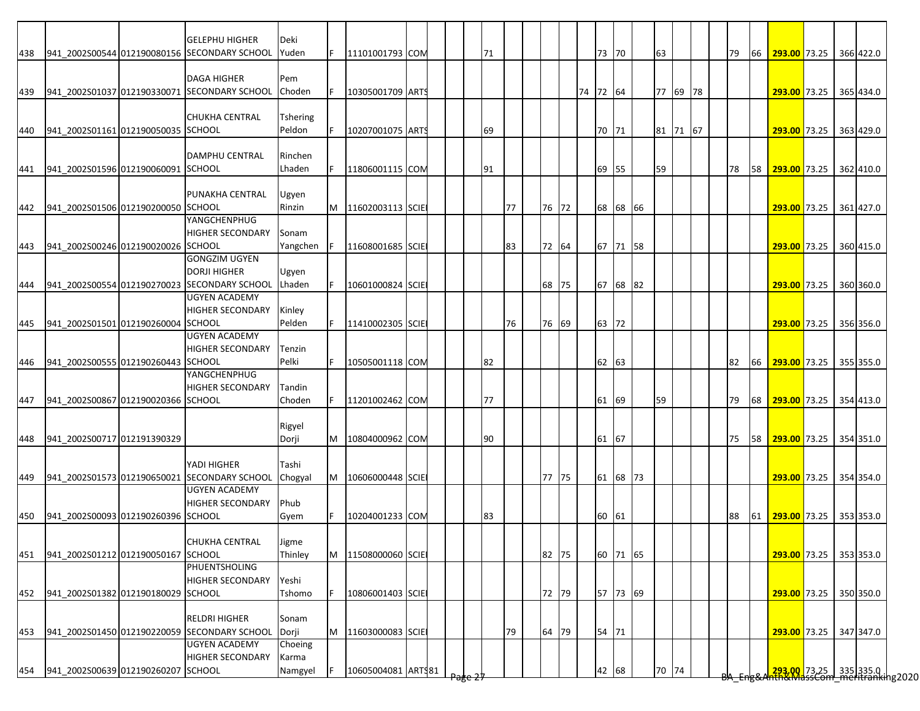|     |                                        | <b>GELEPHU HIGHER</b>                        | Deki            |   |                    |  |     |    |    |       |          |       |          |    |          |  |    |    |                           |  |           |
|-----|----------------------------------------|----------------------------------------------|-----------------|---|--------------------|--|-----|----|----|-------|----------|-------|----------|----|----------|--|----|----|---------------------------|--|-----------|
| 438 |                                        | 941 2002S00544 012190080156 SECONDARY SCHOOL | Yuden           |   | 11101001793 COM    |  |     | 71 |    |       |          | 73 70 |          | 63 |          |  | 79 | 66 | 293.00 73.25              |  | 366 422.0 |
|     |                                        |                                              |                 |   |                    |  |     |    |    |       |          |       |          |    |          |  |    |    |                           |  |           |
|     |                                        | <b>DAGA HIGHER</b>                           | Pem             |   |                    |  |     |    |    |       |          |       |          |    |          |  |    |    |                           |  |           |
| 439 |                                        | 941_2002S01037 012190330071 SECONDARY SCHOOL | Choden          |   | 10305001709 ARTS   |  |     |    |    |       | 74 72 64 |       |          |    | 77 69 78 |  |    |    | 293.00 73.25 365 434.0    |  |           |
|     |                                        |                                              |                 |   |                    |  |     |    |    |       |          |       |          |    |          |  |    |    |                           |  |           |
|     |                                        | <b>CHUKHA CENTRAL</b>                        | <b>Tshering</b> |   |                    |  |     |    |    |       |          |       |          |    |          |  |    |    |                           |  |           |
| 440 | 941_2002S01161 012190050035 SCHOOL     |                                              | Peldon          |   | 10207001075 ARTS   |  |     | 69 |    |       |          | 70 71 |          |    | 81 71 67 |  |    |    | 293.00 73.25              |  | 363 429.0 |
|     |                                        |                                              |                 |   |                    |  |     |    |    |       |          |       |          |    |          |  |    |    |                           |  |           |
|     |                                        | <b>DAMPHU CENTRAL</b>                        | Rinchen         |   |                    |  |     |    |    |       |          |       |          |    |          |  |    |    |                           |  |           |
| 441 | 941 2002S01596 012190060091 SCHOOL     |                                              | Lhaden          |   | 11806001115 COM    |  |     | 91 |    |       |          | 69 55 |          | 59 |          |  | 78 | 58 | 293.00 73.25 362 410.0    |  |           |
|     |                                        |                                              |                 |   |                    |  |     |    |    |       |          |       |          |    |          |  |    |    |                           |  |           |
|     |                                        | PUNAKHA CENTRAL                              | Ugyen           |   |                    |  |     |    |    |       |          |       |          |    |          |  |    |    |                           |  |           |
|     |                                        |                                              |                 |   |                    |  |     |    |    |       |          |       |          |    |          |  |    |    |                           |  |           |
| 442 | 941 2002S01506 012190200050 SCHOOL     |                                              | Rinzin          | M | 11602003113 SCIE   |  |     |    | 77 | 76 72 |          |       | 68 68 66 |    |          |  |    |    | 293.00 73.25              |  | 361 427.0 |
|     |                                        | YANGCHENPHUG                                 |                 |   |                    |  |     |    |    |       |          |       |          |    |          |  |    |    |                           |  |           |
|     |                                        | <b>HIGHER SECONDARY</b>                      | Sonam           |   |                    |  |     |    |    |       |          |       |          |    |          |  |    |    |                           |  |           |
| 443 | 941 2002S00246 012190020026 SCHOOL     |                                              | Yangchen        |   | 11608001685 SCIE   |  |     |    | 83 | 72 64 |          |       | 67 71 58 |    |          |  |    |    | 293.00 73.25              |  | 360 415.0 |
|     |                                        | GONGZIM UGYEN                                |                 |   |                    |  |     |    |    |       |          |       |          |    |          |  |    |    |                           |  |           |
|     |                                        | <b>DORJI HIGHER</b>                          | Ugyen           |   |                    |  |     |    |    |       |          |       |          |    |          |  |    |    |                           |  |           |
| 444 |                                        | 941 2002S00554 012190270023 SECONDARY SCHOOL | Lhaden          |   | 10601000824 SCIE   |  |     |    |    | 68 75 |          |       | 67 68 82 |    |          |  |    |    | 293.00 73.25              |  | 360 360.0 |
|     |                                        | <b>UGYEN ACADEMY</b>                         |                 |   |                    |  |     |    |    |       |          |       |          |    |          |  |    |    |                           |  |           |
|     |                                        | <b>HIGHER SECONDARY</b>                      | Kinley          |   |                    |  |     |    |    |       |          |       |          |    |          |  |    |    |                           |  |           |
| 445 | 941 2002S01501 012190260004            | <b>SCHOOL</b>                                | Pelden          |   | 11410002305 SCIE   |  |     |    | 76 | 76 69 |          | 63 72 |          |    |          |  |    |    | 293.00 73.25              |  | 356 356.0 |
|     |                                        | <b>UGYEN ACADEMY</b>                         |                 |   |                    |  |     |    |    |       |          |       |          |    |          |  |    |    |                           |  |           |
|     |                                        | <b>HIGHER SECONDARY</b>                      | Tenzin          |   |                    |  |     |    |    |       |          |       |          |    |          |  |    |    |                           |  |           |
| 446 | 941_2002S00555 012190260443 SCHOOL     |                                              | Pelki           |   | 10505001118 COM    |  |     | 82 |    |       |          | 62 63 |          |    |          |  | 82 | 66 | 293.00 73.25              |  | 355 355.0 |
|     |                                        | YANGCHENPHUG                                 |                 |   |                    |  |     |    |    |       |          |       |          |    |          |  |    |    |                           |  |           |
|     |                                        | <b>HIGHER SECONDARY</b>                      | Tandin          |   |                    |  |     |    |    |       |          |       |          |    |          |  |    |    |                           |  |           |
| 447 | 941_2002S00867 012190020366 SCHOOL     |                                              | Choden          |   | 11201002462 COM    |  |     | 77 |    |       |          | 61 69 |          | 59 |          |  | 79 | 68 | 293.00 73.25 354 413.0    |  |           |
|     |                                        |                                              |                 |   |                    |  |     |    |    |       |          |       |          |    |          |  |    |    |                           |  |           |
|     |                                        |                                              | Rigyel          |   |                    |  |     |    |    |       |          |       |          |    |          |  |    |    |                           |  |           |
|     | 941 2002S00717 012191390329            |                                              | Dorji           | M | 10804000962 COM    |  |     | 90 |    |       |          | 61 67 |          |    |          |  | 75 |    | 58 293.00 73.25 354 351.0 |  |           |
| 448 |                                        |                                              |                 |   |                    |  |     |    |    |       |          |       |          |    |          |  |    |    |                           |  |           |
|     |                                        | YADI HIGHER                                  | Tashi           |   |                    |  |     |    |    |       |          |       |          |    |          |  |    |    |                           |  |           |
|     |                                        |                                              |                 |   |                    |  |     |    |    |       |          |       |          |    |          |  |    |    |                           |  |           |
| 449 |                                        | 941_2002S01573 012190650021 SECONDARY SCHOOL | Chogyal         | M | 10606000448 SCIE   |  |     |    |    | 77 75 |          |       | 61 68 73 |    |          |  |    |    | 293.00 73.25 354 354.0    |  |           |
|     |                                        | <b>UGYEN ACADEMY</b>                         |                 |   |                    |  |     |    |    |       |          |       |          |    |          |  |    |    |                           |  |           |
|     |                                        | <b>HIGHER SECONDARY</b>                      | Phub            |   |                    |  |     |    |    |       |          |       |          |    |          |  |    |    |                           |  |           |
| 450 | 941 2002S00093 012190260396 SCHOOL     |                                              | Gyem            |   | 10204001233 COM    |  |     | 83 |    |       |          | 60 61 |          |    |          |  | 88 | 61 | 293.00 73.25              |  | 353 353.0 |
|     |                                        |                                              |                 |   |                    |  |     |    |    |       |          |       |          |    |          |  |    |    |                           |  |           |
|     |                                        | <b>CHUKHA CENTRAL</b>                        | <b>Jigme</b>    |   |                    |  |     |    |    |       |          |       |          |    |          |  |    |    |                           |  |           |
|     | 451 941_2002S01212 012190050167 SCHOOL |                                              | Thinley         | M | 11508000060 SCIE   |  |     |    |    | 82 75 |          |       | 60 71 65 |    |          |  |    |    | 293.00 73.25 353 353.0    |  |           |
|     |                                        | PHUENTSHOLING                                |                 |   |                    |  |     |    |    |       |          |       |          |    |          |  |    |    |                           |  |           |
|     |                                        | <b>HIGHER SECONDARY</b>                      | Yeshi           |   |                    |  |     |    |    |       |          |       |          |    |          |  |    |    |                           |  |           |
| 452 | 941_2002S01382 012190180029 SCHOOL     |                                              | Tshomo          |   | 10806001403 SCIE   |  |     |    |    | 72 79 |          |       | 57 73 69 |    |          |  |    |    | 293.00 73.25              |  | 350 350.0 |
|     |                                        |                                              |                 |   |                    |  |     |    |    |       |          |       |          |    |          |  |    |    |                           |  |           |
|     |                                        | <b>RELDRI HIGHER</b>                         | Sonam           |   |                    |  |     |    |    |       |          |       |          |    |          |  |    |    |                           |  |           |
| 453 |                                        | 941_2002S01450 012190220059 SECONDARY SCHOOL | Dorji           | M | 11603000083 SCIE   |  |     |    | 79 | 64 79 |          | 54 71 |          |    |          |  |    |    | 293.00 73.25              |  | 347 347.0 |
|     |                                        | <b>UGYEN ACADEMY</b>                         | Choeing         |   |                    |  |     |    |    |       |          |       |          |    |          |  |    |    |                           |  |           |
|     |                                        | <b>HIGHER SECONDARY</b>                      | Karma           |   |                    |  |     |    |    |       |          |       |          |    |          |  |    |    |                           |  |           |
|     | 941 2002S00639 012190260207 SCHOOL     |                                              |                 |   |                    |  |     |    |    |       |          |       |          |    |          |  |    |    |                           |  |           |
| 454 |                                        |                                              | Namgyel         |   | 10605004081 ARTS81 |  | चहत |    |    |       |          | 42 68 |          |    | 70 74    |  |    |    |                           |  |           |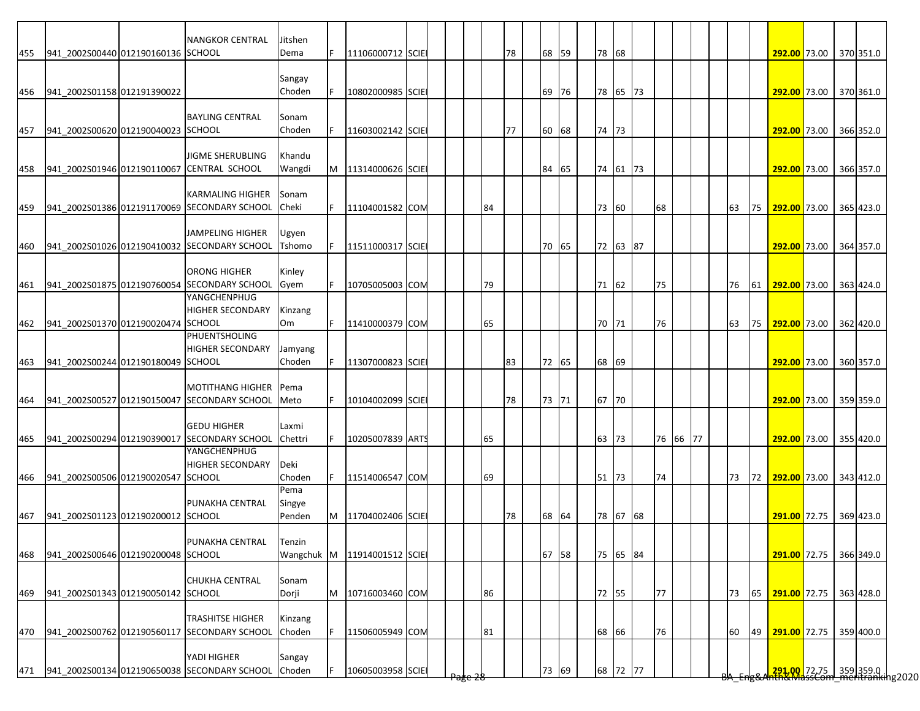| 455 | 941_2002S00440 012190160136 SCHOOL | <b>NANGKOR CENTRAL</b>                                                  | Jitshen<br>Dema | F | 11106000712 SCIE |  |                    |    | 78 | 68 59 | 78 68 |          |          |  |    |    | 292.00 73.00 370 351.0                                                  |  |           |
|-----|------------------------------------|-------------------------------------------------------------------------|-----------------|---|------------------|--|--------------------|----|----|-------|-------|----------|----------|--|----|----|-------------------------------------------------------------------------|--|-----------|
|     |                                    |                                                                         |                 |   |                  |  |                    |    |    |       |       |          |          |  |    |    |                                                                         |  |           |
|     |                                    |                                                                         | Sangay          |   |                  |  |                    |    |    |       |       |          |          |  |    |    |                                                                         |  |           |
| 456 | 941 2002S01158 012191390022        |                                                                         | Choden          |   | 10802000985 SCIE |  |                    |    |    | 69 76 |       | 78 65 73 |          |  |    |    | 292.00 73.00 370 361.0                                                  |  |           |
|     |                                    | <b>BAYLING CENTRAL</b>                                                  | Sonam           |   |                  |  |                    |    |    |       |       |          |          |  |    |    |                                                                         |  |           |
| 457 | 941 2002S00620 012190040023 SCHOOL |                                                                         | Choden          |   | 11603002142 SCIE |  |                    |    | 77 | 60 68 | 74 73 |          |          |  |    |    | 292.00 73.00 366 352.0                                                  |  |           |
|     |                                    |                                                                         |                 |   |                  |  |                    |    |    |       |       |          |          |  |    |    |                                                                         |  |           |
|     |                                    | <b>JIGME SHERUBLING</b>                                                 | Khandu          |   |                  |  |                    |    |    |       |       |          |          |  |    |    |                                                                         |  |           |
| 458 |                                    | 941 2002S01946 012190110067 CENTRAL SCHOOL                              | Wangdi          | M | 11314000626 SCIE |  |                    |    |    | 84 65 |       | 74 61 73 |          |  |    |    | 292.00 73.00 366 357.0                                                  |  |           |
|     |                                    | <b>KARMALING HIGHER</b>                                                 | Sonam           |   |                  |  |                    |    |    |       |       |          |          |  |    |    |                                                                         |  |           |
| 459 |                                    | 941 2002S01386 012191170069 SECONDARY SCHOOL                            | Cheki           |   | 11104001582 COM  |  |                    | 84 |    |       | 73    | 60       | 68       |  | 63 | 75 | 292.00 73.00 365 423.0                                                  |  |           |
|     |                                    |                                                                         |                 |   |                  |  |                    |    |    |       |       |          |          |  |    |    |                                                                         |  |           |
|     |                                    | JAMPELING HIGHER                                                        | Ugyen           |   |                  |  |                    |    |    |       |       |          |          |  |    |    |                                                                         |  |           |
| 460 |                                    | 941 2002S01026 012190410032 SECONDARY SCHOOL                            | Tshomo          |   | 11511000317 SCIE |  |                    |    |    | 70 65 |       | 72 63 87 |          |  |    |    | 292.00 73.00 364 357.0                                                  |  |           |
|     |                                    | <b>ORONG HIGHER</b>                                                     | Kinley          |   |                  |  |                    |    |    |       |       |          |          |  |    |    |                                                                         |  |           |
| 461 |                                    | 941 2002S01875 012190760054 SECONDARY SCHOOL                            | Gyem            |   | 10705005003 COM  |  |                    | 79 |    |       | 71 62 |          | 75       |  | 76 | 61 | 292.00 73.00                                                            |  | 363 424.0 |
|     |                                    | YANGCHENPHUG                                                            |                 |   |                  |  |                    |    |    |       |       |          |          |  |    |    |                                                                         |  |           |
|     | 941 2002S01370 012190020474 SCHOOL | <b>HIGHER SECONDARY</b>                                                 | Kinzang<br>Om   | F | 11410000379 COM  |  |                    | 65 |    |       | 70 71 |          | 76       |  | 63 |    | 75 292.00 73.00 362 420.0                                               |  |           |
| 462 |                                    | PHUENTSHOLING                                                           |                 |   |                  |  |                    |    |    |       |       |          |          |  |    |    |                                                                         |  |           |
|     |                                    | <b>HIGHER SECONDARY</b>                                                 | Jamyang         |   |                  |  |                    |    |    |       |       |          |          |  |    |    |                                                                         |  |           |
| 463 | 941_2002S00244 012190180049 SCHOOL |                                                                         | Choden          |   | 11307000823 SCIE |  |                    |    | 83 | 72 65 | 68 69 |          |          |  |    |    | 292.00 73.00                                                            |  | 360 357.0 |
|     |                                    |                                                                         |                 |   |                  |  |                    |    |    |       |       |          |          |  |    |    |                                                                         |  |           |
| 464 |                                    | <b>MOTITHANG HIGHER</b><br>941_2002S00527 012190150047 SECONDARY SCHOOL | Pema<br>Meto    |   | 10104002099 SCIE |  |                    |    | 78 | 73 71 | 67 70 |          |          |  |    |    | 292.00 73.00 359 359.0                                                  |  |           |
|     |                                    |                                                                         |                 |   |                  |  |                    |    |    |       |       |          |          |  |    |    |                                                                         |  |           |
|     |                                    | <b>GEDU HIGHER</b>                                                      | Laxmi           |   |                  |  |                    |    |    |       |       |          |          |  |    |    |                                                                         |  |           |
| 465 |                                    | 941 2002S00294 012190390017 SECONDARY SCHOOL                            | Chettri         |   | 10205007839 ARTS |  |                    | 65 |    |       | 63 73 |          | 76 66 77 |  |    |    | 292.00 73.00 355 420.0                                                  |  |           |
|     |                                    | YANGCHENPHUG<br><b>HIGHER SECONDARY</b>                                 | Deki            |   |                  |  |                    |    |    |       |       |          |          |  |    |    |                                                                         |  |           |
| 466 | 941_2002S00506 012190020547 SCHOOL |                                                                         | Choden          |   | 11514006547 COM  |  |                    | 69 |    |       | 51 73 |          | 74       |  | 73 |    | 72 292.00 73.00 343 412.0                                               |  |           |
|     |                                    |                                                                         | Pema            |   |                  |  |                    |    |    |       |       |          |          |  |    |    |                                                                         |  |           |
|     |                                    | PUNAKHA CENTRAL                                                         | Singye          |   |                  |  |                    |    |    |       |       |          |          |  |    |    |                                                                         |  |           |
| 467 | 941 2002S01123 012190200012 SCHOOL |                                                                         | Penden          | M | 11704002406 SCIE |  |                    |    | 78 | 68 64 |       | 78 67 68 |          |  |    |    | 291.00 72.75 369 423.0                                                  |  |           |
|     |                                    | PUNAKHA CENTRAL                                                         | Tenzin          |   |                  |  |                    |    |    |       |       |          |          |  |    |    |                                                                         |  |           |
| 468 | 941_2002S00646 012190200048 SCHOOL |                                                                         | Wangchuk M      |   | 11914001512 SCIE |  |                    |    |    | 67 58 |       | 75 65 84 |          |  |    |    | 291.00 72.75 366 349.0                                                  |  |           |
|     |                                    |                                                                         |                 |   |                  |  |                    |    |    |       |       |          |          |  |    |    |                                                                         |  |           |
|     |                                    | <b>CHUKHA CENTRAL</b>                                                   | Sonam           |   |                  |  |                    |    |    |       |       |          |          |  |    |    |                                                                         |  |           |
| 469 | 941 2002S01343 012190050142 SCHOOL |                                                                         | Dorji           | M | 10716003460 COM  |  |                    | 86 |    |       | 72 55 |          | 77       |  | 73 | 65 | 291.00 72.75                                                            |  | 363 428.0 |
|     |                                    | <b>TRASHITSE HIGHER</b>                                                 | Kinzang         |   |                  |  |                    |    |    |       |       |          |          |  |    |    |                                                                         |  |           |
| 470 |                                    | 941_2002S00762 012190560117 SECONDARY SCHOOL                            | Choden          |   | 11506005949 COM  |  |                    | 81 |    |       | 68 66 |          | 76       |  | 60 | 49 | 291.00 72.75                                                            |  | 359 400.0 |
|     |                                    |                                                                         |                 |   |                  |  |                    |    |    |       |       |          |          |  |    |    |                                                                         |  |           |
|     |                                    | YADI HIGHER                                                             | Sangay          |   |                  |  |                    |    |    |       |       |          |          |  |    |    |                                                                         |  |           |
| 471 |                                    | 941 2002S00134 012190650038 SECONDARY SCHOOL                            | Choden          |   | 10605003958 SCIE |  | <del>rage zo</del> |    |    | 73 69 |       | 68 72 77 |          |  |    |    | <mark>.291,00.</mark> 72.75 359 359.0  <br>The MassCom meritranking2020 |  |           |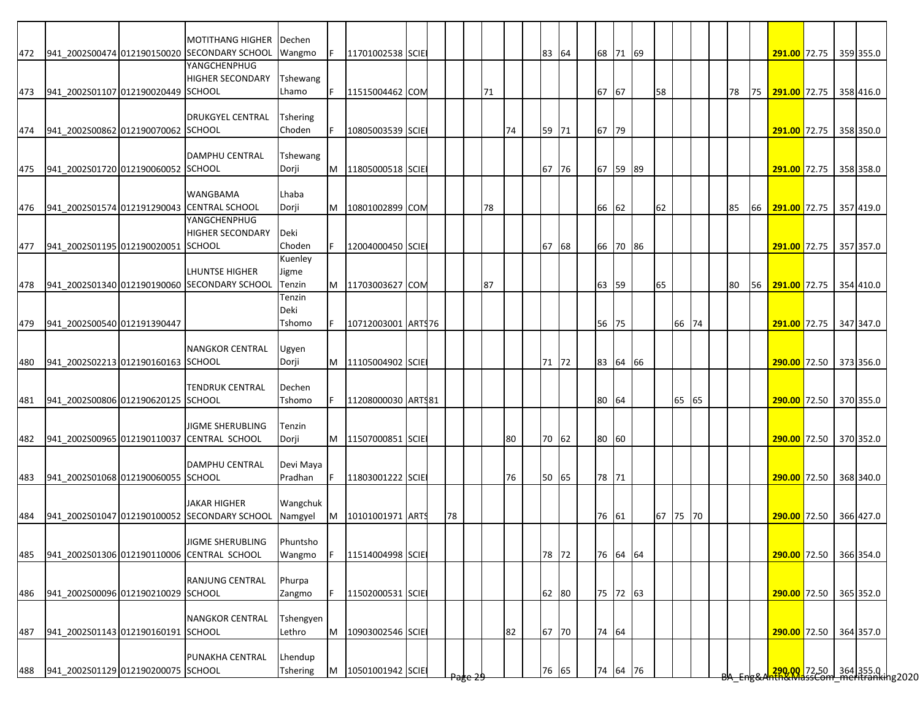|     |                                            | <b>MOTITHANG HIGHER</b>                      | Dechen          |   |                    |  |       |    |    |       |  |          |    |       |  |    |    |                                                    |  |           |
|-----|--------------------------------------------|----------------------------------------------|-----------------|---|--------------------|--|-------|----|----|-------|--|----------|----|-------|--|----|----|----------------------------------------------------|--|-----------|
| 472 |                                            | 941_2002S00474 012190150020 SECONDARY SCHOOL | Wangmo          |   | 11701002538 SCIE   |  |       |    |    | 83 64 |  | 68 71 69 |    |       |  |    |    | 291.00 72.75 359 355.0                             |  |           |
|     |                                            | YANGCHENPHUG                                 |                 |   |                    |  |       |    |    |       |  |          |    |       |  |    |    |                                                    |  |           |
|     |                                            | <b>HIGHER SECONDARY</b>                      | Tshewang        |   |                    |  |       |    |    |       |  |          |    |       |  |    |    |                                                    |  |           |
| 473 | 941 2002S01107 012190020449 SCHOOL         |                                              | Lhamo           |   | 11515004462 COM    |  |       | 71 |    |       |  | 67 67    | 58 |       |  | 78 | 75 | 291.00 72.75                                       |  | 358 416.0 |
|     |                                            |                                              |                 |   |                    |  |       |    |    |       |  |          |    |       |  |    |    |                                                    |  |           |
|     |                                            | <b>DRUKGYEL CENTRAL</b>                      | <b>Tshering</b> |   |                    |  |       |    |    |       |  |          |    |       |  |    |    |                                                    |  |           |
| 474 | 941 2002S00862 012190070062 SCHOOL         |                                              | Choden          |   | 10805003539 SCIE   |  |       |    | 74 | 59 71 |  | 67 79    |    |       |  |    |    | 291.00 72.75 358 350.0                             |  |           |
|     |                                            |                                              |                 |   |                    |  |       |    |    |       |  |          |    |       |  |    |    |                                                    |  |           |
|     |                                            | <b>DAMPHU CENTRAL</b>                        | Tshewang        |   |                    |  |       |    |    |       |  |          |    |       |  |    |    |                                                    |  |           |
| 475 | 941 2002S01720 012190060052 SCHOOL         |                                              | Dorji           | M | 11805000518 SCIE   |  |       |    |    | 67 76 |  | 67 59 89 |    |       |  |    |    | 291.00 72.75 358 358.0                             |  |           |
|     |                                            |                                              |                 |   |                    |  |       |    |    |       |  |          |    |       |  |    |    |                                                    |  |           |
|     |                                            | <b>WANGBAMA</b>                              | Lhaba           |   |                    |  |       |    |    |       |  |          |    |       |  |    |    |                                                    |  |           |
|     | 941_2002S01574 012191290043 CENTRAL SCHOOL |                                              |                 |   | 10801002899 COM    |  |       | 78 |    |       |  |          |    |       |  |    |    |                                                    |  |           |
| 476 |                                            | YANGCHENPHUG                                 | Dorji           | M |                    |  |       |    |    |       |  | 66 62    | 62 |       |  | 85 | 66 | 291.00 72.75                                       |  | 357 419.0 |
|     |                                            |                                              |                 |   |                    |  |       |    |    |       |  |          |    |       |  |    |    |                                                    |  |           |
|     |                                            | <b>HIGHER SECONDARY</b>                      | Deki            |   |                    |  |       |    |    |       |  |          |    |       |  |    |    |                                                    |  |           |
| 477 | 941_2002S01195 012190020051 SCHOOL         |                                              | Choden          |   | 12004000450 SCIE   |  |       |    |    | 67 68 |  | 66 70 86 |    |       |  |    |    | 291.00 72.75 357 357.0                             |  |           |
|     |                                            |                                              | Kuenley         |   |                    |  |       |    |    |       |  |          |    |       |  |    |    |                                                    |  |           |
|     |                                            | LHUNTSE HIGHER                               | Jigme           |   |                    |  |       |    |    |       |  |          |    |       |  |    |    |                                                    |  |           |
| 478 |                                            | 941_2002S01340 012190190060 SECONDARY SCHOOL | Tenzin          | M | 11703003627 COM    |  |       | 87 |    |       |  | 63 59    | 65 |       |  | 80 | 56 | 291.00 72.75                                       |  | 354 410.0 |
|     |                                            |                                              | Tenzin          |   |                    |  |       |    |    |       |  |          |    |       |  |    |    |                                                    |  |           |
|     |                                            |                                              | Deki            |   |                    |  |       |    |    |       |  |          |    |       |  |    |    |                                                    |  |           |
| 479 | 941 2002S00540 012191390447                |                                              | Tshomo          |   | 10712003001 ARTS76 |  |       |    |    |       |  | 56 75    |    | 66 74 |  |    |    | 291.00 72.75 347 347.0                             |  |           |
|     |                                            |                                              |                 |   |                    |  |       |    |    |       |  |          |    |       |  |    |    |                                                    |  |           |
|     |                                            | <b>NANGKOR CENTRAL</b>                       | Ugyen           |   |                    |  |       |    |    |       |  |          |    |       |  |    |    |                                                    |  |           |
| 480 | 941 2002S02213 012190160163 SCHOOL         |                                              | Dorji           | M | 11105004902 SCIE   |  |       |    |    | 71 72 |  | 83 64 66 |    |       |  |    |    | 290.00 72.50 373 356.0                             |  |           |
|     |                                            |                                              |                 |   |                    |  |       |    |    |       |  |          |    |       |  |    |    |                                                    |  |           |
|     |                                            | <b>TENDRUK CENTRAL</b>                       | Dechen          |   |                    |  |       |    |    |       |  |          |    |       |  |    |    |                                                    |  |           |
|     | 481 941 2002S00806 012190620125 SCHOOL     |                                              | Tshomo          |   | 11208000030 ARTS81 |  |       |    |    |       |  | 80 64    |    | 65 65 |  |    |    | 290.00 72.50 370 355.0                             |  |           |
|     |                                            |                                              |                 |   |                    |  |       |    |    |       |  |          |    |       |  |    |    |                                                    |  |           |
|     |                                            | <b>JIGME SHERUBLING</b>                      | Tenzin          |   |                    |  |       |    |    |       |  |          |    |       |  |    |    |                                                    |  |           |
| 482 |                                            | 941_2002S00965 012190110037 CENTRAL SCHOOL   | Dorji           | M | 11507000851 SCIE   |  |       |    | 80 | 70 62 |  | 80 60    |    |       |  |    |    | 290.00 72.50 370 352.0                             |  |           |
|     |                                            |                                              |                 |   |                    |  |       |    |    |       |  |          |    |       |  |    |    |                                                    |  |           |
|     |                                            | DAMPHU CENTRAL                               | Devi Maya       |   |                    |  |       |    |    |       |  |          |    |       |  |    |    |                                                    |  |           |
| 483 | 941_2002S01068 012190060055 SCHOOL         |                                              | Pradhan         |   | 11803001222 SCIE   |  |       |    | 76 | 50 65 |  | 78 71    |    |       |  |    |    | 290.00 72.50 368 340.0                             |  |           |
|     |                                            |                                              |                 |   |                    |  |       |    |    |       |  |          |    |       |  |    |    |                                                    |  |           |
|     |                                            | <b>JAKAR HIGHER</b>                          | Wangchuk        |   |                    |  |       |    |    |       |  |          |    |       |  |    |    |                                                    |  |           |
| 484 |                                            | 941 2002S01047 012190100052 SECONDARY SCHOOL | Namgyel         | M | 10101001971 ARTS   |  | 78    |    |    |       |  | 76 61    | 67 | 75 70 |  |    |    | 290.00 72.50 366 427.0                             |  |           |
|     |                                            |                                              |                 |   |                    |  |       |    |    |       |  |          |    |       |  |    |    |                                                    |  |           |
|     |                                            | JIGME SHERUBLING                             | Phuntsho        |   |                    |  |       |    |    |       |  |          |    |       |  |    |    |                                                    |  |           |
| 485 |                                            | 941_2002S01306 012190110006 CENTRAL SCHOOL   | Wangmo          |   | 11514004998 SCIE   |  |       |    |    | 78 72 |  | 76 64 64 |    |       |  |    |    | 290.00 72.50 366 354.0                             |  |           |
|     |                                            |                                              |                 |   |                    |  |       |    |    |       |  |          |    |       |  |    |    |                                                    |  |           |
|     |                                            | <b>RANJUNG CENTRAL</b>                       | Phurpa          |   |                    |  |       |    |    |       |  |          |    |       |  |    |    |                                                    |  |           |
| 486 | 941 2002S00096 012190210029 SCHOOL         |                                              | Zangmo          |   | 11502000531 SCIE   |  |       |    |    | 62 80 |  | 75 72 63 |    |       |  |    |    | 290.00 72.50 365 352.0                             |  |           |
|     |                                            |                                              |                 |   |                    |  |       |    |    |       |  |          |    |       |  |    |    |                                                    |  |           |
|     |                                            | <b>NANGKOR CENTRAL</b>                       | Tshengyen       |   |                    |  |       |    |    |       |  |          |    |       |  |    |    |                                                    |  |           |
|     | 941_2002S01143 012190160191 SCHOOL         |                                              | Lethro          |   |                    |  |       |    |    |       |  | 74 64    |    |       |  |    |    | 290.00 72.50 364 357.0                             |  |           |
| 487 |                                            |                                              |                 | M | 10903002546 SCIE   |  |       |    | 82 | 67 70 |  |          |    |       |  |    |    |                                                    |  |           |
|     |                                            |                                              |                 |   |                    |  |       |    |    |       |  |          |    |       |  |    |    |                                                    |  |           |
|     |                                            | PUNAKHA CENTRAL                              | Lhendup         |   |                    |  |       |    |    |       |  |          |    |       |  |    |    | 20000 72.50 364 355.0  <br>20000 72.50   364 355.0 |  |           |
| 488 | 941_2002S01129 012190200075 SCHOOL         |                                              | Tshering        | M | 10501001942 SCIE   |  | प्रहर |    |    | 76 65 |  | 74 64 76 |    |       |  |    |    |                                                    |  |           |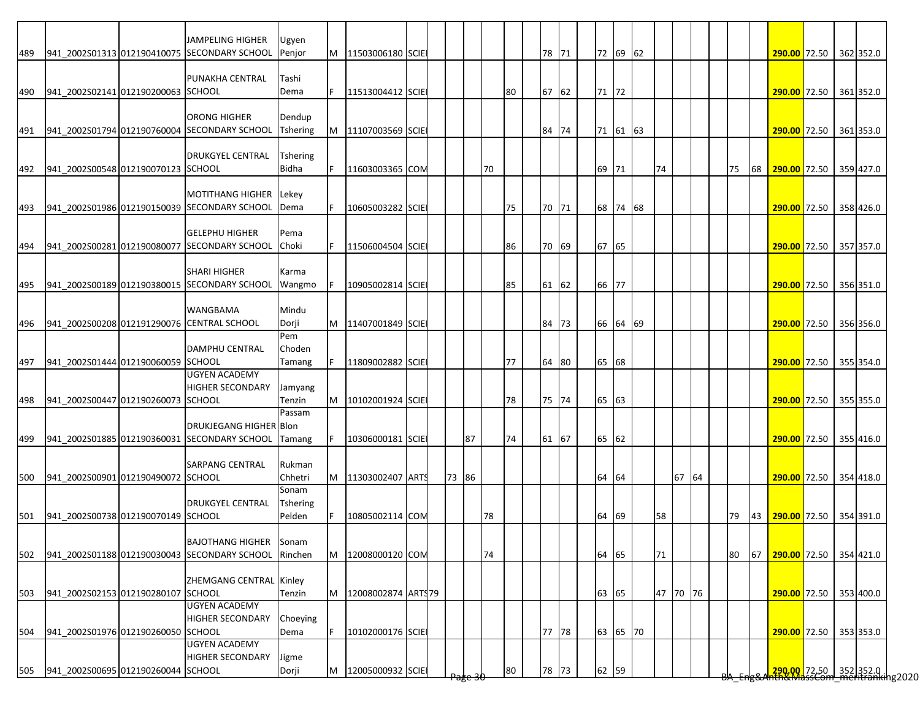|     |                                    | <b>JAMPELING HIGHER</b>                      | Ugyen                   |    |                    |  |       |    |    |    |       |  |       |          |    |          |       |    |    |                        |                        |                                                                        |
|-----|------------------------------------|----------------------------------------------|-------------------------|----|--------------------|--|-------|----|----|----|-------|--|-------|----------|----|----------|-------|----|----|------------------------|------------------------|------------------------------------------------------------------------|
| 489 |                                    | 941_2002S01313 012190410075 SECONDARY SCHOOL | Penjor                  | M  | 11503006180 SCIE   |  |       |    |    |    | 78 71 |  |       | 72 69 62 |    |          |       |    |    | 290.00 72.50 362 352.0 |                        |                                                                        |
|     |                                    |                                              |                         |    |                    |  |       |    |    |    |       |  |       |          |    |          |       |    |    |                        |                        |                                                                        |
|     |                                    | PUNAKHA CENTRAL                              | Tashi                   |    |                    |  |       |    |    |    |       |  |       |          |    |          |       |    |    |                        |                        |                                                                        |
| 490 | 941_2002S02141 012190200063 SCHOOL |                                              | Dema                    |    | 11513004412 SCIE   |  |       |    |    | 80 | 67 62 |  | 71 72 |          |    |          |       |    |    | 290.00 72.50 361 352.0 |                        |                                                                        |
|     |                                    |                                              |                         |    |                    |  |       |    |    |    |       |  |       |          |    |          |       |    |    |                        |                        |                                                                        |
|     |                                    | ORONG HIGHER                                 | Dendup                  |    |                    |  |       |    |    |    |       |  |       |          |    |          |       |    |    |                        |                        |                                                                        |
| 491 |                                    | 941_2002S01794 012190760004 SECONDARY SCHOOL | Tshering                | M  | 11107003569 SCIE   |  |       |    |    |    | 84 74 |  |       | 71 61 63 |    |          |       |    |    | 290.00 72.50 361 353.0 |                        |                                                                        |
|     |                                    |                                              |                         |    |                    |  |       |    |    |    |       |  |       |          |    |          |       |    |    |                        |                        |                                                                        |
|     |                                    | <b>DRUKGYEL CENTRAL</b>                      | <b>Tshering</b>         |    |                    |  |       |    |    |    |       |  |       |          |    |          |       |    |    |                        |                        |                                                                        |
| 492 | 941 2002S00548 012190070123 SCHOOL |                                              | Bidha                   | F. | 11603003365 COM    |  |       |    | 70 |    |       |  | 69 71 |          | 74 |          |       | 75 | 68 | 290.00 72.50 359 427.0 |                        |                                                                        |
|     |                                    |                                              |                         |    |                    |  |       |    |    |    |       |  |       |          |    |          |       |    |    |                        |                        |                                                                        |
|     |                                    | <b>MOTITHANG HIGHER</b>                      | Lekey                   |    |                    |  |       |    |    |    |       |  |       |          |    |          |       |    |    |                        |                        |                                                                        |
| 493 |                                    | 941_2002S01986 012190150039 SECONDARY SCHOOL | Dema                    |    | 10605003282 SCIE   |  |       |    |    | 75 | 70 71 |  |       | 68 74 68 |    |          |       |    |    |                        | 290.00 72.50 358 426.0 |                                                                        |
|     |                                    |                                              |                         |    |                    |  |       |    |    |    |       |  |       |          |    |          |       |    |    |                        |                        |                                                                        |
|     |                                    | <b>GELEPHU HIGHER</b>                        | Pema                    |    |                    |  |       |    |    |    |       |  |       |          |    |          |       |    |    |                        |                        |                                                                        |
| 494 |                                    | 941_2002S00281 012190080077 SECONDARY SCHOOL | Choki                   |    | 11506004504 SCIE   |  |       |    |    | 86 | 70 69 |  | 67 65 |          |    |          |       |    |    | 290.00 72.50 357 357.0 |                        |                                                                        |
|     |                                    |                                              |                         |    |                    |  |       |    |    |    |       |  |       |          |    |          |       |    |    |                        |                        |                                                                        |
|     |                                    | <b>SHARI HIGHER</b>                          | Karma                   |    |                    |  |       |    |    |    |       |  |       |          |    |          |       |    |    |                        |                        |                                                                        |
| 495 |                                    | 941_2002S00189 012190380015 SECONDARY SCHOOL | Wangmo                  |    | 10905002814 SCIE   |  |       |    |    | 85 | 61 62 |  | 66 77 |          |    |          |       |    |    | 290.00 72.50           |                        | 356 351.0                                                              |
|     |                                    |                                              |                         |    |                    |  |       |    |    |    |       |  |       |          |    |          |       |    |    |                        |                        |                                                                        |
|     |                                    | <b>WANGBAMA</b>                              | Mindu                   |    |                    |  |       |    |    |    |       |  |       |          |    |          |       |    |    |                        |                        |                                                                        |
| 496 |                                    | 941_2002S00208 012191290076 CENTRAL SCHOOL   | Dorji                   | M  | 11407001849 SCIE   |  |       |    |    |    | 84 73 |  |       | 66 64 69 |    |          |       |    |    | 290.00 72.50 356 356.0 |                        |                                                                        |
|     |                                    |                                              | Pem                     |    |                    |  |       |    |    |    |       |  |       |          |    |          |       |    |    |                        |                        |                                                                        |
|     |                                    | <b>DAMPHU CENTRAL</b>                        | Choden                  |    |                    |  |       |    |    |    |       |  |       |          |    |          |       |    |    |                        |                        |                                                                        |
| 497 | 941 2002S01444 012190060059 SCHOOL |                                              | Tamang                  |    | 11809002882 SCIE   |  |       |    |    | 77 | 64 80 |  | 65 68 |          |    |          |       |    |    |                        | 290.00 72.50 355 354.0 |                                                                        |
|     |                                    | <b>UGYEN ACADEMY</b>                         |                         |    |                    |  |       |    |    |    |       |  |       |          |    |          |       |    |    |                        |                        |                                                                        |
|     |                                    | <b>HIGHER SECONDARY</b>                      | Jamyang                 |    |                    |  |       |    |    |    |       |  |       |          |    |          |       |    |    |                        |                        |                                                                        |
| 498 | 941 2002S00447 012190260073 SCHOOL |                                              | Tenzin                  | M  | 10102001924 SCIE   |  |       |    |    | 78 | 75 74 |  | 65 63 |          |    |          |       |    |    | 290.00 72.50 355 355.0 |                        |                                                                        |
|     |                                    |                                              | Passam                  |    |                    |  |       |    |    |    |       |  |       |          |    |          |       |    |    |                        |                        |                                                                        |
|     |                                    | <b>DRUKJEGANG HIGHER Blon</b>                |                         |    |                    |  |       |    |    |    |       |  |       |          |    |          |       |    |    |                        |                        |                                                                        |
|     |                                    | 941 2002S01885 012190360031 SECONDARY SCHOOL | Tamang                  |    | 10306000181 SCIE   |  |       | 87 |    | 74 | 61 67 |  | 65 62 |          |    |          |       |    |    | 290.00 72.50 355 416.0 |                        |                                                                        |
| 499 |                                    |                                              |                         |    |                    |  |       |    |    |    |       |  |       |          |    |          |       |    |    |                        |                        |                                                                        |
|     |                                    | SARPANG CENTRAL                              | Rukman                  |    |                    |  |       |    |    |    |       |  |       |          |    |          |       |    |    |                        |                        |                                                                        |
|     | 941_2002S00901 012190490072 SCHOOL |                                              | Chhetri                 | M  | 11303002407 ARTS   |  | 73 86 |    |    |    |       |  | 64 64 |          |    |          | 67 64 |    |    | 290.00 72.50 354 418.0 |                        |                                                                        |
| 500 |                                    |                                              | Sonam                   |    |                    |  |       |    |    |    |       |  |       |          |    |          |       |    |    |                        |                        |                                                                        |
|     |                                    | <b>DRUKGYEL CENTRAL</b>                      | <b>Tshering</b>         |    |                    |  |       |    |    |    |       |  |       |          |    |          |       |    |    |                        |                        |                                                                        |
| 501 | 941 2002S00738 012190070149 SCHOOL |                                              | Pelden                  |    | 10805002114 COM    |  |       |    | 78 |    |       |  | 64 69 |          | 58 |          |       | 79 | 43 | 290.00 72.50 354 391.0 |                        |                                                                        |
|     |                                    |                                              |                         |    |                    |  |       |    |    |    |       |  |       |          |    |          |       |    |    |                        |                        |                                                                        |
|     |                                    | <b>BAJOTHANG HIGHER</b>                      |                         |    |                    |  |       |    |    |    |       |  |       |          |    |          |       |    |    |                        |                        |                                                                        |
|     |                                    | 941 2002S01188 012190030043 SECONDARY SCHOOL | <b>Sonam</b><br>Rinchen |    | 12008000120 COM    |  |       |    | 74 |    |       |  | 64 65 |          | 71 |          |       | 80 | 67 | 290.00 72.50 354 421.0 |                        |                                                                        |
| 502 |                                    |                                              |                         | M  |                    |  |       |    |    |    |       |  |       |          |    |          |       |    |    |                        |                        |                                                                        |
|     |                                    | ZHEMGANG CENTRAL Kinley                      |                         |    |                    |  |       |    |    |    |       |  |       |          |    |          |       |    |    |                        |                        |                                                                        |
|     | 941_2002S02153 012190280107 SCHOOL |                                              | Tenzin                  |    |                    |  |       |    |    |    |       |  |       |          |    | 47 70 76 |       |    |    |                        |                        |                                                                        |
| 503 |                                    | <b>UGYEN ACADEMY</b>                         |                         | M  | 12008002874 ARTS79 |  |       |    |    |    |       |  | 63 65 |          |    |          |       |    |    |                        | 290.00 72.50 353 400.0 |                                                                        |
|     |                                    |                                              |                         |    |                    |  |       |    |    |    |       |  |       |          |    |          |       |    |    |                        |                        |                                                                        |
|     |                                    | <b>HIGHER SECONDARY</b>                      | Choeying                |    |                    |  |       |    |    |    |       |  |       |          |    |          |       |    |    |                        |                        |                                                                        |
| 504 | 941_2002S01976 012190260050 SCHOOL |                                              | Dema                    |    | 10102000176 SCIE   |  |       |    |    |    | 77 78 |  |       | 63 65 70 |    |          |       |    |    |                        | 290.00 72.50 353 353.0 |                                                                        |
|     |                                    | <b>UGYEN ACADEMY</b>                         |                         |    |                    |  |       |    |    |    |       |  |       |          |    |          |       |    |    |                        |                        |                                                                        |
|     |                                    | <b>HIGHER SECONDARY</b>                      | Jigme                   |    |                    |  |       |    |    |    |       |  |       |          |    |          |       |    |    |                        |                        |                                                                        |
| 505 | 941 2002S00695 012190260044 SCHOOL |                                              | Dorji                   | M  | 12005000932 SCIE   |  |       |    |    | 80 | 78 73 |  | 62 59 |          |    |          |       |    |    |                        |                        | <mark>290.00 </mark> 72.50 352 352.0  <br>hth&MassCom meritranking2020 |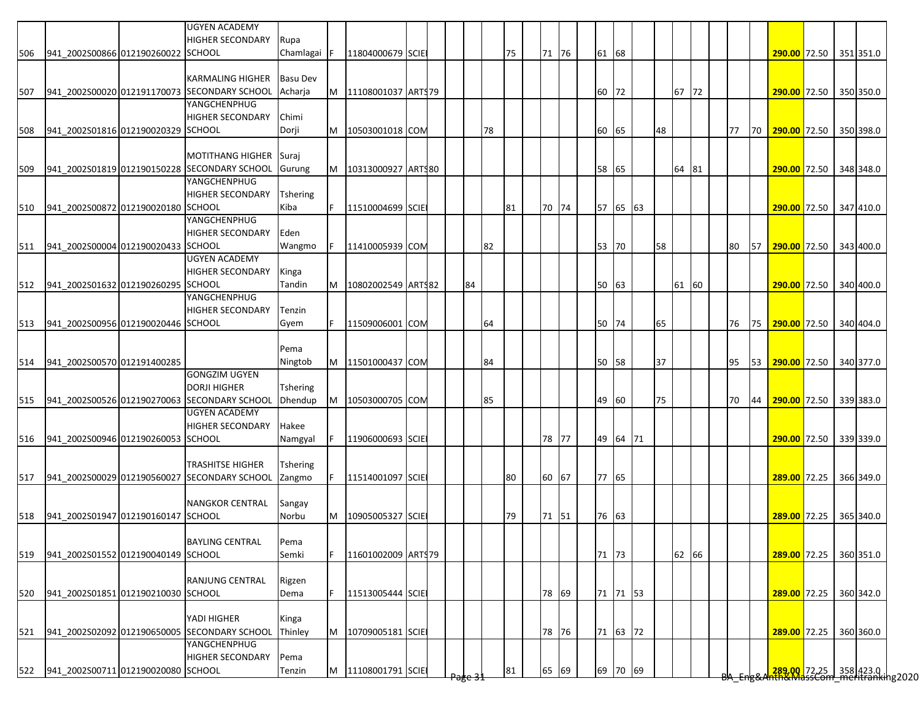|     |                                    | <b>UGYEN ACADEMY</b><br><b>HIGHER SECONDARY</b>              | Rupa            |     |                           |  |    |    |    |         |    |          |    |       |  |    |    |                                                                       |  |           |
|-----|------------------------------------|--------------------------------------------------------------|-----------------|-----|---------------------------|--|----|----|----|---------|----|----------|----|-------|--|----|----|-----------------------------------------------------------------------|--|-----------|
| 506 | 941 2002S00866 012190260022 SCHOOL |                                                              | Chamlagai       | IF. | 11804000679 SCIE          |  |    |    | 75 | 71 76   | 61 | 68       |    |       |  |    |    | 290.00 72.50 351 351.0                                                |  |           |
|     |                                    |                                                              |                 |     |                           |  |    |    |    |         |    |          |    |       |  |    |    |                                                                       |  |           |
|     |                                    | <b>KARMALING HIGHER</b>                                      | <b>Basu Dev</b> |     |                           |  |    |    |    |         |    |          |    |       |  |    |    |                                                                       |  |           |
| 507 |                                    | 941 2002S00020 012191170073 SECONDARY SCHOOL                 | Acharia         |     | M   11108001037   ARTS 79 |  |    |    |    |         | 60 | 72       |    | 67 72 |  |    |    | 290.00 72.50 350 350.0                                                |  |           |
|     |                                    | YANGCHENPHUG                                                 |                 |     |                           |  |    |    |    |         |    |          |    |       |  |    |    |                                                                       |  |           |
|     |                                    | <b>HIGHER SECONDARY</b>                                      | Chimi           |     |                           |  |    |    |    |         |    |          |    |       |  |    |    |                                                                       |  |           |
| 508 | 941 2002S01816 012190020329 SCHOOL |                                                              | Dorji           | M   | 10503001018 COM           |  |    | 78 |    |         | 60 | 65       | 48 |       |  | 77 | 70 | 290.00 72.50 350 398.0                                                |  |           |
|     |                                    |                                                              |                 |     |                           |  |    |    |    |         |    |          |    |       |  |    |    |                                                                       |  |           |
|     |                                    | <b>MOTITHANG HIGHER</b>                                      | Suraj           |     |                           |  |    |    |    |         |    |          |    |       |  |    |    |                                                                       |  |           |
| 509 |                                    | 941_2002S01819 012190150228 SECONDARY SCHOOL                 | Gurung          |     | M   10313000927 ARTS80    |  |    |    |    |         | 58 | 65       |    | 64 81 |  |    |    | 290.00 72.50 348 348.0                                                |  |           |
|     |                                    | YANGCHENPHUG                                                 |                 |     |                           |  |    |    |    |         |    |          |    |       |  |    |    |                                                                       |  |           |
|     |                                    | <b>HIGHER SECONDARY</b>                                      | <b>Tshering</b> |     |                           |  |    |    |    |         |    |          |    |       |  |    |    |                                                                       |  |           |
| 510 | 941_2002S00872 012190020180 SCHOOL |                                                              | Kiba            | F.  | 11510004699 SCIE          |  |    |    | 81 | 70 74   |    | 57 65 63 |    |       |  |    |    | 290.00 72.50 347 410.0                                                |  |           |
|     |                                    | YANGCHENPHUG                                                 |                 |     |                           |  |    |    |    |         |    |          |    |       |  |    |    |                                                                       |  |           |
|     |                                    | <b>HIGHER SECONDARY</b>                                      | Eden            |     |                           |  |    |    |    |         |    |          |    |       |  |    |    |                                                                       |  |           |
| 511 | 941_2002S00004 012190020433 SCHOOL |                                                              | Wangmo          |     | 11410005939 COM           |  |    | 82 |    |         |    | 53 70    | 58 |       |  | 80 | 57 | 290.00 72.50 343 400.0                                                |  |           |
|     |                                    | <b>UGYEN ACADEMY</b>                                         |                 |     |                           |  |    |    |    |         |    |          |    |       |  |    |    |                                                                       |  |           |
|     |                                    | <b>HIGHER SECONDARY</b>                                      | Kinga           |     |                           |  |    |    |    |         |    |          |    |       |  |    |    |                                                                       |  |           |
| 512 | 941 2002S01632 012190260295 SCHOOL |                                                              | Tandin          | M   | 10802002549 ARTS82        |  | 84 |    |    |         | 50 | 63       |    | 61 60 |  |    |    | 290.00 72.50 340 400.0                                                |  |           |
|     |                                    | YANGCHENPHUG                                                 |                 |     |                           |  |    |    |    |         |    |          |    |       |  |    |    |                                                                       |  |           |
|     |                                    | <b>HIGHER SECONDARY</b>                                      | Tenzin          |     |                           |  |    |    |    |         |    |          |    |       |  |    |    |                                                                       |  |           |
| 513 | 941 2002S00956 012190020446 SCHOOL |                                                              | Gyem            |     | 11509006001 COM           |  |    | 64 |    |         |    | 50 74    | 65 |       |  | 76 |    | 75 290.00 72.50 340 404.0                                             |  |           |
|     |                                    |                                                              |                 |     |                           |  |    |    |    |         |    |          |    |       |  |    |    |                                                                       |  |           |
|     |                                    |                                                              | Pema            |     |                           |  |    |    |    |         |    |          |    |       |  |    |    |                                                                       |  |           |
| 514 | 941 2002S00570 012191400285        |                                                              | Ningtob         |     | M 11501000437 COM         |  |    | 84 |    |         |    | 50 58    | 37 |       |  | 95 | 53 | 290.00 72.50 340 377.0                                                |  |           |
|     |                                    | <b>GONGZIM UGYEN</b>                                         |                 |     |                           |  |    |    |    |         |    |          |    |       |  |    |    |                                                                       |  |           |
|     |                                    | <b>DORJI HIGHER</b>                                          | <b>Tshering</b> |     |                           |  |    |    |    |         |    |          |    |       |  |    |    |                                                                       |  |           |
| 515 |                                    | 941_2002S00526 012190270063 SECONDARY SCHOOL                 | Dhendup         | M   | 10503000705 COM           |  |    | 85 |    |         | 49 | 60       | 75 |       |  | 70 | 44 | 290.00 72.50 339 383.0                                                |  |           |
|     |                                    | <b>UGYEN ACADEMY</b>                                         |                 |     |                           |  |    |    |    |         |    |          |    |       |  |    |    |                                                                       |  |           |
|     |                                    | <b>HIGHER SECONDARY</b>                                      | Hakee           |     |                           |  |    |    |    |         |    |          |    |       |  |    |    |                                                                       |  |           |
| 516 | 941 2002S00946 012190260053 SCHOOL |                                                              | Namgyal         | F   | 11906000693 SCIE          |  |    |    |    | 78 77   |    | 49 64 71 |    |       |  |    |    | 290.00 72.50 339 339.0                                                |  |           |
|     |                                    |                                                              |                 |     |                           |  |    |    |    |         |    |          |    |       |  |    |    |                                                                       |  |           |
|     |                                    | <b>TRASHITSE HIGHER</b>                                      | Tshering        |     |                           |  |    |    |    |         |    |          |    |       |  |    |    |                                                                       |  |           |
| 517 |                                    | 941 2002S00029 012190560027 SECONDARY SCHOOL                 | Zangmo          | F   | 11514001097 SCIE          |  |    |    | 80 | 60 67   |    | 77 65    |    |       |  |    |    | 289.00 72.25                                                          |  | 366 349.0 |
|     |                                    |                                                              |                 |     |                           |  |    |    |    |         |    |          |    |       |  |    |    |                                                                       |  |           |
|     |                                    | <b>NANGKOR CENTRAL</b>                                       | Sangay          |     |                           |  |    |    |    |         |    |          |    |       |  |    |    |                                                                       |  |           |
| 518 | 941 2002S01947 012190160147 SCHOOL |                                                              | Norbu           | M   | 10905005327 SCIE          |  |    |    | 79 | 71   51 |    | 76 63    |    |       |  |    |    | 289.00 72.25 365 340.0                                                |  |           |
|     |                                    |                                                              |                 |     |                           |  |    |    |    |         |    |          |    |       |  |    |    |                                                                       |  |           |
|     |                                    | <b>BAYLING CENTRAL</b>                                       | Pema            |     |                           |  |    |    |    |         |    |          |    |       |  |    |    |                                                                       |  |           |
| 519 | 941 2002S01552 012190040149 SCHOOL |                                                              | Semki           | F.  | 11601002009 ARTS79        |  |    |    |    |         |    | 71 73    |    | 62 66 |  |    |    | 289.00 72.25 360 351.0                                                |  |           |
|     |                                    |                                                              |                 |     |                           |  |    |    |    |         |    |          |    |       |  |    |    |                                                                       |  |           |
|     |                                    | <b>RANJUNG CENTRAL</b>                                       | Rigzen          |     |                           |  |    |    |    |         |    |          |    |       |  |    |    |                                                                       |  |           |
| 520 | 941 2002S01851 012190210030 SCHOOL |                                                              | Dema            | F.  | 11513005444 SCIE          |  |    |    |    | 78 69   |    | 71 71 53 |    |       |  |    |    | 289.00 72.25 360 342.0                                                |  |           |
|     |                                    |                                                              |                 |     |                           |  |    |    |    |         |    |          |    |       |  |    |    |                                                                       |  |           |
|     |                                    | YADI HIGHER                                                  | Kinga           |     |                           |  |    |    |    |         |    |          |    |       |  |    |    |                                                                       |  |           |
| 521 |                                    | 941 2002S02092 012190650005 SECONDARY SCHOOL<br>YANGCHENPHUG | Thinley         | M   | 10709005181 SCIE          |  |    |    |    | 78 76   |    | 71 63 72 |    |       |  |    |    | 289.00 72.25 360 360.0                                                |  |           |
|     |                                    |                                                              |                 |     |                           |  |    |    |    |         |    |          |    |       |  |    |    |                                                                       |  |           |
|     |                                    | <b>HIGHER SECONDARY</b>                                      | Pema            |     |                           |  |    |    |    |         |    |          |    |       |  |    |    |                                                                       |  |           |
| 522 | 941_2002S00711 012190020080 SCHOOL |                                                              | Tenzin          | M   | 11108001791 SCIE          |  |    |    | 81 | 65 69   |    | 69 70 69 |    |       |  |    |    | <mark>.289,00.</mark> 72.25 358 423.0<br>The MassCom_meritranking2020 |  |           |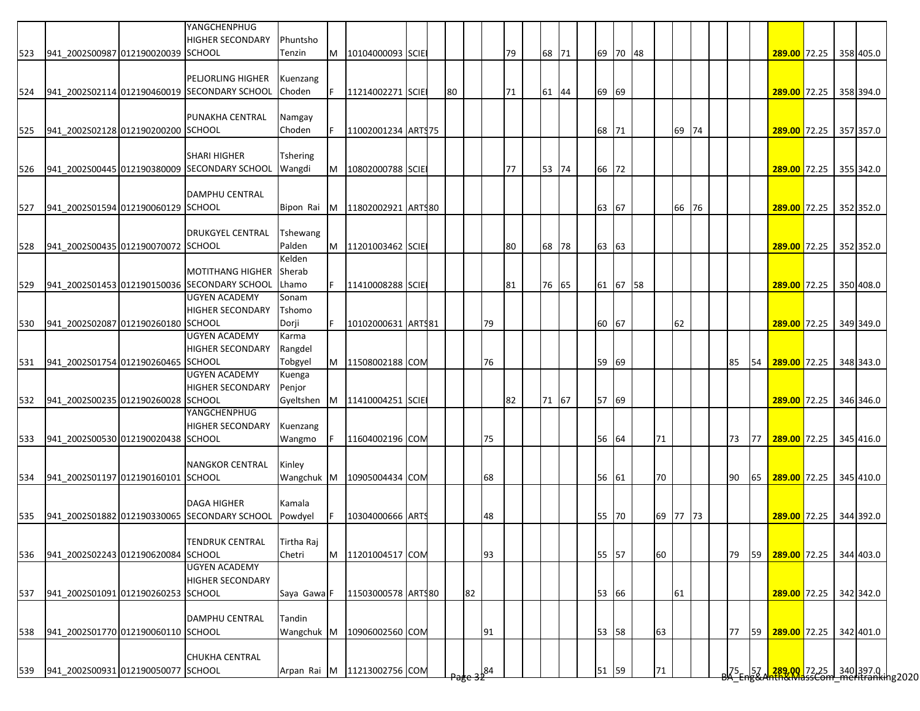|     |                                    | YANGCHENPHUG<br><b>HIGHER SECONDARY</b>      | Phuntsho                |    |                             |  |    |    |     |    |       |       |          |          |       |  |           |    |                                                                                          |  |           |
|-----|------------------------------------|----------------------------------------------|-------------------------|----|-----------------------------|--|----|----|-----|----|-------|-------|----------|----------|-------|--|-----------|----|------------------------------------------------------------------------------------------|--|-----------|
| 523 | 941 2002S00987 012190020039 SCHOOL |                                              | Tenzin                  | M  | 10104000093 SCIE            |  |    |    |     | 79 | 68 71 | 69    | 70 48    |          |       |  |           |    | 289.00 72.25 358 405.0                                                                   |  |           |
|     |                                    |                                              |                         |    |                             |  |    |    |     |    |       |       |          |          |       |  |           |    |                                                                                          |  |           |
|     |                                    | <b>PELJORLING HIGHER</b>                     | Kuenzang                |    |                             |  |    |    |     |    |       |       |          |          |       |  |           |    |                                                                                          |  |           |
| 524 |                                    | 941 2002S02114 012190460019 SECONDARY SCHOOL | Choden                  | F. | 11214002271 SCIE            |  | 80 |    |     | 71 | 61 44 | 69 69 |          |          |       |  |           |    | 289.00 72.25 358 394.0                                                                   |  |           |
|     |                                    |                                              |                         |    |                             |  |    |    |     |    |       |       |          |          |       |  |           |    |                                                                                          |  |           |
|     |                                    | PUNAKHA CENTRAL                              | Namgay                  |    |                             |  |    |    |     |    |       |       |          |          |       |  |           |    |                                                                                          |  |           |
| 525 | 941 2002S02128 012190200200 SCHOOL |                                              | Choden                  | F  | 11002001234 ART\$75         |  |    |    |     |    |       | 68    | 71       |          | 69 74 |  |           |    | 289.00 72.25 357 357.0                                                                   |  |           |
|     |                                    |                                              |                         |    |                             |  |    |    |     |    |       |       |          |          |       |  |           |    |                                                                                          |  |           |
|     |                                    | <b>SHARI HIGHER</b>                          | Tshering                |    |                             |  |    |    |     |    |       |       |          |          |       |  |           |    |                                                                                          |  |           |
| 526 |                                    | 941_2002S00445 012190380009 SECONDARY SCHOOL | Wangdi                  | M  | 10802000788 SCIE            |  |    |    |     | 77 | 53 74 | 66 72 |          |          |       |  |           |    | 289.00 72.25 355 342.0                                                                   |  |           |
|     |                                    |                                              |                         |    |                             |  |    |    |     |    |       |       |          |          |       |  |           |    |                                                                                          |  |           |
|     |                                    | <b>DAMPHU CENTRAL</b>                        |                         |    |                             |  |    |    |     |    |       |       |          |          |       |  |           |    |                                                                                          |  |           |
| 527 | 941 2002S01594 012190060129 SCHOOL |                                              | Bipon Rai               | M  | 11802002921 ART\$80         |  |    |    |     |    |       | 63 67 |          |          | 66 76 |  |           |    | 289.00 72.25                                                                             |  | 352 352.0 |
|     |                                    |                                              |                         |    |                             |  |    |    |     |    |       |       |          |          |       |  |           |    |                                                                                          |  |           |
|     |                                    | <b>DRUKGYEL CENTRAL</b>                      | <b>Tshewang</b>         |    |                             |  |    |    |     |    |       |       |          |          |       |  |           |    |                                                                                          |  |           |
| 528 | 941_2002S00435 012190070072 SCHOOL |                                              | Palden                  | M  | 11201003462 SCIE            |  |    |    |     | 80 | 68 78 | 63 63 |          |          |       |  |           |    | 289.00 72.25 352 352.0                                                                   |  |           |
|     |                                    |                                              | Kelden                  |    |                             |  |    |    |     |    |       |       |          |          |       |  |           |    |                                                                                          |  |           |
|     |                                    | <b>MOTITHANG HIGHER</b>                      | Sherab                  |    |                             |  |    |    |     |    |       |       |          |          |       |  |           |    |                                                                                          |  |           |
| 529 |                                    | 941_2002S01453 012190150036 SECONDARY SCHOOL | Lhamo                   |    | 11410008288 SCIE            |  |    |    |     | 81 | 76 65 |       | 61 67 58 |          |       |  |           |    | 289.00 72.25 350 408.0                                                                   |  |           |
|     |                                    | <b>UGYEN ACADEMY</b>                         | Sonam                   |    |                             |  |    |    |     |    |       |       |          |          |       |  |           |    |                                                                                          |  |           |
|     |                                    | <b>HIGHER SECONDARY</b>                      | Tshomo                  |    |                             |  |    |    |     |    |       |       |          |          |       |  |           |    |                                                                                          |  |           |
| 530 | 941_2002S02087 012190260180 SCHOOL |                                              | Dorji                   | F. | 10102000631 ARTS81          |  |    |    | 79  |    |       | 60 67 |          |          | 62    |  |           |    | 289.00 72.25 349 349.0                                                                   |  |           |
|     |                                    | <b>UGYEN ACADEMY</b>                         | Karma                   |    |                             |  |    |    |     |    |       |       |          |          |       |  |           |    |                                                                                          |  |           |
|     |                                    | <b>HIGHER SECONDARY</b>                      | Rangdel                 |    |                             |  |    |    |     |    |       |       |          |          |       |  |           |    |                                                                                          |  |           |
| 531 | 941 2002S01754 012190260465 SCHOOL |                                              | Tobgyel                 |    | M 11508002188 COM           |  |    |    | 76  |    |       | 59    | 69       |          |       |  | 85        | 54 | 289.00 72.25 348 343.0                                                                   |  |           |
|     |                                    | <b>UGYEN ACADEMY</b>                         | Kuenga                  |    |                             |  |    |    |     |    |       |       |          |          |       |  |           |    |                                                                                          |  |           |
|     |                                    | <b>HIGHER SECONDARY</b>                      | Penjor                  |    |                             |  |    |    |     |    |       |       |          |          |       |  |           |    |                                                                                          |  |           |
| 532 | 941_2002S00235 012190260028 SCHOOL |                                              | Gyeltshen               | M  | 11410004251 SCIE            |  |    |    |     | 82 | 71 67 | 57    | 69       |          |       |  |           |    | 289.00 72.25 346 346.0                                                                   |  |           |
|     |                                    | YANGCHENPHUG                                 |                         |    |                             |  |    |    |     |    |       |       |          |          |       |  |           |    |                                                                                          |  |           |
|     |                                    | <b>HIGHER SECONDARY</b>                      | Kuenzang                |    |                             |  |    |    |     |    |       |       |          |          |       |  |           |    |                                                                                          |  |           |
| 533 | 941 2002S00530 012190020438 SCHOOL |                                              | Wangmo                  |    | 11604002196 COM             |  |    |    | 75  |    |       | 56    | 64       | 71       |       |  | 73        | 77 | 289.00 72.25 345 416.0                                                                   |  |           |
|     |                                    |                                              |                         |    |                             |  |    |    |     |    |       |       |          |          |       |  |           |    |                                                                                          |  |           |
|     |                                    | <b>NANGKOR CENTRAL</b>                       | Kinley                  |    |                             |  |    |    |     |    |       |       |          |          |       |  |           |    |                                                                                          |  |           |
|     | 941 2002S01197 012190160101 SCHOOL |                                              | Wangchuk M              |    | 10905004434 COM             |  |    |    | 68  |    |       | 56    | 61       | 70       |       |  | 90        | 65 | 289.00 72.25 345 410.0                                                                   |  |           |
| 534 |                                    |                                              |                         |    |                             |  |    |    |     |    |       |       |          |          |       |  |           |    |                                                                                          |  |           |
|     |                                    | <b>DAGA HIGHER</b>                           | Kamala                  |    |                             |  |    |    |     |    |       |       |          |          |       |  |           |    |                                                                                          |  |           |
|     |                                    | 941 2002S01882 012190330065 SECONDARY SCHOOL |                         |    |                             |  |    |    |     |    |       |       |          |          |       |  |           |    |                                                                                          |  |           |
| 535 |                                    |                                              | Powdyel                 |    | 10304000666 ARTS            |  |    |    | 48  |    |       | 55 70 |          | 69 77 73 |       |  |           |    | 289.00 72.25 344 392.0                                                                   |  |           |
|     |                                    |                                              |                         |    |                             |  |    |    |     |    |       |       |          |          |       |  |           |    |                                                                                          |  |           |
|     |                                    | <b>TENDRUK CENTRAL</b>                       | Tirtha Raj              |    |                             |  |    |    |     |    |       |       |          |          |       |  |           |    |                                                                                          |  |           |
| 536 | 941 2002S02243 012190620084 SCHOOL |                                              | Chetri                  | M  | 11201004517 COM             |  |    |    | 93  |    |       | 55 57 |          | 60       |       |  | 79        | 59 | 289.00 72.25 344 403.0                                                                   |  |           |
|     |                                    | <b>UGYEN ACADEMY</b>                         |                         |    |                             |  |    |    |     |    |       |       |          |          |       |  |           |    |                                                                                          |  |           |
|     |                                    | <b>HIGHER SECONDARY</b>                      |                         |    |                             |  |    |    |     |    |       |       |          |          |       |  |           |    |                                                                                          |  |           |
| 537 | 941 2002S01091 012190260253 SCHOOL |                                              | Saya Gawa <sup>IF</sup> |    | 11503000578 ARTS80          |  |    | 82 |     |    |       | 53 66 |          |          | 61    |  |           |    | 289.00 72.25 342 342.0                                                                   |  |           |
|     |                                    |                                              |                         |    |                             |  |    |    |     |    |       |       |          |          |       |  |           |    |                                                                                          |  |           |
|     |                                    | DAMPHU CENTRAL                               | Tandin                  |    |                             |  |    |    |     |    |       |       |          |          |       |  |           |    |                                                                                          |  |           |
| 538 | 941_2002S01770 012190060110 SCHOOL |                                              | Wangchuk M              |    | 10906002560 COM             |  |    |    | 91  |    |       | 53    | 58       | 63       |       |  | 77        | 59 | 289.00 72.25 342 401.0                                                                   |  |           |
|     |                                    |                                              |                         |    |                             |  |    |    |     |    |       |       |          |          |       |  |           |    |                                                                                          |  |           |
|     |                                    | <b>CHUKHA CENTRAL</b>                        |                         |    |                             |  |    |    |     |    |       |       |          |          |       |  |           |    |                                                                                          |  |           |
| 539 | 941 2002S00931 012190050077 SCHOOL |                                              |                         |    | Arpan Rai M 11213002756 COM |  |    |    | 184 |    |       | 51 59 |          | 71       |       |  | $75 - 57$ |    | <mark>_289.00 </mark> 72.25 _340 397.0 .<br><del>hth&amp;MassCom_meritranki</del> ng2020 |  |           |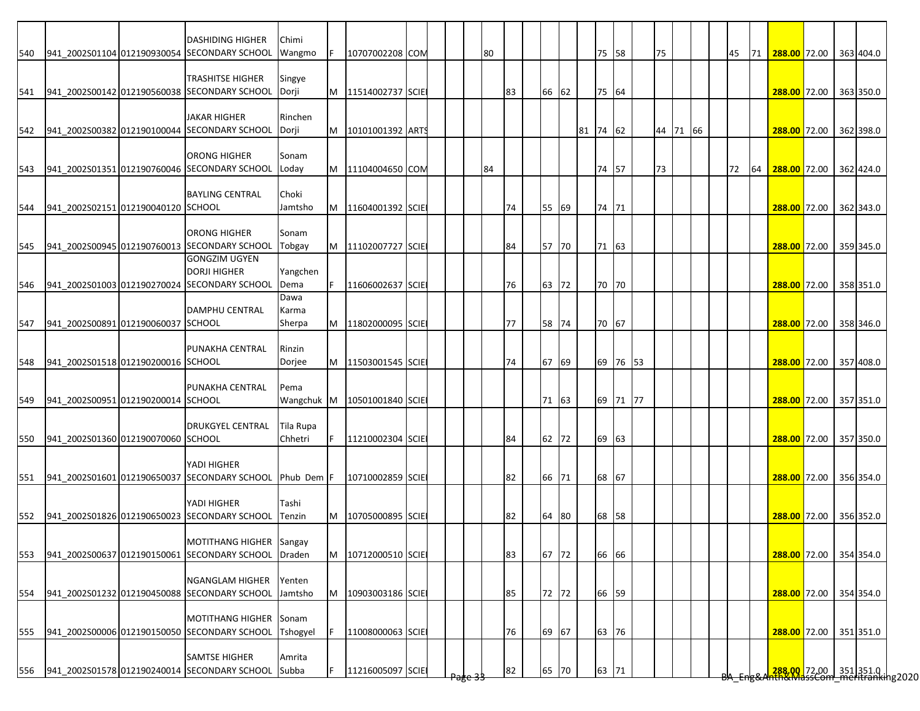| <b>DASHIDING HIGHER</b><br>Chimi<br>540 941_2002S01104 012190930054 SECONDARY SCHOOL<br>75 58<br>75<br>288.00 72.00 363 404.0<br>10707002208 COM<br>80<br>45<br><b>71</b><br>Wangmo<br>F<br><b>TRASHITSE HIGHER</b><br>Singye<br>541 941_2002S00142 012190560038 SECONDARY SCHOOL<br>75 64<br>M<br>11514002737 SCIE<br>83<br>66 62<br>288.00 72.00 363 350.0<br>Dorji<br><b>JAKAR HIGHER</b><br>Rinchen<br>542 941 2002S00382 012190100044 SECONDARY SCHOOL<br>81 74 62<br>44 71 66<br>288.00 72.00 362 398.0<br>Dorji<br>M<br>10101001392 ARTS<br><b>ORONG HIGHER</b><br>Sonam<br>941 2002S01351 012190760046 SECONDARY SCHOOL<br>73<br>74 57<br>72<br>288.00 72.00 362 424.0<br>Loday<br>M<br>11104004650 COM<br>84<br>64<br><b>BAYLING CENTRAL</b><br>Choki<br>74 71<br>941 2002S02151 012190040120 SCHOOL<br>Jamtsho<br>74<br>55 69<br>288.00 72.00 362 343.0<br>M<br>11604001392 SCIE<br><b>ORONG HIGHER</b><br>Sonam<br>941 2002S00945 012190760013 SECONDARY SCHOOL<br>71 63<br>M<br>11102007727 SCIE<br>84<br>57 70<br>288.00 72.00 359 345.0<br>545<br>Tobgay<br><b>GONGZIM UGYEN</b><br><b>DORJI HIGHER</b><br>Yangchen<br>941_2002S01003 012190270024 SECONDARY SCHOOL<br>70 70<br>546<br>Dema<br>11606002637 SCIE<br>76<br>63 72<br>288.00 72.00 358 351.0<br>Dawa<br><b>DAMPHU CENTRAL</b><br>Karma<br>941_2002S00891 012190060037 SCHOOL<br>70 67<br>547<br>M<br>11802000095 SCIE<br>77<br>58 74<br>288.00 72.00 358 346.0<br>Sherpa<br>PUNAKHA CENTRAL<br>Rinzin<br>69 76 53<br>941 2002S01518 012190200016 SCHOOL<br>M<br>67 69<br>548<br>Dorjee<br>11503001545 SCIE<br>74<br>288.00 72.00 357 408.0<br>PUNAKHA CENTRAL<br>Pema<br>69 71 77<br>941_2002S00951 012190200014 SCHOOL<br>Wangchuk M<br>10501001840 SCIE<br>71 63<br>288.00 72.00 357 351.0<br>549<br><b>DRUKGYEL CENTRAL</b><br>Tila Rupa<br>941 2002S01360 012190070060 SCHOOL<br>Chhetri<br>11210002304 SCIE<br>62 72<br>69 63<br>288.00 72.00 357 350.0<br>550<br>84<br>YADI HIGHER<br>551 941_2002S01601 012190650037 SECONDARY SCHOOL Phub Dem F<br>68 67<br>10710002859 SCIE<br>82<br>66 71<br>288.00 72.00 356 354.0<br>YADI HIGHER<br>Tashi<br>941 2002S01826 012190650023 SECONDARY SCHOOL<br>Tenzin<br>10705000895 SCIE<br>82<br>68 58<br>288.00 72.00 356 352.0<br>64 80<br>М<br>MOTITHANG HIGHER Sangay<br>66 66<br>941_2002S00637 012190150061 SECONDARY SCHOOL Draden<br>10712000510 SCIE<br>83<br>67 72<br>288.00 72.00 354 354.0<br>M<br><b>NGANGLAM HIGHER</b><br>Yenten<br>66 59<br>941 2002S01232 012190450088 SECONDARY SCHOOL Jamtsho<br>72 72<br>288.00 72.00 354 354.0<br>M<br>10903003186 SCIE<br>85<br>MOTITHANG HIGHER Sonam<br>63 76<br>941_2002S00006 012190150050 SECONDARY SCHOOL<br>Tshogyel<br>11008000063 SCIE<br>76<br>69 67<br>288.00 72.00 351 351.0<br><b>SAMTSE HIGHER</b><br>Amrita<br>63 71<br><mark>.288,00.</mark> 72.00 351 351.0  <br>The MassCom meritranking2020<br>941 2002S01578 012190240014 SECONDARY SCHOOL Subba<br>11216005097 SCIE<br>82<br>65 70 |     |  |  |  |  |  |  |  |  |  |  |  |  |  |  |
|-------------------------------------------------------------------------------------------------------------------------------------------------------------------------------------------------------------------------------------------------------------------------------------------------------------------------------------------------------------------------------------------------------------------------------------------------------------------------------------------------------------------------------------------------------------------------------------------------------------------------------------------------------------------------------------------------------------------------------------------------------------------------------------------------------------------------------------------------------------------------------------------------------------------------------------------------------------------------------------------------------------------------------------------------------------------------------------------------------------------------------------------------------------------------------------------------------------------------------------------------------------------------------------------------------------------------------------------------------------------------------------------------------------------------------------------------------------------------------------------------------------------------------------------------------------------------------------------------------------------------------------------------------------------------------------------------------------------------------------------------------------------------------------------------------------------------------------------------------------------------------------------------------------------------------------------------------------------------------------------------------------------------------------------------------------------------------------------------------------------------------------------------------------------------------------------------------------------------------------------------------------------------------------------------------------------------------------------------------------------------------------------------------------------------------------------------------------------------------------------------------------------------------------------------------------------------------------------------------------------------------------------------------------------------------------------------------------------------------------------------------------------------------------------------------------------------------------------------------------------------------------------------------------------------------------------------------------------------------------|-----|--|--|--|--|--|--|--|--|--|--|--|--|--|--|
|                                                                                                                                                                                                                                                                                                                                                                                                                                                                                                                                                                                                                                                                                                                                                                                                                                                                                                                                                                                                                                                                                                                                                                                                                                                                                                                                                                                                                                                                                                                                                                                                                                                                                                                                                                                                                                                                                                                                                                                                                                                                                                                                                                                                                                                                                                                                                                                                                                                                                                                                                                                                                                                                                                                                                                                                                                                                                                                                                                                     |     |  |  |  |  |  |  |  |  |  |  |  |  |  |  |
|                                                                                                                                                                                                                                                                                                                                                                                                                                                                                                                                                                                                                                                                                                                                                                                                                                                                                                                                                                                                                                                                                                                                                                                                                                                                                                                                                                                                                                                                                                                                                                                                                                                                                                                                                                                                                                                                                                                                                                                                                                                                                                                                                                                                                                                                                                                                                                                                                                                                                                                                                                                                                                                                                                                                                                                                                                                                                                                                                                                     |     |  |  |  |  |  |  |  |  |  |  |  |  |  |  |
|                                                                                                                                                                                                                                                                                                                                                                                                                                                                                                                                                                                                                                                                                                                                                                                                                                                                                                                                                                                                                                                                                                                                                                                                                                                                                                                                                                                                                                                                                                                                                                                                                                                                                                                                                                                                                                                                                                                                                                                                                                                                                                                                                                                                                                                                                                                                                                                                                                                                                                                                                                                                                                                                                                                                                                                                                                                                                                                                                                                     |     |  |  |  |  |  |  |  |  |  |  |  |  |  |  |
|                                                                                                                                                                                                                                                                                                                                                                                                                                                                                                                                                                                                                                                                                                                                                                                                                                                                                                                                                                                                                                                                                                                                                                                                                                                                                                                                                                                                                                                                                                                                                                                                                                                                                                                                                                                                                                                                                                                                                                                                                                                                                                                                                                                                                                                                                                                                                                                                                                                                                                                                                                                                                                                                                                                                                                                                                                                                                                                                                                                     |     |  |  |  |  |  |  |  |  |  |  |  |  |  |  |
|                                                                                                                                                                                                                                                                                                                                                                                                                                                                                                                                                                                                                                                                                                                                                                                                                                                                                                                                                                                                                                                                                                                                                                                                                                                                                                                                                                                                                                                                                                                                                                                                                                                                                                                                                                                                                                                                                                                                                                                                                                                                                                                                                                                                                                                                                                                                                                                                                                                                                                                                                                                                                                                                                                                                                                                                                                                                                                                                                                                     |     |  |  |  |  |  |  |  |  |  |  |  |  |  |  |
|                                                                                                                                                                                                                                                                                                                                                                                                                                                                                                                                                                                                                                                                                                                                                                                                                                                                                                                                                                                                                                                                                                                                                                                                                                                                                                                                                                                                                                                                                                                                                                                                                                                                                                                                                                                                                                                                                                                                                                                                                                                                                                                                                                                                                                                                                                                                                                                                                                                                                                                                                                                                                                                                                                                                                                                                                                                                                                                                                                                     |     |  |  |  |  |  |  |  |  |  |  |  |  |  |  |
|                                                                                                                                                                                                                                                                                                                                                                                                                                                                                                                                                                                                                                                                                                                                                                                                                                                                                                                                                                                                                                                                                                                                                                                                                                                                                                                                                                                                                                                                                                                                                                                                                                                                                                                                                                                                                                                                                                                                                                                                                                                                                                                                                                                                                                                                                                                                                                                                                                                                                                                                                                                                                                                                                                                                                                                                                                                                                                                                                                                     |     |  |  |  |  |  |  |  |  |  |  |  |  |  |  |
|                                                                                                                                                                                                                                                                                                                                                                                                                                                                                                                                                                                                                                                                                                                                                                                                                                                                                                                                                                                                                                                                                                                                                                                                                                                                                                                                                                                                                                                                                                                                                                                                                                                                                                                                                                                                                                                                                                                                                                                                                                                                                                                                                                                                                                                                                                                                                                                                                                                                                                                                                                                                                                                                                                                                                                                                                                                                                                                                                                                     |     |  |  |  |  |  |  |  |  |  |  |  |  |  |  |
|                                                                                                                                                                                                                                                                                                                                                                                                                                                                                                                                                                                                                                                                                                                                                                                                                                                                                                                                                                                                                                                                                                                                                                                                                                                                                                                                                                                                                                                                                                                                                                                                                                                                                                                                                                                                                                                                                                                                                                                                                                                                                                                                                                                                                                                                                                                                                                                                                                                                                                                                                                                                                                                                                                                                                                                                                                                                                                                                                                                     |     |  |  |  |  |  |  |  |  |  |  |  |  |  |  |
|                                                                                                                                                                                                                                                                                                                                                                                                                                                                                                                                                                                                                                                                                                                                                                                                                                                                                                                                                                                                                                                                                                                                                                                                                                                                                                                                                                                                                                                                                                                                                                                                                                                                                                                                                                                                                                                                                                                                                                                                                                                                                                                                                                                                                                                                                                                                                                                                                                                                                                                                                                                                                                                                                                                                                                                                                                                                                                                                                                                     |     |  |  |  |  |  |  |  |  |  |  |  |  |  |  |
|                                                                                                                                                                                                                                                                                                                                                                                                                                                                                                                                                                                                                                                                                                                                                                                                                                                                                                                                                                                                                                                                                                                                                                                                                                                                                                                                                                                                                                                                                                                                                                                                                                                                                                                                                                                                                                                                                                                                                                                                                                                                                                                                                                                                                                                                                                                                                                                                                                                                                                                                                                                                                                                                                                                                                                                                                                                                                                                                                                                     | 543 |  |  |  |  |  |  |  |  |  |  |  |  |  |  |
|                                                                                                                                                                                                                                                                                                                                                                                                                                                                                                                                                                                                                                                                                                                                                                                                                                                                                                                                                                                                                                                                                                                                                                                                                                                                                                                                                                                                                                                                                                                                                                                                                                                                                                                                                                                                                                                                                                                                                                                                                                                                                                                                                                                                                                                                                                                                                                                                                                                                                                                                                                                                                                                                                                                                                                                                                                                                                                                                                                                     |     |  |  |  |  |  |  |  |  |  |  |  |  |  |  |
|                                                                                                                                                                                                                                                                                                                                                                                                                                                                                                                                                                                                                                                                                                                                                                                                                                                                                                                                                                                                                                                                                                                                                                                                                                                                                                                                                                                                                                                                                                                                                                                                                                                                                                                                                                                                                                                                                                                                                                                                                                                                                                                                                                                                                                                                                                                                                                                                                                                                                                                                                                                                                                                                                                                                                                                                                                                                                                                                                                                     |     |  |  |  |  |  |  |  |  |  |  |  |  |  |  |
|                                                                                                                                                                                                                                                                                                                                                                                                                                                                                                                                                                                                                                                                                                                                                                                                                                                                                                                                                                                                                                                                                                                                                                                                                                                                                                                                                                                                                                                                                                                                                                                                                                                                                                                                                                                                                                                                                                                                                                                                                                                                                                                                                                                                                                                                                                                                                                                                                                                                                                                                                                                                                                                                                                                                                                                                                                                                                                                                                                                     | 544 |  |  |  |  |  |  |  |  |  |  |  |  |  |  |
|                                                                                                                                                                                                                                                                                                                                                                                                                                                                                                                                                                                                                                                                                                                                                                                                                                                                                                                                                                                                                                                                                                                                                                                                                                                                                                                                                                                                                                                                                                                                                                                                                                                                                                                                                                                                                                                                                                                                                                                                                                                                                                                                                                                                                                                                                                                                                                                                                                                                                                                                                                                                                                                                                                                                                                                                                                                                                                                                                                                     |     |  |  |  |  |  |  |  |  |  |  |  |  |  |  |
|                                                                                                                                                                                                                                                                                                                                                                                                                                                                                                                                                                                                                                                                                                                                                                                                                                                                                                                                                                                                                                                                                                                                                                                                                                                                                                                                                                                                                                                                                                                                                                                                                                                                                                                                                                                                                                                                                                                                                                                                                                                                                                                                                                                                                                                                                                                                                                                                                                                                                                                                                                                                                                                                                                                                                                                                                                                                                                                                                                                     |     |  |  |  |  |  |  |  |  |  |  |  |  |  |  |
|                                                                                                                                                                                                                                                                                                                                                                                                                                                                                                                                                                                                                                                                                                                                                                                                                                                                                                                                                                                                                                                                                                                                                                                                                                                                                                                                                                                                                                                                                                                                                                                                                                                                                                                                                                                                                                                                                                                                                                                                                                                                                                                                                                                                                                                                                                                                                                                                                                                                                                                                                                                                                                                                                                                                                                                                                                                                                                                                                                                     |     |  |  |  |  |  |  |  |  |  |  |  |  |  |  |
|                                                                                                                                                                                                                                                                                                                                                                                                                                                                                                                                                                                                                                                                                                                                                                                                                                                                                                                                                                                                                                                                                                                                                                                                                                                                                                                                                                                                                                                                                                                                                                                                                                                                                                                                                                                                                                                                                                                                                                                                                                                                                                                                                                                                                                                                                                                                                                                                                                                                                                                                                                                                                                                                                                                                                                                                                                                                                                                                                                                     |     |  |  |  |  |  |  |  |  |  |  |  |  |  |  |
|                                                                                                                                                                                                                                                                                                                                                                                                                                                                                                                                                                                                                                                                                                                                                                                                                                                                                                                                                                                                                                                                                                                                                                                                                                                                                                                                                                                                                                                                                                                                                                                                                                                                                                                                                                                                                                                                                                                                                                                                                                                                                                                                                                                                                                                                                                                                                                                                                                                                                                                                                                                                                                                                                                                                                                                                                                                                                                                                                                                     |     |  |  |  |  |  |  |  |  |  |  |  |  |  |  |
|                                                                                                                                                                                                                                                                                                                                                                                                                                                                                                                                                                                                                                                                                                                                                                                                                                                                                                                                                                                                                                                                                                                                                                                                                                                                                                                                                                                                                                                                                                                                                                                                                                                                                                                                                                                                                                                                                                                                                                                                                                                                                                                                                                                                                                                                                                                                                                                                                                                                                                                                                                                                                                                                                                                                                                                                                                                                                                                                                                                     |     |  |  |  |  |  |  |  |  |  |  |  |  |  |  |
|                                                                                                                                                                                                                                                                                                                                                                                                                                                                                                                                                                                                                                                                                                                                                                                                                                                                                                                                                                                                                                                                                                                                                                                                                                                                                                                                                                                                                                                                                                                                                                                                                                                                                                                                                                                                                                                                                                                                                                                                                                                                                                                                                                                                                                                                                                                                                                                                                                                                                                                                                                                                                                                                                                                                                                                                                                                                                                                                                                                     |     |  |  |  |  |  |  |  |  |  |  |  |  |  |  |
|                                                                                                                                                                                                                                                                                                                                                                                                                                                                                                                                                                                                                                                                                                                                                                                                                                                                                                                                                                                                                                                                                                                                                                                                                                                                                                                                                                                                                                                                                                                                                                                                                                                                                                                                                                                                                                                                                                                                                                                                                                                                                                                                                                                                                                                                                                                                                                                                                                                                                                                                                                                                                                                                                                                                                                                                                                                                                                                                                                                     |     |  |  |  |  |  |  |  |  |  |  |  |  |  |  |
|                                                                                                                                                                                                                                                                                                                                                                                                                                                                                                                                                                                                                                                                                                                                                                                                                                                                                                                                                                                                                                                                                                                                                                                                                                                                                                                                                                                                                                                                                                                                                                                                                                                                                                                                                                                                                                                                                                                                                                                                                                                                                                                                                                                                                                                                                                                                                                                                                                                                                                                                                                                                                                                                                                                                                                                                                                                                                                                                                                                     |     |  |  |  |  |  |  |  |  |  |  |  |  |  |  |
|                                                                                                                                                                                                                                                                                                                                                                                                                                                                                                                                                                                                                                                                                                                                                                                                                                                                                                                                                                                                                                                                                                                                                                                                                                                                                                                                                                                                                                                                                                                                                                                                                                                                                                                                                                                                                                                                                                                                                                                                                                                                                                                                                                                                                                                                                                                                                                                                                                                                                                                                                                                                                                                                                                                                                                                                                                                                                                                                                                                     |     |  |  |  |  |  |  |  |  |  |  |  |  |  |  |
|                                                                                                                                                                                                                                                                                                                                                                                                                                                                                                                                                                                                                                                                                                                                                                                                                                                                                                                                                                                                                                                                                                                                                                                                                                                                                                                                                                                                                                                                                                                                                                                                                                                                                                                                                                                                                                                                                                                                                                                                                                                                                                                                                                                                                                                                                                                                                                                                                                                                                                                                                                                                                                                                                                                                                                                                                                                                                                                                                                                     |     |  |  |  |  |  |  |  |  |  |  |  |  |  |  |
|                                                                                                                                                                                                                                                                                                                                                                                                                                                                                                                                                                                                                                                                                                                                                                                                                                                                                                                                                                                                                                                                                                                                                                                                                                                                                                                                                                                                                                                                                                                                                                                                                                                                                                                                                                                                                                                                                                                                                                                                                                                                                                                                                                                                                                                                                                                                                                                                                                                                                                                                                                                                                                                                                                                                                                                                                                                                                                                                                                                     |     |  |  |  |  |  |  |  |  |  |  |  |  |  |  |
|                                                                                                                                                                                                                                                                                                                                                                                                                                                                                                                                                                                                                                                                                                                                                                                                                                                                                                                                                                                                                                                                                                                                                                                                                                                                                                                                                                                                                                                                                                                                                                                                                                                                                                                                                                                                                                                                                                                                                                                                                                                                                                                                                                                                                                                                                                                                                                                                                                                                                                                                                                                                                                                                                                                                                                                                                                                                                                                                                                                     |     |  |  |  |  |  |  |  |  |  |  |  |  |  |  |
|                                                                                                                                                                                                                                                                                                                                                                                                                                                                                                                                                                                                                                                                                                                                                                                                                                                                                                                                                                                                                                                                                                                                                                                                                                                                                                                                                                                                                                                                                                                                                                                                                                                                                                                                                                                                                                                                                                                                                                                                                                                                                                                                                                                                                                                                                                                                                                                                                                                                                                                                                                                                                                                                                                                                                                                                                                                                                                                                                                                     |     |  |  |  |  |  |  |  |  |  |  |  |  |  |  |
|                                                                                                                                                                                                                                                                                                                                                                                                                                                                                                                                                                                                                                                                                                                                                                                                                                                                                                                                                                                                                                                                                                                                                                                                                                                                                                                                                                                                                                                                                                                                                                                                                                                                                                                                                                                                                                                                                                                                                                                                                                                                                                                                                                                                                                                                                                                                                                                                                                                                                                                                                                                                                                                                                                                                                                                                                                                                                                                                                                                     |     |  |  |  |  |  |  |  |  |  |  |  |  |  |  |
|                                                                                                                                                                                                                                                                                                                                                                                                                                                                                                                                                                                                                                                                                                                                                                                                                                                                                                                                                                                                                                                                                                                                                                                                                                                                                                                                                                                                                                                                                                                                                                                                                                                                                                                                                                                                                                                                                                                                                                                                                                                                                                                                                                                                                                                                                                                                                                                                                                                                                                                                                                                                                                                                                                                                                                                                                                                                                                                                                                                     |     |  |  |  |  |  |  |  |  |  |  |  |  |  |  |
|                                                                                                                                                                                                                                                                                                                                                                                                                                                                                                                                                                                                                                                                                                                                                                                                                                                                                                                                                                                                                                                                                                                                                                                                                                                                                                                                                                                                                                                                                                                                                                                                                                                                                                                                                                                                                                                                                                                                                                                                                                                                                                                                                                                                                                                                                                                                                                                                                                                                                                                                                                                                                                                                                                                                                                                                                                                                                                                                                                                     |     |  |  |  |  |  |  |  |  |  |  |  |  |  |  |
|                                                                                                                                                                                                                                                                                                                                                                                                                                                                                                                                                                                                                                                                                                                                                                                                                                                                                                                                                                                                                                                                                                                                                                                                                                                                                                                                                                                                                                                                                                                                                                                                                                                                                                                                                                                                                                                                                                                                                                                                                                                                                                                                                                                                                                                                                                                                                                                                                                                                                                                                                                                                                                                                                                                                                                                                                                                                                                                                                                                     |     |  |  |  |  |  |  |  |  |  |  |  |  |  |  |
|                                                                                                                                                                                                                                                                                                                                                                                                                                                                                                                                                                                                                                                                                                                                                                                                                                                                                                                                                                                                                                                                                                                                                                                                                                                                                                                                                                                                                                                                                                                                                                                                                                                                                                                                                                                                                                                                                                                                                                                                                                                                                                                                                                                                                                                                                                                                                                                                                                                                                                                                                                                                                                                                                                                                                                                                                                                                                                                                                                                     |     |  |  |  |  |  |  |  |  |  |  |  |  |  |  |
|                                                                                                                                                                                                                                                                                                                                                                                                                                                                                                                                                                                                                                                                                                                                                                                                                                                                                                                                                                                                                                                                                                                                                                                                                                                                                                                                                                                                                                                                                                                                                                                                                                                                                                                                                                                                                                                                                                                                                                                                                                                                                                                                                                                                                                                                                                                                                                                                                                                                                                                                                                                                                                                                                                                                                                                                                                                                                                                                                                                     |     |  |  |  |  |  |  |  |  |  |  |  |  |  |  |
|                                                                                                                                                                                                                                                                                                                                                                                                                                                                                                                                                                                                                                                                                                                                                                                                                                                                                                                                                                                                                                                                                                                                                                                                                                                                                                                                                                                                                                                                                                                                                                                                                                                                                                                                                                                                                                                                                                                                                                                                                                                                                                                                                                                                                                                                                                                                                                                                                                                                                                                                                                                                                                                                                                                                                                                                                                                                                                                                                                                     |     |  |  |  |  |  |  |  |  |  |  |  |  |  |  |
|                                                                                                                                                                                                                                                                                                                                                                                                                                                                                                                                                                                                                                                                                                                                                                                                                                                                                                                                                                                                                                                                                                                                                                                                                                                                                                                                                                                                                                                                                                                                                                                                                                                                                                                                                                                                                                                                                                                                                                                                                                                                                                                                                                                                                                                                                                                                                                                                                                                                                                                                                                                                                                                                                                                                                                                                                                                                                                                                                                                     |     |  |  |  |  |  |  |  |  |  |  |  |  |  |  |
|                                                                                                                                                                                                                                                                                                                                                                                                                                                                                                                                                                                                                                                                                                                                                                                                                                                                                                                                                                                                                                                                                                                                                                                                                                                                                                                                                                                                                                                                                                                                                                                                                                                                                                                                                                                                                                                                                                                                                                                                                                                                                                                                                                                                                                                                                                                                                                                                                                                                                                                                                                                                                                                                                                                                                                                                                                                                                                                                                                                     | 552 |  |  |  |  |  |  |  |  |  |  |  |  |  |  |
|                                                                                                                                                                                                                                                                                                                                                                                                                                                                                                                                                                                                                                                                                                                                                                                                                                                                                                                                                                                                                                                                                                                                                                                                                                                                                                                                                                                                                                                                                                                                                                                                                                                                                                                                                                                                                                                                                                                                                                                                                                                                                                                                                                                                                                                                                                                                                                                                                                                                                                                                                                                                                                                                                                                                                                                                                                                                                                                                                                                     |     |  |  |  |  |  |  |  |  |  |  |  |  |  |  |
|                                                                                                                                                                                                                                                                                                                                                                                                                                                                                                                                                                                                                                                                                                                                                                                                                                                                                                                                                                                                                                                                                                                                                                                                                                                                                                                                                                                                                                                                                                                                                                                                                                                                                                                                                                                                                                                                                                                                                                                                                                                                                                                                                                                                                                                                                                                                                                                                                                                                                                                                                                                                                                                                                                                                                                                                                                                                                                                                                                                     |     |  |  |  |  |  |  |  |  |  |  |  |  |  |  |
|                                                                                                                                                                                                                                                                                                                                                                                                                                                                                                                                                                                                                                                                                                                                                                                                                                                                                                                                                                                                                                                                                                                                                                                                                                                                                                                                                                                                                                                                                                                                                                                                                                                                                                                                                                                                                                                                                                                                                                                                                                                                                                                                                                                                                                                                                                                                                                                                                                                                                                                                                                                                                                                                                                                                                                                                                                                                                                                                                                                     | 553 |  |  |  |  |  |  |  |  |  |  |  |  |  |  |
|                                                                                                                                                                                                                                                                                                                                                                                                                                                                                                                                                                                                                                                                                                                                                                                                                                                                                                                                                                                                                                                                                                                                                                                                                                                                                                                                                                                                                                                                                                                                                                                                                                                                                                                                                                                                                                                                                                                                                                                                                                                                                                                                                                                                                                                                                                                                                                                                                                                                                                                                                                                                                                                                                                                                                                                                                                                                                                                                                                                     |     |  |  |  |  |  |  |  |  |  |  |  |  |  |  |
|                                                                                                                                                                                                                                                                                                                                                                                                                                                                                                                                                                                                                                                                                                                                                                                                                                                                                                                                                                                                                                                                                                                                                                                                                                                                                                                                                                                                                                                                                                                                                                                                                                                                                                                                                                                                                                                                                                                                                                                                                                                                                                                                                                                                                                                                                                                                                                                                                                                                                                                                                                                                                                                                                                                                                                                                                                                                                                                                                                                     |     |  |  |  |  |  |  |  |  |  |  |  |  |  |  |
|                                                                                                                                                                                                                                                                                                                                                                                                                                                                                                                                                                                                                                                                                                                                                                                                                                                                                                                                                                                                                                                                                                                                                                                                                                                                                                                                                                                                                                                                                                                                                                                                                                                                                                                                                                                                                                                                                                                                                                                                                                                                                                                                                                                                                                                                                                                                                                                                                                                                                                                                                                                                                                                                                                                                                                                                                                                                                                                                                                                     | 554 |  |  |  |  |  |  |  |  |  |  |  |  |  |  |
|                                                                                                                                                                                                                                                                                                                                                                                                                                                                                                                                                                                                                                                                                                                                                                                                                                                                                                                                                                                                                                                                                                                                                                                                                                                                                                                                                                                                                                                                                                                                                                                                                                                                                                                                                                                                                                                                                                                                                                                                                                                                                                                                                                                                                                                                                                                                                                                                                                                                                                                                                                                                                                                                                                                                                                                                                                                                                                                                                                                     |     |  |  |  |  |  |  |  |  |  |  |  |  |  |  |
|                                                                                                                                                                                                                                                                                                                                                                                                                                                                                                                                                                                                                                                                                                                                                                                                                                                                                                                                                                                                                                                                                                                                                                                                                                                                                                                                                                                                                                                                                                                                                                                                                                                                                                                                                                                                                                                                                                                                                                                                                                                                                                                                                                                                                                                                                                                                                                                                                                                                                                                                                                                                                                                                                                                                                                                                                                                                                                                                                                                     |     |  |  |  |  |  |  |  |  |  |  |  |  |  |  |
|                                                                                                                                                                                                                                                                                                                                                                                                                                                                                                                                                                                                                                                                                                                                                                                                                                                                                                                                                                                                                                                                                                                                                                                                                                                                                                                                                                                                                                                                                                                                                                                                                                                                                                                                                                                                                                                                                                                                                                                                                                                                                                                                                                                                                                                                                                                                                                                                                                                                                                                                                                                                                                                                                                                                                                                                                                                                                                                                                                                     | 555 |  |  |  |  |  |  |  |  |  |  |  |  |  |  |
|                                                                                                                                                                                                                                                                                                                                                                                                                                                                                                                                                                                                                                                                                                                                                                                                                                                                                                                                                                                                                                                                                                                                                                                                                                                                                                                                                                                                                                                                                                                                                                                                                                                                                                                                                                                                                                                                                                                                                                                                                                                                                                                                                                                                                                                                                                                                                                                                                                                                                                                                                                                                                                                                                                                                                                                                                                                                                                                                                                                     |     |  |  |  |  |  |  |  |  |  |  |  |  |  |  |
|                                                                                                                                                                                                                                                                                                                                                                                                                                                                                                                                                                                                                                                                                                                                                                                                                                                                                                                                                                                                                                                                                                                                                                                                                                                                                                                                                                                                                                                                                                                                                                                                                                                                                                                                                                                                                                                                                                                                                                                                                                                                                                                                                                                                                                                                                                                                                                                                                                                                                                                                                                                                                                                                                                                                                                                                                                                                                                                                                                                     |     |  |  |  |  |  |  |  |  |  |  |  |  |  |  |
|                                                                                                                                                                                                                                                                                                                                                                                                                                                                                                                                                                                                                                                                                                                                                                                                                                                                                                                                                                                                                                                                                                                                                                                                                                                                                                                                                                                                                                                                                                                                                                                                                                                                                                                                                                                                                                                                                                                                                                                                                                                                                                                                                                                                                                                                                                                                                                                                                                                                                                                                                                                                                                                                                                                                                                                                                                                                                                                                                                                     | 556 |  |  |  |  |  |  |  |  |  |  |  |  |  |  |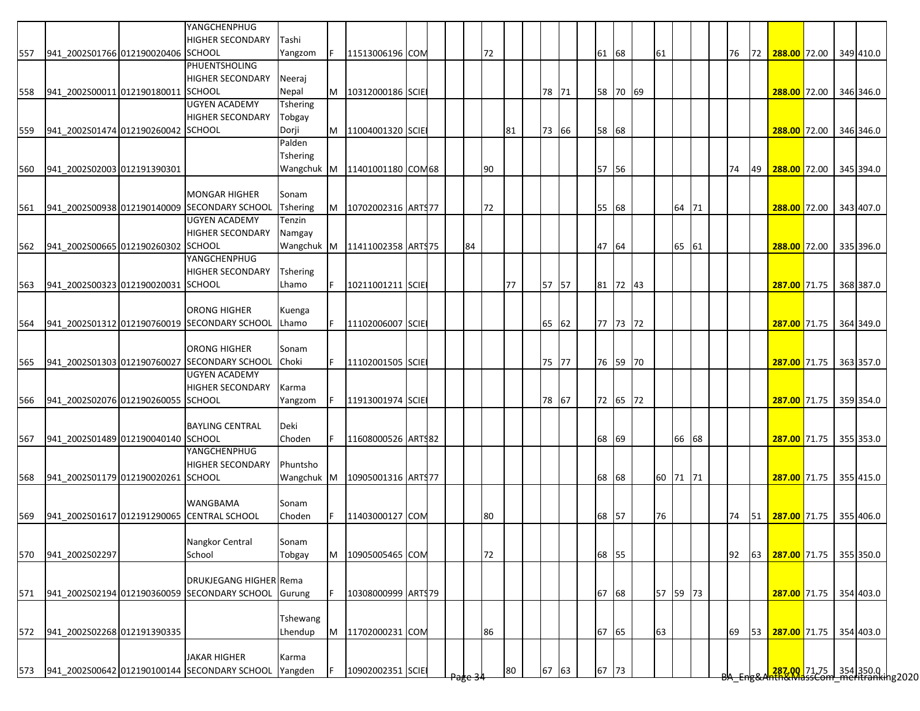|     |                                    | YANGCHENPHUG                                        |                 |    |                     |  |    |    |    |    |       |       |          |          |       |  |    |    |                        |  |           |
|-----|------------------------------------|-----------------------------------------------------|-----------------|----|---------------------|--|----|----|----|----|-------|-------|----------|----------|-------|--|----|----|------------------------|--|-----------|
|     |                                    | <b>HIGHER SECONDARY</b>                             | Tashi           |    |                     |  |    |    |    |    |       |       |          |          |       |  |    |    |                        |  |           |
| 557 | 941_2002S01766 012190020406 SCHOOL |                                                     | Yangzom         | F. | 11513006196 COM     |  |    |    | 72 |    |       | 61 68 |          | 61       |       |  | 76 | 72 | 288.00 72.00           |  | 349 410.0 |
|     |                                    | PHUENTSHOLING                                       |                 |    |                     |  |    |    |    |    |       |       |          |          |       |  |    |    |                        |  |           |
|     |                                    | <b>HIGHER SECONDARY</b>                             | Neeraj          |    |                     |  |    |    |    |    |       |       |          |          |       |  |    |    |                        |  |           |
| 558 | 941_2002S00011 012190180011 SCHOOL |                                                     | Nepal           | M  | 10312000186 SCIE    |  |    |    |    |    | 78 71 |       | 58 70 69 |          |       |  |    |    | 288.00 72.00           |  | 346 346.0 |
|     |                                    | <b>UGYEN ACADEMY</b>                                | Tshering        |    |                     |  |    |    |    |    |       |       |          |          |       |  |    |    |                        |  |           |
|     |                                    | <b>HIGHER SECONDARY</b>                             | Tobgay          |    |                     |  |    |    |    |    |       |       |          |          |       |  |    |    |                        |  |           |
| 559 | 941 2002S01474 012190260042 SCHOOL |                                                     | Dorji           | M  | 11004001320 SCIE    |  |    |    |    | 81 | 73 66 | 58 68 |          |          |       |  |    |    | 288.00 72.00           |  | 346 346.0 |
|     |                                    |                                                     | Palden          |    |                     |  |    |    |    |    |       |       |          |          |       |  |    |    |                        |  |           |
|     |                                    |                                                     | <b>Tshering</b> |    |                     |  |    |    |    |    |       |       |          |          |       |  |    |    |                        |  |           |
| 560 | 941 2002S02003 012191390301        |                                                     | Wangchuk M      |    | 11401001180 COM68   |  |    |    | 90 |    |       | 57 56 |          |          |       |  | 74 | 49 | 288.00 72.00           |  | 345 394.0 |
|     |                                    |                                                     |                 |    |                     |  |    |    |    |    |       |       |          |          |       |  |    |    |                        |  |           |
|     |                                    | <b>MONGAR HIGHER</b>                                | Sonam           |    |                     |  |    |    |    |    |       |       |          |          |       |  |    |    |                        |  |           |
| 561 |                                    | 941 2002S00938 012190140009 SECONDARY SCHOOL        | <b>Tshering</b> | M  | 10702002316 ARTS77  |  |    |    | 72 |    |       | 55 68 |          |          | 64 71 |  |    |    | 288.00 72.00           |  | 343 407.0 |
|     |                                    | <b>UGYEN ACADEMY</b>                                | Tenzin          |    |                     |  |    |    |    |    |       |       |          |          |       |  |    |    |                        |  |           |
|     |                                    | <b>HIGHER SECONDARY</b>                             | Namgay          |    |                     |  |    |    |    |    |       |       |          |          |       |  |    |    |                        |  |           |
| 562 | 941_2002S00665 012190260302 SCHOOL |                                                     | Wangchuk M      |    | 11411002358 ARTS75  |  | 84 |    |    |    |       | 47 64 |          |          | 65 61 |  |    |    | 288.00 72.00           |  | 335 396.0 |
|     |                                    | YANGCHENPHUG                                        |                 |    |                     |  |    |    |    |    |       |       |          |          |       |  |    |    |                        |  |           |
|     |                                    | <b>HIGHER SECONDARY</b>                             | <b>Tshering</b> |    |                     |  |    |    |    |    |       |       |          |          |       |  |    |    |                        |  |           |
| 563 | 941 2002S00323 012190020031 SCHOOL |                                                     | Lhamo           | F  | 10211001211 SCIE    |  |    |    |    | 77 | 57 57 |       | 81 72 43 |          |       |  |    |    | 287.00 71.75           |  | 368 387.0 |
|     |                                    |                                                     |                 |    |                     |  |    |    |    |    |       |       |          |          |       |  |    |    |                        |  |           |
|     |                                    | <b>ORONG HIGHER</b>                                 | Kuenga          |    |                     |  |    |    |    |    |       |       |          |          |       |  |    |    |                        |  |           |
| 564 |                                    | 941_2002S01312 012190760019 SECONDARY SCHOOL        | Lhamo           |    | 11102006007 SCIE    |  |    |    |    |    | 65 62 |       | 77 73 72 |          |       |  |    |    | 287.00 71.75 364 349.0 |  |           |
|     |                                    |                                                     |                 |    |                     |  |    |    |    |    |       |       |          |          |       |  |    |    |                        |  |           |
|     |                                    | <b>ORONG HIGHER</b>                                 | Sonam           |    |                     |  |    |    |    |    |       |       |          |          |       |  |    |    |                        |  |           |
| 565 |                                    | 941_2002S01303 012190760027 SECONDARY SCHOOL        | Choki           |    | 11102001505 SCIE    |  |    |    |    |    | 75 77 |       | 76 59 70 |          |       |  |    |    | 287.00 71.75 363 357.0 |  |           |
|     |                                    | <b>UGYEN ACADEMY</b>                                |                 |    |                     |  |    |    |    |    |       |       |          |          |       |  |    |    |                        |  |           |
|     |                                    | <b>HIGHER SECONDARY</b>                             | Karma           |    |                     |  |    |    |    |    |       |       |          |          |       |  |    |    |                        |  |           |
|     | 941_2002S02076 012190260055 SCHOOL |                                                     |                 | F  | 11913001974 SCIE    |  |    |    |    |    | 78 67 |       | 72 65 72 |          |       |  |    |    | 287.00 71.75 359 354.0 |  |           |
| 566 |                                    |                                                     | Yangzom         |    |                     |  |    |    |    |    |       |       |          |          |       |  |    |    |                        |  |           |
|     |                                    | <b>BAYLING CENTRAL</b>                              | Deki            |    |                     |  |    |    |    |    |       |       |          |          |       |  |    |    |                        |  |           |
|     | 941 2002S01489 012190040140 SCHOOL |                                                     | Choden          | F. | 11608000526 ARTS82  |  |    |    |    |    |       | 68 69 |          |          | 66 68 |  |    |    | 287.00 71.75 355 353.0 |  |           |
| 567 |                                    | YANGCHENPHUG                                        |                 |    |                     |  |    |    |    |    |       |       |          |          |       |  |    |    |                        |  |           |
|     |                                    | <b>HIGHER SECONDARY</b>                             | Phuntsho        |    |                     |  |    |    |    |    |       |       |          |          |       |  |    |    |                        |  |           |
|     |                                    |                                                     |                 |    |                     |  |    |    |    |    |       |       |          |          |       |  |    |    |                        |  |           |
| 568 | 941 2002S01179 012190020261 SCHOOL |                                                     | Wangchuk M      |    | 10905001316 ARTS77  |  |    |    |    |    |       | 68 68 |          | 60 71 71 |       |  |    |    | 287.00 71.75 355 415.0 |  |           |
|     |                                    |                                                     |                 |    |                     |  |    |    |    |    |       |       |          |          |       |  |    |    |                        |  |           |
|     |                                    | <b>WANGBAMA</b>                                     | Sonam           |    |                     |  |    |    |    |    |       |       |          |          |       |  |    |    |                        |  |           |
| 569 |                                    | 941 2002S01617 012191290065 CENTRAL SCHOOL          | Choden          |    | 11403000127 COM     |  |    |    | 80 |    |       | 68    | 57       | 76       |       |  | 74 | 51 | 287.00 71.75           |  | 355 406.0 |
|     |                                    |                                                     |                 |    |                     |  |    |    |    |    |       |       |          |          |       |  |    |    |                        |  |           |
|     |                                    | Nangkor Central                                     | Sonam           |    |                     |  |    |    |    |    |       |       |          |          |       |  |    |    |                        |  |           |
| 570 | 941 2002S02297                     | School                                              | Tobgay          | M  | 10905005465 COM     |  |    |    | 72 |    |       | 68 55 |          |          |       |  | 92 | 63 | 287.00 71.75 355 350.0 |  |           |
|     |                                    |                                                     |                 |    |                     |  |    |    |    |    |       |       |          |          |       |  |    |    |                        |  |           |
|     |                                    | <b>DRUKJEGANG HIGHER Rema</b>                       |                 |    |                     |  |    |    |    |    |       |       |          |          |       |  |    |    |                        |  |           |
| 571 |                                    | 941 2002S02194 012190360059 SECONDARY SCHOOL Gurung |                 |    | 10308000999 ART\$79 |  |    |    |    |    |       | 67 68 |          | 57 59 73 |       |  |    |    | 287.00 71.75 354 403.0 |  |           |
|     |                                    |                                                     |                 |    |                     |  |    |    |    |    |       |       |          |          |       |  |    |    |                        |  |           |
|     |                                    |                                                     | Tshewang        |    |                     |  |    |    |    |    |       |       |          |          |       |  |    |    |                        |  |           |
| 572 | 941 2002S02268 012191390335        |                                                     | Lhendup         | M  | 11702000231 COM     |  |    | 86 |    |    |       | 67 65 |          | 63       |       |  | 69 | 53 | 287.00 71.75           |  | 354 403.0 |
|     |                                    |                                                     |                 |    |                     |  |    |    |    |    |       |       |          |          |       |  |    |    |                        |  |           |
|     |                                    | <b>JAKAR HIGHER</b>                                 | Karma           |    |                     |  |    |    |    |    |       |       |          |          |       |  |    |    |                        |  |           |
| 573 |                                    | 941 2002S00642 012190100144 SECONDARY SCHOOL        | Yangden         |    | 10902002351 SCIE    |  |    |    |    | 80 | 67 63 | 67 73 |          |          |       |  |    |    |                        |  |           |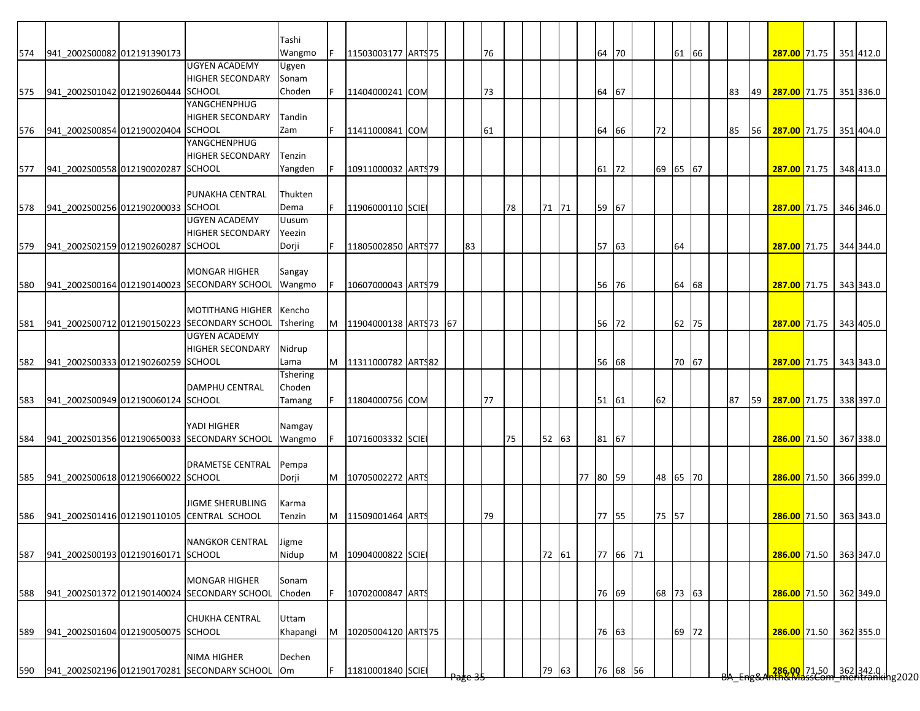|            |                                    |                                              | Tashi    |    |                       |  |    |    |    |       |          |          |          |       |  |    |    |                                                                |  |           |
|------------|------------------------------------|----------------------------------------------|----------|----|-----------------------|--|----|----|----|-------|----------|----------|----------|-------|--|----|----|----------------------------------------------------------------|--|-----------|
| 574        | 941_2002S00082 012191390173        |                                              | Wangmo   | F. | 11503003177 ART\$75   |  |    | 76 |    |       | 64 70    |          |          | 61 66 |  |    |    | 287.00 71.75 351 412.0                                         |  |           |
|            |                                    | <b>UGYEN ACADEMY</b>                         | Ugyen    |    |                       |  |    |    |    |       |          |          |          |       |  |    |    |                                                                |  |           |
|            |                                    | <b>HIGHER SECONDARY</b>                      | Sonam    |    |                       |  |    |    |    |       |          |          |          |       |  |    |    |                                                                |  |           |
| 575        | 941 2002S01042 012190260444 SCHOOL |                                              | Choden   | F. | 11404000241 COM       |  |    | 73 |    |       | 64 67    |          |          |       |  | 83 | 49 | 287.00 71.75 351 336.0                                         |  |           |
|            |                                    | YANGCHENPHUG                                 |          |    |                       |  |    |    |    |       |          |          |          |       |  |    |    |                                                                |  |           |
|            |                                    | <b>HIGHER SECONDARY</b>                      | Tandin   |    |                       |  |    |    |    |       |          |          |          |       |  |    |    |                                                                |  |           |
| 576        | 941 2002S00854 012190020404 SCHOOL |                                              | Zam      | F. | 11411000841 COM       |  |    | 61 |    |       | 64 66    |          | 72       |       |  | 85 | 56 | 287.00 71.75 351 404.0                                         |  |           |
|            |                                    | YANGCHENPHUG                                 |          |    |                       |  |    |    |    |       |          |          |          |       |  |    |    |                                                                |  |           |
|            |                                    | <b>HIGHER SECONDARY</b>                      | Tenzin   |    |                       |  |    |    |    |       |          |          |          |       |  |    |    |                                                                |  |           |
| 577        | 941_2002S00558 012190020287 SCHOOL |                                              | Yangden  | F. | 10911000032 ARTS79    |  |    |    |    |       | 61 72    |          | 69 65 67 |       |  |    |    | 287.00 71.75 348 413.0                                         |  |           |
|            |                                    |                                              |          |    |                       |  |    |    |    |       |          |          |          |       |  |    |    |                                                                |  |           |
|            |                                    | PUNAKHA CENTRAL                              | Thukten  |    |                       |  |    |    |    |       |          |          |          |       |  |    |    |                                                                |  |           |
| 578        | 941 2002S00256 012190200033 SCHOOL |                                              | Dema     |    | 11906000110 SCIE      |  |    |    | 78 | 71 71 | 59 67    |          |          |       |  |    |    | 287.00 71.75 346 346.0                                         |  |           |
|            |                                    | <b>UGYEN ACADEMY</b>                         | Uusum    |    |                       |  |    |    |    |       |          |          |          |       |  |    |    |                                                                |  |           |
|            |                                    | <b>HIGHER SECONDARY</b>                      | Yeezin   |    |                       |  |    |    |    |       |          |          |          |       |  |    |    |                                                                |  |           |
| 579        | 941 2002S02159 012190260287 SCHOOL |                                              | Dorji    |    | 11805002850 ARTS77    |  | 83 |    |    |       | 57 63    |          |          | 64    |  |    |    | 287.00 71.75 344 344.0                                         |  |           |
|            |                                    |                                              |          |    |                       |  |    |    |    |       |          |          |          |       |  |    |    |                                                                |  |           |
|            |                                    | <b>MONGAR HIGHER</b>                         | Sangay   |    |                       |  |    |    |    |       |          |          |          |       |  |    |    |                                                                |  |           |
| 580        |                                    | 941 2002S00164 012190140023 SECONDARY SCHOOL | Wangmo   |    | 10607000043 ARTS79    |  |    |    |    |       | 56       | 76       |          | 64 68 |  |    |    | 287.00 71.75                                                   |  | 343 343.0 |
|            |                                    |                                              |          |    |                       |  |    |    |    |       |          |          |          |       |  |    |    |                                                                |  |           |
|            |                                    | <b>MOTITHANG HIGHER</b>                      | Kencho   |    |                       |  |    |    |    |       |          |          |          |       |  |    |    |                                                                |  |           |
| 581        |                                    | 941_2002S00712 012190150223 SECONDARY SCHOOL | Tshering | M  | 11904000138 ARTS73 67 |  |    |    |    |       | 56 72    |          |          | 62 75 |  |    |    | 287.00 71.75 343 405.0                                         |  |           |
|            |                                    | <b>UGYEN ACADEMY</b>                         |          |    |                       |  |    |    |    |       |          |          |          |       |  |    |    |                                                                |  |           |
|            |                                    | <b>HIGHER SECONDARY</b>                      | Nidrup   |    |                       |  |    |    |    |       |          |          |          |       |  |    |    |                                                                |  |           |
| 582        | 941 2002S00333 012190260259 SCHOOL |                                              | Lama     | M  | 11311000782 ARTS82    |  |    |    |    |       | 56 68    |          |          | 70 67 |  |    |    | 287.00 71.75                                                   |  | 343 343.0 |
|            |                                    |                                              | Tshering |    |                       |  |    |    |    |       |          |          |          |       |  |    |    |                                                                |  |           |
|            |                                    | <b>DAMPHU CENTRAL</b>                        | Choden   |    |                       |  |    |    |    |       |          |          |          |       |  |    |    |                                                                |  |           |
| 583        | 941_2002S00949 012190060124 SCHOOL |                                              | Tamang   |    | 11804000756 COM       |  |    | 77 |    |       | 51 61    |          | 62       |       |  | 87 | 59 | 287.00 71.75                                                   |  | 338 397.0 |
|            |                                    |                                              |          |    |                       |  |    |    |    |       |          |          |          |       |  |    |    |                                                                |  |           |
|            |                                    | YADI HIGHER                                  | Namgay   |    |                       |  |    |    |    |       |          |          |          |       |  |    |    |                                                                |  |           |
| 584        |                                    | 941 2002S01356 012190650033 SECONDARY SCHOOL | Wangmo   |    | 10716003332 SCIE      |  |    |    | 75 | 52 63 | 81 67    |          |          |       |  |    |    | 286.00 71.50 367 338.0                                         |  |           |
|            |                                    |                                              |          |    |                       |  |    |    |    |       |          |          |          |       |  |    |    |                                                                |  |           |
|            |                                    | <b>DRAMETSE CENTRAL</b> Pempa                |          |    |                       |  |    |    |    |       |          |          |          |       |  |    |    |                                                                |  |           |
| 585        | 941 2002S00618 012190660022 SCHOOL |                                              | Dorji    | M  | 10705002272 ARTS      |  |    |    |    |       | 77 80 59 |          | 48 65 70 |       |  |    |    | 286.00 71.50 366 399.0                                         |  |           |
|            |                                    |                                              |          |    |                       |  |    |    |    |       |          |          |          |       |  |    |    |                                                                |  |           |
|            |                                    | <b>JIGME SHERUBLING</b>                      | Karma    |    |                       |  |    |    |    |       |          |          |          |       |  |    |    |                                                                |  |           |
| 586        |                                    | 941 2002S01416 012190110105 CENTRAL SCHOOL   | Tenzin   | M  | 11509001464 ARTS      |  |    | 79 |    |       | 77 55    |          | 75 57    |       |  |    |    | 286.00 71.50 363 343.0                                         |  |           |
|            |                                    |                                              |          |    |                       |  |    |    |    |       |          |          |          |       |  |    |    |                                                                |  |           |
|            |                                    | <b>NANGKOR CENTRAL</b>                       | Jigme    |    |                       |  |    |    |    |       |          |          |          |       |  |    |    |                                                                |  |           |
| 587        | 941 2002S00193 012190160171 SCHOOL |                                              | Nidup    | M  | 10904000822 SCIE      |  |    |    |    | 72 61 |          | 77 66 71 |          |       |  |    |    | 286.00 71.50 363 347.0                                         |  |           |
|            |                                    |                                              |          |    |                       |  |    |    |    |       |          |          |          |       |  |    |    |                                                                |  |           |
|            |                                    | <b>MONGAR HIGHER</b>                         | Sonam    |    |                       |  |    |    |    |       |          |          |          |       |  |    |    |                                                                |  |           |
|            |                                    | 941 2002S01372 012190140024 SECONDARY SCHOOL | Choden   |    | 10702000847 ARTS      |  |    |    |    |       | 76 69    |          | 68 73 63 |       |  |    |    | 286.00 71.50 362 349.0                                         |  |           |
|            |                                    |                                              |          |    |                       |  |    |    |    |       |          |          |          |       |  |    |    |                                                                |  |           |
|            |                                    |                                              |          |    |                       |  |    |    |    |       |          |          |          |       |  |    |    |                                                                |  |           |
|            |                                    | <b>CHUKHA CENTRAL</b>                        | Uttam    |    |                       |  |    |    |    |       |          |          |          |       |  |    |    |                                                                |  |           |
|            | 941 2002S01604 012190050075 SCHOOL |                                              | Khapangi | M  | 10205004120 ARTS75    |  |    |    |    |       | 76 63    |          |          |       |  |    |    | 286.00 71.50 362 355.0                                         |  |           |
|            |                                    |                                              |          |    |                       |  |    |    |    |       |          |          |          | 69 72 |  |    |    |                                                                |  |           |
| 588<br>589 |                                    | <b>NIMA HIGHER</b>                           | Dechen   |    |                       |  |    |    |    |       |          |          |          |       |  |    |    | 286.00 71.50 362 342.0  <br>286.00 71.50   362   342.0   32020 |  |           |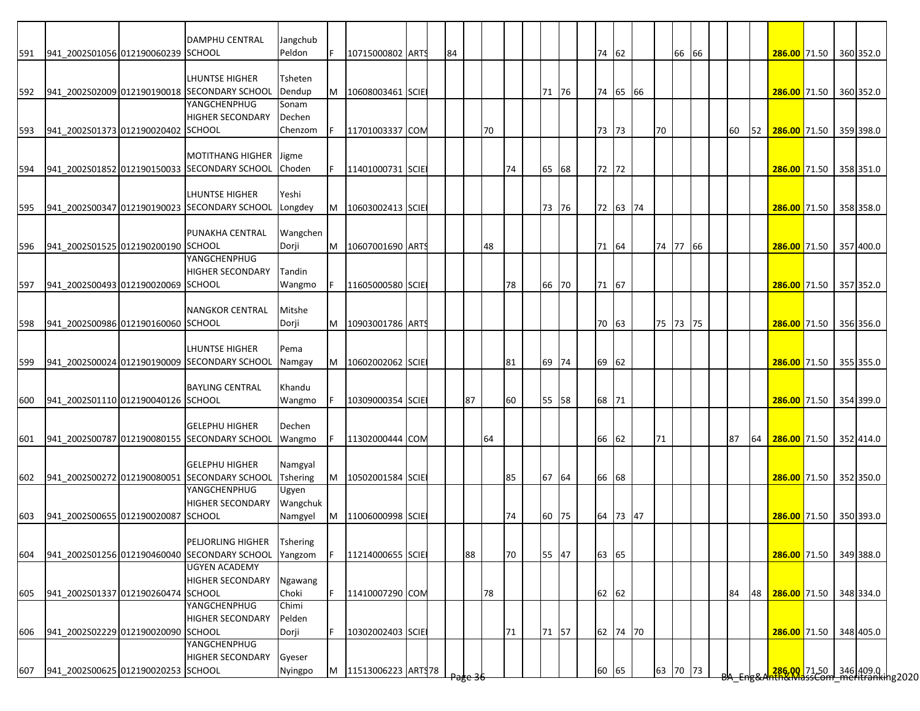|     |                                    | DAMPHU CENTRAL                                               | Jangchub                   | F  |                  |    |    |    |    |       |       |          |          |       |  |    |    |                                                      |  |           |
|-----|------------------------------------|--------------------------------------------------------------|----------------------------|----|------------------|----|----|----|----|-------|-------|----------|----------|-------|--|----|----|------------------------------------------------------|--|-----------|
| 591 | 941_2002S01056 012190060239 SCHOOL |                                                              | Peldon                     |    | 10715000802 ARTS | 84 |    |    |    |       | 74 62 |          |          | 66 66 |  |    |    | 286.00 71.50 360 352.0                               |  |           |
|     |                                    | LHUNTSE HIGHER                                               | Tsheten                    |    |                  |    |    |    |    |       |       |          |          |       |  |    |    |                                                      |  |           |
|     |                                    | 941_2002S02009 012190190018 SECONDARY SCHOOL                 | Dendup                     | M  | 10608003461 SCIE |    |    |    |    | 71 76 |       | 74 65 66 |          |       |  |    |    | 286.00 71.50 360 352.0                               |  |           |
| 592 |                                    | YANGCHENPHUG                                                 | Sonam                      |    |                  |    |    |    |    |       |       |          |          |       |  |    |    |                                                      |  |           |
|     |                                    | <b>HIGHER SECONDARY</b>                                      | Dechen                     |    |                  |    |    |    |    |       |       |          |          |       |  |    |    |                                                      |  |           |
| 593 | 941 2002S01373 012190020402 SCHOOL |                                                              | Chenzom                    | F  | 11701003337 COM  |    |    | 70 |    |       | 73 73 |          | 70       |       |  | 60 | 52 | 286.00 71.50                                         |  | 359 398.0 |
|     |                                    |                                                              |                            |    |                  |    |    |    |    |       |       |          |          |       |  |    |    |                                                      |  |           |
|     |                                    | <b>MOTITHANG HIGHER</b>                                      | Jigme                      |    |                  |    |    |    |    |       |       |          |          |       |  |    |    |                                                      |  |           |
| 594 |                                    | 941 2002S01852 012190150033 SECONDARY SCHOOL                 | Choden                     |    | 11401000731 SCIE |    |    |    | 74 | 65 68 | 72 72 |          |          |       |  |    |    | 286.00 71.50 358 351.0                               |  |           |
|     |                                    |                                                              |                            |    |                  |    |    |    |    |       |       |          |          |       |  |    |    |                                                      |  |           |
|     |                                    | <b>LHUNTSE HIGHER</b>                                        | Yeshi                      |    |                  |    |    |    |    |       |       |          |          |       |  |    |    |                                                      |  |           |
| 595 |                                    | 941 2002S00347 012190190023 SECONDARY SCHOOL                 | Longdey                    | M  | 10603002413 SCIE |    |    |    |    | 73 76 |       | 72 63 74 |          |       |  |    |    | 286.00 71.50                                         |  | 358 358.0 |
|     |                                    |                                                              |                            |    |                  |    |    |    |    |       |       |          |          |       |  |    |    |                                                      |  |           |
|     |                                    | PUNAKHA CENTRAL                                              | Wangchen                   |    |                  |    |    |    |    |       |       |          |          |       |  |    |    |                                                      |  |           |
| 596 | 941_2002S01525 012190200190 SCHOOL |                                                              | Dorji                      | M  | 10607001690 ARTS |    |    | 48 |    |       | 71 64 |          | 74 77 66 |       |  |    |    | 286.00 71.50 357 400.0                               |  |           |
|     |                                    | YANGCHENPHUG                                                 |                            |    |                  |    |    |    |    |       |       |          |          |       |  |    |    |                                                      |  |           |
|     |                                    | <b>HIGHER SECONDARY</b>                                      | Tandin                     |    |                  |    |    |    |    |       |       |          |          |       |  |    |    |                                                      |  |           |
| 597 | 941 2002S00493 012190020069 SCHOOL |                                                              | Wangmo                     |    | 11605000580 SCIE |    |    |    | 78 | 66 70 | 71 67 |          |          |       |  |    |    | 286.00 71.50                                         |  | 357 352.0 |
|     |                                    |                                                              |                            |    |                  |    |    |    |    |       |       |          |          |       |  |    |    |                                                      |  |           |
|     |                                    | <b>NANGKOR CENTRAL</b>                                       | Mitshe                     |    |                  |    |    |    |    |       |       |          |          |       |  |    |    |                                                      |  |           |
| 598 | 941_2002S00986 012190160060 SCHOOL |                                                              | Dorji                      | M  | 10903001786 ARTS |    |    |    |    |       | 70 63 |          | 75 73 75 |       |  |    |    | 286.00 71.50 356 356.0                               |  |           |
|     |                                    |                                                              |                            |    |                  |    |    |    |    |       |       |          |          |       |  |    |    |                                                      |  |           |
|     |                                    | LHUNTSE HIGHER                                               | Pema                       |    |                  |    |    |    |    |       |       |          |          |       |  |    |    |                                                      |  |           |
| 599 |                                    | 941_2002S00024 012190190009 SECONDARY SCHOOL                 | Namgay                     | M  | 10602002062 SCIE |    |    |    | 81 | 69 74 | 69 62 |          |          |       |  |    |    | 286.00 71.50                                         |  | 355 355.0 |
|     |                                    |                                                              |                            |    |                  |    |    |    |    |       |       |          |          |       |  |    |    |                                                      |  |           |
|     |                                    | <b>BAYLING CENTRAL</b>                                       | Khandu                     |    |                  |    |    |    |    |       |       |          |          |       |  |    |    |                                                      |  |           |
| 600 | 941 2002S01110 012190040126 SCHOOL |                                                              | Wangmo                     |    | 10309000354 SCIE |    | 87 |    | 60 | 55 58 | 68 71 |          |          |       |  |    |    | 286.00 71.50 354 399.0                               |  |           |
|     |                                    |                                                              |                            |    |                  |    |    |    |    |       |       |          |          |       |  |    |    |                                                      |  |           |
|     |                                    | <b>GELEPHU HIGHER</b>                                        | Dechen                     |    |                  |    |    |    |    |       |       |          |          |       |  |    |    |                                                      |  |           |
| 601 |                                    | 941 2002S00787 012190080155 SECONDARY SCHOOL                 | Wangmo                     |    | 11302000444 COM  |    |    | 64 |    |       | 66 62 |          | 71       |       |  | 87 | 64 | 286.00 71.50 352 414.0                               |  |           |
|     |                                    | <b>GELEPHU HIGHER</b>                                        |                            |    |                  |    |    |    |    |       |       |          |          |       |  |    |    |                                                      |  |           |
|     |                                    |                                                              | Namgyal<br><b>Tshering</b> |    |                  |    |    |    |    |       |       |          |          |       |  |    |    | 286.00 71.50 352 350.0                               |  |           |
| 602 |                                    | 941 2002S00272 012190080051 SECONDARY SCHOOL<br>YANGCHENPHUG | Ugyen                      | M  | 10502001584 SCIE |    |    |    | 85 | 67 64 | 66 68 |          |          |       |  |    |    |                                                      |  |           |
|     |                                    | <b>HIGHER SECONDARY</b>                                      | Wangchuk                   |    |                  |    |    |    |    |       |       |          |          |       |  |    |    |                                                      |  |           |
| 603 | 941 2002S00655 012190020087 SCHOOL |                                                              | Namgyel                    | M  | 11006000998 SCIE |    |    |    | 74 | 60 75 |       | 64 73 47 |          |       |  |    |    | 286.00 71.50 350 393.0                               |  |           |
|     |                                    |                                                              |                            |    |                  |    |    |    |    |       |       |          |          |       |  |    |    |                                                      |  |           |
|     |                                    | PELJORLING HIGHER                                            | <b>Tshering</b>            |    |                  |    |    |    |    |       |       |          |          |       |  |    |    |                                                      |  |           |
| 604 |                                    | 941_2002S01256 012190460040 SECONDARY SCHOOL                 | Yangzom                    | F  | 11214000655 SCIE |    | 88 |    | 70 | 55 47 | 63 65 |          |          |       |  |    |    | 286.00 71.50 349 388.0                               |  |           |
|     |                                    | <b>UGYEN ACADEMY</b>                                         |                            |    |                  |    |    |    |    |       |       |          |          |       |  |    |    |                                                      |  |           |
|     |                                    | <b>HIGHER SECONDARY</b>                                      | Ngawang                    |    |                  |    |    |    |    |       |       |          |          |       |  |    |    |                                                      |  |           |
| 605 | 941 2002S01337 012190260474 SCHOOL |                                                              | Choki                      | F. | 11410007290 COM  |    |    | 78 |    |       | 62 62 |          |          |       |  | 84 | 48 | 286.00 71.50 348 334.0                               |  |           |
|     |                                    | YANGCHENPHUG                                                 | Chimi                      |    |                  |    |    |    |    |       |       |          |          |       |  |    |    |                                                      |  |           |
|     |                                    | <b>HIGHER SECONDARY</b>                                      | Pelden                     |    |                  |    |    |    |    |       |       |          |          |       |  |    |    |                                                      |  |           |
|     |                                    |                                                              |                            | F. | 10302002403 SCIE |    |    |    | 71 | 71 57 |       | 62 74 70 |          |       |  |    |    | 286.00 71.50                                         |  | 348 405.0 |
|     |                                    |                                                              |                            |    |                  |    |    |    |    |       |       |          |          |       |  |    |    |                                                      |  |           |
|     | 941_2002S02229 012190020090 SCHOOL |                                                              | Dorji                      |    |                  |    |    |    |    |       |       |          |          |       |  |    |    |                                                      |  |           |
| 606 |                                    | <b>YANGCHENPHUG</b><br><b>HIGHER SECONDARY</b>               | Gyeser                     |    |                  |    |    |    |    |       |       |          |          |       |  |    |    | 286.00 71.50 346 409.0  <br>286.00 71.50   346 409.0 |  |           |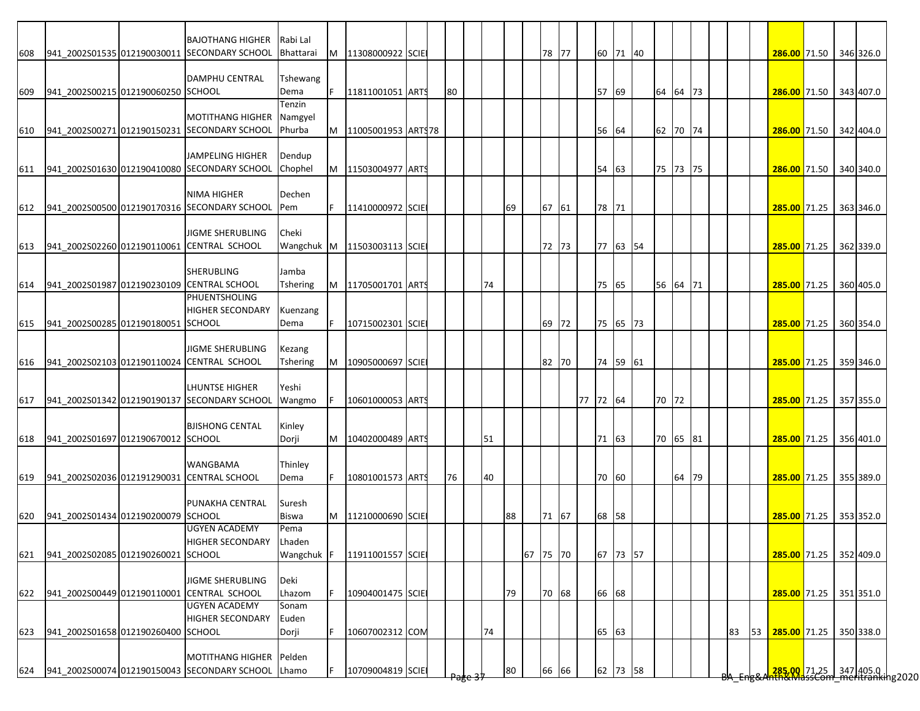|     |                                    | <b>BAJOTHANG HIGHER</b>                                        | Rabi Lal           |    |                             |  |    |    |    |          |          |       |          |          |       |  |    |    |                        |  |                                                                       |
|-----|------------------------------------|----------------------------------------------------------------|--------------------|----|-----------------------------|--|----|----|----|----------|----------|-------|----------|----------|-------|--|----|----|------------------------|--|-----------------------------------------------------------------------|
| 608 |                                    | 941 2002S01535 012190030011 SECONDARY SCHOOL                   | Bhattarai          | M  | 11308000922 SCIE            |  |    |    |    | 78 77    |          |       | 60 71 40 |          |       |  |    |    | 286.00 71.50 346 326.0 |  |                                                                       |
|     |                                    |                                                                |                    |    |                             |  |    |    |    |          |          |       |          |          |       |  |    |    |                        |  |                                                                       |
|     | 941 2002S00215 012190060250 SCHOOL | <b>DAMPHU CENTRAL</b>                                          | Tshewang<br>Dema   |    | 11811001051 ARTS            |  | 80 |    |    |          |          | 57    | 69       | 64 64 73 |       |  |    |    | 286.00 71.50 343 407.0 |  |                                                                       |
| 609 |                                    |                                                                | Tenzin             |    |                             |  |    |    |    |          |          |       |          |          |       |  |    |    |                        |  |                                                                       |
|     |                                    | <b>MOTITHANG HIGHER</b>                                        | Namgyel            |    |                             |  |    |    |    |          |          |       |          |          |       |  |    |    |                        |  |                                                                       |
| 610 |                                    | 941 2002S00271 012190150231 SECONDARY SCHOOL                   | Phurba             |    | M 11005001953 ARTS78        |  |    |    |    |          |          | 56    | 64       | 62 70 74 |       |  |    |    | 286.00 71.50 342 404.0 |  |                                                                       |
|     |                                    |                                                                |                    |    |                             |  |    |    |    |          |          |       |          |          |       |  |    |    |                        |  |                                                                       |
|     |                                    | <b>JAMPELING HIGHER</b>                                        | Dendup             |    |                             |  |    |    |    |          |          |       |          |          |       |  |    |    |                        |  |                                                                       |
| 611 |                                    | 941_2002S01630 012190410080 SECONDARY SCHOOL                   | Chophel            |    | M   11503004977   ARTS      |  |    |    |    |          |          | 54    | 63       | 75 73 75 |       |  |    |    | 286.00 71.50 340 340.0 |  |                                                                       |
|     |                                    | <b>NIMA HIGHER</b>                                             | Dechen             |    |                             |  |    |    |    |          |          |       |          |          |       |  |    |    |                        |  |                                                                       |
| 612 |                                    | 941_2002S00500 012190170316 SECONDARY SCHOOL                   | Pem                | F. | 11410000972 SCIE            |  |    |    | 69 | 67 61    |          | 78 71 |          |          |       |  |    |    | 285.00 71.25           |  | 363 346.0                                                             |
|     |                                    |                                                                |                    |    |                             |  |    |    |    |          |          |       |          |          |       |  |    |    |                        |  |                                                                       |
|     |                                    | JIGME SHERUBLING                                               | Cheki              |    |                             |  |    |    |    |          |          |       |          |          |       |  |    |    |                        |  |                                                                       |
| 613 |                                    | 941_2002S02260 012190110061 CENTRAL SCHOOL                     |                    |    | Wangchuk M 11503003113 SCIE |  |    |    |    | 72 73    |          |       | 77 63 54 |          |       |  |    |    | 285.00 71.25 362 339.0 |  |                                                                       |
|     |                                    | <b>SHERUBLING</b>                                              | Jamba              |    |                             |  |    |    |    |          |          |       |          |          |       |  |    |    |                        |  |                                                                       |
| 614 |                                    | 941 2002S01987 012190230109 CENTRAL SCHOOL                     | Tshering           | M  | 11705001701 ARTS            |  |    | 74 |    |          |          | 75 65 |          | 56 64 71 |       |  |    |    | 285.00 71.25           |  | 360 405.0                                                             |
|     |                                    | <b>PHUENTSHOLING</b>                                           |                    |    |                             |  |    |    |    |          |          |       |          |          |       |  |    |    |                        |  |                                                                       |
|     |                                    | <b>HIGHER SECONDARY</b>                                        | Kuenzang           |    |                             |  |    |    |    |          |          |       |          |          |       |  |    |    |                        |  |                                                                       |
| 615 | 941 2002S00285 012190180051 SCHOOL |                                                                | Dema               | F. | 10715002301 SCIE            |  |    |    |    | 69 72    |          |       | 75 65 73 |          |       |  |    |    | 285.00 71.25 360 354.0 |  |                                                                       |
|     |                                    |                                                                |                    |    |                             |  |    |    |    |          |          |       |          |          |       |  |    |    |                        |  |                                                                       |
| 616 |                                    | JIGME SHERUBLING<br>941 2002S02103 012190110024 CENTRAL SCHOOL | Kezang<br>Tshering | M  | 10905000697 SCIE            |  |    |    |    | 82 70    |          |       | 74 59 61 |          |       |  |    |    | 285.00 71.25 359 346.0 |  |                                                                       |
|     |                                    |                                                                |                    |    |                             |  |    |    |    |          |          |       |          |          |       |  |    |    |                        |  |                                                                       |
|     |                                    | LHUNTSE HIGHER                                                 | Yeshi              |    |                             |  |    |    |    |          |          |       |          |          |       |  |    |    |                        |  |                                                                       |
| 617 |                                    | 941_2002S01342 012190190137 SECONDARY SCHOOL                   | Wangmo             |    | 10601000053 ARTS            |  |    |    |    |          | 77 72 64 |       |          | 70 72    |       |  |    |    | 285.00 71.25 357 355.0 |  |                                                                       |
|     |                                    |                                                                |                    |    |                             |  |    |    |    |          |          |       |          |          |       |  |    |    |                        |  |                                                                       |
|     |                                    | <b>BJISHONG CENTAL</b>                                         | Kinley             |    |                             |  |    |    |    |          |          |       |          |          |       |  |    |    |                        |  |                                                                       |
| 618 | 941_2002S01697 012190670012 SCHOOL |                                                                | Dorji              |    | M 10402000489 ARTS          |  |    | 51 |    |          |          | 71 63 |          | 70 65 81 |       |  |    |    | 285.00 71.25 356 401.0 |  |                                                                       |
|     |                                    | <b>WANGBAMA</b>                                                | Thinley            |    |                             |  |    |    |    |          |          |       |          |          |       |  |    |    |                        |  |                                                                       |
| 619 |                                    | 941_2002S02036 012191290031 CENTRAL SCHOOL                     | Dema               | F. | 10801001573 ARTS            |  | 76 | 40 |    |          |          | 70    | 60       |          | 64 79 |  |    |    | 285.00 71.25 355 389.0 |  |                                                                       |
|     |                                    |                                                                |                    |    |                             |  |    |    |    |          |          |       |          |          |       |  |    |    |                        |  |                                                                       |
|     |                                    | <b>PUNAKHA CENTRAL</b>                                         | Suresh             |    |                             |  |    |    |    |          |          |       |          |          |       |  |    |    |                        |  |                                                                       |
| 620 | 941_2002S01434 012190200079 SCHOOL | <b>UGYEN ACADEMY</b>                                           | Biswa<br>Pema      | M  | 11210000690 SCIE            |  |    |    | 88 | 71 67    |          | 68 58 |          |          |       |  |    |    | 285.00 71.25 353 352.0 |  |                                                                       |
|     |                                    | <b>HIGHER SECONDARY</b>                                        | Lhaden             |    |                             |  |    |    |    |          |          |       |          |          |       |  |    |    |                        |  |                                                                       |
| 621 | 941 2002S02085 012190260021 SCHOOL |                                                                | Wangchuk F         |    | 11911001557 SCIE            |  |    |    |    | 67 75 70 |          |       | 67 73 57 |          |       |  |    |    | 285.00 71.25 352 409.0 |  |                                                                       |
|     |                                    |                                                                |                    |    |                             |  |    |    |    |          |          |       |          |          |       |  |    |    |                        |  |                                                                       |
|     |                                    | <b>JIGME SHERUBLING</b>                                        | Deki               |    |                             |  |    |    |    |          |          |       |          |          |       |  |    |    |                        |  |                                                                       |
| 622 |                                    | 941 2002S00449 012190110001 CENTRAL SCHOOL                     | Lhazom             |    | 10904001475 SCIE            |  |    |    | 79 | 70 68    |          | 66 68 |          |          |       |  |    |    | 285.00 71.25 351 351.0 |  |                                                                       |
|     |                                    | <b>UGYEN ACADEMY</b>                                           | Sonam              |    |                             |  |    |    |    |          |          |       |          |          |       |  |    |    |                        |  |                                                                       |
|     | 941 2002S01658 012190260400 SCHOOL | <b>HIGHER SECONDARY</b>                                        | Euden              | F. |                             |  |    | 74 |    |          |          | 65    |          |          |       |  |    |    |                        |  |                                                                       |
| 623 |                                    |                                                                | Dorji              |    | 10607002312 COM             |  |    |    |    |          |          |       | 63       |          |       |  | 83 | 53 | 285.00 71.25 350 338.0 |  |                                                                       |
|     |                                    | MOTITHANG HIGHER Pelden                                        |                    |    |                             |  |    |    |    |          |          |       |          |          |       |  |    |    |                        |  |                                                                       |
| 624 |                                    | 941 2002S00074 012190150043 SECONDARY SCHOOL                   | Lhamo              |    | 10709004819 SCIE            |  |    |    | 80 | 66 66    |          |       | 62 73 58 |          |       |  |    |    |                        |  | <mark>.285.00.</mark> 71.25 347 405.0<br>hth&MassCom meritranking2020 |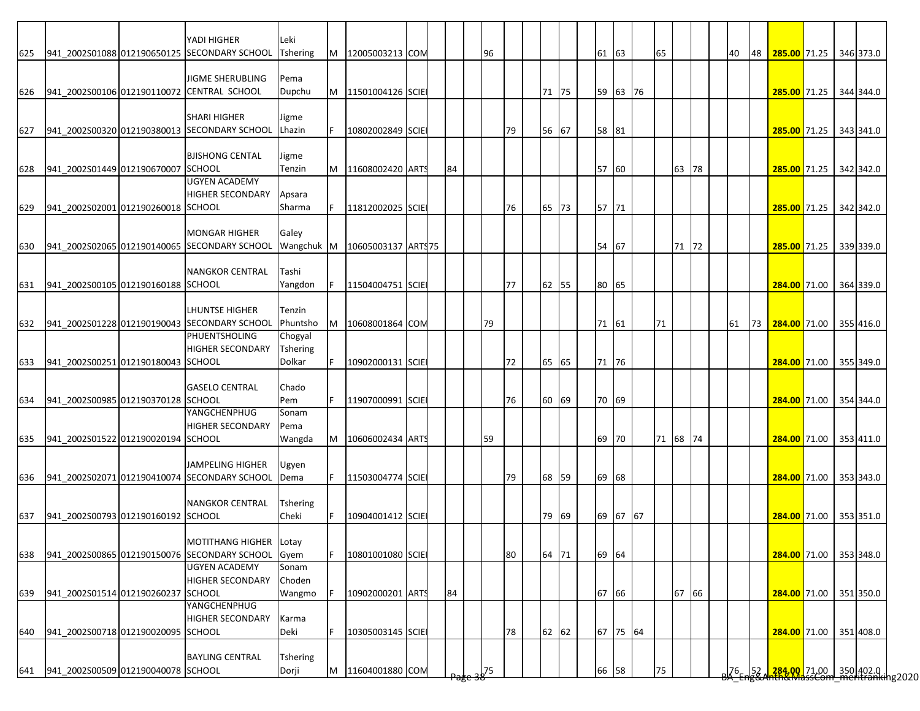|     |                                    | YADI HIGHER                                  | Leki            |    |                               |  |    |    |    |       |  |       |          |    |          |  |           |    |                                                             |  |           |
|-----|------------------------------------|----------------------------------------------|-----------------|----|-------------------------------|--|----|----|----|-------|--|-------|----------|----|----------|--|-----------|----|-------------------------------------------------------------|--|-----------|
| 625 |                                    | 941 2002S01088 012190650125 SECONDARY SCHOOL | Tshering        | M  | 12005003213 COM               |  |    | 96 |    |       |  | 61 63 |          | 65 |          |  | 40        | 48 | 285.00 71.25 346 373.0                                      |  |           |
|     |                                    |                                              |                 |    |                               |  |    |    |    |       |  |       |          |    |          |  |           |    |                                                             |  |           |
|     |                                    | <b>JIGME SHERUBLING</b>                      | Pema            |    |                               |  |    |    |    |       |  |       |          |    |          |  |           |    |                                                             |  |           |
| 626 |                                    | 941_2002S00106 012190110072 CENTRAL SCHOOL   | Dupchu          |    | M 11501004126 SCIE            |  |    |    |    | 71 75 |  |       | 59 63 76 |    |          |  |           |    | 285.00 71.25 344 344.0                                      |  |           |
|     |                                    |                                              |                 |    |                               |  |    |    |    |       |  |       |          |    |          |  |           |    |                                                             |  |           |
|     |                                    | <b>SHARI HIGHER</b>                          | Jigme           |    |                               |  |    |    |    |       |  |       |          |    |          |  |           |    |                                                             |  |           |
| 627 |                                    | 941 2002S00320 012190380013 SECONDARY SCHOOL | Lhazin          | F. | 10802002849 SCIE              |  |    |    | 79 | 56 67 |  | 58 81 |          |    |          |  |           |    | 285.00 71.25 343 341.0                                      |  |           |
|     |                                    |                                              |                 |    |                               |  |    |    |    |       |  |       |          |    |          |  |           |    |                                                             |  |           |
|     |                                    | <b>BJISHONG CENTAL</b>                       | Jigme           |    |                               |  |    |    |    |       |  |       |          |    |          |  |           |    |                                                             |  |           |
| 628 | 941_2002S01449 012190670007 SCHOOL |                                              | Tenzin          | M  | 11608002420 ARTS              |  | 84 |    |    |       |  | 57 60 |          |    | 63 78    |  |           |    | 285.00 71.25 342 342.0                                      |  |           |
|     |                                    | <b>UGYEN ACADEMY</b>                         |                 |    |                               |  |    |    |    |       |  |       |          |    |          |  |           |    |                                                             |  |           |
|     |                                    | <b>HIGHER SECONDARY</b>                      | Apsara          |    |                               |  |    |    |    |       |  |       |          |    |          |  |           |    |                                                             |  |           |
| 629 | 941 2002S02001 012190260018 SCHOOL |                                              | Sharma          |    | 11812002025 SCIE              |  |    |    | 76 | 65 73 |  | 57 71 |          |    |          |  |           |    | 285.00 71.25 342 342.0                                      |  |           |
|     |                                    |                                              |                 |    |                               |  |    |    |    |       |  |       |          |    |          |  |           |    |                                                             |  |           |
|     |                                    | <b>MONGAR HIGHER</b>                         | Galey           |    |                               |  |    |    |    |       |  |       |          |    |          |  |           |    |                                                             |  |           |
| 630 |                                    | 941 2002S02065 012190140065 SECONDARY SCHOOL |                 |    | Wangchuk M 10605003137 ARTS75 |  |    |    |    |       |  | 54 67 |          |    | 71 72    |  |           |    | 285.00 71.25 339 339.0                                      |  |           |
|     |                                    |                                              |                 |    |                               |  |    |    |    |       |  |       |          |    |          |  |           |    |                                                             |  |           |
|     |                                    | <b>NANGKOR CENTRAL</b>                       | Tashi           |    |                               |  |    |    |    |       |  |       |          |    |          |  |           |    |                                                             |  |           |
| 631 | 941 2002S00105 012190160188 SCHOOL |                                              | Yangdon         |    | 11504004751 SCIE              |  |    |    | 77 | 62 55 |  | 80 65 |          |    |          |  |           |    | 284.00 71.00                                                |  | 364 339.0 |
|     |                                    |                                              |                 |    |                               |  |    |    |    |       |  |       |          |    |          |  |           |    |                                                             |  |           |
|     |                                    | <b>LHUNTSE HIGHER</b>                        | Tenzin          |    |                               |  |    |    |    |       |  |       |          |    |          |  |           |    |                                                             |  |           |
| 632 |                                    | 941_2002S01228 012190190043 SECONDARY SCHOOL | Phuntsho        | M  | 10608001864 COM               |  |    | 79 |    |       |  | 71 61 |          | 71 |          |  | 61        |    | 73 284.00 71.00 355 416.0                                   |  |           |
|     |                                    | PHUENTSHOLING                                | Chogyal         |    |                               |  |    |    |    |       |  |       |          |    |          |  |           |    |                                                             |  |           |
|     |                                    | <b>HIGHER SECONDARY</b>                      | <b>Tshering</b> |    |                               |  |    |    |    |       |  |       |          |    |          |  |           |    |                                                             |  |           |
| 633 | 941 2002S00251 012190180043 SCHOOL |                                              | Dolkar          |    | 10902000131 SCIE              |  |    |    | 72 | 65 65 |  | 71 76 |          |    |          |  |           |    | 284.00 71.00                                                |  | 355 349.0 |
|     |                                    |                                              |                 |    |                               |  |    |    |    |       |  |       |          |    |          |  |           |    |                                                             |  |           |
|     |                                    | <b>GASELO CENTRAL</b>                        | Chado           |    |                               |  |    |    |    |       |  |       |          |    |          |  |           |    |                                                             |  |           |
| 634 | 941_2002S00985 012190370128 SCHOOL |                                              | Pem             |    | 11907000991 SCIE              |  |    |    | 76 | 60 69 |  | 70 69 |          |    |          |  |           |    | 284.00 71.00 354 344.0                                      |  |           |
|     |                                    | YANGCHENPHUG                                 | Sonam           |    |                               |  |    |    |    |       |  |       |          |    |          |  |           |    |                                                             |  |           |
|     |                                    | <b>HIGHER SECONDARY</b>                      | Pema            |    |                               |  |    |    |    |       |  |       |          |    |          |  |           |    |                                                             |  |           |
| 635 | 941 2002S01522 012190020194 SCHOOL |                                              | Wangda          | M  | 10606002434 ARTS              |  |    | 59 |    |       |  | 69 70 |          |    | 71 68 74 |  |           |    | 284.00 71.00 353 411.0                                      |  |           |
|     |                                    |                                              |                 |    |                               |  |    |    |    |       |  |       |          |    |          |  |           |    |                                                             |  |           |
|     |                                    | <b>JAMPELING HIGHER</b>                      | Ugyen           |    |                               |  |    |    |    |       |  |       |          |    |          |  |           |    |                                                             |  |           |
| 636 |                                    | 941 2002S02071 012190410074 SECONDARY SCHOOL | Dema            |    | 11503004774 SCIE              |  |    |    | 79 | 68 59 |  | 69 68 |          |    |          |  |           |    | 284.00 71.00 353 343.0                                      |  |           |
|     |                                    |                                              |                 |    |                               |  |    |    |    |       |  |       |          |    |          |  |           |    |                                                             |  |           |
|     |                                    | <b>NANGKOR CENTRAL</b>                       | Tshering        |    |                               |  |    |    |    |       |  |       |          |    |          |  |           |    |                                                             |  |           |
| 637 | 941 2002S00793 012190160192 SCHOOL |                                              | Cheki           |    | 10904001412 SCIE              |  |    |    |    | 79 69 |  |       | 69 67 67 |    |          |  |           |    | 284.00 71.00 353 351.0                                      |  |           |
|     |                                    |                                              |                 |    |                               |  |    |    |    |       |  |       |          |    |          |  |           |    |                                                             |  |           |
|     |                                    | MOTITHANG HIGHER Lotay                       |                 |    |                               |  |    |    |    |       |  |       |          |    |          |  |           |    |                                                             |  |           |
| 638 |                                    | 941_2002S00865 012190150076 SECONDARY SCHOOL | Gyem            | F. | 10801001080 SCIE              |  |    |    | 80 | 64 71 |  | 69 64 |          |    |          |  |           |    | 284.00 71.00 353 348.0                                      |  |           |
|     |                                    | <b>UGYEN ACADEMY</b>                         | Sonam           |    |                               |  |    |    |    |       |  |       |          |    |          |  |           |    |                                                             |  |           |
|     |                                    | <b>HIGHER SECONDARY</b>                      | Choden          |    |                               |  |    |    |    |       |  |       |          |    |          |  |           |    |                                                             |  |           |
| 639 | 941 2002S01514 012190260237 SCHOOL |                                              | Wangmo          |    | 10902000201 ARTS              |  | 84 |    |    |       |  | 67 66 |          |    | 67 66    |  |           |    | 284.00 71.00 351 350.0                                      |  |           |
|     |                                    | YANGCHENPHUG                                 |                 |    |                               |  |    |    |    |       |  |       |          |    |          |  |           |    |                                                             |  |           |
|     |                                    | <b>HIGHER SECONDARY</b>                      | Karma           |    |                               |  |    |    |    |       |  |       |          |    |          |  |           |    |                                                             |  |           |
|     | 941_2002S00718 012190020095 SCHOOL |                                              | Deki            |    |                               |  |    |    |    |       |  |       | 67 75 64 |    |          |  |           |    |                                                             |  |           |
| 640 |                                    |                                              |                 |    | 10305003145 SCIE              |  |    |    | 78 | 62 62 |  |       |          |    |          |  |           |    | 284.00 71.00 351 408.0                                      |  |           |
|     |                                    | <b>BAYLING CENTRAL</b>                       |                 |    |                               |  |    |    |    |       |  |       |          |    |          |  |           |    |                                                             |  |           |
|     |                                    |                                              | Tshering        |    |                               |  |    |    |    |       |  |       |          |    |          |  |           |    | 284.00 71.00 350 402.0  <br>http://dassCom.meritranking2020 |  |           |
| 641 | 941 2002S00509 012190040078 SCHOOL |                                              | Dorji           | M  | 11604001880 COM               |  |    | 75 |    |       |  | 66 58 |          | 75 |          |  | $76 - 52$ |    |                                                             |  |           |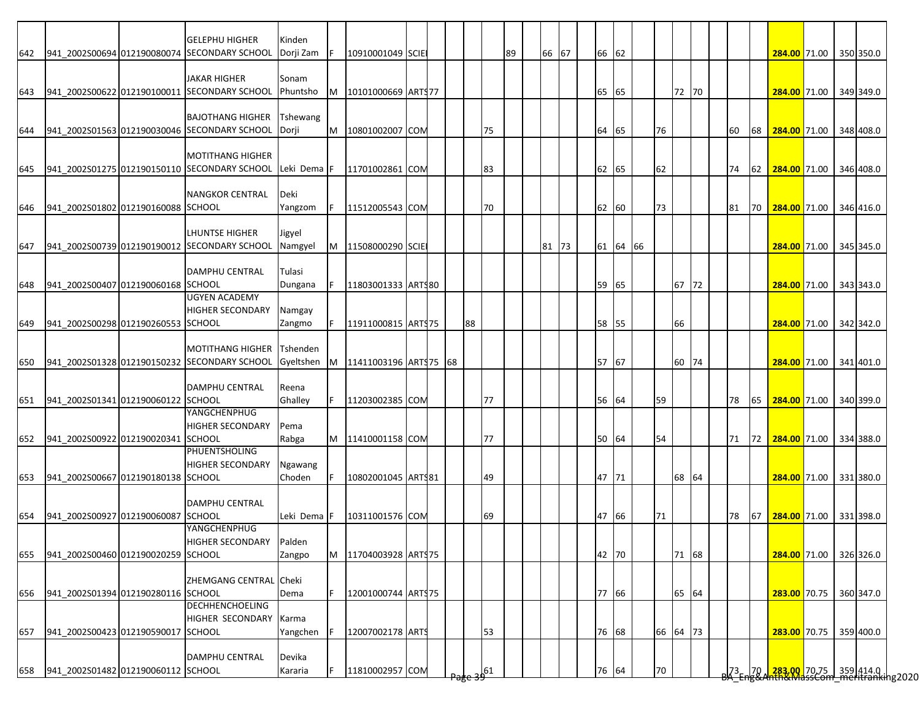|     |                                    | <b>GELEPHU HIGHER</b>                        | Kinden               |   |                        |  |    |    |    |       |    |       |          |    |          |  |    |     |                                                                                                 |  |           |
|-----|------------------------------------|----------------------------------------------|----------------------|---|------------------------|--|----|----|----|-------|----|-------|----------|----|----------|--|----|-----|-------------------------------------------------------------------------------------------------|--|-----------|
| 642 |                                    | 941_2002S00694 012190080074 SECONDARY SCHOOL | Dorji Zam            |   | 10910001049 SCIE       |  |    |    | 89 | 66 67 |    | 66 62 |          |    |          |  |    |     | 284.00 71.00 350 350.0                                                                          |  |           |
|     |                                    |                                              |                      |   |                        |  |    |    |    |       |    |       |          |    |          |  |    |     |                                                                                                 |  |           |
|     |                                    | <b>JAKAR HIGHER</b>                          | Sonam                |   |                        |  |    |    |    |       |    |       |          |    |          |  |    |     |                                                                                                 |  |           |
|     |                                    | 941_2002S00622 012190100011 SECONDARY SCHOOL | Phuntsho             | M | 10101000669 ARTS77     |  |    |    |    |       |    | 65 65 |          |    | 72 70    |  |    |     |                                                                                                 |  |           |
| 643 |                                    |                                              |                      |   |                        |  |    |    |    |       |    |       |          |    |          |  |    |     | 284.00 71.00                                                                                    |  | 349 349.0 |
|     |                                    |                                              |                      |   |                        |  |    |    |    |       |    |       |          |    |          |  |    |     |                                                                                                 |  |           |
|     |                                    | <b>BAJOTHANG HIGHER</b>                      | Tshewang             |   |                        |  |    |    |    |       |    |       |          |    |          |  |    |     |                                                                                                 |  |           |
| 644 |                                    | 941_2002S01563 012190030046 SECONDARY SCHOOL | Dorji                | M | 10801002007 COM        |  |    | 75 |    |       |    | 64 65 |          | 76 |          |  | 60 | 68  | 284.00 71.00                                                                                    |  | 348 408.0 |
|     |                                    |                                              |                      |   |                        |  |    |    |    |       |    |       |          |    |          |  |    |     |                                                                                                 |  |           |
|     |                                    | <b>MOTITHANG HIGHER</b>                      |                      |   |                        |  |    |    |    |       |    |       |          |    |          |  |    |     |                                                                                                 |  |           |
| 645 |                                    | 941 2002S01275 012190150110 SECONDARY SCHOOL | Leki Dema F          |   | 11701002861 COM        |  |    | 83 |    |       |    | 62 65 |          | 62 |          |  | 74 | 62  | 284.00 71.00 346 408.0                                                                          |  |           |
|     |                                    |                                              |                      |   |                        |  |    |    |    |       |    |       |          |    |          |  |    |     |                                                                                                 |  |           |
|     |                                    | <b>NANGKOR CENTRAL</b>                       | Deki                 |   |                        |  |    |    |    |       |    |       |          |    |          |  |    |     |                                                                                                 |  |           |
| 646 | 941 2002S01802 012190160088 SCHOOL |                                              | Yangzom              |   | 11512005543 COM        |  |    | 70 |    |       |    | 62 60 |          | 73 |          |  | 81 | 170 | 284.00 71.00                                                                                    |  | 346 416.0 |
|     |                                    |                                              |                      |   |                        |  |    |    |    |       |    |       |          |    |          |  |    |     |                                                                                                 |  |           |
|     |                                    | LHUNTSE HIGHER                               | Jigyel               |   |                        |  |    |    |    |       |    |       |          |    |          |  |    |     |                                                                                                 |  |           |
| 647 |                                    | 941 2002S00739 012190190012 SECONDARY SCHOOL | Namgyel              | M | 11508000290 SCIE       |  |    |    |    | 81 73 |    |       | 61 64 66 |    |          |  |    |     | 284.00 71.00 345 345.0                                                                          |  |           |
|     |                                    |                                              |                      |   |                        |  |    |    |    |       |    |       |          |    |          |  |    |     |                                                                                                 |  |           |
|     |                                    | DAMPHU CENTRAL                               | Tulasi               |   |                        |  |    |    |    |       |    |       |          |    |          |  |    |     |                                                                                                 |  |           |
| 648 | 941 2002S00407 012190060168 SCHOOL |                                              | Dungana              |   | 11803001333 ARTS80     |  |    |    |    |       | 59 | 65    |          |    | 67 72    |  |    |     | 284.00 71.00                                                                                    |  | 343 343.0 |
|     |                                    | UGYEN ACADEMY                                |                      |   |                        |  |    |    |    |       |    |       |          |    |          |  |    |     |                                                                                                 |  |           |
|     |                                    | <b>HIGHER SECONDARY</b>                      | Namgay               |   |                        |  |    |    |    |       |    |       |          |    |          |  |    |     |                                                                                                 |  |           |
| 649 | 941 2002S00298 012190260553 SCHOOL |                                              | Zangmo               |   | 11911000815 ARTS75     |  | 88 |    |    |       |    | 58 55 |          |    | 66       |  |    |     | 284.00 71.00 342 342.0                                                                          |  |           |
|     |                                    |                                              |                      |   |                        |  |    |    |    |       |    |       |          |    |          |  |    |     |                                                                                                 |  |           |
|     |                                    | <b>MOTITHANG HIGHER</b>                      | Tshenden             |   |                        |  |    |    |    |       |    |       |          |    |          |  |    |     |                                                                                                 |  |           |
| 650 |                                    | 941_2002S01328 012190150232 SECONDARY SCHOOL | Gyeltshen            | M | 11411003196 ART\$75 68 |  |    |    |    |       |    | 57 67 |          |    | 60 74    |  |    |     | 284.00 71.00                                                                                    |  | 341 401.0 |
|     |                                    |                                              |                      |   |                        |  |    |    |    |       |    |       |          |    |          |  |    |     |                                                                                                 |  |           |
|     |                                    | <b>DAMPHU CENTRAL</b>                        | Reena                |   |                        |  |    |    |    |       |    |       |          |    |          |  |    |     |                                                                                                 |  |           |
| 651 | 941 2002S01341 012190060122 SCHOOL |                                              | Ghalley              |   | 11203002385 COM        |  |    | 77 |    |       |    | 56 64 |          | 59 |          |  | 78 | 65  | 284.00 71.00 340 399.0                                                                          |  |           |
|     |                                    | YANGCHENPHUG                                 |                      |   |                        |  |    |    |    |       |    |       |          |    |          |  |    |     |                                                                                                 |  |           |
|     |                                    | <b>HIGHER SECONDARY</b>                      | Pema                 |   |                        |  |    |    |    |       |    |       |          |    |          |  |    |     |                                                                                                 |  |           |
| 652 | 941 2002S00922 012190020341 SCHOOL |                                              | Rabga                | M | 11410001158 COM        |  |    | 77 |    |       |    | 50 64 |          | 54 |          |  | 71 |     | 72 284.00 71.00 334 388.0                                                                       |  |           |
|     |                                    | PHUENTSHOLING                                |                      |   |                        |  |    |    |    |       |    |       |          |    |          |  |    |     |                                                                                                 |  |           |
|     |                                    | <b>HIGHER SECONDARY</b>                      | Ngawang              |   |                        |  |    |    |    |       |    |       |          |    |          |  |    |     |                                                                                                 |  |           |
| 653 | 941 2002S00667 012190180138 SCHOOL |                                              | Choden               |   | 10802001045 ARTS81     |  |    | 49 |    |       |    | 47 71 |          |    | 68 64    |  |    |     | 284.00 71.00 331 380.0                                                                          |  |           |
|     |                                    |                                              |                      |   |                        |  |    |    |    |       |    |       |          |    |          |  |    |     |                                                                                                 |  |           |
|     |                                    | <b>DAMPHU CENTRAL</b>                        |                      |   |                        |  |    |    |    |       |    |       |          |    |          |  |    |     |                                                                                                 |  |           |
| 654 | 941 2002S00927 012190060087        | <b>SCHOOL</b>                                | Leki Dema <b>I</b> F |   | 10311001576 COM        |  |    | 69 |    |       |    | 47 66 |          | 71 |          |  | 78 | 67  | 284.00 71.00 331 398.0                                                                          |  |           |
|     |                                    | YANGCHENPHUG                                 |                      |   |                        |  |    |    |    |       |    |       |          |    |          |  |    |     |                                                                                                 |  |           |
|     |                                    | <b>HIGHER SECONDARY</b>                      | Palden               |   |                        |  |    |    |    |       |    |       |          |    |          |  |    |     |                                                                                                 |  |           |
| 655 | 941_2002S00460 012190020259 SCHOOL |                                              | Zangpo               | M | 11704003928 ARTS75     |  |    |    |    |       |    | 42 70 |          |    | 71 68    |  |    |     | 284.00 71.00 326 326.0                                                                          |  |           |
|     |                                    |                                              |                      |   |                        |  |    |    |    |       |    |       |          |    |          |  |    |     |                                                                                                 |  |           |
|     |                                    | ZHEMGANG CENTRAL Cheki                       |                      |   |                        |  |    |    |    |       |    |       |          |    |          |  |    |     |                                                                                                 |  |           |
| 656 | 941_2002S01394 012190280116 SCHOOL |                                              | Dema                 |   | 12001000744 ARTS75     |  |    |    |    |       |    | 77 66 |          |    | 65 64    |  |    |     | 283.00 70.75                                                                                    |  | 360 347.0 |
|     |                                    | <b>DECHHENCHOELING</b>                       |                      |   |                        |  |    |    |    |       |    |       |          |    |          |  |    |     |                                                                                                 |  |           |
|     |                                    | HIGHER SECONDARY                             | Karma                |   |                        |  |    |    |    |       |    |       |          |    |          |  |    |     |                                                                                                 |  |           |
|     | 941 2002S00423 012190590017 SCHOOL |                                              |                      |   | 12007002178 ARTS       |  |    | 53 |    |       |    | 76 68 |          |    | 66 64 73 |  |    |     |                                                                                                 |  |           |
| 657 |                                    |                                              | Yangchen             |   |                        |  |    |    |    |       |    |       |          |    |          |  |    |     | 283.00 70.75                                                                                    |  | 359 400.0 |
|     |                                    | <b>DAMPHU CENTRAL</b>                        |                      |   |                        |  |    |    |    |       |    |       |          |    |          |  |    |     |                                                                                                 |  |           |
|     | 941 2002S01482 012190060112 SCHOOL |                                              | Devika               |   |                        |  |    |    |    |       |    |       |          |    |          |  |    |     |                                                                                                 |  |           |
| 658 |                                    |                                              | Kararia              |   | 11810002957 COM        |  |    | 61 |    |       |    | 76 64 |          | 70 |          |  |    |     | 73   70   <mark>-283.00  </mark> 70.75   359   414.0  <br>3A Eng&Anth&MassCom meritranking 2020 |  |           |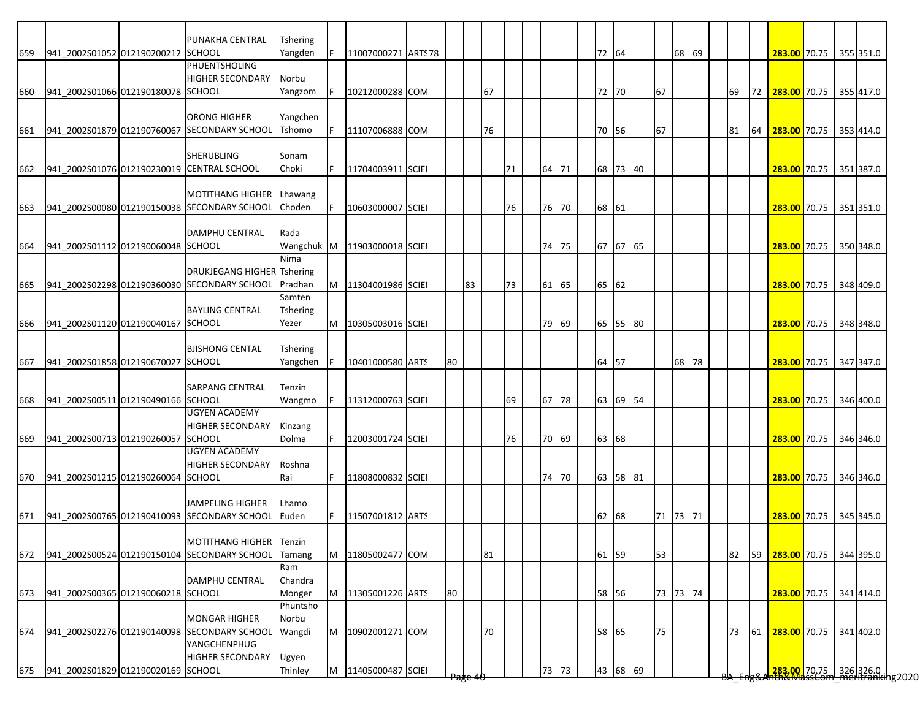|     |                                    | PUNAKHA CENTRAL                                  | <b>Tshering</b> |   |                    |  |                 |    |    |    |       |       |          |          |       |  |    |      |                        |                                                                       |           |
|-----|------------------------------------|--------------------------------------------------|-----------------|---|--------------------|--|-----------------|----|----|----|-------|-------|----------|----------|-------|--|----|------|------------------------|-----------------------------------------------------------------------|-----------|
|     | 941_2002S01052 012190200212 SCHOOL |                                                  | Yangden         |   | 11007000271 ARTS78 |  |                 |    |    |    |       | 72 64 |          |          | 68 69 |  |    |      | 283.00 70.75 355 351.0 |                                                                       |           |
| 659 |                                    | <b>PHUENTSHOLING</b>                             |                 |   |                    |  |                 |    |    |    |       |       |          |          |       |  |    |      |                        |                                                                       |           |
|     |                                    |                                                  |                 |   |                    |  |                 |    |    |    |       |       |          |          |       |  |    |      |                        |                                                                       |           |
|     |                                    | <b>HIGHER SECONDARY</b>                          | Norbu           |   |                    |  |                 |    |    |    |       |       |          |          |       |  |    |      |                        |                                                                       |           |
| 660 | 941 2002S01066 012190180078 SCHOOL |                                                  | Yangzom         |   | 10212000288 COM    |  |                 |    | 67 |    |       | 72 70 |          | 67       |       |  | 69 | 72 I | 283.00 70.75 355 417.0 |                                                                       |           |
|     |                                    |                                                  |                 |   |                    |  |                 |    |    |    |       |       |          |          |       |  |    |      |                        |                                                                       |           |
|     |                                    | <b>ORONG HIGHER</b>                              | Yangchen        |   |                    |  |                 |    |    |    |       |       |          |          |       |  |    |      |                        |                                                                       |           |
| 661 |                                    | 941_2002S01879 012190760067 SECONDARY SCHOOL     | Tshomo          | F | 11107006888 COM    |  |                 |    | 76 |    |       | 70 56 |          | 67       |       |  | 81 | 64   | 283.00 70.75 353 414.0 |                                                                       |           |
|     |                                    |                                                  |                 |   |                    |  |                 |    |    |    |       |       |          |          |       |  |    |      |                        |                                                                       |           |
|     |                                    | <b>SHERUBLING</b>                                | Sonam           |   |                    |  |                 |    |    |    |       |       |          |          |       |  |    |      |                        |                                                                       |           |
| 662 |                                    | 941 2002S01076 012190230019 CENTRAL SCHOOL       | Choki           |   | 11704003911 SCIE   |  |                 |    |    | 71 | 64 71 |       | 68 73 40 |          |       |  |    |      | 283.00 70.75 351 387.0 |                                                                       |           |
|     |                                    |                                                  |                 |   |                    |  |                 |    |    |    |       |       |          |          |       |  |    |      |                        |                                                                       |           |
|     |                                    |                                                  |                 |   |                    |  |                 |    |    |    |       |       |          |          |       |  |    |      |                        |                                                                       |           |
|     |                                    | <b>MOTITHANG HIGHER</b>                          | Lhawang         |   |                    |  |                 |    |    |    |       |       |          |          |       |  |    |      |                        |                                                                       |           |
| 663 |                                    | 941 2002S00080 012190150038 SECONDARY SCHOOL     | Choden          |   | 10603000007 SCIE   |  |                 |    |    | 76 | 76 70 | 68 61 |          |          |       |  |    |      | 283.00 70.75 351 351.0 |                                                                       |           |
|     |                                    |                                                  |                 |   |                    |  |                 |    |    |    |       |       |          |          |       |  |    |      |                        |                                                                       |           |
|     |                                    | <b>DAMPHU CENTRAL</b>                            | Rada            |   |                    |  |                 |    |    |    |       |       |          |          |       |  |    |      |                        |                                                                       |           |
| 664 | 941 2002S01112 012190060048 SCHOOL |                                                  | Wangchuk M      |   | 11903000018 SCIE   |  |                 |    |    |    | 74 75 |       | 67 67 65 |          |       |  |    |      | 283.00 70.75 350 348.0 |                                                                       |           |
|     |                                    |                                                  | Nima            |   |                    |  |                 |    |    |    |       |       |          |          |       |  |    |      |                        |                                                                       |           |
|     |                                    | <b>DRUKJEGANG HIGHER Tshering</b>                |                 |   |                    |  |                 |    |    |    |       |       |          |          |       |  |    |      |                        |                                                                       |           |
| 665 |                                    | 941_2002S02298 012190360030 SECONDARY SCHOOL     | Pradhan         | M | 11304001986 SCIE   |  |                 | 83 |    | 73 | 61 65 | 65 62 |          |          |       |  |    |      | 283.00 70.75           |                                                                       | 348 409.0 |
|     |                                    |                                                  | Samten          |   |                    |  |                 |    |    |    |       |       |          |          |       |  |    |      |                        |                                                                       |           |
|     |                                    | <b>BAYLING CENTRAL</b>                           | <b>Tshering</b> |   |                    |  |                 |    |    |    |       |       |          |          |       |  |    |      |                        |                                                                       |           |
|     |                                    |                                                  |                 |   |                    |  |                 |    |    |    |       |       |          |          |       |  |    |      |                        |                                                                       |           |
| 666 | 941 2002S01120 012190040167 SCHOOL |                                                  | Yezer           | M | 10305003016 SCIE   |  |                 |    |    |    | 79 69 |       | 65 55 80 |          |       |  |    |      | 283.00 70.75 348 348.0 |                                                                       |           |
|     |                                    |                                                  |                 |   |                    |  |                 |    |    |    |       |       |          |          |       |  |    |      |                        |                                                                       |           |
|     |                                    | <b>BJISHONG CENTAL</b>                           | Tshering        |   |                    |  |                 |    |    |    |       |       |          |          |       |  |    |      |                        |                                                                       |           |
| 667 | 941_2002S01858 012190670027 SCHOOL |                                                  | Yangchen        |   | 10401000580 ARTS   |  | 80              |    |    |    |       | 64 57 |          |          | 68 78 |  |    |      | 283.00 70.75           |                                                                       | 347 347.0 |
|     |                                    |                                                  |                 |   |                    |  |                 |    |    |    |       |       |          |          |       |  |    |      |                        |                                                                       |           |
|     |                                    | <b>SARPANG CENTRAL</b>                           | Tenzin          |   |                    |  |                 |    |    |    |       |       |          |          |       |  |    |      |                        |                                                                       |           |
| 668 | 941_2002S00511 012190490166 SCHOOL |                                                  | Wangmo          |   | 11312000763 SCIE   |  |                 |    |    | 69 | 67 78 |       | 63 69 54 |          |       |  |    |      | 283.00 70.75           |                                                                       | 346 400.0 |
|     |                                    | <b>UGYEN ACADEMY</b>                             |                 |   |                    |  |                 |    |    |    |       |       |          |          |       |  |    |      |                        |                                                                       |           |
|     |                                    | <b>HIGHER SECONDARY</b>                          | Kinzang         |   |                    |  |                 |    |    |    |       |       |          |          |       |  |    |      |                        |                                                                       |           |
|     | 941 2002S00713 012190260057 SCHOOL |                                                  | Dolma           |   | 12003001724 SCIE   |  |                 |    |    | 76 | 70 69 |       |          |          |       |  |    |      | 283.00 70.75 346 346.0 |                                                                       |           |
| 669 |                                    | <b>UGYEN ACADEMY</b>                             |                 |   |                    |  |                 |    |    |    |       | 63 68 |          |          |       |  |    |      |                        |                                                                       |           |
|     |                                    |                                                  |                 |   |                    |  |                 |    |    |    |       |       |          |          |       |  |    |      |                        |                                                                       |           |
|     |                                    | <b>HIGHER SECONDARY</b>                          | Roshna          |   |                    |  |                 |    |    |    |       |       |          |          |       |  |    |      |                        |                                                                       |           |
| 670 | 941_2002S01215 012190260064 SCHOOL |                                                  | Rai             |   | 11808000832 SCIE   |  |                 |    |    |    | 74 70 |       | 63 58 81 |          |       |  |    |      | 283.00 70.75 346 346.0 |                                                                       |           |
|     |                                    |                                                  |                 |   |                    |  |                 |    |    |    |       |       |          |          |       |  |    |      |                        |                                                                       |           |
|     |                                    | <b>JAMPELING HIGHER</b>                          | Lhamo           |   |                    |  |                 |    |    |    |       |       |          |          |       |  |    |      |                        |                                                                       |           |
| 671 |                                    | 941 2002S00765 012190410093 SECONDARY SCHOOL     | Euden           |   | 11507001812 ARTS   |  |                 |    |    |    |       | 62    | 68       | 71 73 71 |       |  |    |      | 283.00 70.75 345 345.0 |                                                                       |           |
|     |                                    |                                                  |                 |   |                    |  |                 |    |    |    |       |       |          |          |       |  |    |      |                        |                                                                       |           |
|     |                                    | MOTITHANG HIGHER Tenzin                          |                 |   |                    |  |                 |    |    |    |       |       |          |          |       |  |    |      |                        |                                                                       |           |
|     |                                    | 672 941 2002S00524 012190150104 SECONDARY SCHOOL | Tamang          | M | 11805002477 COM    |  |                 |    | 81 |    |       | 61 59 |          | 53       |       |  | 82 | 59   | 283.00 70.75 344 395.0 |                                                                       |           |
|     |                                    |                                                  |                 |   |                    |  |                 |    |    |    |       |       |          |          |       |  |    |      |                        |                                                                       |           |
|     |                                    |                                                  | Ram             |   |                    |  |                 |    |    |    |       |       |          |          |       |  |    |      |                        |                                                                       |           |
|     |                                    | <b>DAMPHU CENTRAL</b>                            | Chandra         |   |                    |  |                 |    |    |    |       |       |          |          |       |  |    |      |                        |                                                                       |           |
| 673 | 941 2002S00365 012190060218 SCHOOL |                                                  | Monger          | M | 11305001226 ARTS   |  | 80              |    |    |    |       | 58 56 |          | 73 73 74 |       |  |    |      | 283.00 70.75 341 414.0 |                                                                       |           |
|     |                                    |                                                  | Phuntsho        |   |                    |  |                 |    |    |    |       |       |          |          |       |  |    |      |                        |                                                                       |           |
|     |                                    | <b>MONGAR HIGHER</b>                             | Norbu           |   |                    |  |                 |    |    |    |       |       |          |          |       |  |    |      |                        |                                                                       |           |
| 674 |                                    | 941 2002S02276 012190140098 SECONDARY SCHOOL     | Wangdi          | M | 10902001271 COM    |  |                 |    | 70 |    |       | 58 65 |          | 75       |       |  | 73 | 61   | 283.00 70.75           |                                                                       | 341 402.0 |
|     |                                    | YANGCHENPHUG                                     |                 |   |                    |  |                 |    |    |    |       |       |          |          |       |  |    |      |                        |                                                                       |           |
|     |                                    | <b>HIGHER SECONDARY</b>                          | Ugyen           |   |                    |  |                 |    |    |    |       |       |          |          |       |  |    |      |                        |                                                                       |           |
| 675 | 941 2002S01829 012190020169 SCHOOL |                                                  | Thinley         | M | 11405000487 SCIE   |  |                 |    |    |    | 73 73 |       | 43 68 69 |          |       |  |    |      |                        |                                                                       |           |
|     |                                    |                                                  |                 |   |                    |  | <del>rage</del> |    |    |    |       |       |          |          |       |  |    |      |                        | <mark>283.00 70.75 326</mark> 326.0  <br>Ath&MassCom meritranking2020 |           |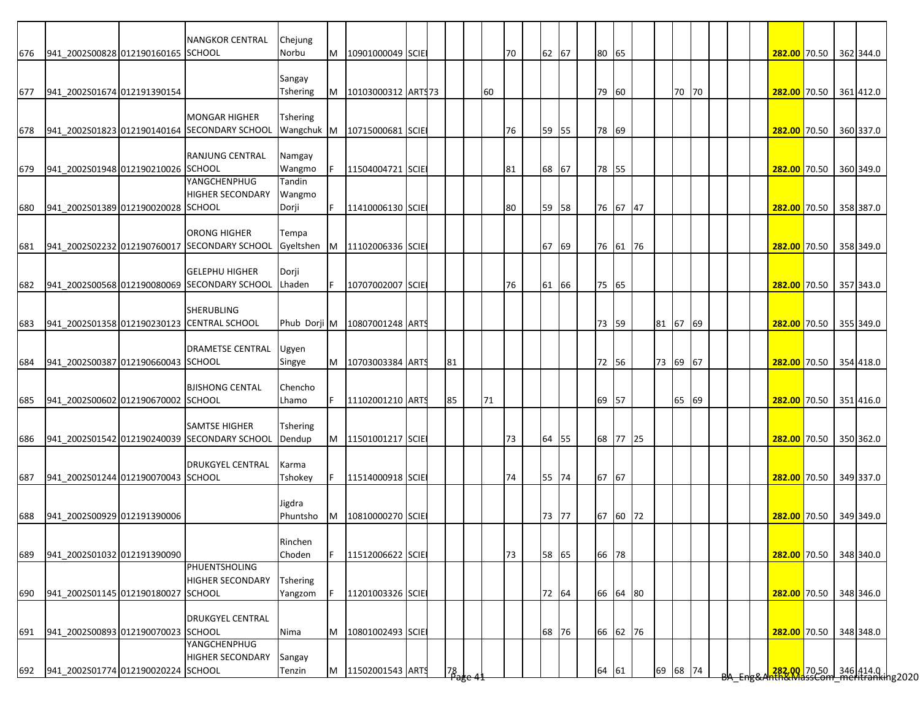|     |                                        | <b>NANGKOR CENTRAL</b>                       | Chejung          |   |                                 |  |      |    |    |       |       |          |          |       |  |  |                                                          |  |           |
|-----|----------------------------------------|----------------------------------------------|------------------|---|---------------------------------|--|------|----|----|-------|-------|----------|----------|-------|--|--|----------------------------------------------------------|--|-----------|
| 676 | 941 2002S00828 012190160165 SCHOOL     |                                              | Norbu            | M | 10901000049 SCIE                |  |      |    | 70 | 62 67 | 80 65 |          |          |       |  |  | 282.00 70.50 362 344.0                                   |  |           |
|     |                                        |                                              | Sangay           |   |                                 |  |      |    |    |       |       |          |          |       |  |  |                                                          |  |           |
| 677 | 941 2002S01674 012191390154            |                                              | Tshering         | M | 10103000312 ART\$73             |  |      | 60 |    |       | 79    | 60       |          | 70 70 |  |  | 282.00 70.50 361 412.0                                   |  |           |
|     |                                        |                                              |                  |   |                                 |  |      |    |    |       |       |          |          |       |  |  |                                                          |  |           |
|     |                                        | <b>MONGAR HIGHER</b>                         | <b>Tshering</b>  |   |                                 |  |      |    |    |       |       |          |          |       |  |  |                                                          |  |           |
| 678 |                                        | 941_2002S01823 012190140164 SECONDARY SCHOOL | Wangchuk M       |   | 10715000681 SCIE                |  |      |    | 76 | 59 55 | 78 69 |          |          |       |  |  | 282.00 70.50 360 337.0                                   |  |           |
|     |                                        |                                              |                  |   |                                 |  |      |    |    |       |       |          |          |       |  |  |                                                          |  |           |
|     |                                        | <b>RANJUNG CENTRAL</b>                       | Namgay           |   |                                 |  |      |    |    |       |       |          |          |       |  |  |                                                          |  |           |
| 679 | 941 2002S01948 012190210026 SCHOOL     | YANGCHENPHUG                                 | Wangmo<br>Tandin |   | 11504004721 SCIE                |  |      |    | 81 | 68 67 | 78 55 |          |          |       |  |  | 282.00 70.50 360 349.0                                   |  |           |
|     |                                        | <b>HIGHER SECONDARY</b>                      | Wangmo           |   |                                 |  |      |    |    |       |       |          |          |       |  |  |                                                          |  |           |
| 680 | 941 2002S01389 012190020028 SCHOOL     |                                              | Dorji            |   | 11410006130 SCIE                |  |      |    | 80 | 59 58 |       | 76 67 47 |          |       |  |  | 282.00 70.50 358 387.0                                   |  |           |
|     |                                        |                                              |                  |   |                                 |  |      |    |    |       |       |          |          |       |  |  |                                                          |  |           |
|     |                                        | <b>ORONG HIGHER</b>                          | Tempa            |   |                                 |  |      |    |    |       |       |          |          |       |  |  |                                                          |  |           |
| 681 |                                        | 941_2002S02232 012190760017 SECONDARY SCHOOL | Gyeltshen        | M | 11102006336 SCIE                |  |      |    |    | 67 69 |       | 76 61 76 |          |       |  |  | 282.00 70.50 358 349.0                                   |  |           |
|     |                                        |                                              |                  |   |                                 |  |      |    |    |       |       |          |          |       |  |  |                                                          |  |           |
|     |                                        | <b>GELEPHU HIGHER</b>                        | Dorji            |   |                                 |  |      |    |    |       |       |          |          |       |  |  |                                                          |  |           |
| 682 |                                        | 941_2002S00568 012190080069 SECONDARY SCHOOL | Lhaden           |   | 10707002007 SCIE                |  |      |    | 76 | 61 66 | 75 65 |          |          |       |  |  | 282.00 70.50                                             |  | 357 343.0 |
|     |                                        |                                              |                  |   |                                 |  |      |    |    |       |       |          |          |       |  |  |                                                          |  |           |
|     |                                        | <b>SHERUBLING</b>                            |                  |   |                                 |  |      |    |    |       |       |          |          |       |  |  |                                                          |  |           |
| 683 |                                        | 941_2002S01358 012190230123 CENTRAL SCHOOL   |                  |   | Phub Dorji M   10807001248 ARTS |  |      |    |    |       | 73 59 |          | 81 67 69 |       |  |  | 282.00 70.50 355 349.0                                   |  |           |
|     |                                        | <b>DRAMETSE CENTRAL</b>                      | Ugyen            |   |                                 |  |      |    |    |       |       |          |          |       |  |  |                                                          |  |           |
| 684 | 941 2002S00387 012190660043 SCHOOL     |                                              | Singye           | M | 10703003384 ARTS                |  | 81   |    |    |       | 72 56 |          | 73 69 67 |       |  |  | 282.00 70.50 354 418.0                                   |  |           |
|     |                                        |                                              |                  |   |                                 |  |      |    |    |       |       |          |          |       |  |  |                                                          |  |           |
|     |                                        | <b>BJISHONG CENTAL</b>                       | Chencho          |   |                                 |  |      |    |    |       |       |          |          |       |  |  |                                                          |  |           |
| 685 | 941_2002S00602 012190670002 SCHOOL     |                                              | Lhamo            |   | 11102001210 ARTS                |  | 85   | 71 |    |       | 69 57 |          |          | 65 69 |  |  | 282.00 70.50 351 416.0                                   |  |           |
|     |                                        |                                              |                  |   |                                 |  |      |    |    |       |       |          |          |       |  |  |                                                          |  |           |
|     |                                        | <b>SAMTSE HIGHER</b>                         | Tshering         |   |                                 |  |      |    |    |       |       |          |          |       |  |  |                                                          |  |           |
| 686 |                                        | 941 2002S01542 012190240039 SECONDARY SCHOOL | Dendup           | M | 11501001217 SCIE                |  |      |    | 73 | 64 55 |       | 68 77 25 |          |       |  |  | 282.00 70.50 350 362.0                                   |  |           |
|     |                                        |                                              |                  |   |                                 |  |      |    |    |       |       |          |          |       |  |  |                                                          |  |           |
|     |                                        | <b>DRUKGYEL CENTRAL</b>                      | Karma<br>Tshokey | F | 11514000918 SCIE                |  |      |    |    |       | 67 67 |          |          |       |  |  |                                                          |  |           |
| 687 | 941 2002S01244 012190070043 SCHOOL     |                                              |                  |   |                                 |  |      |    | 74 | 55 74 |       |          |          |       |  |  | 282.00 70.50 349 337.0                                   |  |           |
|     |                                        |                                              | Jigdra           |   |                                 |  |      |    |    |       |       |          |          |       |  |  |                                                          |  |           |
| 688 | 941 2002S00929 012191390006            |                                              | Phuntsho         | M | 10810000270 SCIE                |  |      |    |    | 73 77 |       | 67 60 72 |          |       |  |  | 282.00 70.50 349 349.0                                   |  |           |
|     |                                        |                                              |                  |   |                                 |  |      |    |    |       |       |          |          |       |  |  |                                                          |  |           |
|     |                                        |                                              | Rinchen          |   |                                 |  |      |    |    |       |       |          |          |       |  |  |                                                          |  |           |
| 689 | 941 2002S01032 012191390090            |                                              | Choden           |   | 11512006622 SCIE                |  |      |    | 73 | 58 65 | 66 78 |          |          |       |  |  | 282.00 70.50 348 340.0                                   |  |           |
|     |                                        | PHUENTSHOLING                                |                  |   |                                 |  |      |    |    |       |       |          |          |       |  |  |                                                          |  |           |
|     |                                        | <b>HIGHER SECONDARY</b>                      | <b>Tshering</b>  |   |                                 |  |      |    |    |       |       |          |          |       |  |  |                                                          |  |           |
| 690 | 941 2002S01145 012190180027 SCHOOL     |                                              | Yangzom          |   | 11201003326 SCIE                |  |      |    |    | 72 64 |       | 66 64 80 |          |       |  |  | 282.00 70.50                                             |  | 348 346.0 |
|     |                                        |                                              |                  |   |                                 |  |      |    |    |       |       |          |          |       |  |  |                                                          |  |           |
|     |                                        | <b>DRUKGYEL CENTRAL</b>                      |                  |   |                                 |  |      |    |    |       |       |          |          |       |  |  |                                                          |  |           |
| 691 | 941 2002S00893 012190070023 SCHOOL     | YANGCHENPHUG                                 | Nima             | M | 10801002493 SCIE                |  |      |    |    | 68 76 |       | 66 62 76 |          |       |  |  | 282.00 70.50                                             |  | 348 348.0 |
|     |                                        | <b>HIGHER SECONDARY</b>                      | Sangay           |   |                                 |  |      |    |    |       |       |          |          |       |  |  |                                                          |  |           |
|     | 692 941_2002S01774 012190020224 SCHOOL |                                              | Tenzin           | M | 11502001543 ARTS                |  | 78   |    |    |       | 64 61 |          | 69 68 74 |       |  |  | 282.00 70.50 346 414.0  <br>hth&MassCom meritranking2020 |  |           |
|     |                                        |                                              |                  |   |                                 |  | rage |    |    |       |       |          |          |       |  |  |                                                          |  |           |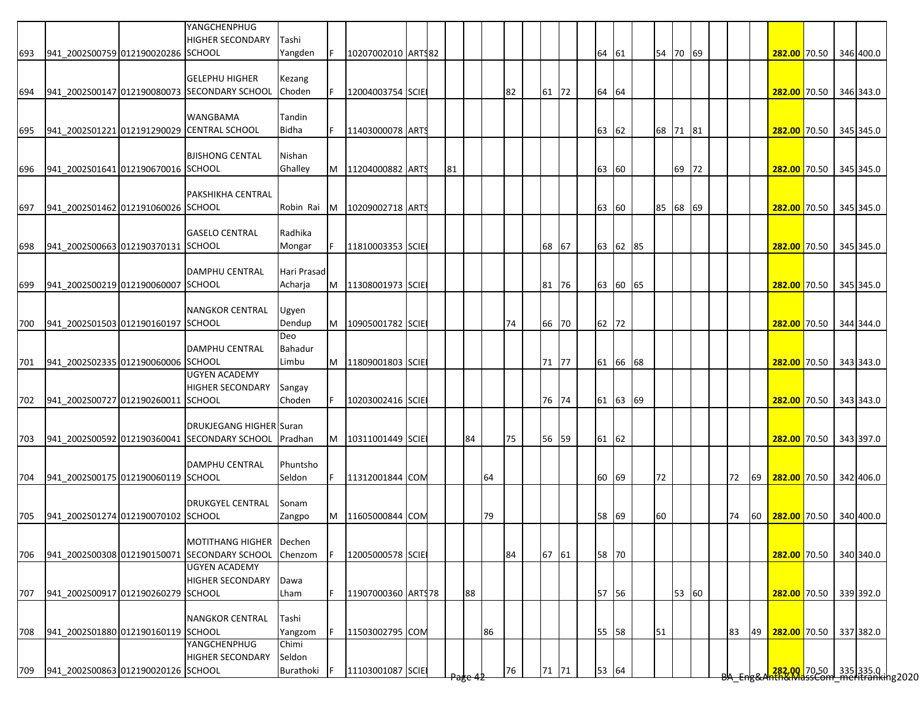|     |                                    |                                    | YANGCHENPHUG<br>HIGHER SECONDARY                                                       | Tashi            |     |                      |  |    |    |    |    |       |    |       |          |    |          |  |    |      |                        |  |           |
|-----|------------------------------------|------------------------------------|----------------------------------------------------------------------------------------|------------------|-----|----------------------|--|----|----|----|----|-------|----|-------|----------|----|----------|--|----|------|------------------------|--|-----------|
| 693 | 941 2002S00759 012190020286 SCHOOL |                                    |                                                                                        | Yangden          | IF. | 10207002010 ART\$82  |  |    |    |    |    |       | 64 | 61    |          |    | 54 70 69 |  |    |      | 282.00 70.50 346 400.0 |  |           |
|     |                                    |                                    | <b>GELEPHU HIGHER</b>                                                                  | Kezang           |     |                      |  |    |    |    |    |       |    |       |          |    |          |  |    |      |                        |  |           |
| 694 |                                    |                                    | 941 2002S00147 012190080073 SECONDARY SCHOOL                                           | Choden           |     | 12004003754 SCIE     |  |    |    |    | 82 | 61 72 |    | 64 64 |          |    |          |  |    |      | 282.00 70.50 346 343.0 |  |           |
|     |                                    |                                    |                                                                                        |                  |     |                      |  |    |    |    |    |       |    |       |          |    |          |  |    |      |                        |  |           |
|     |                                    |                                    | <b>WANGBAMA</b>                                                                        | Tandin           |     |                      |  |    |    |    |    |       |    |       |          |    |          |  |    |      |                        |  |           |
| 695 |                                    |                                    | 941_2002S01221 012191290029 CENTRAL SCHOOL                                             | Bidha            | F.  | 11403000078 ARTS     |  |    |    |    |    |       | 63 | 62    |          |    | 68 71 81 |  |    |      | 282.00 70.50 345 345.0 |  |           |
|     |                                    |                                    | <b>BJISHONG CENTAL</b>                                                                 | Nishan           |     |                      |  |    |    |    |    |       |    |       |          |    |          |  |    |      |                        |  |           |
| 696 | 941 2002S01641 012190670016 SCHOOL |                                    |                                                                                        | Ghalley          |     | M 11204000882 ARTS   |  | 81 |    |    |    |       |    | 63 60 |          |    | 69 72    |  |    |      | 282.00 70.50 345 345.0 |  |           |
|     |                                    |                                    |                                                                                        |                  |     |                      |  |    |    |    |    |       |    |       |          |    |          |  |    |      |                        |  |           |
|     |                                    |                                    | <b>PAKSHIKHA CENTRAL</b>                                                               |                  |     |                      |  |    |    |    |    |       |    |       |          |    |          |  |    |      |                        |  |           |
| 697 | 941 2002S01462 012191060026 SCHOOL |                                    |                                                                                        | Robin Rai        | IM. | 10209002718 ARTS     |  |    |    |    |    |       |    | 63 60 |          |    | 85 68 69 |  |    |      | 282.00 70.50 345 345.0 |  |           |
|     |                                    |                                    | <b>GASELO CENTRAL</b>                                                                  | Radhika          |     |                      |  |    |    |    |    |       |    |       |          |    |          |  |    |      |                        |  |           |
| 698 | 941_2002S00663 012190370131 SCHOOL |                                    |                                                                                        | Mongar           |     | 11810003353 SCIE     |  |    |    |    |    | 68 67 |    |       | 63 62 85 |    |          |  |    |      | 282.00 70.50 345 345.0 |  |           |
|     |                                    |                                    |                                                                                        |                  |     |                      |  |    |    |    |    |       |    |       |          |    |          |  |    |      |                        |  |           |
|     |                                    |                                    | <b>DAMPHU CENTRAL</b>                                                                  | Hari Prasad      |     |                      |  |    |    |    |    |       |    |       |          |    |          |  |    |      |                        |  |           |
| 699 | 941 2002S00219 012190060007 SCHOOL |                                    |                                                                                        | Acharja          | M   | 11308001973 SCIE     |  |    |    |    |    | 81 76 |    |       | 63 60 65 |    |          |  |    |      | 282.00 70.50 345 345.0 |  |           |
|     |                                    |                                    |                                                                                        |                  |     |                      |  |    |    |    |    |       |    |       |          |    |          |  |    |      |                        |  |           |
|     |                                    |                                    | <b>NANGKOR CENTRAL</b>                                                                 | Ugyen            |     |                      |  |    |    |    |    |       |    |       |          |    |          |  |    |      |                        |  |           |
| 700 | 941_2002S01503 012190160197 SCHOOL |                                    |                                                                                        | Dendup<br>Deo    |     | M   10905001782 SCIE |  |    |    |    | 74 | 66 70 |    | 62 72 |          |    |          |  |    |      | 282.00 70.50 344 344.0 |  |           |
|     |                                    |                                    | <b>DAMPHU CENTRAL</b>                                                                  | Bahadur          |     |                      |  |    |    |    |    |       |    |       |          |    |          |  |    |      |                        |  |           |
| 701 | 941 2002S02335 012190060006 SCHOOL |                                    |                                                                                        | Limbu            |     | M 11809001803 SCIE   |  |    |    |    |    | 71 77 |    |       | 61 66 68 |    |          |  |    |      | 282.00 70.50 343 343.0 |  |           |
|     |                                    |                                    | <b>UGYEN ACADEMY</b>                                                                   |                  |     |                      |  |    |    |    |    |       |    |       |          |    |          |  |    |      |                        |  |           |
|     |                                    |                                    | <b>HIGHER SECONDARY</b>                                                                | Sangay           |     |                      |  |    |    |    |    |       |    |       |          |    |          |  |    |      |                        |  |           |
| 702 | 941_2002S00727 012190260011 SCHOOL |                                    |                                                                                        | Choden           | F   | 10203002416 SCIE     |  |    |    |    |    | 76 74 |    |       | 61 63 69 |    |          |  |    |      | 282.00 70.50 343 343.0 |  |           |
|     |                                    |                                    |                                                                                        |                  |     |                      |  |    |    |    |    |       |    |       |          |    |          |  |    |      |                        |  |           |
| 703 |                                    |                                    | <b>DRUKJEGANG HIGHER Suran</b><br>941 2002S00592 012190360041 SECONDARY SCHOOL Pradhan |                  |     | M   10311001449 SCIE |  |    | 84 |    | 75 | 56 59 |    | 61 62 |          |    |          |  |    |      | 282.00 70.50 343 397.0 |  |           |
|     |                                    |                                    |                                                                                        |                  |     |                      |  |    |    |    |    |       |    |       |          |    |          |  |    |      |                        |  |           |
|     |                                    |                                    | <b>DAMPHU CENTRAL</b>                                                                  | Phuntsho         |     |                      |  |    |    |    |    |       |    |       |          |    |          |  |    |      |                        |  |           |
| 704 | 941 2002S00175 012190060119 SCHOOL |                                    |                                                                                        | Seldon           | F   | 11312001844 COM      |  |    |    | 64 |    |       | 60 | 69    |          | 72 |          |  | 72 | 69   | 282.00 70.50 342 406.0 |  |           |
|     |                                    |                                    |                                                                                        |                  |     |                      |  |    |    |    |    |       |    |       |          |    |          |  |    |      |                        |  |           |
|     |                                    |                                    | <b>DRUKGYEL CENTRAL</b>                                                                | Sonam            |     |                      |  |    |    |    |    |       |    |       |          |    |          |  |    |      |                        |  |           |
| 705 | 941 2002S01274 012190070102 SCHOOL |                                    |                                                                                        | Zangpo           |     | M 11605000844 COM    |  |    |    | 79 |    |       |    | 58 69 |          | 60 |          |  | 74 | 60 I | 282.00 70.50 340 400.0 |  |           |
|     |                                    |                                    | MOTITHANG HIGHER Dechen                                                                |                  |     |                      |  |    |    |    |    |       |    |       |          |    |          |  |    |      |                        |  |           |
| 706 |                                    |                                    | 941_2002S00308 012190150071 SECONDARY SCHOOL                                           | Chenzom          |     | 12005000578 SCIE     |  |    |    |    | 84 | 67 61 |    | 58 70 |          |    |          |  |    |      | 282.00 70.50 340 340.0 |  |           |
|     |                                    |                                    | <b>UGYEN ACADEMY</b>                                                                   |                  |     |                      |  |    |    |    |    |       |    |       |          |    |          |  |    |      |                        |  |           |
|     |                                    |                                    | <b>HIGHER SECONDARY</b>                                                                | Dawa             |     |                      |  |    |    |    |    |       |    |       |          |    |          |  |    |      |                        |  |           |
| 707 | 941 2002S00917 012190260279 SCHOOL |                                    |                                                                                        | Lham             |     | 11907000360 ARTS78   |  |    | 88 |    |    |       |    | 57 56 |          |    | 53 60    |  |    |      | 282.00 70.50 339 392.0 |  |           |
|     |                                    |                                    |                                                                                        |                  |     |                      |  |    |    |    |    |       |    |       |          |    |          |  |    |      |                        |  |           |
|     | 941_2002S01880 012190160119 SCHOOL |                                    | <b>NANGKOR CENTRAL</b>                                                                 | Tashi            | F   |                      |  |    |    |    |    |       |    |       |          |    |          |  |    |      |                        |  |           |
| 708 |                                    |                                    | YANGCHENPHUG                                                                           | Yangzom<br>Chimi |     | 11503002795 COM      |  |    |    | 86 |    |       | 55 | 58    |          | 51 |          |  | 83 | 49   | 282.00 70.50           |  | 337 382.0 |
|     |                                    |                                    | <b>HIGHER SECONDARY</b>                                                                | Seldon           |     |                      |  |    |    |    |    |       |    |       |          |    |          |  |    |      |                        |  |           |
| 709 |                                    | 941 2002S00863 012190020126 SCHOOL |                                                                                        | Burathoki        |     | 11103001087 SCIE     |  |    |    |    | 76 | 71 71 |    | 53 64 |          |    |          |  |    |      |                        |  |           |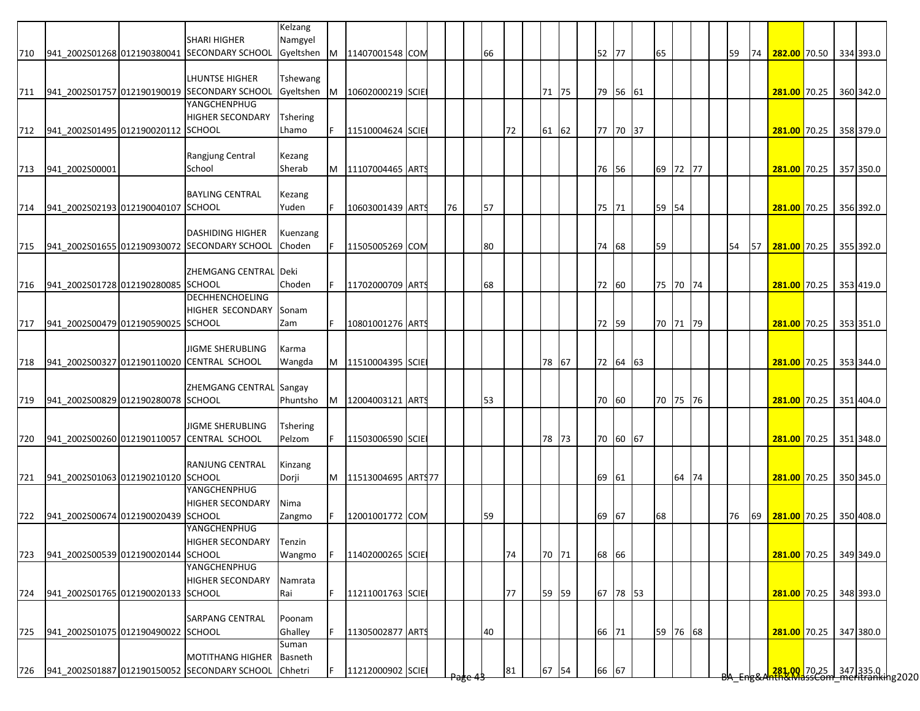|     |                                        |                                                                     | Kelzang              |   |                    |  |    |    |    |       |    |          |          |    |          |  |    |    |                           |  |                                                                         |
|-----|----------------------------------------|---------------------------------------------------------------------|----------------------|---|--------------------|--|----|----|----|-------|----|----------|----------|----|----------|--|----|----|---------------------------|--|-------------------------------------------------------------------------|
| 710 |                                        | <b>SHARI HIGHER</b><br>941 2002S01268 012190380041 SECONDARY SCHOOL | Namgyel<br>Gyeltshen | M | 11407001548 COM    |  |    | 66 |    |       |    | 52 77    |          | 65 |          |  | 59 | 74 | 282.00 70.50 334 393.0    |  |                                                                         |
|     |                                        |                                                                     |                      |   |                    |  |    |    |    |       |    |          |          |    |          |  |    |    |                           |  |                                                                         |
|     |                                        | <b>LHUNTSE HIGHER</b>                                               | Tshewang             |   |                    |  |    |    |    |       |    |          |          |    |          |  |    |    |                           |  |                                                                         |
| 711 |                                        | 941_2002S01757 012190190019 SECONDARY SCHOOL<br>YANGCHENPHUG        | Gyeltshen            | M | 10602000219 SCIE   |  |    |    |    | 71 75 |    |          | 79 56 61 |    |          |  |    |    | 281.00 70.25              |  | 360 342.0                                                               |
|     |                                        | <b>HIGHER SECONDARY</b>                                             | <b>Tshering</b>      |   |                    |  |    |    |    |       |    |          |          |    |          |  |    |    |                           |  |                                                                         |
|     | 712 941 2002S01495 012190020112 SCHOOL |                                                                     | Lhamo                |   | 11510004624 SCIE   |  |    |    | 72 | 61 62 |    |          | 77 70 37 |    |          |  |    |    | 281.00 70.25 358 379.0    |  |                                                                         |
|     |                                        |                                                                     |                      |   |                    |  |    |    |    |       |    |          |          |    |          |  |    |    |                           |  |                                                                         |
|     |                                        | Rangjung Central                                                    | Kezang               |   |                    |  |    |    |    |       |    |          |          |    |          |  |    |    |                           |  |                                                                         |
| 713 | 941 2002S00001                         | School                                                              | Sherab               | M | 11107004465 ARTS   |  |    |    |    |       |    | 76 56    |          |    | 69 72 77 |  |    |    | 281.00 70.25 357 350.0    |  |                                                                         |
|     |                                        |                                                                     |                      |   |                    |  |    |    |    |       |    |          |          |    |          |  |    |    |                           |  |                                                                         |
| 714 | 941 2002S02193 012190040107 SCHOOL     | <b>BAYLING CENTRAL</b>                                              | Kezang<br>Yuden      |   | 10603001439 ARTS   |  | 76 | 57 |    |       |    | 75 71    |          |    | 59 54    |  |    |    | 281.00 70.25              |  | 356 392.0                                                               |
|     |                                        |                                                                     |                      |   |                    |  |    |    |    |       |    |          |          |    |          |  |    |    |                           |  |                                                                         |
|     |                                        | <b>DASHIDING HIGHER</b>                                             | Kuenzang             |   |                    |  |    |    |    |       |    |          |          |    |          |  |    |    |                           |  |                                                                         |
| 715 |                                        | 941 2002S01655 012190930072 SECONDARY SCHOOL                        | Choden               |   | 11505005269 COM    |  |    | 80 |    |       |    | 74 68    |          | 59 |          |  | 54 | 57 | 281.00 70.25 355 392.0    |  |                                                                         |
|     |                                        |                                                                     |                      |   |                    |  |    |    |    |       |    |          |          |    |          |  |    |    |                           |  |                                                                         |
|     |                                        | ZHEMGANG CENTRAL Deki                                               |                      |   |                    |  |    |    |    |       |    |          |          |    |          |  |    |    |                           |  |                                                                         |
| 716 | 941_2002S01728 012190280085 SCHOOL     | <b>DECHHENCHOELING</b>                                              | Choden               |   | 11702000709 ARTS   |  |    | 68 |    |       |    | 72 60    |          |    | 75 70 74 |  |    |    | 281.00 70.25              |  | 353 419.0                                                               |
|     |                                        | <b>HIGHER SECONDARY</b>                                             | Sonam                |   |                    |  |    |    |    |       |    |          |          |    |          |  |    |    |                           |  |                                                                         |
| 717 | 941 2002S00479 012190590025 SCHOOL     |                                                                     | Zam                  |   | 10801001276 ARTS   |  |    |    |    |       |    | 72 59    |          |    | 70 71 79 |  |    |    | 281.00 70.25              |  | 353 351.0                                                               |
|     |                                        |                                                                     |                      |   |                    |  |    |    |    |       |    |          |          |    |          |  |    |    |                           |  |                                                                         |
|     |                                        | <b>JIGME SHERUBLING</b>                                             | Karma                |   |                    |  |    |    |    |       |    |          |          |    |          |  |    |    |                           |  |                                                                         |
| 718 |                                        | 941_2002S00327 012190110020 CENTRAL SCHOOL                          | Wangda               | M | 11510004395 SCIE   |  |    |    |    | 78 67 |    |          | 72 64 63 |    |          |  |    |    | 281.00 70.25              |  | 353 344.0                                                               |
|     |                                        |                                                                     |                      |   |                    |  |    |    |    |       |    |          |          |    |          |  |    |    |                           |  |                                                                         |
|     |                                        | ZHEMGANG CENTRAL Sangay                                             |                      |   |                    |  |    |    |    |       |    |          |          |    |          |  |    |    |                           |  |                                                                         |
| 719 | 941_2002S00829 012190280078 SCHOOL     |                                                                     | Phuntsho             | M | 12004003121 ARTS   |  |    | 53 |    |       |    | 70 60    |          |    | 70 75 76 |  |    |    | 281.00 70.25 351 404.0    |  |                                                                         |
|     |                                        | <b>JIGME SHERUBLING</b>                                             | Tshering             |   |                    |  |    |    |    |       |    |          |          |    |          |  |    |    |                           |  |                                                                         |
| 720 |                                        | 941 2002S00260 012190110057 CENTRAL SCHOOL                          | Pelzom               |   | 11503006590 SCIE   |  |    |    |    | 78 73 |    |          | 70 60 67 |    |          |  |    |    | 281.00 70.25 351 348.0    |  |                                                                         |
|     |                                        |                                                                     |                      |   |                    |  |    |    |    |       |    |          |          |    |          |  |    |    |                           |  |                                                                         |
|     |                                        | RANJUNG CENTRAL                                                     | Kinzang              |   |                    |  |    |    |    |       |    |          |          |    |          |  |    |    |                           |  |                                                                         |
|     | 721 941_2002S01063 012190210120 SCHOOL |                                                                     | Dorji                | M | 11513004695 ARTS77 |  |    |    |    |       |    | 69 61    |          |    | 64 74    |  |    |    | 281.00 70.25 350 345.0    |  |                                                                         |
|     |                                        | YANGCHENPHUG<br><b>HIGHER SECONDARY</b>                             | Nima                 |   |                    |  |    |    |    |       |    |          |          |    |          |  |    |    |                           |  |                                                                         |
| 722 | 941 2002S00674 012190020439 SCHOOL     |                                                                     | Zangmo               |   | 12001001772 COM    |  |    | 59 |    |       |    | 69<br>67 |          | 68 |          |  | 76 |    | 69 281.00 70.25 350 408.0 |  |                                                                         |
|     |                                        | YANGCHENPHUG                                                        |                      |   |                    |  |    |    |    |       |    |          |          |    |          |  |    |    |                           |  |                                                                         |
|     |                                        | HIGHER SECONDARY                                                    | Tenzin               |   |                    |  |    |    |    |       |    |          |          |    |          |  |    |    |                           |  |                                                                         |
| 723 | 941 2002S00539 012190020144 SCHOOL     |                                                                     | Wangmo               |   | 11402000265 SCIE   |  |    |    | 74 | 70 71 |    | 68 66    |          |    |          |  |    |    | 281.00 70.25 349 349.0    |  |                                                                         |
|     |                                        | YANGCHENPHUG                                                        |                      |   |                    |  |    |    |    |       |    |          |          |    |          |  |    |    |                           |  |                                                                         |
|     |                                        | <b>HIGHER SECONDARY</b>                                             | Namrata              |   |                    |  |    |    |    |       |    |          |          |    |          |  |    |    |                           |  |                                                                         |
| 724 | 941 2002S01765 012190020133 SCHOOL     |                                                                     | Rai                  |   | 11211001763 SCIE   |  |    |    | 77 | 59 59 |    |          | 67 78 53 |    |          |  |    |    | 281.00 70.25              |  | 348 393.0                                                               |
|     |                                        | <b>SARPANG CENTRAL</b>                                              | Poonam               |   |                    |  |    |    |    |       |    |          |          |    |          |  |    |    |                           |  |                                                                         |
| 725 | 941 2002S01075 012190490022 SCHOOL     |                                                                     | Ghalley              |   | 11305002877 ARTS   |  |    | 40 |    |       | 66 | 71       |          |    | 59 76 68 |  |    |    | 281.00 70.25              |  | 347 380.0                                                               |
|     |                                        |                                                                     | Suman                |   |                    |  |    |    |    |       |    |          |          |    |          |  |    |    |                           |  |                                                                         |
|     |                                        | <b>MOTITHANG HIGHER</b>                                             | Basneth              |   |                    |  |    |    |    |       |    |          |          |    |          |  |    |    |                           |  |                                                                         |
| 726 |                                        | 941 2002S01887 012190150052 SECONDARY SCHOOL                        | Chhetri              |   | 11212000902 SCIE   |  |    |    | 81 | 67 54 |    | 66 67    |          |    |          |  |    |    |                           |  | <mark>.281,00.</mark> 70.25 347 335.0  <br>hth&MdssCom meritranking2020 |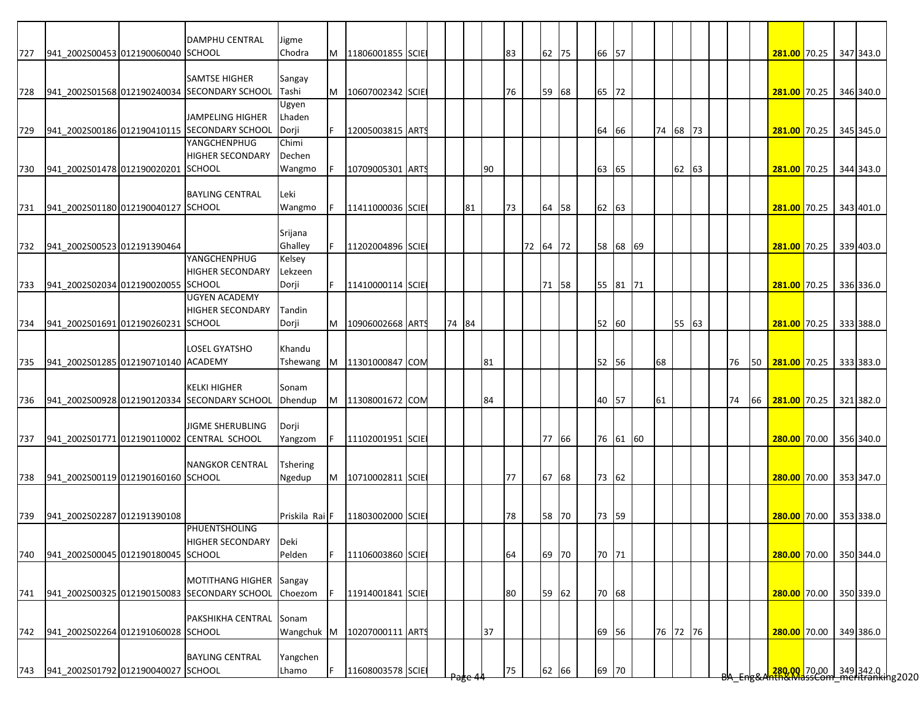| <b>DAMPHU CENTRAL</b><br>Jigme<br>62 75<br>Chodra<br>66 57<br>941 2002S00453 012190060040 SCHOOL<br>M 11806001855 SCIE<br>83<br>281.00 70.25 347 343.0<br><b>SAMTSE HIGHER</b><br>Sangay<br>65 72<br>941 2002S01568 012190240034 SECONDARY SCHOOL<br>M 10607002342 SCIE<br>76<br>68<br>281.00 70.25 346 340.0<br>Tashi<br>59<br>Ugyen<br>JAMPELING HIGHER<br>Lhaden<br>941 2002S00186 012190410115 SECONDARY SCHOOL<br>l F<br>64<br>66<br>74 68 73<br>281.00 70.25 345 345.0<br>Dorji<br>12005003815 ARTS<br>YANGCHENPHUG<br>Chimi<br><b>HIGHER SECONDARY</b><br>Dechen<br>941 2002S01478 012190020201 SCHOOL<br>l F<br>10709005301 ARTS<br>90<br>63 65<br>62 63<br>281.00 70.25 344 343.0<br>Wangmo<br><b>BAYLING CENTRAL</b><br>Leki<br>64 58<br>62 63<br>941 2002S01180 012190040127 SCHOOL<br>81<br>73<br>281.00 70.25 343 401.0<br>Wangmo<br>IF.<br>11411000036 SCIE<br>Srijana<br>Ghalley<br>IF.<br>72 64 72<br>58 68 69<br>941 2002S00523 012191390464<br>11202004896 SCIE<br>281.00 70.25 339 403.0<br>YANGCHENPHUG<br>Kelsey<br><b>HIGHER SECONDARY</b><br>Lekzeen<br>941_2002S02034 012190020055 SCHOOL<br>F<br>71 58<br>55 81 71<br>281.00 70.25<br>Dorji<br>11410000114 SCIE<br>336 336.0<br><b>UGYEN ACADEMY</b><br><b>HIGHER SECONDARY</b><br>Tandin<br>74 84<br>52 60<br>941 2002S01691 012190260231 SCHOOL<br>M 10906002668 ARTS<br>55 63<br>281.00 70.25 333 388.0<br>Dorji<br><b>LOSEL GYATSHO</b><br>Khandu<br>68<br>941 2002S01285 012190710140 ACADEMY<br>Tshewang M 11301000847 COM<br>81<br>52 56<br>50 281.00 70.25 333 383.0<br>76<br><b>KELKI HIGHER</b><br>Sonam<br>941_2002S00928 012190120334 SECONDARY SCHOOL<br>84<br>61<br>Dhendup<br>M 11308001672 COM<br>40 57<br>74<br>66  <br>281.00 70.25 321 382.0<br><b>JIGME SHERUBLING</b><br>Dorji<br>941 2002S01771 012190110002 CENTRAL SCHOOL<br>F 11102001951 SCIE<br>77 66<br>76 61 60<br>280.00 70.00 356 340.0<br>Yangzom<br><b>NANGKOR CENTRAL</b><br><b>Tshering</b><br>73 62<br>941_2002S00119 012190160160 SCHOOL<br>77<br>67 68<br>280.00 70.00 353 347.0<br>Ngedup<br>M 10710002811 SCIE<br>941 2002S02287 012191390108<br>Priskila Rai F<br>11803002000 SCIE<br>78<br>58 70<br>73 59<br>280.00 70.00 353 338.0<br><b>PHUENTSHOLING</b><br>HIGHER SECONDARY<br>Deki<br>70 71<br>70<br>941 2002S00045 012190180045 SCHOOL<br>Pelden<br>11106003860 SCIE<br>64<br>69<br>280.00 70.00 350 344.0<br>IF.<br><b>MOTITHANG HIGHER</b><br>Sangay<br>941_2002S00325 012190150083 SECONDARY SCHOOL<br>70 68<br>350 339.0<br>Choezom<br>ΙF<br>11914001841 SCIE<br>59 62<br>280.00 70.00<br>741<br>80<br>PAKSHIKHA CENTRAL<br>Sonam | 727<br>728<br>729<br>730<br>731<br>732<br>733<br>734<br>735<br>736<br>737<br>738<br>739<br>740 |  |                        |          |  |  |  |  |  |  |  |  |  |  |  |  |
|----------------------------------------------------------------------------------------------------------------------------------------------------------------------------------------------------------------------------------------------------------------------------------------------------------------------------------------------------------------------------------------------------------------------------------------------------------------------------------------------------------------------------------------------------------------------------------------------------------------------------------------------------------------------------------------------------------------------------------------------------------------------------------------------------------------------------------------------------------------------------------------------------------------------------------------------------------------------------------------------------------------------------------------------------------------------------------------------------------------------------------------------------------------------------------------------------------------------------------------------------------------------------------------------------------------------------------------------------------------------------------------------------------------------------------------------------------------------------------------------------------------------------------------------------------------------------------------------------------------------------------------------------------------------------------------------------------------------------------------------------------------------------------------------------------------------------------------------------------------------------------------------------------------------------------------------------------------------------------------------------------------------------------------------------------------------------------------------------------------------------------------------------------------------------------------------------------------------------------------------------------------------------------------------------------------------------------------------------------------------------------------------------------------------------------------------------------------------------------------------------------------------------------------------------------------------------------------------------------------|------------------------------------------------------------------------------------------------|--|------------------------|----------|--|--|--|--|--|--|--|--|--|--|--|--|
|                                                                                                                                                                                                                                                                                                                                                                                                                                                                                                                                                                                                                                                                                                                                                                                                                                                                                                                                                                                                                                                                                                                                                                                                                                                                                                                                                                                                                                                                                                                                                                                                                                                                                                                                                                                                                                                                                                                                                                                                                                                                                                                                                                                                                                                                                                                                                                                                                                                                                                                                                                                                                |                                                                                                |  |                        |          |  |  |  |  |  |  |  |  |  |  |  |  |
|                                                                                                                                                                                                                                                                                                                                                                                                                                                                                                                                                                                                                                                                                                                                                                                                                                                                                                                                                                                                                                                                                                                                                                                                                                                                                                                                                                                                                                                                                                                                                                                                                                                                                                                                                                                                                                                                                                                                                                                                                                                                                                                                                                                                                                                                                                                                                                                                                                                                                                                                                                                                                |                                                                                                |  |                        |          |  |  |  |  |  |  |  |  |  |  |  |  |
|                                                                                                                                                                                                                                                                                                                                                                                                                                                                                                                                                                                                                                                                                                                                                                                                                                                                                                                                                                                                                                                                                                                                                                                                                                                                                                                                                                                                                                                                                                                                                                                                                                                                                                                                                                                                                                                                                                                                                                                                                                                                                                                                                                                                                                                                                                                                                                                                                                                                                                                                                                                                                |                                                                                                |  |                        |          |  |  |  |  |  |  |  |  |  |  |  |  |
|                                                                                                                                                                                                                                                                                                                                                                                                                                                                                                                                                                                                                                                                                                                                                                                                                                                                                                                                                                                                                                                                                                                                                                                                                                                                                                                                                                                                                                                                                                                                                                                                                                                                                                                                                                                                                                                                                                                                                                                                                                                                                                                                                                                                                                                                                                                                                                                                                                                                                                                                                                                                                |                                                                                                |  |                        |          |  |  |  |  |  |  |  |  |  |  |  |  |
|                                                                                                                                                                                                                                                                                                                                                                                                                                                                                                                                                                                                                                                                                                                                                                                                                                                                                                                                                                                                                                                                                                                                                                                                                                                                                                                                                                                                                                                                                                                                                                                                                                                                                                                                                                                                                                                                                                                                                                                                                                                                                                                                                                                                                                                                                                                                                                                                                                                                                                                                                                                                                |                                                                                                |  |                        |          |  |  |  |  |  |  |  |  |  |  |  |  |
|                                                                                                                                                                                                                                                                                                                                                                                                                                                                                                                                                                                                                                                                                                                                                                                                                                                                                                                                                                                                                                                                                                                                                                                                                                                                                                                                                                                                                                                                                                                                                                                                                                                                                                                                                                                                                                                                                                                                                                                                                                                                                                                                                                                                                                                                                                                                                                                                                                                                                                                                                                                                                |                                                                                                |  |                        |          |  |  |  |  |  |  |  |  |  |  |  |  |
|                                                                                                                                                                                                                                                                                                                                                                                                                                                                                                                                                                                                                                                                                                                                                                                                                                                                                                                                                                                                                                                                                                                                                                                                                                                                                                                                                                                                                                                                                                                                                                                                                                                                                                                                                                                                                                                                                                                                                                                                                                                                                                                                                                                                                                                                                                                                                                                                                                                                                                                                                                                                                |                                                                                                |  |                        |          |  |  |  |  |  |  |  |  |  |  |  |  |
|                                                                                                                                                                                                                                                                                                                                                                                                                                                                                                                                                                                                                                                                                                                                                                                                                                                                                                                                                                                                                                                                                                                                                                                                                                                                                                                                                                                                                                                                                                                                                                                                                                                                                                                                                                                                                                                                                                                                                                                                                                                                                                                                                                                                                                                                                                                                                                                                                                                                                                                                                                                                                |                                                                                                |  |                        |          |  |  |  |  |  |  |  |  |  |  |  |  |
|                                                                                                                                                                                                                                                                                                                                                                                                                                                                                                                                                                                                                                                                                                                                                                                                                                                                                                                                                                                                                                                                                                                                                                                                                                                                                                                                                                                                                                                                                                                                                                                                                                                                                                                                                                                                                                                                                                                                                                                                                                                                                                                                                                                                                                                                                                                                                                                                                                                                                                                                                                                                                |                                                                                                |  |                        |          |  |  |  |  |  |  |  |  |  |  |  |  |
|                                                                                                                                                                                                                                                                                                                                                                                                                                                                                                                                                                                                                                                                                                                                                                                                                                                                                                                                                                                                                                                                                                                                                                                                                                                                                                                                                                                                                                                                                                                                                                                                                                                                                                                                                                                                                                                                                                                                                                                                                                                                                                                                                                                                                                                                                                                                                                                                                                                                                                                                                                                                                |                                                                                                |  |                        |          |  |  |  |  |  |  |  |  |  |  |  |  |
|                                                                                                                                                                                                                                                                                                                                                                                                                                                                                                                                                                                                                                                                                                                                                                                                                                                                                                                                                                                                                                                                                                                                                                                                                                                                                                                                                                                                                                                                                                                                                                                                                                                                                                                                                                                                                                                                                                                                                                                                                                                                                                                                                                                                                                                                                                                                                                                                                                                                                                                                                                                                                |                                                                                                |  |                        |          |  |  |  |  |  |  |  |  |  |  |  |  |
|                                                                                                                                                                                                                                                                                                                                                                                                                                                                                                                                                                                                                                                                                                                                                                                                                                                                                                                                                                                                                                                                                                                                                                                                                                                                                                                                                                                                                                                                                                                                                                                                                                                                                                                                                                                                                                                                                                                                                                                                                                                                                                                                                                                                                                                                                                                                                                                                                                                                                                                                                                                                                |                                                                                                |  |                        |          |  |  |  |  |  |  |  |  |  |  |  |  |
|                                                                                                                                                                                                                                                                                                                                                                                                                                                                                                                                                                                                                                                                                                                                                                                                                                                                                                                                                                                                                                                                                                                                                                                                                                                                                                                                                                                                                                                                                                                                                                                                                                                                                                                                                                                                                                                                                                                                                                                                                                                                                                                                                                                                                                                                                                                                                                                                                                                                                                                                                                                                                |                                                                                                |  |                        |          |  |  |  |  |  |  |  |  |  |  |  |  |
|                                                                                                                                                                                                                                                                                                                                                                                                                                                                                                                                                                                                                                                                                                                                                                                                                                                                                                                                                                                                                                                                                                                                                                                                                                                                                                                                                                                                                                                                                                                                                                                                                                                                                                                                                                                                                                                                                                                                                                                                                                                                                                                                                                                                                                                                                                                                                                                                                                                                                                                                                                                                                |                                                                                                |  |                        |          |  |  |  |  |  |  |  |  |  |  |  |  |
|                                                                                                                                                                                                                                                                                                                                                                                                                                                                                                                                                                                                                                                                                                                                                                                                                                                                                                                                                                                                                                                                                                                                                                                                                                                                                                                                                                                                                                                                                                                                                                                                                                                                                                                                                                                                                                                                                                                                                                                                                                                                                                                                                                                                                                                                                                                                                                                                                                                                                                                                                                                                                |                                                                                                |  |                        |          |  |  |  |  |  |  |  |  |  |  |  |  |
|                                                                                                                                                                                                                                                                                                                                                                                                                                                                                                                                                                                                                                                                                                                                                                                                                                                                                                                                                                                                                                                                                                                                                                                                                                                                                                                                                                                                                                                                                                                                                                                                                                                                                                                                                                                                                                                                                                                                                                                                                                                                                                                                                                                                                                                                                                                                                                                                                                                                                                                                                                                                                |                                                                                                |  |                        |          |  |  |  |  |  |  |  |  |  |  |  |  |
|                                                                                                                                                                                                                                                                                                                                                                                                                                                                                                                                                                                                                                                                                                                                                                                                                                                                                                                                                                                                                                                                                                                                                                                                                                                                                                                                                                                                                                                                                                                                                                                                                                                                                                                                                                                                                                                                                                                                                                                                                                                                                                                                                                                                                                                                                                                                                                                                                                                                                                                                                                                                                |                                                                                                |  |                        |          |  |  |  |  |  |  |  |  |  |  |  |  |
|                                                                                                                                                                                                                                                                                                                                                                                                                                                                                                                                                                                                                                                                                                                                                                                                                                                                                                                                                                                                                                                                                                                                                                                                                                                                                                                                                                                                                                                                                                                                                                                                                                                                                                                                                                                                                                                                                                                                                                                                                                                                                                                                                                                                                                                                                                                                                                                                                                                                                                                                                                                                                |                                                                                                |  |                        |          |  |  |  |  |  |  |  |  |  |  |  |  |
|                                                                                                                                                                                                                                                                                                                                                                                                                                                                                                                                                                                                                                                                                                                                                                                                                                                                                                                                                                                                                                                                                                                                                                                                                                                                                                                                                                                                                                                                                                                                                                                                                                                                                                                                                                                                                                                                                                                                                                                                                                                                                                                                                                                                                                                                                                                                                                                                                                                                                                                                                                                                                |                                                                                                |  |                        |          |  |  |  |  |  |  |  |  |  |  |  |  |
|                                                                                                                                                                                                                                                                                                                                                                                                                                                                                                                                                                                                                                                                                                                                                                                                                                                                                                                                                                                                                                                                                                                                                                                                                                                                                                                                                                                                                                                                                                                                                                                                                                                                                                                                                                                                                                                                                                                                                                                                                                                                                                                                                                                                                                                                                                                                                                                                                                                                                                                                                                                                                |                                                                                                |  |                        |          |  |  |  |  |  |  |  |  |  |  |  |  |
|                                                                                                                                                                                                                                                                                                                                                                                                                                                                                                                                                                                                                                                                                                                                                                                                                                                                                                                                                                                                                                                                                                                                                                                                                                                                                                                                                                                                                                                                                                                                                                                                                                                                                                                                                                                                                                                                                                                                                                                                                                                                                                                                                                                                                                                                                                                                                                                                                                                                                                                                                                                                                |                                                                                                |  |                        |          |  |  |  |  |  |  |  |  |  |  |  |  |
|                                                                                                                                                                                                                                                                                                                                                                                                                                                                                                                                                                                                                                                                                                                                                                                                                                                                                                                                                                                                                                                                                                                                                                                                                                                                                                                                                                                                                                                                                                                                                                                                                                                                                                                                                                                                                                                                                                                                                                                                                                                                                                                                                                                                                                                                                                                                                                                                                                                                                                                                                                                                                |                                                                                                |  |                        |          |  |  |  |  |  |  |  |  |  |  |  |  |
|                                                                                                                                                                                                                                                                                                                                                                                                                                                                                                                                                                                                                                                                                                                                                                                                                                                                                                                                                                                                                                                                                                                                                                                                                                                                                                                                                                                                                                                                                                                                                                                                                                                                                                                                                                                                                                                                                                                                                                                                                                                                                                                                                                                                                                                                                                                                                                                                                                                                                                                                                                                                                |                                                                                                |  |                        |          |  |  |  |  |  |  |  |  |  |  |  |  |
|                                                                                                                                                                                                                                                                                                                                                                                                                                                                                                                                                                                                                                                                                                                                                                                                                                                                                                                                                                                                                                                                                                                                                                                                                                                                                                                                                                                                                                                                                                                                                                                                                                                                                                                                                                                                                                                                                                                                                                                                                                                                                                                                                                                                                                                                                                                                                                                                                                                                                                                                                                                                                |                                                                                                |  |                        |          |  |  |  |  |  |  |  |  |  |  |  |  |
|                                                                                                                                                                                                                                                                                                                                                                                                                                                                                                                                                                                                                                                                                                                                                                                                                                                                                                                                                                                                                                                                                                                                                                                                                                                                                                                                                                                                                                                                                                                                                                                                                                                                                                                                                                                                                                                                                                                                                                                                                                                                                                                                                                                                                                                                                                                                                                                                                                                                                                                                                                                                                |                                                                                                |  |                        |          |  |  |  |  |  |  |  |  |  |  |  |  |
|                                                                                                                                                                                                                                                                                                                                                                                                                                                                                                                                                                                                                                                                                                                                                                                                                                                                                                                                                                                                                                                                                                                                                                                                                                                                                                                                                                                                                                                                                                                                                                                                                                                                                                                                                                                                                                                                                                                                                                                                                                                                                                                                                                                                                                                                                                                                                                                                                                                                                                                                                                                                                |                                                                                                |  |                        |          |  |  |  |  |  |  |  |  |  |  |  |  |
|                                                                                                                                                                                                                                                                                                                                                                                                                                                                                                                                                                                                                                                                                                                                                                                                                                                                                                                                                                                                                                                                                                                                                                                                                                                                                                                                                                                                                                                                                                                                                                                                                                                                                                                                                                                                                                                                                                                                                                                                                                                                                                                                                                                                                                                                                                                                                                                                                                                                                                                                                                                                                |                                                                                                |  |                        |          |  |  |  |  |  |  |  |  |  |  |  |  |
|                                                                                                                                                                                                                                                                                                                                                                                                                                                                                                                                                                                                                                                                                                                                                                                                                                                                                                                                                                                                                                                                                                                                                                                                                                                                                                                                                                                                                                                                                                                                                                                                                                                                                                                                                                                                                                                                                                                                                                                                                                                                                                                                                                                                                                                                                                                                                                                                                                                                                                                                                                                                                |                                                                                                |  |                        |          |  |  |  |  |  |  |  |  |  |  |  |  |
|                                                                                                                                                                                                                                                                                                                                                                                                                                                                                                                                                                                                                                                                                                                                                                                                                                                                                                                                                                                                                                                                                                                                                                                                                                                                                                                                                                                                                                                                                                                                                                                                                                                                                                                                                                                                                                                                                                                                                                                                                                                                                                                                                                                                                                                                                                                                                                                                                                                                                                                                                                                                                |                                                                                                |  |                        |          |  |  |  |  |  |  |  |  |  |  |  |  |
|                                                                                                                                                                                                                                                                                                                                                                                                                                                                                                                                                                                                                                                                                                                                                                                                                                                                                                                                                                                                                                                                                                                                                                                                                                                                                                                                                                                                                                                                                                                                                                                                                                                                                                                                                                                                                                                                                                                                                                                                                                                                                                                                                                                                                                                                                                                                                                                                                                                                                                                                                                                                                |                                                                                                |  |                        |          |  |  |  |  |  |  |  |  |  |  |  |  |
|                                                                                                                                                                                                                                                                                                                                                                                                                                                                                                                                                                                                                                                                                                                                                                                                                                                                                                                                                                                                                                                                                                                                                                                                                                                                                                                                                                                                                                                                                                                                                                                                                                                                                                                                                                                                                                                                                                                                                                                                                                                                                                                                                                                                                                                                                                                                                                                                                                                                                                                                                                                                                |                                                                                                |  |                        |          |  |  |  |  |  |  |  |  |  |  |  |  |
|                                                                                                                                                                                                                                                                                                                                                                                                                                                                                                                                                                                                                                                                                                                                                                                                                                                                                                                                                                                                                                                                                                                                                                                                                                                                                                                                                                                                                                                                                                                                                                                                                                                                                                                                                                                                                                                                                                                                                                                                                                                                                                                                                                                                                                                                                                                                                                                                                                                                                                                                                                                                                |                                                                                                |  |                        |          |  |  |  |  |  |  |  |  |  |  |  |  |
|                                                                                                                                                                                                                                                                                                                                                                                                                                                                                                                                                                                                                                                                                                                                                                                                                                                                                                                                                                                                                                                                                                                                                                                                                                                                                                                                                                                                                                                                                                                                                                                                                                                                                                                                                                                                                                                                                                                                                                                                                                                                                                                                                                                                                                                                                                                                                                                                                                                                                                                                                                                                                |                                                                                                |  |                        |          |  |  |  |  |  |  |  |  |  |  |  |  |
|                                                                                                                                                                                                                                                                                                                                                                                                                                                                                                                                                                                                                                                                                                                                                                                                                                                                                                                                                                                                                                                                                                                                                                                                                                                                                                                                                                                                                                                                                                                                                                                                                                                                                                                                                                                                                                                                                                                                                                                                                                                                                                                                                                                                                                                                                                                                                                                                                                                                                                                                                                                                                |                                                                                                |  |                        |          |  |  |  |  |  |  |  |  |  |  |  |  |
|                                                                                                                                                                                                                                                                                                                                                                                                                                                                                                                                                                                                                                                                                                                                                                                                                                                                                                                                                                                                                                                                                                                                                                                                                                                                                                                                                                                                                                                                                                                                                                                                                                                                                                                                                                                                                                                                                                                                                                                                                                                                                                                                                                                                                                                                                                                                                                                                                                                                                                                                                                                                                |                                                                                                |  |                        |          |  |  |  |  |  |  |  |  |  |  |  |  |
|                                                                                                                                                                                                                                                                                                                                                                                                                                                                                                                                                                                                                                                                                                                                                                                                                                                                                                                                                                                                                                                                                                                                                                                                                                                                                                                                                                                                                                                                                                                                                                                                                                                                                                                                                                                                                                                                                                                                                                                                                                                                                                                                                                                                                                                                                                                                                                                                                                                                                                                                                                                                                |                                                                                                |  |                        |          |  |  |  |  |  |  |  |  |  |  |  |  |
|                                                                                                                                                                                                                                                                                                                                                                                                                                                                                                                                                                                                                                                                                                                                                                                                                                                                                                                                                                                                                                                                                                                                                                                                                                                                                                                                                                                                                                                                                                                                                                                                                                                                                                                                                                                                                                                                                                                                                                                                                                                                                                                                                                                                                                                                                                                                                                                                                                                                                                                                                                                                                |                                                                                                |  |                        |          |  |  |  |  |  |  |  |  |  |  |  |  |
|                                                                                                                                                                                                                                                                                                                                                                                                                                                                                                                                                                                                                                                                                                                                                                                                                                                                                                                                                                                                                                                                                                                                                                                                                                                                                                                                                                                                                                                                                                                                                                                                                                                                                                                                                                                                                                                                                                                                                                                                                                                                                                                                                                                                                                                                                                                                                                                                                                                                                                                                                                                                                |                                                                                                |  |                        |          |  |  |  |  |  |  |  |  |  |  |  |  |
|                                                                                                                                                                                                                                                                                                                                                                                                                                                                                                                                                                                                                                                                                                                                                                                                                                                                                                                                                                                                                                                                                                                                                                                                                                                                                                                                                                                                                                                                                                                                                                                                                                                                                                                                                                                                                                                                                                                                                                                                                                                                                                                                                                                                                                                                                                                                                                                                                                                                                                                                                                                                                |                                                                                                |  |                        |          |  |  |  |  |  |  |  |  |  |  |  |  |
|                                                                                                                                                                                                                                                                                                                                                                                                                                                                                                                                                                                                                                                                                                                                                                                                                                                                                                                                                                                                                                                                                                                                                                                                                                                                                                                                                                                                                                                                                                                                                                                                                                                                                                                                                                                                                                                                                                                                                                                                                                                                                                                                                                                                                                                                                                                                                                                                                                                                                                                                                                                                                |                                                                                                |  |                        |          |  |  |  |  |  |  |  |  |  |  |  |  |
|                                                                                                                                                                                                                                                                                                                                                                                                                                                                                                                                                                                                                                                                                                                                                                                                                                                                                                                                                                                                                                                                                                                                                                                                                                                                                                                                                                                                                                                                                                                                                                                                                                                                                                                                                                                                                                                                                                                                                                                                                                                                                                                                                                                                                                                                                                                                                                                                                                                                                                                                                                                                                |                                                                                                |  |                        |          |  |  |  |  |  |  |  |  |  |  |  |  |
| 941_2002S02264 012191060028 SCHOOL<br>Wangchuk M<br>37<br>69 56<br>76 72 76<br>10207000111 ARTS<br>280.00 70.00 349 386.0<br>742                                                                                                                                                                                                                                                                                                                                                                                                                                                                                                                                                                                                                                                                                                                                                                                                                                                                                                                                                                                                                                                                                                                                                                                                                                                                                                                                                                                                                                                                                                                                                                                                                                                                                                                                                                                                                                                                                                                                                                                                                                                                                                                                                                                                                                                                                                                                                                                                                                                                               |                                                                                                |  |                        |          |  |  |  |  |  |  |  |  |  |  |  |  |
|                                                                                                                                                                                                                                                                                                                                                                                                                                                                                                                                                                                                                                                                                                                                                                                                                                                                                                                                                                                                                                                                                                                                                                                                                                                                                                                                                                                                                                                                                                                                                                                                                                                                                                                                                                                                                                                                                                                                                                                                                                                                                                                                                                                                                                                                                                                                                                                                                                                                                                                                                                                                                |                                                                                                |  |                        |          |  |  |  |  |  |  |  |  |  |  |  |  |
|                                                                                                                                                                                                                                                                                                                                                                                                                                                                                                                                                                                                                                                                                                                                                                                                                                                                                                                                                                                                                                                                                                                                                                                                                                                                                                                                                                                                                                                                                                                                                                                                                                                                                                                                                                                                                                                                                                                                                                                                                                                                                                                                                                                                                                                                                                                                                                                                                                                                                                                                                                                                                |                                                                                                |  |                        |          |  |  |  |  |  |  |  |  |  |  |  |  |
| IF.<br>69 70<br>11608003578 SCIE<br>75<br>62 66<br><mark>280.00 70.00 349</mark> 342.0  <br>https://lassCommeritranking2020                                                                                                                                                                                                                                                                                                                                                                                                                                                                                                                                                                                                                                                                                                                                                                                                                                                                                                                                                                                                                                                                                                                                                                                                                                                                                                                                                                                                                                                                                                                                                                                                                                                                                                                                                                                                                                                                                                                                                                                                                                                                                                                                                                                                                                                                                                                                                                                                                                                                                    | 941 2002S01792 012190040027 SCHOOL<br>743                                                      |  | <b>BAYLING CENTRAL</b> | Yangchen |  |  |  |  |  |  |  |  |  |  |  |  |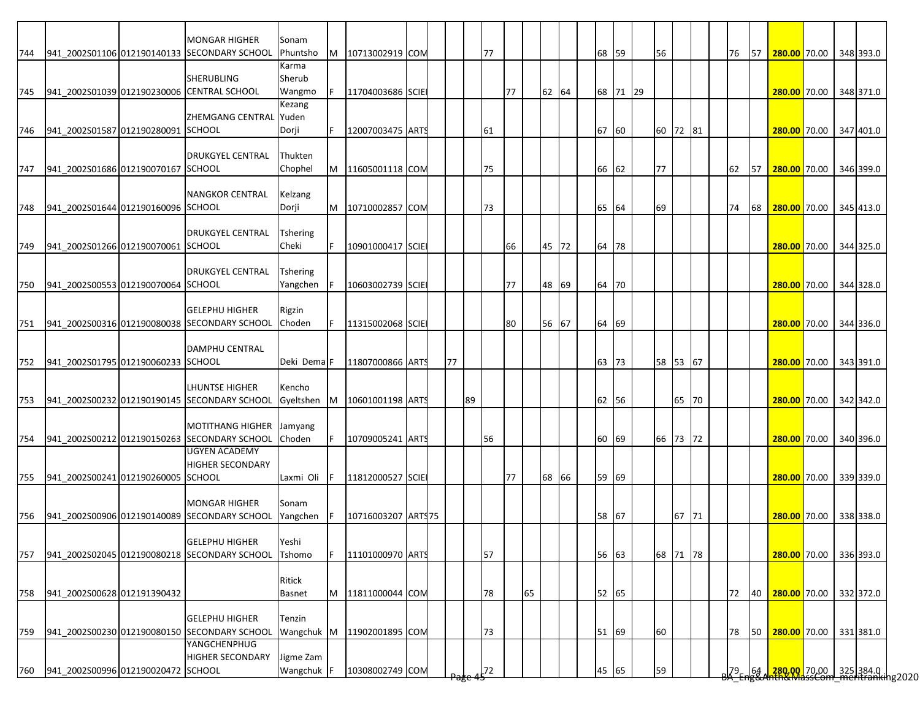| 744 |                                            | <b>MONGAR HIGHER</b><br>941 2002S01106 012190140133 SECONDARY SCHOOL | Sonam<br>Phuntsho      | M | 10713002919 COM     |  |    |    | 77 |    |    |       |  | 68 59 |          | 56       |       |  | 76              | 57 | 280.00 70.00 348 393.0                                                                                         |  |           |
|-----|--------------------------------------------|----------------------------------------------------------------------|------------------------|---|---------------------|--|----|----|----|----|----|-------|--|-------|----------|----------|-------|--|-----------------|----|----------------------------------------------------------------------------------------------------------------|--|-----------|
|     |                                            |                                                                      | Karma                  |   |                     |  |    |    |    |    |    |       |  |       |          |          |       |  |                 |    |                                                                                                                |  |           |
|     |                                            | <b>SHERUBLING</b>                                                    | Sherub                 |   |                     |  |    |    |    |    |    |       |  |       |          |          |       |  |                 |    |                                                                                                                |  |           |
| 745 | 941_2002S01039 012190230006 CENTRAL SCHOOL |                                                                      | Wangmo                 |   | 11704003686 SCIE    |  |    |    |    | 77 |    | 62 64 |  |       | 68 71 29 |          |       |  |                 |    | 280.00 70.00 348 371.0                                                                                         |  |           |
|     |                                            |                                                                      | Kezang                 |   |                     |  |    |    |    |    |    |       |  |       |          |          |       |  |                 |    |                                                                                                                |  |           |
|     |                                            | ZHEMGANG CENTRAL Yuden                                               |                        |   |                     |  |    |    |    |    |    |       |  |       |          |          |       |  |                 |    |                                                                                                                |  |           |
| 746 | 941_2002S01587 012190280091 SCHOOL         |                                                                      | Dorji                  |   | 12007003475 ARTS    |  |    |    | 61 |    |    |       |  | 67 60 |          | 60 72 81 |       |  |                 |    | 280.00 70.00                                                                                                   |  | 347 401.0 |
|     |                                            |                                                                      |                        |   |                     |  |    |    |    |    |    |       |  |       |          |          |       |  |                 |    |                                                                                                                |  |           |
|     |                                            | <b>DRUKGYEL CENTRAL</b>                                              | Thukten                |   |                     |  |    |    |    |    |    |       |  |       |          |          |       |  |                 |    |                                                                                                                |  |           |
| 747 | 941 2002S01686 012190070167 SCHOOL         |                                                                      | Chophel                | M | 11605001118 COM     |  |    |    | 75 |    |    |       |  | 66 62 |          | 77       |       |  | 62              | 57 | 280.00 70.00                                                                                                   |  | 346 399.0 |
|     |                                            |                                                                      |                        |   |                     |  |    |    |    |    |    |       |  |       |          |          |       |  |                 |    |                                                                                                                |  |           |
|     |                                            | <b>NANGKOR CENTRAL</b>                                               | Kelzang                |   |                     |  |    |    |    |    |    |       |  |       |          |          |       |  |                 |    |                                                                                                                |  |           |
| 748 | 941 2002S01644 012190160096 SCHOOL         |                                                                      | Dorji                  | M | 10710002857 COM     |  |    |    | 73 |    |    |       |  | 65 64 |          | 69       |       |  | 74              | 68 | 280.00 70.00                                                                                                   |  | 345 413.0 |
|     |                                            |                                                                      |                        |   |                     |  |    |    |    |    |    |       |  |       |          |          |       |  |                 |    |                                                                                                                |  |           |
|     |                                            | <b>DRUKGYEL CENTRAL</b>                                              | <b>Tshering</b>        |   |                     |  |    |    |    |    |    |       |  |       |          |          |       |  |                 |    |                                                                                                                |  |           |
| 749 | 941 2002S01266 012190070061 SCHOOL         |                                                                      | Cheki                  |   | 10901000417 SCIE    |  |    |    |    | 66 |    | 45 72 |  | 64 78 |          |          |       |  |                 |    | 280.00 70.00                                                                                                   |  | 344 325.0 |
|     |                                            |                                                                      |                        |   |                     |  |    |    |    |    |    |       |  |       |          |          |       |  |                 |    |                                                                                                                |  |           |
|     |                                            | <b>DRUKGYEL CENTRAL</b>                                              | <b>Tshering</b>        |   |                     |  |    |    |    |    |    |       |  |       |          |          |       |  |                 |    |                                                                                                                |  |           |
| 750 | 941 2002S00553 012190070064 SCHOOL         |                                                                      | Yangchen               |   | 10603002739 SCIE    |  |    |    |    | 77 |    | 48 69 |  | 64 70 |          |          |       |  |                 |    | 280.00 70.00                                                                                                   |  | 344 328.0 |
|     |                                            |                                                                      |                        |   |                     |  |    |    |    |    |    |       |  |       |          |          |       |  |                 |    |                                                                                                                |  |           |
|     |                                            | <b>GELEPHU HIGHER</b>                                                | Rigzin                 |   |                     |  |    |    |    |    |    |       |  |       |          |          |       |  |                 |    |                                                                                                                |  |           |
|     |                                            | 751 941_2002S00316 012190080038 SECONDARY SCHOOL                     | Choden                 |   | 11315002068 SCIE    |  |    |    |    | 80 |    | 56 67 |  | 64 69 |          |          |       |  |                 |    | 280.00 70.00 344 336.0                                                                                         |  |           |
|     |                                            | <b>DAMPHU CENTRAL</b>                                                |                        |   |                     |  |    |    |    |    |    |       |  |       |          |          |       |  |                 |    |                                                                                                                |  |           |
| 752 | 941_2002S01795 012190060233 SCHOOL         |                                                                      | Deki Dema <sup>F</sup> |   | 11807000866 ARTS    |  | 77 |    |    |    |    |       |  | 63 73 |          | 58 53 67 |       |  |                 |    | 280.00 70.00                                                                                                   |  | 343 391.0 |
|     |                                            |                                                                      |                        |   |                     |  |    |    |    |    |    |       |  |       |          |          |       |  |                 |    |                                                                                                                |  |           |
|     |                                            | <b>LHUNTSE HIGHER</b>                                                | Kencho                 |   |                     |  |    |    |    |    |    |       |  |       |          |          |       |  |                 |    |                                                                                                                |  |           |
| 753 |                                            | 941_2002S00232 012190190145 SECONDARY SCHOOL                         | Gyeltshen              | M | 10601001198 ARTS    |  |    | 89 |    |    |    |       |  | 62 56 |          |          | 65 70 |  |                 |    | 280.00 70.00 342 342.0                                                                                         |  |           |
|     |                                            |                                                                      |                        |   |                     |  |    |    |    |    |    |       |  |       |          |          |       |  |                 |    |                                                                                                                |  |           |
|     |                                            | <b>MOTITHANG HIGHER</b>                                              | Jamyang                |   |                     |  |    |    |    |    |    |       |  |       |          |          |       |  |                 |    |                                                                                                                |  |           |
| 754 |                                            | 941 2002S00212 012190150263 SECONDARY SCHOOL                         | Choden                 |   | 10709005241 ARTS    |  |    |    | 56 |    |    |       |  | 60 69 |          | 66 73 72 |       |  |                 |    | 280.00 70.00 340 396.0                                                                                         |  |           |
|     |                                            | <b>UGYEN ACADEMY</b>                                                 |                        |   |                     |  |    |    |    |    |    |       |  |       |          |          |       |  |                 |    |                                                                                                                |  |           |
|     |                                            | <b>HIGHER SECONDARY</b>                                              |                        |   |                     |  |    |    |    |    |    |       |  |       |          |          |       |  |                 |    |                                                                                                                |  |           |
|     | 755 941 2002S00241 012190260005 SCHOOL     |                                                                      | Laxmi Oli              |   | 11812000527 SCIE    |  |    |    |    | 77 |    | 68 66 |  | 59 69 |          |          |       |  |                 |    | 280.00 70.00                                                                                                   |  | 339 339.0 |
|     |                                            |                                                                      |                        |   |                     |  |    |    |    |    |    |       |  |       |          |          |       |  |                 |    |                                                                                                                |  |           |
|     |                                            | <b>MONGAR HIGHER</b>                                                 | Sonam                  |   |                     |  |    |    |    |    |    |       |  |       |          |          |       |  |                 |    |                                                                                                                |  |           |
| 756 |                                            | 941 2002S00906 012190140089 SECONDARY SCHOOL                         | Yangchen               |   | 10716003207 ART\$75 |  |    |    |    |    |    |       |  | 58 67 |          |          | 67 71 |  |                 |    | 280.00 70.00                                                                                                   |  | 338 338.0 |
|     |                                            |                                                                      |                        |   |                     |  |    |    |    |    |    |       |  |       |          |          |       |  |                 |    |                                                                                                                |  |           |
|     |                                            | <b>GELEPHU HIGHER</b>                                                | Yeshi                  |   |                     |  |    |    |    |    |    |       |  |       |          |          |       |  |                 |    |                                                                                                                |  |           |
| 757 |                                            | 941_2002S02045 012190080218 SECONDARY SCHOOL                         | Tshomo                 |   | 11101000970 ARTS    |  |    |    | 57 |    |    |       |  | 56 63 |          | 68 71 78 |       |  |                 |    | 280.00 70.00 336 393.0                                                                                         |  |           |
|     |                                            |                                                                      |                        |   |                     |  |    |    |    |    |    |       |  |       |          |          |       |  |                 |    |                                                                                                                |  |           |
|     |                                            |                                                                      | Ritick                 |   |                     |  |    |    |    |    |    |       |  |       |          |          |       |  |                 |    |                                                                                                                |  |           |
| 758 | 941_2002S00628 012191390432                |                                                                      | <b>Basnet</b>          | M | 11811000044 COM     |  |    |    | 78 |    | 65 |       |  | 52 65 |          |          |       |  | 72              | 40 | 280.00 70.00                                                                                                   |  | 332 372.0 |
|     |                                            |                                                                      |                        |   |                     |  |    |    |    |    |    |       |  |       |          |          |       |  |                 |    |                                                                                                                |  |           |
|     |                                            | <b>GELEPHU HIGHER</b>                                                | Tenzin                 |   |                     |  |    |    |    |    |    |       |  |       |          |          |       |  |                 |    |                                                                                                                |  |           |
| 759 |                                            | 941_2002S00230 012190080150 SECONDARY SCHOOL<br>YANGCHENPHUG         | Wangchuk M             |   | 11902001895 COM     |  |    |    | 73 |    |    |       |  | 51 69 |          | 60       |       |  | 78              | 50 | 280.00 70.00                                                                                                   |  | 331 381.0 |
|     |                                            | <b>HIGHER SECONDARY</b>                                              |                        |   |                     |  |    |    |    |    |    |       |  |       |          |          |       |  |                 |    |                                                                                                                |  |           |
|     | 941_2002S00996 012190020472 SCHOOL         |                                                                      | Jigme Zam              |   |                     |  |    |    |    |    |    |       |  |       |          |          |       |  |                 |    |                                                                                                                |  |           |
| 760 |                                            |                                                                      | Wangchuk F             |   | 10308002749 COM     |  |    |    | 72 |    |    |       |  | 45 65 |          | 59       |       |  | 79 <sub>c</sub> |    | 64 <mark>  280,00  </mark> 70,00   325   384.0  <br><del> 1280   1280,00   70,00   325   384.0  </del> 1392020 |  |           |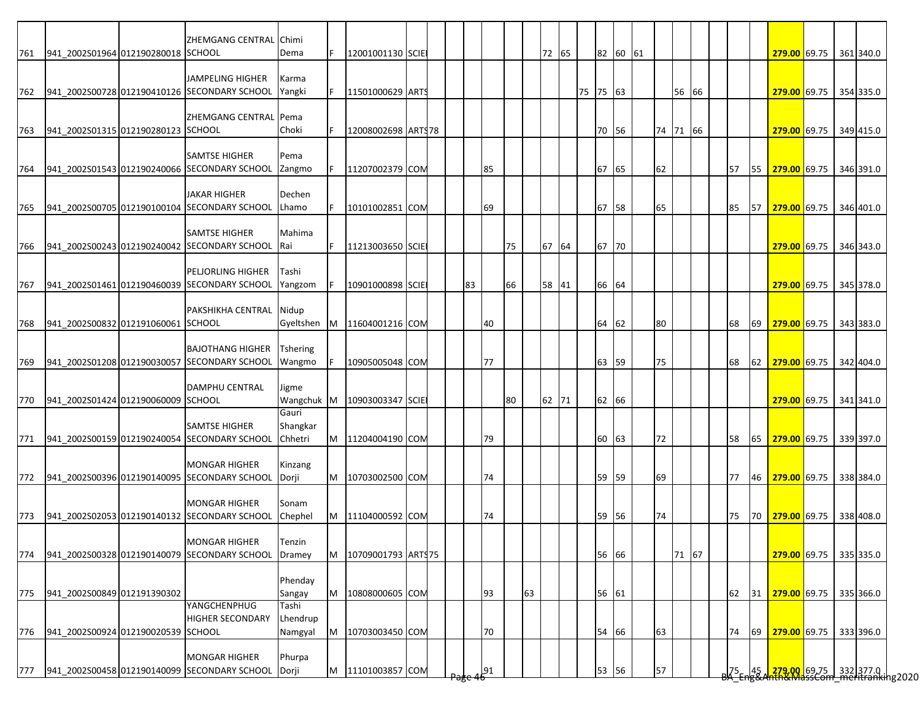| 941_2002S01964 012190280018 SCHOOL<br>72 65<br>82 60 61<br>12001001130 SCIE<br>279.00 69.75 361 340.0<br>Dema<br>JAMPELING HIGHER<br>Karma<br>75 75 63<br>941_2002S00728 012190410126 SECONDARY SCHOOL<br>lF.<br>56 66<br>279.00 69.75 354 335.0<br>Yangki<br>11501000629 ARTS<br>ZHEMGANG CENTRAL Pema<br>70 56<br>74 71 66<br>763<br>941 2002S01315 012190280123 SCHOOL<br>Choki<br>12008002698 ARTS78<br>279.00 69.75 349 415.0<br>IF.<br><b>SAMTSE HIGHER</b><br>Pema<br>941 2002S01543 012190240066 SECONDARY SCHOOL<br>85<br>67<br>65<br>62<br>57<br>55<br>279.00 69.75 346 391.0<br>Zangmo<br>11207002379 COM<br><b>JAKAR HIGHER</b><br>Dechen<br>65<br>67<br>941 2002S00705 012190100104 SECONDARY SCHOOL<br>69<br>58<br>85<br>57<br>279.00 69.75 346 401.0<br>Lhamo<br>10101002851 COM<br><b>SAMTSE HIGHER</b><br>Mahima<br>941 2002S00243 012190240042 SECONDARY SCHOOL<br>67 64<br>67<br>70<br>766<br>11213003650 SCIE<br>75<br>279.00 69.75 346 343.0<br><b>IRai</b><br><b>PELJORLING HIGHER</b><br>Tashi<br>941 2002S01461 012190460039 SECONDARY SCHOOL<br>66<br>64<br>10901000898 SCIE<br>83<br>66<br>58 41<br>279.00 69.75 345 378.0<br>Yangzom<br>PAKSHIKHA CENTRAL Nidup<br>941 2002S00832 012191060061 SCHOOL<br>64<br>62<br>80<br>Gyeltshen<br>M 11604001216 COM<br>40<br>68<br>69 279.00 69.75 343 383.0<br><b>BAJOTHANG HIGHER</b><br><b>Tshering</b><br>941_2002S01208 012190030057 SECONDARY SCHOOL<br>77<br>59<br>75<br>769<br>63<br>279.00 69.75<br>342 404.0<br>Wangmo<br>10905005048 COM<br>68<br>62<br><b>DAMPHU CENTRAL</b><br>Jigme<br>62 66<br>941_2002S01424 012190060009 SCHOOL<br>Wangchuk M<br>10903003347 SCIE<br>62 71<br>279.00 69.75 341 341.0<br>80<br>Gauri<br><b>SAMTSE HIGHER</b><br>Shangkar<br>M<br>72<br>941 2002S00159 012190240054 SECONDARY SCHOOL<br>Chhetri<br>11204004190 COM<br>79<br>60 63<br>65<br>279.00 69.75 339 397.0<br>58<br><b>MONGAR HIGHER</b><br>Kinzang<br>941_2002S00396 012190140095 SECONDARY SCHOOL<br>59 59<br>69<br>772<br>M 10703002500 COM<br>74<br>77<br>46 279.00 69.75 338 384.0<br>Dorji<br><b>MONGAR HIGHER</b><br>Sonam<br>941 2002S02053 012190140132 SECONDARY SCHOOL<br>Chephel<br>M<br>11104000592 COM<br>59<br>56<br>74<br>75<br>70 279.00 69.75 338 408.0<br>74<br><b>MONGAR HIGHER</b><br>Tenzin<br>56 66<br>941_2002S00328 012190140079 SECONDARY SCHOOL<br>10709001793 ARTS75<br>71 67<br>279.00 69.75 335 335.0<br>Dramey<br>M<br>Phenday<br>941_2002S00849 012191390302<br>M<br>93<br>63<br>56 61<br>279.00 69.75 335 366.0<br>10808000605 COM<br>62<br>31<br>Sangay<br>YANGCHENPHUG<br>Tashi<br>Lhendrup<br><b>HIGHER SECONDARY</b><br>54<br>66<br>63<br>941 2002S00924 012190020539 SCHOOL<br>Namgyal<br>M<br>10703003450 COM<br>70<br>74<br>69<br>279.00 69.75 333 396.0<br>776<br><b>MONGAR HIGHER</b><br>Phurpa<br>57<br><mark>_279.00_</mark> 69.75 __332 377.0 __<br>nth&MdssCom_meritranking2020<br>941 2002S00458 012190140099 SECONDARY SCHOOL<br>M 11101003857 COM<br>53 56<br>$Z^5$ Fne $34$<br>Dorji<br>91 |     |  | ZHEMGANG CENTRAL Chimi |  |  |  |  |  |  |  |  |  |  |  |  |  |
|---------------------------------------------------------------------------------------------------------------------------------------------------------------------------------------------------------------------------------------------------------------------------------------------------------------------------------------------------------------------------------------------------------------------------------------------------------------------------------------------------------------------------------------------------------------------------------------------------------------------------------------------------------------------------------------------------------------------------------------------------------------------------------------------------------------------------------------------------------------------------------------------------------------------------------------------------------------------------------------------------------------------------------------------------------------------------------------------------------------------------------------------------------------------------------------------------------------------------------------------------------------------------------------------------------------------------------------------------------------------------------------------------------------------------------------------------------------------------------------------------------------------------------------------------------------------------------------------------------------------------------------------------------------------------------------------------------------------------------------------------------------------------------------------------------------------------------------------------------------------------------------------------------------------------------------------------------------------------------------------------------------------------------------------------------------------------------------------------------------------------------------------------------------------------------------------------------------------------------------------------------------------------------------------------------------------------------------------------------------------------------------------------------------------------------------------------------------------------------------------------------------------------------------------------------------------------------------------------------------------------------------------------------------------------------------------------------------------------------------------------------------------------------------------------------------------------------------------------------------------------------------------------------------------------------------------------------------------------------------------------------------------|-----|--|------------------------|--|--|--|--|--|--|--|--|--|--|--|--|--|
|                                                                                                                                                                                                                                                                                                                                                                                                                                                                                                                                                                                                                                                                                                                                                                                                                                                                                                                                                                                                                                                                                                                                                                                                                                                                                                                                                                                                                                                                                                                                                                                                                                                                                                                                                                                                                                                                                                                                                                                                                                                                                                                                                                                                                                                                                                                                                                                                                                                                                                                                                                                                                                                                                                                                                                                                                                                                                                                                                                                                                     | 761 |  |                        |  |  |  |  |  |  |  |  |  |  |  |  |  |
|                                                                                                                                                                                                                                                                                                                                                                                                                                                                                                                                                                                                                                                                                                                                                                                                                                                                                                                                                                                                                                                                                                                                                                                                                                                                                                                                                                                                                                                                                                                                                                                                                                                                                                                                                                                                                                                                                                                                                                                                                                                                                                                                                                                                                                                                                                                                                                                                                                                                                                                                                                                                                                                                                                                                                                                                                                                                                                                                                                                                                     |     |  |                        |  |  |  |  |  |  |  |  |  |  |  |  |  |
|                                                                                                                                                                                                                                                                                                                                                                                                                                                                                                                                                                                                                                                                                                                                                                                                                                                                                                                                                                                                                                                                                                                                                                                                                                                                                                                                                                                                                                                                                                                                                                                                                                                                                                                                                                                                                                                                                                                                                                                                                                                                                                                                                                                                                                                                                                                                                                                                                                                                                                                                                                                                                                                                                                                                                                                                                                                                                                                                                                                                                     |     |  |                        |  |  |  |  |  |  |  |  |  |  |  |  |  |
|                                                                                                                                                                                                                                                                                                                                                                                                                                                                                                                                                                                                                                                                                                                                                                                                                                                                                                                                                                                                                                                                                                                                                                                                                                                                                                                                                                                                                                                                                                                                                                                                                                                                                                                                                                                                                                                                                                                                                                                                                                                                                                                                                                                                                                                                                                                                                                                                                                                                                                                                                                                                                                                                                                                                                                                                                                                                                                                                                                                                                     | 762 |  |                        |  |  |  |  |  |  |  |  |  |  |  |  |  |
|                                                                                                                                                                                                                                                                                                                                                                                                                                                                                                                                                                                                                                                                                                                                                                                                                                                                                                                                                                                                                                                                                                                                                                                                                                                                                                                                                                                                                                                                                                                                                                                                                                                                                                                                                                                                                                                                                                                                                                                                                                                                                                                                                                                                                                                                                                                                                                                                                                                                                                                                                                                                                                                                                                                                                                                                                                                                                                                                                                                                                     |     |  |                        |  |  |  |  |  |  |  |  |  |  |  |  |  |
|                                                                                                                                                                                                                                                                                                                                                                                                                                                                                                                                                                                                                                                                                                                                                                                                                                                                                                                                                                                                                                                                                                                                                                                                                                                                                                                                                                                                                                                                                                                                                                                                                                                                                                                                                                                                                                                                                                                                                                                                                                                                                                                                                                                                                                                                                                                                                                                                                                                                                                                                                                                                                                                                                                                                                                                                                                                                                                                                                                                                                     |     |  |                        |  |  |  |  |  |  |  |  |  |  |  |  |  |
|                                                                                                                                                                                                                                                                                                                                                                                                                                                                                                                                                                                                                                                                                                                                                                                                                                                                                                                                                                                                                                                                                                                                                                                                                                                                                                                                                                                                                                                                                                                                                                                                                                                                                                                                                                                                                                                                                                                                                                                                                                                                                                                                                                                                                                                                                                                                                                                                                                                                                                                                                                                                                                                                                                                                                                                                                                                                                                                                                                                                                     |     |  |                        |  |  |  |  |  |  |  |  |  |  |  |  |  |
|                                                                                                                                                                                                                                                                                                                                                                                                                                                                                                                                                                                                                                                                                                                                                                                                                                                                                                                                                                                                                                                                                                                                                                                                                                                                                                                                                                                                                                                                                                                                                                                                                                                                                                                                                                                                                                                                                                                                                                                                                                                                                                                                                                                                                                                                                                                                                                                                                                                                                                                                                                                                                                                                                                                                                                                                                                                                                                                                                                                                                     |     |  |                        |  |  |  |  |  |  |  |  |  |  |  |  |  |
|                                                                                                                                                                                                                                                                                                                                                                                                                                                                                                                                                                                                                                                                                                                                                                                                                                                                                                                                                                                                                                                                                                                                                                                                                                                                                                                                                                                                                                                                                                                                                                                                                                                                                                                                                                                                                                                                                                                                                                                                                                                                                                                                                                                                                                                                                                                                                                                                                                                                                                                                                                                                                                                                                                                                                                                                                                                                                                                                                                                                                     | 764 |  |                        |  |  |  |  |  |  |  |  |  |  |  |  |  |
|                                                                                                                                                                                                                                                                                                                                                                                                                                                                                                                                                                                                                                                                                                                                                                                                                                                                                                                                                                                                                                                                                                                                                                                                                                                                                                                                                                                                                                                                                                                                                                                                                                                                                                                                                                                                                                                                                                                                                                                                                                                                                                                                                                                                                                                                                                                                                                                                                                                                                                                                                                                                                                                                                                                                                                                                                                                                                                                                                                                                                     |     |  |                        |  |  |  |  |  |  |  |  |  |  |  |  |  |
|                                                                                                                                                                                                                                                                                                                                                                                                                                                                                                                                                                                                                                                                                                                                                                                                                                                                                                                                                                                                                                                                                                                                                                                                                                                                                                                                                                                                                                                                                                                                                                                                                                                                                                                                                                                                                                                                                                                                                                                                                                                                                                                                                                                                                                                                                                                                                                                                                                                                                                                                                                                                                                                                                                                                                                                                                                                                                                                                                                                                                     |     |  |                        |  |  |  |  |  |  |  |  |  |  |  |  |  |
|                                                                                                                                                                                                                                                                                                                                                                                                                                                                                                                                                                                                                                                                                                                                                                                                                                                                                                                                                                                                                                                                                                                                                                                                                                                                                                                                                                                                                                                                                                                                                                                                                                                                                                                                                                                                                                                                                                                                                                                                                                                                                                                                                                                                                                                                                                                                                                                                                                                                                                                                                                                                                                                                                                                                                                                                                                                                                                                                                                                                                     | 765 |  |                        |  |  |  |  |  |  |  |  |  |  |  |  |  |
|                                                                                                                                                                                                                                                                                                                                                                                                                                                                                                                                                                                                                                                                                                                                                                                                                                                                                                                                                                                                                                                                                                                                                                                                                                                                                                                                                                                                                                                                                                                                                                                                                                                                                                                                                                                                                                                                                                                                                                                                                                                                                                                                                                                                                                                                                                                                                                                                                                                                                                                                                                                                                                                                                                                                                                                                                                                                                                                                                                                                                     |     |  |                        |  |  |  |  |  |  |  |  |  |  |  |  |  |
|                                                                                                                                                                                                                                                                                                                                                                                                                                                                                                                                                                                                                                                                                                                                                                                                                                                                                                                                                                                                                                                                                                                                                                                                                                                                                                                                                                                                                                                                                                                                                                                                                                                                                                                                                                                                                                                                                                                                                                                                                                                                                                                                                                                                                                                                                                                                                                                                                                                                                                                                                                                                                                                                                                                                                                                                                                                                                                                                                                                                                     |     |  |                        |  |  |  |  |  |  |  |  |  |  |  |  |  |
|                                                                                                                                                                                                                                                                                                                                                                                                                                                                                                                                                                                                                                                                                                                                                                                                                                                                                                                                                                                                                                                                                                                                                                                                                                                                                                                                                                                                                                                                                                                                                                                                                                                                                                                                                                                                                                                                                                                                                                                                                                                                                                                                                                                                                                                                                                                                                                                                                                                                                                                                                                                                                                                                                                                                                                                                                                                                                                                                                                                                                     |     |  |                        |  |  |  |  |  |  |  |  |  |  |  |  |  |
|                                                                                                                                                                                                                                                                                                                                                                                                                                                                                                                                                                                                                                                                                                                                                                                                                                                                                                                                                                                                                                                                                                                                                                                                                                                                                                                                                                                                                                                                                                                                                                                                                                                                                                                                                                                                                                                                                                                                                                                                                                                                                                                                                                                                                                                                                                                                                                                                                                                                                                                                                                                                                                                                                                                                                                                                                                                                                                                                                                                                                     |     |  |                        |  |  |  |  |  |  |  |  |  |  |  |  |  |
|                                                                                                                                                                                                                                                                                                                                                                                                                                                                                                                                                                                                                                                                                                                                                                                                                                                                                                                                                                                                                                                                                                                                                                                                                                                                                                                                                                                                                                                                                                                                                                                                                                                                                                                                                                                                                                                                                                                                                                                                                                                                                                                                                                                                                                                                                                                                                                                                                                                                                                                                                                                                                                                                                                                                                                                                                                                                                                                                                                                                                     | 767 |  |                        |  |  |  |  |  |  |  |  |  |  |  |  |  |
|                                                                                                                                                                                                                                                                                                                                                                                                                                                                                                                                                                                                                                                                                                                                                                                                                                                                                                                                                                                                                                                                                                                                                                                                                                                                                                                                                                                                                                                                                                                                                                                                                                                                                                                                                                                                                                                                                                                                                                                                                                                                                                                                                                                                                                                                                                                                                                                                                                                                                                                                                                                                                                                                                                                                                                                                                                                                                                                                                                                                                     |     |  |                        |  |  |  |  |  |  |  |  |  |  |  |  |  |
|                                                                                                                                                                                                                                                                                                                                                                                                                                                                                                                                                                                                                                                                                                                                                                                                                                                                                                                                                                                                                                                                                                                                                                                                                                                                                                                                                                                                                                                                                                                                                                                                                                                                                                                                                                                                                                                                                                                                                                                                                                                                                                                                                                                                                                                                                                                                                                                                                                                                                                                                                                                                                                                                                                                                                                                                                                                                                                                                                                                                                     |     |  |                        |  |  |  |  |  |  |  |  |  |  |  |  |  |
|                                                                                                                                                                                                                                                                                                                                                                                                                                                                                                                                                                                                                                                                                                                                                                                                                                                                                                                                                                                                                                                                                                                                                                                                                                                                                                                                                                                                                                                                                                                                                                                                                                                                                                                                                                                                                                                                                                                                                                                                                                                                                                                                                                                                                                                                                                                                                                                                                                                                                                                                                                                                                                                                                                                                                                                                                                                                                                                                                                                                                     | 768 |  |                        |  |  |  |  |  |  |  |  |  |  |  |  |  |
|                                                                                                                                                                                                                                                                                                                                                                                                                                                                                                                                                                                                                                                                                                                                                                                                                                                                                                                                                                                                                                                                                                                                                                                                                                                                                                                                                                                                                                                                                                                                                                                                                                                                                                                                                                                                                                                                                                                                                                                                                                                                                                                                                                                                                                                                                                                                                                                                                                                                                                                                                                                                                                                                                                                                                                                                                                                                                                                                                                                                                     |     |  |                        |  |  |  |  |  |  |  |  |  |  |  |  |  |
|                                                                                                                                                                                                                                                                                                                                                                                                                                                                                                                                                                                                                                                                                                                                                                                                                                                                                                                                                                                                                                                                                                                                                                                                                                                                                                                                                                                                                                                                                                                                                                                                                                                                                                                                                                                                                                                                                                                                                                                                                                                                                                                                                                                                                                                                                                                                                                                                                                                                                                                                                                                                                                                                                                                                                                                                                                                                                                                                                                                                                     |     |  |                        |  |  |  |  |  |  |  |  |  |  |  |  |  |
|                                                                                                                                                                                                                                                                                                                                                                                                                                                                                                                                                                                                                                                                                                                                                                                                                                                                                                                                                                                                                                                                                                                                                                                                                                                                                                                                                                                                                                                                                                                                                                                                                                                                                                                                                                                                                                                                                                                                                                                                                                                                                                                                                                                                                                                                                                                                                                                                                                                                                                                                                                                                                                                                                                                                                                                                                                                                                                                                                                                                                     |     |  |                        |  |  |  |  |  |  |  |  |  |  |  |  |  |
|                                                                                                                                                                                                                                                                                                                                                                                                                                                                                                                                                                                                                                                                                                                                                                                                                                                                                                                                                                                                                                                                                                                                                                                                                                                                                                                                                                                                                                                                                                                                                                                                                                                                                                                                                                                                                                                                                                                                                                                                                                                                                                                                                                                                                                                                                                                                                                                                                                                                                                                                                                                                                                                                                                                                                                                                                                                                                                                                                                                                                     |     |  |                        |  |  |  |  |  |  |  |  |  |  |  |  |  |
|                                                                                                                                                                                                                                                                                                                                                                                                                                                                                                                                                                                                                                                                                                                                                                                                                                                                                                                                                                                                                                                                                                                                                                                                                                                                                                                                                                                                                                                                                                                                                                                                                                                                                                                                                                                                                                                                                                                                                                                                                                                                                                                                                                                                                                                                                                                                                                                                                                                                                                                                                                                                                                                                                                                                                                                                                                                                                                                                                                                                                     | 770 |  |                        |  |  |  |  |  |  |  |  |  |  |  |  |  |
|                                                                                                                                                                                                                                                                                                                                                                                                                                                                                                                                                                                                                                                                                                                                                                                                                                                                                                                                                                                                                                                                                                                                                                                                                                                                                                                                                                                                                                                                                                                                                                                                                                                                                                                                                                                                                                                                                                                                                                                                                                                                                                                                                                                                                                                                                                                                                                                                                                                                                                                                                                                                                                                                                                                                                                                                                                                                                                                                                                                                                     |     |  |                        |  |  |  |  |  |  |  |  |  |  |  |  |  |
|                                                                                                                                                                                                                                                                                                                                                                                                                                                                                                                                                                                                                                                                                                                                                                                                                                                                                                                                                                                                                                                                                                                                                                                                                                                                                                                                                                                                                                                                                                                                                                                                                                                                                                                                                                                                                                                                                                                                                                                                                                                                                                                                                                                                                                                                                                                                                                                                                                                                                                                                                                                                                                                                                                                                                                                                                                                                                                                                                                                                                     |     |  |                        |  |  |  |  |  |  |  |  |  |  |  |  |  |
|                                                                                                                                                                                                                                                                                                                                                                                                                                                                                                                                                                                                                                                                                                                                                                                                                                                                                                                                                                                                                                                                                                                                                                                                                                                                                                                                                                                                                                                                                                                                                                                                                                                                                                                                                                                                                                                                                                                                                                                                                                                                                                                                                                                                                                                                                                                                                                                                                                                                                                                                                                                                                                                                                                                                                                                                                                                                                                                                                                                                                     | 771 |  |                        |  |  |  |  |  |  |  |  |  |  |  |  |  |
|                                                                                                                                                                                                                                                                                                                                                                                                                                                                                                                                                                                                                                                                                                                                                                                                                                                                                                                                                                                                                                                                                                                                                                                                                                                                                                                                                                                                                                                                                                                                                                                                                                                                                                                                                                                                                                                                                                                                                                                                                                                                                                                                                                                                                                                                                                                                                                                                                                                                                                                                                                                                                                                                                                                                                                                                                                                                                                                                                                                                                     |     |  |                        |  |  |  |  |  |  |  |  |  |  |  |  |  |
|                                                                                                                                                                                                                                                                                                                                                                                                                                                                                                                                                                                                                                                                                                                                                                                                                                                                                                                                                                                                                                                                                                                                                                                                                                                                                                                                                                                                                                                                                                                                                                                                                                                                                                                                                                                                                                                                                                                                                                                                                                                                                                                                                                                                                                                                                                                                                                                                                                                                                                                                                                                                                                                                                                                                                                                                                                                                                                                                                                                                                     |     |  |                        |  |  |  |  |  |  |  |  |  |  |  |  |  |
|                                                                                                                                                                                                                                                                                                                                                                                                                                                                                                                                                                                                                                                                                                                                                                                                                                                                                                                                                                                                                                                                                                                                                                                                                                                                                                                                                                                                                                                                                                                                                                                                                                                                                                                                                                                                                                                                                                                                                                                                                                                                                                                                                                                                                                                                                                                                                                                                                                                                                                                                                                                                                                                                                                                                                                                                                                                                                                                                                                                                                     |     |  |                        |  |  |  |  |  |  |  |  |  |  |  |  |  |
|                                                                                                                                                                                                                                                                                                                                                                                                                                                                                                                                                                                                                                                                                                                                                                                                                                                                                                                                                                                                                                                                                                                                                                                                                                                                                                                                                                                                                                                                                                                                                                                                                                                                                                                                                                                                                                                                                                                                                                                                                                                                                                                                                                                                                                                                                                                                                                                                                                                                                                                                                                                                                                                                                                                                                                                                                                                                                                                                                                                                                     |     |  |                        |  |  |  |  |  |  |  |  |  |  |  |  |  |
|                                                                                                                                                                                                                                                                                                                                                                                                                                                                                                                                                                                                                                                                                                                                                                                                                                                                                                                                                                                                                                                                                                                                                                                                                                                                                                                                                                                                                                                                                                                                                                                                                                                                                                                                                                                                                                                                                                                                                                                                                                                                                                                                                                                                                                                                                                                                                                                                                                                                                                                                                                                                                                                                                                                                                                                                                                                                                                                                                                                                                     | 773 |  |                        |  |  |  |  |  |  |  |  |  |  |  |  |  |
|                                                                                                                                                                                                                                                                                                                                                                                                                                                                                                                                                                                                                                                                                                                                                                                                                                                                                                                                                                                                                                                                                                                                                                                                                                                                                                                                                                                                                                                                                                                                                                                                                                                                                                                                                                                                                                                                                                                                                                                                                                                                                                                                                                                                                                                                                                                                                                                                                                                                                                                                                                                                                                                                                                                                                                                                                                                                                                                                                                                                                     |     |  |                        |  |  |  |  |  |  |  |  |  |  |  |  |  |
|                                                                                                                                                                                                                                                                                                                                                                                                                                                                                                                                                                                                                                                                                                                                                                                                                                                                                                                                                                                                                                                                                                                                                                                                                                                                                                                                                                                                                                                                                                                                                                                                                                                                                                                                                                                                                                                                                                                                                                                                                                                                                                                                                                                                                                                                                                                                                                                                                                                                                                                                                                                                                                                                                                                                                                                                                                                                                                                                                                                                                     |     |  |                        |  |  |  |  |  |  |  |  |  |  |  |  |  |
|                                                                                                                                                                                                                                                                                                                                                                                                                                                                                                                                                                                                                                                                                                                                                                                                                                                                                                                                                                                                                                                                                                                                                                                                                                                                                                                                                                                                                                                                                                                                                                                                                                                                                                                                                                                                                                                                                                                                                                                                                                                                                                                                                                                                                                                                                                                                                                                                                                                                                                                                                                                                                                                                                                                                                                                                                                                                                                                                                                                                                     | 774 |  |                        |  |  |  |  |  |  |  |  |  |  |  |  |  |
|                                                                                                                                                                                                                                                                                                                                                                                                                                                                                                                                                                                                                                                                                                                                                                                                                                                                                                                                                                                                                                                                                                                                                                                                                                                                                                                                                                                                                                                                                                                                                                                                                                                                                                                                                                                                                                                                                                                                                                                                                                                                                                                                                                                                                                                                                                                                                                                                                                                                                                                                                                                                                                                                                                                                                                                                                                                                                                                                                                                                                     |     |  |                        |  |  |  |  |  |  |  |  |  |  |  |  |  |
|                                                                                                                                                                                                                                                                                                                                                                                                                                                                                                                                                                                                                                                                                                                                                                                                                                                                                                                                                                                                                                                                                                                                                                                                                                                                                                                                                                                                                                                                                                                                                                                                                                                                                                                                                                                                                                                                                                                                                                                                                                                                                                                                                                                                                                                                                                                                                                                                                                                                                                                                                                                                                                                                                                                                                                                                                                                                                                                                                                                                                     |     |  |                        |  |  |  |  |  |  |  |  |  |  |  |  |  |
|                                                                                                                                                                                                                                                                                                                                                                                                                                                                                                                                                                                                                                                                                                                                                                                                                                                                                                                                                                                                                                                                                                                                                                                                                                                                                                                                                                                                                                                                                                                                                                                                                                                                                                                                                                                                                                                                                                                                                                                                                                                                                                                                                                                                                                                                                                                                                                                                                                                                                                                                                                                                                                                                                                                                                                                                                                                                                                                                                                                                                     | 775 |  |                        |  |  |  |  |  |  |  |  |  |  |  |  |  |
|                                                                                                                                                                                                                                                                                                                                                                                                                                                                                                                                                                                                                                                                                                                                                                                                                                                                                                                                                                                                                                                                                                                                                                                                                                                                                                                                                                                                                                                                                                                                                                                                                                                                                                                                                                                                                                                                                                                                                                                                                                                                                                                                                                                                                                                                                                                                                                                                                                                                                                                                                                                                                                                                                                                                                                                                                                                                                                                                                                                                                     |     |  |                        |  |  |  |  |  |  |  |  |  |  |  |  |  |
|                                                                                                                                                                                                                                                                                                                                                                                                                                                                                                                                                                                                                                                                                                                                                                                                                                                                                                                                                                                                                                                                                                                                                                                                                                                                                                                                                                                                                                                                                                                                                                                                                                                                                                                                                                                                                                                                                                                                                                                                                                                                                                                                                                                                                                                                                                                                                                                                                                                                                                                                                                                                                                                                                                                                                                                                                                                                                                                                                                                                                     |     |  |                        |  |  |  |  |  |  |  |  |  |  |  |  |  |
|                                                                                                                                                                                                                                                                                                                                                                                                                                                                                                                                                                                                                                                                                                                                                                                                                                                                                                                                                                                                                                                                                                                                                                                                                                                                                                                                                                                                                                                                                                                                                                                                                                                                                                                                                                                                                                                                                                                                                                                                                                                                                                                                                                                                                                                                                                                                                                                                                                                                                                                                                                                                                                                                                                                                                                                                                                                                                                                                                                                                                     |     |  |                        |  |  |  |  |  |  |  |  |  |  |  |  |  |
|                                                                                                                                                                                                                                                                                                                                                                                                                                                                                                                                                                                                                                                                                                                                                                                                                                                                                                                                                                                                                                                                                                                                                                                                                                                                                                                                                                                                                                                                                                                                                                                                                                                                                                                                                                                                                                                                                                                                                                                                                                                                                                                                                                                                                                                                                                                                                                                                                                                                                                                                                                                                                                                                                                                                                                                                                                                                                                                                                                                                                     |     |  |                        |  |  |  |  |  |  |  |  |  |  |  |  |  |
|                                                                                                                                                                                                                                                                                                                                                                                                                                                                                                                                                                                                                                                                                                                                                                                                                                                                                                                                                                                                                                                                                                                                                                                                                                                                                                                                                                                                                                                                                                                                                                                                                                                                                                                                                                                                                                                                                                                                                                                                                                                                                                                                                                                                                                                                                                                                                                                                                                                                                                                                                                                                                                                                                                                                                                                                                                                                                                                                                                                                                     | 777 |  |                        |  |  |  |  |  |  |  |  |  |  |  |  |  |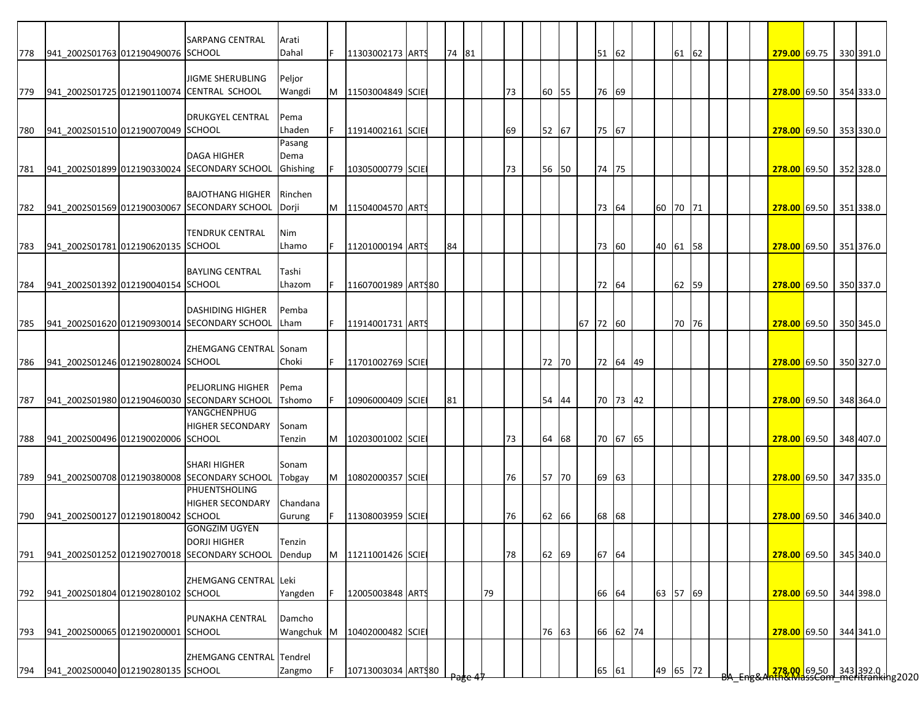|     |                                    | <b>SARPANG CENTRAL</b>                                                  | Arati                |    |                    |  |       |    |    |       |          |       |          |          |       |  |  |                                                                         |  |           |  |
|-----|------------------------------------|-------------------------------------------------------------------------|----------------------|----|--------------------|--|-------|----|----|-------|----------|-------|----------|----------|-------|--|--|-------------------------------------------------------------------------|--|-----------|--|
| 778 | 941_2002S01763 012190490076 SCHOOL |                                                                         | Dahal                | F. | 11303002173 ARTS   |  | 74 81 |    |    |       |          | 51 62 |          |          | 61 62 |  |  | 279.00 69.75 330 391.0                                                  |  |           |  |
|     |                                    | <b>JIGME SHERUBLING</b>                                                 | Peljor               |    |                    |  |       |    |    |       |          |       |          |          |       |  |  |                                                                         |  |           |  |
| 779 |                                    | 941 2002S01725 012190110074 CENTRAL SCHOOL                              | Wangdi               | M  | 11503004849 SCIE   |  |       |    | 73 | 60 55 |          | 76 69 |          |          |       |  |  | 278.00 69.50 354 333.0                                                  |  |           |  |
|     |                                    | <b>DRUKGYEL CENTRAL</b>                                                 | Pema                 |    |                    |  |       |    |    |       |          |       |          |          |       |  |  |                                                                         |  |           |  |
| 780 | 941 2002S01510 012190070049 SCHOOL |                                                                         | Lhaden               |    | 11914002161 SCIE   |  |       |    | 69 | 52 67 |          | 75 67 |          |          |       |  |  | <b>278.00 69.50 353 330.0</b>                                           |  |           |  |
|     |                                    | <b>DAGA HIGHER</b>                                                      | Pasang               |    |                    |  |       |    |    |       |          |       |          |          |       |  |  |                                                                         |  |           |  |
|     |                                    | 781 941 2002S01899 012190330024 SECONDARY SCHOOL                        | Dema<br>Ghishing     |    | 10305000779 SCIE   |  |       |    | 73 | 56 50 |          | 74 75 |          |          |       |  |  | 278.00 69.50 352 328.0                                                  |  |           |  |
|     |                                    |                                                                         |                      |    |                    |  |       |    |    |       |          |       |          |          |       |  |  |                                                                         |  |           |  |
| 782 |                                    | <b>BAJOTHANG HIGHER</b><br>941_2002S01569 012190030067 SECONDARY SCHOOL | Rinchen<br>Dorji     | M  | 11504004570 ARTS   |  |       |    |    |       |          | 73 64 |          | 60 70 71 |       |  |  | 278.00 69.50 351 338.0                                                  |  |           |  |
|     |                                    |                                                                         |                      |    |                    |  |       |    |    |       |          |       |          |          |       |  |  |                                                                         |  |           |  |
| 783 | 941 2002S01781 012190620135 SCHOOL | TENDRUK CENTRAL                                                         | Nim<br>Lhamo         |    | 11201000194 ARTS   |  | 84    |    |    |       |          | 73 60 |          | 40 61 58 |       |  |  | 278.00 69.50 351 376.0                                                  |  |           |  |
|     |                                    |                                                                         |                      |    |                    |  |       |    |    |       |          |       |          |          |       |  |  |                                                                         |  |           |  |
| 784 | 941 2002S01392 012190040154 SCHOOL | <b>BAYLING CENTRAL</b>                                                  | Tashi<br>Lhazom      |    | 11607001989 ARTS80 |  |       |    |    |       |          | 72 64 |          |          | 62 59 |  |  | 278.00 69.50                                                            |  | 350 337.0 |  |
|     |                                    |                                                                         |                      |    |                    |  |       |    |    |       |          |       |          |          |       |  |  |                                                                         |  |           |  |
|     |                                    | <b>DASHIDING HIGHER</b>                                                 | Pemba                |    |                    |  |       |    |    |       |          |       |          |          |       |  |  |                                                                         |  |           |  |
| 785 |                                    | 941_2002S01620 012190930014 SECONDARY SCHOOL                            | Lham                 |    | 11914001731 ARTS   |  |       |    |    |       | 67 72 60 |       |          |          | 70 76 |  |  | 278.00 69.50 350 345.0                                                  |  |           |  |
|     |                                    | ZHEMGANG CENTRAL Sonam                                                  |                      |    |                    |  |       |    |    |       |          |       |          |          |       |  |  |                                                                         |  |           |  |
| 786 | 941 2002S01246 012190280024 SCHOOL |                                                                         | Choki                |    | 11701002769 SCIE   |  |       |    |    | 72 70 |          |       | 72 64 49 |          |       |  |  | 278.00 69.50 350 327.0                                                  |  |           |  |
|     |                                    | <b>PELJORLING HIGHER</b>                                                | Pema                 |    |                    |  |       |    |    |       |          |       |          |          |       |  |  |                                                                         |  |           |  |
| 787 |                                    | 941_2002S01980 012190460030 SECONDARY SCHOOL<br>YANGCHENPHUG            | Tshomo               |    | 10906000409 SCIE   |  | 81    |    |    | 54 44 |          |       | 70 73 42 |          |       |  |  | 278.00 69.50 348 364.0                                                  |  |           |  |
|     |                                    | <b>HIGHER SECONDARY</b>                                                 | Sonam                |    |                    |  |       |    |    |       |          |       |          |          |       |  |  |                                                                         |  |           |  |
| 788 | 941_2002S00496 012190020006 SCHOOL |                                                                         | Tenzin               | M  | 10203001002 SCIE   |  |       |    | 73 | 64 68 |          |       | 70 67 65 |          |       |  |  | 278.00 69.50 348 407.0                                                  |  |           |  |
|     |                                    | <b>SHARI HIGHER</b>                                                     | Sonam                |    |                    |  |       |    |    |       |          |       |          |          |       |  |  |                                                                         |  |           |  |
| 789 |                                    | 941_2002S00708 012190380008 SECONDARY SCHOOL                            | Tobgay               | M  | 10802000357 SCIE   |  |       |    | 76 | 57 70 |          | 69 63 |          |          |       |  |  | 278.00 69.50 347 335.0                                                  |  |           |  |
|     |                                    | PHUENTSHOLING<br><b>HIGHER SECONDARY</b>                                | Chandana             |    |                    |  |       |    |    |       |          |       |          |          |       |  |  |                                                                         |  |           |  |
| 790 | 941_2002S00127 012190180042 SCHOOL |                                                                         | Gurung               |    | 11308003959 SCIE   |  |       |    | 76 | 62 66 |          | 68 68 |          |          |       |  |  | 278.00 69.50 346 340.0                                                  |  |           |  |
|     |                                    | <b>GONGZIM UGYEN</b><br><b>DORJI HIGHER</b>                             | Tenzin               |    |                    |  |       |    |    |       |          |       |          |          |       |  |  |                                                                         |  |           |  |
| 791 |                                    | 941_2002S01252 012190270018 SECONDARY SCHOOL                            | Dendup               | M  | 11211001426 SCIE   |  |       |    | 78 | 62 69 |          | 67 64 |          |          |       |  |  | 278.00 69.50 345 340.0                                                  |  |           |  |
|     |                                    |                                                                         |                      |    |                    |  |       |    |    |       |          |       |          |          |       |  |  |                                                                         |  |           |  |
| 792 | 941_2002S01804 012190280102 SCHOOL | ZHEMGANG CENTRAL Leki                                                   | Yangden              |    | 12005003848 ARTS   |  |       | 79 |    |       |          | 66 64 |          | 63 57 69 |       |  |  | 278.00 69.50                                                            |  | 344 398.0 |  |
|     |                                    |                                                                         |                      |    |                    |  |       |    |    |       |          |       |          |          |       |  |  |                                                                         |  |           |  |
| 793 | 941_2002S00065 012190200001 SCHOOL | PUNAKHA CENTRAL                                                         | Damcho<br>Wangchuk M |    | 10402000482 SCIE   |  |       |    |    | 76 63 |          |       | 66 62 74 |          |       |  |  | 278.00 69.50                                                            |  | 344 341.0 |  |
|     |                                    |                                                                         |                      |    |                    |  |       |    |    |       |          |       |          |          |       |  |  |                                                                         |  |           |  |
|     | 941 2002S00040 012190280135 SCHOOL | ZHEMGANG CENTRAL Tendrel                                                |                      |    |                    |  |       |    |    |       |          |       |          |          |       |  |  |                                                                         |  |           |  |
| 794 |                                    |                                                                         | Zangmo               |    | 10713003034 ARTS80 |  |       |    |    |       |          | 65 61 |          | 49 65 72 |       |  |  | <mark>.278.00.</mark> 69.50 343 392.0  <br>hth&MdssCom meritranking2020 |  |           |  |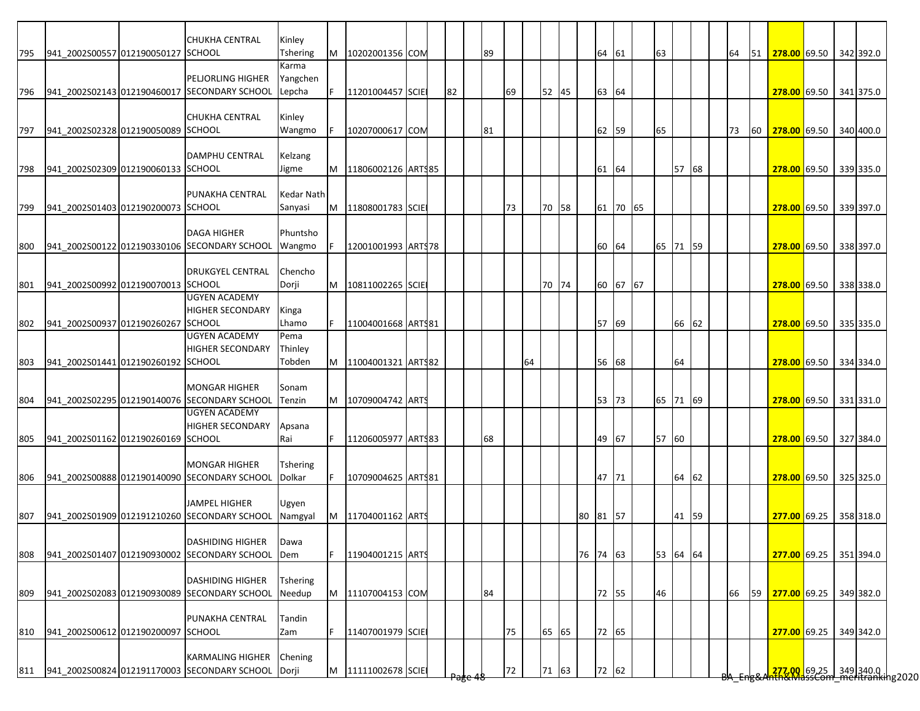|     |                                    | <b>CHUKHA CENTRAL</b>                        | Kinley          |   |                    |  |    |    |    |       |          |       |          |          |       |  |    |    |                                                                                       |  |           |
|-----|------------------------------------|----------------------------------------------|-----------------|---|--------------------|--|----|----|----|-------|----------|-------|----------|----------|-------|--|----|----|---------------------------------------------------------------------------------------|--|-----------|
| 795 | 941_2002S00557 012190050127 SCHOOL |                                              | Tshering        | М | 10202001356 COM    |  |    | 89 |    |       |          | 64 61 |          | 63       |       |  | 64 | 51 | 278.00 69.50 342 392.0                                                                |  |           |
|     |                                    |                                              | Karma           |   |                    |  |    |    |    |       |          |       |          |          |       |  |    |    |                                                                                       |  |           |
|     |                                    | <b>PELJORLING HIGHER</b>                     | Yangchen        |   |                    |  |    |    |    |       |          |       |          |          |       |  |    |    |                                                                                       |  |           |
| 796 |                                    | 941_2002S02143 012190460017 SECONDARY SCHOOL | Lepcha          | F | 11201004457 SCIE   |  | 82 |    | 69 | 52 45 |          | 63 64 |          |          |       |  |    |    | 278.00 69.50 341 375.0                                                                |  |           |
|     |                                    |                                              |                 |   |                    |  |    |    |    |       |          |       |          |          |       |  |    |    |                                                                                       |  |           |
|     |                                    | <b>CHUKHA CENTRAL</b>                        | Kinley          |   |                    |  |    |    |    |       |          |       |          |          |       |  |    |    |                                                                                       |  |           |
| 797 | 941 2002S02328 012190050089 SCHOOL |                                              | Wangmo          |   | 10207000617 COM    |  |    | 81 |    |       |          | 62    | 59       | 65       |       |  | 73 | 60 | 278.00 69.50 340 400.0                                                                |  |           |
|     |                                    |                                              |                 |   |                    |  |    |    |    |       |          |       |          |          |       |  |    |    |                                                                                       |  |           |
|     |                                    | <b>DAMPHU CENTRAL</b>                        | Kelzang         |   |                    |  |    |    |    |       |          |       |          |          |       |  |    |    |                                                                                       |  |           |
| 798 | 941 2002S02309 012190060133 SCHOOL |                                              | Jigme           | M | 11806002126 ARTS85 |  |    |    |    |       |          | 61    | 64       |          | 57 68 |  |    |    | 278.00 69.50 339 335.0                                                                |  |           |
|     |                                    |                                              |                 |   |                    |  |    |    |    |       |          |       |          |          |       |  |    |    |                                                                                       |  |           |
|     |                                    | PUNAKHA CENTRAL                              | Kedar Nath      |   |                    |  |    |    |    |       |          |       |          |          |       |  |    |    |                                                                                       |  |           |
| 799 | 941 2002S01403 012190200073 SCHOOL |                                              | Sanyasi         | M | 11808001783 SCIE   |  |    |    | 73 | 70 58 |          | 61    | 70 65    |          |       |  |    |    | 278.00 69.50 339 397.0                                                                |  |           |
|     |                                    |                                              |                 |   |                    |  |    |    |    |       |          |       |          |          |       |  |    |    |                                                                                       |  |           |
|     |                                    | <b>DAGA HIGHER</b>                           | Phuntsho        |   |                    |  |    |    |    |       |          |       |          |          |       |  |    |    |                                                                                       |  |           |
| 800 |                                    | 941 2002S00122 012190330106 SECONDARY SCHOOL | Wangmo          |   | 12001001993 ARTS78 |  |    |    |    |       |          | 60 64 |          | 65 71 59 |       |  |    |    | 278.00 69.50 338 397.0                                                                |  |           |
|     |                                    |                                              |                 |   |                    |  |    |    |    |       |          |       |          |          |       |  |    |    |                                                                                       |  |           |
|     |                                    | <b>DRUKGYEL CENTRAL</b>                      | Chencho         |   |                    |  |    |    |    |       |          |       |          |          |       |  |    |    |                                                                                       |  |           |
| 801 | 941 2002S00992 012190070013 SCHOOL |                                              | Dorji           | M | 10811002265 SCIE   |  |    |    |    | 70 74 |          |       | 60 67 67 |          |       |  |    |    | 278.00 69.50 338 338.0                                                                |  |           |
|     |                                    | <b>UGYEN ACADEMY</b>                         |                 |   |                    |  |    |    |    |       |          |       |          |          |       |  |    |    |                                                                                       |  |           |
|     |                                    | <b>HIGHER SECONDARY</b>                      | Kinga           |   |                    |  |    |    |    |       |          |       |          |          |       |  |    |    |                                                                                       |  |           |
| 802 | 941 2002S00937 012190260267        | <b>SCHOOL</b>                                | Lhamo           |   | 11004001668 ARTS81 |  |    |    |    |       |          | 57 69 |          |          | 66 62 |  |    |    | 278.00 69.50 335 335.0                                                                |  |           |
|     |                                    | <b>UGYEN ACADEMY</b>                         | Pema            |   |                    |  |    |    |    |       |          |       |          |          |       |  |    |    |                                                                                       |  |           |
|     |                                    | <b>HIGHER SECONDARY</b>                      | Thinley         |   |                    |  |    |    |    |       |          |       |          |          |       |  |    |    |                                                                                       |  |           |
| 803 | 941_2002S01441 012190260192 SCHOOL |                                              | Tobden          | M | 11004001321 ARTS82 |  |    |    | 64 |       |          | 56 68 |          |          | 64    |  |    |    | 278.00 69.50 334 334.0                                                                |  |           |
|     |                                    |                                              |                 |   |                    |  |    |    |    |       |          |       |          |          |       |  |    |    |                                                                                       |  |           |
|     |                                    | <b>MONGAR HIGHER</b>                         | Sonam           |   |                    |  |    |    |    |       |          |       |          |          |       |  |    |    |                                                                                       |  |           |
| 804 |                                    | 941_2002S02295 012190140076 SECONDARY SCHOOL | Tenzin          | M | 10709004742 ARTS   |  |    |    |    |       |          | 53 73 |          | 65 71 69 |       |  |    |    | 278.00 69.50 331 331.0                                                                |  |           |
|     |                                    | <b>UGYEN ACADEMY</b>                         |                 |   |                    |  |    |    |    |       |          |       |          |          |       |  |    |    |                                                                                       |  |           |
|     |                                    | <b>HIGHER SECONDARY</b>                      | Apsana          |   |                    |  |    |    |    |       |          |       |          |          |       |  |    |    |                                                                                       |  |           |
| 805 | 941 2002S01162 012190260169 SCHOOL |                                              | Rai             |   | 11206005977 ARTS83 |  |    | 68 |    |       |          | 49 67 |          | 57 60    |       |  |    |    | 278.00 69.50 327 384.0                                                                |  |           |
|     |                                    |                                              |                 |   |                    |  |    |    |    |       |          |       |          |          |       |  |    |    |                                                                                       |  |           |
|     |                                    | <b>MONGAR HIGHER</b>                         | <b>Tshering</b> |   |                    |  |    |    |    |       |          |       |          |          |       |  |    |    |                                                                                       |  |           |
| 806 |                                    | 941_2002S00888 012190140090 SECONDARY SCHOOL | Dolkar          | F | 10709004625 ARTS81 |  |    |    |    |       |          | 47 71 |          |          | 64 62 |  |    |    | 278.00 69.50 325 325.0                                                                |  |           |
|     |                                    |                                              |                 |   |                    |  |    |    |    |       |          |       |          |          |       |  |    |    |                                                                                       |  |           |
|     |                                    | <b>JAMPEL HIGHER</b>                         | Ugyen           |   |                    |  |    |    |    |       |          |       |          |          |       |  |    |    |                                                                                       |  |           |
| 807 |                                    | 941 2002S01909 012191210260 SECONDARY SCHOOL | Namgyal         | M | 11704001162 ARTS   |  |    |    |    |       | 80 81 57 |       |          |          | 41 59 |  |    |    | 277.00 69.25 358 318.0                                                                |  |           |
|     |                                    |                                              |                 |   |                    |  |    |    |    |       |          |       |          |          |       |  |    |    |                                                                                       |  |           |
|     |                                    | <b>DASHIDING HIGHER</b>                      | <b>IDawa</b>    |   |                    |  |    |    |    |       |          |       |          |          |       |  |    |    |                                                                                       |  |           |
| 808 |                                    | 941_2002S01407 012190930002 SECONDARY SCHOOL | Dem             | F | 11904001215 ARTS   |  |    |    |    |       | 76 74 63 |       |          | 53 64 64 |       |  |    |    | 277.00 69.25 351 394.0                                                                |  |           |
|     |                                    |                                              |                 |   |                    |  |    |    |    |       |          |       |          |          |       |  |    |    |                                                                                       |  |           |
|     |                                    | <b>DASHIDING HIGHER</b>                      | <b>Tshering</b> |   |                    |  |    |    |    |       |          |       |          |          |       |  |    |    |                                                                                       |  |           |
| 809 |                                    | 941 2002S02083 012190930089 SECONDARY SCHOOL | Needup          | M | 11107004153 COM    |  |    | 84 |    |       |          | 72 55 |          | 46       |       |  | 66 | 59 | 277.00 69.25                                                                          |  | 349 382.0 |
|     |                                    |                                              |                 |   |                    |  |    |    |    |       |          |       |          |          |       |  |    |    |                                                                                       |  |           |
|     |                                    | PUNAKHA CENTRAL                              | Tandin          |   |                    |  |    |    |    |       |          |       |          |          |       |  |    |    |                                                                                       |  |           |
| 810 | 941 2002S00612 012190200097 SCHOOL |                                              | Zam             |   | 11407001979 SCIE   |  |    |    | 75 | 65 65 |          | 72 65 |          |          |       |  |    |    | 277.00 69.25                                                                          |  | 349 342.0 |
|     |                                    |                                              |                 |   |                    |  |    |    |    |       |          |       |          |          |       |  |    |    |                                                                                       |  |           |
|     |                                    | <b>KARMALING HIGHER</b>                      | Chening         |   |                    |  |    |    |    |       |          |       |          |          |       |  |    |    |                                                                                       |  |           |
| 811 |                                    | 941 2002S00824 012191170003 SECONDARY SCHOOL | Dorji           | M | 11111002678 SCIE   |  |    |    | 72 | 71 63 |          | 72 62 |          |          |       |  |    |    | <mark>.277.00 69.25 349</mark> 340.0  <br><del>Nh&amp;MassCom meritranki</del> ng2020 |  |           |
|     |                                    |                                              |                 |   |                    |  |    |    |    |       |          |       |          |          |       |  |    |    |                                                                                       |  |           |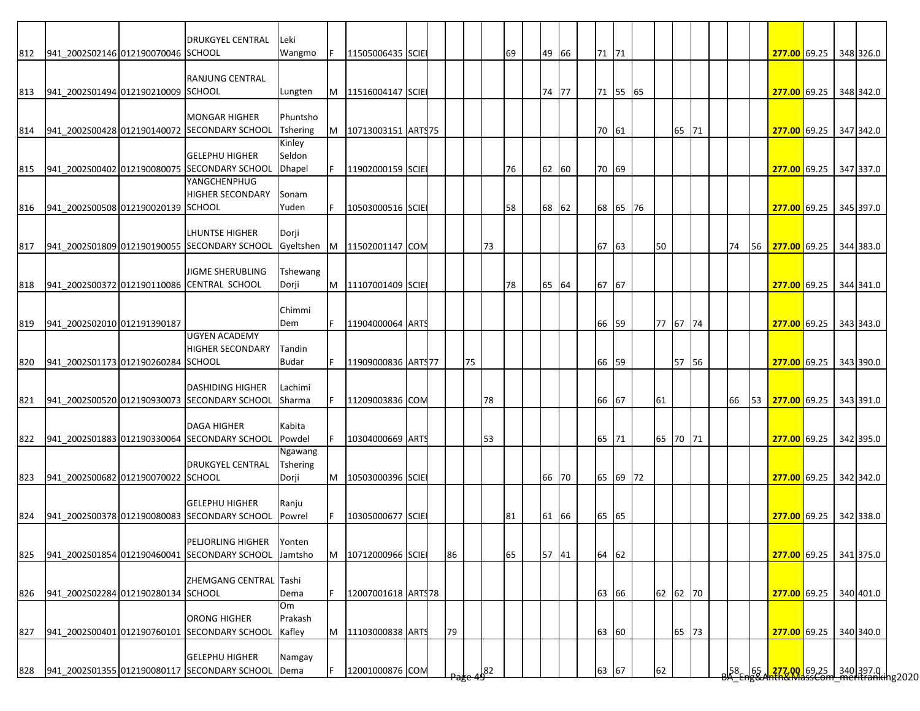|     |                                    | <b>DRUKGYEL CENTRAL</b>                                               | <b>Leki</b>       |    |                        |  |    |    |    |       |    |       |          |    |          |  |    |           |                               |  |                                                                            |
|-----|------------------------------------|-----------------------------------------------------------------------|-------------------|----|------------------------|--|----|----|----|-------|----|-------|----------|----|----------|--|----|-----------|-------------------------------|--|----------------------------------------------------------------------------|
| 812 | 941_2002S02146 012190070046 SCHOOL |                                                                       | Wangmo            | F  | 11505006435 SCIE       |  |    |    | 69 | 49 66 |    | 71 71 |          |    |          |  |    |           | 277.00 69.25 348 326.0        |  |                                                                            |
|     |                                    |                                                                       |                   |    |                        |  |    |    |    |       |    |       |          |    |          |  |    |           |                               |  |                                                                            |
| 813 | 941 2002S01494 012190210009 SCHOOL | RANJUNG CENTRAL                                                       | Lungten           |    | M   11516004147   SCIE |  |    |    |    | 74 77 |    |       | 71 55 65 |    |          |  |    |           | 277.00 69.25 348 342.0        |  |                                                                            |
|     |                                    |                                                                       |                   |    |                        |  |    |    |    |       |    |       |          |    |          |  |    |           |                               |  |                                                                            |
|     |                                    | <b>MONGAR HIGHER</b>                                                  | Phuntsho          |    |                        |  |    |    |    |       |    |       |          |    |          |  |    |           |                               |  |                                                                            |
| 814 |                                    | 941 2002S00428 012190140072 SECONDARY SCHOOL                          | <b>Tshering</b>   | M  | 10713003151 ARTS75     |  |    |    |    |       |    | 70 61 |          |    | 65 71    |  |    |           | 277.00 69.25 347 342.0        |  |                                                                            |
|     |                                    |                                                                       | Kinley            |    |                        |  |    |    |    |       |    |       |          |    |          |  |    |           |                               |  |                                                                            |
| 815 |                                    | <b>GELEPHU HIGHER</b><br>941 2002S00402 012190080075 SECONDARY SCHOOL | Seldon<br>Dhapel  |    | 11902000159 SCIE       |  |    |    | 76 | 62 60 |    | 70 69 |          |    |          |  |    |           | 277.00 69.25 347 337.0        |  |                                                                            |
|     |                                    | YANGCHENPHUG                                                          |                   |    |                        |  |    |    |    |       |    |       |          |    |          |  |    |           |                               |  |                                                                            |
|     |                                    | <b>HIGHER SECONDARY</b>                                               | Sonam             |    |                        |  |    |    |    |       |    |       |          |    |          |  |    |           |                               |  |                                                                            |
| 816 | 941 2002S00508 012190020139 SCHOOL |                                                                       | Yuden             |    | 10503000516 SCIE       |  |    |    | 58 | 68 62 |    |       | 68 65 76 |    |          |  |    |           | 277.00 69.25 345 397.0        |  |                                                                            |
|     |                                    |                                                                       |                   |    |                        |  |    |    |    |       |    |       |          |    |          |  |    |           |                               |  |                                                                            |
|     |                                    | LHUNTSE HIGHER                                                        | Dorji             |    |                        |  |    |    |    |       |    |       |          |    |          |  |    |           |                               |  |                                                                            |
| 817 |                                    | 941 2002S01809 012190190055 SECONDARY SCHOOL                          | Gyeltshen         |    | M 11502001147 COM      |  |    | 73 |    |       | 67 | 63    |          | 50 |          |  | 74 | <b>56</b> | <b>277.00</b> 69.25 344 383.0 |  |                                                                            |
|     |                                    | <b>JIGME SHERUBLING</b>                                               | Tshewang          |    |                        |  |    |    |    |       |    |       |          |    |          |  |    |           |                               |  |                                                                            |
| 818 |                                    | 941 2002S00372 012190110086 CENTRAL SCHOOL                            | Dorji             | M  | 11107001409 SCIE       |  |    |    | 78 | 65 64 | 67 | 67    |          |    |          |  |    |           | 277.00 69.25 344 341.0        |  |                                                                            |
|     |                                    |                                                                       |                   |    |                        |  |    |    |    |       |    |       |          |    |          |  |    |           |                               |  |                                                                            |
|     |                                    |                                                                       | Chimmi            |    |                        |  |    |    |    |       |    |       |          |    |          |  |    |           |                               |  |                                                                            |
| 819 | 941 2002S02010 012191390187        | <b>UGYEN ACADEMY</b>                                                  | Dem               | F. | 11904000064 ARTS       |  |    |    |    |       | 66 | 59    |          |    | 77 67 74 |  |    |           | 277.00 69.25 343 343.0        |  |                                                                            |
|     |                                    | <b>HIGHER SECONDARY</b>                                               | Tandin            |    |                        |  |    |    |    |       |    |       |          |    |          |  |    |           |                               |  |                                                                            |
| 820 | 941 2002S01173 012190260284 SCHOOL |                                                                       | <b>Budar</b>      | F. | 11909000836 ARTS77     |  |    | 75 |    |       | 66 | 59    |          |    | 57 56    |  |    |           | 277.00 69.25 343 390.0        |  |                                                                            |
|     |                                    |                                                                       |                   |    |                        |  |    |    |    |       |    |       |          |    |          |  |    |           |                               |  |                                                                            |
|     |                                    | <b>DASHIDING HIGHER</b>                                               | Lachimi           |    |                        |  |    |    |    |       |    |       |          |    |          |  |    |           |                               |  |                                                                            |
| 821 |                                    | 941_2002S00520 012190930073 SECONDARY SCHOOL                          | Sharma            |    | 11209003836 COM        |  |    | 78 |    |       |    | 66 67 |          | 61 |          |  | 66 |           | 53 277.00 69.25 343 391.0     |  |                                                                            |
|     |                                    |                                                                       |                   |    |                        |  |    |    |    |       |    |       |          |    |          |  |    |           |                               |  |                                                                            |
|     |                                    | <b>DAGA HIGHER</b>                                                    | Kabita            |    |                        |  |    |    |    |       |    |       |          |    |          |  |    |           |                               |  |                                                                            |
| 822 |                                    | 941 2002S01883 012190330064 SECONDARY SCHOOL                          | Powdel<br>Ngawang |    | 10304000669 ARTS       |  |    | 53 |    |       |    | 65 71 |          |    | 65 70 71 |  |    |           | 277.00 69.25 342 395.0        |  |                                                                            |
|     |                                    | <b>DRUKGYEL CENTRAL</b>                                               | <b>Tshering</b>   |    |                        |  |    |    |    |       |    |       |          |    |          |  |    |           |                               |  |                                                                            |
| 823 | 941_2002S00682 012190070022 SCHOOL |                                                                       | Dorji             |    | M   10503000396 SCIE   |  |    |    |    | 66 70 |    |       | 65 69 72 |    |          |  |    |           | 277.00 69.25 342 342.0        |  |                                                                            |
|     |                                    |                                                                       |                   |    |                        |  |    |    |    |       |    |       |          |    |          |  |    |           |                               |  |                                                                            |
|     |                                    | <b>GELEPHU HIGHER</b>                                                 | Ranju             |    |                        |  |    |    |    |       |    |       |          |    |          |  |    |           |                               |  |                                                                            |
| 824 |                                    | 941 2002S00378 012190080083 SECONDARY SCHOOL                          | Powrel            |    | 10305000677 SCIE       |  |    |    | 81 | 61 66 |    | 65 65 |          |    |          |  |    |           | 277.00 69.25 342 338.0        |  |                                                                            |
|     |                                    | PELJORLING HIGHER Yonten                                              |                   |    |                        |  |    |    |    |       |    |       |          |    |          |  |    |           |                               |  |                                                                            |
| 825 |                                    | 941_2002S01854 012190460041 SECONDARY SCHOOL Jamtsho                  |                   | M  | 10712000966 SCIE       |  | 86 |    | 65 | 57 41 |    | 64 62 |          |    |          |  |    |           | 277.00 69.25 341 375.0        |  |                                                                            |
|     |                                    |                                                                       |                   |    |                        |  |    |    |    |       |    |       |          |    |          |  |    |           |                               |  |                                                                            |
|     |                                    | ZHEMGANG CENTRAL Tashi                                                |                   |    |                        |  |    |    |    |       |    |       |          |    |          |  |    |           |                               |  |                                                                            |
| 826 | 941 2002S02284 012190280134 SCHOOL |                                                                       | Dema              | F. | 12007001618 ARTS78     |  |    |    |    |       |    | 63 66 |          |    | 62 62 70 |  |    |           | 277.00 69.25                  |  | 340 401.0                                                                  |
|     |                                    |                                                                       | Om                |    |                        |  |    |    |    |       |    |       |          |    |          |  |    |           |                               |  |                                                                            |
|     |                                    | <b>ORONG HIGHER</b>                                                   | Prakash           |    |                        |  |    |    |    |       |    |       |          |    |          |  |    |           |                               |  |                                                                            |
| 827 |                                    | 941_2002S00401 012190760101 SECONDARY SCHOOL                          | Kafley            | M  | 11103000838 ARTS       |  | 79 |    |    |       | 63 | 60    |          |    | 65 73    |  |    |           | 277.00 69.25                  |  | 340 340.0                                                                  |
|     |                                    | <b>GELEPHU HIGHER</b>                                                 | Namgay            |    |                        |  |    |    |    |       |    |       |          |    |          |  |    |           |                               |  |                                                                            |
|     |                                    |                                                                       |                   |    |                        |  |    |    |    |       |    | 63 67 |          |    |          |  |    |           |                               |  | <mark>_277.00_</mark> 69.25 = 340 397.0 .<br>http://dssCommeritranking2020 |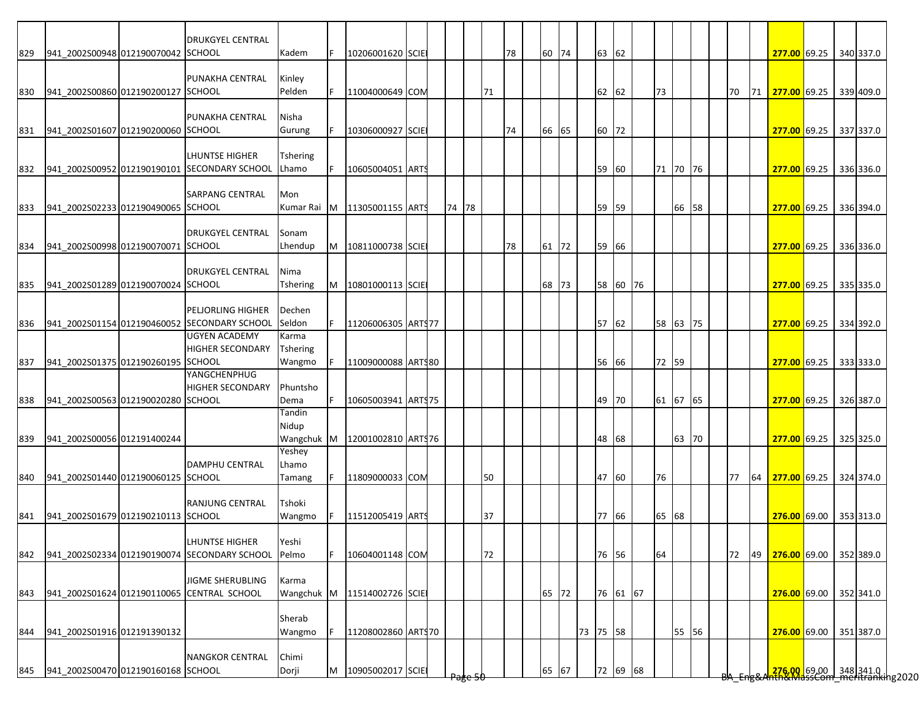|     |                                    | <b>DRUKGYEL CENTRAL</b>                      |                  |          |                                  |  |       |    |    |       |          |          |          |       |  |    |    |                                                                       |  |           |
|-----|------------------------------------|----------------------------------------------|------------------|----------|----------------------------------|--|-------|----|----|-------|----------|----------|----------|-------|--|----|----|-----------------------------------------------------------------------|--|-----------|
| 829 | 941 2002S00948 012190070042 SCHOOL |                                              | Kadem            | F        | 10206001620 SCIE                 |  |       |    | 78 | 60 74 | 63 62    |          |          |       |  |    |    | 277.00 69.25                                                          |  | 340 337.0 |
|     |                                    | PUNAKHA CENTRAL                              |                  |          |                                  |  |       |    |    |       |          |          |          |       |  |    |    |                                                                       |  |           |
|     | 941 2002S00860 012190200127 SCHOOL |                                              | Kinley<br>Pelden |          | 11004000649 COM                  |  |       | 71 |    |       | 62 62    |          | 73       |       |  | 70 |    | 71 <b>277.00</b> 69.25                                                |  | 339 409.0 |
| 830 |                                    |                                              |                  |          |                                  |  |       |    |    |       |          |          |          |       |  |    |    |                                                                       |  |           |
|     |                                    | PUNAKHA CENTRAL                              | Nisha            |          |                                  |  |       |    |    |       |          |          |          |       |  |    |    |                                                                       |  |           |
| 831 | 941 2002S01607 012190200060 SCHOOL |                                              | Gurung           |          | 10306000927 SCIE                 |  |       |    | 74 | 66 65 | 60       | 72       |          |       |  |    |    | 277.00 69.25                                                          |  | 337 337.0 |
|     |                                    |                                              |                  |          |                                  |  |       |    |    |       |          |          |          |       |  |    |    |                                                                       |  |           |
|     |                                    | <b>LHUNTSE HIGHER</b>                        | Tshering         |          |                                  |  |       |    |    |       |          |          |          |       |  |    |    |                                                                       |  |           |
| 832 |                                    | 941_2002S00952 012190190101 SECONDARY SCHOOL | Lhamo            |          | 10605004051 ARTS                 |  |       |    |    |       | 59 60    |          | 71 70 76 |       |  |    |    | 277.00 69.25                                                          |  | 336 336.0 |
|     |                                    |                                              |                  |          |                                  |  |       |    |    |       |          |          |          |       |  |    |    |                                                                       |  |           |
|     |                                    | <b>SARPANG CENTRAL</b>                       | Mon              |          |                                  |  |       |    |    |       |          |          |          |       |  |    |    |                                                                       |  |           |
| 833 | 941 2002S02233 012190490065 SCHOOL |                                              | Kumar Rai        | <b>M</b> | 11305001155 ARTS                 |  | 74 78 |    |    |       | 59       | 59       |          | 66 58 |  |    |    | 277.00 69.25                                                          |  | 336 394.0 |
|     |                                    |                                              |                  |          |                                  |  |       |    |    |       |          |          |          |       |  |    |    |                                                                       |  |           |
|     |                                    | <b>DRUKGYEL CENTRAL</b>                      | Sonam            |          |                                  |  |       |    |    |       |          |          |          |       |  |    |    |                                                                       |  |           |
| 834 | 941_2002S00998 012190070071 SCHOOL |                                              | Lhendup          | M        | 10811000738 SCIE                 |  |       |    | 78 | 61 72 | 59 66    |          |          |       |  |    |    | 277.00 69.25                                                          |  | 336 336.0 |
|     |                                    |                                              |                  |          |                                  |  |       |    |    |       |          |          |          |       |  |    |    |                                                                       |  |           |
|     |                                    | <b>DRUKGYEL CENTRAL</b>                      | Nima             |          |                                  |  |       |    |    |       |          |          |          |       |  |    |    |                                                                       |  |           |
| 835 | 941 2002S01289 012190070024 SCHOOL |                                              | Tshering         | M        | 10801000113 SCIE                 |  |       |    |    | 68 73 |          | 58 60 76 |          |       |  |    |    | <b>277.00 69.25 335 335.0</b>                                         |  |           |
|     |                                    |                                              |                  |          |                                  |  |       |    |    |       |          |          |          |       |  |    |    |                                                                       |  |           |
|     |                                    | <b>PELJORLING HIGHER</b>                     | Dechen           |          |                                  |  |       |    |    |       |          |          |          |       |  |    |    |                                                                       |  |           |
| 836 |                                    | 941 2002S01154 012190460052 SECONDARY SCHOOL | Seldon           |          | 11206006305 ARTS77               |  |       |    |    |       | 57 62    |          | 58 63 75 |       |  |    |    | 277.00 69.25 334 392.0                                                |  |           |
|     |                                    | <b>UGYEN ACADEMY</b>                         | Karma            |          |                                  |  |       |    |    |       |          |          |          |       |  |    |    |                                                                       |  |           |
|     |                                    | <b>HIGHER SECONDARY</b>                      | <b>Tshering</b>  |          |                                  |  |       |    |    |       |          |          |          |       |  |    |    |                                                                       |  |           |
| 837 | 941 2002S01375 012190260195 SCHOOL |                                              | Wangmo           | F        | 11009000088 ART\$80              |  |       |    |    |       | 56 66    |          | 72 59    |       |  |    |    | 277.00 69.25 333 333.0                                                |  |           |
|     |                                    | YANGCHENPHUG                                 |                  |          |                                  |  |       |    |    |       |          |          |          |       |  |    |    |                                                                       |  |           |
|     |                                    | <b>HIGHER SECONDARY</b>                      | Phuntsho         |          |                                  |  |       |    |    |       |          |          |          |       |  |    |    |                                                                       |  |           |
| 838 | 941_2002S00563 012190020280 SCHOOL |                                              | Dema             |          | 10605003941 ARTS75               |  |       |    |    |       | 49 70    |          | 61 67 65 |       |  |    |    | 277.00 69.25                                                          |  | 326 387.0 |
|     |                                    |                                              | Tandin           |          |                                  |  |       |    |    |       |          |          |          |       |  |    |    |                                                                       |  |           |
|     |                                    |                                              | Nidup            |          |                                  |  |       |    |    |       |          |          |          |       |  |    |    |                                                                       |  |           |
| 839 | 941 2002S00056 012191400244        |                                              |                  |          | Wangchuk M   12001002810 ARTS 76 |  |       |    |    |       | 48 68    |          |          | 63 70 |  |    |    | 277.00 69.25                                                          |  | 325 325.0 |
|     |                                    |                                              | Yeshey           |          |                                  |  |       |    |    |       |          |          |          |       |  |    |    |                                                                       |  |           |
|     |                                    | <b>DAMPHU CENTRAL</b>                        | Lhamo            |          |                                  |  |       |    |    |       |          |          |          |       |  |    |    |                                                                       |  |           |
| 840 | 941_2002S01440 012190060125 SCHOOL |                                              | Tamang           | F        | 11809000033 COM                  |  |       | 50 |    |       | 47 60    |          | 76       |       |  | 77 | 64 | 277.00 69.25                                                          |  | 324 374.0 |
|     |                                    |                                              |                  |          |                                  |  |       |    |    |       |          |          |          |       |  |    |    |                                                                       |  |           |
|     |                                    | <b>RANJUNG CENTRAL</b>                       | Tshoki           |          |                                  |  |       |    |    |       |          |          |          |       |  |    |    |                                                                       |  |           |
| 841 | 941 2002S01679 012190210113 SCHOOL |                                              | Wangmo           |          | 11512005419 ARTS                 |  |       | 37 |    |       | 77 66    |          | 65 68    |       |  |    |    | 276.00 69.00                                                          |  | 353 313.0 |
|     |                                    |                                              |                  |          |                                  |  |       |    |    |       |          |          |          |       |  |    |    |                                                                       |  |           |
|     |                                    | <b>LHUNTSE HIGHER</b>                        | Yeshi            |          |                                  |  |       |    |    |       |          |          |          |       |  |    |    |                                                                       |  |           |
| 842 |                                    | 941 2002S02334 012190190074 SECONDARY SCHOOL | Pelmo            |          | 10604001148 COM                  |  |       | 72 |    |       | 76 56    |          | 64       |       |  | 72 | 49 | 276.00 69.00                                                          |  | 352 389.0 |
|     |                                    |                                              |                  |          |                                  |  |       |    |    |       |          |          |          |       |  |    |    |                                                                       |  |           |
|     |                                    | <b>JIGME SHERUBLING</b>                      | Karma            |          |                                  |  |       |    |    |       |          |          |          |       |  |    |    |                                                                       |  |           |
| 843 |                                    | 941 2002S01624 012190110065 CENTRAL SCHOOL   |                  |          | Wangchuk M 11514002726 SCIE      |  |       |    |    | 65 72 |          | 76 61 67 |          |       |  |    |    | 276.00 69.00                                                          |  | 352 341.0 |
|     |                                    |                                              |                  |          |                                  |  |       |    |    |       |          |          |          |       |  |    |    |                                                                       |  |           |
|     |                                    |                                              | Sherab           |          |                                  |  |       |    |    |       |          |          |          |       |  |    |    |                                                                       |  |           |
| 844 | 941 2002S01916 012191390132        |                                              | Wangmo           |          | 11208002860 ARTS 70              |  |       |    |    |       | 73 75 58 |          |          | 55 56 |  |    |    | 276.00 69.00                                                          |  | 351 387.0 |
|     |                                    |                                              |                  |          |                                  |  |       |    |    |       |          |          |          |       |  |    |    |                                                                       |  |           |
|     |                                    |                                              |                  |          |                                  |  |       |    |    |       |          |          |          |       |  |    |    |                                                                       |  |           |
| 845 | 941_2002S00470 012190160168 SCHOOL | <b>NANGKOR CENTRAL</b>                       | Chimi            |          | 10905002017 SCIE                 |  |       |    |    | 65 67 |          | 72 69 68 |          |       |  |    |    | <mark>.276.00.</mark> 69.00 348.341.0<br>hth&MassCom_meritranking2020 |  |           |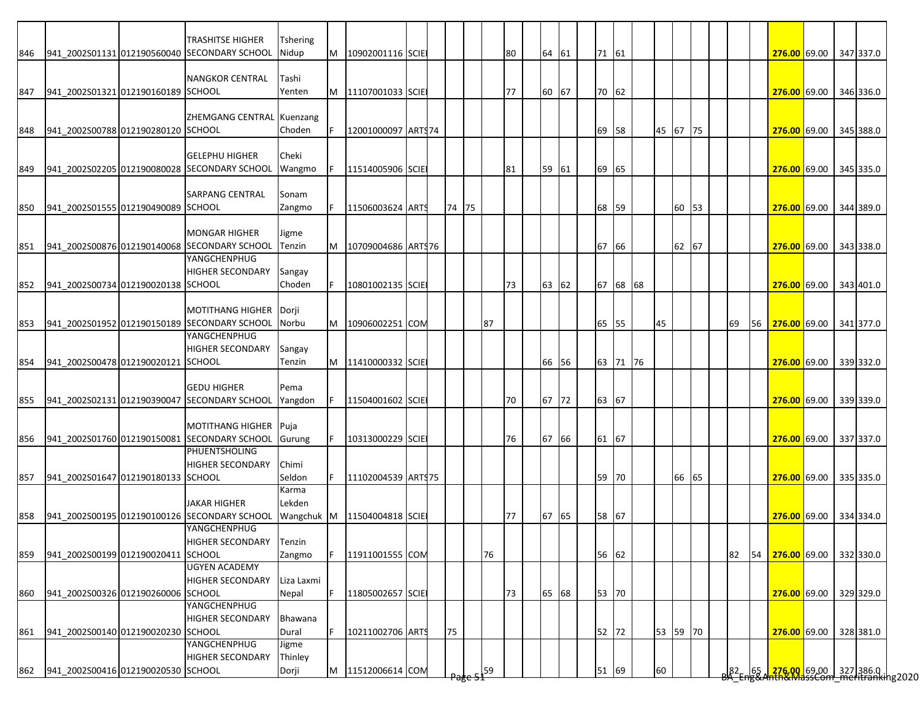|     |                                    | TRASHITSE HIGHER                             | Tshering   |    |                             |  |       |    |    |       |       |          |    |          |    |                 |    |                                                                                                       |  |           |
|-----|------------------------------------|----------------------------------------------|------------|----|-----------------------------|--|-------|----|----|-------|-------|----------|----|----------|----|-----------------|----|-------------------------------------------------------------------------------------------------------|--|-----------|
| 846 |                                    | 941 2002S01131 012190560040 SECONDARY SCHOOL | Nidup      | M  | 10902001116 SCIE            |  |       |    | 80 | 64 61 | 71 61 |          |    |          |    |                 |    | 276.00 69.00                                                                                          |  | 347 337.0 |
|     |                                    |                                              |            |    |                             |  |       |    |    |       |       |          |    |          |    |                 |    |                                                                                                       |  |           |
|     |                                    | <b>NANGKOR CENTRAL</b>                       | Tashi      |    |                             |  |       |    |    |       |       |          |    |          |    |                 |    |                                                                                                       |  |           |
| 847 | 941 2002S01321 012190160189 SCHOOL |                                              | Yenten     |    | M 11107001033 SCIE          |  |       |    | 77 | 60 67 |       | 70 62    |    |          |    |                 |    | <b>276.00 69.00</b>                                                                                   |  | 346 336.0 |
|     |                                    |                                              |            |    |                             |  |       |    |    |       |       |          |    |          |    |                 |    |                                                                                                       |  |           |
|     |                                    | ZHEMGANG CENTRAL Kuenzang                    |            |    |                             |  |       |    |    |       |       |          |    |          |    |                 |    |                                                                                                       |  |           |
| 848 | 941 2002S00788 012190280120 SCHOOL |                                              | Choden     |    | 12001000097 ARTS74          |  |       |    |    |       |       | 69 58    |    | 45 67 75 |    |                 |    | 276.00 69.00                                                                                          |  | 345 388.0 |
|     |                                    |                                              |            |    |                             |  |       |    |    |       |       |          |    |          |    |                 |    |                                                                                                       |  |           |
|     |                                    | <b>GELEPHU HIGHER</b>                        | Cheki      |    |                             |  |       |    |    |       |       |          |    |          |    |                 |    |                                                                                                       |  |           |
| 849 |                                    | 941 2002S02205 012190080028 SECONDARY SCHOOL | Wangmo     |    | 11514005906 SCIE            |  |       |    | 81 | 59 61 | 69 65 |          |    |          |    |                 |    | 276.00 69.00                                                                                          |  | 345 335.0 |
|     |                                    |                                              |            |    |                             |  |       |    |    |       |       |          |    |          |    |                 |    |                                                                                                       |  |           |
|     |                                    | SARPANG CENTRAL                              | Sonam      |    |                             |  |       |    |    |       |       |          |    |          |    |                 |    |                                                                                                       |  |           |
| 850 | 941 2002S01555 012190490089 SCHOOL |                                              | Zangmo     |    | 11506003624 ARTS            |  | 74 75 |    |    |       |       | 68 59    |    | 60 53    |    |                 |    | 276.00 69.00                                                                                          |  | 344 389.0 |
|     |                                    |                                              |            |    |                             |  |       |    |    |       |       |          |    |          |    |                 |    |                                                                                                       |  |           |
|     |                                    | <b>MONGAR HIGHER</b>                         | Jigme      |    |                             |  |       |    |    |       |       |          |    |          |    |                 |    |                                                                                                       |  |           |
| 851 |                                    | 941_2002S00876 012190140068 SECONDARY SCHOOL | Tenzin     |    | M   10709004686   ARTS 76   |  |       |    |    |       | 67 66 |          |    | 62       | 67 |                 |    | 276.00 69.00                                                                                          |  | 343 338.0 |
|     |                                    | YANGCHENPHUG                                 |            |    |                             |  |       |    |    |       |       |          |    |          |    |                 |    |                                                                                                       |  |           |
|     |                                    | HIGHER SECONDARY                             | Sangay     |    |                             |  |       |    |    |       |       |          |    |          |    |                 |    |                                                                                                       |  |           |
| 852 | 941 2002S00734 012190020138 SCHOOL |                                              | Choden     |    | 10801002135 SCIE            |  |       |    | 73 | 63 62 |       | 67 68 68 |    |          |    |                 |    | 276.00 69.00                                                                                          |  | 343 401.0 |
|     |                                    |                                              |            |    |                             |  |       |    |    |       |       |          |    |          |    |                 |    |                                                                                                       |  |           |
|     |                                    | <b>MOTITHANG HIGHER</b>                      | Dorji      |    |                             |  |       |    |    |       |       |          |    |          |    |                 |    |                                                                                                       |  |           |
| 853 |                                    | 941_2002S01952 012190150189 SECONDARY SCHOOL | Norbu      | M  | 10906002251 COM             |  |       | 87 |    |       |       | 65 55    | 45 |          |    | 69              |    | 56 276.00 69.00                                                                                       |  | 341 377.0 |
|     |                                    | YANGCHENPHUG                                 |            |    |                             |  |       |    |    |       |       |          |    |          |    |                 |    |                                                                                                       |  |           |
|     |                                    | <b>HIGHER SECONDARY</b>                      | Sangay     |    |                             |  |       |    |    |       |       |          |    |          |    |                 |    |                                                                                                       |  |           |
| 854 | 941 2002S00478 012190020121 SCHOOL |                                              | Tenzin     |    | M   11410000332 SCIE        |  |       |    |    | 66 56 |       | 63 71 76 |    |          |    |                 |    | 276.00 69.00                                                                                          |  | 339 332.0 |
|     |                                    |                                              |            |    |                             |  |       |    |    |       |       |          |    |          |    |                 |    |                                                                                                       |  |           |
|     |                                    | <b>GEDU HIGHER</b>                           | Pema       |    |                             |  |       |    |    |       |       |          |    |          |    |                 |    |                                                                                                       |  |           |
| 855 |                                    | 941 2002S02131 012190390047 SECONDARY SCHOOL | Yangdon    |    | 11504001602 SCIE            |  |       |    | 70 | 67 72 | 63 67 |          |    |          |    |                 |    | 276.00 69.00                                                                                          |  | 339 339.0 |
|     |                                    |                                              |            |    |                             |  |       |    |    |       |       |          |    |          |    |                 |    |                                                                                                       |  |           |
|     |                                    | <b>MOTITHANG HIGHER</b>                      | Puja       |    |                             |  |       |    |    |       |       |          |    |          |    |                 |    |                                                                                                       |  |           |
| 856 |                                    | 941 2002S01760 012190150081 SECONDARY SCHOOL | Gurung     | F. | 10313000229 SCIE            |  |       |    | 76 | 67 66 | 61 67 |          |    |          |    |                 |    | 276.00 69.00 337 337.0                                                                                |  |           |
|     |                                    | PHUENTSHOLING                                |            |    |                             |  |       |    |    |       |       |          |    |          |    |                 |    |                                                                                                       |  |           |
|     |                                    | <b>HIGHER SECONDARY</b>                      | Chimi      |    |                             |  |       |    |    |       |       |          |    |          |    |                 |    |                                                                                                       |  |           |
| 857 | 941_2002S01647 012190180133 SCHOOL |                                              | Seldon     |    | 11102004539 ARTS 75         |  |       |    |    |       |       | 59 70    |    | 66 65    |    |                 |    | 276.00 69.00                                                                                          |  | 335 335.0 |
|     |                                    |                                              | Karma      |    |                             |  |       |    |    |       |       |          |    |          |    |                 |    |                                                                                                       |  |           |
|     |                                    | <b>JAKAR HIGHER</b>                          | Lekden     |    |                             |  |       |    |    |       |       |          |    |          |    |                 |    |                                                                                                       |  |           |
| 858 |                                    | 941 2002S00195 012190100126 SECONDARY SCHOOL |            |    | Wangchuk M 11504004818 SCIE |  |       |    | 77 | 67 65 | 58 67 |          |    |          |    |                 |    | <b>276.00</b> 69.00                                                                                   |  | 334 334.0 |
|     |                                    | YANGCHENPHUG                                 |            |    |                             |  |       |    |    |       |       |          |    |          |    |                 |    |                                                                                                       |  |           |
|     |                                    | HIGHER SECONDARY                             | Tenzin     |    |                             |  |       |    |    |       |       |          |    |          |    |                 |    |                                                                                                       |  |           |
| 859 | 941 2002S00199 012190020411 SCHOOL |                                              | Zangmo     |    | 11911001555 COM             |  |       | 76 |    |       |       | 56 62    |    |          |    | 82              | 54 | 276.00 69.00                                                                                          |  | 332 330.0 |
|     |                                    | <b>UGYEN ACADEMY</b>                         |            |    |                             |  |       |    |    |       |       |          |    |          |    |                 |    |                                                                                                       |  |           |
|     |                                    | <b>HIGHER SECONDARY</b>                      | Liza Laxmi |    |                             |  |       |    |    |       |       |          |    |          |    |                 |    |                                                                                                       |  |           |
| 860 | 941_2002S00326 012190260006 SCHOOL |                                              | Nepal      |    | 11805002657 SCIE            |  |       |    | 73 | 65 68 |       | 53 70    |    |          |    |                 |    | 276.00 69.00                                                                                          |  | 329 329.0 |
|     |                                    | YANGCHENPHUG                                 |            |    |                             |  |       |    |    |       |       |          |    |          |    |                 |    |                                                                                                       |  |           |
|     |                                    | <b>HIGHER SECONDARY</b>                      | Bhawana    |    |                             |  |       |    |    |       |       |          |    |          |    |                 |    |                                                                                                       |  |           |
| 861 | 941_2002S00140 012190020230 SCHOOL |                                              | Dural      |    | 10211002706 ARTS            |  | 75    |    |    |       |       | 52 72    |    | 53 59 70 |    |                 |    | 276.00 69.00                                                                                          |  | 328 381.0 |
|     |                                    | YANGCHENPHUG                                 | Jigme      |    |                             |  |       |    |    |       |       |          |    |          |    |                 |    |                                                                                                       |  |           |
|     |                                    | HIGHER SECONDARY                             | Thinley    |    |                             |  |       |    |    |       |       |          |    |          |    |                 |    |                                                                                                       |  |           |
|     | 941 2002S00416 012190020530 SCHOOL |                                              |            |    | M 11512006614 COM           |  |       | 59 |    |       |       |          | 60 |          |    |                 |    |                                                                                                       |  |           |
| 862 |                                    |                                              | Dorji      |    |                             |  |       |    |    |       |       | 51 69    |    |          |    | 82 <sub>5</sub> |    | 65 <mark>  276,00  </mark> 69,00   327  386.0  <br>18 <del>8 Anth&amp;MassCom meritranki</del> ng2020 |  |           |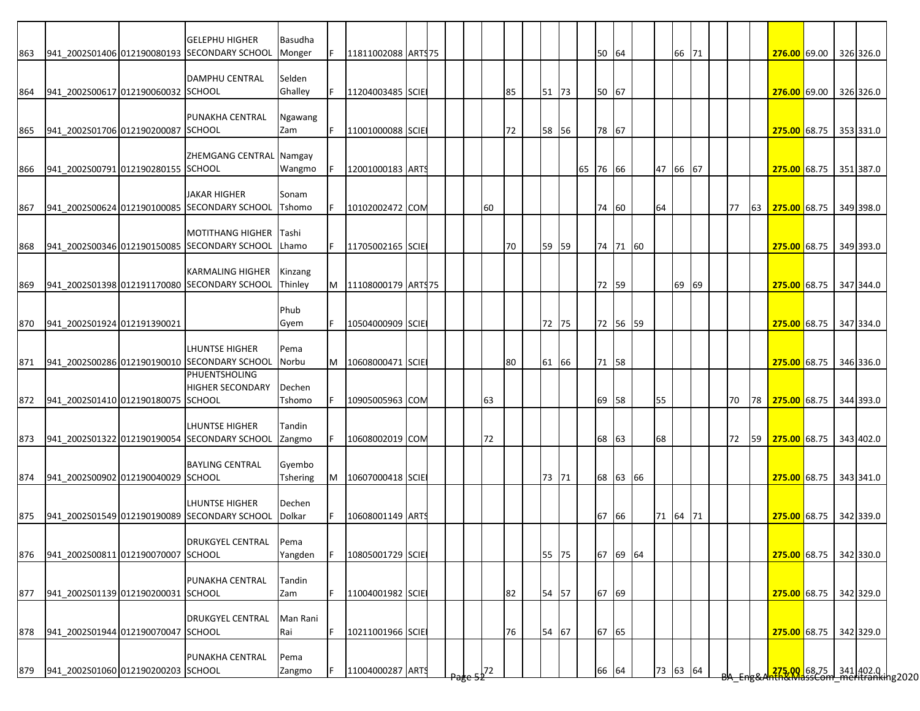|     |                                        | <b>GELEPHU HIGHER</b>                        | Basudha           |   |                    |  |          |    |       |          |          |          |       |  |    |    |                                                            |  |           |
|-----|----------------------------------------|----------------------------------------------|-------------------|---|--------------------|--|----------|----|-------|----------|----------|----------|-------|--|----|----|------------------------------------------------------------|--|-----------|
| 863 |                                        | 941_2002S01406 012190080193 SECONDARY SCHOOL | Monger            |   | 11811002088 ARTS75 |  |          |    |       | 50 64    |          |          | 66 71 |  |    |    | 276.00 69.00                                               |  | 326 326.0 |
|     |                                        |                                              |                   |   |                    |  |          |    |       |          |          |          |       |  |    |    |                                                            |  |           |
|     | 941 2002S00617 012190060032 SCHOOL     | <b>DAMPHU CENTRAL</b>                        | Selden<br>Ghalley |   |                    |  |          | 85 |       |          |          |          |       |  |    |    |                                                            |  |           |
| 864 |                                        |                                              |                   |   | 11204003485 SCIE   |  |          |    | 51 73 | 50 67    |          |          |       |  |    |    | 276.00 69.00                                               |  | 326 326.0 |
|     |                                        | PUNAKHA CENTRAL                              | Ngawang           |   |                    |  |          |    |       |          |          |          |       |  |    |    |                                                            |  |           |
| 865 | 941_2002S01706 012190200087 SCHOOL     |                                              | Zam               |   | 11001000088 SCIE   |  |          | 72 | 58 56 | 78 67    |          |          |       |  |    |    | 275.00 68.75 353 331.0                                     |  |           |
|     |                                        |                                              |                   |   |                    |  |          |    |       |          |          |          |       |  |    |    |                                                            |  |           |
|     |                                        | ZHEMGANG CENTRAL Namgay                      |                   |   |                    |  |          |    |       |          |          |          |       |  |    |    |                                                            |  |           |
| 866 | 941 2002S00791 012190280155 SCHOOL     |                                              | Wangmo            |   | 12001000183 ARTS   |  |          |    |       | 65 76 66 |          | 47 66 67 |       |  |    |    | 275.00 68.75                                               |  | 351 387.0 |
|     |                                        |                                              |                   |   |                    |  |          |    |       |          |          |          |       |  |    |    |                                                            |  |           |
|     |                                        | <b>JAKAR HIGHER</b>                          | Sonam             |   |                    |  |          |    |       |          |          |          |       |  |    |    |                                                            |  |           |
| 867 |                                        | 941_2002S00624 012190100085 SECONDARY SCHOOL | Tshomo            |   | 10102002472 COM    |  | 60       |    |       | 74 60    |          | 64       |       |  | 77 | 63 | 275.00 68.75 349 398.0                                     |  |           |
|     |                                        |                                              |                   |   |                    |  |          |    |       |          |          |          |       |  |    |    |                                                            |  |           |
|     |                                        | <b>MOTITHANG HIGHER</b>                      | Tashi             |   |                    |  |          |    |       |          |          |          |       |  |    |    |                                                            |  |           |
| 868 |                                        | 941 2002S00346 012190150085 SECONDARY SCHOOL | Lhamo             |   | 11705002165 SCIE   |  |          | 70 | 59 59 |          | 74 71 60 |          |       |  |    |    | 275.00 68.75                                               |  | 349 393.0 |
|     |                                        |                                              |                   |   |                    |  |          |    |       |          |          |          |       |  |    |    |                                                            |  |           |
|     |                                        | <b>KARMALING HIGHER</b>                      | Kinzang           |   |                    |  |          |    |       |          |          |          |       |  |    |    |                                                            |  |           |
| 869 |                                        | 941 2002S01398 012191170080 SECONDARY SCHOOL | Thinley           | M | 11108000179 ARTS75 |  |          |    |       | 72 59    |          |          | 69 69 |  |    |    | 275.00 68.75                                               |  | 347 344.0 |
|     |                                        |                                              |                   |   |                    |  |          |    |       |          |          |          |       |  |    |    |                                                            |  |           |
|     |                                        |                                              | Phub              |   |                    |  |          |    |       |          |          |          |       |  |    |    |                                                            |  |           |
| 870 | 941 2002S01924 012191390021            |                                              | Gyem              |   | 10504000909 SCIE   |  |          |    | 72 75 |          | 72 56 59 |          |       |  |    |    | 275.00 68.75 347 334.0                                     |  |           |
|     |                                        |                                              |                   |   |                    |  |          |    |       |          |          |          |       |  |    |    |                                                            |  |           |
|     |                                        | <b>LHUNTSE HIGHER</b>                        | Pema              |   |                    |  |          |    |       |          |          |          |       |  |    |    |                                                            |  |           |
| 871 |                                        | 941 2002S00286 012190190010 SECONDARY SCHOOL | Norbu             | M | 10608000471 SCIE   |  |          | 80 | 61 66 | 71 58    |          |          |       |  |    |    | 275.00 68.75                                               |  | 346 336.0 |
|     |                                        | PHUENTSHOLING                                |                   |   |                    |  |          |    |       |          |          |          |       |  |    |    |                                                            |  |           |
|     |                                        | <b>HIGHER SECONDARY</b>                      | Dechen            |   |                    |  |          |    |       |          |          |          |       |  |    |    |                                                            |  |           |
|     | 872 941_2002S01410 012190180075 SCHOOL |                                              | Tshomo            |   | 10905005963 COM    |  | 63       |    |       | 69 58    |          | 55       |       |  | 70 |    | 78 275.00 68.75                                            |  | 344 393.0 |
|     |                                        | <b>LHUNTSE HIGHER</b>                        | Tandin            |   |                    |  |          |    |       |          |          |          |       |  |    |    |                                                            |  |           |
| 873 |                                        | 941_2002S01322 012190190054 SECONDARY SCHOOL |                   |   | 10608002019 COM    |  | 72       |    |       | 68 63    |          | 68       |       |  | 72 | 59 | 275.00 68.75                                               |  | 343 402.0 |
|     |                                        |                                              | Zangmo            |   |                    |  |          |    |       |          |          |          |       |  |    |    |                                                            |  |           |
|     |                                        | <b>BAYLING CENTRAL</b>                       | Gyembo            |   |                    |  |          |    |       |          |          |          |       |  |    |    |                                                            |  |           |
| 874 | 941 2002S00902 012190040029 SCHOOL     |                                              | <b>Tshering</b>   | M | 10607000418 SCIE   |  |          |    | 73 71 |          | 68 63 66 |          |       |  |    |    | 275.00 68.75                                               |  | 343 341.0 |
|     |                                        |                                              |                   |   |                    |  |          |    |       |          |          |          |       |  |    |    |                                                            |  |           |
|     |                                        | <b>LHUNTSE HIGHER</b>                        | Dechen            |   |                    |  |          |    |       |          |          |          |       |  |    |    |                                                            |  |           |
| 875 |                                        | 941_2002S01549 012190190089 SECONDARY SCHOOL | Dolkar            |   | 10608001149 ART    |  |          |    |       | 67 66    |          | 71 64 71 |       |  |    |    | 275.00 68.75                                               |  | 342 339.0 |
|     |                                        |                                              |                   |   |                    |  |          |    |       |          |          |          |       |  |    |    |                                                            |  |           |
|     |                                        | <b>DRUKGYEL CENTRAL</b>                      | Pema              |   |                    |  |          |    |       |          |          |          |       |  |    |    |                                                            |  |           |
|     | 876 941_2002S00811 012190070007 SCHOOL |                                              | Yangden           |   | 10805001729 SCIE   |  |          |    | 55 75 |          | 67 69 64 |          |       |  |    |    | 275.00 68.75 342 330.0                                     |  |           |
|     |                                        |                                              |                   |   |                    |  |          |    |       |          |          |          |       |  |    |    |                                                            |  |           |
|     |                                        | PUNAKHA CENTRAL                              | Tandin            |   |                    |  |          |    |       |          |          |          |       |  |    |    |                                                            |  |           |
| 877 | 941_2002S01139 012190200031 SCHOOL     |                                              | Zam               |   | 11004001982 SCIE   |  |          | 82 | 54 57 | 67 69    |          |          |       |  |    |    | 275.00 68.75 342 329.0                                     |  |           |
|     |                                        |                                              |                   |   |                    |  |          |    |       |          |          |          |       |  |    |    |                                                            |  |           |
|     |                                        | <b>DRUKGYEL CENTRAL</b>                      | Man Rani          |   |                    |  |          |    |       |          |          |          |       |  |    |    |                                                            |  |           |
|     | 878 941_2002S01944 012190070047 SCHOOL |                                              | Rai               |   | 10211001966 SCIE   |  |          | 76 | 54 67 | 67 65    |          |          |       |  |    |    | 275.00 68.75 342 329.0                                     |  |           |
|     |                                        |                                              |                   |   |                    |  |          |    |       |          |          |          |       |  |    |    |                                                            |  |           |
|     |                                        | PUNAKHA CENTRAL                              | Pema              |   |                    |  |          |    |       |          |          |          |       |  |    |    |                                                            |  |           |
|     | 879 941_2002S01060 012190200203 SCHOOL |                                              | Zangmo            |   | 11004000287 ARTS   |  | $5^{72}$ |    |       | 66 64    |          | 73 63 64 |       |  |    |    | 275.00 68.75 341 402.0  <br>ATAX MassCom meritranking 2020 |  |           |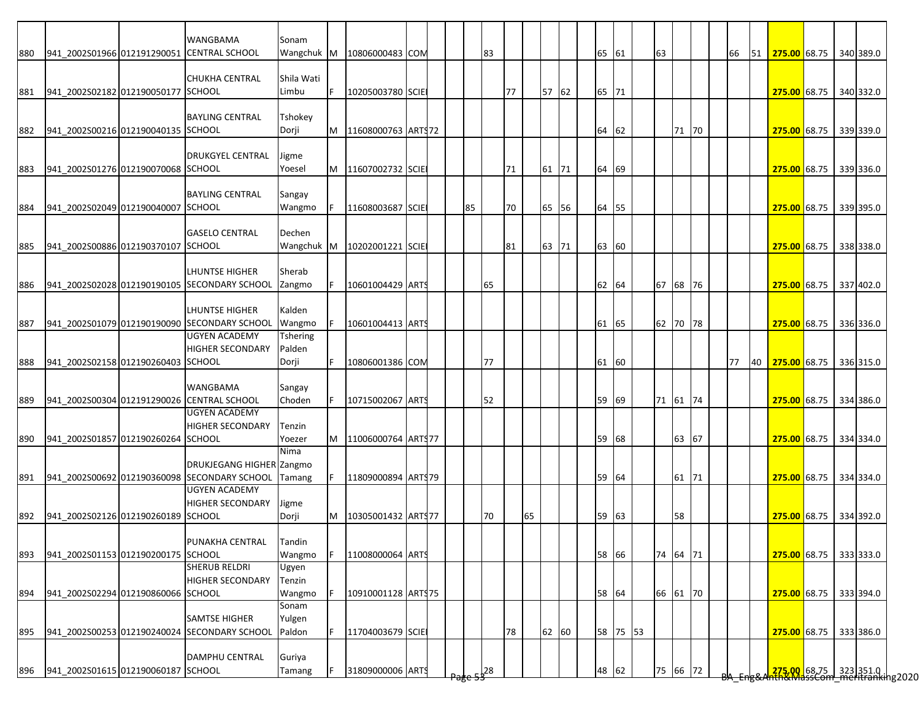|     |                                    | <b>WANGBAMA</b>                                  | Sonam      |           |                     |  |    |               |    |    |       |    |          |          |    |          |  |    |    |                                                                         |  |           |
|-----|------------------------------------|--------------------------------------------------|------------|-----------|---------------------|--|----|---------------|----|----|-------|----|----------|----------|----|----------|--|----|----|-------------------------------------------------------------------------|--|-----------|
| 880 |                                    | 941_2002S01966 012191290051 CENTRAL SCHOOL       | Wangchuk M |           | 10806000483 COM     |  |    | 83            |    |    |       |    | 65 61    |          | 63 |          |  | 66 | 51 | 275.00 68.75 340 389.0                                                  |  |           |
|     |                                    |                                                  |            |           |                     |  |    |               |    |    |       |    |          |          |    |          |  |    |    |                                                                         |  |           |
|     |                                    | <b>CHUKHA CENTRAL</b>                            | Shila Wati |           |                     |  |    |               |    |    |       |    |          |          |    |          |  |    |    |                                                                         |  |           |
| 881 | 941 2002S02182 012190050177 SCHOOL |                                                  | Limbu      | F         | 10205003780 SCIE    |  |    |               | 77 |    | 57 62 |    | 65 71    |          |    |          |  |    |    | 275.00 68.75 340 332.0                                                  |  |           |
|     |                                    |                                                  |            |           |                     |  |    |               |    |    |       |    |          |          |    |          |  |    |    |                                                                         |  |           |
|     |                                    | <b>BAYLING CENTRAL</b>                           | Tshokey    |           |                     |  |    |               |    |    |       |    |          |          |    |          |  |    |    |                                                                         |  |           |
| 882 | 941 2002S00216 012190040135 SCHOOL |                                                  | Dorji      | M         | 11608000763 ART\$72 |  |    |               |    |    |       | 64 | 62       |          |    | 71 70    |  |    |    | 275.00 68.75 339 339.0                                                  |  |           |
|     |                                    |                                                  |            |           |                     |  |    |               |    |    |       |    |          |          |    |          |  |    |    |                                                                         |  |           |
|     |                                    | <b>DRUKGYEL CENTRAL</b>                          | Jigme      |           |                     |  |    |               |    |    |       |    |          |          |    |          |  |    |    |                                                                         |  |           |
| 883 | 941 2002S01276 012190070068 SCHOOL |                                                  | Yoesel     | M         | 11607002732 SCIE    |  |    |               | 71 |    | 61 71 |    | 64 69    |          |    |          |  |    |    | 275.00 68.75 339 336.0                                                  |  |           |
|     |                                    |                                                  |            |           |                     |  |    |               |    |    |       |    |          |          |    |          |  |    |    |                                                                         |  |           |
|     |                                    | <b>BAYLING CENTRAL</b>                           |            |           |                     |  |    |               |    |    |       |    |          |          |    |          |  |    |    |                                                                         |  |           |
|     |                                    |                                                  | Sangay     |           |                     |  |    |               |    |    |       |    |          |          |    |          |  |    |    |                                                                         |  |           |
| 884 | 941 2002S02049 012190040007 SCHOOL |                                                  | Wangmo     |           | 11608003687 SCIE    |  | 85 |               | 70 |    | 65 56 |    | 64 55    |          |    |          |  |    |    | 275.00 68.75                                                            |  | 339 395.0 |
|     |                                    |                                                  |            |           |                     |  |    |               |    |    |       |    |          |          |    |          |  |    |    |                                                                         |  |           |
|     | 941 2002S00886 012190370107 SCHOOL | <b>GASELO CENTRAL</b>                            | Dechen     |           |                     |  |    |               |    |    |       |    |          |          |    |          |  |    |    |                                                                         |  |           |
| 885 |                                    |                                                  | Wangchuk   | <b>IM</b> | 10202001221 SCIE    |  |    |               | 81 |    | 63 71 |    | 63 60    |          |    |          |  |    |    | 275.00 68.75 338 338.0                                                  |  |           |
|     |                                    |                                                  |            |           |                     |  |    |               |    |    |       |    |          |          |    |          |  |    |    |                                                                         |  |           |
|     |                                    | LHUNTSE HIGHER                                   | Sherab     |           |                     |  |    |               |    |    |       |    |          |          |    |          |  |    |    |                                                                         |  |           |
| 886 |                                    | 941_2002S02028 012190190105 SECONDARY SCHOOL     | Zangmo     |           | 10601004429 ARTS    |  |    | 65            |    |    |       |    | 62<br>64 |          |    | 67 68 76 |  |    |    | 275.00 68.75                                                            |  | 337 402.0 |
|     |                                    |                                                  |            |           |                     |  |    |               |    |    |       |    |          |          |    |          |  |    |    |                                                                         |  |           |
|     |                                    | <b>LHUNTSE HIGHER</b>                            | Kalden     |           |                     |  |    |               |    |    |       |    |          |          |    |          |  |    |    |                                                                         |  |           |
| 887 |                                    | 941 2002S01079 012190190090 SECONDARY SCHOOL     | Wangmo     |           | 10601004413 ARTS    |  |    |               |    |    |       |    | 61 65    |          |    | 62 70 78 |  |    |    | 275.00 68.75 336 336.0                                                  |  |           |
|     |                                    | <b>UGYEN ACADEMY</b>                             | Tshering   |           |                     |  |    |               |    |    |       |    |          |          |    |          |  |    |    |                                                                         |  |           |
|     |                                    | <b>HIGHER SECONDARY</b>                          | Palden     |           |                     |  |    |               |    |    |       |    |          |          |    |          |  |    |    |                                                                         |  |           |
| 888 | 941 2002S02158 012190260403 SCHOOL |                                                  | Dorji      |           | 10806001386 COM     |  |    | 77            |    |    |       |    | 61 60    |          |    |          |  | 77 | 40 | 275.00 68.75                                                            |  | 336 315.0 |
|     |                                    |                                                  |            |           |                     |  |    |               |    |    |       |    |          |          |    |          |  |    |    |                                                                         |  |           |
|     |                                    | <b>WANGBAMA</b>                                  | Sangay     |           |                     |  |    |               |    |    |       |    |          |          |    |          |  |    |    |                                                                         |  |           |
| 889 |                                    | 941_2002S00304 012191290026 CENTRAL SCHOOL       | Choden     |           | 10715002067 ARTS    |  |    | 52            |    |    |       |    | 59 69    |          |    | 71 61 74 |  |    |    | 275.00 68.75 334 386.0                                                  |  |           |
|     |                                    | <b>UGYEN ACADEMY</b>                             |            |           |                     |  |    |               |    |    |       |    |          |          |    |          |  |    |    |                                                                         |  |           |
|     |                                    | <b>HIGHER SECONDARY</b>                          | Tenzin     |           |                     |  |    |               |    |    |       |    |          |          |    |          |  |    |    |                                                                         |  |           |
| 890 | 941 2002S01857 012190260264 SCHOOL |                                                  | Yoezer     |           | 11006000764 ARTS77  |  |    |               |    |    |       |    | 59 68    |          |    | 63 67    |  |    |    | 275.00 68.75 334 334.0                                                  |  |           |
|     |                                    |                                                  | Nima       |           |                     |  |    |               |    |    |       |    |          |          |    |          |  |    |    |                                                                         |  |           |
|     |                                    | <b>DRUKJEGANG HIGHER Zangmo</b>                  |            |           |                     |  |    |               |    |    |       |    |          |          |    |          |  |    |    |                                                                         |  |           |
|     |                                    | 891 941_2002S00692 012190360098 SECONDARY SCHOOL | Tamang     |           | 11809000894 ARTS79  |  |    |               |    |    |       |    | 59 64    |          |    | 61 71    |  |    |    | 275.00 68.75 334 334.0                                                  |  |           |
|     |                                    | <b>UGYEN ACADEMY</b>                             |            |           |                     |  |    |               |    |    |       |    |          |          |    |          |  |    |    |                                                                         |  |           |
|     |                                    | <b>HIGHER SECONDARY</b>                          | Jigme      |           |                     |  |    |               |    |    |       |    |          |          |    |          |  |    |    |                                                                         |  |           |
| 892 | 941 2002S02126 012190260189 SCHOOL |                                                  | Dorji      | M         | 10305001432 ARTS77  |  |    | 70            |    | 65 |       |    | 59<br>63 |          |    | 58       |  |    |    | 275.00 68.75 334 392.0                                                  |  |           |
|     |                                    |                                                  |            |           |                     |  |    |               |    |    |       |    |          |          |    |          |  |    |    |                                                                         |  |           |
|     |                                    | PUNAKHA CENTRAL                                  | Tandin     |           |                     |  |    |               |    |    |       |    |          |          |    |          |  |    |    |                                                                         |  |           |
| 893 | 941 2002S01153 012190200175 SCHOOL |                                                  | Wangmo     |           | 11008000064 ARTS    |  |    |               |    |    |       |    | 58 66    |          |    | 74 64 71 |  |    |    | 275.00 68.75 333 333.0                                                  |  |           |
|     |                                    | <b>SHERUB RELDRI</b>                             | Ugyen      |           |                     |  |    |               |    |    |       |    |          |          |    |          |  |    |    |                                                                         |  |           |
|     |                                    | <b>HIGHER SECONDARY</b>                          | Tenzin     |           |                     |  |    |               |    |    |       |    |          |          |    |          |  |    |    |                                                                         |  |           |
| 894 | 941_2002S02294 012190860066 SCHOOL |                                                  | Wangmo     |           | 10910001128 ARTS75  |  |    |               |    |    |       |    | 58 64    |          |    | 66 61 70 |  |    |    | 275.00 68.75                                                            |  | 333 394.0 |
|     |                                    |                                                  | Sonam      |           |                     |  |    |               |    |    |       |    |          |          |    |          |  |    |    |                                                                         |  |           |
|     |                                    | <b>SAMTSE HIGHER</b>                             | Yulgen     |           |                     |  |    |               |    |    |       |    |          |          |    |          |  |    |    |                                                                         |  |           |
| 895 |                                    | 941 2002S00253 012190240024 SECONDARY SCHOOL     | Paldon     |           | 11704003679 SCIE    |  |    |               | 78 |    | 62 60 |    |          | 58 75 53 |    |          |  |    |    | 275.00 68.75                                                            |  | 333 386.0 |
|     |                                    |                                                  |            |           |                     |  |    |               |    |    |       |    |          |          |    |          |  |    |    |                                                                         |  |           |
|     |                                    | <b>DAMPHU CENTRAL</b>                            | Guriya     |           |                     |  |    |               |    |    |       |    |          |          |    |          |  |    |    |                                                                         |  |           |
|     | 941 2002S01615 012190060187 SCHOOL |                                                  |            |           | 31809000006 ARTS    |  |    |               |    |    |       |    | 48 62    |          |    | 75 66 72 |  |    |    |                                                                         |  |           |
| 896 |                                    |                                                  | Tamang     |           |                     |  |    | $\frac{1}{2}$ |    |    |       |    |          |          |    |          |  |    |    | <mark>.275,00,</mark> 68,75 323 351.0  <br>hth&MdssCom meritranking2020 |  |           |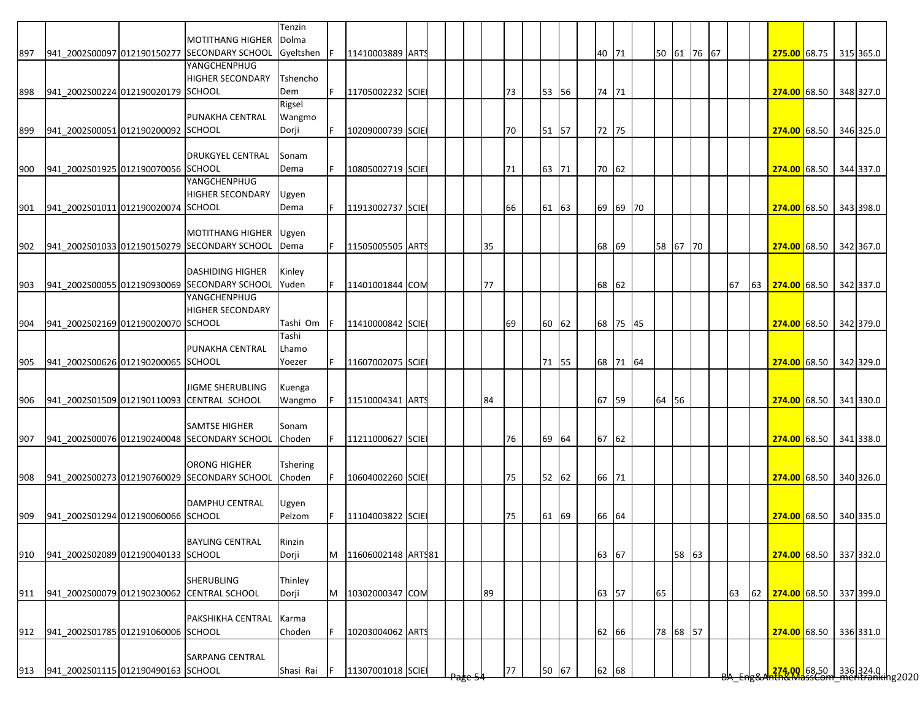|     |                                    |                                                                         | Tenzin             |     |                    |  |  |    |    |       |       |          |             |       |  |    |    |                                                                        |  |           |
|-----|------------------------------------|-------------------------------------------------------------------------|--------------------|-----|--------------------|--|--|----|----|-------|-------|----------|-------------|-------|--|----|----|------------------------------------------------------------------------|--|-----------|
| 897 |                                    | <b>MOTITHANG HIGHER</b><br>941 2002S00097 012190150277 SECONDARY SCHOOL | Dolma<br>Gyeltshen | F   | 11410003889 ARTS   |  |  |    |    |       | 40    | 71       | 50 61 76 67 |       |  |    |    | 275.00 68.75 315 365.0                                                 |  |           |
|     |                                    | YANGCHENPHUG                                                            |                    |     |                    |  |  |    |    |       |       |          |             |       |  |    |    |                                                                        |  |           |
|     |                                    | <b>HIGHER SECONDARY</b>                                                 | Tshencho           |     |                    |  |  |    |    |       |       |          |             |       |  |    |    |                                                                        |  |           |
| 898 | 941 2002S00224 012190020179 SCHOOL |                                                                         | Dem                | F.  | 11705002232 SCIE   |  |  |    | 73 | 53 56 | 74 71 |          |             |       |  |    |    | 274.00 68.50 348 327.0                                                 |  |           |
|     |                                    |                                                                         | Rigsel             |     |                    |  |  |    |    |       |       |          |             |       |  |    |    |                                                                        |  |           |
|     |                                    | PUNAKHA CENTRAL                                                         | Wangmo             |     |                    |  |  |    |    |       |       |          |             |       |  |    |    |                                                                        |  |           |
| 899 | 941 2002S00051 012190200092 SCHOOL |                                                                         | Dorji              | F   | 10209000739 SCIE   |  |  |    | 70 | 51 57 | 72 75 |          |             |       |  |    |    | 274.00 68.50 346 325.0                                                 |  |           |
|     |                                    |                                                                         |                    |     |                    |  |  |    |    |       |       |          |             |       |  |    |    |                                                                        |  |           |
|     |                                    | <b>DRUKGYEL CENTRAL</b>                                                 | Sonam              |     |                    |  |  |    |    |       |       |          |             |       |  |    |    |                                                                        |  |           |
| 900 | 941 2002S01925 012190070056 SCHOOL | YANGCHENPHUG                                                            | Dema               |     | 10805002719 SCIE   |  |  |    | 71 | 63 71 | 70 62 |          |             |       |  |    |    | 274.00 68.50 344 337.0                                                 |  |           |
|     |                                    | <b>HIGHER SECONDARY</b>                                                 | Ugyen              |     |                    |  |  |    |    |       |       |          |             |       |  |    |    |                                                                        |  |           |
| 901 | 941 2002S01011 012190020074 SCHOOL |                                                                         | Dema               | IF. | 11913002737 SCIE   |  |  |    | 66 | 61 63 |       | 69 69 70 |             |       |  |    |    | 274.00 68.50 343 398.0                                                 |  |           |
|     |                                    |                                                                         |                    |     |                    |  |  |    |    |       |       |          |             |       |  |    |    |                                                                        |  |           |
|     |                                    | <b>MOTITHANG HIGHER</b>                                                 | Ugyen              |     |                    |  |  |    |    |       |       |          |             |       |  |    |    |                                                                        |  |           |
| 902 |                                    | 941 2002S01033 012190150279 SECONDARY SCHOOL                            | Dema               |     | 11505005505 ARTS   |  |  | 35 |    |       | 68    | 69       | 58 67 70    |       |  |    |    | 274.00 68.50 342 367.0                                                 |  |           |
|     |                                    |                                                                         |                    |     |                    |  |  |    |    |       |       |          |             |       |  |    |    |                                                                        |  |           |
|     |                                    | <b>DASHIDING HIGHER</b>                                                 | Kinley             |     |                    |  |  |    |    |       |       |          |             |       |  |    |    |                                                                        |  |           |
| 903 |                                    | 941_2002S00055 012190930069 SECONDARY SCHOOL                            | <b>lYuden</b>      | F.  | 11401001844 COM    |  |  | 77 |    |       | 68    | 62       |             |       |  | 67 | 63 | 274.00 68.50                                                           |  | 342 337.0 |
|     |                                    | YANGCHENPHUG                                                            |                    |     |                    |  |  |    |    |       |       |          |             |       |  |    |    |                                                                        |  |           |
|     |                                    | <b>HIGHER SECONDARY</b>                                                 |                    |     |                    |  |  |    |    |       |       |          |             |       |  |    |    |                                                                        |  |           |
| 904 | 941 2002S02169 012190020070 SCHOOL |                                                                         | Tashi Om           |     | 11410000842 SCIE   |  |  |    | 69 | 60 62 |       | 68 75 45 |             |       |  |    |    | 274.00 68.50 342 379.0                                                 |  |           |
|     |                                    | PUNAKHA CENTRAL                                                         | Tashi<br>Lhamo     |     |                    |  |  |    |    |       |       |          |             |       |  |    |    |                                                                        |  |           |
| 905 | 941 2002S00626 012190200065 SCHOOL |                                                                         | Yoezer             |     | 11607002075 SCIE   |  |  |    |    | 71 55 |       | 68 71 64 |             |       |  |    |    | 274.00 68.50 342 329.0                                                 |  |           |
|     |                                    |                                                                         |                    |     |                    |  |  |    |    |       |       |          |             |       |  |    |    |                                                                        |  |           |
|     |                                    | JIGME SHERUBLING                                                        | Kuenga             |     |                    |  |  |    |    |       |       |          |             |       |  |    |    |                                                                        |  |           |
| 906 |                                    | 941_2002S01509 012190110093 CENTRAL SCHOOL                              | Wangmo             |     | 11510004341 ARTS   |  |  | 84 |    |       | 67    | 59       | 64 56       |       |  |    |    | 274.00 68.50 341 330.0                                                 |  |           |
|     |                                    |                                                                         |                    |     |                    |  |  |    |    |       |       |          |             |       |  |    |    |                                                                        |  |           |
|     |                                    | <b>SAMTSE HIGHER</b>                                                    | Sonam              |     |                    |  |  |    |    |       |       |          |             |       |  |    |    |                                                                        |  |           |
| 907 |                                    | 941 2002S00076 012190240048 SECONDARY SCHOOL                            | Choden             | F.  | 11211000627 SCIE   |  |  |    | 76 | 69 64 | 67 62 |          |             |       |  |    |    | 274.00 68.50 341 338.0                                                 |  |           |
|     |                                    |                                                                         |                    |     |                    |  |  |    |    |       |       |          |             |       |  |    |    |                                                                        |  |           |
|     |                                    | <b>ORONG HIGHER</b>                                                     | Tshering           |     |                    |  |  |    |    |       |       |          |             |       |  |    |    |                                                                        |  |           |
| 908 |                                    | 941_2002S00273 012190760029 SECONDARY SCHOOL                            | Choden             | F   | 10604002260 SCIE   |  |  |    | 75 | 52 62 | 66 71 |          |             |       |  |    |    | 274.00 68.50 340 326.0                                                 |  |           |
|     |                                    |                                                                         |                    |     |                    |  |  |    |    |       |       |          |             |       |  |    |    |                                                                        |  |           |
|     |                                    | <b>DAMPHU CENTRAL</b>                                                   | Ugyen<br>Pelzom    | F   | 11104003822 SCIE   |  |  |    |    |       |       |          |             |       |  |    |    |                                                                        |  |           |
| 909 | 941 2002S01294 012190060066 SCHOOL |                                                                         |                    |     |                    |  |  |    | 75 | 61 69 | 66 64 |          |             |       |  |    |    | 274.00 68.50 340 335.0                                                 |  |           |
|     |                                    | <b>BAYLING CENTRAL</b>                                                  | Rinzin             |     |                    |  |  |    |    |       |       |          |             |       |  |    |    |                                                                        |  |           |
| 910 | 941 2002S02089 012190040133 SCHOOL |                                                                         | Dorji              | M   | 11606002148 ARTS81 |  |  |    |    |       | 63 67 |          |             | 58 63 |  |    |    | 274.00 68.50 337 332.0                                                 |  |           |
|     |                                    |                                                                         |                    |     |                    |  |  |    |    |       |       |          |             |       |  |    |    |                                                                        |  |           |
|     |                                    | <b>SHERUBLING</b>                                                       | Thinley            |     |                    |  |  |    |    |       |       |          |             |       |  |    |    |                                                                        |  |           |
| 911 |                                    | 941_2002S00079 012190230062 CENTRAL SCHOOL                              | Dorji              | M   | 10302000347 COM    |  |  | 89 |    |       | 63 57 |          | 65          |       |  | 63 | 62 | 274.00 68.50                                                           |  | 337 399.0 |
|     |                                    |                                                                         |                    |     |                    |  |  |    |    |       |       |          |             |       |  |    |    |                                                                        |  |           |
|     |                                    | PAKSHIKHA CENTRAL                                                       | Karma              |     |                    |  |  |    |    |       |       |          |             |       |  |    |    |                                                                        |  |           |
| 912 | 941 2002S01785 012191060006 SCHOOL |                                                                         | Choden             | F   | 10203004062 ARTS   |  |  |    |    |       | 62    | 66       | 78 68 57    |       |  |    |    | 274.00 68.50 336 331.0                                                 |  |           |
|     |                                    |                                                                         |                    |     |                    |  |  |    |    |       |       |          |             |       |  |    |    |                                                                        |  |           |
|     |                                    | <b>SARPANG CENTRAL</b>                                                  |                    |     |                    |  |  |    |    |       |       |          |             |       |  |    |    |                                                                        |  |           |
| 913 | 941_2002S01115 012190490163 SCHOOL |                                                                         | Shasi Rai          | IF. | 11307001018 SCIE   |  |  |    | 77 | 50 67 | 62 68 |          |             |       |  |    |    | <mark>274.00.</mark> 68.50 336 324.0  <br>hth&MassCom meritranking2020 |  |           |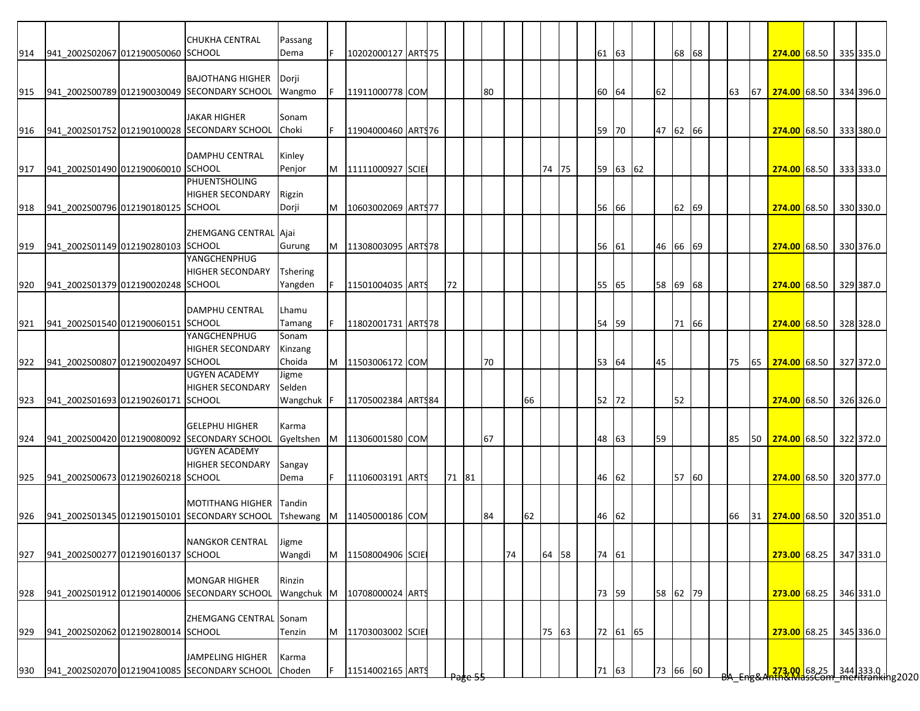|     |                                    | <b>CHUKHA CENTRAL</b>                        | Passang         |          |                             |  |       |                    |    |    |    |       |  |       |          |          |       |  |    |    |                           |                                                                       |           |
|-----|------------------------------------|----------------------------------------------|-----------------|----------|-----------------------------|--|-------|--------------------|----|----|----|-------|--|-------|----------|----------|-------|--|----|----|---------------------------|-----------------------------------------------------------------------|-----------|
| 914 | 941_2002S02067 012190050060 SCHOOL |                                              | Dema            |          | 10202000127 ARTS 75         |  |       |                    |    |    |    |       |  | 61 63 |          |          | 68 68 |  |    |    | 274.00 68.50 335 335.0    |                                                                       |           |
|     |                                    |                                              |                 |          |                             |  |       |                    |    |    |    |       |  |       |          |          |       |  |    |    |                           |                                                                       |           |
|     |                                    | <b>BAJOTHANG HIGHER</b>                      | Dorji           |          |                             |  |       |                    |    |    |    |       |  |       |          |          |       |  |    |    |                           |                                                                       |           |
| 915 |                                    | 941_2002S00789 012190030049 SECONDARY SCHOOL | Wangmo          | <b>F</b> | 11911000778 COM             |  |       |                    | 80 |    |    |       |  | 60    | 64       | 62       |       |  | 63 | 67 | 274.00 68.50 334 396.0    |                                                                       |           |
|     |                                    | <b>JAKAR HIGHER</b>                          | Sonam           |          |                             |  |       |                    |    |    |    |       |  |       |          |          |       |  |    |    |                           |                                                                       |           |
| 916 |                                    | 941 2002S01752 012190100028 SECONDARY SCHOOL | Choki           | F.       | 11904000460 ARTS76          |  |       |                    |    |    |    |       |  | 59    | 70       | 47 62 66 |       |  |    |    | 274.00 68.50 333 380.0    |                                                                       |           |
|     |                                    |                                              |                 |          |                             |  |       |                    |    |    |    |       |  |       |          |          |       |  |    |    |                           |                                                                       |           |
|     |                                    | <b>DAMPHU CENTRAL</b>                        | Kinley          |          |                             |  |       |                    |    |    |    |       |  |       |          |          |       |  |    |    |                           |                                                                       |           |
| 917 | 941_2002S01490 012190060010 SCHOOL |                                              | Penjor          |          | M   11111000927 SCIE        |  |       |                    |    |    |    | 74 75 |  |       | 59 63 62 |          |       |  |    |    | 274.00 68.50 333 333.0    |                                                                       |           |
|     |                                    | <b>PHUENTSHOLING</b>                         |                 |          |                             |  |       |                    |    |    |    |       |  |       |          |          |       |  |    |    |                           |                                                                       |           |
|     |                                    | <b>HIGHER SECONDARY</b>                      | Rigzin          |          |                             |  |       |                    |    |    |    |       |  |       |          |          |       |  |    |    |                           |                                                                       |           |
| 918 | 941 2002S00796 012190180125 SCHOOL |                                              | Dorji           | M        | 10603002069 ARTS77          |  |       |                    |    |    |    |       |  | 56    | 66       |          | 62 69 |  |    |    | 274.00 68.50 330 330.0    |                                                                       |           |
|     |                                    |                                              |                 |          |                             |  |       |                    |    |    |    |       |  |       |          |          |       |  |    |    |                           |                                                                       |           |
|     |                                    | ZHEMGANG CENTRAL Ajai                        |                 |          |                             |  |       |                    |    |    |    |       |  |       |          |          |       |  |    |    |                           |                                                                       |           |
| 919 | 941 2002S01149 012190280103 SCHOOL |                                              | Gurung          |          | M   11308003095   ARTS 78   |  |       |                    |    |    |    |       |  | 56 61 |          | 46 66 69 |       |  |    |    | 274.00 68.50 330 376.0    |                                                                       |           |
|     |                                    | YANGCHENPHUG                                 |                 |          |                             |  |       |                    |    |    |    |       |  |       |          |          |       |  |    |    |                           |                                                                       |           |
|     |                                    | <b>HIGHER SECONDARY</b>                      | <b>Tshering</b> |          |                             |  |       |                    |    |    |    |       |  |       |          |          |       |  |    |    |                           |                                                                       |           |
| 920 | 941 2002S01379 012190020248 SCHOOL |                                              | Yangden         |          | 11501004035 ARTS            |  | 72    |                    |    |    |    |       |  | 55    | 65       | 58 69 68 |       |  |    |    | 274.00 68.50 329 387.0    |                                                                       |           |
|     |                                    |                                              |                 |          |                             |  |       |                    |    |    |    |       |  |       |          |          |       |  |    |    |                           |                                                                       |           |
|     |                                    | <b>DAMPHU CENTRAL</b>                        | Lhamu           |          |                             |  |       |                    |    |    |    |       |  |       |          |          |       |  |    |    |                           |                                                                       |           |
| 921 | 941_2002S01540 012190060151 SCHOOL |                                              | Tamang          |          | 11802001731 ARTS78          |  |       |                    |    |    |    |       |  | 54    | 59       |          | 71 66 |  |    |    | 274.00 68.50 328 328.0    |                                                                       |           |
|     |                                    | YANGCHENPHUG                                 | Sonam           |          |                             |  |       |                    |    |    |    |       |  |       |          |          |       |  |    |    |                           |                                                                       |           |
|     |                                    | <b>HIGHER SECONDARY</b>                      | Kinzang         |          |                             |  |       |                    |    |    |    |       |  |       |          |          |       |  |    |    |                           |                                                                       |           |
| 922 | 941_2002S00807 012190020497 SCHOOL |                                              | Choida          | M        | 11503006172 COM             |  |       |                    | 70 |    |    |       |  | 53    | 64       | 45       |       |  | 75 | 65 | 274.00 68.50 327 372.0    |                                                                       |           |
|     |                                    | <b>UGYEN ACADEMY</b>                         | Jigme           |          |                             |  |       |                    |    |    |    |       |  |       |          |          |       |  |    |    |                           |                                                                       |           |
|     |                                    | <b>HIGHER SECONDARY</b>                      | Selden          |          |                             |  |       |                    |    |    |    |       |  |       |          |          |       |  |    |    |                           |                                                                       |           |
| 923 | 941_2002S01693 012190260171 SCHOOL |                                              | Wangchuk        |          | 11705002384 ARTS84          |  |       |                    |    |    | 66 |       |  | 52 72 |          |          | 52    |  |    |    | 274.00 68.50 326 326.0    |                                                                       |           |
|     |                                    | <b>GELEPHU HIGHER</b>                        | Karma           |          |                             |  |       |                    |    |    |    |       |  |       |          |          |       |  |    |    |                           |                                                                       |           |
| 924 |                                    | 941 2002S00420 012190080092 SECONDARY SCHOOL | Gyeltshen       |          | M 11306001580 COM           |  |       |                    | 67 |    |    |       |  | 48    | 63       | 59       |       |  | 85 |    | 50 274.00 68.50 322 372.0 |                                                                       |           |
|     |                                    | <b>UGYEN ACADEMY</b>                         |                 |          |                             |  |       |                    |    |    |    |       |  |       |          |          |       |  |    |    |                           |                                                                       |           |
|     |                                    | <b>HIGHER SECONDARY</b>                      | Sangay          |          |                             |  |       |                    |    |    |    |       |  |       |          |          |       |  |    |    |                           |                                                                       |           |
| 925 | 941_2002S00673 012190260218 SCHOOL |                                              | Dema            | F.       | 11106003191 ARTS            |  | 71 81 |                    |    |    |    |       |  | 46 62 |          |          | 57 60 |  |    |    | 274.00 68.50 320 377.0    |                                                                       |           |
|     |                                    |                                              |                 |          |                             |  |       |                    |    |    |    |       |  |       |          |          |       |  |    |    |                           |                                                                       |           |
|     |                                    | <b>MOTITHANG HIGHER</b>                      | Tandin          |          |                             |  |       |                    |    |    |    |       |  |       |          |          |       |  |    |    |                           |                                                                       |           |
| 926 |                                    | 941 2002S01345 012190150101 SECONDARY SCHOOL |                 |          | Tshewang M 11405000186 COM  |  |       |                    | 84 |    | 62 |       |  | 46    | 62       |          |       |  | 66 | 31 | 274.00 68.50 320 351.0    |                                                                       |           |
|     |                                    |                                              |                 |          |                             |  |       |                    |    |    |    |       |  |       |          |          |       |  |    |    |                           |                                                                       |           |
|     |                                    | <b>NANGKOR CENTRAL</b>                       | <b>Lugme</b>    |          |                             |  |       |                    |    |    |    |       |  |       |          |          |       |  |    |    |                           |                                                                       |           |
| 927 | 941 2002S00277 012190160137 SCHOOL |                                              | Wangdi          |          | M 11508004906 SCIE          |  |       |                    |    | 74 |    | 64 58 |  | 74 61 |          |          |       |  |    |    | 273.00 68.25 347 331.0    |                                                                       |           |
|     |                                    |                                              |                 |          |                             |  |       |                    |    |    |    |       |  |       |          |          |       |  |    |    |                           |                                                                       |           |
|     |                                    | <b>MONGAR HIGHER</b>                         | Rinzin          |          |                             |  |       |                    |    |    |    |       |  |       |          |          |       |  |    |    |                           |                                                                       |           |
| 928 |                                    | 941 2002S01912 012190140006 SECONDARY SCHOOL |                 |          | Wangchuk M 10708000024 ARTS |  |       |                    |    |    |    |       |  | 73 59 |          | 58 62 79 |       |  |    |    | 273.00 68.25              |                                                                       | 346 331.0 |
|     |                                    |                                              |                 |          |                             |  |       |                    |    |    |    |       |  |       |          |          |       |  |    |    |                           |                                                                       |           |
|     |                                    | ZHEMGANG CENTRAL Sonam                       |                 |          |                             |  |       |                    |    |    |    |       |  |       |          |          |       |  |    |    |                           |                                                                       |           |
| 929 | 941 2002S02062 012190280014 SCHOOL |                                              | Tenzin          | M        | 11703003002 SCIE            |  |       |                    |    |    |    | 75 63 |  |       | 72 61 65 |          |       |  |    |    | 273.00 68.25 345 336.0    |                                                                       |           |
|     |                                    |                                              |                 |          |                             |  |       |                    |    |    |    |       |  |       |          |          |       |  |    |    |                           |                                                                       |           |
|     |                                    | <b>JAMPELING HIGHER</b>                      | Karma           |          |                             |  |       |                    |    |    |    |       |  |       |          |          |       |  |    |    |                           |                                                                       |           |
| 930 |                                    | 941 2002S02070 012190410085 SECONDARY SCHOOL | Choden          | F        | 11514002165 ARTS            |  |       | <del>rage ss</del> |    |    |    |       |  | 71 63 |          | 73 66 60 |       |  |    |    |                           | <mark>273.00.</mark> 68.25 344 333.0  <br>HAXMassCom meritranking2020 |           |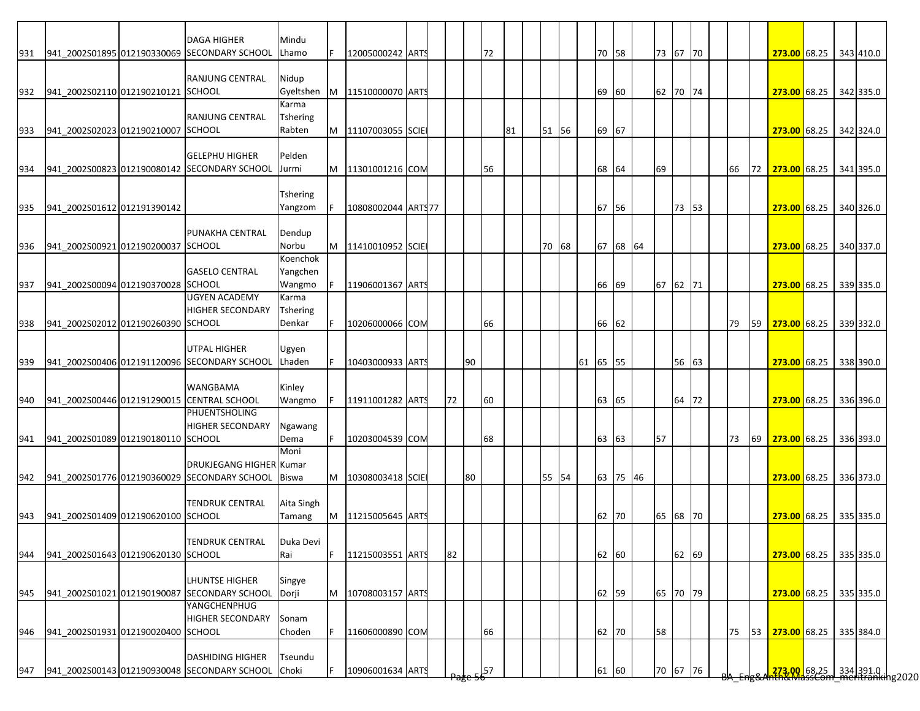|     |                                    | <b>DAGA HIGHER</b>                           | Mindu           |    |                      |  |    |    |    |    |       |          |          |       |          |       |  |    |    |                                                                        |  |           |
|-----|------------------------------------|----------------------------------------------|-----------------|----|----------------------|--|----|----|----|----|-------|----------|----------|-------|----------|-------|--|----|----|------------------------------------------------------------------------|--|-----------|
| 931 |                                    | 941 2002S01895 012190330069 SECONDARY SCHOOL | Lhamo           |    | 12005000242 ARTS     |  |    |    | 72 |    |       | 70       | 58       |       | 73 67 70 |       |  |    |    | 273.00 68.25 343 410.0                                                 |  |           |
|     |                                    |                                              |                 |    |                      |  |    |    |    |    |       |          |          |       |          |       |  |    |    |                                                                        |  |           |
|     |                                    | <b>RANJUNG CENTRAL</b>                       | Nidup           |    |                      |  |    |    |    |    |       |          |          |       |          |       |  |    |    |                                                                        |  |           |
| 932 | 941 2002S02110 012190210121 SCHOOL |                                              | Gyeltshen       |    | M 11510000070 ARTS   |  |    |    |    |    |       | 69       | 60       |       | 62 70 74 |       |  |    |    | 273.00 68.25 342 335.0                                                 |  |           |
|     |                                    |                                              | Karma           |    |                      |  |    |    |    |    |       |          |          |       |          |       |  |    |    |                                                                        |  |           |
|     |                                    | <b>RANJUNG CENTRAL</b>                       | <b>Tshering</b> |    |                      |  |    |    |    |    |       |          |          |       |          |       |  |    |    |                                                                        |  |           |
| 933 | 941 2002S02023 012190210007 SCHOOL |                                              | Rabten          |    | M 11107003055 SCIE   |  |    |    |    | 81 | 51 56 | 69       | 67       |       |          |       |  |    |    | 273.00 68.25 342 324.0                                                 |  |           |
|     |                                    |                                              |                 |    |                      |  |    |    |    |    |       |          |          |       |          |       |  |    |    |                                                                        |  |           |
|     |                                    | <b>GELEPHU HIGHER</b>                        | Pelden          |    |                      |  |    |    |    |    |       |          |          |       |          |       |  |    |    |                                                                        |  |           |
| 934 |                                    | 941_2002S00823 012190080142 SECONDARY SCHOOL | Jurmi           |    | M 11301001216 COM    |  |    |    | 56 |    |       | 68       | 64       |       | 69       |       |  | 66 | 72 | 273.00 68.25 341 395.0                                                 |  |           |
|     |                                    |                                              |                 |    |                      |  |    |    |    |    |       |          |          |       |          |       |  |    |    |                                                                        |  |           |
|     |                                    |                                              | Tshering        |    |                      |  |    |    |    |    |       |          |          |       |          |       |  |    |    |                                                                        |  |           |
| 935 | 941_2002S01612 012191390142        |                                              | Yangzom         |    | 10808002044 ART\$77  |  |    |    |    |    |       | 67       | 56       |       |          | 73 53 |  |    |    | 273.00 68.25                                                           |  | 340 326.0 |
|     |                                    |                                              |                 |    |                      |  |    |    |    |    |       |          |          |       |          |       |  |    |    |                                                                        |  |           |
|     |                                    | PUNAKHA CENTRAL                              | Dendup          |    |                      |  |    |    |    |    |       |          |          |       |          |       |  |    |    |                                                                        |  |           |
| 936 | 941 2002S00921 012190200037 SCHOOL |                                              | Norbu           |    | 11410010952 SCIE     |  |    |    |    |    | 70 68 | 67       |          | 68 64 |          |       |  |    |    | 273.00 68.25 340 337.0                                                 |  |           |
|     |                                    |                                              | Koenchok        |    |                      |  |    |    |    |    |       |          |          |       |          |       |  |    |    |                                                                        |  |           |
|     |                                    | <b>GASELO CENTRAL</b>                        | Yangchen        |    |                      |  |    |    |    |    |       |          |          |       |          |       |  |    |    |                                                                        |  |           |
| 937 | 941 2002S00094 012190370028 SCHOOL |                                              | Wangmo          |    | 11906001367 ARTS     |  |    |    |    |    |       | 66       | 69       |       | 67 62 71 |       |  |    |    | 273.00 68.25                                                           |  | 339 335.0 |
|     |                                    | <b>UGYEN ACADEMY</b>                         | Karma           |    |                      |  |    |    |    |    |       |          |          |       |          |       |  |    |    |                                                                        |  |           |
|     |                                    | <b>HIGHER SECONDARY</b>                      | <b>Tshering</b> |    |                      |  |    |    |    |    |       |          |          |       |          |       |  |    |    |                                                                        |  |           |
| 938 | 941 2002S02012 012190260390 SCHOOL |                                              | Denkar          |    | 10206000066 COM      |  |    |    | 66 |    |       |          | 66 62    |       |          |       |  | 79 |    | 59 273.00 68.25 339 332.0                                              |  |           |
|     |                                    |                                              |                 |    |                      |  |    |    |    |    |       |          |          |       |          |       |  |    |    |                                                                        |  |           |
|     |                                    | <b>UTPAL HIGHER</b>                          | Ugyen           |    |                      |  |    |    |    |    |       |          |          |       |          |       |  |    |    |                                                                        |  |           |
| 939 |                                    | 941 2002S00406 012191120096 SECONDARY SCHOOL | Lhaden          |    | 10403000933 ARTS     |  |    | 90 |    |    |       | 61 65 55 |          |       |          | 56 63 |  |    |    | 273.00 68.25 338 390.0                                                 |  |           |
|     |                                    |                                              |                 |    |                      |  |    |    |    |    |       |          |          |       |          |       |  |    |    |                                                                        |  |           |
|     |                                    | <b>WANGBAMA</b>                              | Kinley          |    |                      |  |    |    |    |    |       |          |          |       |          |       |  |    |    |                                                                        |  |           |
| 940 |                                    | 941_2002S00446 012191290015 CENTRAL SCHOOL   | Wangmo          | F  | 11911001282 ARTS     |  | 72 |    | 60 |    |       | 63       | 65       |       |          | 64 72 |  |    |    |                                                                        |  |           |
|     |                                    | <b>PHUENTSHOLING</b>                         |                 |    |                      |  |    |    |    |    |       |          |          |       |          |       |  |    |    | 273.00 68.25 336 396.0                                                 |  |           |
|     |                                    | <b>HIGHER SECONDARY</b>                      |                 |    |                      |  |    |    |    |    |       |          |          |       |          |       |  |    |    |                                                                        |  |           |
|     |                                    |                                              | Ngawang         |    |                      |  |    |    |    |    |       |          |          |       | 57       |       |  |    |    |                                                                        |  |           |
| 941 | 941_2002S01089 012190180110 SCHOOL |                                              | Dema            |    | 10203004539 COM      |  |    |    | 68 |    |       |          | 63 63    |       |          |       |  | 73 | 69 | 273.00 68.25 336 393.0                                                 |  |           |
|     |                                    |                                              | Moni            |    |                      |  |    |    |    |    |       |          |          |       |          |       |  |    |    |                                                                        |  |           |
|     |                                    | <b>DRUKJEGANG HIGHER Kumar</b>               |                 |    |                      |  |    |    |    |    |       |          |          |       |          |       |  |    |    |                                                                        |  |           |
| 942 |                                    | 941_2002S01776 012190360029 SECONDARY SCHOOL | <b>Biswa</b>    |    | M   10308003418 SCIE |  |    | 80 |    |    | 55 54 |          | 63 75 46 |       |          |       |  |    |    | 273.00 68.25 336 373.0                                                 |  |           |
|     |                                    |                                              |                 |    |                      |  |    |    |    |    |       |          |          |       |          |       |  |    |    |                                                                        |  |           |
|     |                                    | <b>TENDRUK CENTRAL</b>                       | Aita Singh      |    |                      |  |    |    |    |    |       |          |          |       |          |       |  |    |    |                                                                        |  |           |
| 943 | 941 2002S01409 012190620100 SCHOOL |                                              | Tamang          |    | M 11215005645 ARTS   |  |    |    |    |    |       | 62       | 70       |       | 65 68 70 |       |  |    |    | 273.00 68.25 335 335.0                                                 |  |           |
|     |                                    |                                              |                 |    |                      |  |    |    |    |    |       |          |          |       |          |       |  |    |    |                                                                        |  |           |
|     |                                    | <b>TENDRUK CENTRAL</b>                       | Duka Devi       |    |                      |  |    |    |    |    |       |          |          |       |          |       |  |    |    |                                                                        |  |           |
| 944 | 941 2002S01643 012190620130 SCHOOL |                                              | Rai             | F. | 11215003551 ARTS     |  | 82 |    |    |    |       |          | 62 60    |       |          | 62 69 |  |    |    | 273.00 68.25 335 335.0                                                 |  |           |
|     |                                    |                                              |                 |    |                      |  |    |    |    |    |       |          |          |       |          |       |  |    |    |                                                                        |  |           |
|     |                                    | <b>LHUNTSE HIGHER</b>                        | Singye          |    |                      |  |    |    |    |    |       |          |          |       |          |       |  |    |    |                                                                        |  |           |
| 945 |                                    | 941 2002S01021 012190190087 SECONDARY SCHOOL | Dorji           | M  | 10708003157 ARTS     |  |    |    |    |    |       |          | 62 59    |       | 65 70 79 |       |  |    |    | 273.00 68.25 335 335.0                                                 |  |           |
|     |                                    | YANGCHENPHUG                                 |                 |    |                      |  |    |    |    |    |       |          |          |       |          |       |  |    |    |                                                                        |  |           |
|     |                                    | <b>HIGHER SECONDARY</b>                      | Sonam           |    |                      |  |    |    |    |    |       |          |          |       |          |       |  |    |    |                                                                        |  |           |
| 946 | 941_2002S01931 012190020400 SCHOOL |                                              | Choden          | F. | 11606000890 COM      |  |    |    | 66 |    |       | 62       | 70       |       | 58       |       |  | 75 | 53 | 273.00 68.25                                                           |  | 335 384.0 |
|     |                                    |                                              |                 |    |                      |  |    |    |    |    |       |          |          |       |          |       |  |    |    |                                                                        |  |           |
|     |                                    | <b>DASHIDING HIGHER</b>                      | Tseundu         |    |                      |  |    |    |    |    |       |          |          |       |          |       |  |    |    |                                                                        |  |           |
| 947 |                                    | 941 2002S00143 012190930048 SECONDARY SCHOOL | Choki           |    | 10906001634 ARTS     |  |    |    | 57 |    |       |          | 61 60    |       | 70 67 76 |       |  |    |    | <mark>273.00 68.25 334</mark> 391.0  <br>The MassCom meritranking 2020 |  |           |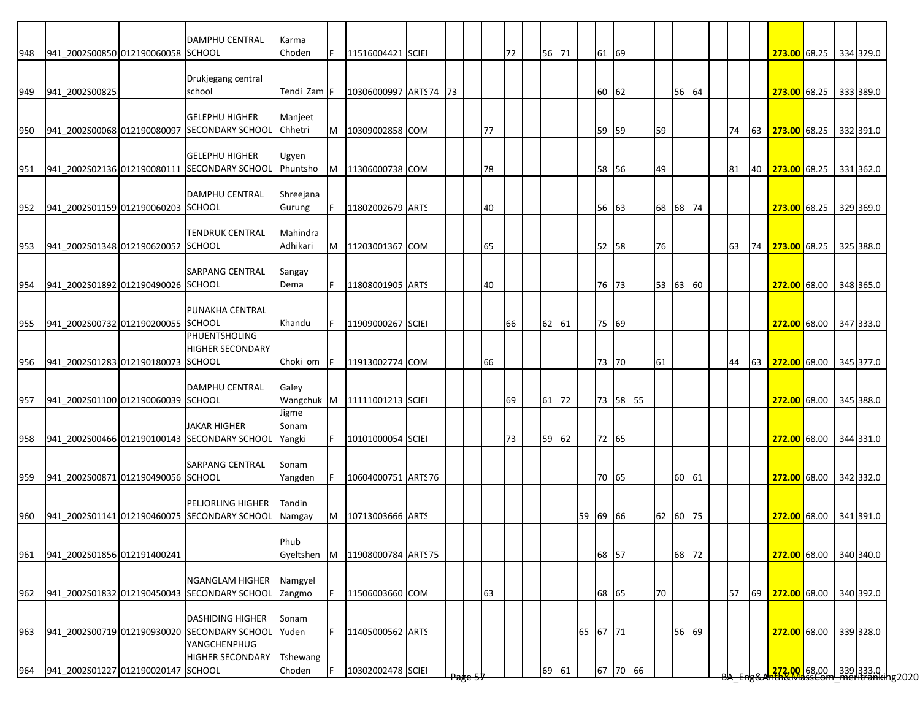|     |                                    | <b>DAMPHU CENTRAL</b>                                        | Karma     |   |                             |  |      |    |    |       |          |       |          |          |       |  |    |    |                           |  |                                                                        |
|-----|------------------------------------|--------------------------------------------------------------|-----------|---|-----------------------------|--|------|----|----|-------|----------|-------|----------|----------|-------|--|----|----|---------------------------|--|------------------------------------------------------------------------|
| 948 | 941 2002S00850 012190060058 SCHOOL |                                                              | Choden    |   | 11516004421 SCIE            |  |      |    | 72 | 56 71 |          | 61 69 |          |          |       |  |    |    | 273.00 68.25 334 329.0    |  |                                                                        |
|     |                                    |                                                              |           |   |                             |  |      |    |    |       |          |       |          |          |       |  |    |    |                           |  |                                                                        |
| 949 | 941 2002S00825                     | Drukjegang central<br>school                                 | Tendi Zam |   | 10306000997 ARTS74 73       |  |      |    |    |       |          | 60    | 62       |          | 56 64 |  |    |    | 273.00 68.25 333 389.0    |  |                                                                        |
|     |                                    |                                                              |           |   |                             |  |      |    |    |       |          |       |          |          |       |  |    |    |                           |  |                                                                        |
|     |                                    | <b>GELEPHU HIGHER</b>                                        | Manjeet   |   |                             |  |      |    |    |       |          |       |          |          |       |  |    |    |                           |  |                                                                        |
| 950 |                                    | 941 2002S00068 012190080097 SECONDARY SCHOOL                 | Chhetri   | M | 10309002858 COM             |  |      | 77 |    |       |          | 59    | 59       | 59       |       |  | 74 | 63 | 273.00 68.25 332 391.0    |  |                                                                        |
|     |                                    |                                                              |           |   |                             |  |      |    |    |       |          |       |          |          |       |  |    |    |                           |  |                                                                        |
|     |                                    | <b>GELEPHU HIGHER</b>                                        | Ugyen     |   |                             |  |      |    |    |       |          |       |          |          |       |  |    |    |                           |  |                                                                        |
|     |                                    | 951 941 2002S02136 012190080111 SECONDARY SCHOOL             | Phuntsho  | M | 11306000738 COM             |  |      | 78 |    |       |          | 58 56 |          | 49       |       |  | 81 | 40 | 273.00 68.25 331 362.0    |  |                                                                        |
|     |                                    |                                                              |           |   |                             |  |      |    |    |       |          |       |          |          |       |  |    |    |                           |  |                                                                        |
|     | 941_2002S01159 012190060203 SCHOOL | DAMPHU CENTRAL                                               | Shreejana |   |                             |  |      |    |    |       |          |       |          |          |       |  |    |    |                           |  |                                                                        |
| 952 |                                    |                                                              | Gurung    |   | 11802002679 ARTS            |  |      | 40 |    |       |          | 56    | 63       | 68 68 74 |       |  |    |    | 273.00 68.25 329 369.0    |  |                                                                        |
|     |                                    | <b>TENDRUK CENTRAL</b>                                       | Mahindra  |   |                             |  |      |    |    |       |          |       |          |          |       |  |    |    |                           |  |                                                                        |
| 953 | 941 2002S01348 012190620052 SCHOOL |                                                              | Adhikari  | M | 11203001367 COM             |  |      | 65 |    |       |          | 52 58 |          | 76       |       |  | 63 |    | 74 273.00 68.25 325 388.0 |  |                                                                        |
|     |                                    |                                                              |           |   |                             |  |      |    |    |       |          |       |          |          |       |  |    |    |                           |  |                                                                        |
|     |                                    | <b>SARPANG CENTRAL</b>                                       | Sangay    |   |                             |  |      |    |    |       |          |       |          |          |       |  |    |    |                           |  |                                                                        |
| 954 | 941 2002S01892 012190490026 SCHOOL |                                                              | Dema      |   | 11808001905 ARTS            |  |      | 40 |    |       |          | 76    | 73       | 53 63 60 |       |  |    |    | 272.00 68.00              |  | 348 365.0                                                              |
|     |                                    |                                                              |           |   |                             |  |      |    |    |       |          |       |          |          |       |  |    |    |                           |  |                                                                        |
|     |                                    | PUNAKHA CENTRAL                                              |           |   |                             |  |      |    |    |       |          |       |          |          |       |  |    |    |                           |  |                                                                        |
| 955 | 941_2002S00732 012190200055 SCHOOL |                                                              | Khandu    |   | 11909000267 SCIE            |  |      |    | 66 | 62 61 |          | 75 69 |          |          |       |  |    |    | 272.00 68.00 347 333.0    |  |                                                                        |
|     |                                    | <b>PHUENTSHOLING</b><br><b>HIGHER SECONDARY</b>              |           |   |                             |  |      |    |    |       |          |       |          |          |       |  |    |    |                           |  |                                                                        |
| 956 | 941 2002S01283 012190180073 SCHOOL |                                                              | Choki om  |   | 11913002774 COM             |  |      | 66 |    |       |          | 73 70 |          | 61       |       |  | 44 | 63 | 272.00 68.00 345 377.0    |  |                                                                        |
|     |                                    |                                                              |           |   |                             |  |      |    |    |       |          |       |          |          |       |  |    |    |                           |  |                                                                        |
|     |                                    | <b>DAMPHU CENTRAL</b>                                        | Galey     |   |                             |  |      |    |    |       |          |       |          |          |       |  |    |    |                           |  |                                                                        |
| 957 | 941_2002S01100 012190060039 SCHOOL |                                                              |           |   | Wangchuk M 11111001213 SCIE |  |      |    | 69 | 61 72 |          |       | 73 58 55 |          |       |  |    |    | 272.00 68.00 345 388.0    |  |                                                                        |
|     |                                    |                                                              | Jigme     |   |                             |  |      |    |    |       |          |       |          |          |       |  |    |    |                           |  |                                                                        |
|     |                                    | <b>JAKAR HIGHER</b>                                          | Sonam     |   |                             |  |      |    |    |       |          |       |          |          |       |  |    |    |                           |  |                                                                        |
| 958 |                                    | 941_2002S00466 012190100143 SECONDARY SCHOOL                 | Yangki    |   | 10101000054 SCIE            |  |      |    | 73 | 59 62 |          | 72 65 |          |          |       |  |    |    | 272.00 68.00 344 331.0    |  |                                                                        |
|     |                                    |                                                              |           |   |                             |  |      |    |    |       |          |       |          |          |       |  |    |    |                           |  |                                                                        |
|     |                                    | <b>SARPANG CENTRAL</b>                                       | Sonam     |   |                             |  |      |    |    |       |          |       |          |          |       |  |    |    |                           |  |                                                                        |
| 959 | 941_2002S00871 012190490056 SCHOOL |                                                              | Yangden   |   | 10604000751 ARTS76          |  |      |    |    |       |          | 70 65 |          |          | 60 61 |  |    |    | 272.00 68.00 342 332.0    |  |                                                                        |
|     |                                    | <b>PELJORLING HIGHER</b>                                     | Tandin    |   |                             |  |      |    |    |       |          |       |          |          |       |  |    |    |                           |  |                                                                        |
| 960 |                                    | 941 2002S01141 012190460075 SECONDARY SCHOOL                 | Namgay    | M | 10713003666 ARTS            |  |      |    |    |       | 59 69 66 |       |          | 62 60 75 |       |  |    |    | 272.00 68.00 341 391.0    |  |                                                                        |
|     |                                    |                                                              |           |   |                             |  |      |    |    |       |          |       |          |          |       |  |    |    |                           |  |                                                                        |
|     |                                    |                                                              | Phub      |   |                             |  |      |    |    |       |          |       |          |          |       |  |    |    |                           |  |                                                                        |
| 961 | 941 2002S01856 012191400241        |                                                              | Gyeltshen | M | 11908000784 ARTS75          |  |      |    |    |       |          | 68 57 |          |          | 68 72 |  |    |    | 272.00 68.00 340 340.0    |  |                                                                        |
|     |                                    |                                                              |           |   |                             |  |      |    |    |       |          |       |          |          |       |  |    |    |                           |  |                                                                        |
|     |                                    | <b>NGANGLAM HIGHER</b>                                       | Namgyel   |   |                             |  |      |    |    |       |          |       |          |          |       |  |    |    |                           |  |                                                                        |
| 962 |                                    | 941_2002S01832 012190450043 SECONDARY SCHOOL                 | Zangmo    |   | 11506003660 COM             |  |      | 63 |    |       |          | 68 65 |          | 70       |       |  | 57 | 69 | 272.00 68.00              |  | 340 392.0                                                              |
|     |                                    |                                                              |           |   |                             |  |      |    |    |       |          |       |          |          |       |  |    |    |                           |  |                                                                        |
|     |                                    | <b>DASHIDING HIGHER</b>                                      | Sonam     |   |                             |  |      |    |    |       |          |       |          |          |       |  |    |    |                           |  |                                                                        |
| 963 |                                    | 941 2002S00719 012190930020 SECONDARY SCHOOL<br>YANGCHENPHUG | Yuden     |   | 11405000562 ARTS            |  |      |    |    |       | 65 67 71 |       |          |          | 56 69 |  |    |    | 272.00 68.00              |  | 339 328.0                                                              |
|     |                                    | <b>HIGHER SECONDARY</b>                                      | Tshewang  |   |                             |  |      |    |    |       |          |       |          |          |       |  |    |    |                           |  |                                                                        |
|     | 941_2002S01227 012190020147 SCHOOL |                                                              | Choden    |   | 10302002478 SCIE            |  |      |    |    | 69 61 |          |       | 67 70 66 |          |       |  |    |    |                           |  |                                                                        |
| 964 |                                    |                                                              |           |   |                             |  | ण्डप |    |    |       |          |       |          |          |       |  |    |    |                           |  | <mark>.272.00 68.00 339</mark> 333.0  <br>hth&MassCom meritranking2020 |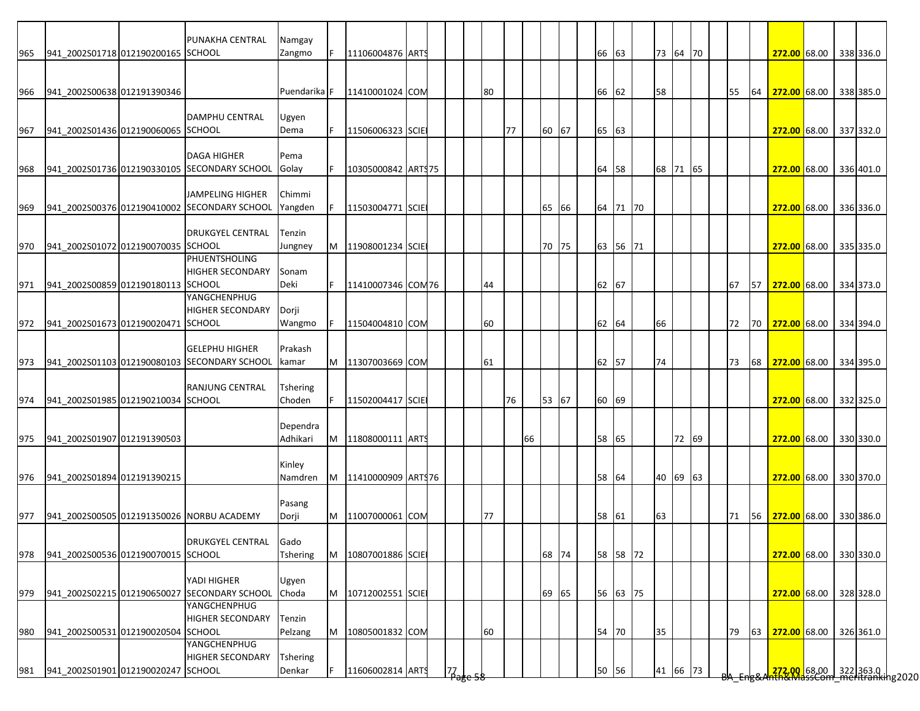|     |                                        | PUNAKHA CENTRAL                                             | Namgay            |   |                    |  |                                            |    |    |    |       |    |          |          |       |  |    |    |                                                                                       |  |           |
|-----|----------------------------------------|-------------------------------------------------------------|-------------------|---|--------------------|--|--------------------------------------------|----|----|----|-------|----|----------|----------|-------|--|----|----|---------------------------------------------------------------------------------------|--|-----------|
| 965 | 941_2002S01718 012190200165 SCHOOL     |                                                             | Zangmo            |   | 11106004876 ARTS   |  |                                            |    |    |    |       |    | 66 63    | 73 64 70 |       |  |    |    | 272.00 68.00 338 336.0                                                                |  |           |
|     |                                        |                                                             |                   |   |                    |  |                                            |    |    |    |       |    |          |          |       |  |    |    |                                                                                       |  |           |
| 966 | 941 2002S00638 012191390346            |                                                             | Puendarika F      |   | 11410001024 COM    |  |                                            | 80 |    |    |       |    | 66 62    | 58       |       |  | 55 | 64 | 272.00 68.00 338 385.0                                                                |  |           |
|     |                                        |                                                             |                   |   |                    |  |                                            |    |    |    |       |    |          |          |       |  |    |    |                                                                                       |  |           |
|     |                                        | <b>DAMPHU CENTRAL</b>                                       | Ugyen             |   |                    |  |                                            |    |    |    |       |    |          |          |       |  |    |    |                                                                                       |  |           |
| 967 | 941 2002S01436 012190060065 SCHOOL     |                                                             | Dema              | F | 11506006323 SCIE   |  |                                            |    | 77 |    | 60 67 |    | 65 63    |          |       |  |    |    | 272.00 68.00 337 332.0                                                                |  |           |
|     |                                        | <b>DAGA HIGHER</b>                                          | Pema              |   |                    |  |                                            |    |    |    |       |    |          |          |       |  |    |    |                                                                                       |  |           |
| 968 |                                        | 941_2002S01736 012190330105 SECONDARY SCHOOL                | Golay             |   | 10305000842 ARTS75 |  |                                            |    |    |    |       | 64 | 58       | 68 71 65 |       |  |    |    | 272.00 68.00 336 401.0                                                                |  |           |
|     |                                        |                                                             |                   |   |                    |  |                                            |    |    |    |       |    |          |          |       |  |    |    |                                                                                       |  |           |
|     |                                        | <b>JAMPELING HIGHER</b>                                     | Chimmi            |   |                    |  |                                            |    |    |    |       |    |          |          |       |  |    |    |                                                                                       |  |           |
| 969 |                                        | 941 2002S00376 012190410002 SECONDARY SCHOOL                | Yangden           |   | 11503004771 SCIE   |  |                                            |    |    |    | 65 66 |    | 64 71 70 |          |       |  |    |    | 272.00 68.00 336 336.0                                                                |  |           |
|     |                                        |                                                             |                   |   |                    |  |                                            |    |    |    |       |    |          |          |       |  |    |    |                                                                                       |  |           |
|     |                                        | <b>DRUKGYEL CENTRAL</b>                                     | Tenzin            |   |                    |  |                                            |    |    |    |       |    |          |          |       |  |    |    |                                                                                       |  |           |
| 970 | 941_2002S01072 012190070035 SCHOOL     | PHUENTSHOLING                                               | Jungney           | M | 11908001234 SCIE   |  |                                            |    |    |    | 70 75 |    | 63 56 71 |          |       |  |    |    | 272.00 68.00 335 335.0                                                                |  |           |
|     |                                        | <b>HIGHER SECONDARY</b>                                     | Sonam             |   |                    |  |                                            |    |    |    |       |    |          |          |       |  |    |    |                                                                                       |  |           |
| 971 | 941 2002S00859 012190180113 SCHOOL     |                                                             | Deki              |   | 11410007346 COM76  |  |                                            | 44 |    |    |       |    | 62 67    |          |       |  | 67 | 57 | 272.00 68.00                                                                          |  | 334 373.0 |
|     |                                        | YANGCHENPHUG                                                |                   |   |                    |  |                                            |    |    |    |       |    |          |          |       |  |    |    |                                                                                       |  |           |
|     |                                        | <b>HIGHER SECONDARY</b>                                     | Dorji             |   |                    |  |                                            |    |    |    |       |    |          |          |       |  |    |    |                                                                                       |  |           |
|     | 972 941_2002S01673 012190020471 SCHOOL |                                                             | Wangmo            |   | 11504004810 COM    |  |                                            | 60 |    |    |       |    | 62 64    | 66       |       |  |    |    | 72 70 272.00 68.00 334 394.0                                                          |  |           |
|     |                                        |                                                             |                   |   |                    |  |                                            |    |    |    |       |    |          |          |       |  |    |    |                                                                                       |  |           |
|     |                                        | <b>GELEPHU HIGHER</b>                                       | Prakash           |   |                    |  |                                            |    |    |    |       |    |          |          |       |  |    |    |                                                                                       |  |           |
| 973 |                                        | 941_2002S01103 012190080103 SECONDARY SCHOOL                | kamar             | M | 11307003669 COM    |  |                                            | 61 |    |    |       | 62 | 57       | 74       |       |  | 73 | 68 | 272.00 68.00 334 395.0                                                                |  |           |
|     |                                        | <b>RANJUNG CENTRAL</b>                                      | <b>Tshering</b>   |   |                    |  |                                            |    |    |    |       |    |          |          |       |  |    |    |                                                                                       |  |           |
|     | 974 941_2002S01985 012190210034 SCHOOL |                                                             | Choden            |   | 11502004417 SCIE   |  |                                            |    |    | 76 | 53 67 |    | 60 69    |          |       |  |    |    | 272.00 68.00 332 325.0                                                                |  |           |
|     |                                        |                                                             |                   |   |                    |  |                                            |    |    |    |       |    |          |          |       |  |    |    |                                                                                       |  |           |
|     |                                        |                                                             | Dependra          |   |                    |  |                                            |    |    |    |       |    |          |          |       |  |    |    |                                                                                       |  |           |
| 975 | 941 2002S01907 012191390503            |                                                             | Adhikari          | M | 11808000111 ARTS   |  |                                            |    |    | 66 |       |    | 58 65    |          | 72 69 |  |    |    | 272.00 68.00 330 330.0                                                                |  |           |
|     |                                        |                                                             |                   |   |                    |  |                                            |    |    |    |       |    |          |          |       |  |    |    |                                                                                       |  |           |
|     |                                        |                                                             | Kinley<br>Namdren |   | 11410000909 ARTS76 |  |                                            |    |    |    |       |    |          |          |       |  |    |    |                                                                                       |  |           |
|     | 976 941_2002S01894 012191390215        |                                                             |                   | M |                    |  |                                            |    |    |    |       |    | 58 64    | 40 69 63 |       |  |    |    | 272.00 68.00 330 370.0                                                                |  |           |
|     |                                        |                                                             | Pasang            |   |                    |  |                                            |    |    |    |       |    |          |          |       |  |    |    |                                                                                       |  |           |
| 977 |                                        | 941_2002S00505 012191350026 NORBU ACADEMY                   | Dorji             | M | 11007000061 COM    |  |                                            | 77 |    |    |       |    | 58 61    | 63       |       |  | 71 |    | 56 272.00 68.00 330 386.0                                                             |  |           |
|     |                                        |                                                             |                   |   |                    |  |                                            |    |    |    |       |    |          |          |       |  |    |    |                                                                                       |  |           |
|     |                                        | <b>DRUKGYEL CENTRAL</b>                                     | Gado              |   |                    |  |                                            |    |    |    |       |    |          |          |       |  |    |    |                                                                                       |  |           |
| 978 | 941_2002S00536 012190070015 SCHOOL     |                                                             | Tshering          | M | 10807001886 SCIE   |  |                                            |    |    |    | 68 74 |    | 58 58 72 |          |       |  |    |    | 272.00 68.00 330 330.0                                                                |  |           |
|     |                                        |                                                             |                   |   |                    |  |                                            |    |    |    |       |    |          |          |       |  |    |    |                                                                                       |  |           |
| 979 |                                        | YADI HIGHER<br>941 2002S02215 012190650027 SECONDARY SCHOOL | Ugyen<br>Choda    | M | 10712002551 SCIE   |  |                                            |    |    |    | 69 65 |    | 56 63 75 |          |       |  |    |    | 272.00 68.00 328 328.0                                                                |  |           |
|     |                                        | YANGCHENPHUG                                                |                   |   |                    |  |                                            |    |    |    |       |    |          |          |       |  |    |    |                                                                                       |  |           |
|     |                                        | <b>HIGHER SECONDARY</b>                                     | Tenzin            |   |                    |  |                                            |    |    |    |       |    |          |          |       |  |    |    |                                                                                       |  |           |
| 980 | 941_2002S00531 012190020504 SCHOOL     |                                                             | Pelzang           | M | 10805001832 COM    |  |                                            | 60 |    |    |       | 54 | 70       | 35       |       |  | 79 | 63 | 272.00 68.00                                                                          |  | 326 361.0 |
|     |                                        | <b>YANGCHENPHUG</b>                                         |                   |   |                    |  |                                            |    |    |    |       |    |          |          |       |  |    |    |                                                                                       |  |           |
|     |                                        | <b>HIGHER SECONDARY</b>                                     | <b>Tshering</b>   |   |                    |  |                                            |    |    |    |       |    |          |          |       |  |    |    |                                                                                       |  |           |
| 981 | 941 2002S01901 012190020247 SCHOOL     |                                                             | Denkar            |   | 11606002814 ARTS   |  | $\mathsf{I7}_{\mathsf{age}\, \mathsf{58}}$ |    |    |    |       | 50 | 56       | 41 66 73 |       |  |    |    | <mark>.272.00.</mark> 68.00 322 363.0  <br><del>http://dssCom.meritranki</del> ng2020 |  |           |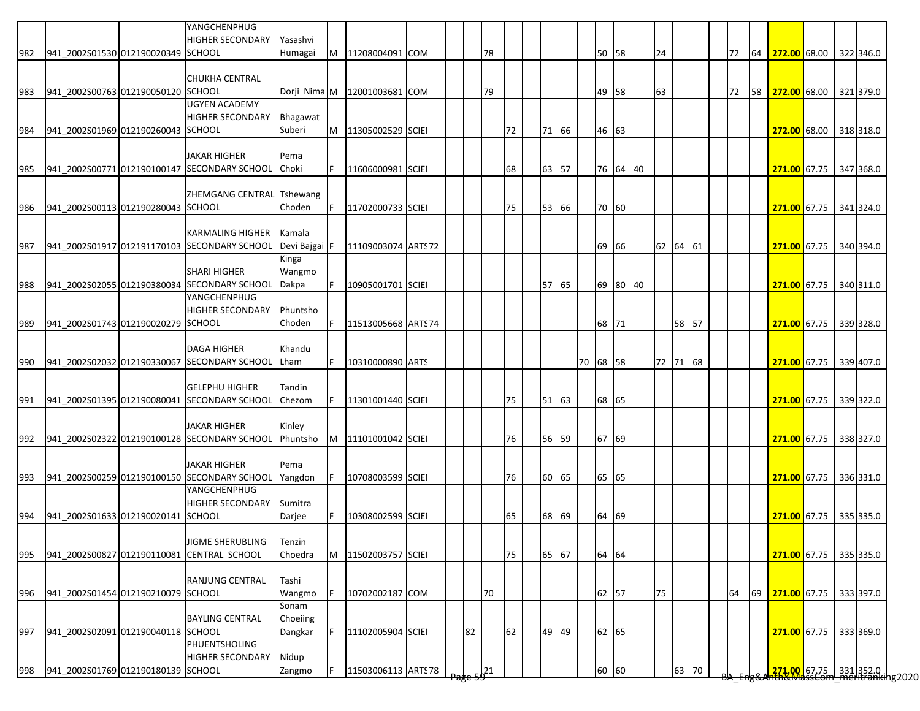|     |                                    | YANGCHENPHUG<br><b>HIGHER SECONDARY</b>      | Yasashvi        |    |                              |  |    |    |    |       |       |          |       |          |          |       |  |    |    |                                                                      |  |           |
|-----|------------------------------------|----------------------------------------------|-----------------|----|------------------------------|--|----|----|----|-------|-------|----------|-------|----------|----------|-------|--|----|----|----------------------------------------------------------------------|--|-----------|
| 982 | 941 2002S01530 012190020349 SCHOOL |                                              | Humagai         | M  | 11208004091 COM              |  |    | 78 |    |       |       |          | 50    | 58       | 24       |       |  | 72 | 64 | 272.00 68.00 322 346.0                                               |  |           |
|     |                                    |                                              |                 |    |                              |  |    |    |    |       |       |          |       |          |          |       |  |    |    |                                                                      |  |           |
| 983 | 941_2002S00763 012190050120 SCHOOL | <b>CHUKHA CENTRAL</b>                        |                 |    | Dorji Nima M 12001003681 COM |  |    | 79 |    |       |       |          | 49 58 |          | 63       |       |  |    |    | 72 58 272.00 68.00 321 379.0                                         |  |           |
|     |                                    | <b>UGYEN ACADEMY</b>                         |                 |    |                              |  |    |    |    |       |       |          |       |          |          |       |  |    |    |                                                                      |  |           |
|     |                                    | <b>HIGHER SECONDARY</b>                      | Bhagawat        |    |                              |  |    |    |    |       |       |          |       |          |          |       |  |    |    |                                                                      |  |           |
| 984 | 941_2002S01969 012190260043 SCHOOL |                                              | Suberi          | M  | 11305002529 SCIE             |  |    |    | 72 | 71 66 |       |          | 46    | 63       |          |       |  |    |    | 272.00 68.00 318 318.0                                               |  |           |
|     |                                    |                                              |                 |    |                              |  |    |    |    |       |       |          |       |          |          |       |  |    |    |                                                                      |  |           |
|     |                                    | <b>JAKAR HIGHER</b>                          | Pema            |    |                              |  |    |    |    |       |       |          |       |          |          |       |  |    |    |                                                                      |  |           |
| 985 |                                    | 941 2002S00771 012190100147 SECONDARY SCHOOL | Choki           | F. | 11606000981 SCIE             |  |    |    | 68 | 63 57 |       |          |       | 76 64 40 |          |       |  |    |    | 271.00 67.75 347 368.0                                               |  |           |
|     |                                    | <b>ZHEMGANG CENTRAL Tshewang</b>             |                 |    |                              |  |    |    |    |       |       |          |       |          |          |       |  |    |    |                                                                      |  |           |
| 986 | 941 2002S00113 012190280043 SCHOOL |                                              | Choden          |    | 11702000733 SCIE             |  |    |    | 75 | 53 66 |       |          | 70 60 |          |          |       |  |    |    | 271.00 67.75                                                         |  | 341 324.0 |
|     |                                    |                                              |                 |    |                              |  |    |    |    |       |       |          |       |          |          |       |  |    |    |                                                                      |  |           |
|     |                                    | <b>KARMALING HIGHER</b>                      | Kamala          |    |                              |  |    |    |    |       |       |          |       |          |          |       |  |    |    |                                                                      |  |           |
| 987 |                                    | 941 2002S01917 012191170103 SECONDARY SCHOOL | Devi Bajgai F   |    | 11109003074 ARTS72           |  |    |    |    |       |       |          | 69    | 66       | 62 64 61 |       |  |    |    | 271.00 67.75 340 394.0                                               |  |           |
|     |                                    | <b>SHARI HIGHER</b>                          | Kinga<br>Wangmo |    |                              |  |    |    |    |       |       |          |       |          |          |       |  |    |    |                                                                      |  |           |
| 988 |                                    | 941 2002S02055 012190380034 SECONDARY SCHOOL | Dakpa           |    | 10905001701 SCIE             |  |    |    |    | 57 65 |       |          |       | 69 80 40 |          |       |  |    |    | 271.00 67.75 340 311.0                                               |  |           |
|     |                                    | YANGCHENPHUG                                 |                 |    |                              |  |    |    |    |       |       |          |       |          |          |       |  |    |    |                                                                      |  |           |
|     |                                    | <b>HIGHER SECONDARY</b>                      | Phuntsho        |    |                              |  |    |    |    |       |       |          |       |          |          |       |  |    |    |                                                                      |  |           |
| 989 | 941_2002S01743 012190020279 SCHOOL |                                              | Choden          | F  | 11513005668 ARTS74           |  |    |    |    |       |       |          | 68 71 |          |          | 58 57 |  |    |    | 271.00 67.75 339 328.0                                               |  |           |
|     |                                    |                                              |                 |    |                              |  |    |    |    |       |       |          |       |          |          |       |  |    |    |                                                                      |  |           |
|     |                                    | <b>DAGA HIGHER</b>                           | Khandu          |    |                              |  |    |    |    |       |       |          |       |          |          |       |  |    |    |                                                                      |  |           |
| 990 |                                    | 941 2002S02032 012190330067 SECONDARY SCHOOL | Lham            | F. | 10310000890 ARTS             |  |    |    |    |       |       | 70 68 58 |       |          | 72 71 68 |       |  |    |    | 271.00 67.75 339 407.0                                               |  |           |
|     |                                    | <b>GELEPHU HIGHER</b>                        | Tandin          |    |                              |  |    |    |    |       |       |          |       |          |          |       |  |    |    |                                                                      |  |           |
| 991 |                                    | 941_2002S01395 012190080041 SECONDARY SCHOOL | Chezom          | F  | 11301001440 SCIE             |  |    |    | 75 | 51 63 |       |          | 68 65 |          |          |       |  |    |    | 271.00 67.75 339 322.0                                               |  |           |
|     |                                    |                                              |                 |    |                              |  |    |    |    |       |       |          |       |          |          |       |  |    |    |                                                                      |  |           |
|     |                                    | <b>JAKAR HIGHER</b>                          | Kinley          |    |                              |  |    |    |    |       |       |          |       |          |          |       |  |    |    |                                                                      |  |           |
| 992 |                                    | 941 2002S02322 012190100128 SECONDARY SCHOOL | Phuntsho        |    | M 11101001042 SCIE           |  |    |    | 76 |       | 56 59 |          | 67    | 69       |          |       |  |    |    | 271.00 67.75 338 327.0                                               |  |           |
|     |                                    | <b>JAKAR HIGHER</b>                          | Pema            |    |                              |  |    |    |    |       |       |          |       |          |          |       |  |    |    |                                                                      |  |           |
| 993 |                                    | 941 2002S00259 012190100150 SECONDARY SCHOOL | Yangdon         |    | 10708003599 SCIE             |  |    |    | 76 | 60 65 |       |          | 65    | 65       |          |       |  |    |    | 271.00 67.75 336 331.0                                               |  |           |
|     |                                    | YANGCHENPHUG                                 |                 |    |                              |  |    |    |    |       |       |          |       |          |          |       |  |    |    |                                                                      |  |           |
|     |                                    | <b>HIGHER SECONDARY</b>                      | Sumitra         |    |                              |  |    |    |    |       |       |          |       |          |          |       |  |    |    |                                                                      |  |           |
| 994 | 941 2002S01633 012190020141 SCHOOL |                                              | Darjee          |    | 10308002599 SCIE             |  |    |    | 65 | 68 69 |       |          | 64 69 |          |          |       |  |    |    | 271.00 67.75 335 335.0                                               |  |           |
|     |                                    |                                              |                 |    |                              |  |    |    |    |       |       |          |       |          |          |       |  |    |    |                                                                      |  |           |
|     |                                    | <b>JIGME SHERUBLING</b>                      | Tenzin          |    |                              |  |    |    |    |       |       |          |       |          |          |       |  |    |    |                                                                      |  |           |
| 995 |                                    | 941_2002S00827 012190110081 CENTRAL SCHOOL   | Choedra         | M  | 11502003757 SCIE             |  |    |    | 75 | 65 67 |       |          | 64 64 |          |          |       |  |    |    | 271.00 67.75 335 335.0                                               |  |           |
|     |                                    | RANJUNG CENTRAL                              | Tashi           |    |                              |  |    |    |    |       |       |          |       |          |          |       |  |    |    |                                                                      |  |           |
| 996 | 941 2002S01454 012190210079 SCHOOL |                                              | Wangmo          |    | 10702002187 COM              |  |    | 70 |    |       |       |          | 62 57 |          | 75       |       |  | 64 | 69 | 271.00 67.75 333 397.0                                               |  |           |
|     |                                    |                                              | Sonam           |    |                              |  |    |    |    |       |       |          |       |          |          |       |  |    |    |                                                                      |  |           |
|     |                                    | <b>BAYLING CENTRAL</b>                       | Choeiing        |    |                              |  |    |    |    |       |       |          |       |          |          |       |  |    |    |                                                                      |  |           |
| 997 | 941_2002S02091 012190040118 SCHOOL |                                              | Dangkar         | F. | 11102005904 SCIE             |  | 82 |    | 62 | 49 49 |       |          | 62 65 |          |          |       |  |    |    | 271.00 67.75                                                         |  | 333 369.0 |
|     |                                    | PHUENTSHOLING                                |                 |    |                              |  |    |    |    |       |       |          |       |          |          |       |  |    |    |                                                                      |  |           |
|     |                                    | <b>HIGHER SECONDARY</b>                      | Nidup           |    |                              |  |    |    |    |       |       |          |       |          |          |       |  |    |    |                                                                      |  |           |
| 998 | 941_2002S01769 012190180139 SCHOOL |                                              | Zangmo          |    | 11503006113 ARTS78           |  |    |    |    |       |       |          | 60    | 60       |          | 63 70 |  |    |    | <mark>.271,00 67.75 331</mark> 352.0<br>hth&MassCom meritranking2020 |  |           |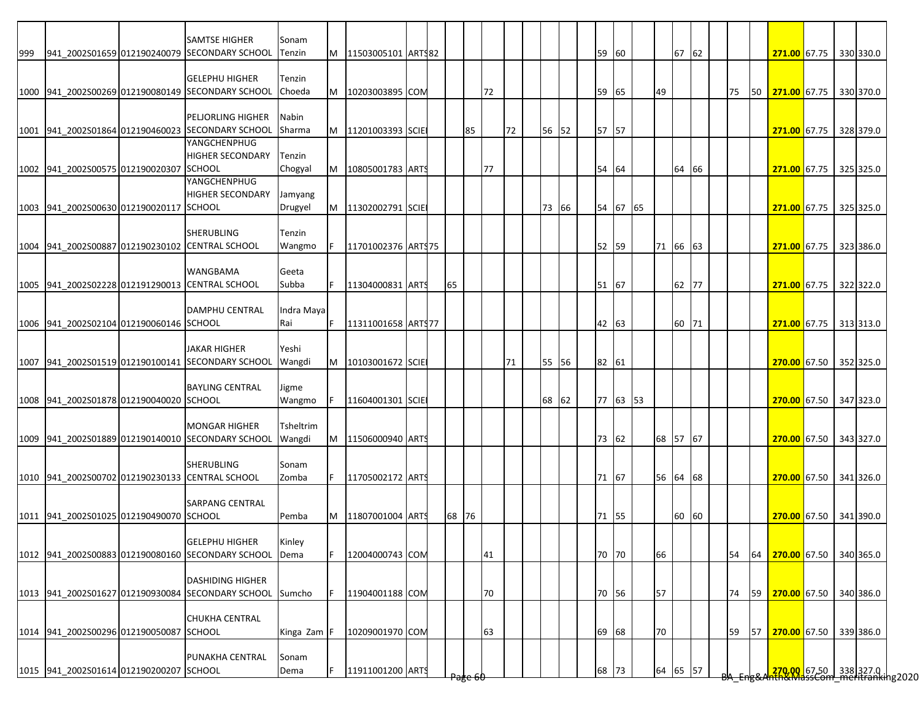|     |                                         | <b>SAMTSE HIGHER</b>                                                      |                    |   |                    |  |       |                     |    |    |       |  |          |    |          |  |    |    |                                                            |  |           |
|-----|-----------------------------------------|---------------------------------------------------------------------------|--------------------|---|--------------------|--|-------|---------------------|----|----|-------|--|----------|----|----------|--|----|----|------------------------------------------------------------|--|-----------|
| 999 |                                         | 941 2002S01659 012190240079 SECONDARY SCHOOL                              | Sonam<br>Tenzin    | M | 11503005101 ARTS82 |  |       |                     |    |    |       |  | 59 60    |    | 67 62    |  |    |    | 271.00 67.75 330 330.0                                     |  |           |
|     |                                         | <b>GELEPHU HIGHER</b>                                                     | Tenzin             |   |                    |  |       |                     |    |    |       |  |          |    |          |  |    |    |                                                            |  |           |
|     |                                         | 1000 941 2002S00269 012190080149 SECONDARY SCHOOL                         | Choeda             | M | 10203003895 COM    |  |       |                     | 72 |    |       |  | 59 65    | 49 |          |  | 75 | 50 | 271.00 67.75                                               |  | 330 370.0 |
|     |                                         |                                                                           |                    |   |                    |  |       |                     |    |    |       |  |          |    |          |  |    |    |                                                            |  |           |
|     |                                         | PELJORLING HIGHER<br>1001 941_2002S01864 012190460023 SECONDARY SCHOOL    | Nabin<br>Sharma    | M | 11201003393 SCIE   |  |       | 85                  |    | 72 | 56 52 |  | 57 57    |    |          |  |    |    | 271.00 67.75 328 379.0                                     |  |           |
|     |                                         | YANGCHENPHUG                                                              |                    |   |                    |  |       |                     |    |    |       |  |          |    |          |  |    |    |                                                            |  |           |
|     | 1002 941 2002S00575 012190020307 SCHOOL | <b>HIGHER SECONDARY</b>                                                   | Tenzin<br>Chogyal  | M | 10805001783 ARTS   |  |       |                     | 77 |    |       |  | 54 64    |    | 64 66    |  |    |    | 271.00 67.75 325 325.0                                     |  |           |
|     |                                         | YANGCHENPHUG                                                              |                    |   |                    |  |       |                     |    |    |       |  |          |    |          |  |    |    |                                                            |  |           |
|     | 1003 941 2002S00630 012190020117 SCHOOL | <b>HIGHER SECONDARY</b>                                                   | Jamyang<br>Drugyel | M | 11302002791 SCIE   |  |       |                     |    |    | 73 66 |  | 54 67 65 |    |          |  |    |    | 271.00 67.75                                               |  | 325 325.0 |
|     |                                         |                                                                           |                    |   |                    |  |       |                     |    |    |       |  |          |    |          |  |    |    |                                                            |  |           |
|     |                                         | <b>SHERUBLING</b><br>1004 941_2002S00887 012190230102 CENTRAL SCHOOL      | Tenzin<br>Wangmo   |   | 11701002376 ARTS75 |  |       |                     |    |    |       |  | 52 59    |    | 71 66 63 |  |    |    | 271.00 67.75 323 386.0                                     |  |           |
|     |                                         |                                                                           |                    |   |                    |  |       |                     |    |    |       |  |          |    |          |  |    |    |                                                            |  |           |
|     |                                         | <b>WANGBAMA</b><br>1005 941 2002S02228 012191290013 CENTRAL SCHOOL        | Geeta<br>Subba     |   | 11304000831 ARTS   |  | 65    |                     |    |    |       |  | 51 67    |    | 62 77    |  |    |    | 271.00 67.75                                               |  | 322 322.0 |
|     |                                         |                                                                           |                    |   |                    |  |       |                     |    |    |       |  |          |    |          |  |    |    |                                                            |  |           |
|     | 1006 941 2002S02104 012190060146 SCHOOL | <b>DAMPHU CENTRAL</b>                                                     | Indra Maya<br>Rai  |   | 11311001658 ARTS77 |  |       |                     |    |    |       |  | 42 63    |    | 60 71    |  |    |    | 271.00 67.75 313 313.0                                     |  |           |
|     |                                         |                                                                           |                    |   |                    |  |       |                     |    |    |       |  |          |    |          |  |    |    |                                                            |  |           |
|     |                                         | <b>JAKAR HIGHER</b><br>1007 941_2002S01519 012190100141 SECONDARY SCHOOL  | Yeshi<br>Wangdi    | M | 10103001672 SCIE   |  |       |                     |    | 71 | 55 56 |  | 82 61    |    |          |  |    |    | 270.00 67.50 352 325.0                                     |  |           |
|     |                                         |                                                                           |                    |   |                    |  |       |                     |    |    |       |  |          |    |          |  |    |    |                                                            |  |           |
|     | 1008 941 2002S01878 012190040020 SCHOOL | <b>BAYLING CENTRAL</b>                                                    | Jigme<br>Wangmo    |   | 11604001301 SCIE   |  |       |                     |    |    | 68 62 |  | 77 63 53 |    |          |  |    |    |                                                            |  |           |
|     |                                         |                                                                           |                    |   |                    |  |       |                     |    |    |       |  |          |    |          |  |    |    | 270.00 67.50 347 323.0                                     |  |           |
|     |                                         | <b>MONGAR HIGHER</b><br>1009 941 2002S01889 012190140010 SECONDARY SCHOOL | Tsheltrim          |   |                    |  |       |                     |    |    |       |  |          |    |          |  |    |    |                                                            |  |           |
|     |                                         |                                                                           | Wangdi             | M | 11506000940 ARTS   |  |       |                     |    |    |       |  | 73 62    |    | 68 57 67 |  |    |    | 270.00 67.50 343 327.0                                     |  |           |
|     |                                         | <b>SHERUBLING</b>                                                         | Sonam              |   |                    |  |       |                     |    |    |       |  |          |    |          |  |    |    |                                                            |  |           |
|     |                                         | 1010 941_2002S00702 012190230133 CENTRAL SCHOOL                           | Zomba              |   | 11705002172 ARTS   |  |       |                     |    |    |       |  | 71 67    |    | 56 64 68 |  |    |    | 270.00 67.50 341 326.0                                     |  |           |
|     |                                         | <b>SARPANG CENTRAL</b>                                                    |                    |   |                    |  |       |                     |    |    |       |  |          |    |          |  |    |    |                                                            |  |           |
|     | 1011 941 2002S01025 012190490070 SCHOOL |                                                                           | Pemba              | M | 11807001004 ARTS   |  | 68 76 |                     |    |    |       |  | 71 55    |    | 60 60    |  |    |    | 270.00 67.50 341 390.0                                     |  |           |
|     |                                         | <b>GELEPHU HIGHER</b>                                                     | Kinley             |   |                    |  |       |                     |    |    |       |  |          |    |          |  |    |    |                                                            |  |           |
|     |                                         | 1012 941 2002S00883 012190080160 SECONDARY SCHOOL                         | Dema               |   | 12004000743 COM    |  |       |                     | 41 |    |       |  | 70 70    | 66 |          |  | 54 | 64 | 270.00 67.50 340 365.0                                     |  |           |
|     |                                         | <b>DASHIDING HIGHER</b>                                                   |                    |   |                    |  |       |                     |    |    |       |  |          |    |          |  |    |    |                                                            |  |           |
|     |                                         | 1013 941_2002S01627 012190930084 SECONDARY SCHOOL                         | Sumcho             |   | 11904001188 COM    |  |       |                     | 70 |    |       |  | 70 56    | 57 |          |  | 74 | 59 | 270.00 67.50                                               |  | 340 386.0 |
|     |                                         | <b>CHUKHA CENTRAL</b>                                                     |                    |   |                    |  |       |                     |    |    |       |  |          |    |          |  |    |    |                                                            |  |           |
|     | 1014 941_2002S00296 012190050087 SCHOOL |                                                                           | Kinga Zam          |   | 10209001970 COM    |  |       |                     | 63 |    |       |  | 69 68    | 70 |          |  | 59 | 57 | 270.00 67.50 339 386.0                                     |  |           |
|     |                                         | PUNAKHA CENTRAL                                                           | Sonam              |   |                    |  |       |                     |    |    |       |  |          |    |          |  |    |    |                                                            |  |           |
|     | 1015 941_2002S01614 012190200207 SCHOOL |                                                                           | Dema               |   | 11911001200 ARTS   |  |       | <del>'age o</del> र |    |    |       |  | 68 73    |    | 64 65 57 |  |    |    | 270.00 67.50 338 327.0  <br>270.00   67.50   338 327.0   1 |  |           |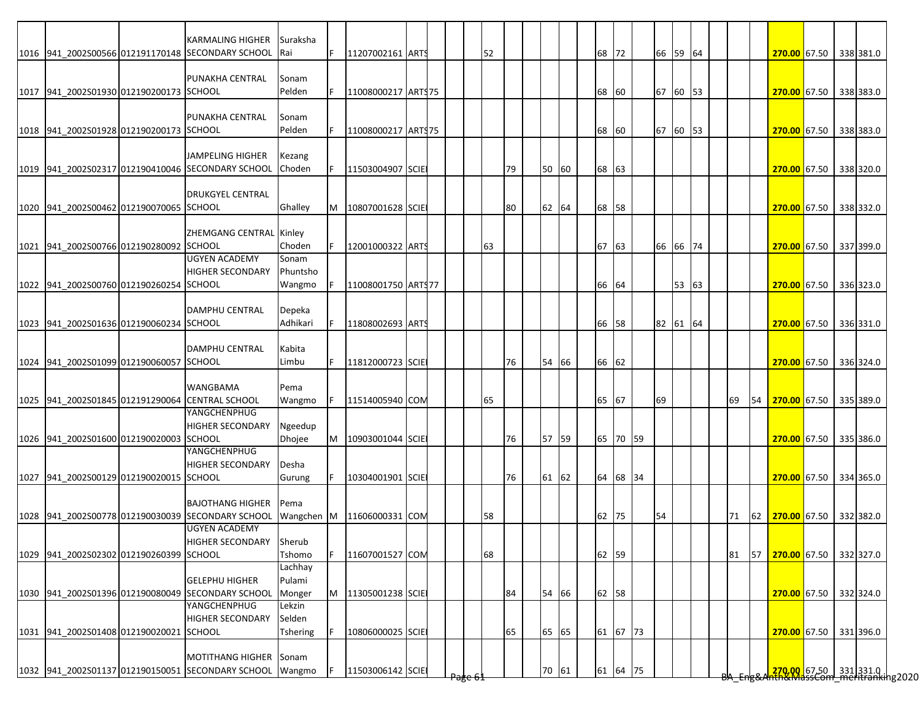|                                         | <b>KARMALING HIGHER</b><br>1016 941 2002S00566 012191170148 SECONDARY SCHOOL | Suraksha<br><b>IRai</b> | F. | 11207002161 ARTS             |  | 52 |    |       | 68       | 72       |    | 66 59 64 |  |    |    | 270.00 67.50           |  | 338 381.0                                                           |
|-----------------------------------------|------------------------------------------------------------------------------|-------------------------|----|------------------------------|--|----|----|-------|----------|----------|----|----------|--|----|----|------------------------|--|---------------------------------------------------------------------|
|                                         |                                                                              |                         |    |                              |  |    |    |       |          |          |    |          |  |    |    |                        |  |                                                                     |
|                                         | PUNAKHA CENTRAL                                                              | Sonam                   |    |                              |  |    |    |       |          |          |    |          |  |    |    |                        |  |                                                                     |
| 1017 941 2002S01930 012190200173 SCHOOL |                                                                              | Pelden                  |    | 11008000217 ARTS75           |  |    |    |       | 68 60    |          |    | 67 60 53 |  |    |    | 270.00 67.50           |  | 338 383.0                                                           |
|                                         |                                                                              |                         |    |                              |  |    |    |       |          |          |    |          |  |    |    |                        |  |                                                                     |
|                                         | PUNAKHA CENTRAL                                                              | Sonam                   |    |                              |  |    |    |       |          |          |    |          |  |    |    |                        |  |                                                                     |
| 1018 941 2002S01928 012190200173 SCHOOL |                                                                              | Pelden                  | F. | 11008000217 ARTS75           |  |    |    |       | 68 60    |          |    | 67 60 53 |  |    |    | 270.00 67.50           |  | 338 383.0                                                           |
|                                         | JAMPELING HIGHER                                                             | Kezang                  |    |                              |  |    |    |       |          |          |    |          |  |    |    |                        |  |                                                                     |
|                                         | 1019 941 2002S02317 012190410046 SECONDARY SCHOOL                            | Choden                  |    | 11503004907 SCIE             |  |    | 79 | 50 60 | 68 63    |          |    |          |  |    |    | 270.00 67.50           |  | 338 320.0                                                           |
|                                         |                                                                              |                         |    |                              |  |    |    |       |          |          |    |          |  |    |    |                        |  |                                                                     |
|                                         | <b>DRUKGYEL CENTRAL</b>                                                      |                         |    |                              |  |    |    |       |          |          |    |          |  |    |    |                        |  |                                                                     |
| 1020 941_2002S00462 012190070065 SCHOOL |                                                                              | Ghalley                 | M  | 10807001628 SCIE             |  |    | 80 | 62 64 | 68 58    |          |    |          |  |    |    | 270.00 67.50 338 332.0 |  |                                                                     |
|                                         |                                                                              |                         |    |                              |  |    |    |       |          |          |    |          |  |    |    |                        |  |                                                                     |
|                                         | ZHEMGANG CENTRAL Kinley                                                      |                         |    |                              |  |    |    |       |          |          |    |          |  |    |    |                        |  |                                                                     |
| 1021 941 2002S00766 012190280092 SCHOOL |                                                                              | Choden                  |    | 12001000322 ARTS             |  | 63 |    |       | 67 63    |          |    | 66 66 74 |  |    |    | 270.00 67.50 337 399.0 |  |                                                                     |
|                                         | <b>UGYEN ACADEMY</b>                                                         | Sonam                   |    |                              |  |    |    |       |          |          |    |          |  |    |    |                        |  |                                                                     |
|                                         | <b>HIGHER SECONDARY</b>                                                      | Phuntsho                |    |                              |  |    |    |       |          |          |    |          |  |    |    |                        |  |                                                                     |
| 1022 941_2002S00760 012190260254 SCHOOL |                                                                              | Wangmo                  |    | 11008001750 ART\$77          |  |    |    |       | 66 64    |          |    | 53 63    |  |    |    | 270.00 67.50 336 323.0 |  |                                                                     |
|                                         | <b>DAMPHU CENTRAL</b>                                                        | Depeka                  |    |                              |  |    |    |       |          |          |    |          |  |    |    |                        |  |                                                                     |
| 1023 941 2002S01636 012190060234 SCHOOL |                                                                              | Adhikari                |    | 11808002693 ARTS             |  |    |    |       | 66 58    |          |    | 82 61 64 |  |    |    | 270.00 67.50 336 331.0 |  |                                                                     |
|                                         |                                                                              |                         |    |                              |  |    |    |       |          |          |    |          |  |    |    |                        |  |                                                                     |
|                                         | <b>DAMPHU CENTRAL</b>                                                        | Kabita                  |    |                              |  |    |    |       |          |          |    |          |  |    |    |                        |  |                                                                     |
| 1024 941 2002S01099 012190060057 SCHOOL |                                                                              | Limbu                   | F. | 11812000723 SCIE             |  |    | 76 | 54 66 | 66 62    |          |    |          |  |    |    | 270.00 67.50 336 324.0 |  |                                                                     |
|                                         |                                                                              |                         |    |                              |  |    |    |       |          |          |    |          |  |    |    |                        |  |                                                                     |
|                                         | <b>WANGBAMA</b>                                                              | Pema                    |    |                              |  |    |    |       |          |          |    |          |  |    |    |                        |  |                                                                     |
|                                         | 1025 941 2002S01845 012191290064 CENTRAL SCHOOL                              | Wangmo                  | F  | 11514005940 COM              |  | 65 |    |       | 65 67    |          | 69 |          |  | 69 | 54 | 270.00 67.50 335 389.0 |  |                                                                     |
|                                         | YANGCHENPHUG                                                                 |                         |    |                              |  |    |    |       |          |          |    |          |  |    |    |                        |  |                                                                     |
|                                         | <b>HIGHER SECONDARY</b>                                                      | Ngeedup                 |    |                              |  |    |    |       |          |          |    |          |  |    |    |                        |  |                                                                     |
| 1026 941 2002S01600 012190020003 SCHOOL | YANGCHENPHUG                                                                 | <b>Dhojee</b>           | M  | 10903001044 SCIE             |  |    | 76 | 57 59 |          | 65 70 59 |    |          |  |    |    | 270.00 67.50 335 386.0 |  |                                                                     |
|                                         | <b>HIGHER SECONDARY</b>                                                      | <b>Desha</b>            |    |                              |  |    |    |       |          |          |    |          |  |    |    |                        |  |                                                                     |
| 1027 941 2002S00129 012190020015 SCHOOL |                                                                              | Gurung                  | F  | 10304001901 SCIE             |  |    | 76 | 61 62 |          | 64 68 34 |    |          |  |    |    | 270.00 67.50           |  | 334 365.0                                                           |
|                                         |                                                                              |                         |    |                              |  |    |    |       |          |          |    |          |  |    |    |                        |  |                                                                     |
|                                         | <b>BAJOTHANG HIGHER</b>                                                      | Pema                    |    |                              |  |    |    |       |          |          |    |          |  |    |    |                        |  |                                                                     |
|                                         | 1028 941 2002S00778 012190030039 SECONDARY SCHOOL                            |                         |    | Wangchen M   11606000331 COM |  | 58 |    |       | 62<br>75 |          | 54 |          |  | 71 | 62 | 270.00 67.50 332 382.0 |  |                                                                     |
|                                         | <b>UGYEN ACADEMY</b>                                                         |                         |    |                              |  |    |    |       |          |          |    |          |  |    |    |                        |  |                                                                     |
|                                         | <b>HIGHER SECONDARY</b>                                                      | Sherub                  |    |                              |  |    |    |       |          |          |    |          |  |    |    |                        |  |                                                                     |
| 1029 941 2002S02302 012190260399 SCHOOL |                                                                              | Tshomo                  |    | 11607001527 COM              |  | 68 |    |       | 62 59    |          |    |          |  | 81 | 57 | 270.00 67.50 332 327.0 |  |                                                                     |
|                                         |                                                                              | Lachhay                 |    |                              |  |    |    |       |          |          |    |          |  |    |    |                        |  |                                                                     |
|                                         | <b>GELEPHU HIGHER</b>                                                        | Pulami                  |    |                              |  |    |    |       |          |          |    |          |  |    |    |                        |  |                                                                     |
|                                         | 1030 941 2002S01396 012190080049 SECONDARY SCHOOL<br>YANGCHENPHUG            | Monger                  | M  | 11305001238 SCIE             |  |    | 84 | 54 66 | 62 58    |          |    |          |  |    |    | 270.00 67.50 332 324.0 |  |                                                                     |
|                                         | <b>HIGHER SECONDARY</b>                                                      | Lekzin<br>Selden        |    |                              |  |    |    |       |          |          |    |          |  |    |    |                        |  |                                                                     |
| 1031 941_2002S01408 012190020021 SCHOOL |                                                                              | Tshering                |    | 10806000025 SCIE             |  |    | 65 | 65 65 |          | 61 67 73 |    |          |  |    |    | 270.00 67.50 331 396.0 |  |                                                                     |
|                                         |                                                                              |                         |    |                              |  |    |    |       |          |          |    |          |  |    |    |                        |  |                                                                     |
|                                         | MOTITHANG HIGHER Sonam                                                       |                         |    |                              |  |    |    |       |          |          |    |          |  |    |    |                        |  |                                                                     |
|                                         | 1032 941_2002S01137 012190150051 SECONDARY SCHOOL                            | Wangmo                  |    | 11503006142 SCIE             |  |    |    | 70 61 |          | 61 64 75 |    |          |  |    |    |                        |  | <mark>270.00 67.50 331</mark> 331.0<br>hth&MassCom meritranking2020 |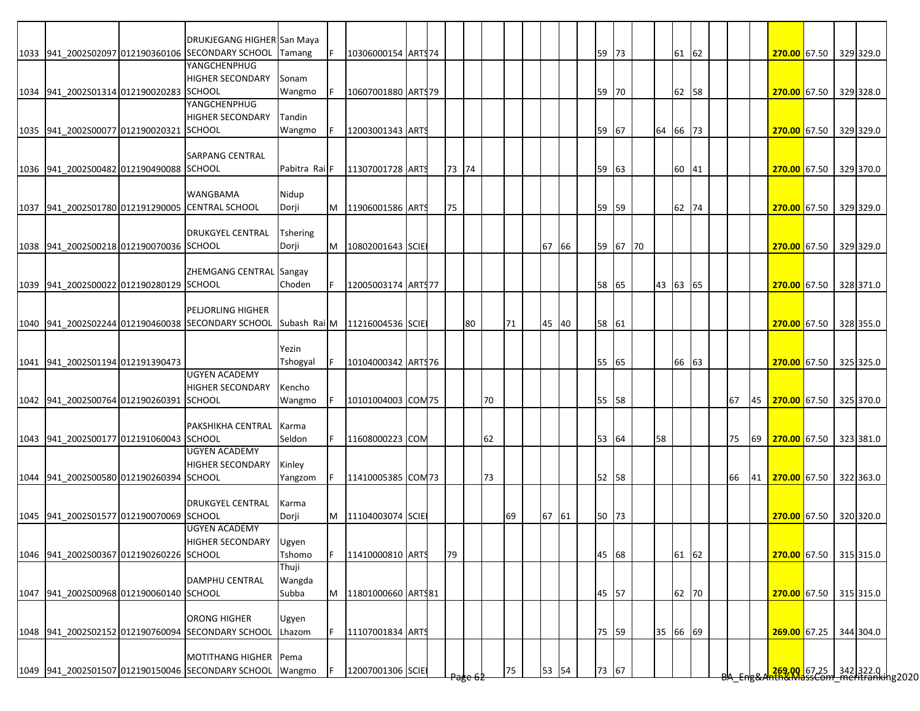|                                         | DRUKJEGANG HIGHER San Maya                                                      |                          |   |                    |  |       |    |    |    |       |  |       |          |          |       |  |    |    |                           |  |                                                         |
|-----------------------------------------|---------------------------------------------------------------------------------|--------------------------|---|--------------------|--|-------|----|----|----|-------|--|-------|----------|----------|-------|--|----|----|---------------------------|--|---------------------------------------------------------|
|                                         | 1033 941 2002S02097 012190360106 SECONDARY SCHOOL                               | Tamang                   |   | 10306000154 ARTS74 |  |       |    |    |    |       |  | 59 73 |          |          | 61 62 |  |    |    | 270.00 67.50 329 329.0    |  |                                                         |
|                                         | YANGCHENPHUG                                                                    |                          |   |                    |  |       |    |    |    |       |  |       |          |          |       |  |    |    |                           |  |                                                         |
|                                         | <b>HIGHER SECONDARY</b>                                                         | Sonam                    |   |                    |  |       |    |    |    |       |  |       |          |          |       |  |    |    |                           |  |                                                         |
| 1034 941_2002S01314 012190020283 SCHOOL |                                                                                 | Wangmo                   |   | 10607001880 ARTS79 |  |       |    |    |    |       |  | 59    | 70       |          | 62 58 |  |    |    | 270.00 67.50 329 328.0    |  |                                                         |
|                                         | YANGCHENPHUG                                                                    |                          |   |                    |  |       |    |    |    |       |  |       |          |          |       |  |    |    |                           |  |                                                         |
|                                         | <b>HIGHER SECONDARY</b>                                                         | Tandin                   |   |                    |  |       |    |    |    |       |  |       |          |          |       |  |    |    |                           |  |                                                         |
| 1035 941_2002S00077 012190020321 SCHOOL |                                                                                 | Wangmo                   |   | 12003001343 ARTS   |  |       |    |    |    |       |  | 59 67 |          | 64 66 73 |       |  |    |    | 270.00 67.50 329 329.0    |  |                                                         |
|                                         |                                                                                 |                          |   |                    |  |       |    |    |    |       |  |       |          |          |       |  |    |    |                           |  |                                                         |
|                                         | <b>SARPANG CENTRAL</b>                                                          |                          |   |                    |  |       |    |    |    |       |  |       |          |          |       |  |    |    |                           |  |                                                         |
| 1036 941 2002S00482 012190490088 SCHOOL |                                                                                 |                          |   |                    |  | 73 74 |    |    |    |       |  |       |          |          |       |  |    |    | 270.00 67.50 329 370.0    |  |                                                         |
|                                         |                                                                                 | Pabitra Rai <sup>F</sup> |   | 11307001728 ARTS   |  |       |    |    |    |       |  | 59    | 63       |          | 60 41 |  |    |    |                           |  |                                                         |
|                                         |                                                                                 |                          |   |                    |  |       |    |    |    |       |  |       |          |          |       |  |    |    |                           |  |                                                         |
|                                         | <b>WANGBAMA</b>                                                                 | Nidup                    |   |                    |  |       |    |    |    |       |  |       |          |          |       |  |    |    |                           |  |                                                         |
|                                         | 1037 941 2002S01780 012191290005 CENTRAL SCHOOL                                 | Dorji                    | M | 11906001586 ARTS   |  | 75    |    |    |    |       |  | 59    | 59       |          | 62 74 |  |    |    | 270.00 67.50 329 329.0    |  |                                                         |
|                                         |                                                                                 |                          |   |                    |  |       |    |    |    |       |  |       |          |          |       |  |    |    |                           |  |                                                         |
|                                         | <b>DRUKGYEL CENTRAL</b>                                                         | <b>Tshering</b>          |   |                    |  |       |    |    |    |       |  |       |          |          |       |  |    |    |                           |  |                                                         |
| 1038 941 2002S00218 012190070036 SCHOOL |                                                                                 | Dorji                    | M | 10802001643 SCIE   |  |       |    |    |    | 67 66 |  |       | 59 67 70 |          |       |  |    |    | 270.00 67.50 329 329.0    |  |                                                         |
|                                         |                                                                                 |                          |   |                    |  |       |    |    |    |       |  |       |          |          |       |  |    |    |                           |  |                                                         |
|                                         | ZHEMGANG CENTRAL Sangay                                                         |                          |   |                    |  |       |    |    |    |       |  |       |          |          |       |  |    |    |                           |  |                                                         |
| 1039 941 2002S00022 012190280129 SCHOOL |                                                                                 | Choden                   |   | 12005003174 ARTS77 |  |       |    |    |    |       |  | 58    | 65       | 43 63 65 |       |  |    |    | 270.00 67.50 328 371.0    |  |                                                         |
|                                         |                                                                                 |                          |   |                    |  |       |    |    |    |       |  |       |          |          |       |  |    |    |                           |  |                                                         |
|                                         | <b>PELJORLING HIGHER</b>                                                        |                          |   |                    |  |       |    |    |    |       |  |       |          |          |       |  |    |    |                           |  |                                                         |
|                                         | 1040 941 2002S02244 012190460038 SECONDARY SCHOOL Subash Rai M 11216004536 SCIE |                          |   |                    |  |       | 80 |    | 71 | 45 40 |  | 58 61 |          |          |       |  |    |    | 270.00 67.50 328 355.0    |  |                                                         |
|                                         |                                                                                 |                          |   |                    |  |       |    |    |    |       |  |       |          |          |       |  |    |    |                           |  |                                                         |
|                                         |                                                                                 | Yezin                    |   |                    |  |       |    |    |    |       |  |       |          |          |       |  |    |    |                           |  |                                                         |
| 1041 941_2002S01194 012191390473        |                                                                                 | Tshogyal                 |   | 10104000342 ARTS76 |  |       |    |    |    |       |  | 55 65 |          |          | 66 63 |  |    |    | 270.00 67.50 325 325.0    |  |                                                         |
|                                         | <b>UGYEN ACADEMY</b>                                                            |                          |   |                    |  |       |    |    |    |       |  |       |          |          |       |  |    |    |                           |  |                                                         |
|                                         | <b>HIGHER SECONDARY</b>                                                         | Kencho                   |   |                    |  |       |    |    |    |       |  |       |          |          |       |  |    |    |                           |  |                                                         |
| 1042 941 2002S00764 012190260391 SCHOOL |                                                                                 | Wangmo                   |   | 10101004003 COM 75 |  |       |    | 70 |    |       |  | 55 58 |          |          |       |  | 67 | 45 | 270.00 67.50 325 370.0    |  |                                                         |
|                                         |                                                                                 |                          |   |                    |  |       |    |    |    |       |  |       |          |          |       |  |    |    |                           |  |                                                         |
|                                         | <b>PAKSHIKHA CENTRAL</b>                                                        | Karma                    |   |                    |  |       |    |    |    |       |  |       |          |          |       |  |    |    |                           |  |                                                         |
| 1043 941_2002S00177 012191060043 SCHOOL |                                                                                 | Seldon                   |   | 11608000223 COM    |  |       |    | 62 |    |       |  | 53 64 |          | 58       |       |  | 75 | 69 | 270.00 67.50 323 381.0    |  |                                                         |
|                                         | <b>UGYEN ACADEMY</b>                                                            |                          |   |                    |  |       |    |    |    |       |  |       |          |          |       |  |    |    |                           |  |                                                         |
|                                         | <b>HIGHER SECONDARY</b>                                                         | Kinley                   |   |                    |  |       |    |    |    |       |  |       |          |          |       |  |    |    |                           |  |                                                         |
| 1044 941 2002S00580 012190260394 SCHOOL |                                                                                 | Yangzom                  |   | 11410005385 COM73  |  |       |    | 73 |    |       |  | 52 58 |          |          |       |  | 66 |    | 41 270.00 67.50 322 363.0 |  |                                                         |
|                                         |                                                                                 |                          |   |                    |  |       |    |    |    |       |  |       |          |          |       |  |    |    |                           |  |                                                         |
|                                         | <b>DRUKGYEL CENTRAL</b>                                                         | Karma                    |   |                    |  |       |    |    |    |       |  |       |          |          |       |  |    |    |                           |  |                                                         |
| 1045 941 2002S01577 012190070069 SCHOOL |                                                                                 | Dorji                    | М | 11104003074 SCIE   |  |       |    |    | 69 | 67 61 |  | 50 73 |          |          |       |  |    |    | 270.00 67.50 320 320.0    |  |                                                         |
|                                         | <b>UGYEN ACADEMY</b>                                                            |                          |   |                    |  |       |    |    |    |       |  |       |          |          |       |  |    |    |                           |  |                                                         |
|                                         | <b>HIGHER SECONDARY</b>                                                         | Ugyen                    |   |                    |  |       |    |    |    |       |  |       |          |          |       |  |    |    |                           |  |                                                         |
| 1046 941 2002S00367 012190260226 SCHOOL |                                                                                 | Tshomo                   | F | 11410000810 ARTS   |  | 79    |    |    |    |       |  | 45 68 |          |          | 61 62 |  |    |    | 270.00 67.50 315 315.0    |  |                                                         |
|                                         |                                                                                 | Thuji                    |   |                    |  |       |    |    |    |       |  |       |          |          |       |  |    |    |                           |  |                                                         |
|                                         | <b>DAMPHU CENTRAL</b>                                                           | Wangda                   |   |                    |  |       |    |    |    |       |  |       |          |          |       |  |    |    |                           |  |                                                         |
| 1047 941 2002S00968 012190060140 SCHOOL |                                                                                 | Subba                    | M | 11801000660 ARTS81 |  |       |    |    |    |       |  | 45 57 |          |          | 62 70 |  |    |    | 270.00 67.50 315 315.0    |  |                                                         |
|                                         |                                                                                 |                          |   |                    |  |       |    |    |    |       |  |       |          |          |       |  |    |    |                           |  |                                                         |
|                                         | <b>ORONG HIGHER</b>                                                             | Ugyen                    |   |                    |  |       |    |    |    |       |  |       |          |          |       |  |    |    |                           |  |                                                         |
|                                         | 1048 941_2002S02152 012190760094 SECONDARY SCHOOL                               | Lhazom                   |   | 11107001834 ARTS   |  |       |    |    |    |       |  | 75 59 |          | 35 66 69 |       |  |    |    | 269.00 67.25              |  | 344 304.0                                               |
|                                         |                                                                                 |                          |   |                    |  |       |    |    |    |       |  |       |          |          |       |  |    |    |                           |  |                                                         |
|                                         | MOTITHANG HIGHER Pema                                                           |                          |   |                    |  |       |    |    |    |       |  |       |          |          |       |  |    |    |                           |  |                                                         |
|                                         |                                                                                 |                          |   |                    |  |       |    |    |    |       |  |       |          |          |       |  |    |    |                           |  |                                                         |
|                                         | 1049 941_2002S01507 012190150046 SECONDARY SCHOOL Wangmo                        |                          |   | 12007001306 SCIE   |  |       |    |    | 75 | 53 54 |  | 73 67 |          |          |       |  |    |    |                           |  | 269.00 67.25 342 322.0  <br>ARLWASSCOM MENtranking 2020 |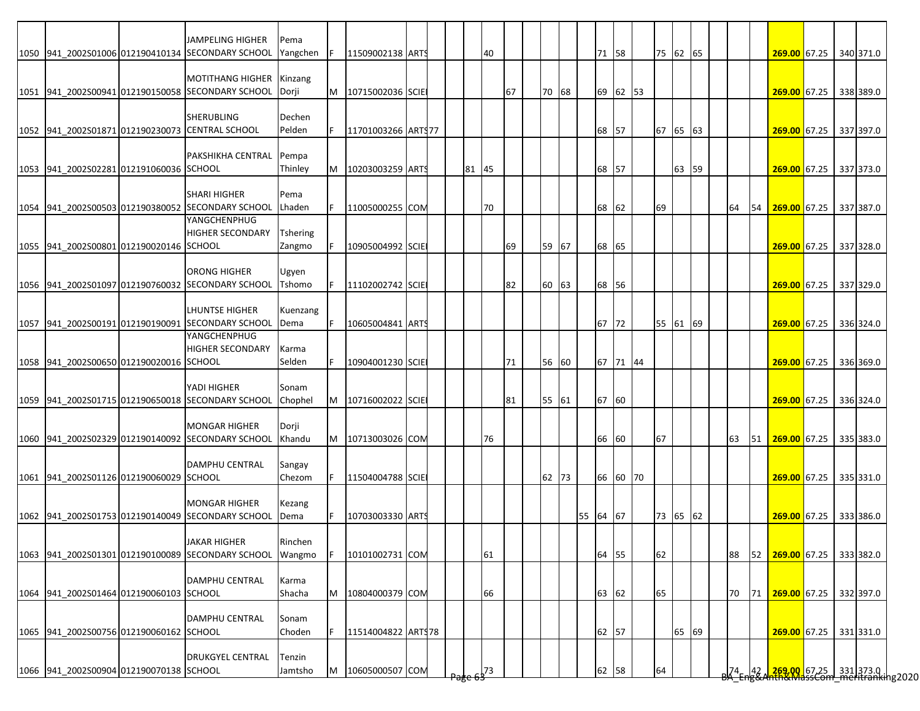|                                         |                                         | <b>JAMPELING HIGHER</b>                                           | Pema            |   |                    |  |       |    |       |          |       |          |          |       |  |    |    |                           |  |           |
|-----------------------------------------|-----------------------------------------|-------------------------------------------------------------------|-----------------|---|--------------------|--|-------|----|-------|----------|-------|----------|----------|-------|--|----|----|---------------------------|--|-----------|
|                                         |                                         | 1050 941 2002S01006 012190410134 SECONDARY SCHOOL                 | Yangchen        |   | 11509002138 ARTS   |  | 40    |    |       |          | 71 58 |          | 75 62 65 |       |  |    |    | 269.00 67.25 340 371.0    |  |           |
|                                         |                                         |                                                                   |                 |   |                    |  |       |    |       |          |       |          |          |       |  |    |    |                           |  |           |
|                                         |                                         | <b>MOTITHANG HIGHER</b>                                           | Kinzang         |   |                    |  |       |    |       |          |       |          |          |       |  |    |    |                           |  |           |
|                                         |                                         | 1051 941 2002S00941 012190150058 SECONDARY SCHOOL                 | Dorji           | M | 10715002036 SCIE   |  |       | 67 | 70 68 |          |       | 69 62 53 |          |       |  |    |    | 269.00 67.25              |  | 338 389.0 |
|                                         |                                         |                                                                   |                 |   |                    |  |       |    |       |          |       |          |          |       |  |    |    |                           |  |           |
|                                         |                                         | <b>SHERUBLING</b>                                                 | Dechen          |   |                    |  |       |    |       |          |       |          |          |       |  |    |    |                           |  |           |
|                                         |                                         | 1052 941 2002S01871 012190230073 CENTRAL SCHOOL                   | Pelden          |   | 11701003266 ARTS77 |  |       |    |       |          | 68 57 |          | 67 65 63 |       |  |    |    | 269.00 67.25 337 397.0    |  |           |
|                                         |                                         |                                                                   |                 |   |                    |  |       |    |       |          |       |          |          |       |  |    |    |                           |  |           |
|                                         |                                         | <b>PAKSHIKHA CENTRAL</b>                                          | Pempa           |   |                    |  |       |    |       |          |       |          |          |       |  |    |    |                           |  |           |
| 1053 941 2002S02281 012191060036 SCHOOL |                                         |                                                                   | Thinley         | M | 10203003259 ARTS   |  | 81 45 |    |       |          | 68 57 |          |          | 63 59 |  |    |    | 269.00 67.25 337 373.0    |  |           |
|                                         |                                         |                                                                   |                 |   |                    |  |       |    |       |          |       |          |          |       |  |    |    |                           |  |           |
|                                         |                                         | <b>SHARI HIGHER</b>                                               | Pema            |   |                    |  |       |    |       |          |       |          |          |       |  |    |    |                           |  |           |
|                                         |                                         | 1054 941 2002S00503 012190380052 SECONDARY SCHOOL                 | Lhaden          |   | 11005000255 COM    |  | 70    |    |       |          | 68 62 |          | 69       |       |  | 64 | 54 | 269.00 67.25              |  | 337 387.0 |
|                                         |                                         | YANGCHENPHUG                                                      |                 |   |                    |  |       |    |       |          |       |          |          |       |  |    |    |                           |  |           |
|                                         |                                         | <b>HIGHER SECONDARY</b>                                           | <b>Tshering</b> |   |                    |  |       |    |       |          |       |          |          |       |  |    |    |                           |  |           |
| 1055 941 2002S00801 012190020146 SCHOOL |                                         |                                                                   | Zangmo          |   | 10905004992 SCIE   |  |       | 69 | 59 67 |          | 68 65 |          |          |       |  |    |    | 269.00 67.25 337 328.0    |  |           |
|                                         |                                         |                                                                   |                 |   |                    |  |       |    |       |          |       |          |          |       |  |    |    |                           |  |           |
|                                         |                                         | <b>ORONG HIGHER</b>                                               | Ugyen           |   |                    |  |       |    |       |          |       |          |          |       |  |    |    |                           |  |           |
|                                         |                                         | 1056 941_2002S01097 012190760032 SECONDARY SCHOOL                 | Tshomo          |   | 11102002742 SCIE   |  |       | 82 | 60 63 |          | 68 56 |          |          |       |  |    |    | 269.00 67.25              |  | 337 329.0 |
|                                         |                                         |                                                                   |                 |   |                    |  |       |    |       |          |       |          |          |       |  |    |    |                           |  |           |
|                                         |                                         | <b>LHUNTSE HIGHER</b>                                             | Kuenzang        |   |                    |  |       |    |       |          |       |          |          |       |  |    |    |                           |  |           |
|                                         |                                         | 1057 941 2002S00191 012190190091 SECONDARY SCHOOL<br>YANGCHENPHUG | Dema            |   | 10605004841 ARTS   |  |       |    |       |          | 67 72 |          | 55 61 69 |       |  |    |    | 269.00 67.25 336 324.0    |  |           |
|                                         |                                         | <b>HIGHER SECONDARY</b>                                           | Karma           |   |                    |  |       |    |       |          |       |          |          |       |  |    |    |                           |  |           |
|                                         |                                         |                                                                   |                 |   |                    |  |       |    |       |          |       |          |          |       |  |    |    | 269.00 67.25              |  |           |
| 1058 941 2002S00650 012190020016 SCHOOL |                                         |                                                                   | Selden          |   | 10904001230 SCIE   |  |       | 71 | 56 60 |          |       | 67 71 44 |          |       |  |    |    |                           |  | 336 369.0 |
|                                         |                                         | YADI HIGHER                                                       | Sonam           |   |                    |  |       |    |       |          |       |          |          |       |  |    |    |                           |  |           |
|                                         |                                         | 1059 941 2002S01715 012190650018 SECONDARY SCHOOL                 | Chophel         | M | 10716002022 SCIE   |  |       | 81 |       |          | 67 60 |          |          |       |  |    |    | 269.00 67.25              |  |           |
|                                         |                                         |                                                                   |                 |   |                    |  |       |    | 55 61 |          |       |          |          |       |  |    |    |                           |  | 336 324.0 |
|                                         |                                         | <b>MONGAR HIGHER</b>                                              | Dorji           |   |                    |  |       |    |       |          |       |          |          |       |  |    |    |                           |  |           |
|                                         |                                         | 1060 941 2002S02329 012190140092 SECONDARY SCHOOL                 | Khandu          | M | 10713003026 COM    |  | 76    |    |       |          | 66 60 |          | 67       |       |  | 63 |    | 51 269.00 67.25 335 383.0 |  |           |
|                                         |                                         |                                                                   |                 |   |                    |  |       |    |       |          |       |          |          |       |  |    |    |                           |  |           |
|                                         |                                         | <b>DAMPHU CENTRAL</b>                                             | Sangay          |   |                    |  |       |    |       |          |       |          |          |       |  |    |    |                           |  |           |
| 1061 941_2002S01126 012190060029 SCHOOL |                                         |                                                                   | Chezom          |   | 11504004788 SCIE   |  |       |    | 62 73 |          |       | 66 60 70 |          |       |  |    |    | 269.00 67.25              |  | 335 331.0 |
|                                         |                                         |                                                                   |                 |   |                    |  |       |    |       |          |       |          |          |       |  |    |    |                           |  |           |
|                                         |                                         | <b>MONGAR HIGHER</b>                                              | Kezang          |   |                    |  |       |    |       |          |       |          |          |       |  |    |    |                           |  |           |
|                                         |                                         | 1062 941 2002S01753 012190140049 SECONDARY SCHOOL                 | Dema            |   | 10703003330 ARTS   |  |       |    |       | 55 64 67 |       |          | 73       | 65 62 |  |    |    | 269.00 67.25              |  | 333 386.0 |
|                                         |                                         |                                                                   |                 |   |                    |  |       |    |       |          |       |          |          |       |  |    |    |                           |  |           |
|                                         |                                         | <b>JAKAR HIGHER</b>                                               | Rinchen         |   |                    |  |       |    |       |          |       |          |          |       |  |    |    |                           |  |           |
|                                         |                                         | 1063 941 2002S01301 012190100089 SECONDARY SCHOOL                 | Wangmo          |   | 10101002731 COM    |  | 61    |    |       |          | 64 55 |          | 62       |       |  | 88 | 52 | 269.00 67.25 333 382.0    |  |           |
|                                         |                                         |                                                                   |                 |   |                    |  |       |    |       |          |       |          |          |       |  |    |    |                           |  |           |
|                                         |                                         | <b>DAMPHU CENTRAL</b>                                             | Karma           |   |                    |  |       |    |       |          |       |          |          |       |  |    |    |                           |  |           |
| 1064 941_2002S01464 012190060103 SCHOOL |                                         |                                                                   | Shacha          | м | 10804000379 COM    |  | 66    |    |       |          | 63 62 |          | 65       |       |  | 70 | 71 | 269.00 67.25              |  | 332 397.0 |
|                                         |                                         |                                                                   |                 |   |                    |  |       |    |       |          |       |          |          |       |  |    |    |                           |  |           |
|                                         |                                         | <b>DAMPHU CENTRAL</b>                                             | Sonam           |   |                    |  |       |    |       |          |       |          |          |       |  |    |    |                           |  |           |
|                                         | 1065 941_2002S00756 012190060162 SCHOOL |                                                                   | Choden          |   | 11514004822 ARTS78 |  |       |    |       |          | 62 57 |          |          | 65 69 |  |    |    | 269.00 67.25 331 331.0    |  |           |
|                                         |                                         |                                                                   |                 |   |                    |  |       |    |       |          |       |          |          |       |  |    |    |                           |  |           |
|                                         |                                         |                                                                   |                 |   |                    |  |       |    |       |          |       |          |          |       |  |    |    |                           |  |           |
|                                         |                                         | <b>DRUKGYEL CENTRAL</b>                                           | Tenzin          |   |                    |  |       |    |       |          |       |          |          |       |  |    |    |                           |  |           |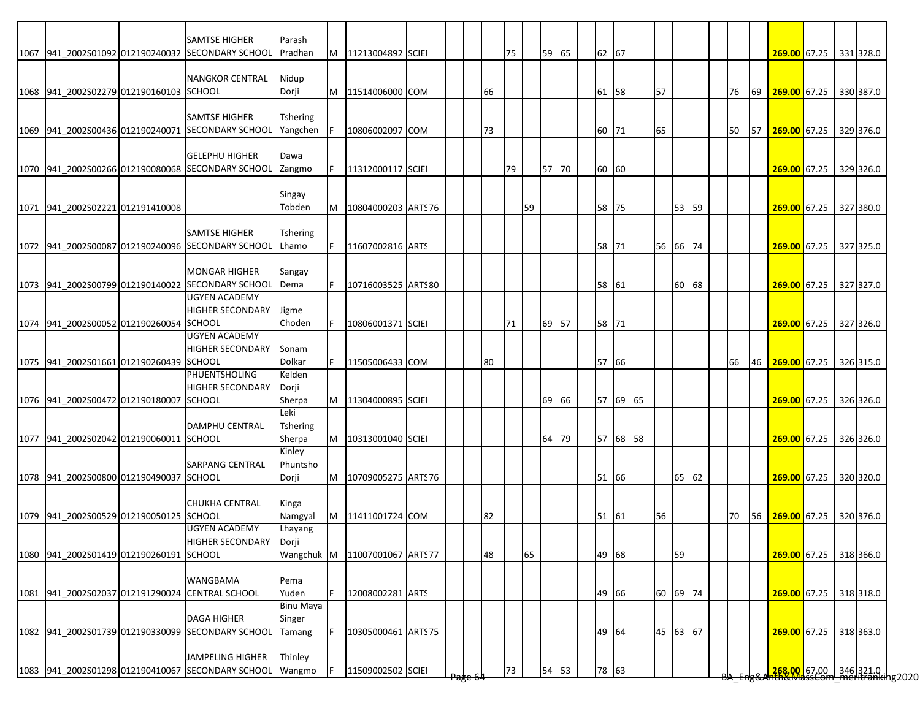|                                         | <b>SAMTSE HIGHER</b>                              | Parash           |   |                    |  |    |    |    |       |    |          |    |          |  |    |    |                                                                       |  |  |
|-----------------------------------------|---------------------------------------------------|------------------|---|--------------------|--|----|----|----|-------|----|----------|----|----------|--|----|----|-----------------------------------------------------------------------|--|--|
|                                         | 1067 941 2002S01092 012190240032 SECONDARY SCHOOL | Pradhan          | M | 11213004892 SCIE   |  |    | 75 |    | 59 65 |    | 62 67    |    |          |  |    |    | 269.00 67.25 331 328.0                                                |  |  |
|                                         |                                                   |                  |   |                    |  |    |    |    |       |    |          |    |          |  |    |    |                                                                       |  |  |
|                                         | <b>NANGKOR CENTRAL</b>                            | Nidup            |   |                    |  |    |    |    |       |    |          |    |          |  |    |    |                                                                       |  |  |
|                                         |                                                   |                  |   | 11514006000 COM    |  |    |    |    |       |    |          | 57 |          |  |    |    |                                                                       |  |  |
| 1068 941 2002S02279 012190160103 SCHOOL |                                                   | Dorji            | M |                    |  | 66 |    |    |       | 61 | 58       |    |          |  | 76 | 69 | 269.00 67.25 330 387.0                                                |  |  |
|                                         |                                                   |                  |   |                    |  |    |    |    |       |    |          |    |          |  |    |    |                                                                       |  |  |
|                                         | <b>SAMTSE HIGHER</b>                              | Tshering         |   |                    |  |    |    |    |       |    |          |    |          |  |    |    |                                                                       |  |  |
|                                         | 1069 941_2002S00436 012190240071 SECONDARY SCHOOL | Yangchen         |   | 10806002097 COM    |  | 73 |    |    |       | 60 | 71       | 65 |          |  | 50 | 57 | 269.00 67.25 329 376.0                                                |  |  |
|                                         |                                                   |                  |   |                    |  |    |    |    |       |    |          |    |          |  |    |    |                                                                       |  |  |
|                                         | <b>GELEPHU HIGHER</b>                             | Dawa             |   |                    |  |    |    |    |       |    |          |    |          |  |    |    |                                                                       |  |  |
|                                         | 1070 941 2002S00266 012190080068 SECONDARY SCHOOL | Zangmo           |   | 11312000117 SCIE   |  |    | 79 |    | 57 70 |    | 60 60    |    |          |  |    |    | 269.00 67.25 329 326.0                                                |  |  |
|                                         |                                                   |                  |   |                    |  |    |    |    |       |    |          |    |          |  |    |    |                                                                       |  |  |
|                                         |                                                   | Singay           |   |                    |  |    |    |    |       |    |          |    |          |  |    |    |                                                                       |  |  |
| 1071 941_2002S02221 012191410008        |                                                   | Tobden           | M | 10804000203 ARTS76 |  |    |    | 59 |       | 58 | 75       |    | 53 59    |  |    |    | 269.00 67.25 327 380.0                                                |  |  |
|                                         |                                                   |                  |   |                    |  |    |    |    |       |    |          |    |          |  |    |    |                                                                       |  |  |
|                                         | <b>SAMTSE HIGHER</b>                              | <b>Tshering</b>  |   |                    |  |    |    |    |       |    |          |    |          |  |    |    |                                                                       |  |  |
|                                         | 1072 941 2002S00087 012190240096 SECONDARY SCHOOL | Lhamo            |   | 11607002816 ARTS   |  |    |    |    |       |    | 58 71    |    | 56 66 74 |  |    |    | 269.00 67.25 327 325.0                                                |  |  |
|                                         |                                                   |                  |   |                    |  |    |    |    |       |    |          |    |          |  |    |    |                                                                       |  |  |
|                                         | <b>MONGAR HIGHER</b>                              | Sangay           |   |                    |  |    |    |    |       |    |          |    |          |  |    |    |                                                                       |  |  |
|                                         | 1073 941_2002S00799 012190140022 SECONDARY SCHOOL | Dema             |   | 10716003525 ARTS80 |  |    |    |    |       |    | 58 61    |    | 60 68    |  |    |    | 269.00 67.25 327 327.0                                                |  |  |
|                                         | <b>UGYEN ACADEMY</b>                              |                  |   |                    |  |    |    |    |       |    |          |    |          |  |    |    |                                                                       |  |  |
|                                         | <b>HIGHER SECONDARY</b>                           | Jigme            |   |                    |  |    |    |    |       |    |          |    |          |  |    |    |                                                                       |  |  |
| 1074 941 2002S00052 012190260054 SCHOOL |                                                   | Choden           |   | 10806001371 SCIE   |  |    | 71 |    | 69 57 |    | 58 71    |    |          |  |    |    | 269.00 67.25 327 326.0                                                |  |  |
|                                         | <b>UGYEN ACADEMY</b>                              |                  |   |                    |  |    |    |    |       |    |          |    |          |  |    |    |                                                                       |  |  |
|                                         | <b>HIGHER SECONDARY</b>                           | Sonam            |   |                    |  |    |    |    |       |    |          |    |          |  |    |    |                                                                       |  |  |
| 1075 941 2002S01661 012190260439 SCHOOL |                                                   | Dolkar           |   | 11505006433 COM    |  | 80 |    |    |       |    | 57 66    |    |          |  | 66 | 46 | 269.00 67.25 326 315.0                                                |  |  |
|                                         | PHUENTSHOLING                                     | Kelden           |   |                    |  |    |    |    |       |    |          |    |          |  |    |    |                                                                       |  |  |
|                                         | <b>HIGHER SECONDARY</b>                           | Dorji            |   |                    |  |    |    |    |       |    |          |    |          |  |    |    |                                                                       |  |  |
| 1076 941 2002S00472 012190180007 SCHOOL |                                                   | Sherpa           | M | 11304000895 SCIE   |  |    |    |    | 69 66 |    | 57 69 65 |    |          |  |    |    | 269.00 67.25 326 326.0                                                |  |  |
|                                         |                                                   | Leki             |   |                    |  |    |    |    |       |    |          |    |          |  |    |    |                                                                       |  |  |
|                                         | <b>DAMPHU CENTRAL</b>                             | <b>Tshering</b>  |   |                    |  |    |    |    |       |    |          |    |          |  |    |    |                                                                       |  |  |
| 1077 941 2002S02042 012190060011 SCHOOL |                                                   | Sherpa           | M | 10313001040 SCIE   |  |    |    |    | 64 79 |    | 57 68 58 |    |          |  |    |    | 269.00 67.25 326 326.0                                                |  |  |
|                                         |                                                   | Kinley           |   |                    |  |    |    |    |       |    |          |    |          |  |    |    |                                                                       |  |  |
|                                         | <b>SARPANG CENTRAL</b>                            | Phuntsho         |   |                    |  |    |    |    |       |    |          |    |          |  |    |    |                                                                       |  |  |
| 1078 941 2002S00800 012190490037 SCHOOL |                                                   | Dorji            | M | 10709005275 ARTS76 |  |    |    |    |       |    | 51 66    |    | 65 62    |  |    |    | 269.00 67.25 320 320.0                                                |  |  |
|                                         |                                                   |                  |   |                    |  |    |    |    |       |    |          |    |          |  |    |    |                                                                       |  |  |
|                                         | <b>CHUKHA CENTRAL</b>                             | Kinga            |   |                    |  |    |    |    |       |    |          |    |          |  |    |    |                                                                       |  |  |
| 1079 941 2002S00529 012190050125 SCHOOL |                                                   | Namgyal          | M | 11411001724 COM    |  | 82 |    |    |       |    | 51 61    | 56 |          |  | 70 | 56 | 269.00 67.25 320 376.0                                                |  |  |
|                                         | <b>UGYEN ACADEMY</b>                              | Lhayang          |   |                    |  |    |    |    |       |    |          |    |          |  |    |    |                                                                       |  |  |
|                                         | <b>HIGHER SECONDARY</b>                           | Dorji            |   |                    |  |    |    |    |       |    |          |    |          |  |    |    |                                                                       |  |  |
| 1080 941 2002S01419 012190260191 SCHOOL |                                                   | Wangchuk M       |   | 11007001067 ARTS77 |  | 48 |    | 65 |       |    | 49 68    |    | 59       |  |    |    | 269.00 67.25 318 366.0                                                |  |  |
|                                         |                                                   |                  |   |                    |  |    |    |    |       |    |          |    |          |  |    |    |                                                                       |  |  |
|                                         | <b>WANGBAMA</b>                                   | Pema             |   |                    |  |    |    |    |       |    |          |    |          |  |    |    |                                                                       |  |  |
|                                         | 1081 941 2002S02037 012191290024 CENTRAL SCHOOL   | Yuden            |   | 12008002281 ARTS   |  |    |    |    |       |    | 49 66    |    | 60 69 74 |  |    |    | 269.00 67.25 318 318.0                                                |  |  |
|                                         |                                                   | <b>Binu Maya</b> |   |                    |  |    |    |    |       |    |          |    |          |  |    |    |                                                                       |  |  |
|                                         | <b>DAGA HIGHER</b>                                |                  |   |                    |  |    |    |    |       |    |          |    |          |  |    |    |                                                                       |  |  |
|                                         |                                                   | Singer           |   |                    |  |    |    |    |       |    |          |    |          |  |    |    |                                                                       |  |  |
|                                         | 1082 941_2002S01739 012190330099 SECONDARY SCHOOL | Tamang           |   | 10305000461 ARTS75 |  |    |    |    |       |    | 49 64    |    | 45 63 67 |  |    |    | 269.00 67.25 318 363.0                                                |  |  |
|                                         |                                                   |                  |   |                    |  |    |    |    |       |    |          |    |          |  |    |    |                                                                       |  |  |
|                                         | <b>JAMPELING HIGHER</b>                           | Thinley          |   |                    |  |    |    |    |       |    |          |    |          |  |    |    |                                                                       |  |  |
|                                         | 1083 941_2002S01298 012190410067 SECONDARY SCHOOL | Wangmo           |   | 11509002502 SCIE   |  |    | 73 |    | 54 53 |    | 78 63    |    |          |  |    |    | <mark>.268.00.</mark> 67.00 346 321.0<br>hth&MassCom meritranking2020 |  |  |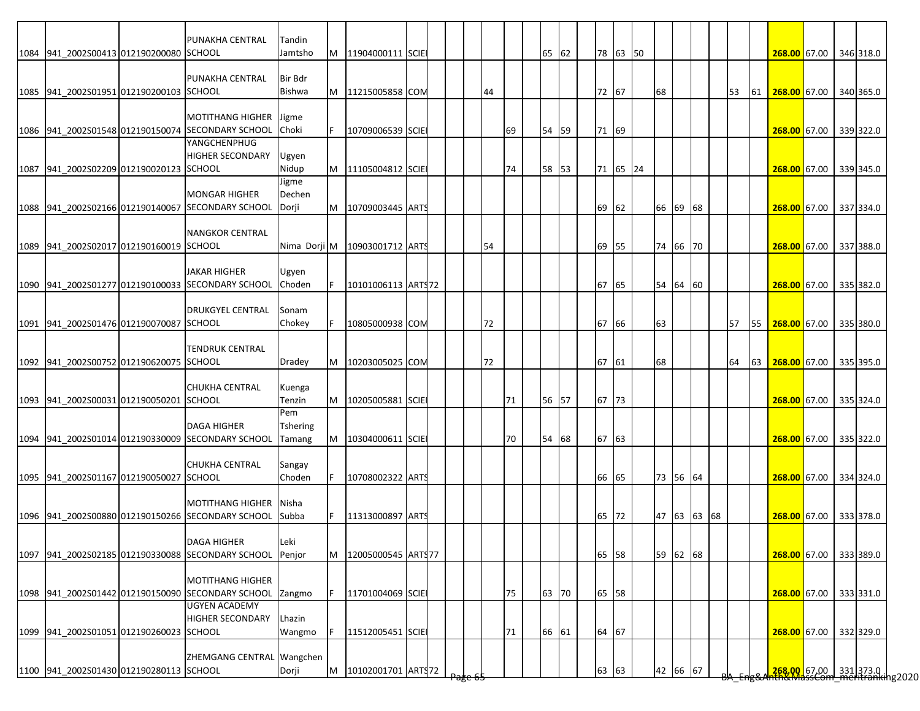|                                         | PUNAKHA CENTRAL                                                              | Tandin           |    |                               |  |     |    |    |       |    |       |          |    |             |  |           |    |                                                                      |  |           |
|-----------------------------------------|------------------------------------------------------------------------------|------------------|----|-------------------------------|--|-----|----|----|-------|----|-------|----------|----|-------------|--|-----------|----|----------------------------------------------------------------------|--|-----------|
| 1084 941 2002S00413 012190200080 SCHOOL |                                                                              | Jamtsho          | M  | 11904000111 SCIE              |  |     |    |    | 65 62 |    |       | 78 63 50 |    |             |  |           |    | 268.00 67.00                                                         |  | 346 318.0 |
|                                         | PUNAKHA CENTRAL                                                              | <b>Bir Bdr</b>   |    |                               |  |     |    |    |       |    |       |          |    |             |  |           |    |                                                                      |  |           |
| 1085 941 2002S01951 012190200103 SCHOOL |                                                                              | <b>Bishwa</b>    |    | M 11215005858 COM             |  |     | 44 |    |       |    | 72 67 |          | 68 |             |  | <b>53</b> |    | 61 268.00 67.00                                                      |  | 340 365.0 |
|                                         |                                                                              |                  |    |                               |  |     |    |    |       |    |       |          |    |             |  |           |    |                                                                      |  |           |
|                                         | <b>MOTITHANG HIGHER</b><br>1086 941 2002S01548 012190150074 SECONDARY SCHOOL | Jigme<br>Choki   | F. | 10709006539 SCIE              |  |     |    | 69 | 54 59 |    | 71 69 |          |    |             |  |           |    | 268.00 67.00                                                         |  | 339 322.0 |
|                                         | YANGCHENPHUG                                                                 |                  |    |                               |  |     |    |    |       |    |       |          |    |             |  |           |    |                                                                      |  |           |
|                                         | <b>HIGHER SECONDARY</b>                                                      | Ugyen            |    |                               |  |     |    |    |       |    |       |          |    |             |  |           |    |                                                                      |  |           |
| 1087 941 2002S02209 012190020123 SCHOOL |                                                                              | Nidup<br>Jigme   |    | M 11105004812 SCIE            |  |     |    | 74 | 58 53 |    |       | 71 65 24 |    |             |  |           |    | 268.00 67.00                                                         |  | 339 345.0 |
|                                         | <b>MONGAR HIGHER</b>                                                         | Dechen           |    |                               |  |     |    |    |       |    |       |          |    |             |  |           |    |                                                                      |  |           |
|                                         | 1088 941_2002S02166 012190140067 SECONDARY SCHOOL                            | Dorji            | M  | 10709003445 ART               |  |     |    |    |       | 69 | 62    |          |    | 66 69 68    |  |           |    | 268.00 67.00                                                         |  | 337 334.0 |
|                                         | <b>NANGKOR CENTRAL</b>                                                       |                  |    |                               |  |     |    |    |       |    |       |          |    |             |  |           |    |                                                                      |  |           |
| 1089 941 2002S02017 012190160019 SCHOOL |                                                                              |                  |    | Nima Dorji M 10903001712 ARTS |  |     | 54 |    |       |    | 69 55 |          |    | 74 66 70    |  |           |    | 268.00 67.00                                                         |  | 337 388.0 |
|                                         | <b>JAKAR HIGHER</b>                                                          |                  |    |                               |  |     |    |    |       |    |       |          |    |             |  |           |    |                                                                      |  |           |
|                                         | 1090 941 2002S01277 012190100033 SECONDARY SCHOOL                            | Ugyen<br>Choden  |    | 10101006113 ARTS72            |  |     |    |    |       |    | 67 65 |          |    | 54 64 60    |  |           |    | 268.00 67.00                                                         |  | 335 382.0 |
|                                         |                                                                              |                  |    |                               |  |     |    |    |       |    |       |          |    |             |  |           |    |                                                                      |  |           |
|                                         | <b>DRUKGYEL CENTRAL</b>                                                      | Sonam            |    |                               |  |     |    |    |       |    |       |          |    |             |  |           |    |                                                                      |  |           |
| 1091 941 2002S01476 012190070087 SCHOOL |                                                                              | Chokey           |    | 10805000938 COM               |  |     | 72 |    |       |    | 67 66 |          | 63 |             |  | 57        |    | 55 268.00 67.00                                                      |  | 335 380.0 |
|                                         | <b>TENDRUK CENTRAL</b>                                                       |                  |    |                               |  |     |    |    |       |    |       |          |    |             |  |           |    |                                                                      |  |           |
| 1092 941 2002S00752 012190620075 SCHOOL |                                                                              | Dradey           | M  | 10203005025 COM               |  |     | 72 |    |       |    | 67 61 |          | 68 |             |  | 64        | 63 | 268.00 67.00                                                         |  | 335 395.0 |
|                                         | <b>CHUKHA CENTRAL</b>                                                        | Kuenga           |    |                               |  |     |    |    |       |    |       |          |    |             |  |           |    |                                                                      |  |           |
| 1093 941 2002S00031 012190050201 SCHOOL |                                                                              | Tenzin           | M  | 10205005881 SCIE              |  |     |    | 71 | 56 57 |    | 67 73 |          |    |             |  |           |    | 268.00 67.00                                                         |  | 335 324.0 |
|                                         | <b>DAGA HIGHER</b>                                                           | Pem<br>Tshering  |    |                               |  |     |    |    |       |    |       |          |    |             |  |           |    |                                                                      |  |           |
|                                         | 1094 941 2002S01014 012190330009 SECONDARY SCHOOL                            | Tamang           | M  | 10304000611 SCIE              |  |     |    | 70 | 54 68 |    | 67 63 |          |    |             |  |           |    | 268.00 67.00                                                         |  | 335 322.0 |
|                                         |                                                                              |                  |    |                               |  |     |    |    |       |    |       |          |    |             |  |           |    |                                                                      |  |           |
| 1095 941_2002S01167 012190050027 SCHOOL | <b>CHUKHA CENTRAL</b>                                                        | Sangay<br>Choden | F  | 10708002322 ARTS              |  |     |    |    |       |    | 66 65 |          |    | 73 56 64    |  |           |    | 268.00 67.00                                                         |  | 334 324.0 |
|                                         |                                                                              |                  |    |                               |  |     |    |    |       |    |       |          |    |             |  |           |    |                                                                      |  |           |
|                                         | <b>MOTITHANG HIGHER</b>                                                      | Nisha            |    |                               |  |     |    |    |       |    |       |          |    |             |  |           |    |                                                                      |  |           |
|                                         | 1096 941 2002S00880 012190150266 SECONDARY SCHOOL                            | <b>Subba</b>     |    | 11313000897 ARTS              |  |     |    |    |       | 65 | 72    |          |    | 47 63 63 68 |  |           |    | 268.00 67.00                                                         |  | 333 378.0 |
|                                         | <b>DAGA HIGHER</b>                                                           | lLeki            |    |                               |  |     |    |    |       |    |       |          |    |             |  |           |    |                                                                      |  |           |
|                                         | 1097 941 2002S02185 012190330088 SECONDARY SCHOOL                            | Penjor           | M  | 12005000545 ARTS77            |  |     |    |    |       |    | 65 58 |          |    | 59 62 68    |  |           |    | 268.00 67.00                                                         |  | 333 389.0 |
|                                         | <b>MOTITHANG HIGHER</b>                                                      |                  |    |                               |  |     |    |    |       |    |       |          |    |             |  |           |    |                                                                      |  |           |
|                                         | 1098 941 2002S01442 012190150090 SECONDARY SCHOOL                            | Zangmo           |    | 11701004069 SCIE              |  |     |    | 75 | 63 70 |    | 65 58 |          |    |             |  |           |    | 268.00 67.00 333 331.0                                               |  |           |
|                                         | <b>UGYEN ACADEMY</b>                                                         |                  |    |                               |  |     |    |    |       |    |       |          |    |             |  |           |    |                                                                      |  |           |
| 1099 941_2002S01051 012190260023 SCHOOL | <b>HIGHER SECONDARY</b>                                                      | Lhazin<br>Wangmo |    | 11512005451 SCIE              |  |     |    | 71 | 66 61 |    | 64 67 |          |    |             |  |           |    | 268.00 67.00                                                         |  | 332 329.0 |
|                                         |                                                                              |                  |    |                               |  |     |    |    |       |    |       |          |    |             |  |           |    |                                                                      |  |           |
|                                         | ZHEMGANG CENTRAL Wangchen                                                    |                  |    |                               |  |     |    |    |       |    |       |          |    |             |  |           |    |                                                                      |  |           |
| 1100 941_2002S01430 012190280113 SCHOOL |                                                                              | Dorji            | M  | 10102001701 ARTS72            |  | चहर |    |    |       |    | 63 63 |          |    | 42 66 67    |  |           |    | <mark>.268.00.</mark> 67.00 331373.0<br>hth&MassCom meritranking2020 |  |           |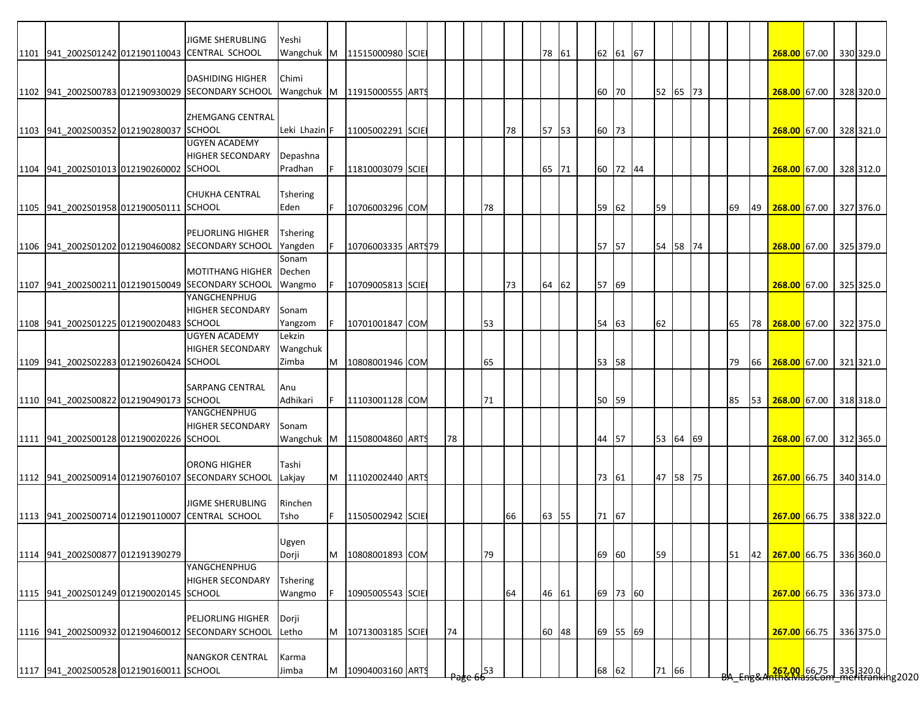|                                         | <b>JIGME SHERUBLING</b>                           | Yeshi             |    |                                 |  |    |    |    |       |       |          |          |    |          |  |    |    |                                                            |  |           |
|-----------------------------------------|---------------------------------------------------|-------------------|----|---------------------------------|--|----|----|----|-------|-------|----------|----------|----|----------|--|----|----|------------------------------------------------------------|--|-----------|
|                                         | 1101 941_2002S01242 012190110043 CENTRAL SCHOOL   |                   |    | Wangchuk M 11515000980 SCIE     |  |    |    |    |       | 78 61 |          | 62 61 67 |    |          |  |    |    | 268.00 67.00 330 329.0                                     |  |           |
|                                         | <b>DASHIDING HIGHER</b>                           | Chimi             |    |                                 |  |    |    |    |       |       |          |          |    |          |  |    |    |                                                            |  |           |
|                                         | 1102 941 2002S00783 012190930029 SECONDARY SCHOOL |                   |    | Wangchuk M   11915000555   ARTS |  |    |    |    |       |       | 60<br>70 |          |    | 52 65 73 |  |    |    | 268.00 67.00                                               |  | 328 320.0 |
|                                         |                                                   |                   |    |                                 |  |    |    |    |       |       |          |          |    |          |  |    |    |                                                            |  |           |
|                                         | <b>ZHEMGANG CENTRAL</b>                           |                   |    |                                 |  |    |    |    |       |       |          |          |    |          |  |    |    |                                                            |  |           |
| 1103 941 2002S00352 012190280037 SCHOOL |                                                   | Leki Lhazin F     |    | 11005002291 SCIE                |  |    |    | 78 | 57 53 |       | 60<br>73 |          |    |          |  |    |    | 268.00 67.00                                               |  | 328 321.0 |
|                                         | <b>UGYEN ACADEMY</b>                              |                   |    |                                 |  |    |    |    |       |       |          |          |    |          |  |    |    |                                                            |  |           |
|                                         | <b>HIGHER SECONDARY</b>                           | Depashna          |    |                                 |  |    |    |    |       |       |          |          |    |          |  |    |    |                                                            |  |           |
| 1104 941 2002S01013 012190260002 SCHOOL |                                                   | Pradhan           |    | 11810003079 SCIE                |  |    |    |    |       | 65 71 |          | 60 72 44 |    |          |  |    |    | 268.00 67.00                                               |  | 328 312.0 |
|                                         | <b>CHUKHA CENTRAL</b>                             | <b>Tshering</b>   |    |                                 |  |    |    |    |       |       |          |          |    |          |  |    |    |                                                            |  |           |
| 1105 941 2002S01958 012190050111 SCHOOL |                                                   | Eden              |    | 10706003296 COM                 |  |    | 78 |    |       |       | 59 62    |          | 59 |          |  | 69 | 49 | 268.00 67.00                                               |  | 327 376.0 |
|                                         |                                                   |                   |    |                                 |  |    |    |    |       |       |          |          |    |          |  |    |    |                                                            |  |           |
|                                         | <b>PELJORLING HIGHER</b>                          | <b>Tshering</b>   |    |                                 |  |    |    |    |       |       |          |          |    |          |  |    |    |                                                            |  |           |
|                                         | 1106 941 2002S01202 012190460082 SECONDARY SCHOOL | Yangden           |    | 10706003335 ARTS79              |  |    |    |    |       |       | 57 57    |          |    | 54 58 74 |  |    |    | 268.00 67.00                                               |  | 325 379.0 |
|                                         |                                                   | Sonam             |    |                                 |  |    |    |    |       |       |          |          |    |          |  |    |    |                                                            |  |           |
|                                         | <b>MOTITHANG HIGHER</b>                           | Dechen            |    |                                 |  |    |    |    |       |       |          |          |    |          |  |    |    |                                                            |  |           |
|                                         | 1107 941 2002S00211 012190150049 SECONDARY SCHOOL | Wangmo            |    | 10709005813 SCIE                |  |    |    | 73 | 64 62 |       | 57 69    |          |    |          |  |    |    | 268.00 67.00                                               |  | 325 325.0 |
|                                         | YANGCHENPHUG                                      |                   |    |                                 |  |    |    |    |       |       |          |          |    |          |  |    |    |                                                            |  |           |
|                                         | <b>HIGHER SECONDARY</b>                           | Sonam             |    |                                 |  |    |    |    |       |       |          |          |    |          |  |    |    |                                                            |  |           |
| 1108 941 2002S01225 012190020483 SCHOOL | <b>UGYEN ACADEMY</b>                              | Yangzom<br>Lekzin |    | 10701001847 COM                 |  |    | 53 |    |       |       | 54 63    |          | 62 |          |  | 65 |    | 78 <b>268.00</b> 67.00                                     |  | 322 375.0 |
|                                         | <b>HIGHER SECONDARY</b>                           | Wangchuk          |    |                                 |  |    |    |    |       |       |          |          |    |          |  |    |    |                                                            |  |           |
| 1109 941 2002S02283 012190260424 SCHOOL |                                                   | Zimba             | M  | 10808001946 COM                 |  |    | 65 |    |       |       | 53 58    |          |    |          |  | 79 | 66 | <b>268.00</b> 67.00                                        |  | 321 321.0 |
|                                         |                                                   |                   |    |                                 |  |    |    |    |       |       |          |          |    |          |  |    |    |                                                            |  |           |
|                                         | <b>SARPANG CENTRAL</b>                            | Anu               |    |                                 |  |    |    |    |       |       |          |          |    |          |  |    |    |                                                            |  |           |
| 1110 941 2002S00822 012190490173 SCHOOL |                                                   | Adhikari          | F. | 11103001128 COM                 |  |    | 71 |    |       |       | 50 59    |          |    |          |  | 85 | 53 | 268.00 67.00                                               |  | 318 318.0 |
|                                         | <b>YANGCHENPHUG</b>                               |                   |    |                                 |  |    |    |    |       |       |          |          |    |          |  |    |    |                                                            |  |           |
|                                         | <b>HIGHER SECONDARY</b>                           | Sonam             |    |                                 |  |    |    |    |       |       |          |          |    |          |  |    |    |                                                            |  |           |
| 1111 941 2002S00128 012190020226 SCHOOL |                                                   |                   |    | Wangchuk M   11508004860 ARTS   |  | 78 |    |    |       |       | 44 57    |          |    | 53 64 69 |  |    |    | 268.00 67.00 312 365.0                                     |  |           |
|                                         | <b>ORONG HIGHER</b>                               |                   |    |                                 |  |    |    |    |       |       |          |          |    |          |  |    |    |                                                            |  |           |
|                                         | 1112 941 2002S00914 012190760107 SECONDARY SCHOOL | Tashi             |    | M 11102002440 ARTS              |  |    |    |    |       |       | 73 61    |          |    | 47 58 75 |  |    |    | 267.00 66.75                                               |  | 340 314.0 |
|                                         |                                                   | Lakjay            |    |                                 |  |    |    |    |       |       |          |          |    |          |  |    |    |                                                            |  |           |
|                                         | <b>JIGME SHERUBLING</b>                           | Rinchen           |    |                                 |  |    |    |    |       |       |          |          |    |          |  |    |    |                                                            |  |           |
|                                         | 1113 941 2002S00714 012190110007 CENTRAL SCHOOL   | Tsho              | F. | 11505002942 SCIE                |  |    |    | 66 | 63 55 |       | 71 67    |          |    |          |  |    |    | 267.00 66.75                                               |  | 338 322.0 |
|                                         |                                                   |                   |    |                                 |  |    |    |    |       |       |          |          |    |          |  |    |    |                                                            |  |           |
|                                         |                                                   | Ugyen             |    |                                 |  |    |    |    |       |       |          |          |    |          |  |    |    |                                                            |  |           |
| 1114 941 2002S00877 012191390279        |                                                   | Dorji             | M  | 10808001893 COM                 |  |    | 79 |    |       |       | 69 60    |          | 59 |          |  | 51 | 42 | 267.00 66.75                                               |  | 336 360.0 |
|                                         | YANGCHENPHUG                                      |                   |    |                                 |  |    |    |    |       |       |          |          |    |          |  |    |    |                                                            |  |           |
|                                         | <b>HIGHER SECONDARY</b>                           | <b>Tshering</b>   |    |                                 |  |    |    |    |       |       |          |          |    |          |  |    |    |                                                            |  |           |
| 1115 941_2002S01249 012190020145 SCHOOL |                                                   | Wangmo            | F  | 10905005543 SCIE                |  |    |    | 64 | 46 61 |       |          | 69 73 60 |    |          |  |    |    | 267.00 66.75                                               |  | 336 373.0 |
|                                         | PELJORLING HIGHER                                 | Dorji             |    |                                 |  |    |    |    |       |       |          |          |    |          |  |    |    |                                                            |  |           |
|                                         | 1116 941_2002S00932 012190460012 SECONDARY SCHOOL | Letho             | M  | 10713003185 SCIE                |  | 74 |    |    | 60 48 |       |          | 69 55 69 |    |          |  |    |    | 267.00 66.75                                               |  | 336 375.0 |
|                                         |                                                   |                   |    |                                 |  |    |    |    |       |       |          |          |    |          |  |    |    |                                                            |  |           |
|                                         |                                                   |                   |    |                                 |  |    |    |    |       |       |          |          |    |          |  |    |    |                                                            |  |           |
|                                         | <b>NANGKOR CENTRAL</b>                            | Karma             |    |                                 |  |    |    |    |       |       |          |          |    |          |  |    |    | 267.00 66.75 335 320.0  <br>267.00   66.75   335 320.0   1 |  |           |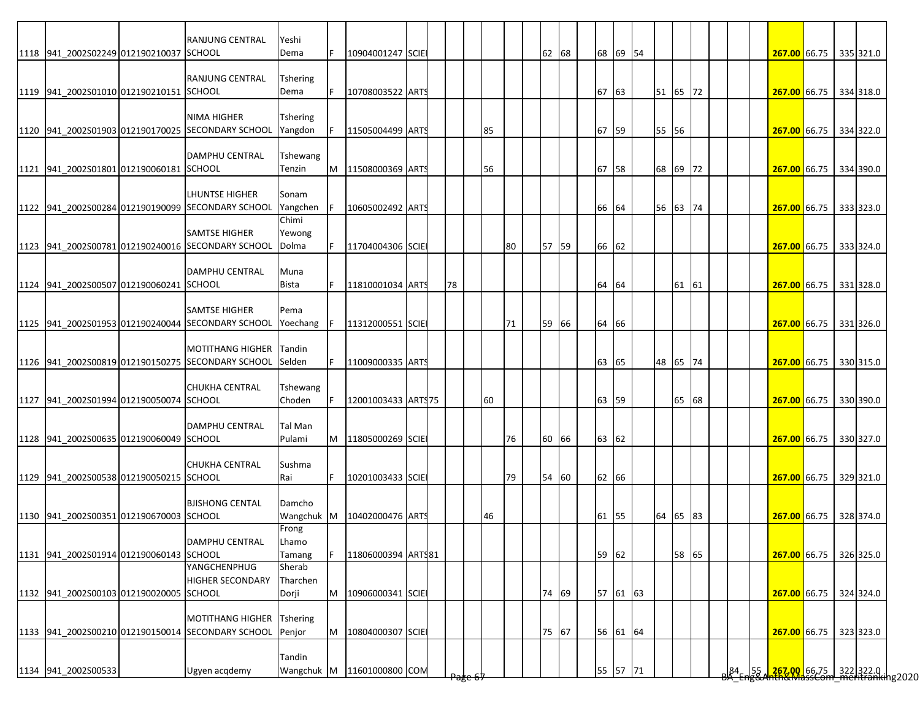|                                         | <b>RANJUNG CENTRAL</b>                            | Yeshi           |    |                     |  |    |                    |    |    |       |       |          |          |       |    |  |                                                                                              |  |           |
|-----------------------------------------|---------------------------------------------------|-----------------|----|---------------------|--|----|--------------------|----|----|-------|-------|----------|----------|-------|----|--|----------------------------------------------------------------------------------------------|--|-----------|
| 1118 941 2002S02249 012190210037 SCHOOL |                                                   | Dema            |    | 10904001247 SCIE    |  |    |                    |    |    | 62 68 |       | 68 69 54 |          |       |    |  | 267.00 66.75 335 321.0                                                                       |  |           |
|                                         |                                                   |                 |    |                     |  |    |                    |    |    |       |       |          |          |       |    |  |                                                                                              |  |           |
|                                         | <b>RANJUNG CENTRAL</b>                            | <b>Tshering</b> |    |                     |  |    |                    |    |    |       |       |          |          |       |    |  |                                                                                              |  |           |
| 1119 941 2002S01010 012190210151 SCHOOL |                                                   | Dema            |    | 10708003522 ARTS    |  |    |                    |    |    |       | 67 63 |          | 51 65 72 |       |    |  | 267.00 66.75                                                                                 |  | 334 318.0 |
|                                         |                                                   |                 |    |                     |  |    |                    |    |    |       |       |          |          |       |    |  |                                                                                              |  |           |
|                                         | <b>NIMA HIGHER</b>                                | Tshering        |    |                     |  |    |                    |    |    |       |       |          |          |       |    |  |                                                                                              |  |           |
|                                         | 1120 941_2002S01903 012190170025 SECONDARY SCHOOL | Yangdon         |    | 11505004499 ARTS    |  |    |                    | 85 |    |       | 67 59 |          | 55 56    |       |    |  | 267.00 66.75 334 322.0                                                                       |  |           |
|                                         |                                                   |                 |    |                     |  |    |                    |    |    |       |       |          |          |       |    |  |                                                                                              |  |           |
|                                         | <b>DAMPHU CENTRAL</b>                             | Tshewang        |    |                     |  |    |                    |    |    |       |       |          |          |       |    |  |                                                                                              |  |           |
| 1121 941 2002S01801 012190060181 SCHOOL |                                                   | Tenzin          | M  | 11508000369 ARTS    |  |    |                    | 56 |    |       | 67 58 |          | 68 69 72 |       |    |  | 267.00 66.75 334 390.0                                                                       |  |           |
|                                         |                                                   |                 |    |                     |  |    |                    |    |    |       |       |          |          |       |    |  |                                                                                              |  |           |
|                                         | LHUNTSE HIGHER                                    | Sonam           |    |                     |  |    |                    |    |    |       |       |          |          |       |    |  |                                                                                              |  |           |
|                                         | 1122 941 2002S00284 012190190099 SECONDARY SCHOOL | Yangchen        |    | 10605002492 ARTS    |  |    |                    |    |    |       | 66 64 |          | 56 63 74 |       |    |  | 267.00 66.75                                                                                 |  | 333 323.0 |
|                                         |                                                   | Chimi           |    |                     |  |    |                    |    |    |       |       |          |          |       |    |  |                                                                                              |  |           |
|                                         | <b>SAMTSE HIGHER</b>                              | Yewong          |    |                     |  |    |                    |    |    |       |       |          |          |       |    |  |                                                                                              |  |           |
|                                         | 1123 941 2002S00781 012190240016 SECONDARY SCHOOL | Dolma           |    | 11704004306 SCIE    |  |    |                    |    | 80 | 57 59 | 66 62 |          |          |       |    |  | 267.00 66.75                                                                                 |  | 333 324.0 |
|                                         |                                                   |                 |    |                     |  |    |                    |    |    |       |       |          |          |       |    |  |                                                                                              |  |           |
|                                         | <b>DAMPHU CENTRAL</b>                             | Muna            |    |                     |  |    |                    |    |    |       |       |          |          |       |    |  |                                                                                              |  |           |
| 1124 941_2002S00507 012190060241 SCHOOL |                                                   | Bista           |    | 11810001034 ARTS    |  | 78 |                    |    |    |       | 64 64 |          |          | 61    | 61 |  | 267.00 66.75                                                                                 |  | 331 328.0 |
|                                         |                                                   |                 |    |                     |  |    |                    |    |    |       |       |          |          |       |    |  |                                                                                              |  |           |
|                                         | <b>SAMTSE HIGHER</b>                              | Pema            |    |                     |  |    |                    |    |    |       |       |          |          |       |    |  |                                                                                              |  |           |
|                                         | 1125 941 2002S01953 012190240044 SECONDARY SCHOOL | Yoechang        |    | 11312000551 SCIE    |  |    |                    |    | 71 | 59 66 | 64 66 |          |          |       |    |  | 267.00 66.75 331 326.0                                                                       |  |           |
|                                         |                                                   |                 |    |                     |  |    |                    |    |    |       |       |          |          |       |    |  |                                                                                              |  |           |
|                                         | <b>MOTITHANG HIGHER</b>                           | Tandin          |    |                     |  |    |                    |    |    |       |       |          |          |       |    |  |                                                                                              |  |           |
|                                         | 1126 941_2002S00819 012190150275 SECONDARY SCHOOL | Selden          |    | 11009000335 ARTS    |  |    |                    |    |    |       | 63 65 |          | 48       | 65 74 |    |  | 267.00 66.75 330 315.0                                                                       |  |           |
|                                         |                                                   |                 |    |                     |  |    |                    |    |    |       |       |          |          |       |    |  |                                                                                              |  |           |
|                                         | <b>CHUKHA CENTRAL</b>                             | Tshewang        |    |                     |  |    |                    |    |    |       |       |          |          |       |    |  |                                                                                              |  |           |
| 1127 941 2002S01994 012190050074 SCHOOL |                                                   | Choden          |    | 12001003433 ART\$75 |  |    |                    | 60 |    |       | 63 59 |          |          | 65 68 |    |  | 267.00 66.75                                                                                 |  | 330 390.0 |
|                                         |                                                   |                 |    |                     |  |    |                    |    |    |       |       |          |          |       |    |  |                                                                                              |  |           |
|                                         | <b>DAMPHU CENTRAL</b>                             | Tal Man         |    |                     |  |    |                    |    |    |       |       |          |          |       |    |  |                                                                                              |  |           |
| 1128 941 2002S00635 012190060049 SCHOOL |                                                   | Pulami          | M  | 11805000269 SCIE    |  |    |                    |    | 76 | 60 66 | 63 62 |          |          |       |    |  | 267.00 66.75                                                                                 |  | 330 327.0 |
|                                         |                                                   |                 |    |                     |  |    |                    |    |    |       |       |          |          |       |    |  |                                                                                              |  |           |
|                                         | <b>CHUKHA CENTRAL</b>                             | Sushma          |    |                     |  |    |                    |    |    |       |       |          |          |       |    |  |                                                                                              |  |           |
| 1129 941_2002S00538 012190050215 SCHOOL |                                                   | Rai             | F. | 10201003433 SCIE    |  |    |                    |    | 79 | 54 60 | 62 66 |          |          |       |    |  | 267.00 66.75                                                                                 |  | 329 321.0 |
|                                         |                                                   |                 |    |                     |  |    |                    |    |    |       |       |          |          |       |    |  |                                                                                              |  |           |
|                                         | <b>BJISHONG CENTAL</b>                            | Damcho          |    |                     |  |    |                    |    |    |       |       |          |          |       |    |  |                                                                                              |  |           |
| 1130 941 2002S00351 012190670003 SCHOOL |                                                   | Wangchuk M      |    | 10402000476 ARTS    |  |    |                    | 46 |    |       | 61 55 |          | 64       | 65 83 |    |  | 267.00 66.75                                                                                 |  | 328 374.0 |
|                                         |                                                   | Frong           |    |                     |  |    |                    |    |    |       |       |          |          |       |    |  |                                                                                              |  |           |
|                                         | DAMPHU CENTRAL                                    | Lhamo           |    |                     |  |    |                    |    |    |       |       |          |          |       |    |  |                                                                                              |  |           |
| 1131 941_2002S01914 012190060143 SCHOOL |                                                   | Tamang          |    | 11806000394 ARTS81  |  |    |                    |    |    |       |       | 59 62    |          | 58 65 |    |  | 267.00 66.75 326 325.0                                                                       |  |           |
|                                         | YANGCHENPHUG                                      | Sherab          |    |                     |  |    |                    |    |    |       |       |          |          |       |    |  |                                                                                              |  |           |
|                                         | <b>HIGHER SECONDARY</b>                           | Tharchen        |    |                     |  |    |                    |    |    |       |       |          |          |       |    |  |                                                                                              |  |           |
| 1132 941_2002S00103 012190020005 SCHOOL |                                                   | Dorji           | M  | 10906000341 SCIE    |  |    |                    |    |    | 74 69 |       | 57 61 63 |          |       |    |  | 267.00 66.75 324 324.0                                                                       |  |           |
|                                         |                                                   |                 |    |                     |  |    |                    |    |    |       |       |          |          |       |    |  |                                                                                              |  |           |
|                                         | <b>MOTITHANG HIGHER</b>                           | <b>Tshering</b> |    |                     |  |    |                    |    |    |       |       |          |          |       |    |  |                                                                                              |  |           |
|                                         | 1133 941_2002S00210 012190150014 SECONDARY SCHOOL | Penjor          | M  | 10804000307 SCIE    |  |    |                    |    |    | 75 67 |       | 56 61 64 |          |       |    |  | 267.00 66.75 323 323.0                                                                       |  |           |
|                                         |                                                   |                 |    |                     |  |    |                    |    |    |       |       |          |          |       |    |  |                                                                                              |  |           |
|                                         |                                                   | Tandin          |    |                     |  |    |                    |    |    |       |       |          |          |       |    |  |                                                                                              |  |           |
| 1134 941_2002S00533                     | Ugyen acqdemy                                     | Wangchuk M      |    | 11601000800 COM     |  |    |                    |    |    |       |       | 55 57 71 |          |       |    |  | 84   55 <mark>  267.00  </mark> 66.75   322  322.0   <br>A Eng&Anth&MassCom meritranking2020 |  |           |
|                                         |                                                   |                 |    |                     |  |    | <del>rage o.</del> |    |    |       |       |          |          |       |    |  |                                                                                              |  |           |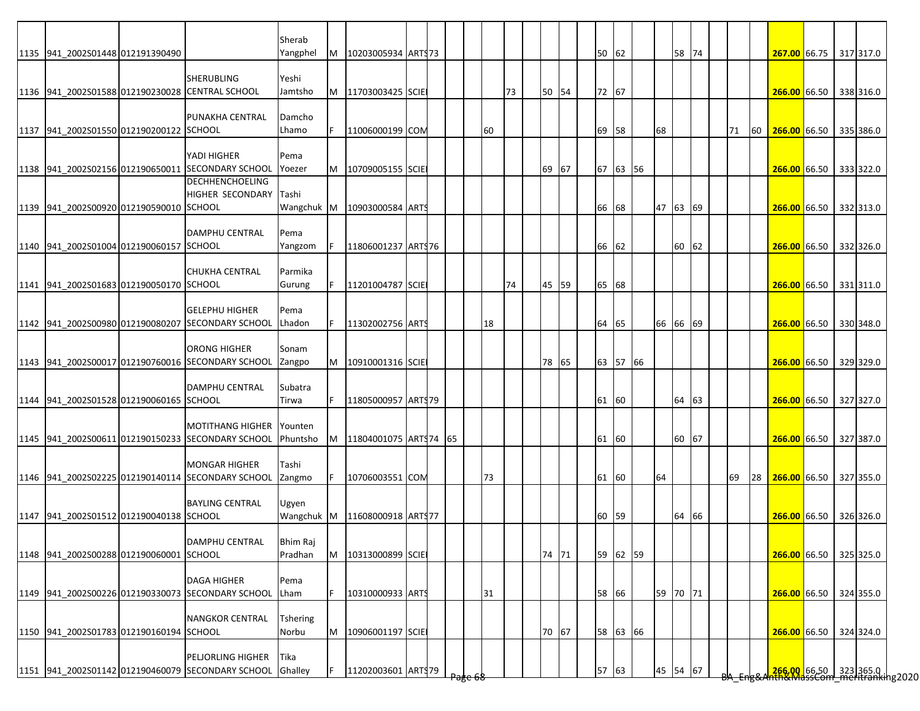|                                                 |                                                                                       | Sherab                   |    |                       |  |  |    |    |       |    |       |          |    |          |       |    |    |                                                                   |  |           |
|-------------------------------------------------|---------------------------------------------------------------------------------------|--------------------------|----|-----------------------|--|--|----|----|-------|----|-------|----------|----|----------|-------|----|----|-------------------------------------------------------------------|--|-----------|
| 1135 941 2002S01448 012191390490                |                                                                                       | Yangphel                 | M  | 10203005934 ARTS73    |  |  |    |    |       |    | 50 62 |          |    |          | 58 74 |    |    | 267.00 66.75 317 317.0                                            |  |           |
| 1136 941 2002S01588 012190230028 CENTRAL SCHOOL | <b>SHERUBLING</b>                                                                     | Yeshi<br>Jamtsho         | M  | 11703003425 SCIE      |  |  |    | 73 | 50 54 |    | 72 67 |          |    |          |       |    |    | 266.00 66.50 338 316.0                                            |  |           |
| 1137 941 2002S01550 012190200122 SCHOOL         | PUNAKHA CENTRAL                                                                       | Damcho<br>Lhamo          | F. | 11006000199 COM       |  |  | 60 |    |       |    | 69 58 |          | 68 |          |       | 71 | 60 | 266.00 66.50 335 386.0                                            |  |           |
|                                                 | YADI HIGHER<br>1138 941_2002S02156 012190650011 SECONDARY SCHOOL                      | Pema<br>Yoezer           | M  | 10709005155 SCIE      |  |  |    |    | 69 67 |    |       | 67 63 56 |    |          |       |    |    | 266.00 66.50 333 322.0                                            |  |           |
| 1139 941 2002S00920 012190590010 SCHOOL         | <b>DECHHENCHOELING</b><br>HIGHER SECONDARY                                            | Tashi<br>Wangchuk M      |    | 10903000584 ARTS      |  |  |    |    |       | 66 | 68    |          |    | 47 63 69 |       |    |    | 266.00 66.50 332 313.0                                            |  |           |
| 1140 941 2002S01004 012190060157 SCHOOL         | DAMPHU CENTRAL                                                                        | Pema<br>Yangzom          | F. | 11806001237 ARTS76    |  |  |    |    |       |    | 66 62 |          |    |          | 60 62 |    |    | 266.00 66.50                                                      |  | 332 326.0 |
| 1141 941 2002S01683 012190050170 SCHOOL         | <b>CHUKHA CENTRAL</b>                                                                 | Parmika<br>Gurung        |    | 11201004787 SCIE      |  |  |    | 74 | 45 59 |    | 65 68 |          |    |          |       |    |    | 266.00 66.50                                                      |  | 331 311.0 |
|                                                 | <b>GELEPHU HIGHER</b><br>1142 941_2002S00980 012190080207 SECONDARY SCHOOL            | Pema<br>Lhadon           | F  | 11302002756 ARTS      |  |  | 18 |    |       |    | 64 65 |          |    | 66 66 69 |       |    |    | 266.00 66.50 330 348.0                                            |  |           |
|                                                 | <b>ORONG HIGHER</b><br>1143 941 2002S00017 012190760016 SECONDARY SCHOOL              | Sonam<br>Zangpo          | M  | 10910001316 SCIE      |  |  |    |    | 78 65 |    |       | 63 57 66 |    |          |       |    |    | 266.00 66.50                                                      |  | 329 329.0 |
| 1144 941 2002S01528 012190060165 SCHOOL         | <b>DAMPHU CENTRAL</b>                                                                 | Subatra<br>Tirwa         |    | 11805000957 ARTS79    |  |  |    |    |       |    | 61 60 |          |    |          | 64 63 |    |    | 266.00 66.50 327 327.0                                            |  |           |
|                                                 | <b>MOTITHANG HIGHER</b><br>1145 941 2002S00611 012190150233 SECONDARY SCHOOL          | Younten<br>Phuntsho      | M  | 11804001075 ARTS74 65 |  |  |    |    |       |    | 61 60 |          |    |          | 60 67 |    |    | 266.00 66.50 327 387.0                                            |  |           |
|                                                 | <b>MONGAR HIGHER</b><br>1146 941 2002S02225 012190140114 SECONDARY SCHOOL             | Tashi<br>Zangmo          |    | 10706003551 COM       |  |  | 73 |    |       |    | 61 60 |          | 64 |          |       | 69 |    | 28 266.00 66.50 327 355.0                                         |  |           |
| 1147 941 2002S01512 012190040138 SCHOOL         | <b>BAYLING CENTRAL</b>                                                                | Ugyen<br>Wangchuk M      |    | 11608000918 ARTS77    |  |  |    |    |       |    | 60 59 |          |    |          | 64 66 |    |    | 266.00 66.50 326 326.0                                            |  |           |
| 1148 941_2002S00288 012190060001 SCHOOL         | DAMPHU CENTRAL                                                                        | Bhim Raj<br>Pradhan      | M  | 10313000899 SCIE      |  |  |    |    | 74 71 |    |       | 59 62 59 |    |          |       |    |    | 266.00 66.50 325 325.0                                            |  |           |
|                                                 | <b>DAGA HIGHER</b><br>1149 941 2002S00226 012190330073 SECONDARY SCHOOL               | Pema<br>Lham             | F  | 10310000933 ARTS      |  |  | 31 |    |       |    | 58 66 |          |    | 59 70 71 |       |    |    | 266.00 66.50 324 355.0                                            |  |           |
| 1150 941_2002S01783 012190160194 SCHOOL         | <b>NANGKOR CENTRAL</b>                                                                | <b>Tshering</b><br>Norbu | M  | 10906001197 SCIE      |  |  |    |    | 70 67 |    |       | 58 63 66 |    |          |       |    |    | 266.00 66.50 324 324.0                                            |  |           |
|                                                 | <b>PELJORLING HIGHER</b><br>1151 941_2002S01142 012190460079 SECONDARY SCHOOL Ghalley | Tika                     |    | 11202003601 ARTS79    |  |  |    |    |       |    | 57 63 |          |    | 45 54 67 |       |    |    | 266.00 66.50 323 365.0  <br>266.00   66.50   323   365.0   162020 |  |           |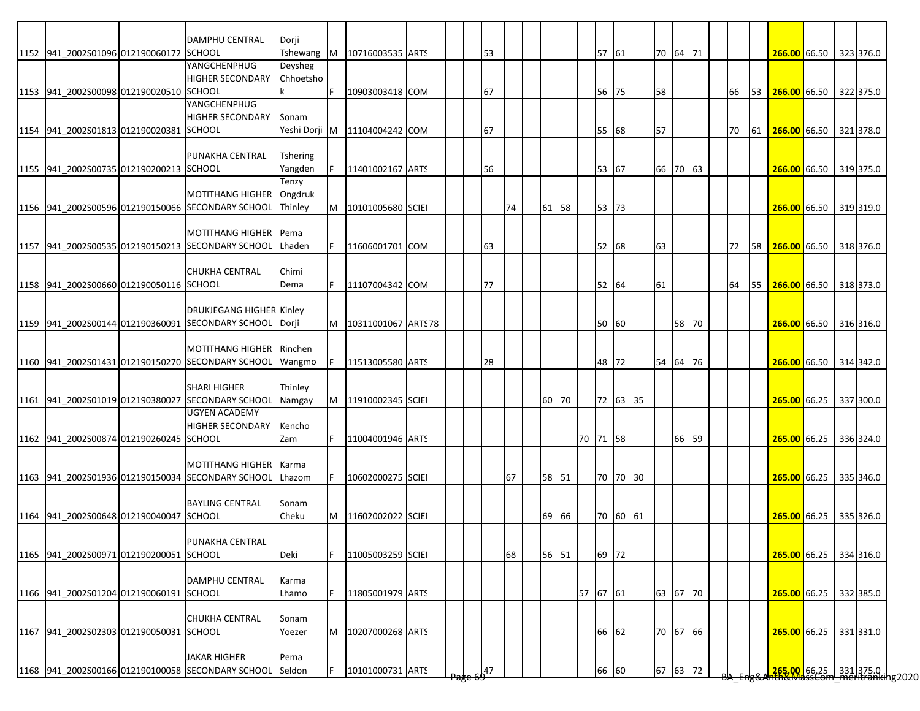|                                         | DAMPHU CENTRAL                                          | Dorji           |    |                                 |  |       |    |       |          |          |          |       |  |    |    |                                                         |  |  |
|-----------------------------------------|---------------------------------------------------------|-----------------|----|---------------------------------|--|-------|----|-------|----------|----------|----------|-------|--|----|----|---------------------------------------------------------|--|--|
| 1152 941_2002S01096 012190060172 SCHOOL |                                                         | Tshewang        | M  | 10716003535 ARTS                |  | 53    |    |       | 57 61    |          | 70 64 71 |       |  |    |    | 266.00 66.50 323 376.0                                  |  |  |
|                                         | YANGCHENPHUG                                            | Deysheg         |    |                                 |  |       |    |       |          |          |          |       |  |    |    |                                                         |  |  |
|                                         | <b>HIGHER SECONDARY</b>                                 | Chhoetsho       |    |                                 |  |       |    |       |          |          |          |       |  |    |    |                                                         |  |  |
| 1153 941_2002S00098 012190020510 SCHOOL |                                                         |                 | F  | 10903003418 COM                 |  | 67    |    |       | 56       | 75       | 58       |       |  | 66 |    | 53 266.00 66.50 322 375.0                               |  |  |
|                                         | YANGCHENPHUG                                            |                 |    |                                 |  |       |    |       |          |          |          |       |  |    |    |                                                         |  |  |
|                                         | <b>HIGHER SECONDARY</b>                                 | Sonam           |    |                                 |  |       |    |       |          |          |          |       |  |    |    |                                                         |  |  |
| 1154 941 2002S01813 012190020381 SCHOOL |                                                         |                 |    | Yeshi Dorji M   11104004242 COM |  | 67    |    |       | 55       | 68       | 57       |       |  | 70 | 61 | 266.00 66.50 321 378.0                                  |  |  |
|                                         |                                                         |                 |    |                                 |  |       |    |       |          |          |          |       |  |    |    |                                                         |  |  |
|                                         | PUNAKHA CENTRAL                                         | <b>Tshering</b> |    |                                 |  |       |    |       |          |          |          |       |  |    |    |                                                         |  |  |
| 1155 941 2002S00735 012190200213 SCHOOL |                                                         | Yangden         |    | 11401002167 ARTS                |  | 56    |    |       | 53       | 67       | 66 70 63 |       |  |    |    | 266.00 66.50 319 375.0                                  |  |  |
|                                         |                                                         | Tenzy           |    |                                 |  |       |    |       |          |          |          |       |  |    |    |                                                         |  |  |
|                                         | <b>MOTITHANG HIGHER</b>                                 | Ongdruk         |    |                                 |  |       |    |       |          |          |          |       |  |    |    |                                                         |  |  |
|                                         | 1156 941 2002S00596 012190150066 SECONDARY SCHOOL       | Thinley         | M  | 10101005680 SCIE                |  |       | 74 | 61 58 | 53       | 73       |          |       |  |    |    | 266.00 66.50 319 319.0                                  |  |  |
|                                         |                                                         |                 |    |                                 |  |       |    |       |          |          |          |       |  |    |    |                                                         |  |  |
|                                         | <b>MOTITHANG HIGHER</b>                                 | Pema            |    |                                 |  |       |    |       |          |          |          |       |  |    |    |                                                         |  |  |
|                                         | 1157 941 2002S00535 012190150213 SECONDARY SCHOOL       | <b>ILhaden</b>  |    | 11606001701 COM                 |  | 63    |    |       | 52 68    |          | 63       |       |  |    |    | 72 58 266.00 66.50 318 376.0                            |  |  |
|                                         |                                                         |                 |    |                                 |  |       |    |       |          |          |          |       |  |    |    |                                                         |  |  |
|                                         | <b>CHUKHA CENTRAL</b>                                   | Chimi           |    |                                 |  |       |    |       |          |          |          |       |  |    |    |                                                         |  |  |
| 1158 941 2002S00660 012190050116 SCHOOL |                                                         | Dema            |    | 11107004342 COM                 |  | 77    |    |       | 52       | 64       | 61       |       |  | 64 | 55 | 266.00 66.50 318 373.0                                  |  |  |
|                                         |                                                         |                 |    |                                 |  |       |    |       |          |          |          |       |  |    |    |                                                         |  |  |
|                                         | <b>DRUKJEGANG HIGHER Kinley</b>                         |                 |    |                                 |  |       |    |       |          |          |          |       |  |    |    |                                                         |  |  |
|                                         | 1159 941_2002S00144 012190360091 SECONDARY SCHOOL Dorji |                 |    | M   10311001067   ARTS78        |  |       |    |       | 50 60    |          |          | 58 70 |  |    |    | 266.00 66.50 316 316.0                                  |  |  |
|                                         |                                                         |                 |    |                                 |  |       |    |       |          |          |          |       |  |    |    |                                                         |  |  |
|                                         | MOTITHANG HIGHER Rinchen                                |                 |    |                                 |  |       |    |       |          |          |          |       |  |    |    |                                                         |  |  |
|                                         | 1160 941 2002S01431 012190150270 SECONDARY SCHOOL       | Wangmo          |    | 11513005580 ARTS                |  | 28    |    |       | 48       | 72       | 54 64 76 |       |  |    |    | 266.00 66.50 314 342.0                                  |  |  |
|                                         |                                                         |                 |    |                                 |  |       |    |       |          |          |          |       |  |    |    |                                                         |  |  |
|                                         | <b>SHARI HIGHER</b>                                     | Thinley         |    |                                 |  |       |    |       |          |          |          |       |  |    |    |                                                         |  |  |
|                                         | 1161 941 2002S01019 012190380027 SECONDARY SCHOOL       | Namgay          | M  | 11910002345 SCIE                |  |       |    | 60 70 |          | 72 63 35 |          |       |  |    |    | 265.00 66.25 337 300.0                                  |  |  |
|                                         | <b>UGYEN ACADEMY</b>                                    |                 |    |                                 |  |       |    |       |          |          |          |       |  |    |    |                                                         |  |  |
|                                         | <b>HIGHER SECONDARY</b>                                 | Kencho          |    |                                 |  |       |    |       |          |          |          |       |  |    |    |                                                         |  |  |
| 1162 941 2002S00874 012190260245 SCHOOL |                                                         | Zam             |    | 11004001946 ARTS                |  |       |    |       | 70 71 58 |          |          | 66 59 |  |    |    | 265.00 66.25 336 324.0                                  |  |  |
|                                         |                                                         |                 |    |                                 |  |       |    |       |          |          |          |       |  |    |    |                                                         |  |  |
|                                         | <b>MOTITHANG HIGHER</b>                                 | Karma           |    |                                 |  |       |    |       |          |          |          |       |  |    |    |                                                         |  |  |
|                                         | 1163 941 2002S01936 012190150034 SECONDARY SCHOOL       |                 |    |                                 |  |       |    |       |          |          |          |       |  |    |    |                                                         |  |  |
|                                         |                                                         | Lhazom          | F. | 10602000275 SCIE                |  |       | 67 | 58 51 |          | 70 70 30 |          |       |  |    |    | 265.00 66.25 335 346.0                                  |  |  |
|                                         |                                                         |                 |    |                                 |  |       |    |       |          |          |          |       |  |    |    |                                                         |  |  |
|                                         | <b>BAYLING CENTRAL</b>                                  | Sonam           |    |                                 |  |       |    |       |          |          |          |       |  |    |    |                                                         |  |  |
| 1164 941 2002S00648 012190040047 SCHOOL |                                                         | Cheku           | M  | 11602002022 SCIE                |  |       |    | 69 66 |          | 70 60 61 |          |       |  |    |    | 265.00 66.25 335 326.0                                  |  |  |
|                                         |                                                         |                 |    |                                 |  |       |    |       |          |          |          |       |  |    |    |                                                         |  |  |
|                                         | PUNAKHA CENTRAL                                         |                 |    |                                 |  |       |    |       |          |          |          |       |  |    |    |                                                         |  |  |
| 1165 941 2002S00971 012190200051 SCHOOL |                                                         | Deki            | F  | 11005003259 SCIE                |  |       | 68 | 56 51 | 69 72    |          |          |       |  |    |    | 265.00 66.25 334 316.0                                  |  |  |
|                                         |                                                         |                 |    |                                 |  |       |    |       |          |          |          |       |  |    |    |                                                         |  |  |
|                                         | <b>DAMPHU CENTRAL</b>                                   | Karma           |    |                                 |  |       |    |       |          |          |          |       |  |    |    |                                                         |  |  |
| 1166 941 2002S01204 012190060191 SCHOOL |                                                         | Lhamo           | F  | 11805001979 ARTS                |  |       |    |       | 57 67 61 |          | 63 67 70 |       |  |    |    | 265.00 66.25 332 385.0                                  |  |  |
|                                         |                                                         |                 |    |                                 |  |       |    |       |          |          |          |       |  |    |    |                                                         |  |  |
|                                         | <b>CHUKHA CENTRAL</b>                                   | Sonam           |    |                                 |  |       |    |       |          |          |          |       |  |    |    |                                                         |  |  |
| 1167 941_2002S02303 012190050031 SCHOOL |                                                         | Yoezer          | M  | 10207000268 ARTS                |  |       |    |       | 66       | 62       | 70 67 66 |       |  |    |    | 265.00 66.25 331 331.0                                  |  |  |
|                                         |                                                         |                 |    |                                 |  |       |    |       |          |          |          |       |  |    |    |                                                         |  |  |
|                                         | <b>JAKAR HIGHER</b>                                     | Pema            |    |                                 |  |       |    |       |          |          |          |       |  |    |    |                                                         |  |  |
|                                         | 1168 941_2002S00166 012190100058 SECONDARY SCHOOL       |                 |    | 10101000731 ARTS                |  | $-47$ |    |       | 66       | 60       | 67 63 72 |       |  |    |    | 265.00 66.25 331 375.0  <br>Hh&MassCom meritranking2020 |  |  |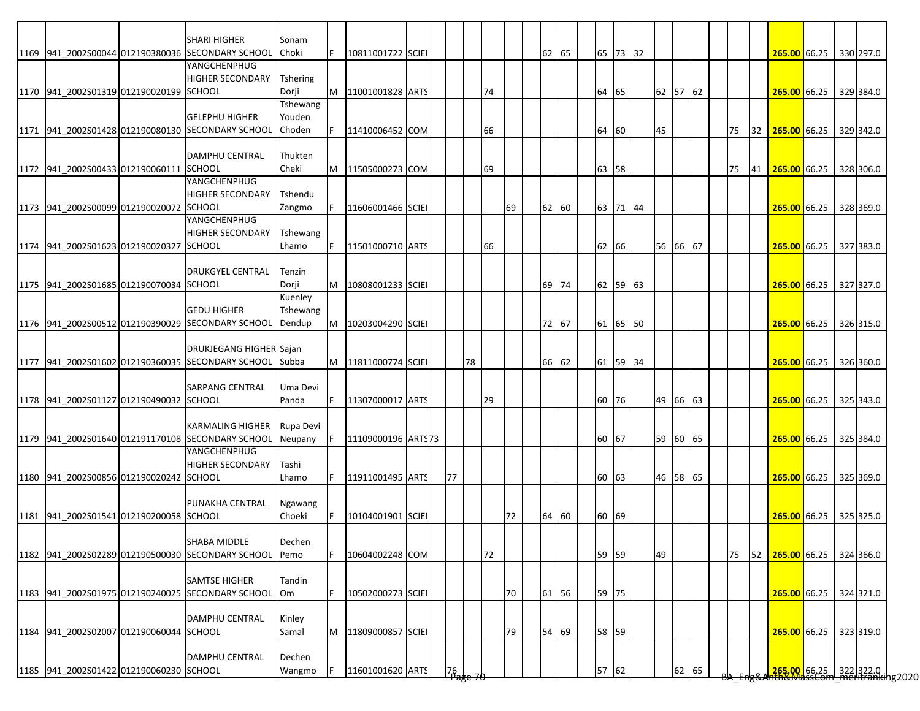|                                         | <b>SHARI HIGHER</b>                                     | Sonam           |   |                    |  |             |    |    |       |  |          |          |          |  |    |    |                                                            |  |           |
|-----------------------------------------|---------------------------------------------------------|-----------------|---|--------------------|--|-------------|----|----|-------|--|----------|----------|----------|--|----|----|------------------------------------------------------------|--|-----------|
|                                         | 1169 941 2002S00044 012190380036 SECONDARY SCHOOL       | Choki           |   | 10811001722 SCIE   |  |             |    |    | 62 65 |  | 65 73 32 |          |          |  |    |    | 265.00 66.25 330 297.0                                     |  |           |
|                                         | YANGCHENPHUG                                            |                 |   |                    |  |             |    |    |       |  |          |          |          |  |    |    |                                                            |  |           |
|                                         | <b>HIGHER SECONDARY</b>                                 | <b>Tshering</b> |   |                    |  |             |    |    |       |  |          |          |          |  |    |    |                                                            |  |           |
| 1170 941 2002S01319 012190020199 SCHOOL |                                                         | Dorji           | M | 11001001828 ARTS   |  |             | 74 |    |       |  | 64 65    |          | 62 57 62 |  |    |    | 265.00 66.25                                               |  | 329 384.0 |
|                                         |                                                         | Tshewang        |   |                    |  |             |    |    |       |  |          |          |          |  |    |    |                                                            |  |           |
|                                         | <b>GELEPHU HIGHER</b>                                   | Youden          |   |                    |  |             |    |    |       |  |          |          |          |  |    |    |                                                            |  |           |
|                                         | 1171 941 2002S01428 012190080130 SECONDARY SCHOOL       | Choden          |   | 11410006452 COM    |  |             | 66 |    |       |  | 64 60    | 45       |          |  | 75 | 32 | 265.00 66.25                                               |  | 329 342.0 |
|                                         |                                                         |                 |   |                    |  |             |    |    |       |  |          |          |          |  |    |    |                                                            |  |           |
|                                         | <b>DAMPHU CENTRAL</b>                                   | Thukten         |   |                    |  |             |    |    |       |  |          |          |          |  |    |    |                                                            |  |           |
|                                         |                                                         |                 |   |                    |  |             |    |    |       |  |          |          |          |  |    |    |                                                            |  |           |
| 1172 941_2002S00433 012190060111 SCHOOL | YANGCHENPHUG                                            | Cheki           | M | 11505000273 COM    |  |             | 69 |    |       |  | 63 58    |          |          |  | 75 |    | 41 265.00 66.25                                            |  | 328 306.0 |
|                                         |                                                         |                 |   |                    |  |             |    |    |       |  |          |          |          |  |    |    |                                                            |  |           |
|                                         | <b>HIGHER SECONDARY</b>                                 | Tshendu         |   |                    |  |             |    |    |       |  |          |          |          |  |    |    |                                                            |  |           |
| 1173 941 2002S00099 012190020072 SCHOOL |                                                         | Zangmo          |   | 11606001466 SCIE   |  |             |    | 69 | 62 60 |  | 63 71 44 |          |          |  |    |    | 265.00 66.25                                               |  | 328 369.0 |
|                                         | YANGCHENPHUG                                            |                 |   |                    |  |             |    |    |       |  |          |          |          |  |    |    |                                                            |  |           |
|                                         | <b>HIGHER SECONDARY</b>                                 | Tshewang        |   |                    |  |             |    |    |       |  |          |          |          |  |    |    |                                                            |  |           |
| 1174 941 2002S01623 012190020327 SCHOOL |                                                         | Lhamo           |   | 11501000710 ARTS   |  |             | 66 |    |       |  | 62 66    |          | 56 66 67 |  |    |    | 265.00 66.25                                               |  | 327 383.0 |
|                                         |                                                         |                 |   |                    |  |             |    |    |       |  |          |          |          |  |    |    |                                                            |  |           |
|                                         | <b>DRUKGYEL CENTRAL</b>                                 | Tenzin          |   |                    |  |             |    |    |       |  |          |          |          |  |    |    |                                                            |  |           |
| 1175 941_2002S01685 012190070034 SCHOOL |                                                         | Dorji           | M | 10808001233 SCIE   |  |             |    |    | 69 74 |  | 62 59 63 |          |          |  |    |    | 265.00 66.25                                               |  | 327 327.0 |
|                                         |                                                         | Kuenley         |   |                    |  |             |    |    |       |  |          |          |          |  |    |    |                                                            |  |           |
|                                         | <b>GEDU HIGHER</b>                                      | Tshewang        |   |                    |  |             |    |    |       |  |          |          |          |  |    |    |                                                            |  |           |
|                                         | 1176 941 2002S00512 012190390029 SECONDARY SCHOOL       | Dendup          | M | 10203004290 SCIE   |  |             |    |    | 72 67 |  | 61 65 50 |          |          |  |    |    | 265.00 66.25 326 315.0                                     |  |           |
|                                         |                                                         |                 |   |                    |  |             |    |    |       |  |          |          |          |  |    |    |                                                            |  |           |
|                                         | <b>DRUKJEGANG HIGHER Sajan</b>                          |                 |   |                    |  |             |    |    |       |  |          |          |          |  |    |    |                                                            |  |           |
|                                         | 1177 941_2002S01602 012190360035 SECONDARY SCHOOL Subba |                 | M | 11811000774 SCIE   |  |             | 78 |    | 66 62 |  | 61 59 34 |          |          |  |    |    | 265.00 66.25                                               |  | 326 360.0 |
|                                         |                                                         |                 |   |                    |  |             |    |    |       |  |          |          |          |  |    |    |                                                            |  |           |
|                                         | <b>SARPANG CENTRAL</b>                                  | Uma Devi        |   |                    |  |             |    |    |       |  |          |          |          |  |    |    |                                                            |  |           |
|                                         |                                                         | Panda           |   |                    |  |             | 29 |    |       |  |          |          | 49 66 63 |  |    |    |                                                            |  |           |
| 1178 941 2002S01127 012190490032 SCHOOL |                                                         |                 |   | 11307000017 ARTS   |  |             |    |    |       |  | 60 76    |          |          |  |    |    | 265.00 66.25                                               |  | 325 343.0 |
|                                         | <b>KARMALING HIGHER</b>                                 |                 |   |                    |  |             |    |    |       |  |          |          |          |  |    |    |                                                            |  |           |
|                                         |                                                         | Rupa Devi       |   |                    |  |             |    |    |       |  |          |          |          |  |    |    |                                                            |  |           |
|                                         | 1179 941 2002S01640 012191170108 SECONDARY SCHOOL       | Neupany         |   | 11109000196 ARTS73 |  |             |    |    |       |  | 60 67    | 59 60 65 |          |  |    |    | 265.00 66.25                                               |  | 325 384.0 |
|                                         | YANGCHENPHUG                                            |                 |   |                    |  |             |    |    |       |  |          |          |          |  |    |    |                                                            |  |           |
|                                         | <b>HIGHER SECONDARY</b>                                 | Tashi           |   |                    |  |             |    |    |       |  |          |          |          |  |    |    |                                                            |  |           |
| 1180 941_2002S00856 012190020242 SCHOOL |                                                         | Lhamo           |   | 11911001495 ARTS   |  | 77          |    |    |       |  | 60 63    |          | 46 58 65 |  |    |    | 265.00 66.25                                               |  | 325 369.0 |
|                                         |                                                         |                 |   |                    |  |             |    |    |       |  |          |          |          |  |    |    |                                                            |  |           |
|                                         | <b>PUNAKHA CENTRAL</b>                                  | Ngawang         |   |                    |  |             |    |    |       |  |          |          |          |  |    |    |                                                            |  |           |
| 1181 941 2002S01541 012190200058 SCHOOL |                                                         | Choeki          |   | 10104001901 SCIE   |  |             |    | 72 | 64 60 |  | 60 69    |          |          |  |    |    | 265.00 66.25                                               |  | 325 325.0 |
|                                         |                                                         |                 |   |                    |  |             |    |    |       |  |          |          |          |  |    |    |                                                            |  |           |
|                                         | SHABA MIDDLE                                            | Dechen          |   |                    |  |             |    |    |       |  |          |          |          |  |    |    |                                                            |  |           |
|                                         | 1182 941 2002S02289 012190500030 SECONDARY SCHOOL       | Pemo            |   | 10604002248 COM    |  |             | 72 |    |       |  | 59 59    | 49       |          |  | 75 | 52 | 265.00 66.25                                               |  | 324 366.0 |
|                                         |                                                         |                 |   |                    |  |             |    |    |       |  |          |          |          |  |    |    |                                                            |  |           |
|                                         | <b>SAMTSE HIGHER</b>                                    | Tandin          |   |                    |  |             |    |    |       |  |          |          |          |  |    |    |                                                            |  |           |
|                                         | 1183 941_2002S01975 012190240025 SECONDARY SCHOOL       | Om              |   | 10502000273 SCIE   |  |             |    | 70 | 61 56 |  | 59 75    |          |          |  |    |    | 265.00 66.25                                               |  | 324 321.0 |
|                                         |                                                         |                 |   |                    |  |             |    |    |       |  |          |          |          |  |    |    |                                                            |  |           |
|                                         | DAMPHU CENTRAL                                          | Kinley          |   |                    |  |             |    |    |       |  |          |          |          |  |    |    |                                                            |  |           |
| 1184 941_2002S02007 012190060044 SCHOOL |                                                         | Samal           | M | 11809000857 SCIE   |  |             |    | 79 | 54 69 |  | 58 59    |          |          |  |    |    | 265.00 66.25                                               |  | 323 319.0 |
|                                         |                                                         |                 |   |                    |  |             |    |    |       |  |          |          |          |  |    |    |                                                            |  |           |
|                                         | <b>DAMPHU CENTRAL</b>                                   | Dechen          |   |                    |  |             |    |    |       |  |          |          |          |  |    |    |                                                            |  |           |
| 1185 941_2002S01422 012190060230 SCHOOL |                                                         | Wangmo          |   | 11601001620 ARTS   |  | 176<br>Page |    |    |       |  | 57 62    |          | 62 65    |  |    |    | 265.00 66.25 322 322.0  <br>265.00   66.25   322 322.0   1 |  |           |
|                                         |                                                         |                 |   |                    |  |             |    |    |       |  |          |          |          |  |    |    |                                                            |  |           |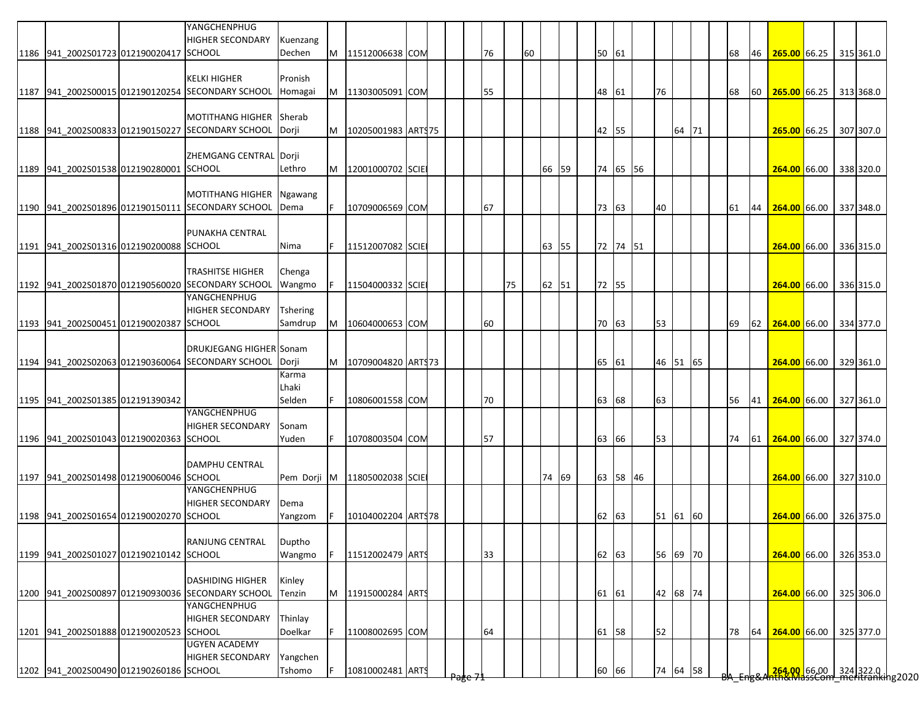|                                         |                                         | YANGCHENPHUG<br><b>HIGHER SECONDARY</b>                                      | Kuenzang        |   |                     |  |    |    |    |       |  |       |          |    |          |  |    |    |                        |  |                                                                       |
|-----------------------------------------|-----------------------------------------|------------------------------------------------------------------------------|-----------------|---|---------------------|--|----|----|----|-------|--|-------|----------|----|----------|--|----|----|------------------------|--|-----------------------------------------------------------------------|
| 1186 941_2002S01723 012190020417 SCHOOL |                                         |                                                                              | Dechen          | M | 11512006638 COM     |  | 76 |    | 60 |       |  | 50 61 |          |    |          |  | 68 | 46 | 265.00 66.25           |  | 315 361.0                                                             |
|                                         |                                         |                                                                              |                 |   |                     |  |    |    |    |       |  |       |          |    |          |  |    |    |                        |  |                                                                       |
|                                         |                                         | <b>KELKI HIGHER</b>                                                          | Pronish         |   |                     |  |    |    |    |       |  |       |          |    |          |  |    |    |                        |  |                                                                       |
|                                         |                                         | 1187 941 2002S00015 012190120254 SECONDARY SCHOOL                            | Homagai         | M | 11303005091 COM     |  | 55 |    |    |       |  | 48 61 |          | 76 |          |  | 68 |    | 60 265.00 66.25        |  | 313 368.0                                                             |
|                                         |                                         |                                                                              |                 |   |                     |  |    |    |    |       |  |       |          |    |          |  |    |    |                        |  |                                                                       |
|                                         |                                         | <b>MOTITHANG HIGHER</b><br>1188 941_2002S00833 012190150227 SECONDARY SCHOOL | Sherab          | M |                     |  |    |    |    |       |  |       |          |    |          |  |    |    |                        |  |                                                                       |
|                                         |                                         |                                                                              | Dorji           |   | 10205001983 ARTS75  |  |    |    |    |       |  | 42 55 |          |    | 64 71    |  |    |    | 265.00 66.25           |  | 307 307.0                                                             |
|                                         |                                         | ZHEMGANG CENTRAL Dorji                                                       |                 |   |                     |  |    |    |    |       |  |       |          |    |          |  |    |    |                        |  |                                                                       |
| 1189 941_2002S01538 012190280001 SCHOOL |                                         |                                                                              | Lethro          | M | 12001000702 SCIE    |  |    |    |    | 66 59 |  |       | 74 65 56 |    |          |  |    |    | 264.00 66.00           |  | 338 320.0                                                             |
|                                         |                                         |                                                                              |                 |   |                     |  |    |    |    |       |  |       |          |    |          |  |    |    |                        |  |                                                                       |
|                                         |                                         | <b>MOTITHANG HIGHER</b>                                                      | Ngawang         |   |                     |  |    |    |    |       |  |       |          |    |          |  |    |    |                        |  |                                                                       |
|                                         |                                         | 1190 941_2002S01896 012190150111 SECONDARY SCHOOL                            | Dema            |   | 10709006569 COM     |  | 67 |    |    |       |  | 73 63 |          | 40 |          |  | 61 | 44 | 264.00 66.00           |  | 337 348.0                                                             |
|                                         |                                         |                                                                              |                 |   |                     |  |    |    |    |       |  |       |          |    |          |  |    |    |                        |  |                                                                       |
|                                         |                                         | PUNAKHA CENTRAL                                                              |                 |   |                     |  |    |    |    |       |  |       |          |    |          |  |    |    |                        |  |                                                                       |
| 1191 941 2002S01316 012190200088 SCHOOL |                                         |                                                                              | Nima            |   | 11512007082 SCIE    |  |    |    |    | 63 55 |  |       | 72 74 51 |    |          |  |    |    | 264.00 66.00           |  | 336 315.0                                                             |
|                                         |                                         |                                                                              |                 |   |                     |  |    |    |    |       |  |       |          |    |          |  |    |    |                        |  |                                                                       |
|                                         |                                         | <b>TRASHITSE HIGHER</b>                                                      | Chenga          |   |                     |  |    |    |    |       |  |       |          |    |          |  |    |    |                        |  |                                                                       |
|                                         |                                         | 1192 941_2002S01870 012190560020 SECONDARY SCHOOL                            | Wangmo          |   | 11504000332 SCIE    |  |    | 75 |    | 62 51 |  | 72 55 |          |    |          |  |    |    | 264.00 66.00           |  | 336 315.0                                                             |
|                                         |                                         | YANGCHENPHUG                                                                 |                 |   |                     |  |    |    |    |       |  |       |          |    |          |  |    |    |                        |  |                                                                       |
|                                         |                                         | <b>HIGHER SECONDARY</b>                                                      | <b>Tshering</b> |   |                     |  |    |    |    |       |  |       |          |    |          |  |    |    |                        |  |                                                                       |
| 1193 941 2002S00451 012190020387 SCHOOL |                                         |                                                                              | Samdrup         | M | 10604000653 COM     |  | 60 |    |    |       |  | 70 63 |          | 53 |          |  | 69 | 62 | 264.00 66.00 334 377.0 |  |                                                                       |
|                                         |                                         |                                                                              |                 |   |                     |  |    |    |    |       |  |       |          |    |          |  |    |    |                        |  |                                                                       |
|                                         |                                         | <b>DRUKJEGANG HIGHER Sonam</b>                                               |                 |   |                     |  |    |    |    |       |  |       |          |    |          |  |    |    |                        |  |                                                                       |
|                                         |                                         | 1194 941 2002S02063 012190360064 SECONDARY SCHOOL                            | Dorji           |   | 10709004820 ART\$73 |  |    |    |    |       |  | 65 61 |          |    | 46 51 65 |  |    |    | 264.00 66.00           |  | 329 361.0                                                             |
|                                         |                                         |                                                                              | Karma           |   |                     |  |    |    |    |       |  |       |          |    |          |  |    |    |                        |  |                                                                       |
|                                         |                                         |                                                                              | Lhaki           |   |                     |  |    |    |    |       |  |       |          |    |          |  |    |    |                        |  |                                                                       |
| 1195 941 2002S01385 012191390342        |                                         |                                                                              | Selden          |   | 10806001558 COM     |  | 70 |    |    |       |  | 63 68 |          | 63 |          |  | 56 | 41 | $264.00$ 66.00         |  | 327 361.0                                                             |
|                                         |                                         | YANGCHENPHUG                                                                 |                 |   |                     |  |    |    |    |       |  |       |          |    |          |  |    |    |                        |  |                                                                       |
|                                         |                                         | <b>HIGHER SECONDARY</b>                                                      | Sonam           |   |                     |  |    |    |    |       |  |       |          |    |          |  |    |    |                        |  |                                                                       |
| 1196 941 2002S01043 012190020363 SCHOOL |                                         |                                                                              | Yuden           |   | 10708003504 COM     |  | 57 |    |    |       |  | 63 66 |          | 53 |          |  | 74 |    | 61 264.00 66.00        |  | 327 374.0                                                             |
|                                         |                                         | <b>DAMPHU CENTRAL</b>                                                        |                 |   |                     |  |    |    |    |       |  |       |          |    |          |  |    |    |                        |  |                                                                       |
| 1197 941_2002S01498 012190060046 SCHOOL |                                         |                                                                              | Pem Dorji       | M | 11805002038 SCIE    |  |    |    |    | 74 69 |  |       | 63 58 46 |    |          |  |    |    | 264.00 66.00           |  | 327 310.0                                                             |
|                                         |                                         | YANGCHENPHUG                                                                 |                 |   |                     |  |    |    |    |       |  |       |          |    |          |  |    |    |                        |  |                                                                       |
|                                         |                                         | <b>HIGHER SECONDARY</b>                                                      | Dema            |   |                     |  |    |    |    |       |  |       |          |    |          |  |    |    |                        |  |                                                                       |
| 1198 941 2002S01654 012190020270 SCHOOL |                                         |                                                                              | Yangzom         |   | 10104002204 ARTS78  |  |    |    |    |       |  | 62 63 |          |    | 51 61 60 |  |    |    | 264.00 66.00           |  | 326 375.0                                                             |
|                                         |                                         |                                                                              |                 |   |                     |  |    |    |    |       |  |       |          |    |          |  |    |    |                        |  |                                                                       |
|                                         |                                         | RANJUNG CENTRAL                                                              | Duptho          |   |                     |  |    |    |    |       |  |       |          |    |          |  |    |    |                        |  |                                                                       |
| 1199 941 2002S01027 012190210142 SCHOOL |                                         |                                                                              | Wangmo          |   | 11512002479 ARTS    |  | 33 |    |    |       |  | 62 63 |          |    | 56 69 70 |  |    |    | 264.00 66.00           |  | 326 353.0                                                             |
|                                         |                                         |                                                                              |                 |   |                     |  |    |    |    |       |  |       |          |    |          |  |    |    |                        |  |                                                                       |
|                                         |                                         | <b>DASHIDING HIGHER</b>                                                      | Kinley          |   |                     |  |    |    |    |       |  |       |          |    |          |  |    |    |                        |  |                                                                       |
|                                         |                                         | 1200 941 2002S00897 012190930036 SECONDARY SCHOOL                            | Tenzin          | M | 11915000284 ARTS    |  |    |    |    |       |  | 61 61 |          |    | 42 68 74 |  |    |    | 264.00 66.00           |  | 325 306.0                                                             |
|                                         |                                         | YANGCHENPHUG                                                                 |                 |   |                     |  |    |    |    |       |  |       |          |    |          |  |    |    |                        |  |                                                                       |
|                                         |                                         | <b>HIGHER SECONDARY</b>                                                      | Thinlay         |   |                     |  |    |    |    |       |  |       |          |    |          |  |    |    |                        |  |                                                                       |
| 1201 941_2002S01888 012190020523 SCHOOL |                                         |                                                                              | Doelkar         |   | 11008002695 COM     |  | 64 |    |    |       |  | 61 58 |          | 52 |          |  | 78 | 64 | 264.00 66.00           |  | 325 377.0                                                             |
|                                         |                                         | <b>UGYEN ACADEMY</b>                                                         |                 |   |                     |  |    |    |    |       |  |       |          |    |          |  |    |    |                        |  |                                                                       |
|                                         |                                         | <b>HIGHER SECONDARY</b>                                                      | Yangchen        |   |                     |  |    |    |    |       |  |       |          |    |          |  |    |    |                        |  |                                                                       |
|                                         | 1202 941_2002S00490 012190260186 SCHOOL |                                                                              | Tshomo          |   | 10810002481 ARTS    |  |    |    |    |       |  | 60 66 |          |    | 74 64 58 |  |    |    |                        |  | <mark>264.00 66.00 324</mark> 322.0  <br>hth&MassCom meritranking2020 |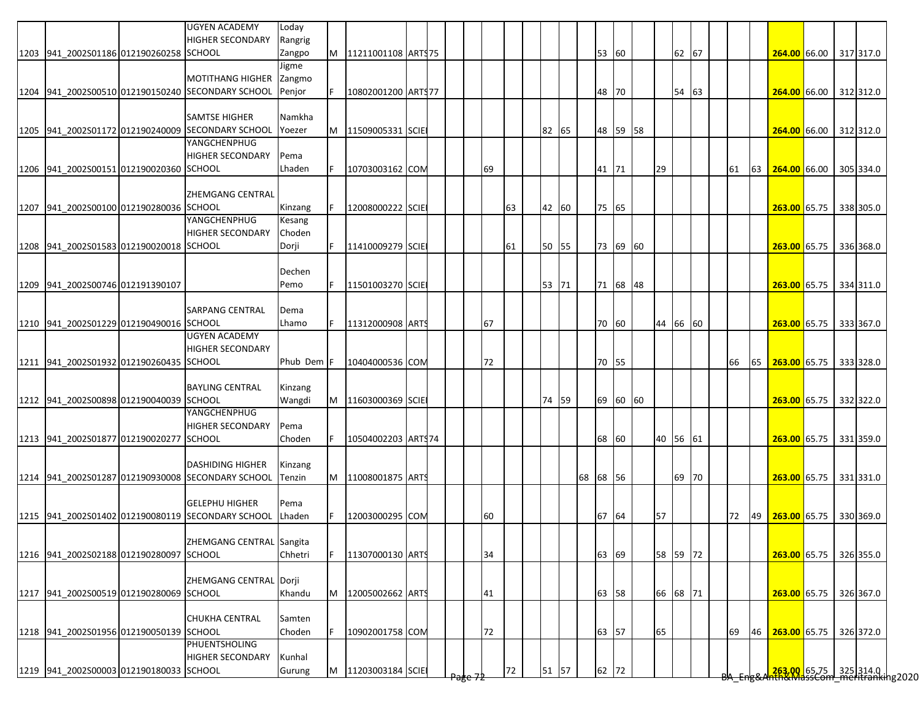| 62 67<br>53 60<br>1203 941_2002S01186 012190260258 SCHOOL<br>Zangpo<br>M<br>11211001108 ARTS 75<br>264.00 66.00 317 317.0<br>Jigme<br><b>MOTITHANG HIGHER</b><br>Zangmo<br>54 63<br>1204 941 2002S00510 012190150240 SECONDARY SCHOOL<br>Penjor<br>10802001200 ARTS77<br>48<br>70<br>264.00 66.00 312 312.0<br>SAMTSE HIGHER<br>Namkha<br>48 59 58<br>1205 941 2002S01172 012190240009 SECONDARY SCHOOL<br>Yoezer<br>M<br>11509005331 SCIE<br>82 65<br>264.00 66.00 312 312.0<br>YANGCHENPHUG<br><b>HIGHER SECONDARY</b><br>Pema<br>41 71<br>29<br>1206 941 2002S00151 012190020360 SCHOOL<br>Lhaden<br>10703003162 COM<br>69<br>61<br>63<br><b>264.00</b> 66.00<br>305 334.0<br>ZHEMGANG CENTRAL<br>1207 941_2002S00100 012190280036 SCHOOL<br>75 65<br>63<br>42 60<br>Kinzang<br>12008000222 SCIE<br>263.00 65.75<br>338 305.0<br>YANGCHENPHUG<br>Kesang<br><b>HIGHER SECONDARY</b><br>Choden<br>1208 941 2002S01583 012190020018 SCHOOL<br>Dorji<br>73 69 60<br>11410009279 SCIE<br>50 55<br>263.00 65.75<br>336 368.0<br>61<br>Dechen<br>1209 941_2002S00746 012191390107<br>F.<br>71 68 48<br>Pemo<br>11501003270 SCIE<br>53 71<br>263.00 65.75<br>334 311.0<br><b>SARPANG CENTRAL</b><br>Dema<br>44 66 60<br>1210 941 2002S01229 012190490016 SCHOOL<br>Lhamo<br>11312000908 ARTS<br>67<br>70 60<br>263.00 65.75 333 367.0<br><b>UGYEN ACADEMY</b><br><b>HIGHER SECONDARY</b><br>1211 941 2002S01932 012190260435 SCHOOL<br>Phub Dem F<br>10404000536 COM<br>72<br>70 55<br>65<br>263.00 65.75 333 328.0<br>66<br><b>BAYLING CENTRAL</b><br>Kinzang<br>69 60 60<br>1212 941 2002S00898 012190040039 SCHOOL<br>Wangdi<br>11603000369 SCIE<br>74 59<br>M<br>263.00 65.75 332 322.0<br>YANGCHENPHUG<br><b>HIGHER SECONDARY</b><br>Pema<br>1213 941 2002S01877 012190020277 SCHOOL<br>Choden<br>68 60<br>40 56 61<br>10504002203 ARTS74<br>263.00 65.75 331 359.0<br><b>DASHIDING HIGHER</b><br>Kinzang<br>1214 941 2002S01287 012190930008 SECONDARY SCHOOL<br>68 68 56<br>69 70<br>M<br>11008001875 ARTS<br>263.00 65.75 331 331.0<br>Tenzin<br><b>GELEPHU HIGHER</b><br>Pema<br>1215 941 2002S01402 012190080119 SECONDARY SCHOOL<br>57<br>67 64<br>72<br>49<br>263.00 65.75 330 369.0<br>Lhaden<br>12003000295 COM<br>60<br>ZHEMGANG CENTRAL Sangita<br><b>SCHOOL</b><br>Chhetri<br>34<br>63 69<br>58 59 72<br>1216 941 2002S02188 012190280097<br>F<br>11307000130 ARTS<br>263.00 65.75 326 355.0<br>ZHEMGANG CENTRAL Dorji<br>1217 941 2002S00519 012190280069 SCHOOL<br>Khandu<br>66 68 71<br>263.00 65.75 326 367.0<br>M<br>12005002662 ARTS<br>41<br>63 58<br>CHUKHA CENTRAL<br>Samten<br>65<br>1218 941_2002S01956 012190050139 SCHOOL<br>Choden<br>72<br>63 57<br>10902001758 COM<br>69<br>46<br>263.00 65.75<br>326 372.0<br>PHUENTSHOLING<br><b>HIGHER SECONDARY</b><br>Kunhal<br>1219 941_2002S00003 012190180033 SCHOOL<br>11203003184 SCIE<br>62 72<br><mark>.263.00 65.75 325</mark> 314.0<br>hth&MassCom meritranking2020<br>72<br>51 57<br>Gurung<br>M |  | <b>UGYEN ACADEMY</b><br><b>HIGHER SECONDARY</b> | Loday<br>Rangrig |  |  |  |  |  |  |  |  |  |  |  |  |
|-----------------------------------------------------------------------------------------------------------------------------------------------------------------------------------------------------------------------------------------------------------------------------------------------------------------------------------------------------------------------------------------------------------------------------------------------------------------------------------------------------------------------------------------------------------------------------------------------------------------------------------------------------------------------------------------------------------------------------------------------------------------------------------------------------------------------------------------------------------------------------------------------------------------------------------------------------------------------------------------------------------------------------------------------------------------------------------------------------------------------------------------------------------------------------------------------------------------------------------------------------------------------------------------------------------------------------------------------------------------------------------------------------------------------------------------------------------------------------------------------------------------------------------------------------------------------------------------------------------------------------------------------------------------------------------------------------------------------------------------------------------------------------------------------------------------------------------------------------------------------------------------------------------------------------------------------------------------------------------------------------------------------------------------------------------------------------------------------------------------------------------------------------------------------------------------------------------------------------------------------------------------------------------------------------------------------------------------------------------------------------------------------------------------------------------------------------------------------------------------------------------------------------------------------------------------------------------------------------------------------------------------------------------------------------------------------------------------------------------------------------------------------------------------------------------------------------------------------------------------------------------------------------------------------------------------------------------------------------|--|-------------------------------------------------|------------------|--|--|--|--|--|--|--|--|--|--|--|--|
|                                                                                                                                                                                                                                                                                                                                                                                                                                                                                                                                                                                                                                                                                                                                                                                                                                                                                                                                                                                                                                                                                                                                                                                                                                                                                                                                                                                                                                                                                                                                                                                                                                                                                                                                                                                                                                                                                                                                                                                                                                                                                                                                                                                                                                                                                                                                                                                                                                                                                                                                                                                                                                                                                                                                                                                                                                                                                                                                                                             |  |                                                 |                  |  |  |  |  |  |  |  |  |  |  |  |  |
|                                                                                                                                                                                                                                                                                                                                                                                                                                                                                                                                                                                                                                                                                                                                                                                                                                                                                                                                                                                                                                                                                                                                                                                                                                                                                                                                                                                                                                                                                                                                                                                                                                                                                                                                                                                                                                                                                                                                                                                                                                                                                                                                                                                                                                                                                                                                                                                                                                                                                                                                                                                                                                                                                                                                                                                                                                                                                                                                                                             |  |                                                 |                  |  |  |  |  |  |  |  |  |  |  |  |  |
|                                                                                                                                                                                                                                                                                                                                                                                                                                                                                                                                                                                                                                                                                                                                                                                                                                                                                                                                                                                                                                                                                                                                                                                                                                                                                                                                                                                                                                                                                                                                                                                                                                                                                                                                                                                                                                                                                                                                                                                                                                                                                                                                                                                                                                                                                                                                                                                                                                                                                                                                                                                                                                                                                                                                                                                                                                                                                                                                                                             |  |                                                 |                  |  |  |  |  |  |  |  |  |  |  |  |  |
|                                                                                                                                                                                                                                                                                                                                                                                                                                                                                                                                                                                                                                                                                                                                                                                                                                                                                                                                                                                                                                                                                                                                                                                                                                                                                                                                                                                                                                                                                                                                                                                                                                                                                                                                                                                                                                                                                                                                                                                                                                                                                                                                                                                                                                                                                                                                                                                                                                                                                                                                                                                                                                                                                                                                                                                                                                                                                                                                                                             |  |                                                 |                  |  |  |  |  |  |  |  |  |  |  |  |  |
|                                                                                                                                                                                                                                                                                                                                                                                                                                                                                                                                                                                                                                                                                                                                                                                                                                                                                                                                                                                                                                                                                                                                                                                                                                                                                                                                                                                                                                                                                                                                                                                                                                                                                                                                                                                                                                                                                                                                                                                                                                                                                                                                                                                                                                                                                                                                                                                                                                                                                                                                                                                                                                                                                                                                                                                                                                                                                                                                                                             |  |                                                 |                  |  |  |  |  |  |  |  |  |  |  |  |  |
|                                                                                                                                                                                                                                                                                                                                                                                                                                                                                                                                                                                                                                                                                                                                                                                                                                                                                                                                                                                                                                                                                                                                                                                                                                                                                                                                                                                                                                                                                                                                                                                                                                                                                                                                                                                                                                                                                                                                                                                                                                                                                                                                                                                                                                                                                                                                                                                                                                                                                                                                                                                                                                                                                                                                                                                                                                                                                                                                                                             |  |                                                 |                  |  |  |  |  |  |  |  |  |  |  |  |  |
|                                                                                                                                                                                                                                                                                                                                                                                                                                                                                                                                                                                                                                                                                                                                                                                                                                                                                                                                                                                                                                                                                                                                                                                                                                                                                                                                                                                                                                                                                                                                                                                                                                                                                                                                                                                                                                                                                                                                                                                                                                                                                                                                                                                                                                                                                                                                                                                                                                                                                                                                                                                                                                                                                                                                                                                                                                                                                                                                                                             |  |                                                 |                  |  |  |  |  |  |  |  |  |  |  |  |  |
|                                                                                                                                                                                                                                                                                                                                                                                                                                                                                                                                                                                                                                                                                                                                                                                                                                                                                                                                                                                                                                                                                                                                                                                                                                                                                                                                                                                                                                                                                                                                                                                                                                                                                                                                                                                                                                                                                                                                                                                                                                                                                                                                                                                                                                                                                                                                                                                                                                                                                                                                                                                                                                                                                                                                                                                                                                                                                                                                                                             |  |                                                 |                  |  |  |  |  |  |  |  |  |  |  |  |  |
|                                                                                                                                                                                                                                                                                                                                                                                                                                                                                                                                                                                                                                                                                                                                                                                                                                                                                                                                                                                                                                                                                                                                                                                                                                                                                                                                                                                                                                                                                                                                                                                                                                                                                                                                                                                                                                                                                                                                                                                                                                                                                                                                                                                                                                                                                                                                                                                                                                                                                                                                                                                                                                                                                                                                                                                                                                                                                                                                                                             |  |                                                 |                  |  |  |  |  |  |  |  |  |  |  |  |  |
|                                                                                                                                                                                                                                                                                                                                                                                                                                                                                                                                                                                                                                                                                                                                                                                                                                                                                                                                                                                                                                                                                                                                                                                                                                                                                                                                                                                                                                                                                                                                                                                                                                                                                                                                                                                                                                                                                                                                                                                                                                                                                                                                                                                                                                                                                                                                                                                                                                                                                                                                                                                                                                                                                                                                                                                                                                                                                                                                                                             |  |                                                 |                  |  |  |  |  |  |  |  |  |  |  |  |  |
|                                                                                                                                                                                                                                                                                                                                                                                                                                                                                                                                                                                                                                                                                                                                                                                                                                                                                                                                                                                                                                                                                                                                                                                                                                                                                                                                                                                                                                                                                                                                                                                                                                                                                                                                                                                                                                                                                                                                                                                                                                                                                                                                                                                                                                                                                                                                                                                                                                                                                                                                                                                                                                                                                                                                                                                                                                                                                                                                                                             |  |                                                 |                  |  |  |  |  |  |  |  |  |  |  |  |  |
|                                                                                                                                                                                                                                                                                                                                                                                                                                                                                                                                                                                                                                                                                                                                                                                                                                                                                                                                                                                                                                                                                                                                                                                                                                                                                                                                                                                                                                                                                                                                                                                                                                                                                                                                                                                                                                                                                                                                                                                                                                                                                                                                                                                                                                                                                                                                                                                                                                                                                                                                                                                                                                                                                                                                                                                                                                                                                                                                                                             |  |                                                 |                  |  |  |  |  |  |  |  |  |  |  |  |  |
|                                                                                                                                                                                                                                                                                                                                                                                                                                                                                                                                                                                                                                                                                                                                                                                                                                                                                                                                                                                                                                                                                                                                                                                                                                                                                                                                                                                                                                                                                                                                                                                                                                                                                                                                                                                                                                                                                                                                                                                                                                                                                                                                                                                                                                                                                                                                                                                                                                                                                                                                                                                                                                                                                                                                                                                                                                                                                                                                                                             |  |                                                 |                  |  |  |  |  |  |  |  |  |  |  |  |  |
|                                                                                                                                                                                                                                                                                                                                                                                                                                                                                                                                                                                                                                                                                                                                                                                                                                                                                                                                                                                                                                                                                                                                                                                                                                                                                                                                                                                                                                                                                                                                                                                                                                                                                                                                                                                                                                                                                                                                                                                                                                                                                                                                                                                                                                                                                                                                                                                                                                                                                                                                                                                                                                                                                                                                                                                                                                                                                                                                                                             |  |                                                 |                  |  |  |  |  |  |  |  |  |  |  |  |  |
|                                                                                                                                                                                                                                                                                                                                                                                                                                                                                                                                                                                                                                                                                                                                                                                                                                                                                                                                                                                                                                                                                                                                                                                                                                                                                                                                                                                                                                                                                                                                                                                                                                                                                                                                                                                                                                                                                                                                                                                                                                                                                                                                                                                                                                                                                                                                                                                                                                                                                                                                                                                                                                                                                                                                                                                                                                                                                                                                                                             |  |                                                 |                  |  |  |  |  |  |  |  |  |  |  |  |  |
|                                                                                                                                                                                                                                                                                                                                                                                                                                                                                                                                                                                                                                                                                                                                                                                                                                                                                                                                                                                                                                                                                                                                                                                                                                                                                                                                                                                                                                                                                                                                                                                                                                                                                                                                                                                                                                                                                                                                                                                                                                                                                                                                                                                                                                                                                                                                                                                                                                                                                                                                                                                                                                                                                                                                                                                                                                                                                                                                                                             |  |                                                 |                  |  |  |  |  |  |  |  |  |  |  |  |  |
|                                                                                                                                                                                                                                                                                                                                                                                                                                                                                                                                                                                                                                                                                                                                                                                                                                                                                                                                                                                                                                                                                                                                                                                                                                                                                                                                                                                                                                                                                                                                                                                                                                                                                                                                                                                                                                                                                                                                                                                                                                                                                                                                                                                                                                                                                                                                                                                                                                                                                                                                                                                                                                                                                                                                                                                                                                                                                                                                                                             |  |                                                 |                  |  |  |  |  |  |  |  |  |  |  |  |  |
|                                                                                                                                                                                                                                                                                                                                                                                                                                                                                                                                                                                                                                                                                                                                                                                                                                                                                                                                                                                                                                                                                                                                                                                                                                                                                                                                                                                                                                                                                                                                                                                                                                                                                                                                                                                                                                                                                                                                                                                                                                                                                                                                                                                                                                                                                                                                                                                                                                                                                                                                                                                                                                                                                                                                                                                                                                                                                                                                                                             |  |                                                 |                  |  |  |  |  |  |  |  |  |  |  |  |  |
|                                                                                                                                                                                                                                                                                                                                                                                                                                                                                                                                                                                                                                                                                                                                                                                                                                                                                                                                                                                                                                                                                                                                                                                                                                                                                                                                                                                                                                                                                                                                                                                                                                                                                                                                                                                                                                                                                                                                                                                                                                                                                                                                                                                                                                                                                                                                                                                                                                                                                                                                                                                                                                                                                                                                                                                                                                                                                                                                                                             |  |                                                 |                  |  |  |  |  |  |  |  |  |  |  |  |  |
|                                                                                                                                                                                                                                                                                                                                                                                                                                                                                                                                                                                                                                                                                                                                                                                                                                                                                                                                                                                                                                                                                                                                                                                                                                                                                                                                                                                                                                                                                                                                                                                                                                                                                                                                                                                                                                                                                                                                                                                                                                                                                                                                                                                                                                                                                                                                                                                                                                                                                                                                                                                                                                                                                                                                                                                                                                                                                                                                                                             |  |                                                 |                  |  |  |  |  |  |  |  |  |  |  |  |  |
|                                                                                                                                                                                                                                                                                                                                                                                                                                                                                                                                                                                                                                                                                                                                                                                                                                                                                                                                                                                                                                                                                                                                                                                                                                                                                                                                                                                                                                                                                                                                                                                                                                                                                                                                                                                                                                                                                                                                                                                                                                                                                                                                                                                                                                                                                                                                                                                                                                                                                                                                                                                                                                                                                                                                                                                                                                                                                                                                                                             |  |                                                 |                  |  |  |  |  |  |  |  |  |  |  |  |  |
|                                                                                                                                                                                                                                                                                                                                                                                                                                                                                                                                                                                                                                                                                                                                                                                                                                                                                                                                                                                                                                                                                                                                                                                                                                                                                                                                                                                                                                                                                                                                                                                                                                                                                                                                                                                                                                                                                                                                                                                                                                                                                                                                                                                                                                                                                                                                                                                                                                                                                                                                                                                                                                                                                                                                                                                                                                                                                                                                                                             |  |                                                 |                  |  |  |  |  |  |  |  |  |  |  |  |  |
|                                                                                                                                                                                                                                                                                                                                                                                                                                                                                                                                                                                                                                                                                                                                                                                                                                                                                                                                                                                                                                                                                                                                                                                                                                                                                                                                                                                                                                                                                                                                                                                                                                                                                                                                                                                                                                                                                                                                                                                                                                                                                                                                                                                                                                                                                                                                                                                                                                                                                                                                                                                                                                                                                                                                                                                                                                                                                                                                                                             |  |                                                 |                  |  |  |  |  |  |  |  |  |  |  |  |  |
|                                                                                                                                                                                                                                                                                                                                                                                                                                                                                                                                                                                                                                                                                                                                                                                                                                                                                                                                                                                                                                                                                                                                                                                                                                                                                                                                                                                                                                                                                                                                                                                                                                                                                                                                                                                                                                                                                                                                                                                                                                                                                                                                                                                                                                                                                                                                                                                                                                                                                                                                                                                                                                                                                                                                                                                                                                                                                                                                                                             |  |                                                 |                  |  |  |  |  |  |  |  |  |  |  |  |  |
|                                                                                                                                                                                                                                                                                                                                                                                                                                                                                                                                                                                                                                                                                                                                                                                                                                                                                                                                                                                                                                                                                                                                                                                                                                                                                                                                                                                                                                                                                                                                                                                                                                                                                                                                                                                                                                                                                                                                                                                                                                                                                                                                                                                                                                                                                                                                                                                                                                                                                                                                                                                                                                                                                                                                                                                                                                                                                                                                                                             |  |                                                 |                  |  |  |  |  |  |  |  |  |  |  |  |  |
|                                                                                                                                                                                                                                                                                                                                                                                                                                                                                                                                                                                                                                                                                                                                                                                                                                                                                                                                                                                                                                                                                                                                                                                                                                                                                                                                                                                                                                                                                                                                                                                                                                                                                                                                                                                                                                                                                                                                                                                                                                                                                                                                                                                                                                                                                                                                                                                                                                                                                                                                                                                                                                                                                                                                                                                                                                                                                                                                                                             |  |                                                 |                  |  |  |  |  |  |  |  |  |  |  |  |  |
|                                                                                                                                                                                                                                                                                                                                                                                                                                                                                                                                                                                                                                                                                                                                                                                                                                                                                                                                                                                                                                                                                                                                                                                                                                                                                                                                                                                                                                                                                                                                                                                                                                                                                                                                                                                                                                                                                                                                                                                                                                                                                                                                                                                                                                                                                                                                                                                                                                                                                                                                                                                                                                                                                                                                                                                                                                                                                                                                                                             |  |                                                 |                  |  |  |  |  |  |  |  |  |  |  |  |  |
|                                                                                                                                                                                                                                                                                                                                                                                                                                                                                                                                                                                                                                                                                                                                                                                                                                                                                                                                                                                                                                                                                                                                                                                                                                                                                                                                                                                                                                                                                                                                                                                                                                                                                                                                                                                                                                                                                                                                                                                                                                                                                                                                                                                                                                                                                                                                                                                                                                                                                                                                                                                                                                                                                                                                                                                                                                                                                                                                                                             |  |                                                 |                  |  |  |  |  |  |  |  |  |  |  |  |  |
|                                                                                                                                                                                                                                                                                                                                                                                                                                                                                                                                                                                                                                                                                                                                                                                                                                                                                                                                                                                                                                                                                                                                                                                                                                                                                                                                                                                                                                                                                                                                                                                                                                                                                                                                                                                                                                                                                                                                                                                                                                                                                                                                                                                                                                                                                                                                                                                                                                                                                                                                                                                                                                                                                                                                                                                                                                                                                                                                                                             |  |                                                 |                  |  |  |  |  |  |  |  |  |  |  |  |  |
|                                                                                                                                                                                                                                                                                                                                                                                                                                                                                                                                                                                                                                                                                                                                                                                                                                                                                                                                                                                                                                                                                                                                                                                                                                                                                                                                                                                                                                                                                                                                                                                                                                                                                                                                                                                                                                                                                                                                                                                                                                                                                                                                                                                                                                                                                                                                                                                                                                                                                                                                                                                                                                                                                                                                                                                                                                                                                                                                                                             |  |                                                 |                  |  |  |  |  |  |  |  |  |  |  |  |  |
|                                                                                                                                                                                                                                                                                                                                                                                                                                                                                                                                                                                                                                                                                                                                                                                                                                                                                                                                                                                                                                                                                                                                                                                                                                                                                                                                                                                                                                                                                                                                                                                                                                                                                                                                                                                                                                                                                                                                                                                                                                                                                                                                                                                                                                                                                                                                                                                                                                                                                                                                                                                                                                                                                                                                                                                                                                                                                                                                                                             |  |                                                 |                  |  |  |  |  |  |  |  |  |  |  |  |  |
|                                                                                                                                                                                                                                                                                                                                                                                                                                                                                                                                                                                                                                                                                                                                                                                                                                                                                                                                                                                                                                                                                                                                                                                                                                                                                                                                                                                                                                                                                                                                                                                                                                                                                                                                                                                                                                                                                                                                                                                                                                                                                                                                                                                                                                                                                                                                                                                                                                                                                                                                                                                                                                                                                                                                                                                                                                                                                                                                                                             |  |                                                 |                  |  |  |  |  |  |  |  |  |  |  |  |  |
|                                                                                                                                                                                                                                                                                                                                                                                                                                                                                                                                                                                                                                                                                                                                                                                                                                                                                                                                                                                                                                                                                                                                                                                                                                                                                                                                                                                                                                                                                                                                                                                                                                                                                                                                                                                                                                                                                                                                                                                                                                                                                                                                                                                                                                                                                                                                                                                                                                                                                                                                                                                                                                                                                                                                                                                                                                                                                                                                                                             |  |                                                 |                  |  |  |  |  |  |  |  |  |  |  |  |  |
|                                                                                                                                                                                                                                                                                                                                                                                                                                                                                                                                                                                                                                                                                                                                                                                                                                                                                                                                                                                                                                                                                                                                                                                                                                                                                                                                                                                                                                                                                                                                                                                                                                                                                                                                                                                                                                                                                                                                                                                                                                                                                                                                                                                                                                                                                                                                                                                                                                                                                                                                                                                                                                                                                                                                                                                                                                                                                                                                                                             |  |                                                 |                  |  |  |  |  |  |  |  |  |  |  |  |  |
|                                                                                                                                                                                                                                                                                                                                                                                                                                                                                                                                                                                                                                                                                                                                                                                                                                                                                                                                                                                                                                                                                                                                                                                                                                                                                                                                                                                                                                                                                                                                                                                                                                                                                                                                                                                                                                                                                                                                                                                                                                                                                                                                                                                                                                                                                                                                                                                                                                                                                                                                                                                                                                                                                                                                                                                                                                                                                                                                                                             |  |                                                 |                  |  |  |  |  |  |  |  |  |  |  |  |  |
|                                                                                                                                                                                                                                                                                                                                                                                                                                                                                                                                                                                                                                                                                                                                                                                                                                                                                                                                                                                                                                                                                                                                                                                                                                                                                                                                                                                                                                                                                                                                                                                                                                                                                                                                                                                                                                                                                                                                                                                                                                                                                                                                                                                                                                                                                                                                                                                                                                                                                                                                                                                                                                                                                                                                                                                                                                                                                                                                                                             |  |                                                 |                  |  |  |  |  |  |  |  |  |  |  |  |  |
|                                                                                                                                                                                                                                                                                                                                                                                                                                                                                                                                                                                                                                                                                                                                                                                                                                                                                                                                                                                                                                                                                                                                                                                                                                                                                                                                                                                                                                                                                                                                                                                                                                                                                                                                                                                                                                                                                                                                                                                                                                                                                                                                                                                                                                                                                                                                                                                                                                                                                                                                                                                                                                                                                                                                                                                                                                                                                                                                                                             |  |                                                 |                  |  |  |  |  |  |  |  |  |  |  |  |  |
|                                                                                                                                                                                                                                                                                                                                                                                                                                                                                                                                                                                                                                                                                                                                                                                                                                                                                                                                                                                                                                                                                                                                                                                                                                                                                                                                                                                                                                                                                                                                                                                                                                                                                                                                                                                                                                                                                                                                                                                                                                                                                                                                                                                                                                                                                                                                                                                                                                                                                                                                                                                                                                                                                                                                                                                                                                                                                                                                                                             |  |                                                 |                  |  |  |  |  |  |  |  |  |  |  |  |  |
|                                                                                                                                                                                                                                                                                                                                                                                                                                                                                                                                                                                                                                                                                                                                                                                                                                                                                                                                                                                                                                                                                                                                                                                                                                                                                                                                                                                                                                                                                                                                                                                                                                                                                                                                                                                                                                                                                                                                                                                                                                                                                                                                                                                                                                                                                                                                                                                                                                                                                                                                                                                                                                                                                                                                                                                                                                                                                                                                                                             |  |                                                 |                  |  |  |  |  |  |  |  |  |  |  |  |  |
|                                                                                                                                                                                                                                                                                                                                                                                                                                                                                                                                                                                                                                                                                                                                                                                                                                                                                                                                                                                                                                                                                                                                                                                                                                                                                                                                                                                                                                                                                                                                                                                                                                                                                                                                                                                                                                                                                                                                                                                                                                                                                                                                                                                                                                                                                                                                                                                                                                                                                                                                                                                                                                                                                                                                                                                                                                                                                                                                                                             |  |                                                 |                  |  |  |  |  |  |  |  |  |  |  |  |  |
|                                                                                                                                                                                                                                                                                                                                                                                                                                                                                                                                                                                                                                                                                                                                                                                                                                                                                                                                                                                                                                                                                                                                                                                                                                                                                                                                                                                                                                                                                                                                                                                                                                                                                                                                                                                                                                                                                                                                                                                                                                                                                                                                                                                                                                                                                                                                                                                                                                                                                                                                                                                                                                                                                                                                                                                                                                                                                                                                                                             |  |                                                 |                  |  |  |  |  |  |  |  |  |  |  |  |  |
|                                                                                                                                                                                                                                                                                                                                                                                                                                                                                                                                                                                                                                                                                                                                                                                                                                                                                                                                                                                                                                                                                                                                                                                                                                                                                                                                                                                                                                                                                                                                                                                                                                                                                                                                                                                                                                                                                                                                                                                                                                                                                                                                                                                                                                                                                                                                                                                                                                                                                                                                                                                                                                                                                                                                                                                                                                                                                                                                                                             |  |                                                 |                  |  |  |  |  |  |  |  |  |  |  |  |  |
|                                                                                                                                                                                                                                                                                                                                                                                                                                                                                                                                                                                                                                                                                                                                                                                                                                                                                                                                                                                                                                                                                                                                                                                                                                                                                                                                                                                                                                                                                                                                                                                                                                                                                                                                                                                                                                                                                                                                                                                                                                                                                                                                                                                                                                                                                                                                                                                                                                                                                                                                                                                                                                                                                                                                                                                                                                                                                                                                                                             |  |                                                 |                  |  |  |  |  |  |  |  |  |  |  |  |  |
|                                                                                                                                                                                                                                                                                                                                                                                                                                                                                                                                                                                                                                                                                                                                                                                                                                                                                                                                                                                                                                                                                                                                                                                                                                                                                                                                                                                                                                                                                                                                                                                                                                                                                                                                                                                                                                                                                                                                                                                                                                                                                                                                                                                                                                                                                                                                                                                                                                                                                                                                                                                                                                                                                                                                                                                                                                                                                                                                                                             |  |                                                 |                  |  |  |  |  |  |  |  |  |  |  |  |  |
|                                                                                                                                                                                                                                                                                                                                                                                                                                                                                                                                                                                                                                                                                                                                                                                                                                                                                                                                                                                                                                                                                                                                                                                                                                                                                                                                                                                                                                                                                                                                                                                                                                                                                                                                                                                                                                                                                                                                                                                                                                                                                                                                                                                                                                                                                                                                                                                                                                                                                                                                                                                                                                                                                                                                                                                                                                                                                                                                                                             |  |                                                 |                  |  |  |  |  |  |  |  |  |  |  |  |  |
|                                                                                                                                                                                                                                                                                                                                                                                                                                                                                                                                                                                                                                                                                                                                                                                                                                                                                                                                                                                                                                                                                                                                                                                                                                                                                                                                                                                                                                                                                                                                                                                                                                                                                                                                                                                                                                                                                                                                                                                                                                                                                                                                                                                                                                                                                                                                                                                                                                                                                                                                                                                                                                                                                                                                                                                                                                                                                                                                                                             |  |                                                 |                  |  |  |  |  |  |  |  |  |  |  |  |  |
|                                                                                                                                                                                                                                                                                                                                                                                                                                                                                                                                                                                                                                                                                                                                                                                                                                                                                                                                                                                                                                                                                                                                                                                                                                                                                                                                                                                                                                                                                                                                                                                                                                                                                                                                                                                                                                                                                                                                                                                                                                                                                                                                                                                                                                                                                                                                                                                                                                                                                                                                                                                                                                                                                                                                                                                                                                                                                                                                                                             |  |                                                 |                  |  |  |  |  |  |  |  |  |  |  |  |  |
|                                                                                                                                                                                                                                                                                                                                                                                                                                                                                                                                                                                                                                                                                                                                                                                                                                                                                                                                                                                                                                                                                                                                                                                                                                                                                                                                                                                                                                                                                                                                                                                                                                                                                                                                                                                                                                                                                                                                                                                                                                                                                                                                                                                                                                                                                                                                                                                                                                                                                                                                                                                                                                                                                                                                                                                                                                                                                                                                                                             |  |                                                 |                  |  |  |  |  |  |  |  |  |  |  |  |  |
|                                                                                                                                                                                                                                                                                                                                                                                                                                                                                                                                                                                                                                                                                                                                                                                                                                                                                                                                                                                                                                                                                                                                                                                                                                                                                                                                                                                                                                                                                                                                                                                                                                                                                                                                                                                                                                                                                                                                                                                                                                                                                                                                                                                                                                                                                                                                                                                                                                                                                                                                                                                                                                                                                                                                                                                                                                                                                                                                                                             |  |                                                 |                  |  |  |  |  |  |  |  |  |  |  |  |  |
|                                                                                                                                                                                                                                                                                                                                                                                                                                                                                                                                                                                                                                                                                                                                                                                                                                                                                                                                                                                                                                                                                                                                                                                                                                                                                                                                                                                                                                                                                                                                                                                                                                                                                                                                                                                                                                                                                                                                                                                                                                                                                                                                                                                                                                                                                                                                                                                                                                                                                                                                                                                                                                                                                                                                                                                                                                                                                                                                                                             |  |                                                 |                  |  |  |  |  |  |  |  |  |  |  |  |  |
|                                                                                                                                                                                                                                                                                                                                                                                                                                                                                                                                                                                                                                                                                                                                                                                                                                                                                                                                                                                                                                                                                                                                                                                                                                                                                                                                                                                                                                                                                                                                                                                                                                                                                                                                                                                                                                                                                                                                                                                                                                                                                                                                                                                                                                                                                                                                                                                                                                                                                                                                                                                                                                                                                                                                                                                                                                                                                                                                                                             |  |                                                 |                  |  |  |  |  |  |  |  |  |  |  |  |  |
|                                                                                                                                                                                                                                                                                                                                                                                                                                                                                                                                                                                                                                                                                                                                                                                                                                                                                                                                                                                                                                                                                                                                                                                                                                                                                                                                                                                                                                                                                                                                                                                                                                                                                                                                                                                                                                                                                                                                                                                                                                                                                                                                                                                                                                                                                                                                                                                                                                                                                                                                                                                                                                                                                                                                                                                                                                                                                                                                                                             |  |                                                 |                  |  |  |  |  |  |  |  |  |  |  |  |  |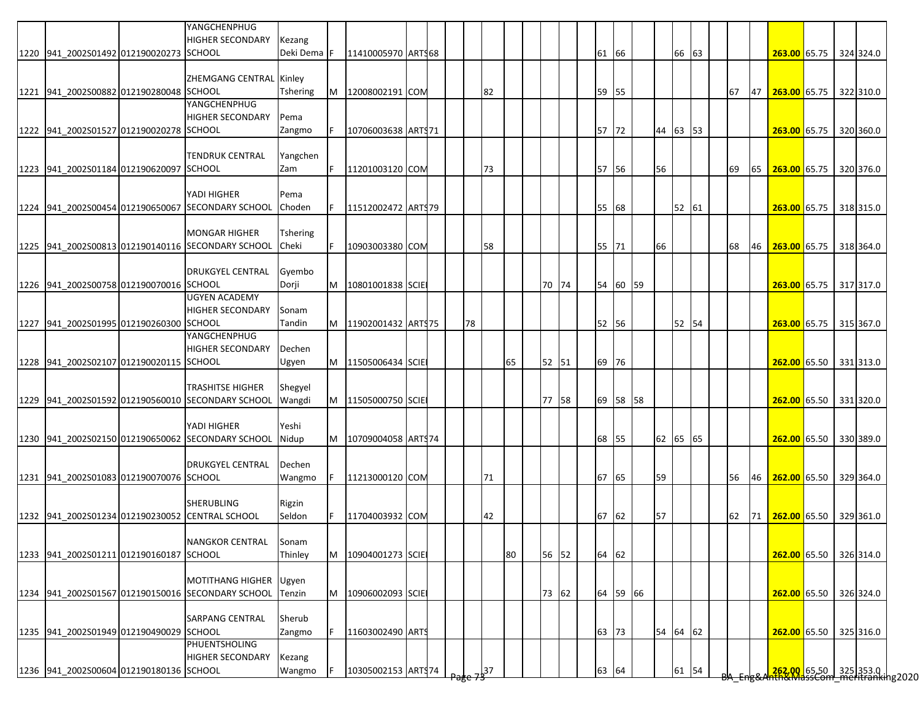|                                         | YANGCHENPHUG<br><b>HIGHER SECONDARY</b>           | Kezang          |    |                     |  |    |     |    |       |  |       |          |    |          |    |    |    |                                                                        |  |           |
|-----------------------------------------|---------------------------------------------------|-----------------|----|---------------------|--|----|-----|----|-------|--|-------|----------|----|----------|----|----|----|------------------------------------------------------------------------|--|-----------|
| 1220 941_2002S01492 012190020273 SCHOOL |                                                   | Deki Dema F     |    | 11410005970 ARTS68  |  |    |     |    |       |  | 61 66 |          |    | 66       | 63 |    |    | 263.00 65.75                                                           |  | 324 324.0 |
|                                         | ZHEMGANG CENTRAL Kinley                           |                 |    |                     |  |    |     |    |       |  |       |          |    |          |    |    |    |                                                                        |  |           |
| 1221 941 2002S00882 012190280048 SCHOOL |                                                   | <b>Tshering</b> | M  | 12008002191 COM     |  |    | 82  |    |       |  | 59 55 |          |    |          |    | 67 | 47 | 263.00 65.75                                                           |  | 322 310.0 |
|                                         | YANGCHENPHUG                                      |                 |    |                     |  |    |     |    |       |  |       |          |    |          |    |    |    |                                                                        |  |           |
|                                         | <b>HIGHER SECONDARY</b>                           | Pema            |    |                     |  |    |     |    |       |  |       |          |    |          |    |    |    |                                                                        |  |           |
| 1222 941_2002S01527 012190020278 SCHOOL |                                                   | Zangmo          |    | 10706003638 ART\$71 |  |    |     |    |       |  | 57 72 |          |    | 44 63 53 |    |    |    | 263.00 65.75                                                           |  | 320 360.0 |
|                                         | <b>TENDRUK CENTRAL</b>                            | Yangchen        |    |                     |  |    |     |    |       |  |       |          |    |          |    |    |    |                                                                        |  |           |
| 1223 941_2002S01184 012190620097 SCHOOL |                                                   | Zam             | F. | 11201003120 COM     |  |    | 73  |    |       |  | 57 56 |          | 56 |          |    | 69 |    | 65 263.00 65.75                                                        |  | 320 376.0 |
|                                         |                                                   |                 |    |                     |  |    |     |    |       |  |       |          |    |          |    |    |    |                                                                        |  |           |
|                                         | YADI HIGHER                                       | Pema            |    |                     |  |    |     |    |       |  |       |          |    |          |    |    |    |                                                                        |  |           |
|                                         | 1224 941_2002S00454 012190650067 SECONDARY SCHOOL | Choden          |    | 11512002472 ARTS79  |  |    |     |    |       |  | 55 68 |          |    | 52 61    |    |    |    | 263.00 65.75                                                           |  | 318 315.0 |
|                                         |                                                   |                 |    |                     |  |    |     |    |       |  |       |          |    |          |    |    |    |                                                                        |  |           |
|                                         | <b>MONGAR HIGHER</b>                              | Tshering        |    |                     |  |    |     |    |       |  |       |          |    |          |    |    |    |                                                                        |  |           |
|                                         | 1225 941_2002S00813 012190140116 SECONDARY SCHOOL | Cheki           |    | 10903003380 COM     |  |    | 58  |    |       |  | 55 71 |          | 66 |          |    | 68 | 46 | 263.00 65.75 318 364.0                                                 |  |           |
|                                         | <b>DRUKGYEL CENTRAL</b>                           | Gyembo          |    |                     |  |    |     |    |       |  |       |          |    |          |    |    |    |                                                                        |  |           |
| 1226 941 2002S00758 012190070016 SCHOOL |                                                   | Dorji           | M  | 10801001838 SCIE    |  |    |     |    | 70 74 |  |       | 54 60 59 |    |          |    |    |    | 263.00 65.75 317 317.0                                                 |  |           |
|                                         | <b>UGYEN ACADEMY</b>                              |                 |    |                     |  |    |     |    |       |  |       |          |    |          |    |    |    |                                                                        |  |           |
|                                         | <b>HIGHER SECONDARY</b>                           | Sonam           |    |                     |  |    |     |    |       |  |       |          |    |          |    |    |    |                                                                        |  |           |
| 1227 941 2002S01995 012190260300 SCHOOL |                                                   | Tandin          | M  | 11902001432 ART\$75 |  | 78 |     |    |       |  | 52 56 |          |    | 52 54    |    |    |    | 263.00 65.75 315 367.0                                                 |  |           |
|                                         | YANGCHENPHUG                                      |                 |    |                     |  |    |     |    |       |  |       |          |    |          |    |    |    |                                                                        |  |           |
|                                         | <b>HIGHER SECONDARY</b>                           | Dechen          |    |                     |  |    |     |    |       |  |       |          |    |          |    |    |    |                                                                        |  |           |
| 1228 941 2002S02107 012190020115 SCHOOL |                                                   | Ugyen           | M  | 11505006434 SCIE    |  |    |     | 65 | 52 51 |  | 69 76 |          |    |          |    |    |    | 262.00 65.50 331 313.0                                                 |  |           |
|                                         | TRASHITSE HIGHER                                  | Shegyel         |    |                     |  |    |     |    |       |  |       |          |    |          |    |    |    |                                                                        |  |           |
|                                         | 1229 941 2002S01592 012190560010 SECONDARY SCHOOL | Wangdi          | M  | 11505000750 SCIE    |  |    |     |    | 77 58 |  |       | 69 58 58 |    |          |    |    |    | 262.00 65.50 331 320.0                                                 |  |           |
|                                         |                                                   |                 |    |                     |  |    |     |    |       |  |       |          |    |          |    |    |    |                                                                        |  |           |
|                                         | YADI HIGHER                                       | Yeshi           |    |                     |  |    |     |    |       |  |       |          |    |          |    |    |    |                                                                        |  |           |
|                                         | 1230 941 2002S02150 012190650062 SECONDARY SCHOOL | Nidup           | M  | 10709004058 ART974  |  |    |     |    |       |  | 68 55 |          |    | 62 65 65 |    |    |    | 262.00 65.50                                                           |  | 330 389.0 |
|                                         |                                                   |                 |    |                     |  |    |     |    |       |  |       |          |    |          |    |    |    |                                                                        |  |           |
|                                         | <b>DRUKGYEL CENTRAL</b>                           | Dechen          |    | 11213000120 COM     |  |    | 71  |    |       |  | 67 65 |          | 59 |          |    | 56 | 46 | 262.00 65.50                                                           |  | 329 364.0 |
| 1231 941_2002S01083 012190070076 SCHOOL |                                                   | Wangmo          |    |                     |  |    |     |    |       |  |       |          |    |          |    |    |    |                                                                        |  |           |
|                                         | <b>SHERUBLING</b>                                 | Rigzin          |    |                     |  |    |     |    |       |  |       |          |    |          |    |    |    |                                                                        |  |           |
|                                         | 1232 941 2002S01234 012190230052 CENTRAL SCHOOL   | Seldon          |    | 11704003932 COM     |  |    | 42  |    |       |  | 67 62 |          | 57 |          |    | 62 |    | 71 262.00 65.50 329 361.0                                              |  |           |
|                                         |                                                   |                 |    |                     |  |    |     |    |       |  |       |          |    |          |    |    |    |                                                                        |  |           |
|                                         | <b>NANGKOR CENTRAL</b>                            | Sonam           |    |                     |  |    |     |    |       |  |       |          |    |          |    |    |    |                                                                        |  |           |
| 1233 941_2002S01211 012190160187 SCHOOL |                                                   | Thinley         | M  | 10904001273 SCIE    |  |    |     | 80 | 56 52 |  | 64 62 |          |    |          |    |    |    | 262.00 65.50 326 314.0                                                 |  |           |
|                                         | <b>MOTITHANG HIGHER</b>                           | Ugyen           |    |                     |  |    |     |    |       |  |       |          |    |          |    |    |    |                                                                        |  |           |
|                                         | 1234 941_2002S01567 012190150016 SECONDARY SCHOOL | Tenzin          | M  | 10906002093 SCIE    |  |    |     |    | 73 62 |  |       | 64 59 66 |    |          |    |    |    | 262.00 65.50 326 324.0                                                 |  |           |
|                                         |                                                   |                 |    |                     |  |    |     |    |       |  |       |          |    |          |    |    |    |                                                                        |  |           |
|                                         | <b>SARPANG CENTRAL</b>                            | Sherub          |    |                     |  |    |     |    |       |  |       |          |    |          |    |    |    |                                                                        |  |           |
| 1235 941_2002S01949 012190490029 SCHOOL |                                                   | Zangmo          |    | 11603002490 ARTS    |  |    |     |    |       |  | 63 73 |          |    | 54 64 62 |    |    |    | 262.00 65.50 325 316.0                                                 |  |           |
|                                         | PHUENTSHOLING                                     |                 |    |                     |  |    |     |    |       |  |       |          |    |          |    |    |    |                                                                        |  |           |
|                                         | <b>HIGHER SECONDARY</b>                           | Kezang          |    |                     |  |    |     |    |       |  |       |          |    |          |    |    |    |                                                                        |  |           |
| 1236 941_2002S00604 012190180136 SCHOOL |                                                   | Wangmo          |    | 10305002153 ARTS74  |  |    | ,37 |    |       |  | 63 64 |          |    | 61       | 54 |    |    | , <mark>262,00 65,50 325</mark> 353.0<br>Anth&MassCom_meritranking2020 |  |           |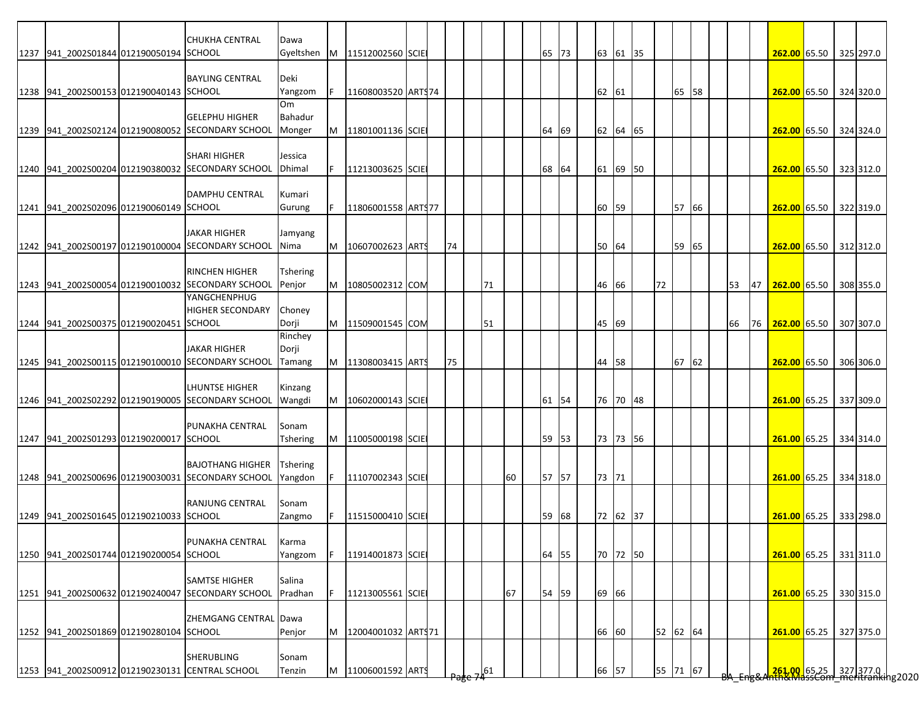|                                         | <b>CHUKHA CENTRAL</b>                                                        | Dawa                       |    |                    |  |    |    |    |       |  |       |          |    |          |  |    |    |                           |  |                                                                        |
|-----------------------------------------|------------------------------------------------------------------------------|----------------------------|----|--------------------|--|----|----|----|-------|--|-------|----------|----|----------|--|----|----|---------------------------|--|------------------------------------------------------------------------|
| 1237 941 2002S01844 012190050194 SCHOOL |                                                                              | Gyeltshen                  |    | M 11512002560 SCIE |  |    |    |    | 65 73 |  |       | 63 61 35 |    |          |  |    |    | 262.00 65.50 325 297.0    |  |                                                                        |
|                                         | <b>BAYLING CENTRAL</b>                                                       | Deki                       |    |                    |  |    |    |    |       |  |       |          |    |          |  |    |    |                           |  |                                                                        |
| 1238 941 2002S00153 012190040143 SCHOOL |                                                                              | Yangzom                    | F. | 11608003520 ARTS74 |  |    |    |    |       |  | 62 61 |          |    | 65 58    |  |    |    | 262.00 65.50              |  | 324 320.0                                                              |
|                                         | <b>GELEPHU HIGHER</b>                                                        | Om<br>Bahadur              |    |                    |  |    |    |    |       |  |       |          |    |          |  |    |    |                           |  |                                                                        |
|                                         | 1239 941 2002S02124 012190080052 SECONDARY SCHOOL                            | Monger                     | M  | 11801001136 SCIE   |  |    |    |    | 64 69 |  |       | 62 64 65 |    |          |  |    |    | 262.00 65.50 324 324.0    |  |                                                                        |
|                                         |                                                                              |                            |    |                    |  |    |    |    |       |  |       |          |    |          |  |    |    |                           |  |                                                                        |
|                                         | <b>SHARI HIGHER</b><br>1240 941 2002S00204 012190380032 SECONDARY SCHOOL     | Jessica<br>Dhimal          | F. | 11213003625 SCIE   |  |    |    |    | 68 64 |  |       | 61 69 50 |    |          |  |    |    | 262.00 65.50 323 312.0    |  |                                                                        |
|                                         |                                                                              |                            |    |                    |  |    |    |    |       |  |       |          |    |          |  |    |    |                           |  |                                                                        |
|                                         | DAMPHU CENTRAL                                                               | Kumari                     |    |                    |  |    |    |    |       |  |       |          |    |          |  |    |    |                           |  |                                                                        |
| 1241 941 2002S02096 012190060149 SCHOOL |                                                                              | Gurung                     | F. | 11806001558 ARTS77 |  |    |    |    |       |  | 60 59 |          |    | 57 66    |  |    |    | 262.00 65.50              |  | 322 319.0                                                              |
|                                         | <b>JAKAR HIGHER</b>                                                          | Jamyang                    |    |                    |  |    |    |    |       |  |       |          |    |          |  |    |    |                           |  |                                                                        |
|                                         | 1242 941 2002S00197 012190100004 SECONDARY SCHOOL                            | Nima                       | M  | 10607002623 ARTS   |  | 74 |    |    |       |  | 50 64 |          |    | 59 65    |  |    |    | 262.00 65.50 312 312.0    |  |                                                                        |
|                                         | <b>RINCHEN HIGHER</b>                                                        | Tshering                   |    |                    |  |    |    |    |       |  |       |          |    |          |  |    |    |                           |  |                                                                        |
|                                         | 1243 941_2002S00054 012190010032 SECONDARY SCHOOL                            | Penjor                     | M  | 10805002312 COM    |  |    | 71 |    |       |  | 46 66 |          | 72 |          |  | 53 | 47 | 262.00 65.50              |  | 308 355.0                                                              |
|                                         | <b>YANGCHENPHUG</b>                                                          |                            |    |                    |  |    |    |    |       |  |       |          |    |          |  |    |    |                           |  |                                                                        |
| 1244 941 2002S00375 012190020451 SCHOOL | <b>HIGHER SECONDARY</b>                                                      | Choney<br>Dorji            | M  | 11509001545 COM    |  |    | 51 |    |       |  | 45 69 |          |    |          |  | 66 |    | 76 262.00 65.50 307 307.0 |  |                                                                        |
|                                         |                                                                              | Rinchey                    |    |                    |  |    |    |    |       |  |       |          |    |          |  |    |    |                           |  |                                                                        |
|                                         | <b>JAKAR HIGHER</b>                                                          | Dorji                      |    |                    |  |    |    |    |       |  |       |          |    |          |  |    |    |                           |  |                                                                        |
|                                         | 1245 941 2002S00115 012190100010 SECONDARY SCHOOL                            | Tamang                     | M  | 11308003415 ARTS   |  | 75 |    |    |       |  | 44 58 |          |    | 67 62    |  |    |    | 262.00 65.50 306 306.0    |  |                                                                        |
|                                         | <b>LHUNTSE HIGHER</b>                                                        | Kinzang                    |    |                    |  |    |    |    |       |  |       |          |    |          |  |    |    |                           |  |                                                                        |
|                                         | 1246 941 2002S02292 012190190005 SECONDARY SCHOOL                            | Wangdi                     | M  | 10602000143 SCIE   |  |    |    |    | 61 54 |  |       | 76 70 48 |    |          |  |    |    | 261.00 65.25              |  | 337 309.0                                                              |
|                                         | PUNAKHA CENTRAL                                                              | Sonam                      |    |                    |  |    |    |    |       |  |       |          |    |          |  |    |    |                           |  |                                                                        |
| 1247 941 2002S01293 012190200017 SCHOOL |                                                                              | Tshering                   | M  | 11005000198 SCIE   |  |    |    |    | 59 53 |  |       | 73 73 56 |    |          |  |    |    | 261.00 65.25              |  | 334 314.0                                                              |
|                                         |                                                                              |                            |    |                    |  |    |    |    |       |  |       |          |    |          |  |    |    |                           |  |                                                                        |
|                                         | <b>BAJOTHANG HIGHER</b><br>1248 941_2002S00696 012190030031 SECONDARY SCHOOL | <b>Tshering</b><br>Yangdon | F. | 11107002343 SCIE   |  |    |    | 60 | 57 57 |  | 73 71 |          |    |          |  |    |    | 261.00 65.25              |  | 334 318.0                                                              |
|                                         |                                                                              |                            |    |                    |  |    |    |    |       |  |       |          |    |          |  |    |    |                           |  |                                                                        |
| 1249 941 2002S01645 012190210033 SCHOOL | <b>RANJUNG CENTRAL</b>                                                       | Sonam                      | F. |                    |  |    |    |    |       |  |       |          |    |          |  |    |    |                           |  |                                                                        |
|                                         |                                                                              | Zangmo                     |    | 11515000410 SCIE   |  |    |    |    | 59 68 |  |       | 72 62 37 |    |          |  |    |    | 261.00 65.25 333 298.0    |  |                                                                        |
|                                         | PUNAKHA CENTRAL                                                              | Karma                      |    |                    |  |    |    |    |       |  |       |          |    |          |  |    |    |                           |  |                                                                        |
| 1250 941_2002S01744 012190200054 SCHOOL |                                                                              | Yangzom                    |    | 11914001873 SCIE   |  |    |    |    | 64 55 |  |       | 70 72 50 |    |          |  |    |    | 261.00 65.25 331 311.0    |  |                                                                        |
|                                         | <b>SAMTSE HIGHER</b>                                                         | Salina                     |    |                    |  |    |    |    |       |  |       |          |    |          |  |    |    |                           |  |                                                                        |
|                                         | 1251 941_2002S00632 012190240047 SECONDARY SCHOOL                            | Pradhan                    |    | 11213005561 SCIE   |  |    |    | 67 | 54 59 |  | 69 66 |          |    |          |  |    |    | 261.00 65.25 330 315.0    |  |                                                                        |
|                                         |                                                                              |                            |    |                    |  |    |    |    |       |  |       |          |    |          |  |    |    |                           |  |                                                                        |
| 1252 941_2002S01869 012190280104 SCHOOL | ZHEMGANG CENTRAL Dawa                                                        | Penjor                     | M  | 12004001032 ARTS71 |  |    |    |    |       |  | 66 60 |          |    | 52 62 64 |  |    |    | 261.00 65.25 327 375.0    |  |                                                                        |
|                                         |                                                                              |                            |    |                    |  |    |    |    |       |  |       |          |    |          |  |    |    |                           |  |                                                                        |
|                                         | SHERUBLING                                                                   | Sonam                      |    |                    |  |    |    |    |       |  |       |          |    |          |  |    |    |                           |  |                                                                        |
|                                         | 1253 941_2002S00912 012190230131 CENTRAL SCHOOL                              | Tenzin                     | M  | 11006001592 ARTS   |  |    | 61 |    |       |  | 66 57 |          |    | 55 71 67 |  |    |    |                           |  | <mark>261.00 65.25 327</mark> 377.0  <br>HAS MassCom meritranking 2020 |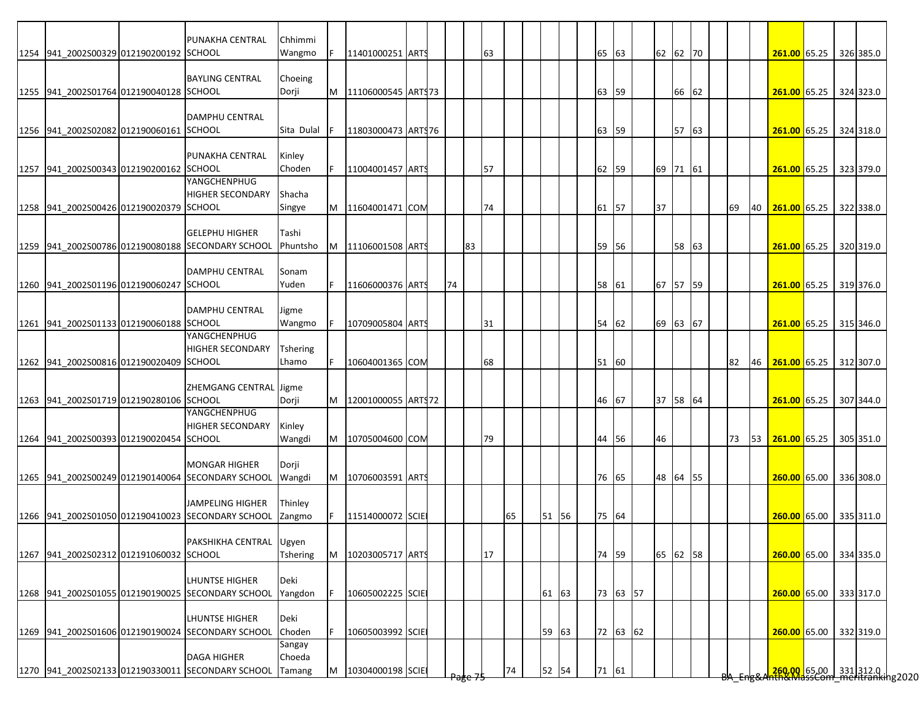|                                         | PUNAKHA CENTRAL                                   | Chhimmi         |   |                    |  |    |    |    |    |       |  |       |          |    |          |       |    |    |  |                        |                                                                      |
|-----------------------------------------|---------------------------------------------------|-----------------|---|--------------------|--|----|----|----|----|-------|--|-------|----------|----|----------|-------|----|----|--|------------------------|----------------------------------------------------------------------|
| 1254 941 2002S00329 012190200192 SCHOOL |                                                   | Wangmo          | F | 11401000251 ARTS   |  |    |    | 63 |    |       |  | 65 63 |          |    | 62 62 70 |       |    |    |  | 261.00 65.25 326 385.0 |                                                                      |
|                                         | <b>BAYLING CENTRAL</b>                            | Choeing         |   |                    |  |    |    |    |    |       |  |       |          |    |          |       |    |    |  |                        |                                                                      |
| 1255 941 2002S01764 012190040128 SCHOOL |                                                   | Dorji           | M | 11106000545 ARTS73 |  |    |    |    |    |       |  | 63 59 |          |    |          | 66 62 |    |    |  | 261.00 65.25           | 324 323.0                                                            |
|                                         |                                                   |                 |   |                    |  |    |    |    |    |       |  |       |          |    |          |       |    |    |  |                        |                                                                      |
| 1256 941 2002S02082 012190060161 SCHOOL | DAMPHU CENTRAL                                    | Sita Dulal      |   | 11803000473 ARTS76 |  |    |    |    |    |       |  | 63 59 |          |    |          | 57 63 |    |    |  | 261.00 65.25 324 318.0 |                                                                      |
|                                         |                                                   |                 |   |                    |  |    |    |    |    |       |  |       |          |    |          |       |    |    |  |                        |                                                                      |
| 1257 941 2002S00343 012190200162 SCHOOL | PUNAKHA CENTRAL                                   | Kinley          |   | 11004001457 ARTS   |  |    |    |    |    |       |  |       |          |    | 69 71 61 |       |    |    |  |                        |                                                                      |
|                                         | YANGCHENPHUG                                      | Choden          |   |                    |  |    |    | 57 |    |       |  | 62 59 |          |    |          |       |    |    |  | 261.00 65.25 323 379.0 |                                                                      |
|                                         | <b>HIGHER SECONDARY</b>                           | Shacha          |   |                    |  |    |    |    |    |       |  |       |          |    |          |       |    |    |  |                        |                                                                      |
| 1258 941 2002S00426 012190020379 SCHOOL |                                                   | Singye          | M | 11604001471 COM    |  |    |    | 74 |    |       |  | 61 57 |          | 37 |          |       | 69 | 40 |  | 261.00 65.25           | 322 338.0                                                            |
|                                         | <b>GELEPHU HIGHER</b>                             | Tashi           |   |                    |  |    |    |    |    |       |  |       |          |    |          |       |    |    |  |                        |                                                                      |
|                                         | 1259 941 2002S00786 012190080188 SECONDARY SCHOOL | Phuntsho        | M | 11106001508 ARTS   |  |    | 83 |    |    |       |  | 59 56 |          |    |          | 58 63 |    |    |  | 261.00 65.25           | 320 319.0                                                            |
|                                         |                                                   |                 |   |                    |  |    |    |    |    |       |  |       |          |    |          |       |    |    |  |                        |                                                                      |
| 1260 941 2002S01196 012190060247 SCHOOL | <b>DAMPHU CENTRAL</b>                             | Sonam<br>Yuden  |   | 11606000376 ARTS   |  | 74 |    |    |    |       |  | 58 61 |          |    | 67 57 59 |       |    |    |  | 261.00 65.25           | 319 376.0                                                            |
|                                         |                                                   |                 |   |                    |  |    |    |    |    |       |  |       |          |    |          |       |    |    |  |                        |                                                                      |
|                                         | <b>DAMPHU CENTRAL</b>                             | Jigme           |   |                    |  |    |    |    |    |       |  |       |          |    |          |       |    |    |  |                        |                                                                      |
| 1261 941 2002S01133 012190060188 SCHOOL | YANGCHENPHUG                                      | Wangmo          |   | 10709005804 ARTS   |  |    |    | 31 |    |       |  | 54 62 |          |    | 69 63 67 |       |    |    |  | 261.00 65.25 315 346.0 |                                                                      |
|                                         | <b>HIGHER SECONDARY</b>                           | <b>Tshering</b> |   |                    |  |    |    |    |    |       |  |       |          |    |          |       |    |    |  |                        |                                                                      |
| 1262 941 2002S00816 012190020409 SCHOOL |                                                   | Lhamo           |   | 10604001365 COM    |  |    |    | 68 |    |       |  | 51 60 |          |    |          |       | 82 | 46 |  | 261.00 65.25 312 307.0 |                                                                      |
|                                         |                                                   |                 |   |                    |  |    |    |    |    |       |  |       |          |    |          |       |    |    |  |                        |                                                                      |
| 1263 941 2002S01719 012190280106 SCHOOL | ZHEMGANG CENTRAL Jigme                            | Dorji           | M | 12001000055 ARTS72 |  |    |    |    |    |       |  | 46 67 |          |    | 37 58 64 |       |    |    |  | 261.00 65.25           | 307 344.0                                                            |
|                                         | YANGCHENPHUG                                      |                 |   |                    |  |    |    |    |    |       |  |       |          |    |          |       |    |    |  |                        |                                                                      |
|                                         | <b>HIGHER SECONDARY</b>                           | Kinley          |   |                    |  |    |    |    |    |       |  |       |          |    |          |       |    |    |  |                        |                                                                      |
| 1264 941 2002S00393 012190020454 SCHOOL |                                                   | Wangdi          | M | 10705004600 COM    |  |    |    | 79 |    |       |  | 44 56 |          | 46 |          |       | 73 |    |  | 53 261.00 65.25        | 305 351.0                                                            |
|                                         | <b>MONGAR HIGHER</b>                              | Dorji           |   |                    |  |    |    |    |    |       |  |       |          |    |          |       |    |    |  |                        |                                                                      |
|                                         | 1265 941 2002S00249 012190140064 SECONDARY SCHOOL | Wangdi          | M | 10706003591 ARTS   |  |    |    |    |    |       |  | 76 65 |          |    | 48 64 55 |       |    |    |  | 260.00 65.00           | 336 308.0                                                            |
|                                         | <b>JAMPELING HIGHER</b>                           | Thinley         |   |                    |  |    |    |    |    |       |  |       |          |    |          |       |    |    |  |                        |                                                                      |
|                                         | 1266 941 2002S01050 012190410023 SECONDARY SCHOOL | Zangmo          | F | 11514000072 SCIE   |  |    |    |    | 65 | 51 56 |  | 75 64 |          |    |          |       |    |    |  | 260.00 65.00           | 335 311.0                                                            |
|                                         |                                                   |                 |   |                    |  |    |    |    |    |       |  |       |          |    |          |       |    |    |  |                        |                                                                      |
|                                         | PAKSHIKHA CENTRAL Ugyen                           |                 |   |                    |  |    |    |    |    |       |  |       |          |    |          |       |    |    |  |                        |                                                                      |
| 1267 941_2002S02312 012191060032 SCHOOL |                                                   | <b>Tshering</b> | M | 10203005717 ARTS   |  |    |    | 17 |    |       |  | 74 59 |          |    | 65 62 58 |       |    |    |  | 260.00 65.00           | 334 335.0                                                            |
|                                         | <b>LHUNTSE HIGHER</b>                             | Deki            |   |                    |  |    |    |    |    |       |  |       |          |    |          |       |    |    |  |                        |                                                                      |
|                                         | 1268 941_2002S01055 012190190025 SECONDARY SCHOOL | Yangdon         |   | 10605002225 SCIE   |  |    |    |    |    | 61 63 |  |       | 73 63 57 |    |          |       |    |    |  | 260.00 65.00           | 333 317.0                                                            |
|                                         | <b>LHUNTSE HIGHER</b>                             | Deki            |   |                    |  |    |    |    |    |       |  |       |          |    |          |       |    |    |  |                        |                                                                      |
|                                         | 1269 941_2002S01606 012190190024 SECONDARY SCHOOL | Choden          |   | 10605003992 SCIE   |  |    |    |    |    | 59 63 |  |       | 72 63 62 |    |          |       |    |    |  | 260.00 65.00           | 332 319.0                                                            |
|                                         |                                                   | Sangay          |   |                    |  |    |    |    |    |       |  |       |          |    |          |       |    |    |  |                        |                                                                      |
|                                         | <b>DAGA HIGHER</b>                                | Choeda          |   |                    |  |    |    |    |    |       |  |       |          |    |          |       |    |    |  |                        |                                                                      |
|                                         | 1270 941_2002S02133 012190330011 SECONDARY SCHOOL | Tamang          | M | 10304000198 SCIE   |  |    |    |    | 74 | 52 54 |  | 71 61 |          |    |          |       |    |    |  |                        | <mark>.260.00 65.00 331</mark> 312.0<br>hth&MassCom meritranking2020 |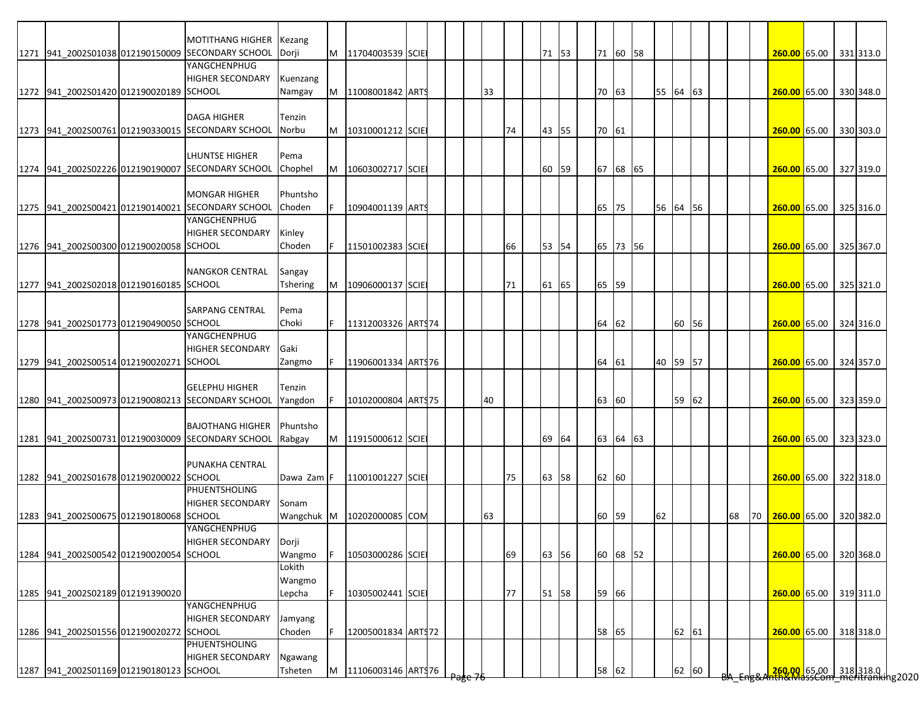|                                         | <b>MOTITHANG HIGHER</b>                           | Kezang         |    |                     |  |     |    |    |       |  |       |          |          |       |  |    |    |                                                                       |  |           |
|-----------------------------------------|---------------------------------------------------|----------------|----|---------------------|--|-----|----|----|-------|--|-------|----------|----------|-------|--|----|----|-----------------------------------------------------------------------|--|-----------|
|                                         | 1271 941 2002S01038 012190150009 SECONDARY SCHOOL | <b>I</b> Dorji | M  | 11704003539 SCIE    |  |     |    |    | 71 53 |  |       | 71 60 58 |          |       |  |    |    | 260.00 65.00                                                          |  | 331 313.0 |
|                                         | YANGCHENPHUG                                      |                |    |                     |  |     |    |    |       |  |       |          |          |       |  |    |    |                                                                       |  |           |
|                                         | <b>HIGHER SECONDARY</b>                           | Kuenzang       |    |                     |  |     |    |    |       |  |       |          |          |       |  |    |    |                                                                       |  |           |
| 1272 941 2002S01420 012190020189 SCHOOL |                                                   | Namgay         | M  | 11008001842 ARTS    |  |     | 33 |    |       |  | 70 63 |          | 55 64 63 |       |  |    |    | 260.00 65.00                                                          |  | 330 348.0 |
|                                         |                                                   |                |    |                     |  |     |    |    |       |  |       |          |          |       |  |    |    |                                                                       |  |           |
|                                         | <b>DAGA HIGHER</b>                                | Tenzin         |    |                     |  |     |    |    |       |  |       |          |          |       |  |    |    |                                                                       |  |           |
|                                         | 1273 941 2002S00761 012190330015 SECONDARY SCHOOL | Norbu          | M  | 10310001212 SCIE    |  |     |    | 74 | 43 55 |  | 70 61 |          |          |       |  |    |    | 260.00 65.00                                                          |  | 330 303.0 |
|                                         |                                                   |                |    |                     |  |     |    |    |       |  |       |          |          |       |  |    |    |                                                                       |  |           |
|                                         | <b>LHUNTSE HIGHER</b>                             | Pema           |    |                     |  |     |    |    |       |  |       |          |          |       |  |    |    |                                                                       |  |           |
|                                         | 1274 941 2002S02226 012190190007 SECONDARY SCHOOL | Chophel        | M  | 10603002717 SCIE    |  |     |    |    | 60 59 |  |       | 67 68 65 |          |       |  |    |    | 260.00 65.00                                                          |  | 327 319.0 |
|                                         |                                                   |                |    |                     |  |     |    |    |       |  |       |          |          |       |  |    |    |                                                                       |  |           |
|                                         | <b>MONGAR HIGHER</b>                              | Phuntsho       |    |                     |  |     |    |    |       |  |       |          |          |       |  |    |    |                                                                       |  |           |
|                                         | 1275 941_2002S00421 012190140021 SECONDARY SCHOOL | Choden         |    | 10904001139 ART     |  |     |    |    |       |  | 65 75 |          | 56 64 56 |       |  |    |    | 260.00 65.00                                                          |  | 325 316.0 |
|                                         | YANGCHENPHUG                                      |                |    |                     |  |     |    |    |       |  |       |          |          |       |  |    |    |                                                                       |  |           |
|                                         | <b>HIGHER SECONDARY</b>                           | Kinley         |    |                     |  |     |    |    |       |  |       |          |          |       |  |    |    |                                                                       |  |           |
| 1276 941 2002S00300 012190020058 SCHOOL |                                                   | Choden         |    | 11501002383 SCIE    |  |     |    | 66 | 53 54 |  |       | 65 73 56 |          |       |  |    |    | 260.00 65.00                                                          |  | 325 367.0 |
|                                         |                                                   |                |    |                     |  |     |    |    |       |  |       |          |          |       |  |    |    |                                                                       |  |           |
|                                         | <b>NANGKOR CENTRAL</b>                            | Sangay         |    |                     |  |     |    |    |       |  |       |          |          |       |  |    |    |                                                                       |  |           |
| 1277 941 2002S02018 012190160185 SCHOOL |                                                   | Tshering       | M  | 10906000137 SCIE    |  |     |    | 71 | 61 65 |  | 65 59 |          |          |       |  |    |    | 260.00 65.00                                                          |  | 325 321.0 |
|                                         |                                                   |                |    |                     |  |     |    |    |       |  |       |          |          |       |  |    |    |                                                                       |  |           |
|                                         | <b>SARPANG CENTRAL</b>                            | Pema           |    |                     |  |     |    |    |       |  |       |          |          |       |  |    |    |                                                                       |  |           |
| 1278 941 2002S01773 012190490050 SCHOOL |                                                   | Choki          | F. | 11312003326 ARTS 74 |  |     |    |    |       |  | 64 62 |          |          | 60 56 |  |    |    | 260.00 65.00                                                          |  | 324 316.0 |
|                                         | YANGCHENPHUG                                      |                |    |                     |  |     |    |    |       |  |       |          |          |       |  |    |    |                                                                       |  |           |
|                                         | <b>HIGHER SECONDARY</b>                           | Gaki           |    |                     |  |     |    |    |       |  |       |          |          |       |  |    |    |                                                                       |  |           |
| 1279 941 2002S00514 012190020271 SCHOOL |                                                   | Zangmo         | F. | 11906001334 ARTS76  |  |     |    |    |       |  | 64 61 |          | 40 59 57 |       |  |    |    | 260.00 65.00                                                          |  | 324 357.0 |
|                                         |                                                   |                |    |                     |  |     |    |    |       |  |       |          |          |       |  |    |    |                                                                       |  |           |
|                                         | <b>GELEPHU HIGHER</b>                             | Tenzin         |    |                     |  |     |    |    |       |  |       |          |          |       |  |    |    |                                                                       |  |           |
|                                         | 1280 941 2002S00973 012190080213 SECONDARY SCHOOL | Yangdon        |    | 10102000804 ARTS 75 |  |     | 40 |    |       |  | 63 60 |          |          | 59 62 |  |    |    | 260.00 65.00                                                          |  | 323 359.0 |
|                                         |                                                   |                |    |                     |  |     |    |    |       |  |       |          |          |       |  |    |    |                                                                       |  |           |
|                                         | <b>BAJOTHANG HIGHER</b>                           | Phuntsho       |    |                     |  |     |    |    |       |  |       |          |          |       |  |    |    |                                                                       |  |           |
|                                         | 1281 941 2002S00731 012190030009 SECONDARY SCHOOL | Rabgay         | M  | 11915000612 SCIE    |  |     |    |    | 69 64 |  |       | 63 64 63 |          |       |  |    |    | 260.00 65.00                                                          |  | 323 323.0 |
|                                         |                                                   |                |    |                     |  |     |    |    |       |  |       |          |          |       |  |    |    |                                                                       |  |           |
|                                         | PUNAKHA CENTRAL                                   |                |    |                     |  |     |    |    |       |  |       |          |          |       |  |    |    |                                                                       |  |           |
| 1282 941 2002S01678 012190200022 SCHOOL |                                                   | Dawa Zam F     |    | 11001001227 SCIE    |  |     |    | 75 | 63 58 |  | 62 60 |          |          |       |  |    |    | 260.00 65.00                                                          |  | 322 318.0 |
|                                         | <b>PHUENTSHOLING</b>                              |                |    |                     |  |     |    |    |       |  |       |          |          |       |  |    |    |                                                                       |  |           |
|                                         | <b>HIGHER SECONDARY</b>                           | Sonam          |    |                     |  |     |    |    |       |  |       |          |          |       |  |    |    |                                                                       |  |           |
| 1283 941 2002S00675 012190180068 SCHOOL |                                                   |                |    |                     |  |     |    |    |       |  |       |          |          |       |  |    |    |                                                                       |  |           |
|                                         | YANGCHENPHUG                                      | Wangchuk M     |    | 10202000085 COM     |  |     | 63 |    |       |  | 60 59 |          | 62       |       |  | 68 | 70 | 260.00 65.00                                                          |  | 320 382.0 |
|                                         |                                                   |                |    |                     |  |     |    |    |       |  |       |          |          |       |  |    |    |                                                                       |  |           |
|                                         | <b>HIGHER SECONDARY</b>                           | Dorji          |    |                     |  |     |    |    |       |  |       |          |          |       |  |    |    |                                                                       |  |           |
| 1284 941 2002S00542 012190020054 SCHOOL |                                                   | Wangmo         |    | 10503000286 SCIE    |  |     |    | 69 | 63 56 |  |       | 60 68 52 |          |       |  |    |    | 260.00 65.00                                                          |  | 320 368.0 |
|                                         |                                                   | Lokith         |    |                     |  |     |    |    |       |  |       |          |          |       |  |    |    |                                                                       |  |           |
|                                         |                                                   | Wangmo         |    |                     |  |     |    |    |       |  |       |          |          |       |  |    |    |                                                                       |  |           |
| 1285 941_2002S02189 012191390020        |                                                   | Lepcha         |    | 10305002441 SCIE    |  |     |    | 77 | 51 58 |  | 59 66 |          |          |       |  |    |    | 260.00 65.00 319 311.0                                                |  |           |
|                                         | YANGCHENPHUG                                      |                |    |                     |  |     |    |    |       |  |       |          |          |       |  |    |    |                                                                       |  |           |
|                                         | <b>HIGHER SECONDARY</b>                           | Jamyang        |    |                     |  |     |    |    |       |  |       |          |          |       |  |    |    |                                                                       |  |           |
| 1286 941_2002S01556 012190020272 SCHOOL |                                                   | Choden         |    | 12005001834 ARTS72  |  |     |    |    |       |  | 58 65 |          |          | 62 61 |  |    |    | 260.00 65.00                                                          |  | 318 318.0 |
|                                         | PHUENTSHOLING                                     |                |    |                     |  |     |    |    |       |  |       |          |          |       |  |    |    |                                                                       |  |           |
|                                         | <b>HIGHER SECONDARY</b>                           | Ngawang        |    |                     |  |     |    |    |       |  |       |          |          |       |  |    |    |                                                                       |  |           |
| 1287 941_2002S01169 012190180123 SCHOOL |                                                   | Tsheten        | M  | 11106003146 ARTS76  |  | पहप |    |    |       |  | 58 62 |          |          | 62 60 |  |    |    | <mark>.260.00.</mark> 65.00 318 318.0<br>hth&MassCom meritranking2020 |  |           |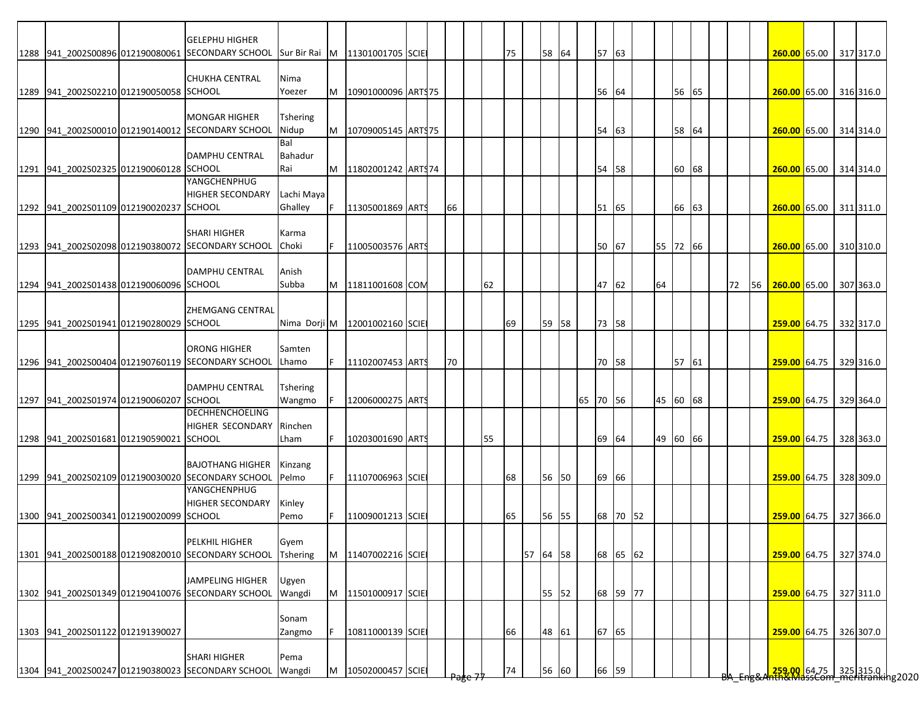|                                         | <b>GELEPHU HIGHER</b>                                                            |                          |    |                               |  |    |    |    |          |          |       |          |          |       |  |    |    |                                                                         |  |           |
|-----------------------------------------|----------------------------------------------------------------------------------|--------------------------|----|-------------------------------|--|----|----|----|----------|----------|-------|----------|----------|-------|--|----|----|-------------------------------------------------------------------------|--|-----------|
|                                         | 1288 941 2002S00896 012190080061 SECONDARY SCHOOL Sur Bir Rai M 11301001705 SCIE |                          |    |                               |  |    |    | 75 | 58 64    |          | 57 63 |          |          |       |  |    |    | 260.00 65.00 317 317.0                                                  |  |           |
|                                         |                                                                                  |                          |    |                               |  |    |    |    |          |          |       |          |          |       |  |    |    |                                                                         |  |           |
|                                         | <b>CHUKHA CENTRAL</b>                                                            | Nima                     |    |                               |  |    |    |    |          |          |       |          |          |       |  |    |    |                                                                         |  |           |
| 1289 941 2002S02210 012190050058 SCHOOL |                                                                                  | Yoezer                   | M  | 10901000096 ARTS75            |  |    |    |    |          |          | 56    | 64       |          | 56 65 |  |    |    | 260.00 65.00 316 316.0                                                  |  |           |
|                                         |                                                                                  |                          |    |                               |  |    |    |    |          |          |       |          |          |       |  |    |    |                                                                         |  |           |
|                                         | <b>MONGAR HIGHER</b><br>1290 941 2002S00010 012190140012 SECONDARY SCHOOL        | <b>Tshering</b><br>Nidup | M  |                               |  |    |    |    |          |          | 54    | 63       |          | 58 64 |  |    |    | 260.00 65.00 314 314.0                                                  |  |           |
|                                         |                                                                                  | Bal                      |    | 10709005145 ART\$75           |  |    |    |    |          |          |       |          |          |       |  |    |    |                                                                         |  |           |
|                                         | <b>DAMPHU CENTRAL</b>                                                            | Bahadur                  |    |                               |  |    |    |    |          |          |       |          |          |       |  |    |    |                                                                         |  |           |
| 1291 941_2002S02325 012190060128 SCHOOL |                                                                                  | Rai                      | M  | 11802001242 ARTS74            |  |    |    |    |          |          | 54 58 |          |          | 60 68 |  |    |    | 260.00 65.00 314 314.0                                                  |  |           |
|                                         | YANGCHENPHUG                                                                     |                          |    |                               |  |    |    |    |          |          |       |          |          |       |  |    |    |                                                                         |  |           |
|                                         | <b>HIGHER SECONDARY</b>                                                          | Lachi Maya               |    |                               |  |    |    |    |          |          |       |          |          |       |  |    |    |                                                                         |  |           |
| 1292 941 2002S01109 012190020237 SCHOOL |                                                                                  | Ghalley                  |    | 11305001869 ARTS              |  | 66 |    |    |          |          | 51 65 |          |          | 66 63 |  |    |    | 260.00 65.00 311 311.0                                                  |  |           |
|                                         |                                                                                  |                          |    |                               |  |    |    |    |          |          |       |          |          |       |  |    |    |                                                                         |  |           |
|                                         | <b>SHARI HIGHER</b>                                                              | Karma                    |    |                               |  |    |    |    |          |          |       |          |          |       |  |    |    |                                                                         |  |           |
|                                         | 1293 941 2002S02098 012190380072 SECONDARY SCHOOL                                | Choki                    |    | 11005003576 ARTS              |  |    |    |    |          |          | 50 67 |          | 55 72 66 |       |  |    |    | 260.00 65.00 310 310.0                                                  |  |           |
|                                         |                                                                                  |                          |    |                               |  |    |    |    |          |          |       |          |          |       |  |    |    |                                                                         |  |           |
|                                         | <b>DAMPHU CENTRAL</b>                                                            | Anish                    |    |                               |  |    |    |    |          |          |       |          |          |       |  |    |    |                                                                         |  |           |
| 1294 941_2002S01438 012190060096 SCHOOL |                                                                                  | Subba                    | M  | 11811001608 COM               |  |    | 62 |    |          |          | 47 62 |          | 64       |       |  | 72 | 56 | 260.00 65.00                                                            |  | 307 363.0 |
|                                         |                                                                                  |                          |    |                               |  |    |    |    |          |          |       |          |          |       |  |    |    |                                                                         |  |           |
|                                         | <b>ZHEMGANG CENTRAL</b>                                                          |                          |    |                               |  |    |    |    |          |          |       |          |          |       |  |    |    |                                                                         |  |           |
| 1295 941 2002S01941 012190280029 SCHOOL |                                                                                  |                          |    | Nima Dorji M 12001002160 SCIE |  |    |    | 69 | 59 58    |          | 73 58 |          |          |       |  |    |    | 259.00 64.75 332 317.0                                                  |  |           |
|                                         |                                                                                  |                          |    |                               |  |    |    |    |          |          |       |          |          |       |  |    |    |                                                                         |  |           |
|                                         | <b>ORONG HIGHER</b>                                                              | Samten                   |    |                               |  |    |    |    |          |          |       |          |          |       |  |    |    |                                                                         |  |           |
|                                         | 1296 941_2002S00404 012190760119 SECONDARY SCHOOL                                | Lhamo                    |    | 11102007453 ARTS              |  | 70 |    |    |          |          | 70 58 |          |          | 57 61 |  |    |    | 259.00 64.75 329 316.0                                                  |  |           |
|                                         |                                                                                  |                          |    |                               |  |    |    |    |          |          |       |          |          |       |  |    |    |                                                                         |  |           |
|                                         | <b>DAMPHU CENTRAL</b>                                                            | Tshering                 |    |                               |  |    |    |    |          |          |       |          |          |       |  |    |    |                                                                         |  |           |
| 1297 941 2002S01974 012190060207 SCHOOL |                                                                                  | Wangmo                   |    | 12006000275 ARTS              |  |    |    |    |          | 65 70 56 |       |          | 45 60 68 |       |  |    |    | 259.00 64.75 329 364.0                                                  |  |           |
|                                         | <b>DECHHENCHOELING</b>                                                           |                          |    |                               |  |    |    |    |          |          |       |          |          |       |  |    |    |                                                                         |  |           |
|                                         | <b>HIGHER SECONDARY</b>                                                          | Rinchen                  |    |                               |  |    |    |    |          |          |       |          |          |       |  |    |    |                                                                         |  |           |
| 1298 941 2002S01681 012190590021 SCHOOL |                                                                                  | Lham                     |    | 10203001690 ARTS              |  |    | 55 |    |          |          | 69 64 |          | 49 60 66 |       |  |    |    | 259.00 64.75 328 363.0                                                  |  |           |
|                                         |                                                                                  |                          |    |                               |  |    |    |    |          |          |       |          |          |       |  |    |    |                                                                         |  |           |
|                                         | <b>BAJOTHANG HIGHER</b><br>1299 941_2002S02109 012190030020 SECONDARY SCHOOL     | Kinzang<br>Pelmo         | F. | 11107006963 SCIE              |  |    |    | 68 | 56 50    |          | 69 66 |          |          |       |  |    |    | 259.00 64.75 328 309.0                                                  |  |           |
|                                         | <b>YANGCHENPHUG</b>                                                              |                          |    |                               |  |    |    |    |          |          |       |          |          |       |  |    |    |                                                                         |  |           |
|                                         | <b>HIGHER SECONDARY</b>                                                          | Kinley                   |    |                               |  |    |    |    |          |          |       |          |          |       |  |    |    |                                                                         |  |           |
| 1300 941 2002S00341 012190020099 SCHOOL |                                                                                  | Pemo                     |    | 11009001213 SCIE              |  |    |    | 65 | 56 55    |          |       | 68 70 52 |          |       |  |    |    | 259.00 64.75 327 366.0                                                  |  |           |
|                                         |                                                                                  |                          |    |                               |  |    |    |    |          |          |       |          |          |       |  |    |    |                                                                         |  |           |
|                                         | PELKHIL HIGHER                                                                   | Gyem                     |    |                               |  |    |    |    |          |          |       |          |          |       |  |    |    |                                                                         |  |           |
|                                         | 1301 941 2002S00188 012190820010 SECONDARY SCHOOL                                | <b>Tshering</b>          | M  | 11407002216 SCIE              |  |    |    |    | 57 64 58 |          |       | 68 65 62 |          |       |  |    |    | 259.00 64.75 327 374.0                                                  |  |           |
|                                         |                                                                                  |                          |    |                               |  |    |    |    |          |          |       |          |          |       |  |    |    |                                                                         |  |           |
|                                         | <b>JAMPELING HIGHER</b>                                                          | Ugyen                    |    |                               |  |    |    |    |          |          |       |          |          |       |  |    |    |                                                                         |  |           |
|                                         | 1302 941_2002S01349 012190410076 SECONDARY SCHOOL                                | Wangdi                   | M  | 11501000917 SCIE              |  |    |    |    | 55 52    |          |       | 68 59 77 |          |       |  |    |    | 259.00 64.75 327 311.0                                                  |  |           |
|                                         |                                                                                  |                          |    |                               |  |    |    |    |          |          |       |          |          |       |  |    |    |                                                                         |  |           |
|                                         |                                                                                  | Sonam                    |    |                               |  |    |    |    |          |          |       |          |          |       |  |    |    |                                                                         |  |           |
| 1303 941_2002S01122 012191390027        |                                                                                  | Zangmo                   |    | 10811000139 SCIE              |  |    |    | 66 | 48 61    |          | 67 65 |          |          |       |  |    |    | 259.00 64.75 326 307.0                                                  |  |           |
|                                         |                                                                                  |                          |    |                               |  |    |    |    |          |          |       |          |          |       |  |    |    |                                                                         |  |           |
|                                         | <b>SHARI HIGHER</b>                                                              | Pema                     |    |                               |  |    |    |    |          |          |       |          |          |       |  |    |    |                                                                         |  |           |
|                                         | 1304 941_2002S00247 012190380023 SECONDARY SCHOOL                                | Wangdi                   | M  | 10502000457 SCIE              |  |    |    | 74 | 56 60    |          | 66 59 |          |          |       |  |    |    | <mark>.259,00.</mark> 64.75 325 315.0  <br>hth&MdssCom meritranking2020 |  |           |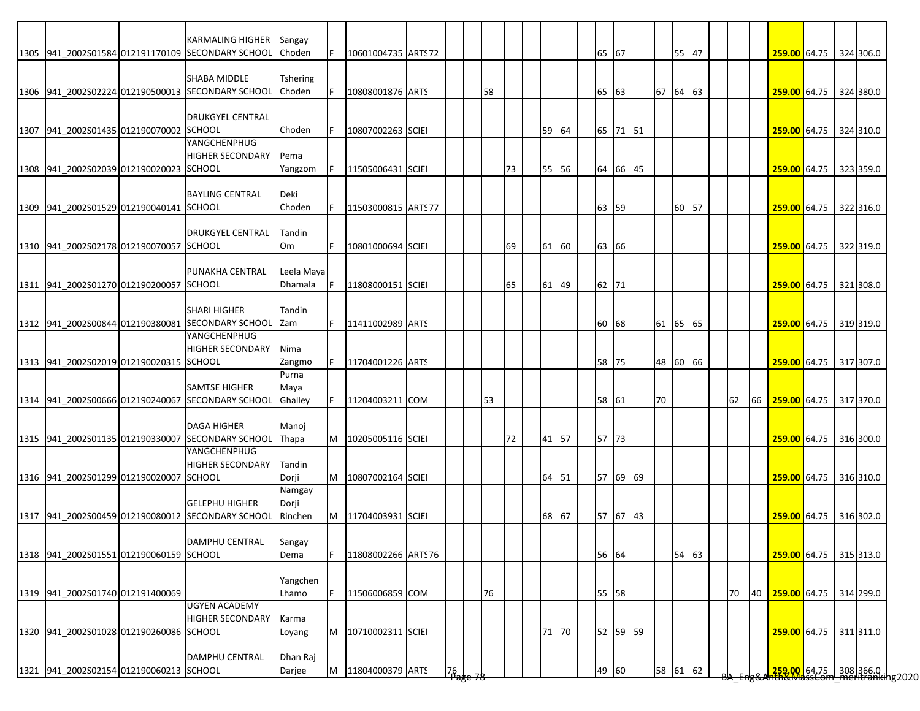|                                         | <b>KARMALING HIGHER</b>                                                   |                       |    |                      |  |                     |    |    |       |       |          |          |       |  |    |    |                        |  |                                                                       |
|-----------------------------------------|---------------------------------------------------------------------------|-----------------------|----|----------------------|--|---------------------|----|----|-------|-------|----------|----------|-------|--|----|----|------------------------|--|-----------------------------------------------------------------------|
|                                         | 1305 941 2002S01584 012191170109 SECONDARY SCHOOL                         | Sangay<br>Choden      |    | 10601004735 ARTS72   |  |                     |    |    |       | 65    | 67       |          | 55 47 |  |    |    | 259.00 64.75 324 306.0 |  |                                                                       |
|                                         |                                                                           |                       |    |                      |  |                     |    |    |       |       |          |          |       |  |    |    |                        |  |                                                                       |
|                                         | <b>SHABA MIDDLE</b><br>1306 941 2002S02224 012190500013 SECONDARY SCHOOL  | Tshering<br>Choden    |    | 10808001876 ARTS     |  |                     | 58 |    |       | 65    | 63       | 67 64 63 |       |  |    |    | 259.00 64.75 324 380.0 |  |                                                                       |
|                                         |                                                                           |                       |    |                      |  |                     |    |    |       |       |          |          |       |  |    |    |                        |  |                                                                       |
|                                         | <b>DRUKGYEL CENTRAL</b>                                                   |                       |    |                      |  |                     |    |    |       |       |          |          |       |  |    |    |                        |  |                                                                       |
| 1307 941 2002S01435 012190070002 SCHOOL | YANGCHENPHUG                                                              | Choden                |    | 10807002263 SCIE     |  |                     |    |    | 59 64 |       | 65 71 51 |          |       |  |    |    | 259.00 64.75 324 310.0 |  |                                                                       |
|                                         | <b>HIGHER SECONDARY</b>                                                   | Pema                  |    |                      |  |                     |    |    |       |       |          |          |       |  |    |    |                        |  |                                                                       |
| 1308 941 2002S02039 012190020023 SCHOOL |                                                                           | Yangzom               |    | 11505006431 SCIE     |  |                     |    | 73 | 55 56 |       | 64 66 45 |          |       |  |    |    | 259.00 64.75 323 359.0 |  |                                                                       |
|                                         | <b>BAYLING CENTRAL</b>                                                    | Deki                  |    |                      |  |                     |    |    |       |       |          |          |       |  |    |    |                        |  |                                                                       |
| 1309 941 2002S01529 012190040141 SCHOOL |                                                                           | Choden                | F  | 11503000815 ART977   |  |                     |    |    |       | 63    | 59       |          | 60 57 |  |    |    | 259.00 64.75 322 316.0 |  |                                                                       |
|                                         | <b>DRUKGYEL CENTRAL</b>                                                   | Tandin                |    |                      |  |                     |    |    |       |       |          |          |       |  |    |    |                        |  |                                                                       |
| 1310 941 2002S02178 012190070057 SCHOOL |                                                                           | Om                    |    | 10801000694 SCIE     |  |                     |    | 69 | 61 60 | 63 66 |          |          |       |  |    |    | 259.00 64.75 322 319.0 |  |                                                                       |
|                                         |                                                                           |                       |    |                      |  |                     |    |    |       |       |          |          |       |  |    |    |                        |  |                                                                       |
| 1311 941 2002S01270 012190200057 SCHOOL | <b>PUNAKHA CENTRAL</b>                                                    | Leela Maya<br>Dhamala |    | 11808000151 SCIE     |  |                     |    |    |       |       |          |          |       |  |    |    |                        |  |                                                                       |
|                                         |                                                                           |                       |    |                      |  |                     |    | 65 | 61 49 | 62 71 |          |          |       |  |    |    | 259.00 64.75 321 308.0 |  |                                                                       |
|                                         | <b>SHARI HIGHER</b>                                                       | Tandin                |    |                      |  |                     |    |    |       |       |          |          |       |  |    |    |                        |  |                                                                       |
|                                         | 1312 941 2002S00844 012190380081 SECONDARY SCHOOL                         | Zam                   | F. | 11411002989 ARTS     |  |                     |    |    |       | 60    | 68       | 61 65 65 |       |  |    |    | 259.00 64.75 319 319.0 |  |                                                                       |
|                                         | YANGCHENPHUG<br><b>HIGHER SECONDARY</b>                                   | Nima                  |    |                      |  |                     |    |    |       |       |          |          |       |  |    |    |                        |  |                                                                       |
| 1313 941 2002S02019 012190020315 SCHOOL |                                                                           | Zangmo                |    | 11704001226 ARTS     |  |                     |    |    |       | 58    | 75       | 48 60 66 |       |  |    |    | 259.00 64.75 317 307.0 |  |                                                                       |
|                                         |                                                                           | Purna                 |    |                      |  |                     |    |    |       |       |          |          |       |  |    |    |                        |  |                                                                       |
|                                         | <b>SAMTSE HIGHER</b><br>1314 941 2002S00666 012190240067 SECONDARY SCHOOL | Maya<br>Ghalley       | F. | 11204003211 COM      |  |                     | 53 |    |       | 58 61 |          | 70       |       |  | 62 | 66 | 259.00 64.75 317 370.0 |  |                                                                       |
|                                         |                                                                           |                       |    |                      |  |                     |    |    |       |       |          |          |       |  |    |    |                        |  |                                                                       |
|                                         | <b>DAGA HIGHER</b>                                                        | Manoj                 |    |                      |  |                     |    |    |       |       |          |          |       |  |    |    |                        |  |                                                                       |
|                                         | 1315 941 2002S01135 012190330007 SECONDARY SCHOOL<br>YANGCHENPHUG         | <b>Thapa</b>          |    | M   10205005116 SCIE |  |                     |    | 72 | 41 57 | 57 73 |          |          |       |  |    |    | 259.00 64.75 316 300.0 |  |                                                                       |
|                                         | <b>HIGHER SECONDARY</b>                                                   | Tandin                |    |                      |  |                     |    |    |       |       |          |          |       |  |    |    |                        |  |                                                                       |
| 1316 941 2002S01299 012190020007 SCHOOL |                                                                           | Dorji                 | M  | 10807002164 SCIE     |  |                     |    |    | 64 51 |       | 57 69 69 |          |       |  |    |    | 259.00 64.75 316 310.0 |  |                                                                       |
|                                         | <b>GELEPHU HIGHER</b>                                                     | Namgay<br>Dorji       |    |                      |  |                     |    |    |       |       |          |          |       |  |    |    |                        |  |                                                                       |
|                                         | 1317 941 2002S00459 012190080012 SECONDARY SCHOOL                         | Rinchen               |    | M 11704003931 SCIE   |  |                     |    |    | 68 67 |       | 57 67 43 |          |       |  |    |    | 259.00 64.75 316 302.0 |  |                                                                       |
|                                         |                                                                           |                       |    |                      |  |                     |    |    |       |       |          |          |       |  |    |    |                        |  |                                                                       |
| 1318 941 2002S01551 012190060159 SCHOOL | DAMPHU CENTRAL                                                            | Sangay<br>Dema        | F  | 11808002266 ARTS76   |  |                     |    |    |       | 56 64 |          |          | 54 63 |  |    |    | 259.00 64.75 315 313.0 |  |                                                                       |
|                                         |                                                                           |                       |    |                      |  |                     |    |    |       |       |          |          |       |  |    |    |                        |  |                                                                       |
|                                         |                                                                           | Yangchen              |    |                      |  |                     |    |    |       |       |          |          |       |  |    |    |                        |  |                                                                       |
| 1319 941 2002S01740 012191400069        | <b>UGYEN ACADEMY</b>                                                      | Lhamo                 | F. | 11506006859 COM      |  |                     | 76 |    |       | 55 58 |          |          |       |  | 70 | 40 | 259.00 64.75 314 299.0 |  |                                                                       |
|                                         | <b>HIGHER SECONDARY</b>                                                   | Karma                 |    |                      |  |                     |    |    |       |       |          |          |       |  |    |    |                        |  |                                                                       |
| 1320 941_2002S01028 012190260086 SCHOOL |                                                                           | Loyang                | M  | 10710002311 SCIE     |  |                     |    |    | 71 70 |       | 52 59 59 |          |       |  |    |    | 259.00 64.75 311 311.0 |  |                                                                       |
|                                         | DAMPHU CENTRAL                                                            | Dhan Raj              |    |                      |  |                     |    |    |       |       |          |          |       |  |    |    |                        |  |                                                                       |
| 1321 941_2002S02154 012190060213 SCHOOL |                                                                           | Darjee                | M  | 11804000379 ARTS     |  | $\frac{76}{12}$ e - |    |    |       | 49 60 |          | 58 61 62 |       |  |    |    |                        |  | <mark>259,00 64.75 308</mark> 366.0<br>http://wassCommeritranking2020 |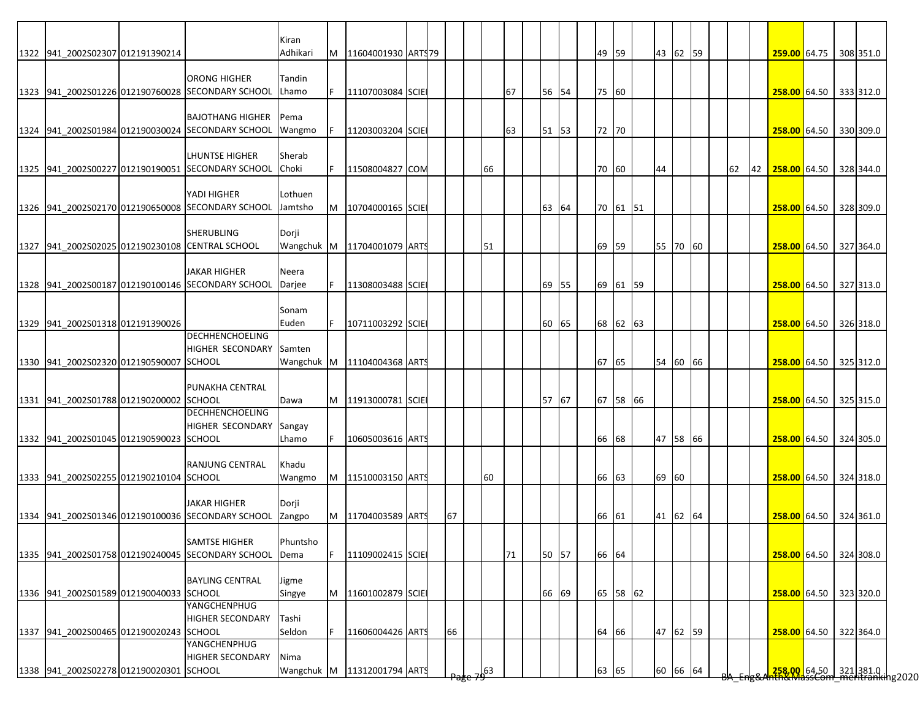|                                                 |                                                                            | Kiran               |   |                     |  |    |             |    |       |  |          |          |    |  |    |    |                        |  |                                                                      |
|-------------------------------------------------|----------------------------------------------------------------------------|---------------------|---|---------------------|--|----|-------------|----|-------|--|----------|----------|----|--|----|----|------------------------|--|----------------------------------------------------------------------|
| 1322 941_2002S02307 012191390214                |                                                                            | Adhikari            | M | 11604001930 ARTS 79 |  |    |             |    |       |  | 49 59    | 43 62 59 |    |  |    |    | 259.00 64.75 308 351.0 |  |                                                                      |
|                                                 |                                                                            |                     |   |                     |  |    |             |    |       |  |          |          |    |  |    |    |                        |  |                                                                      |
|                                                 | <b>ORONG HIGHER</b><br>1323 941 2002S01226 012190760028 SECONDARY SCHOOL   | Tandin<br>Lhamo     |   | 11107003084 SCIE    |  |    |             | 67 | 56 54 |  | 75 60    |          |    |  |    |    | 258.00 64.50 333 312.0 |  |                                                                      |
|                                                 |                                                                            |                     |   |                     |  |    |             |    |       |  |          |          |    |  |    |    |                        |  |                                                                      |
|                                                 | <b>BAJOTHANG HIGHER</b>                                                    | Pema                |   |                     |  |    |             |    |       |  |          |          |    |  |    |    |                        |  |                                                                      |
|                                                 | 1324 941_2002S01984 012190030024 SECONDARY SCHOOL                          | Wangmo              |   | 11203003204 SCIE    |  |    |             | 63 | 51 53 |  | 72 70    |          |    |  |    |    | 258.00 64.50 330 309.0 |  |                                                                      |
|                                                 |                                                                            |                     |   |                     |  |    |             |    |       |  |          |          |    |  |    |    |                        |  |                                                                      |
|                                                 | <b>LHUNTSE HIGHER</b><br>1325 941 2002S00227 012190190051 SECONDARY SCHOOL | Sherab<br>Choki     |   | 11508004827 COM     |  |    | 66          |    |       |  | 70 60    | 44       |    |  | 62 | 42 | 258.00 64.50 328 344.0 |  |                                                                      |
|                                                 |                                                                            |                     |   |                     |  |    |             |    |       |  |          |          |    |  |    |    |                        |  |                                                                      |
|                                                 | YADI HIGHER                                                                | Lothuen             |   |                     |  |    |             |    |       |  |          |          |    |  |    |    |                        |  |                                                                      |
|                                                 | 1326 941_2002S02170 012190650008 SECONDARY SCHOOL                          | Jamtsho             | M | 10704000165 SCIE    |  |    |             |    | 63 64 |  | 70 61 51 |          |    |  |    |    | 258.00 64.50 328 309.0 |  |                                                                      |
|                                                 |                                                                            |                     |   |                     |  |    |             |    |       |  |          |          |    |  |    |    |                        |  |                                                                      |
| 1327 941_2002S02025 012190230108 CENTRAL SCHOOL | <b>SHERUBLING</b>                                                          | Dorji<br>Wangchuk M |   | 11704001079 ARTS    |  |    | 51          |    |       |  | 69 59    | 55 70 60 |    |  |    |    | 258.00 64.50 327 364.0 |  |                                                                      |
|                                                 |                                                                            |                     |   |                     |  |    |             |    |       |  |          |          |    |  |    |    |                        |  |                                                                      |
|                                                 | <b>JAKAR HIGHER</b>                                                        | Neera               |   |                     |  |    |             |    |       |  |          |          |    |  |    |    |                        |  |                                                                      |
|                                                 | 1328 941_2002S00187 012190100146 SECONDARY SCHOOL                          | Darjee              |   | 11308003488 SCIE    |  |    |             |    | 69 55 |  | 69 61 59 |          |    |  |    |    | 258.00 64.50 327 313.0 |  |                                                                      |
|                                                 |                                                                            |                     |   |                     |  |    |             |    |       |  |          |          |    |  |    |    |                        |  |                                                                      |
| 1329 941_2002S01318 012191390026                |                                                                            | Sonam<br>Euden      |   | 10711003292 SCIE    |  |    |             |    | 60 65 |  | 68 62 63 |          |    |  |    |    | 258.00 64.50 326 318.0 |  |                                                                      |
|                                                 | <b>DECHHENCHOELING</b>                                                     |                     |   |                     |  |    |             |    |       |  |          |          |    |  |    |    |                        |  |                                                                      |
|                                                 | <b>HIGHER SECONDARY</b>                                                    | Samten              |   |                     |  |    |             |    |       |  |          |          |    |  |    |    |                        |  |                                                                      |
| 1330 941 2002S02320 012190590007 SCHOOL         |                                                                            | Wangchuk M          |   | 11104004368 ARTS    |  |    |             |    |       |  | 67 65    | 54 60 66 |    |  |    |    | 258.00 64.50 325 312.0 |  |                                                                      |
|                                                 | PUNAKHA CENTRAL                                                            |                     |   |                     |  |    |             |    |       |  |          |          |    |  |    |    |                        |  |                                                                      |
| 1331 941 2002S01788 012190200002 SCHOOL         |                                                                            | Dawa                | M | 11913000781 SCIE    |  |    |             |    | 57 67 |  | 67 58 66 |          |    |  |    |    | 258.00 64.50 325 315.0 |  |                                                                      |
|                                                 | <b>DECHHENCHOELING</b>                                                     |                     |   |                     |  |    |             |    |       |  |          |          |    |  |    |    |                        |  |                                                                      |
|                                                 | <b>HIGHER SECONDARY</b>                                                    | Sangay              |   |                     |  |    |             |    |       |  |          |          |    |  |    |    |                        |  |                                                                      |
| 1332 941 2002S01045 012190590023 SCHOOL         |                                                                            | Lhamo               |   | 10605003616 ARTS    |  |    |             |    |       |  | 66 68    | 47 58 66 |    |  |    |    | 258.00 64.50 324 305.0 |  |                                                                      |
|                                                 |                                                                            |                     |   |                     |  |    |             |    |       |  |          |          |    |  |    |    |                        |  |                                                                      |
| 1333 941_2002S02255 012190210104 SCHOOL         | <b>RANJUNG CENTRAL</b>                                                     | Khadu<br>Wangmo     | M | 11510003150 ARTS    |  |    | 60          |    |       |  | 66 63    | 69       | 60 |  |    |    | 258.00 64.50 324 318.0 |  |                                                                      |
|                                                 |                                                                            |                     |   |                     |  |    |             |    |       |  |          |          |    |  |    |    |                        |  |                                                                      |
|                                                 | <b>JAKAR HIGHER</b>                                                        | Dorji               |   |                     |  |    |             |    |       |  |          |          |    |  |    |    |                        |  |                                                                      |
|                                                 | 1334 941 2002S01346 012190100036 SECONDARY SCHOOL                          | Zangpo              | M | 11704003589 ARTS    |  | 67 |             |    |       |  | 66 61    | 41 62 64 |    |  |    |    | 258.00 64.50 324 361.0 |  |                                                                      |
|                                                 | <b>SAMTSE HIGHER</b>                                                       | Phuntsho            |   |                     |  |    |             |    |       |  |          |          |    |  |    |    |                        |  |                                                                      |
|                                                 | 1335 941 2002S01758 012190240045 SECONDARY SCHOOL                          | Dema                |   | 11109002415 SCIE    |  |    |             | 71 | 50 57 |  | 66 64    |          |    |  |    |    | 258.00 64.50 324 308.0 |  |                                                                      |
|                                                 |                                                                            |                     |   |                     |  |    |             |    |       |  |          |          |    |  |    |    |                        |  |                                                                      |
|                                                 | <b>BAYLING CENTRAL</b>                                                     | Jigme               |   |                     |  |    |             |    |       |  |          |          |    |  |    |    |                        |  |                                                                      |
| 1336 941 2002S01589 012190040033 SCHOOL         |                                                                            | Singye              | M | 11601002879 SCIE    |  |    |             |    | 66 69 |  | 65 58 62 |          |    |  |    |    | 258.00 64.50 323 320.0 |  |                                                                      |
|                                                 | YANGCHENPHUG                                                               |                     |   |                     |  |    |             |    |       |  |          |          |    |  |    |    |                        |  |                                                                      |
| 1337 941_2002S00465 012190020243 SCHOOL         | <b>HIGHER SECONDARY</b>                                                    | Tashi<br>Seldon     |   | 11606004426 ARTS    |  | 66 |             |    |       |  | 64 66    | 47 62 59 |    |  |    |    | 258.00 64.50 322 364.0 |  |                                                                      |
|                                                 | YANGCHENPHUG                                                               |                     |   |                     |  |    |             |    |       |  |          |          |    |  |    |    |                        |  |                                                                      |
|                                                 | <b>HIGHER SECONDARY</b>                                                    | Nima                |   |                     |  |    |             |    |       |  |          |          |    |  |    |    |                        |  |                                                                      |
| 1338 941_2002S02278 012190020301 SCHOOL         |                                                                            | Wangchuk M          |   | 11312001794 ARTS    |  |    | $\sqrt{63}$ |    |       |  | 63 65    | 60 66 64 |    |  |    |    |                        |  | <mark>.258.00.</mark> 64.50 321381.0<br>hth&MassCom meritranking2020 |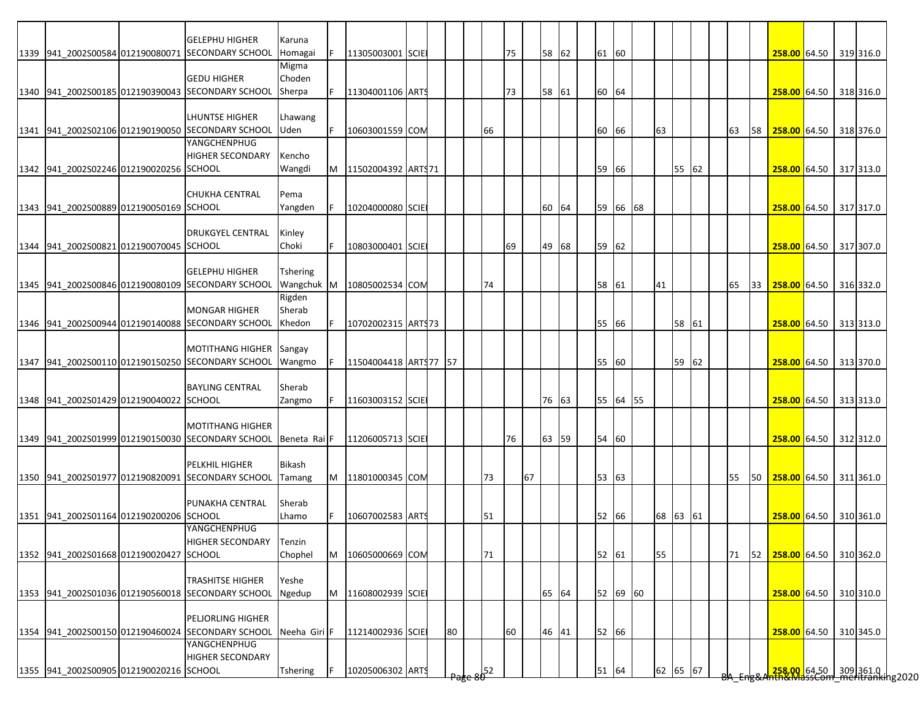|                                         | <b>GELEPHU HIGHER</b>                             | Karuna                  |   |                       |  |    |    |    |    |       |  |          |          |       |    |    |    |                                                                       |  |           |
|-----------------------------------------|---------------------------------------------------|-------------------------|---|-----------------------|--|----|----|----|----|-------|--|----------|----------|-------|----|----|----|-----------------------------------------------------------------------|--|-----------|
|                                         | 1339 941 2002S00584 012190080071 SECONDARY SCHOOL | Homagai                 |   | 11305003001 SCIE      |  |    |    | 75 |    | 58 62 |  | 61 60    |          |       |    |    |    | 258.00 64.50 319 316.0                                                |  |           |
|                                         |                                                   | Migma                   |   |                       |  |    |    |    |    |       |  |          |          |       |    |    |    |                                                                       |  |           |
|                                         | <b>GEDU HIGHER</b>                                | Choden                  |   |                       |  |    |    |    |    |       |  |          |          |       |    |    |    |                                                                       |  |           |
|                                         | 1340 941 2002S00185 012190390043 SECONDARY SCHOOL | Sherpa                  |   | 11304001106 ARTS      |  |    |    | 73 |    | 58 61 |  | 60 64    |          |       |    |    |    | 258.00 64.50 318 316.0                                                |  |           |
|                                         |                                                   |                         |   |                       |  |    |    |    |    |       |  |          |          |       |    |    |    |                                                                       |  |           |
|                                         | <b>LHUNTSE HIGHER</b>                             | Lhawang                 |   |                       |  |    |    |    |    |       |  |          |          |       |    |    |    |                                                                       |  |           |
|                                         | 1341 941_2002S02106 012190190050 SECONDARY SCHOOL | Uden                    |   | 10603001559 COM       |  |    | 66 |    |    |       |  | 60 66    | 63       |       |    | 63 | 58 | 258.00 64.50                                                          |  | 318 376.0 |
|                                         | YANGCHENPHUG                                      |                         |   |                       |  |    |    |    |    |       |  |          |          |       |    |    |    |                                                                       |  |           |
|                                         | <b>HIGHER SECONDARY</b>                           | Kencho                  |   |                       |  |    |    |    |    |       |  |          |          |       |    |    |    |                                                                       |  |           |
| 1342 941 2002S02246 012190020256 SCHOOL |                                                   |                         |   | 11502004392 ARTS71    |  |    |    |    |    |       |  |          |          |       |    |    |    | 258.00 64.50 317 313.0                                                |  |           |
|                                         |                                                   | Wangdi                  | M |                       |  |    |    |    |    |       |  | 59 66    |          | 55 62 |    |    |    |                                                                       |  |           |
|                                         |                                                   |                         |   |                       |  |    |    |    |    |       |  |          |          |       |    |    |    |                                                                       |  |           |
|                                         | <b>CHUKHA CENTRAL</b>                             | Pema                    |   |                       |  |    |    |    |    |       |  |          |          |       |    |    |    |                                                                       |  |           |
| 1343 941_2002S00889 012190050169 SCHOOL |                                                   | Yangden                 |   | 10204000080 SCIE      |  |    |    |    |    | 60 64 |  | 59 66 68 |          |       |    |    |    | 258.00 64.50 317 317.0                                                |  |           |
|                                         |                                                   |                         |   |                       |  |    |    |    |    |       |  |          |          |       |    |    |    |                                                                       |  |           |
|                                         | <b>DRUKGYEL CENTRAL</b>                           | Kinley                  |   |                       |  |    |    |    |    |       |  |          |          |       |    |    |    |                                                                       |  |           |
| 1344 941 2002S00821 012190070045 SCHOOL |                                                   | Choki                   |   | 10803000401 SCIE      |  |    |    | 69 |    | 49 68 |  | 59 62    |          |       |    |    |    | 258.00 64.50 317 307.0                                                |  |           |
|                                         |                                                   |                         |   |                       |  |    |    |    |    |       |  |          |          |       |    |    |    |                                                                       |  |           |
|                                         | <b>GELEPHU HIGHER</b>                             | Tshering                |   |                       |  |    |    |    |    |       |  |          |          |       |    |    |    |                                                                       |  |           |
|                                         | 1345 941_2002S00846 012190080109 SECONDARY SCHOOL | Wangchuk M              |   | 10805002534 COM       |  |    | 74 |    |    |       |  | 58 61    | 41       |       |    | 65 | 33 | 258.00 64.50 316 332.0                                                |  |           |
|                                         |                                                   | Rigden                  |   |                       |  |    |    |    |    |       |  |          |          |       |    |    |    |                                                                       |  |           |
|                                         | <b>MONGAR HIGHER</b>                              | Sherab                  |   |                       |  |    |    |    |    |       |  |          |          |       |    |    |    |                                                                       |  |           |
|                                         | 1346 941 2002S00944 012190140088 SECONDARY SCHOOL | Khedon                  |   | 10702002315 ARTS73    |  |    |    |    |    |       |  | 55 66    |          | 58 61 |    |    |    | 258.00 64.50 313 313.0                                                |  |           |
|                                         |                                                   |                         |   |                       |  |    |    |    |    |       |  |          |          |       |    |    |    |                                                                       |  |           |
|                                         | <b>MOTITHANG HIGHER</b>                           | Sangay                  |   |                       |  |    |    |    |    |       |  |          |          |       |    |    |    |                                                                       |  |           |
|                                         | 1347 941 2002S00110 012190150250 SECONDARY SCHOOL | Wangmo                  |   | 11504004418 ARTS77 57 |  |    |    |    |    |       |  | 55 60    |          | 59    | 62 |    |    | 258.00 64.50 313 370.0                                                |  |           |
|                                         |                                                   |                         |   |                       |  |    |    |    |    |       |  |          |          |       |    |    |    |                                                                       |  |           |
|                                         | <b>BAYLING CENTRAL</b>                            | Sherab                  |   |                       |  |    |    |    |    |       |  |          |          |       |    |    |    |                                                                       |  |           |
| 1348 941 2002S01429 012190040022 SCHOOL |                                                   | Zangmo                  |   | 11603003152 SCIE      |  |    |    |    |    | 76 63 |  | 55 64 55 |          |       |    |    |    | 258.00 64.50 313 313.0                                                |  |           |
|                                         |                                                   |                         |   |                       |  |    |    |    |    |       |  |          |          |       |    |    |    |                                                                       |  |           |
|                                         | <b>MOTITHANG HIGHER</b>                           |                         |   |                       |  |    |    |    |    |       |  |          |          |       |    |    |    |                                                                       |  |           |
|                                         | 1349 941 2002S01999 012190150030 SECONDARY SCHOOL | Beneta Rai <sup>F</sup> |   | 11206005713 SCIE      |  |    |    | 76 |    | 63 59 |  | 54 60    |          |       |    |    |    | 258.00 64.50 312 312.0                                                |  |           |
|                                         |                                                   |                         |   |                       |  |    |    |    |    |       |  |          |          |       |    |    |    |                                                                       |  |           |
|                                         | <b>PELKHIL HIGHER</b>                             | Bikash                  |   |                       |  |    |    |    |    |       |  |          |          |       |    |    |    |                                                                       |  |           |
|                                         | 1350 941 2002S01977 012190820091 SECONDARY SCHOOL | Tamang                  | M | 11801000345 COM       |  |    | 73 |    | 67 |       |  | 53 63    |          |       |    | 55 | 50 | 258.00 64.50                                                          |  | 311 361.0 |
|                                         |                                                   |                         |   |                       |  |    |    |    |    |       |  |          |          |       |    |    |    |                                                                       |  |           |
|                                         | PUNAKHA CENTRAL                                   | Sherab                  |   |                       |  |    |    |    |    |       |  |          |          |       |    |    |    |                                                                       |  |           |
| 1351 941_2002S01164 012190200206 SCHOOL |                                                   | Lhamo                   |   | 10607002583 ARTS      |  |    | 51 |    |    |       |  | 52 66    | 68 63 61 |       |    |    |    | 258.00 64.50 310 361.0                                                |  |           |
|                                         | YANGCHENPHUG                                      |                         |   |                       |  |    |    |    |    |       |  |          |          |       |    |    |    |                                                                       |  |           |
|                                         | <b>HIGHER SECONDARY</b>                           | Tenzin                  |   |                       |  |    |    |    |    |       |  |          |          |       |    |    |    |                                                                       |  |           |
| 1352 941 2002S01668 012190020427 SCHOOL |                                                   | Chophel                 | M | 10605000669 COM       |  |    | 71 |    |    |       |  | 52 61    | 55       |       |    | 71 | 52 | 258.00 64.50 310 362.0                                                |  |           |
|                                         |                                                   |                         |   |                       |  |    |    |    |    |       |  |          |          |       |    |    |    |                                                                       |  |           |
|                                         | <b>TRASHITSE HIGHER</b>                           | Yeshe                   |   |                       |  |    |    |    |    |       |  |          |          |       |    |    |    |                                                                       |  |           |
|                                         | 1353 941 2002S01036 012190560018 SECONDARY SCHOOL | Ngedup                  | M | 11608002939 SCIE      |  |    |    |    |    | 65 64 |  | 52 69 60 |          |       |    |    |    | 258.00 64.50 310 310.0                                                |  |           |
|                                         |                                                   |                         |   |                       |  |    |    |    |    |       |  |          |          |       |    |    |    |                                                                       |  |           |
|                                         | <b>PELJORLING HIGHER</b>                          |                         |   |                       |  |    |    |    |    |       |  |          |          |       |    |    |    |                                                                       |  |           |
|                                         | 1354 941_2002S00150 012190460024 SECONDARY SCHOOL | Neeha Giri F            |   | 11214002936 SCIE      |  | 80 |    | 60 |    | 46 41 |  | 52 66    |          |       |    |    |    | 258.00 64.50 310 345.0                                                |  |           |
|                                         | YANGCHENPHUG                                      |                         |   |                       |  |    |    |    |    |       |  |          |          |       |    |    |    |                                                                       |  |           |
|                                         | <b>HIGHER SECONDARY</b>                           |                         |   |                       |  |    |    |    |    |       |  |          |          |       |    |    |    |                                                                       |  |           |
|                                         |                                                   |                         |   |                       |  |    |    |    |    |       |  |          |          |       |    |    |    |                                                                       |  |           |
| 1355 941_2002S00905 012190020216 SCHOOL |                                                   | Tshering                |   | 10205006302 ARTS      |  |    | 52 |    |    |       |  | 51 64    | 62 65 67 |       |    |    |    | <mark>.258.00.</mark> 64.50 309.361.0<br>hth&MassCom meritranking2020 |  |           |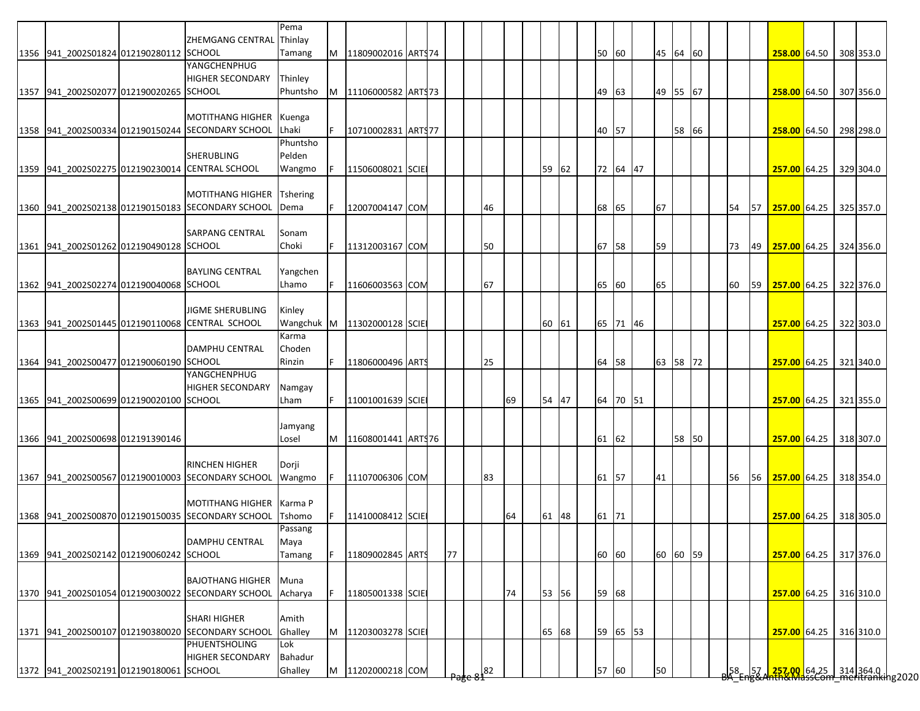|                                         |                                                   | Pema     |    |                             |  |    |    |    |       |       |          |          |       |  |    |    |                        |  |           |
|-----------------------------------------|---------------------------------------------------|----------|----|-----------------------------|--|----|----|----|-------|-------|----------|----------|-------|--|----|----|------------------------|--|-----------|
|                                         | ZHEMGANG CENTRAL Thinlay                          |          |    |                             |  |    |    |    |       |       |          |          |       |  |    |    |                        |  |           |
| 1356 941 2002S01824 012190280112 SCHOOL |                                                   | Tamang   | M  | 11809002016 ART\$74         |  |    |    |    |       | 50 60 |          | 45 64 60 |       |  |    |    | 258.00 64.50           |  | 308 353.0 |
|                                         | YANGCHENPHUG                                      |          |    |                             |  |    |    |    |       |       |          |          |       |  |    |    |                        |  |           |
|                                         | <b>HIGHER SECONDARY</b>                           | Thinley  |    |                             |  |    |    |    |       |       |          |          |       |  |    |    |                        |  |           |
| 1357 941 2002S02077 012190020265 SCHOOL |                                                   | Phuntsho | M  | 11106000582 ARTS73          |  |    |    |    |       | 49    | 63       | 49 55 67 |       |  |    |    | 258.00 64.50           |  | 307 356.0 |
|                                         |                                                   |          |    |                             |  |    |    |    |       |       |          |          |       |  |    |    |                        |  |           |
|                                         | <b>MOTITHANG HIGHER</b>                           | Kuenga   |    |                             |  |    |    |    |       |       |          |          |       |  |    |    |                        |  |           |
|                                         | 1358 941 2002S00334 012190150244 SECONDARY SCHOOL | Lhaki    | F. | 10710002831 ARTS77          |  |    |    |    |       | 40 57 |          |          | 58 66 |  |    |    | 258.00 64.50           |  | 298 298.0 |
|                                         |                                                   | Phuntsho |    |                             |  |    |    |    |       |       |          |          |       |  |    |    |                        |  |           |
|                                         | <b>SHERUBLING</b>                                 | Pelden   |    |                             |  |    |    |    |       |       |          |          |       |  |    |    |                        |  |           |
|                                         | 1359 941 2002S02275 012190230014 CENTRAL SCHOOL   | Wangmo   |    | 11506008021 SCIE            |  |    |    |    | 59 62 |       | 72 64 47 |          |       |  |    |    | 257.00 64.25           |  | 329 304.0 |
|                                         |                                                   |          |    |                             |  |    |    |    |       |       |          |          |       |  |    |    |                        |  |           |
|                                         | <b>MOTITHANG HIGHER</b>                           | Tshering |    |                             |  |    |    |    |       |       |          |          |       |  |    |    |                        |  |           |
|                                         | 1360 941_2002S02138 012190150183 SECONDARY SCHOOL | Dema     | F. | 12007004147 COM             |  |    | 46 |    |       | 68 65 |          | 67       |       |  | 54 | 57 | 257.00 64.25           |  | 325 357.0 |
|                                         |                                                   |          |    |                             |  |    |    |    |       |       |          |          |       |  |    |    |                        |  |           |
|                                         | <b>SARPANG CENTRAL</b>                            | Sonam    |    |                             |  |    |    |    |       |       |          |          |       |  |    |    |                        |  |           |
| 1361 941 2002S01262 012190490128 SCHOOL |                                                   | Choki    |    | 11312003167 COM             |  |    | 50 |    |       | 67 58 |          | 59       |       |  | 73 | 49 | 257.00 64.25           |  | 324 356.0 |
|                                         |                                                   |          |    |                             |  |    |    |    |       |       |          |          |       |  |    |    |                        |  |           |
|                                         | <b>BAYLING CENTRAL</b>                            | Yangchen |    |                             |  |    |    |    |       |       |          |          |       |  |    |    |                        |  |           |
| 1362 941 2002S02274 012190040068 SCHOOL |                                                   | Lhamo    |    | 11606003563 COM             |  |    | 67 |    |       | 65 60 |          | 65       |       |  | 60 | 59 | 257.00 64.25           |  | 322 376.0 |
|                                         |                                                   |          |    |                             |  |    |    |    |       |       |          |          |       |  |    |    |                        |  |           |
|                                         | <b>JIGME SHERUBLING</b>                           | Kinley   |    |                             |  |    |    |    |       |       |          |          |       |  |    |    |                        |  |           |
|                                         | 1363 941 2002S01445 012190110068 CENTRAL SCHOOL   |          |    | Wangchuk M 11302000128 SCIE |  |    |    |    | 60 61 |       | 65 71 46 |          |       |  |    |    | 257.00 64.25 322 303.0 |  |           |
|                                         |                                                   | Karma    |    |                             |  |    |    |    |       |       |          |          |       |  |    |    |                        |  |           |
|                                         | <b>DAMPHU CENTRAL</b>                             | Choden   |    |                             |  |    |    |    |       |       |          |          |       |  |    |    |                        |  |           |
| 1364 941 2002S00477 012190060190 SCHOOL |                                                   | Rinzin   | F. | 11806000496 ARTS            |  |    | 25 |    |       | 64 58 |          | 63 58 72 |       |  |    |    | <b>257.00</b> 64.25    |  | 321 340.0 |
|                                         | YANGCHENPHUG                                      |          |    |                             |  |    |    |    |       |       |          |          |       |  |    |    |                        |  |           |
|                                         | <b>HIGHER SECONDARY</b>                           | Namgay   |    |                             |  |    |    |    |       |       |          |          |       |  |    |    |                        |  |           |
| 1365 941 2002S00699 012190020100 SCHOOL |                                                   | Lham     | F  | 11001001639 SCIE            |  |    |    | 69 | 54 47 |       | 64 70 51 |          |       |  |    |    | 257.00 64.25           |  | 321 355.0 |
|                                         |                                                   |          |    |                             |  |    |    |    |       |       |          |          |       |  |    |    |                        |  |           |
|                                         |                                                   | Jamyang  |    |                             |  |    |    |    |       |       |          |          |       |  |    |    |                        |  |           |
| 1366 941 2002S00698 012191390146        |                                                   | Losel    | M  | 11608001441 ARTS76          |  |    |    |    |       | 61 62 |          |          | 58 50 |  |    |    | 257.00 64.25           |  | 318 307.0 |
|                                         |                                                   |          |    |                             |  |    |    |    |       |       |          |          |       |  |    |    |                        |  |           |
|                                         | <b>RINCHEN HIGHER</b>                             | Dorji    |    |                             |  |    |    |    |       |       |          |          |       |  |    |    |                        |  |           |
|                                         | 1367 941 2002S00567 012190010003 SECONDARY SCHOOL | Wangmo   | F  | 11107006306 COM             |  |    | 83 |    |       | 61 57 |          | 41       |       |  | 56 | 56 | 257.00 64.25           |  | 318 354.0 |
|                                         |                                                   |          |    |                             |  |    |    |    |       |       |          |          |       |  |    |    |                        |  |           |
|                                         | <b>MOTITHANG HIGHER</b>                           | Karma P  |    |                             |  |    |    |    |       |       |          |          |       |  |    |    |                        |  |           |
|                                         | 1368 941 2002S00870 012190150035 SECONDARY SCHOOL | Tshomo   |    | 11410008412 SCIE            |  |    |    | 64 | 61 48 | 61 71 |          |          |       |  |    |    | 257.00 64.25 318 305.0 |  |           |
|                                         |                                                   | Passang  |    |                             |  |    |    |    |       |       |          |          |       |  |    |    |                        |  |           |
|                                         | <b>DAMPHU CENTRAL</b>                             | Maya     |    |                             |  |    |    |    |       |       |          |          |       |  |    |    |                        |  |           |
| 1369 941 2002S02142 012190060242 SCHOOL |                                                   | Tamang   |    | 11809002845 ARTS            |  | 77 |    |    |       | 60 60 |          | 60 60 59 |       |  |    |    | 257.00 64.25 317 376.0 |  |           |
|                                         |                                                   |          |    |                             |  |    |    |    |       |       |          |          |       |  |    |    |                        |  |           |
|                                         | <b>BAJOTHANG HIGHER</b>                           | Muna     |    |                             |  |    |    |    |       |       |          |          |       |  |    |    |                        |  |           |
|                                         | 1370 941 2002S01054 012190030022 SECONDARY SCHOOL | Acharya  |    | 11805001338 SCIE            |  |    |    | 74 | 53 56 | 59 68 |          |          |       |  |    |    | 257.00 64.25 316 310.0 |  |           |
|                                         |                                                   |          |    |                             |  |    |    |    |       |       |          |          |       |  |    |    |                        |  |           |
|                                         | <b>SHARI HIGHER</b>                               | Amith    |    |                             |  |    |    |    |       |       |          |          |       |  |    |    |                        |  |           |
|                                         |                                                   |          |    |                             |  |    |    |    |       |       |          |          |       |  |    |    |                        |  |           |
|                                         | 1371 941_2002S00107 012190380020 SECONDARY SCHOOL | Ghalley  | M  | 11203003278 SCIE            |  |    |    |    | 65 68 |       | 59 65 53 |          |       |  |    |    | 257.00 64.25           |  | 316 310.0 |
|                                         | PHUENTSHOLING                                     | Lok      |    |                             |  |    |    |    |       |       |          |          |       |  |    |    |                        |  |           |
|                                         | <b>HIGHER SECONDARY</b>                           | Bahadur  |    |                             |  |    |    |    |       |       |          |          |       |  |    |    |                        |  |           |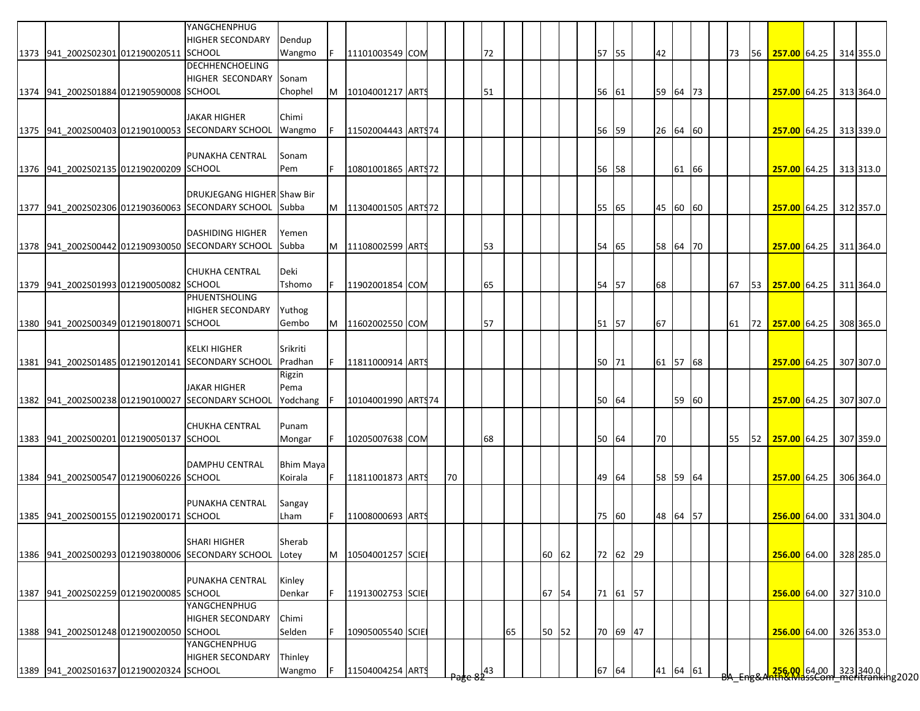|                                         | YANGCHENPHUG                                      |           |   |                     |  |    |    |    |       |       |          |          |       |  |    |    |                        |  |           |
|-----------------------------------------|---------------------------------------------------|-----------|---|---------------------|--|----|----|----|-------|-------|----------|----------|-------|--|----|----|------------------------|--|-----------|
|                                         | <b>HIGHER SECONDARY</b>                           | Dendup    |   |                     |  |    | 72 |    |       |       |          |          |       |  |    |    |                        |  |           |
| 1373 941_2002S02301 012190020511 SCHOOL | <b>DECHHENCHOELING</b>                            | Wangmo    |   | 11101003549 COM     |  |    |    |    |       | 57 55 |          | 42       |       |  | 73 | 56 | 257.00 64.25           |  | 314 355.0 |
|                                         |                                                   |           |   |                     |  |    |    |    |       |       |          |          |       |  |    |    |                        |  |           |
|                                         | <b>HIGHER SECONDARY</b>                           | Sonam     |   |                     |  |    |    |    |       |       |          |          |       |  |    |    |                        |  |           |
| 1374 941 2002S01884 012190590008 SCHOOL |                                                   | Chophel   | M | 10104001217 ARTS    |  |    | 51 |    |       | 56 61 |          | 59 64 73 |       |  |    |    | 257.00 64.25 313 364.0 |  |           |
|                                         |                                                   |           |   |                     |  |    |    |    |       |       |          |          |       |  |    |    |                        |  |           |
|                                         | <b>JAKAR HIGHER</b>                               | Chimi     |   |                     |  |    |    |    |       |       |          |          |       |  |    |    |                        |  |           |
|                                         | 1375 941_2002S00403 012190100053 SECONDARY SCHOOL | Wangmo    |   | 11502004443 ARTS74  |  |    |    |    |       | 56 59 |          | 26 64 60 |       |  |    |    | 257.00 64.25           |  | 313 339.0 |
|                                         |                                                   |           |   |                     |  |    |    |    |       |       |          |          |       |  |    |    |                        |  |           |
|                                         | PUNAKHA CENTRAL                                   | Sonam     |   |                     |  |    |    |    |       |       |          |          |       |  |    |    |                        |  |           |
| 1376 941 2002S02135 012190200209 SCHOOL |                                                   | Pem       |   | 10801001865 ARTS72  |  |    |    |    |       | 56 58 |          |          | 61 66 |  |    |    | 257.00 64.25 313 313.0 |  |           |
|                                         |                                                   |           |   |                     |  |    |    |    |       |       |          |          |       |  |    |    |                        |  |           |
|                                         | DRUKJEGANG HIGHER Shaw Bir                        |           |   |                     |  |    |    |    |       |       |          |          |       |  |    |    |                        |  |           |
|                                         | 1377 941_2002S02306 012190360063 SECONDARY SCHOOL | Subba     | M | 11304001505 ART972  |  |    |    |    |       | 55 65 |          | 45 60 60 |       |  |    |    | 257.00 64.25           |  | 312 357.0 |
|                                         |                                                   |           |   |                     |  |    |    |    |       |       |          |          |       |  |    |    |                        |  |           |
|                                         | <b>DASHIDING HIGHER</b>                           | Yemen     |   |                     |  |    |    |    |       |       |          |          |       |  |    |    |                        |  |           |
|                                         | 1378 941 2002S00442 012190930050 SECONDARY SCHOOL | Subba     | M | 11108002599 ARTS    |  |    | 53 |    |       | 54 65 |          | 58 64 70 |       |  |    |    | 257.00 64.25           |  | 311 364.0 |
|                                         |                                                   |           |   |                     |  |    |    |    |       |       |          |          |       |  |    |    |                        |  |           |
|                                         | <b>CHUKHA CENTRAL</b>                             | Deki      |   |                     |  |    |    |    |       |       |          |          |       |  |    |    |                        |  |           |
| 1379 941_2002S01993 012190050082 SCHOOL |                                                   | Tshomo    |   | 11902001854 COM     |  |    | 65 |    |       | 54 57 |          | 68       |       |  | 67 | 53 | 257.00 64.25           |  | 311 364.0 |
|                                         | <b>PHUENTSHOLING</b>                              |           |   |                     |  |    |    |    |       |       |          |          |       |  |    |    |                        |  |           |
|                                         | <b>HIGHER SECONDARY</b>                           | Yuthog    |   |                     |  |    |    |    |       |       |          |          |       |  |    |    |                        |  |           |
| 1380 941 2002S00349 012190180071 SCHOOL |                                                   | Gembo     | M | 11602002550 COM     |  |    | 57 |    |       | 51 57 |          | 67       |       |  | 61 |    | 72 257.00 64.25        |  | 308 365.0 |
|                                         |                                                   |           |   |                     |  |    |    |    |       |       |          |          |       |  |    |    |                        |  |           |
|                                         | <b>KELKI HIGHER</b>                               | Srikriti  |   |                     |  |    |    |    |       |       |          |          |       |  |    |    |                        |  |           |
|                                         | 1381 941 2002S01485 012190120141 SECONDARY SCHOOL | Pradhan   |   | 11811000914 ARTS    |  |    |    |    |       | 50 71 |          | 61 57 68 |       |  |    |    | 257.00 64.25           |  | 307 307.0 |
|                                         |                                                   | Rigzin    |   |                     |  |    |    |    |       |       |          |          |       |  |    |    |                        |  |           |
|                                         | <b>JAKAR HIGHER</b>                               | Pema      |   |                     |  |    |    |    |       |       |          |          |       |  |    |    |                        |  |           |
|                                         | 1382 941 2002S00238 012190100027 SECONDARY SCHOOL | Yodchang  |   | 10104001990 ART\$74 |  |    |    |    |       | 50 64 |          |          | 59 60 |  |    |    | 257.00 64.25           |  | 307 307.0 |
|                                         |                                                   |           |   |                     |  |    |    |    |       |       |          |          |       |  |    |    |                        |  |           |
|                                         | <b>CHUKHA CENTRAL</b>                             | Punam     |   |                     |  |    |    |    |       |       |          |          |       |  |    |    |                        |  |           |
| 1383 941 2002S00201 012190050137 SCHOOL |                                                   | Mongar    |   | 10205007638 COM     |  |    | 68 |    |       | 50 64 |          | 70       |       |  | 55 |    | 52 257.00 64.25        |  | 307 359.0 |
|                                         |                                                   |           |   |                     |  |    |    |    |       |       |          |          |       |  |    |    |                        |  |           |
|                                         | <b>DAMPHU CENTRAL</b>                             | Bhim Maya |   |                     |  |    |    |    |       |       |          |          |       |  |    |    |                        |  |           |
| 1384 941 2002S00547 012190060226 SCHOOL |                                                   | Koirala   | F | 11811001873 ARTS    |  | 70 |    |    |       | 49 64 |          | 58 59 64 |       |  |    |    | 257.00 64.25           |  | 306 364.0 |
|                                         |                                                   |           |   |                     |  |    |    |    |       |       |          |          |       |  |    |    |                        |  |           |
|                                         | PUNAKHA CENTRAL                                   | Sangay    |   |                     |  |    |    |    |       |       |          |          |       |  |    |    |                        |  |           |
| 1385 941 2002S00155 012190200171 SCHOOL |                                                   | Lham      |   | 11008000693 ARTS    |  |    |    |    |       |       | 75 60    | 48 64 57 |       |  |    |    | 256.00 64.00           |  | 331 304.0 |
|                                         |                                                   |           |   |                     |  |    |    |    |       |       |          |          |       |  |    |    |                        |  |           |
|                                         | <b>SHARI HIGHER</b>                               | Sherab    |   |                     |  |    |    |    |       |       |          |          |       |  |    |    |                        |  |           |
|                                         | 1386 941 2002S00293 012190380006 SECONDARY SCHOOL | Lotey     | M | 10504001257 SCIE    |  |    |    |    | 60 62 |       | 72 62 29 |          |       |  |    |    | 256.00 64.00           |  | 328 285.0 |
|                                         |                                                   |           |   |                     |  |    |    |    |       |       |          |          |       |  |    |    |                        |  |           |
|                                         |                                                   |           |   |                     |  |    |    |    |       |       |          |          |       |  |    |    |                        |  |           |
|                                         | PUNAKHA CENTRAL                                   | Kinley    |   |                     |  |    |    |    |       |       |          |          |       |  |    |    |                        |  |           |
| 1387 941 2002S02259 012190200085 SCHOOL |                                                   | Denkar    |   | 11913002753 SCIE    |  |    |    |    | 67 54 |       | 71 61 57 |          |       |  |    |    | 256.00 64.00           |  | 327 310.0 |
|                                         | YANGCHENPHUG                                      |           |   |                     |  |    |    |    |       |       |          |          |       |  |    |    |                        |  |           |
|                                         | <b>HIGHER SECONDARY</b>                           | Chimi     |   |                     |  |    |    |    |       |       |          |          |       |  |    |    |                        |  |           |
|                                         |                                                   | Selden    |   |                     |  |    |    | 65 |       |       | 70 69 47 |          |       |  |    |    | 256.00 64.00           |  |           |
| 1388 941_2002S01248 012190020050 SCHOOL | YANGCHENPHUG                                      |           |   | 10905005540 SCIE    |  |    |    |    | 50 52 |       |          |          |       |  |    |    |                        |  | 326 353.0 |
|                                         | <b>HIGHER SECONDARY</b>                           | Thinley   |   |                     |  |    |    |    |       |       |          |          |       |  |    |    |                        |  |           |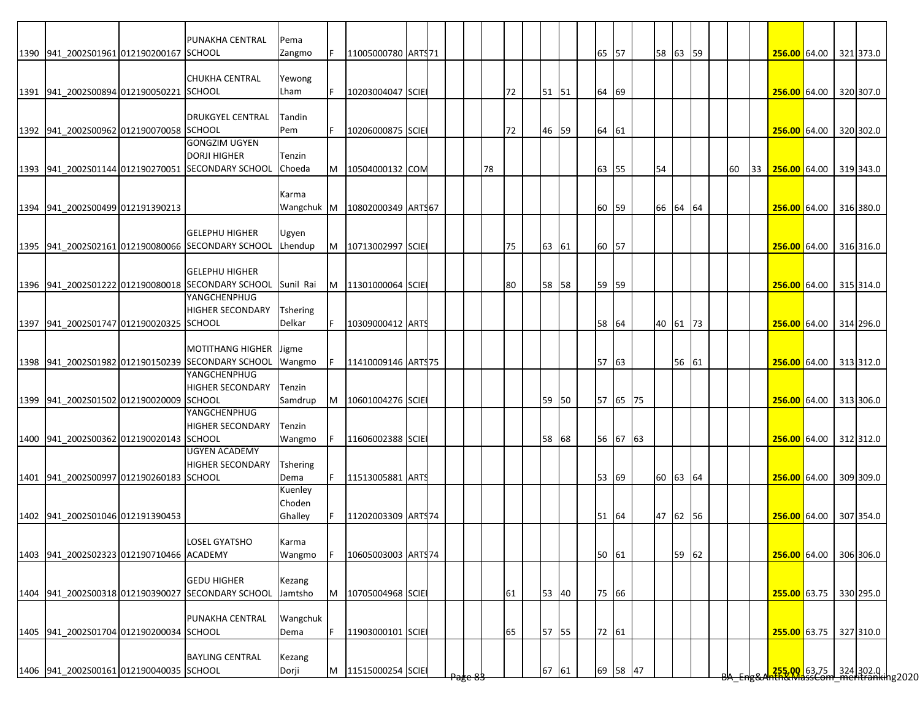|                                          | PUNAKHA CENTRAL                                             | Pema            |   |                    |  |    |    |       |  |       |          |          |       |  |    |    |                                                                        |  |           |
|------------------------------------------|-------------------------------------------------------------|-----------------|---|--------------------|--|----|----|-------|--|-------|----------|----------|-------|--|----|----|------------------------------------------------------------------------|--|-----------|
| 1390 941 2002S01961 012190200167 SCHOOL  |                                                             | Zangmo          |   | 11005000780 ARTS71 |  |    |    |       |  | 65 57 |          | 58 63 59 |       |  |    |    | 256.00 64.00 321 373.0                                                 |  |           |
|                                          |                                                             |                 |   |                    |  |    |    |       |  |       |          |          |       |  |    |    |                                                                        |  |           |
|                                          | <b>CHUKHA CENTRAL</b>                                       | Yewong          |   |                    |  |    |    |       |  |       |          |          |       |  |    |    |                                                                        |  |           |
| 1391 941 2002S00894 012190050221 SCHOOL  |                                                             | Lham            |   | 10203004047 SCIE   |  |    | 72 | 51 51 |  | 64    | 69       |          |       |  |    |    | 256.00 64.00 320 307.0                                                 |  |           |
|                                          |                                                             |                 |   |                    |  |    |    |       |  |       |          |          |       |  |    |    |                                                                        |  |           |
|                                          | <b>DRUKGYEL CENTRAL</b>                                     | Tandin          |   |                    |  |    |    |       |  |       |          |          |       |  |    |    |                                                                        |  |           |
| 1392 941 2002S00962 012190070058 SCHOOL  |                                                             | Pem             |   | 10206000875 SCIE   |  |    | 72 | 46 59 |  | 64    | 61       |          |       |  |    |    | 256.00 64.00 320 302.0                                                 |  |           |
|                                          | <b>GONGZIM UGYEN</b>                                        |                 |   |                    |  |    |    |       |  |       |          |          |       |  |    |    |                                                                        |  |           |
|                                          | <b>DORJI HIGHER</b>                                         | Tenzin          |   |                    |  |    |    |       |  |       |          |          |       |  |    |    |                                                                        |  |           |
|                                          | 1393 941 2002S01144 012190270051 SECONDARY SCHOOL           | Choeda          | M | 10504000132 COM    |  | 78 |    |       |  | 63 55 |          | 54       |       |  | 60 | 33 | 256.00 64.00 319 343.0                                                 |  |           |
|                                          |                                                             |                 |   |                    |  |    |    |       |  |       |          |          |       |  |    |    |                                                                        |  |           |
|                                          |                                                             | Karma           |   |                    |  |    |    |       |  |       |          |          |       |  |    |    |                                                                        |  |           |
| 1394 941 2002S00499 012191390213         |                                                             | Wangchuk M      |   | 10802000349 ART167 |  |    |    |       |  | 60    | 59       | 66 64 64 |       |  |    |    | 256.00 64.00                                                           |  | 316 380.0 |
|                                          |                                                             |                 |   |                    |  |    |    |       |  |       |          |          |       |  |    |    |                                                                        |  |           |
|                                          | <b>GELEPHU HIGHER</b>                                       | Ugyen           |   |                    |  |    |    |       |  |       |          |          |       |  |    |    |                                                                        |  |           |
|                                          | 1395 941 2002S02161 012190080066 SECONDARY SCHOOL           | Lhendup         | M | 10713002997 SCIE   |  |    | 75 | 63 61 |  | 60 57 |          |          |       |  |    |    | 256.00 64.00 316 316.0                                                 |  |           |
|                                          |                                                             |                 |   |                    |  |    |    |       |  |       |          |          |       |  |    |    |                                                                        |  |           |
|                                          | <b>GELEPHU HIGHER</b>                                       |                 |   |                    |  |    |    |       |  |       |          |          |       |  |    |    |                                                                        |  |           |
|                                          | 1396 941_2002S01222 012190080018 SECONDARY SCHOOL Sunil Rai |                 | M | 11301000064 SCIE   |  |    | 80 | 58 58 |  | 59    | 59       |          |       |  |    |    | 256.00 64.00                                                           |  | 315 314.0 |
|                                          | YANGCHENPHUG                                                |                 |   |                    |  |    |    |       |  |       |          |          |       |  |    |    |                                                                        |  |           |
|                                          | <b>HIGHER SECONDARY</b>                                     | <b>Tshering</b> |   |                    |  |    |    |       |  |       |          |          |       |  |    |    |                                                                        |  |           |
| 1397 941 2002S01747 012190020325 SCHOOL  |                                                             | Delkar          |   | 10309000412 ARTS   |  |    |    |       |  | 58 64 |          | 40 61 73 |       |  |    |    | 256.00 64.00 314 296.0                                                 |  |           |
|                                          |                                                             |                 |   |                    |  |    |    |       |  |       |          |          |       |  |    |    |                                                                        |  |           |
|                                          | MOTITHANG HIGHER Jigme                                      |                 |   |                    |  |    |    |       |  |       |          |          |       |  |    |    |                                                                        |  |           |
|                                          | 1398 941 2002S01982 012190150239 SECONDARY SCHOOL           | Wangmo          |   | 11410009146 ARTS75 |  |    |    |       |  | 57 63 |          |          | 56 61 |  |    |    | 256.00 64.00 313 312.0                                                 |  |           |
|                                          | YANGCHENPHUG                                                |                 |   |                    |  |    |    |       |  |       |          |          |       |  |    |    |                                                                        |  |           |
|                                          | <b>HIGHER SECONDARY</b>                                     | Tenzin          |   |                    |  |    |    |       |  |       |          |          |       |  |    |    |                                                                        |  |           |
| 1399 941 2002S01502 012190020009 SCHOOL  |                                                             | Samdrup         | M | 10601004276 SCIE   |  |    |    | 59 50 |  |       | 57 65 75 |          |       |  |    |    | 256.00 64.00 313 306.0                                                 |  |           |
|                                          | <b>YANGCHENPHUG</b>                                         |                 |   |                    |  |    |    |       |  |       |          |          |       |  |    |    |                                                                        |  |           |
|                                          | <b>HIGHER SECONDARY</b>                                     | Tenzin          |   |                    |  |    |    |       |  |       |          |          |       |  |    |    |                                                                        |  |           |
| 1400 941 2002S00362 012190020143 SCHOOL  |                                                             | Wangmo          | F | 11606002388 SCIE   |  |    |    | 58 68 |  |       | 56 67 63 |          |       |  |    |    | 256.00 64.00 312 312.0                                                 |  |           |
|                                          | <b>UGYEN ACADEMY</b>                                        |                 |   |                    |  |    |    |       |  |       |          |          |       |  |    |    |                                                                        |  |           |
|                                          | <b>HIGHER SECONDARY</b>                                     | <b>Tshering</b> |   |                    |  |    |    |       |  |       |          |          |       |  |    |    |                                                                        |  |           |
| 1401 941 2002S00997 012190260183 SCHOOL  |                                                             | Dema            |   | 11513005881 ARTS   |  |    |    |       |  | 53 69 |          | 60 63 64 |       |  |    |    | 256.00 64.00 309 309.0                                                 |  |           |
|                                          |                                                             | Kuenley         |   |                    |  |    |    |       |  |       |          |          |       |  |    |    |                                                                        |  |           |
|                                          |                                                             | Choden          |   |                    |  |    |    |       |  |       |          |          |       |  |    |    |                                                                        |  |           |
| 1402 941 2002S01046 012191390453         |                                                             | Ghalley         |   | 11202003309 ARTS74 |  |    |    |       |  | 51 64 |          | 47 62 56 |       |  |    |    | 256.00 64.00 307 354.0                                                 |  |           |
|                                          |                                                             |                 |   |                    |  |    |    |       |  |       |          |          |       |  |    |    |                                                                        |  |           |
|                                          | <b>LOSEL GYATSHO</b>                                        | Karma           |   |                    |  |    |    |       |  |       |          |          |       |  |    |    |                                                                        |  |           |
| 1403 941_2002S02323 012190710466 ACADEMY |                                                             | Wangmo          |   | 10605003003 ARTS74 |  |    |    |       |  | 50 61 |          |          | 59 62 |  |    |    | 256.00 64.00 306 306.0                                                 |  |           |
|                                          |                                                             |                 |   |                    |  |    |    |       |  |       |          |          |       |  |    |    |                                                                        |  |           |
|                                          | <b>GEDU HIGHER</b>                                          | Kezang          |   |                    |  |    |    |       |  |       |          |          |       |  |    |    |                                                                        |  |           |
|                                          | 1404 941_2002S00318 012190390027 SECONDARY SCHOOL           | Jamtsho         | M | 10705004968 SCIE   |  |    | 61 | 53 40 |  | 75 66 |          |          |       |  |    |    | 255.00 63.75                                                           |  | 330 295.0 |
|                                          |                                                             |                 |   |                    |  |    |    |       |  |       |          |          |       |  |    |    |                                                                        |  |           |
|                                          | PUNAKHA CENTRAL                                             | Wangchuk        |   |                    |  |    |    |       |  |       |          |          |       |  |    |    |                                                                        |  |           |
| 1405 941_2002S01704 012190200034 SCHOOL  |                                                             | Dema            |   | 11903000101 SCIE   |  |    | 65 | 57 55 |  | 72 61 |          |          |       |  |    |    | 255.00 63.75 327 310.0                                                 |  |           |
|                                          |                                                             |                 |   |                    |  |    |    |       |  |       |          |          |       |  |    |    |                                                                        |  |           |
|                                          | <b>BAYLING CENTRAL</b>                                      | Kezang          |   |                    |  |    |    |       |  |       |          |          |       |  |    |    |                                                                        |  |           |
| 1406 941_2002S00161 012190040035 SCHOOL  |                                                             | Dorji           | M | 11515000254 SCIE   |  |    |    | 67 61 |  |       | 69 58 47 |          |       |  |    |    | <mark>255.00.</mark> 63.75 324 302.0  <br>hth&MassCom meritranking2020 |  |           |
|                                          |                                                             |                 |   |                    |  |    |    |       |  |       |          |          |       |  |    |    |                                                                        |  |           |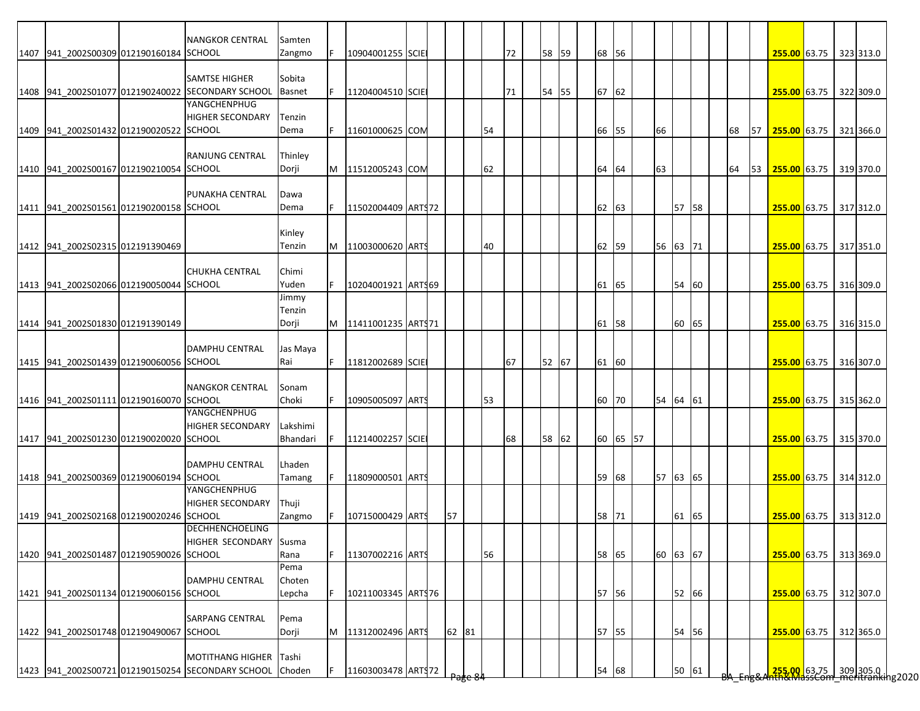|                                         | <b>NANGKOR CENTRAL</b>                                   | Samten        |    |                           |  |       |                   |    |    |       |       |          |          |       |  |    |           |                        |  |  |
|-----------------------------------------|----------------------------------------------------------|---------------|----|---------------------------|--|-------|-------------------|----|----|-------|-------|----------|----------|-------|--|----|-----------|------------------------|--|--|
| 1407 941 2002S00309 012190160184 SCHOOL |                                                          | Zangmo        |    | 10904001255 SCIE          |  |       |                   |    | 72 | 58 59 | 68 56 |          |          |       |  |    |           | 255.00 63.75 323 313.0 |  |  |
|                                         |                                                          |               |    |                           |  |       |                   |    |    |       |       |          |          |       |  |    |           |                        |  |  |
|                                         | <b>SAMTSE HIGHER</b>                                     | Sobita        |    |                           |  |       |                   |    |    |       |       |          |          |       |  |    |           |                        |  |  |
|                                         | 1408 941 2002S01077 012190240022 SECONDARY SCHOOL        | <b>Basnet</b> | F. | 11204004510 SCIE          |  |       |                   |    | 71 | 54 55 | 67 62 |          |          |       |  |    |           | 255.00 63.75 322 309.0 |  |  |
|                                         | YANGCHENPHUG                                             |               |    |                           |  |       |                   |    |    |       |       |          |          |       |  |    |           |                        |  |  |
|                                         | <b>HIGHER SECONDARY</b>                                  | Tenzin        |    |                           |  |       |                   |    |    |       |       |          |          |       |  |    |           |                        |  |  |
| 1409 941_2002S01432 012190020522 SCHOOL |                                                          | Dema          | F. | 11601000625 COM           |  |       |                   | 54 |    |       | 66    | 55       | 66       |       |  | 68 | $57 \mid$ | 255.00 63.75 321 366.0 |  |  |
|                                         | <b>RANJUNG CENTRAL</b>                                   | Thinley       |    |                           |  |       |                   |    |    |       |       |          |          |       |  |    |           |                        |  |  |
| 1410 941 2002S00167 012190210054 SCHOOL |                                                          | Dorji         |    | M 11512005243 COM         |  |       |                   | 62 |    |       | 64    | 64       |          |       |  | 64 | 53        | 255.00 63.75 319 370.0 |  |  |
|                                         |                                                          |               |    |                           |  |       |                   |    |    |       |       |          | 63       |       |  |    |           |                        |  |  |
|                                         | PUNAKHA CENTRAL                                          | Dawa          |    |                           |  |       |                   |    |    |       |       |          |          |       |  |    |           |                        |  |  |
| 1411 941 2002S01561 012190200158 SCHOOL |                                                          | Dema          |    | 11502004409 ARTS72        |  |       |                   |    |    |       | 62    | 63       |          | 57 58 |  |    |           | 255.00 63.75 317 312.0 |  |  |
|                                         |                                                          |               |    |                           |  |       |                   |    |    |       |       |          |          |       |  |    |           |                        |  |  |
|                                         |                                                          | Kinley        |    |                           |  |       |                   |    |    |       |       |          |          |       |  |    |           |                        |  |  |
| 1412 941 2002S02315 012191390469        |                                                          | Tenzin        |    | M   11003000620 ARTS      |  |       |                   | 40 |    |       | 62 59 |          | 56 63 71 |       |  |    |           | 255.00 63.75 317 351.0 |  |  |
|                                         |                                                          |               |    |                           |  |       |                   |    |    |       |       |          |          |       |  |    |           |                        |  |  |
|                                         | <b>CHUKHA CENTRAL</b>                                    | Chimi         |    |                           |  |       |                   |    |    |       |       |          |          |       |  |    |           |                        |  |  |
| 1413 941 2002S02066 012190050044 SCHOOL |                                                          | Yuden         |    | 10204001921 ARTS69        |  |       |                   |    |    |       | 61    | 65       |          | 54 60 |  |    |           | 255.00 63.75 316 309.0 |  |  |
|                                         |                                                          | Jimmy         |    |                           |  |       |                   |    |    |       |       |          |          |       |  |    |           |                        |  |  |
|                                         |                                                          | Tenzin        |    |                           |  |       |                   |    |    |       |       |          |          |       |  |    |           |                        |  |  |
| 1414 941 2002S01830 012191390149        |                                                          | Dorji         |    | M   11411001235   ARTS 71 |  |       |                   |    |    |       | 61 58 |          |          | 60 65 |  |    |           | 255.00 63.75 316 315.0 |  |  |
|                                         | <b>DAMPHU CENTRAL</b>                                    | Jas Maya      |    |                           |  |       |                   |    |    |       |       |          |          |       |  |    |           |                        |  |  |
| 1415 941 2002S01439 012190060056 SCHOOL |                                                          | Rai           | F. | 11812002689 SCIE          |  |       |                   |    | 67 | 52 67 | 61 60 |          |          |       |  |    |           | 255.00 63.75 316 307.0 |  |  |
|                                         |                                                          |               |    |                           |  |       |                   |    |    |       |       |          |          |       |  |    |           |                        |  |  |
|                                         | <b>NANGKOR CENTRAL</b>                                   | Sonam         |    |                           |  |       |                   |    |    |       |       |          |          |       |  |    |           |                        |  |  |
| 1416 941 2002S01111 012190160070 SCHOOL |                                                          | Choki         |    | 10905005097 ARTS          |  |       |                   | 53 |    |       | 60    | 70       | 54 64 61 |       |  |    |           | 255.00 63.75 315 362.0 |  |  |
|                                         | YANGCHENPHUG                                             |               |    |                           |  |       |                   |    |    |       |       |          |          |       |  |    |           |                        |  |  |
|                                         | <b>HIGHER SECONDARY</b>                                  | Lakshimi      |    |                           |  |       |                   |    |    |       |       |          |          |       |  |    |           |                        |  |  |
| 1417 941 2002S01230 012190020020 SCHOOL |                                                          | Bhandari      | F  | 11214002257 SCIE          |  |       |                   |    | 68 | 58 62 |       | 60 65 57 |          |       |  |    |           | 255.00 63.75 315 370.0 |  |  |
|                                         |                                                          |               |    |                           |  |       |                   |    |    |       |       |          |          |       |  |    |           |                        |  |  |
|                                         | <b>DAMPHU CENTRAL</b>                                    | Lhaden        |    |                           |  |       |                   |    |    |       |       |          |          |       |  |    |           |                        |  |  |
| 1418 941 2002S00369 012190060194 SCHOOL |                                                          | Tamang        |    | 11809000501 ARTS          |  |       |                   |    |    |       | 59 68 |          | 57 63 65 |       |  |    |           | 255.00 63.75 314 312.0 |  |  |
|                                         | YANGCHENPHUG                                             |               |    |                           |  |       |                   |    |    |       |       |          |          |       |  |    |           |                        |  |  |
|                                         | <b>HIGHER SECONDARY</b>                                  | Thuji         |    |                           |  |       |                   |    |    |       |       |          |          |       |  |    |           |                        |  |  |
| 1419 941 2002S02168 012190020246 SCHOOL | <b>DECHHENCHOELING</b>                                   | Zangmo        |    | 10715000429 ARTS          |  | 57    |                   |    |    |       | 58 71 |          |          | 61 65 |  |    |           | 255.00 63.75 313 312.0 |  |  |
|                                         | HIGHER SECONDARY Susma                                   |               |    |                           |  |       |                   |    |    |       |       |          |          |       |  |    |           |                        |  |  |
| 1420 941 2002S01487 012190590026 SCHOOL |                                                          | Rana          | F. | 11307002216 ARTS          |  |       |                   | 56 |    |       | 58 65 |          | 60 63 67 |       |  |    |           | 255.00 63.75 313 369.0 |  |  |
|                                         |                                                          | Pema          |    |                           |  |       |                   |    |    |       |       |          |          |       |  |    |           |                        |  |  |
|                                         | <b>DAMPHU CENTRAL</b>                                    | Choten        |    |                           |  |       |                   |    |    |       |       |          |          |       |  |    |           |                        |  |  |
| 1421 941 2002S01134 012190060156 SCHOOL |                                                          | Lepcha        | F. | 10211003345 ARTS76        |  |       |                   |    |    |       | 57 56 |          |          | 52 66 |  |    |           | 255.00 63.75 312 307.0 |  |  |
|                                         |                                                          |               |    |                           |  |       |                   |    |    |       |       |          |          |       |  |    |           |                        |  |  |
|                                         | <b>SARPANG CENTRAL</b>                                   | Pema          |    |                           |  |       |                   |    |    |       |       |          |          |       |  |    |           |                        |  |  |
| 1422 941_2002S01748 012190490067 SCHOOL |                                                          | Dorji         |    | M 11312002496 ARTS        |  | 62 81 |                   |    |    |       | 57 55 |          |          | 54 56 |  |    |           | 255.00 63.75 312 365.0 |  |  |
|                                         |                                                          |               |    |                           |  |       |                   |    |    |       |       |          |          |       |  |    |           |                        |  |  |
|                                         | MOTITHANG HIGHER Tashi                                   |               |    |                           |  |       |                   |    |    |       |       |          |          |       |  |    |           |                        |  |  |
|                                         | 1423 941_2002S00721 012190150254 SECONDARY SCHOOL Choden |               | F. | 11603003478 ARTS72        |  |       | <del>rage o</del> |    |    |       | 54    | 68       |          | 50 61 |  |    |           |                        |  |  |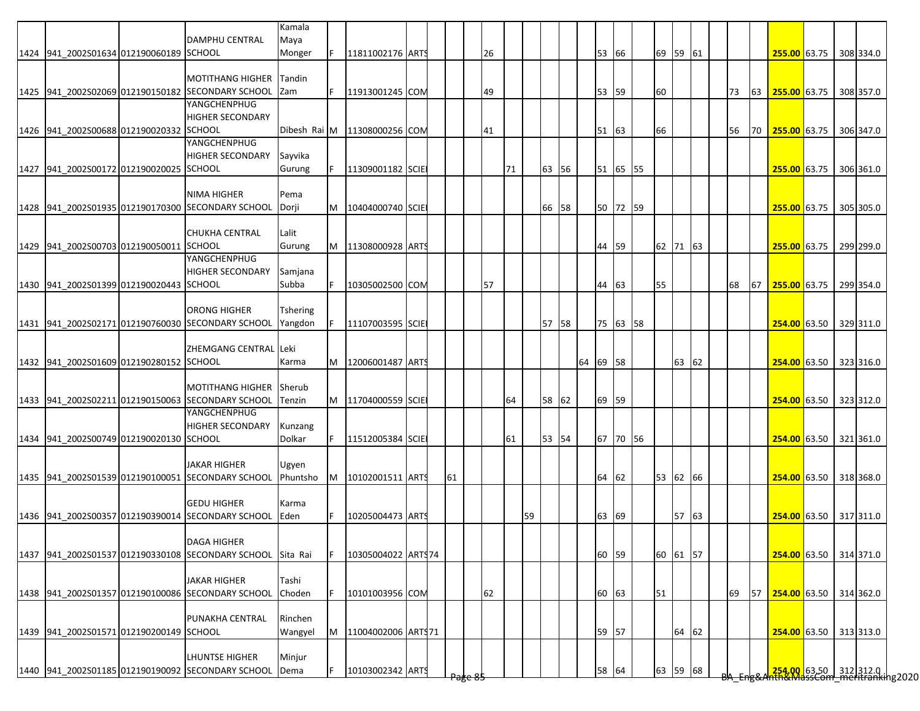|                                         | <b>DAMPHU CENTRAL</b>                                                    | Kamala<br>Maya      |    |                              |  |                    |    |    |    |       |          |          |          |       |  |    |    |                        |  |           |
|-----------------------------------------|--------------------------------------------------------------------------|---------------------|----|------------------------------|--|--------------------|----|----|----|-------|----------|----------|----------|-------|--|----|----|------------------------|--|-----------|
| 1424 941 2002S01634 012190060189 SCHOOL |                                                                          | Monger              | F. | 11811002176 ARTS             |  |                    | 26 |    |    |       | 53       | 66       | 69 59 61 |       |  |    |    | 255.00 63.75 308 334.0 |  |           |
|                                         | <b>MOTITHANG HIGHER</b>                                                  | Tandin              |    |                              |  |                    |    |    |    |       |          |          |          |       |  |    |    |                        |  |           |
|                                         | 1425 941 2002S02069 012190150182 SECONDARY SCHOOL                        | Zam                 |    | 11913001245 COM              |  |                    | 49 |    |    |       | 53       | 59       | 60       |       |  | 73 | 63 | 255.00 63.75 308 357.0 |  |           |
|                                         | YANGCHENPHUG                                                             |                     |    |                              |  |                    |    |    |    |       |          |          |          |       |  |    |    |                        |  |           |
|                                         | <b>HIGHER SECONDARY</b>                                                  |                     |    |                              |  |                    |    |    |    |       |          |          |          |       |  |    |    |                        |  |           |
| 1426 941_2002S00688 012190020332 SCHOOL | YANGCHENPHUG                                                             |                     |    | Dibesh Rai M 11308000256 COM |  |                    | 41 |    |    |       | 51       | 63       | 66       |       |  | 56 | 70 | 255.00 63.75 306 347.0 |  |           |
|                                         | <b>HIGHER SECONDARY</b>                                                  | Sayvika             |    |                              |  |                    |    |    |    |       |          |          |          |       |  |    |    |                        |  |           |
| 1427 941 2002S00172 012190020025 SCHOOL |                                                                          | Gurung              |    | 11309001182 SCIE             |  |                    |    | 71 |    | 63 56 |          | 51 65 55 |          |       |  |    |    | 255.00 63.75 306 361.0 |  |           |
|                                         |                                                                          |                     |    |                              |  |                    |    |    |    |       |          |          |          |       |  |    |    |                        |  |           |
|                                         | <b>NIMA HIGHER</b>                                                       | Pema                |    |                              |  |                    |    |    |    |       |          |          |          |       |  |    |    |                        |  |           |
|                                         | 1428 941_2002S01935 012190170300 SECONDARY SCHOOL                        | Dorji               | M  | 10404000740 SCIE             |  |                    |    |    |    | 66 58 |          | 50 72 59 |          |       |  |    |    | 255.00 63.75           |  | 305 305.0 |
|                                         |                                                                          |                     |    |                              |  |                    |    |    |    |       |          |          |          |       |  |    |    |                        |  |           |
| 1429 941 2002S00703 012190050011 SCHOOL | <b>CHUKHA CENTRAL</b>                                                    | Lalit<br>Gurung     | M  | 11308000928 ARTS             |  |                    |    |    |    |       | 44       | 59       | 62 71 63 |       |  |    |    | 255.00 63.75 299 299.0 |  |           |
|                                         | YANGCHENPHUG                                                             |                     |    |                              |  |                    |    |    |    |       |          |          |          |       |  |    |    |                        |  |           |
|                                         | <b>HIGHER SECONDARY</b>                                                  | Samjana             |    |                              |  |                    |    |    |    |       |          |          |          |       |  |    |    |                        |  |           |
| 1430 941 2002S01399 012190020443 SCHOOL |                                                                          | Subba               |    | 10305002500 COM              |  |                    | 57 |    |    |       | 44       | 63       | 55       |       |  | 68 | 67 | 255.00 63.75           |  | 299 354.0 |
|                                         |                                                                          |                     |    |                              |  |                    |    |    |    |       |          |          |          |       |  |    |    |                        |  |           |
|                                         | <b>ORONG HIGHER</b><br>1431 941 2002S02171 012190760030 SECONDARY SCHOOL | Tshering<br>Yangdon | F  | 11107003595 SCIE             |  |                    |    |    |    | 57 58 |          | 75 63 58 |          |       |  |    |    | 254.00 63.50 329 311.0 |  |           |
|                                         |                                                                          |                     |    |                              |  |                    |    |    |    |       |          |          |          |       |  |    |    |                        |  |           |
|                                         | ZHEMGANG CENTRAL Leki                                                    |                     |    |                              |  |                    |    |    |    |       |          |          |          |       |  |    |    |                        |  |           |
| 1432 941 2002S01609 012190280152 SCHOOL |                                                                          | Karma               |    | M   12006001487   ARTS       |  |                    |    |    |    |       | 64 69 58 |          |          | 63 62 |  |    |    | 254.00 63.50 323 316.0 |  |           |
|                                         |                                                                          |                     |    |                              |  |                    |    |    |    |       |          |          |          |       |  |    |    |                        |  |           |
|                                         | <b>MOTITHANG HIGHER</b>                                                  | <b>Sherub</b>       |    |                              |  |                    |    |    |    |       |          |          |          |       |  |    |    |                        |  |           |
|                                         | 1433 941 2002S02211 012190150063 SECONDARY SCHOOL<br>YANGCHENPHUG        | Tenzin              |    | M 11704000559 SCIE           |  |                    |    | 64 |    | 58 62 | 69 59    |          |          |       |  |    |    | 254.00 63.50 323 312.0 |  |           |
|                                         | <b>HIGHER SECONDARY</b>                                                  | Kunzang             |    |                              |  |                    |    |    |    |       |          |          |          |       |  |    |    |                        |  |           |
| 1434 941 2002S00749 012190020130 SCHOOL |                                                                          | Dolkar              | F. | 11512005384 SCIE             |  |                    |    | 61 |    | 53 54 |          | 67 70 56 |          |       |  |    |    | 254.00 63.50 321 361.0 |  |           |
|                                         |                                                                          |                     |    |                              |  |                    |    |    |    |       |          |          |          |       |  |    |    |                        |  |           |
|                                         | <b>JAKAR HIGHER</b>                                                      | Ugyen               |    |                              |  |                    |    |    |    |       |          |          |          |       |  |    |    |                        |  |           |
|                                         | 1435 941 2002S01539 012190100051 SECONDARY SCHOOL                        | Phuntsho            | M  | 10102001511 ARTS             |  | 61                 |    |    |    |       | 64       | 62       | 53 62 66 |       |  |    |    | 254.00 63.50 318 368.0 |  |           |
|                                         | <b>GEDU HIGHER</b>                                                       | Karma               |    |                              |  |                    |    |    |    |       |          |          |          |       |  |    |    |                        |  |           |
|                                         | 1436 941 2002S00357 012190390014 SECONDARY SCHOOL                        | <b>Eden</b>         |    | 10205004473 ARTS             |  |                    |    |    | 59 |       | 63       | 69       |          | 57 63 |  |    |    | 254.00 63.50 317 311.0 |  |           |
|                                         |                                                                          |                     |    |                              |  |                    |    |    |    |       |          |          |          |       |  |    |    |                        |  |           |
|                                         | <b>DAGA HIGHER</b>                                                       |                     |    |                              |  |                    |    |    |    |       |          |          |          |       |  |    |    |                        |  |           |
|                                         | 1437 941 2002S01537 012190330108 SECONDARY SCHOOL                        | Sita Rai            |    | 10305004022 ARTS74           |  |                    |    |    |    |       | 60       | 59       | 60 61 57 |       |  |    |    | 254.00 63.50 314 371.0 |  |           |
|                                         | <b>JAKAR HIGHER</b>                                                      |                     |    |                              |  |                    |    |    |    |       |          |          |          |       |  |    |    |                        |  |           |
|                                         | 1438 941 2002S01357 012190100086 SECONDARY SCHOOL                        | Tashi<br>Choden     |    | 10101003956 COM              |  |                    | 62 |    |    |       | 60 63    |          | 51       |       |  | 69 | 57 | 254.00 63.50 314 362.0 |  |           |
|                                         |                                                                          |                     |    |                              |  |                    |    |    |    |       |          |          |          |       |  |    |    |                        |  |           |
|                                         | PUNAKHA CENTRAL                                                          | Rinchen             |    |                              |  |                    |    |    |    |       |          |          |          |       |  |    |    |                        |  |           |
| 1439 941_2002S01571 012190200149 SCHOOL |                                                                          | Wangyel             | M  | 11004002006 ARTS71           |  |                    |    |    |    |       | 59 57    |          |          | 64 62 |  |    |    | 254.00 63.50 313 313.0 |  |           |
|                                         |                                                                          |                     |    |                              |  |                    |    |    |    |       |          |          |          |       |  |    |    |                        |  |           |
|                                         | <b>LHUNTSE HIGHER</b>                                                    | Minjur              |    |                              |  |                    |    |    |    |       |          |          |          |       |  |    |    |                        |  |           |
|                                         | 1440 941_2002S01185 012190190092 SECONDARY SCHOOL                        | Dema                |    | 10103002342 ARTS             |  | <del>rage os</del> |    |    |    |       | 58 64    |          | 63 59 68 |       |  |    |    |                        |  |           |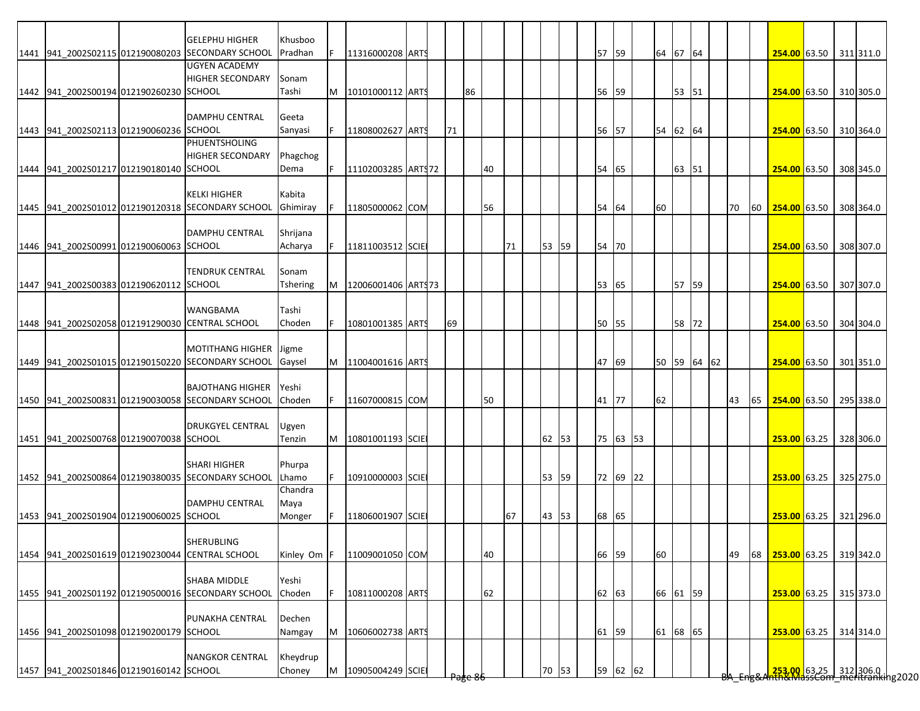|                                         | <b>GELEPHU HIGHER</b>                                                    | Khusboo            |     |                        |  |    |                     |    |    |       |       |          |             |       |  |    |    |                                                              |  |           |
|-----------------------------------------|--------------------------------------------------------------------------|--------------------|-----|------------------------|--|----|---------------------|----|----|-------|-------|----------|-------------|-------|--|----|----|--------------------------------------------------------------|--|-----------|
|                                         | 1441 941 2002S02115 012190080203 SECONDARY SCHOOL                        | Pradhan            | F   | 11316000208 ARTS       |  |    |                     |    |    |       | 57 59 |          | 64 67 64    |       |  |    |    | 254.00 63.50 311 311.0                                       |  |           |
|                                         | <b>UGYEN ACADEMY</b>                                                     |                    |     |                        |  |    |                     |    |    |       |       |          |             |       |  |    |    |                                                              |  |           |
| 1442 941 2002S00194 012190260230 SCHOOL | <b>HIGHER SECONDARY</b>                                                  | Sonam<br>Tashi     |     | M   10101000112   ARTS |  |    | 86                  |    |    |       | 56 59 |          |             | 53 51 |  |    |    | 254.00 63.50 310 305.0                                       |  |           |
|                                         |                                                                          |                    |     |                        |  |    |                     |    |    |       |       |          |             |       |  |    |    |                                                              |  |           |
|                                         | <b>DAMPHU CENTRAL</b>                                                    | Geeta              |     |                        |  |    |                     |    |    |       |       |          |             |       |  |    |    |                                                              |  |           |
| 1443 941 2002S02113 012190060236 SCHOOL |                                                                          | Sanyasi            | IF. | 11808002627 ARTS       |  | 71 |                     |    |    |       | 56 57 |          | 54 62 64    |       |  |    |    | 254.00 63.50 310 364.0                                       |  |           |
|                                         | PHUENTSHOLING                                                            |                    |     |                        |  |    |                     |    |    |       |       |          |             |       |  |    |    |                                                              |  |           |
|                                         | <b>HIGHER SECONDARY</b>                                                  | Phagchog           |     |                        |  |    |                     |    |    |       |       |          |             |       |  |    |    |                                                              |  |           |
| 1444 941_2002S01217 012190180140 SCHOOL |                                                                          | Dema               | IF. | 11102003285 ARTS72     |  |    |                     | 40 |    |       | 54    | 65       |             | 63 51 |  |    |    | 254.00 63.50                                                 |  | 308 345.0 |
|                                         |                                                                          |                    |     |                        |  |    |                     |    |    |       |       |          |             |       |  |    |    |                                                              |  |           |
|                                         | <b>KELKI HIGHER</b><br>1445 941 2002S01012 012190120318 SECONDARY SCHOOL | Kabita<br>Ghimiray |     | 11805000062 COM        |  |    |                     | 56 |    |       | 54    | 64       | 60          |       |  | 70 | 60 | 254.00 63.50                                                 |  | 308 364.0 |
|                                         |                                                                          |                    |     |                        |  |    |                     |    |    |       |       |          |             |       |  |    |    |                                                              |  |           |
|                                         | <b>DAMPHU CENTRAL</b>                                                    | Shrijana           |     |                        |  |    |                     |    |    |       |       |          |             |       |  |    |    |                                                              |  |           |
| 1446 941 2002S00991 012190060063 SCHOOL |                                                                          | Acharya            |     | 11811003512 SCIE       |  |    |                     |    | 71 | 53 59 | 54    | 70       |             |       |  |    |    | 254.00 63.50                                                 |  | 308 307.0 |
|                                         |                                                                          |                    |     |                        |  |    |                     |    |    |       |       |          |             |       |  |    |    |                                                              |  |           |
|                                         | <b>TENDRUK CENTRAL</b>                                                   | Sonam              |     |                        |  |    |                     |    |    |       |       |          |             |       |  |    |    |                                                              |  |           |
| 1447 941 2002S00383 012190620112 SCHOOL |                                                                          | Tshering           | M   | 12006001406 ART\$73    |  |    |                     |    |    |       | 53 65 |          |             | 57 59 |  |    |    | 254.00 63.50                                                 |  | 307 307.0 |
|                                         |                                                                          |                    |     |                        |  |    |                     |    |    |       |       |          |             |       |  |    |    |                                                              |  |           |
|                                         | WANGBAMA                                                                 | Tashi              |     |                        |  |    |                     |    |    |       |       |          |             |       |  |    |    |                                                              |  |           |
|                                         | 1448 941 2002S02058 012191290030 CENTRAL SCHOOL                          | Choden             | IF. | 10801001385 ARTS       |  | 69 |                     |    |    |       | 50 55 |          |             | 58 72 |  |    |    | 254.00 63.50                                                 |  | 304 304.0 |
|                                         | MOTITHANG HIGHER   Jigme                                                 |                    |     |                        |  |    |                     |    |    |       |       |          |             |       |  |    |    |                                                              |  |           |
|                                         | 1449 941 2002S01015 012190150220 SECONDARY SCHOOL                        | Gaysel             |     | M 11004001616 ART      |  |    |                     |    |    |       | 47    | 69       | 50 59 64 62 |       |  |    |    | 254.00 63.50                                                 |  | 301 351.0 |
|                                         |                                                                          |                    |     |                        |  |    |                     |    |    |       |       |          |             |       |  |    |    |                                                              |  |           |
|                                         | <b>BAJOTHANG HIGHER</b>                                                  | Yeshi              |     |                        |  |    |                     |    |    |       |       |          |             |       |  |    |    |                                                              |  |           |
|                                         | 1450 941 2002S00831 012190030058 SECONDARY SCHOOL                        | <b>Choden</b>      |     | 11607000815 COM        |  |    |                     | 50 |    |       | 41 77 |          | 62          |       |  | 43 | 65 | 254.00 63.50                                                 |  | 295 338.0 |
|                                         |                                                                          |                    |     |                        |  |    |                     |    |    |       |       |          |             |       |  |    |    |                                                              |  |           |
|                                         | <b>DRUKGYEL CENTRAL</b>                                                  | Ugyen              |     |                        |  |    |                     |    |    |       |       |          |             |       |  |    |    |                                                              |  |           |
| 1451 941 2002S00768 012190070038 SCHOOL |                                                                          | Tenzin             | M   | 10801001193 SCIE       |  |    |                     |    |    | 62 53 |       | 75 63 53 |             |       |  |    |    | 253.00 63.25                                                 |  | 328 306.0 |
|                                         | <b>SHARI HIGHER</b>                                                      | Phurpa             |     |                        |  |    |                     |    |    |       |       |          |             |       |  |    |    |                                                              |  |           |
|                                         | 1452 941_2002S00864 012190380035 SECONDARY SCHOOL                        | Lhamo              |     | 10910000003 SCIE       |  |    |                     |    |    | 53 59 |       | 72 69 22 |             |       |  |    |    | 253.00 63.25                                                 |  | 325 275.0 |
|                                         |                                                                          | Chandra            |     |                        |  |    |                     |    |    |       |       |          |             |       |  |    |    |                                                              |  |           |
|                                         | <b>DAMPHU CENTRAL</b>                                                    | Maya               |     |                        |  |    |                     |    |    |       |       |          |             |       |  |    |    |                                                              |  |           |
| 1453 941 2002S01904 012190060025 SCHOOL |                                                                          | Monger             |     | 11806001907 SCIE       |  |    |                     |    | 67 | 43 53 | 68 65 |          |             |       |  |    |    | 253.00 63.25 321 296.0                                       |  |           |
|                                         |                                                                          |                    |     |                        |  |    |                     |    |    |       |       |          |             |       |  |    |    |                                                              |  |           |
|                                         | SHERUBLING                                                               |                    |     |                        |  |    |                     |    |    |       |       |          |             |       |  |    |    |                                                              |  |           |
|                                         | 1454 941 2002S01619 012190230044 CENTRAL SCHOOL                          | Kinley Om F        |     | 11009001050 COM        |  |    |                     | 40 |    |       | 66 59 |          | 60          |       |  | 49 | 68 | 253.00 63.25 319 342.0                                       |  |           |
|                                         |                                                                          |                    |     |                        |  |    |                     |    |    |       |       |          |             |       |  |    |    |                                                              |  |           |
|                                         | SHABA MIDDLE<br>1455 941 2002S01192 012190500016 SECONDARY SCHOOL        | Yeshi<br>Choden    |     |                        |  |    |                     |    |    |       |       |          |             |       |  |    |    |                                                              |  |           |
|                                         |                                                                          |                    |     | 10811000208 ARTS       |  |    |                     | 62 |    |       | 62 63 |          | 66 61 59    |       |  |    |    | 253.00 63.25                                                 |  | 315 373.0 |
|                                         | PUNAKHA CENTRAL                                                          | Dechen             |     |                        |  |    |                     |    |    |       |       |          |             |       |  |    |    |                                                              |  |           |
| 1456 941 2002S01098 012190200179 SCHOOL |                                                                          | Namgay             | M   | 10606002738 ARTS       |  |    |                     |    |    |       | 61 59 |          | 61 68 65    |       |  |    |    | 253.00 63.25 314 314.0                                       |  |           |
|                                         |                                                                          |                    |     |                        |  |    |                     |    |    |       |       |          |             |       |  |    |    |                                                              |  |           |
|                                         | <b>NANGKOR CENTRAL</b>                                                   | Kheydrup           |     |                        |  |    |                     |    |    |       |       |          |             |       |  |    |    |                                                              |  |           |
| 1457 941_2002S01846 012190160142 SCHOOL |                                                                          | Choney             | M   | 10905004249 SCIE       |  |    | <del>Page 8</del> 1 |    |    | 70 53 |       | 59 62 62 |             |       |  |    |    | 253.00 63.25 312 306.0  <br>253.00   63.25   312   306.0   1 |  |           |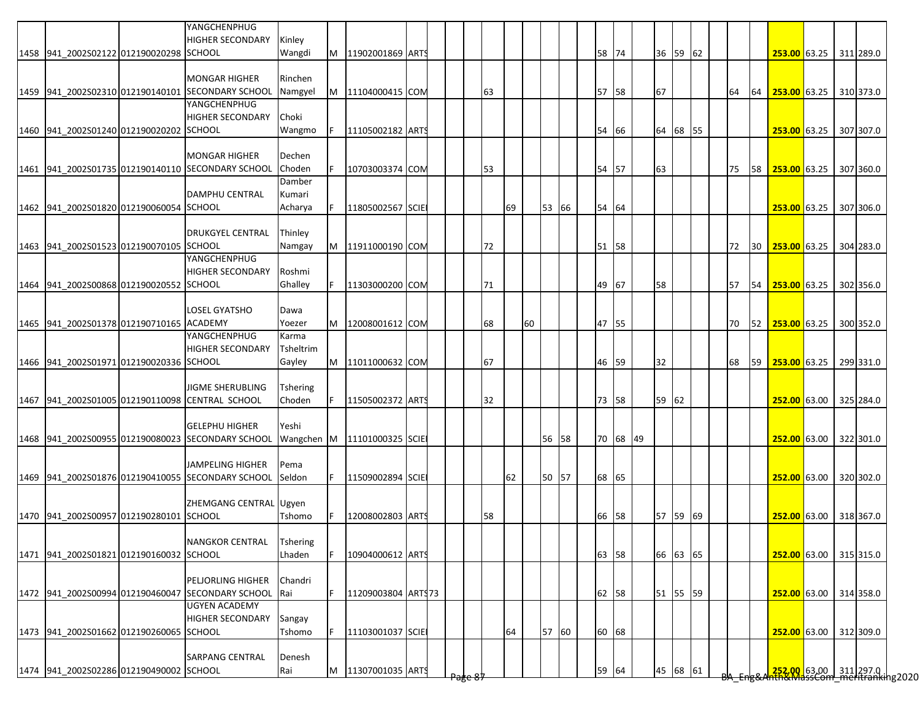|                                          | YANGCHENPHUG<br><b>HIGHER SECONDARY</b>                           | Kinley          |    |                             |  |    |    |    |       |    |          |          |    |          |  |    |           |                                                                      |  |           |
|------------------------------------------|-------------------------------------------------------------------|-----------------|----|-----------------------------|--|----|----|----|-------|----|----------|----------|----|----------|--|----|-----------|----------------------------------------------------------------------|--|-----------|
| 1458 941 2002S02122 012190020298 SCHOOL  |                                                                   | Wangdi          | M  | 11902001869 ARTS            |  |    |    |    |       |    | 58       | 74       |    | 36 59 62 |  |    |           | 253.00 63.25 311 289.0                                               |  |           |
|                                          |                                                                   |                 |    |                             |  |    |    |    |       |    |          |          |    |          |  |    |           |                                                                      |  |           |
|                                          | <b>MONGAR HIGHER</b>                                              | Rinchen         |    |                             |  |    |    |    |       |    |          |          |    |          |  |    |           |                                                                      |  |           |
|                                          | 1459 941 2002S02310 012190140101 SECONDARY SCHOOL<br>YANGCHENPHUG | Namgyel         |    | M 11104000415 COM           |  | 63 |    |    |       |    | 57 58    |          | 67 |          |  | 64 | 64        | 253.00 63.25 310 373.0                                               |  |           |
|                                          | <b>HIGHER SECONDARY</b>                                           | Choki           |    |                             |  |    |    |    |       |    |          |          |    |          |  |    |           |                                                                      |  |           |
| 1460 941 2002S01240 012190020202 SCHOOL  |                                                                   | Wangmo          |    | 11105002182 ARTS            |  |    |    |    |       | 54 |          | 66       |    | 64 68 55 |  |    |           | 253.00 63.25 307 307.0                                               |  |           |
|                                          |                                                                   |                 |    |                             |  |    |    |    |       |    |          |          |    |          |  |    |           |                                                                      |  |           |
|                                          | <b>MONGAR HIGHER</b>                                              | Dechen          |    |                             |  |    |    |    |       |    |          |          |    |          |  |    |           |                                                                      |  |           |
|                                          | 1461 941_2002S01735 012190140110 SECONDARY SCHOOL                 | Choden          |    | 10703003374 COM             |  | 53 |    |    |       |    | 54 57    |          | 63 |          |  | 75 |           | 58 253.00 63.25                                                      |  | 307 360.0 |
|                                          |                                                                   | Damber          |    |                             |  |    |    |    |       |    |          |          |    |          |  |    |           |                                                                      |  |           |
|                                          | <b>DAMPHU CENTRAL</b>                                             | Kumari          |    |                             |  |    |    |    |       |    |          |          |    |          |  |    |           |                                                                      |  |           |
| 1462 941 2002S01820 012190060054 SCHOOL  |                                                                   | Acharya         |    | 11805002567 SCIE            |  |    | 69 |    | 53 66 |    | 54 64    |          |    |          |  |    |           | $253.00$ 63.25                                                       |  | 307 306.0 |
|                                          |                                                                   |                 |    |                             |  |    |    |    |       |    |          |          |    |          |  |    |           |                                                                      |  |           |
|                                          | <b>DRUKGYEL CENTRAL</b>                                           | Thinley         |    |                             |  |    |    |    |       |    |          |          |    |          |  |    |           |                                                                      |  |           |
| 1463 941_2002S01523 012190070105 SCHOOL  |                                                                   | Namgay          | M  | 11911000190 COM             |  | 72 |    |    |       |    | 51 58    |          |    |          |  | 72 |           | 30 253.00 63.25                                                      |  | 304 283.0 |
|                                          | YANGCHENPHUG                                                      |                 |    |                             |  |    |    |    |       |    |          |          |    |          |  |    |           |                                                                      |  |           |
|                                          | <b>HIGHER SECONDARY</b>                                           | Roshmi          |    |                             |  |    |    |    |       |    |          |          |    |          |  |    |           |                                                                      |  |           |
| 1464 941 2002S00868 012190020552 SCHOOL  |                                                                   | Ghalley         | F. | 11303000200 COM             |  | 71 |    |    |       |    | 67<br>49 |          | 58 |          |  | 57 | 54        | 253.00 63.25                                                         |  | 302 356.0 |
|                                          |                                                                   |                 |    |                             |  |    |    |    |       |    |          |          |    |          |  |    |           |                                                                      |  |           |
|                                          | <b>LOSEL GYATSHO</b>                                              | Dawa            |    |                             |  |    |    |    |       |    |          |          |    |          |  |    |           |                                                                      |  |           |
| 1465 941 2002S01378 012190710165 ACADEMY |                                                                   | Yoezer          |    | M 12008001612 COM           |  | 68 |    | 60 |       |    | 47 55    |          |    |          |  | 70 |           | 52 253.00 63.25 300 352.0                                            |  |           |
|                                          | YANGCHENPHUG                                                      | Karma           |    |                             |  |    |    |    |       |    |          |          |    |          |  |    |           |                                                                      |  |           |
|                                          | <b>HIGHER SECONDARY</b>                                           | Tsheltrim       |    |                             |  |    |    |    |       |    |          |          |    |          |  |    |           |                                                                      |  |           |
| 1466 941 2002S01971 012190020336 SCHOOL  |                                                                   | Gayley          |    | M 11011000632 COM           |  | 67 |    |    |       |    | 46<br>59 |          | 32 |          |  | 68 | <b>59</b> | <b>253.00 63.25  </b>                                                |  | 299 331.0 |
|                                          |                                                                   |                 |    |                             |  |    |    |    |       |    |          |          |    |          |  |    |           |                                                                      |  |           |
|                                          | <b>JIGME SHERUBLING</b>                                           | <b>Tshering</b> |    |                             |  |    |    |    |       |    |          |          |    |          |  |    |           |                                                                      |  |           |
|                                          | 1467 941 2002S01005 012190110098 CENTRAL SCHOOL                   | Choden          | F  | 11505002372 ARTS            |  | 32 |    |    |       |    | 73 58    |          |    | 59 62    |  |    |           | 252.00 63.00 325 284.0                                               |  |           |
|                                          |                                                                   |                 |    |                             |  |    |    |    |       |    |          |          |    |          |  |    |           |                                                                      |  |           |
|                                          | <b>GELEPHU HIGHER</b>                                             | Yeshi           |    |                             |  |    |    |    |       |    |          |          |    |          |  |    |           |                                                                      |  |           |
|                                          | 1468 941 2002S00955 012190080023 SECONDARY SCHOOL                 |                 |    | Wangchen M 11101000325 SCIE |  |    |    |    | 56 58 |    |          | 70 68 49 |    |          |  |    |           | 252.00 63.00 322 301.0                                               |  |           |
|                                          |                                                                   |                 |    |                             |  |    |    |    |       |    |          |          |    |          |  |    |           |                                                                      |  |           |
|                                          | JAMPELING HIGHER                                                  | Pema            |    |                             |  |    |    |    |       |    |          |          |    |          |  |    |           |                                                                      |  |           |
|                                          | 1469 941 2002S01876 012190410055 SECONDARY SCHOOL                 | Seldon          | F. | 11509002894 SCIE            |  |    | 62 |    | 50 57 |    | 68       | 65       |    |          |  |    |           | 252.00 63.00 320 302.0                                               |  |           |
|                                          |                                                                   |                 |    |                             |  |    |    |    |       |    |          |          |    |          |  |    |           |                                                                      |  |           |
|                                          | ZHEMGANG CENTRAL Ugyen                                            |                 |    |                             |  |    |    |    |       |    |          |          |    |          |  |    |           |                                                                      |  |           |
| 1470 941 2002S00957 012190280101 SCHOOL  |                                                                   | Tshomo          |    | 12008002803 ARTS            |  | 58 |    |    |       |    | 66       | 58       |    | 57 59 69 |  |    |           | 252.00 63.00 318 367.0                                               |  |           |
|                                          |                                                                   |                 |    |                             |  |    |    |    |       |    |          |          |    |          |  |    |           |                                                                      |  |           |
|                                          | NANGKOR CENTRAL                                                   | <b>Tshering</b> |    |                             |  |    |    |    |       |    |          |          |    |          |  |    |           |                                                                      |  |           |
| 1471 941 2002S01821 012190160032 SCHOOL  |                                                                   | Lhaden          | F  | 10904000612 ARTS            |  |    |    |    |       |    | 63 58    |          |    | 66 63 65 |  |    |           | 252.00 63.00 315 315.0                                               |  |           |
|                                          |                                                                   |                 |    |                             |  |    |    |    |       |    |          |          |    |          |  |    |           |                                                                      |  |           |
|                                          | PELJORLING HIGHER                                                 | Chandri         |    |                             |  |    |    |    |       |    |          |          |    |          |  |    |           |                                                                      |  |           |
|                                          | 1472 941 2002S00994 012190460047 SECONDARY SCHOOL                 | <b>Rai</b>      |    | 11209003804 ARTS73          |  |    |    |    |       |    | 62 58    |          |    | 51 55 59 |  |    |           | 252.00 63.00 314 358.0                                               |  |           |
|                                          | <b>UGYEN ACADEMY</b>                                              |                 |    |                             |  |    |    |    |       |    |          |          |    |          |  |    |           |                                                                      |  |           |
|                                          | <b>HIGHER SECONDARY</b>                                           | Sangay          |    |                             |  |    |    |    |       |    |          |          |    |          |  |    |           |                                                                      |  |           |
| 1473 941_2002S01662 012190260065 SCHOOL  |                                                                   | Tshomo          | F. | 11103001037 SCIE            |  |    | 64 |    | 57 60 |    | 60 68    |          |    |          |  |    |           | 252.00 63.00 312 309.0                                               |  |           |
|                                          |                                                                   |                 |    |                             |  |    |    |    |       |    |          |          |    |          |  |    |           |                                                                      |  |           |
|                                          | <b>SARPANG CENTRAL</b>                                            | Denesh          |    |                             |  |    |    |    |       |    |          |          |    |          |  |    |           |                                                                      |  |           |
| 1474 941_2002S02286 012190490002 SCHOOL  |                                                                   | Rai             | M  | 11307001035 ARTS            |  |    |    |    |       |    | 59<br>64 |          |    | 45 68 61 |  |    |           | <mark>.252.00 63.00 311</mark> 297.0<br>hth&MassCom meritranking2020 |  |           |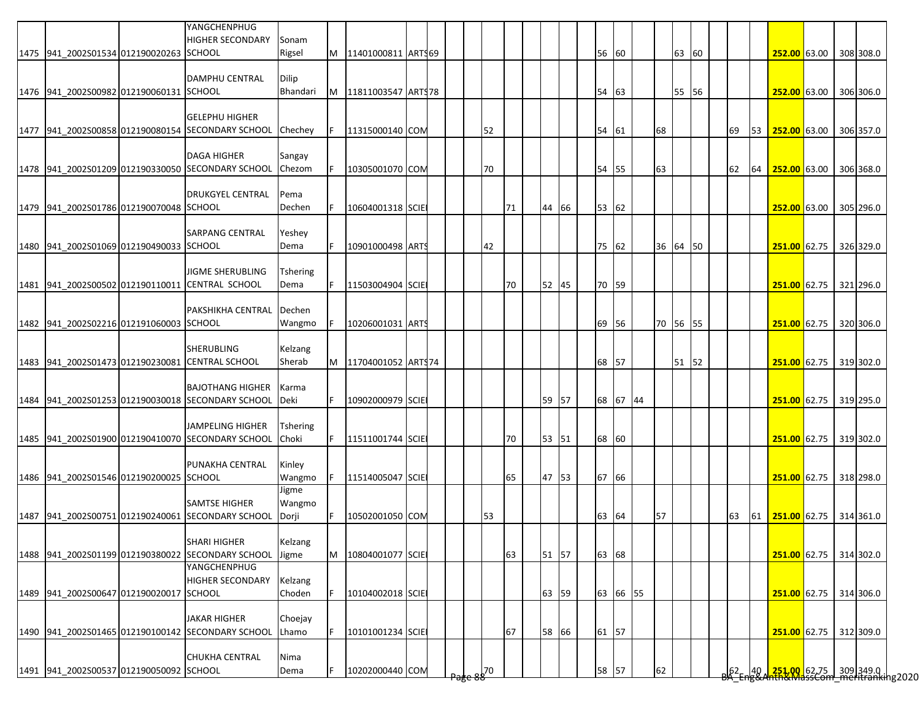|                                         | YANGCHENPHUG<br><b>HIGHER SECONDARY</b>                                      | Sonam                   |     |                           |  |             |    |       |       |          |          |       |  |                  |                 |                                                                                                  |  |  |
|-----------------------------------------|------------------------------------------------------------------------------|-------------------------|-----|---------------------------|--|-------------|----|-------|-------|----------|----------|-------|--|------------------|-----------------|--------------------------------------------------------------------------------------------------|--|--|
| 1475 941 2002S01534 012190020263 SCHOOL |                                                                              | Rigsel                  |     | M   11401000811   ARTS69  |  |             |    |       | 56 60 |          |          | 63 60 |  |                  |                 | 252.00 63.00 308 308.0                                                                           |  |  |
|                                         | <b>DAMPHU CENTRAL</b>                                                        | Dilip                   |     |                           |  |             |    |       |       |          |          |       |  |                  |                 |                                                                                                  |  |  |
| 1476 941 2002S00982 012190060131 SCHOOL |                                                                              | Bhandari                |     | M   11811003547   ARTS 78 |  |             |    |       | 54 63 |          |          | 55 56 |  |                  |                 | 252.00 63.00 306 306.0                                                                           |  |  |
|                                         |                                                                              |                         |     |                           |  |             |    |       |       |          |          |       |  |                  |                 |                                                                                                  |  |  |
|                                         | <b>GELEPHU HIGHER</b><br>1477 941_2002S00858 012190080154 SECONDARY SCHOOL   | Chechey                 | IF. | 11315000140 COM           |  | 52          |    |       | 54 61 |          | 68       |       |  | 69               |                 | 53 252.00 63.00 306 357.0                                                                        |  |  |
|                                         |                                                                              |                         |     |                           |  |             |    |       |       |          |          |       |  |                  |                 |                                                                                                  |  |  |
|                                         | <b>DAGA HIGHER</b>                                                           | Sangay                  |     |                           |  |             |    |       |       |          |          |       |  |                  |                 |                                                                                                  |  |  |
|                                         | 1478 941 2002S01209 012190330050 SECONDARY SCHOOL                            | Chezom                  | IF. | 10305001070 COM           |  | 70          |    |       | 54 55 |          | 63       |       |  | 62               |                 | 64 252.00 63.00 306 368.0                                                                        |  |  |
|                                         | DRUKGYEL CENTRAL                                                             | Pema                    |     |                           |  |             |    |       |       |          |          |       |  |                  |                 |                                                                                                  |  |  |
| 1479 941 2002S01786 012190070048 SCHOOL |                                                                              | Dechen                  | IF. | 10604001318 SCIE          |  |             | 71 | 44 66 | 53 62 |          |          |       |  |                  |                 | 252.00 63.00 305 296.0                                                                           |  |  |
|                                         | SARPANG CENTRAL                                                              | Yeshey                  |     |                           |  |             |    |       |       |          |          |       |  |                  |                 |                                                                                                  |  |  |
| 1480 941 2002S01069 012190490033 SCHOOL |                                                                              | Dema                    |     | 10901000498 ARTS          |  | 42          |    |       | 75 62 |          | 36 64 50 |       |  |                  |                 | 251.00 62.75 326 329.0                                                                           |  |  |
|                                         |                                                                              |                         |     |                           |  |             |    |       |       |          |          |       |  |                  |                 |                                                                                                  |  |  |
|                                         | <b>JIGME SHERUBLING</b><br>1481 941_2002S00502 012190110011 CENTRAL SCHOOL   | <b>Tshering</b><br>Dema | IF. | 11503004904 SCIE          |  |             | 70 | 52 45 | 70 59 |          |          |       |  |                  |                 | 251.00 62.75 321 296.0                                                                           |  |  |
|                                         |                                                                              |                         |     |                           |  |             |    |       |       |          |          |       |  |                  |                 |                                                                                                  |  |  |
|                                         | PAKSHIKHA CENTRAL                                                            | Dechen                  |     |                           |  |             |    |       |       |          |          |       |  |                  |                 |                                                                                                  |  |  |
| 1482 941 2002S02216 012191060003 SCHOOL |                                                                              | Wangmo                  |     | 10206001031 ARTS          |  |             |    |       |       | 69 56    | 70 56 55 |       |  |                  |                 | 251.00 62.75 320 306.0                                                                           |  |  |
|                                         | <b>SHERUBLING</b>                                                            | Kelzang                 |     |                           |  |             |    |       |       |          |          |       |  |                  |                 |                                                                                                  |  |  |
|                                         | 1483 941_2002S01473 012190230081 CENTRAL SCHOOL                              | Sherab                  |     | M 11704001052 ARTS74      |  |             |    |       | 68 57 |          |          | 51 52 |  |                  |                 | 251.00 62.75 319 302.0                                                                           |  |  |
|                                         | <b>BAJOTHANG HIGHER</b>                                                      | Karma                   |     |                           |  |             |    |       |       |          |          |       |  |                  |                 |                                                                                                  |  |  |
|                                         | 1484 941 2002S01253 012190030018 SECONDARY SCHOOL                            | Deki                    | IF. | 10902000979 SCIEI         |  |             |    | 59 57 |       | 68 67 44 |          |       |  |                  |                 | 251.00 62.75 319 295.0                                                                           |  |  |
|                                         |                                                                              |                         |     |                           |  |             |    |       |       |          |          |       |  |                  |                 |                                                                                                  |  |  |
|                                         | <b>JAMPELING HIGHER</b><br>1485 941 2002S01900 012190410070 SECONDARY SCHOOL | Tshering<br>Choki       | IF. | 11511001744 SCIE          |  |             | 70 | 53 51 | 68 60 |          |          |       |  |                  |                 | 251.00 62.75 319 302.0                                                                           |  |  |
|                                         |                                                                              |                         |     |                           |  |             |    |       |       |          |          |       |  |                  |                 |                                                                                                  |  |  |
|                                         | PUNAKHA CENTRAL                                                              | Kinley                  |     |                           |  |             |    |       |       |          |          |       |  |                  |                 |                                                                                                  |  |  |
| 1486 941_2002S01546 012190200025 SCHOOL |                                                                              | Wangmo<br>Jigme         | IF. | 11514005047 SCIE          |  |             | 65 | 47 53 | 67 66 |          |          |       |  |                  |                 | 251.00 62.75 318 298.0                                                                           |  |  |
|                                         | <b>SAMTSE HIGHER</b>                                                         | Wangmo                  |     |                           |  |             |    |       |       |          |          |       |  |                  |                 |                                                                                                  |  |  |
|                                         | 1487 941 2002S00751 012190240061 SECONDARY SCHOOL                            | Dorji                   | IF. | 10502001050 COM           |  | 53          |    |       | 63 64 |          | 57       |       |  | 63               |                 |                                                                                                  |  |  |
|                                         | <b>SHARI HIGHER</b>                                                          | Kelzang                 |     |                           |  |             |    |       |       |          |          |       |  |                  |                 |                                                                                                  |  |  |
| 1488 941 2002S01199 012190380022        | <b>SECONDARY SCHOOL</b>                                                      | Jigme                   | M   | 10804001077 SCIE          |  |             | 63 | 51 57 | 63 68 |          |          |       |  |                  |                 | 251.00 62.75 314 302.0                                                                           |  |  |
|                                         | YANGCHENPHUG                                                                 |                         |     |                           |  |             |    |       |       |          |          |       |  |                  |                 |                                                                                                  |  |  |
| 1489  941_2002S00647 012190020017       | <b>HIGHER SECONDARY</b><br><b>SCHOOL</b>                                     | Kelzang<br>Choden       | IF. | 10104002018 SCIE          |  |             |    | 63 59 |       | 63 66 55 |          |       |  |                  |                 | 251.00 62.75 314 306.0                                                                           |  |  |
|                                         |                                                                              |                         |     |                           |  |             |    |       |       |          |          |       |  |                  |                 |                                                                                                  |  |  |
|                                         | <b>JAKAR HIGHER</b>                                                          | Choejay                 |     |                           |  |             |    |       |       |          |          |       |  |                  |                 |                                                                                                  |  |  |
|                                         | 1490 941 2002S01465 012190100142 SECONDARY SCHOOL                            | Lhamo                   | F   | 10101001234 SCIE          |  |             | 67 | 58 66 | 61 57 |          |          |       |  |                  |                 | 251.00 62.75 312 309.0                                                                           |  |  |
|                                         | <b>CHUKHA CENTRAL</b>                                                        | Nima                    |     |                           |  |             |    |       |       |          |          |       |  |                  |                 |                                                                                                  |  |  |
| 1491 941 2002S00537 012190050092 SCHOOL |                                                                              | Dema                    | IF. | 10202000440 COM           |  | $\sqrt{50}$ |    |       | 58 57 |          | 62       |       |  | ∫62 <sub>⊏</sub> | 49 <sub>1</sub> | <mark>, 251.00 </mark> 62.75     309 349.0    <br><del>nth&amp;MassCom   meritranki</del> ng2020 |  |  |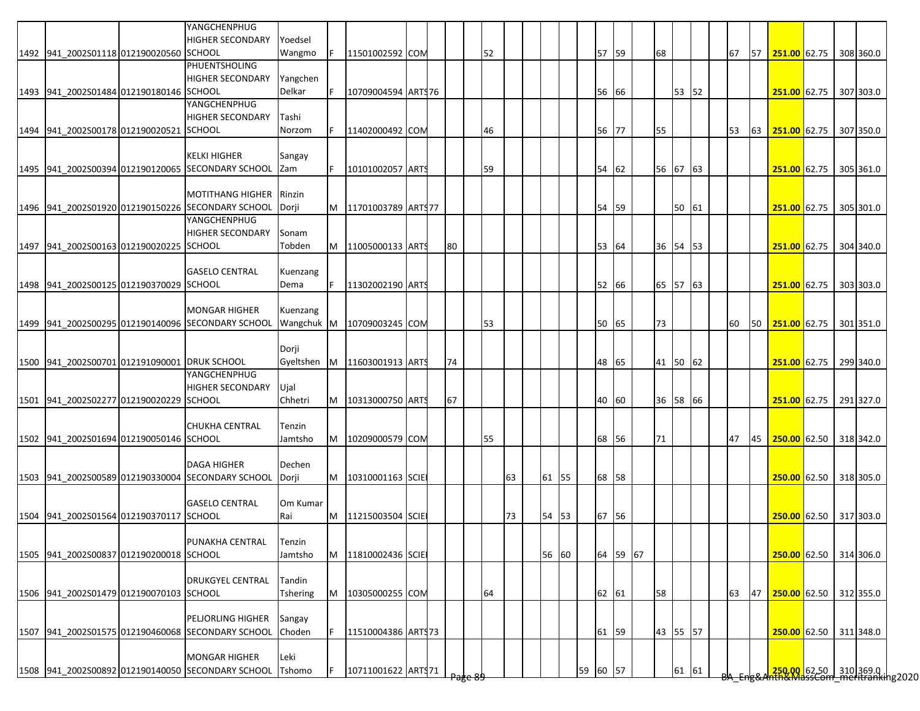|                                              | YANGCHENPHUG                                                              |                 |    |                           |    |    |    |       |       |          |          |       |  |    |    |                           |  |           |
|----------------------------------------------|---------------------------------------------------------------------------|-----------------|----|---------------------------|----|----|----|-------|-------|----------|----------|-------|--|----|----|---------------------------|--|-----------|
| 1492 941_2002S01118 012190020560 SCHOOL      | <b>HIGHER SECONDARY</b>                                                   | Yoedsel         |    |                           |    | 52 |    |       | 57    | 59       | 68       |       |  | 67 | 57 | 251.00 62.75 308 360.0    |  |           |
|                                              | <b>PHUENTSHOLING</b>                                                      | Wangmo          |    | 11501002592 COM           |    |    |    |       |       |          |          |       |  |    |    |                           |  |           |
|                                              | <b>HIGHER SECONDARY</b>                                                   | Yangchen        |    |                           |    |    |    |       |       |          |          |       |  |    |    |                           |  |           |
| 1493 941 2002S01484 012190180146 SCHOOL      |                                                                           | Delkar          |    | 10709004594 ARTS76        |    |    |    |       | 56    | 66       |          | 53 52 |  |    |    | 251.00 62.75 307 303.0    |  |           |
|                                              | YANGCHENPHUG                                                              |                 |    |                           |    |    |    |       |       |          |          |       |  |    |    |                           |  |           |
|                                              | <b>HIGHER SECONDARY</b>                                                   | Tashi           |    |                           |    |    |    |       |       |          |          |       |  |    |    |                           |  |           |
| 1494 941 2002S00178 012190020521 SCHOOL      |                                                                           | Norzom          |    | 11402000492 COM           |    | 46 |    |       | 56    | 77       | 55       |       |  | 53 | 63 | 251.00 62.75 307 350.0    |  |           |
|                                              |                                                                           |                 |    |                           |    |    |    |       |       |          |          |       |  |    |    |                           |  |           |
|                                              | <b>KELKI HIGHER</b>                                                       | Sangay          |    |                           |    |    |    |       |       |          |          |       |  |    |    |                           |  |           |
|                                              | 1495 941 2002S00394 012190120065 SECONDARY SCHOOL                         | Zam             | F. | 10101002057 ARTS          |    | 59 |    |       | 54    | 62       | 56 67 63 |       |  |    |    | 251.00 62.75 305 361.0    |  |           |
|                                              |                                                                           |                 |    |                           |    |    |    |       |       |          |          |       |  |    |    |                           |  |           |
|                                              | <b>MOTITHANG HIGHER</b>                                                   | Rinzin          |    |                           |    |    |    |       |       |          |          |       |  |    |    |                           |  |           |
|                                              | 1496 941_2002S01920 012190150226 SECONDARY SCHOOL                         | Dorji           |    | M   11701003789   ARTS 77 |    |    |    |       | 54    | 59       |          | 50 61 |  |    |    | 251.00 62.75              |  | 305 301.0 |
|                                              | YANGCHENPHUG                                                              |                 |    |                           |    |    |    |       |       |          |          |       |  |    |    |                           |  |           |
|                                              | <b>HIGHER SECONDARY</b>                                                   | Sonam           |    |                           |    |    |    |       |       |          |          |       |  |    |    |                           |  |           |
| 1497 941 2002S00163 012190020225 SCHOOL      |                                                                           | Tobden          | M  | 11005000133 ARTS          | 80 |    |    |       | 53 64 |          | 36 54 53 |       |  |    |    | 251.00 62.75              |  | 304 340.0 |
|                                              | <b>GASELO CENTRAL</b>                                                     | Kuenzang        |    |                           |    |    |    |       |       |          |          |       |  |    |    |                           |  |           |
| 1498 941_2002S00125 012190370029 SCHOOL      |                                                                           | Dema            | F. | 11302002190 ARTS          |    |    |    |       | 52    | 66       | 65 57 63 |       |  |    |    | 251.00 62.75              |  | 303 303.0 |
|                                              |                                                                           |                 |    |                           |    |    |    |       |       |          |          |       |  |    |    |                           |  |           |
|                                              | <b>MONGAR HIGHER</b>                                                      | Kuenzang        |    |                           |    |    |    |       |       |          |          |       |  |    |    |                           |  |           |
|                                              | 1499 941 2002S00295 012190140096 SECONDARY SCHOOL                         | Wangchuk M      |    | 10709003245 COM           |    | 53 |    |       | 50 65 |          | 73       |       |  | 60 |    | 50 251.00 62.75 301 351.0 |  |           |
|                                              |                                                                           |                 |    |                           |    |    |    |       |       |          |          |       |  |    |    |                           |  |           |
|                                              |                                                                           | Dorji           |    |                           |    |    |    |       |       |          |          |       |  |    |    |                           |  |           |
| 1500 941 2002S00701 012191090001 DRUK SCHOOL |                                                                           | Gyeltshen       |    | M   11603001913   ARTS    | 74 |    |    |       | 48    | 65       | 41 50 62 |       |  |    |    | 251.00 62.75              |  | 299 340.0 |
|                                              | YANGCHENPHUG                                                              |                 |    |                           |    |    |    |       |       |          |          |       |  |    |    |                           |  |           |
|                                              | <b>HIGHER SECONDARY</b>                                                   | Ujal            |    |                           |    |    |    |       |       |          |          |       |  |    |    |                           |  |           |
| 1501 941 2002S02277 012190020229 SCHOOL      |                                                                           | Chhetri         |    | M   10313000750 ARTS      | 67 |    |    |       | 40    | 60       | 36 58 66 |       |  |    |    | 251.00 62.75              |  | 291 327.0 |
|                                              |                                                                           |                 |    |                           |    |    |    |       |       |          |          |       |  |    |    |                           |  |           |
|                                              | <b>CHUKHA CENTRAL</b>                                                     | Tenzin          |    |                           |    |    |    |       |       |          |          |       |  |    |    |                           |  |           |
| 1502 941 2002S01694 012190050146 SCHOOL      |                                                                           | Jamtsho         | M  | 10209000579 COM           |    | 55 |    |       | 68 56 |          | 71       |       |  | 47 | 45 | 250.00 62.50 318 342.0    |  |           |
|                                              |                                                                           |                 |    |                           |    |    |    |       |       |          |          |       |  |    |    |                           |  |           |
|                                              | <b>DAGA HIGHER</b>                                                        | Dechen          |    |                           |    |    |    |       |       |          |          |       |  |    |    |                           |  |           |
|                                              | 1503 941 2002S00589 012190330004 SECONDARY SCHOOL                         | Dorji           |    | M 10310001163 SCIE        |    |    | 63 | 61 55 | 68    | 58       |          |       |  |    |    | 250.00 62.50 318 305.0    |  |           |
|                                              |                                                                           |                 |    |                           |    |    |    |       |       |          |          |       |  |    |    |                           |  |           |
|                                              | <b>GASELO CENTRAL</b>                                                     | Om Kumar        |    |                           |    |    |    |       |       |          |          |       |  |    |    | 250.00 62.50 317 303.0    |  |           |
| 1504 941 2002S01564 012190370117 SCHOOL      |                                                                           | Rai             | M  | 11215003504 SCIE          |    |    | 73 | 54 53 | 67    | 56       |          |       |  |    |    |                           |  |           |
|                                              | PUNAKHA CENTRAL                                                           | Tenzin          |    |                           |    |    |    |       |       |          |          |       |  |    |    |                           |  |           |
| 1505 941 2002S00837 012190200018 SCHOOL      |                                                                           | Jamtsho         | M  | 11810002436 SCIE          |    |    |    | 56 60 |       | 64 59 67 |          |       |  |    |    | 250.00 62.50 314 306.0    |  |           |
|                                              |                                                                           |                 |    |                           |    |    |    |       |       |          |          |       |  |    |    |                           |  |           |
|                                              | <b>DRUKGYEL CENTRAL</b>                                                   | Tandin          |    |                           |    |    |    |       |       |          |          |       |  |    |    |                           |  |           |
| 1506 941_2002S01479 012190070103 SCHOOL      |                                                                           | <b>Tshering</b> | M  | 10305000255 COM           |    | 64 |    |       | 62 61 |          | 58       |       |  | 63 | 47 | 250.00 62.50 312 355.0    |  |           |
|                                              |                                                                           |                 |    |                           |    |    |    |       |       |          |          |       |  |    |    |                           |  |           |
|                                              | PELJORLING HIGHER                                                         | Sangay          |    |                           |    |    |    |       |       |          |          |       |  |    |    |                           |  |           |
|                                              | 1507 941_2002S01575 012190460068 SECONDARY SCHOOL                         | Choden          | F. | 11510004386 ARTS73        |    |    |    |       | 61    | 59       | 43 55 57 |       |  |    |    | 250.00 62.50 311 348.0    |  |           |
|                                              |                                                                           |                 |    |                           |    |    |    |       |       |          |          |       |  |    |    |                           |  |           |
|                                              |                                                                           |                 |    |                           |    |    |    |       |       |          |          |       |  |    |    |                           |  |           |
|                                              | <b>MONGAR HIGHER</b><br>1508 941_2002S00892 012190140050 SECONDARY SCHOOL | Leki            |    |                           |    |    |    |       |       |          |          |       |  |    |    |                           |  |           |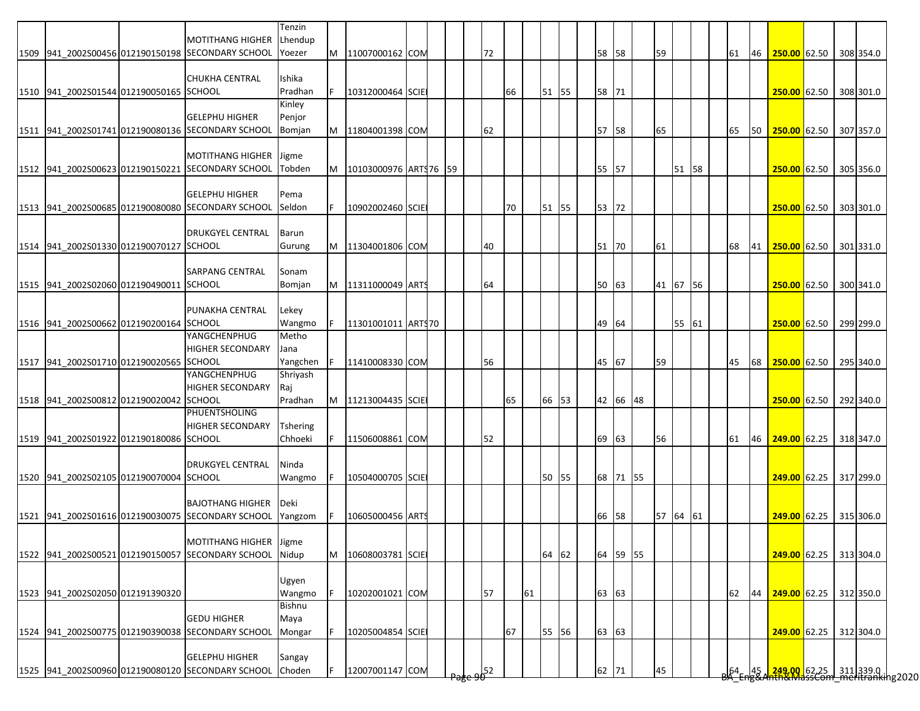|                                         |                                                   | Tenzin          |   |                       |  |    |    |       |    |       |          |    |          |       |           |    |                                                                         |  |           |
|-----------------------------------------|---------------------------------------------------|-----------------|---|-----------------------|--|----|----|-------|----|-------|----------|----|----------|-------|-----------|----|-------------------------------------------------------------------------|--|-----------|
|                                         | <b>MOTITHANG HIGHER</b>                           | Lhendup         |   |                       |  |    |    |       |    |       |          |    |          |       |           |    |                                                                         |  |           |
|                                         | 1509 941_2002S00456 012190150198 SECONDARY SCHOOL | Yoezer          | M | 11007000162 COM       |  | 72 |    |       | 58 | 58    |          | 59 |          |       | 61        | 46 | 250.00 62.50 308 354.0                                                  |  |           |
|                                         | <b>CHUKHA CENTRAL</b>                             | Ishika          |   |                       |  |    |    |       |    |       |          |    |          |       |           |    |                                                                         |  |           |
| 1510 941 2002S01544 012190050165 SCHOOL |                                                   | Pradhan         |   | 10312000464 SCIE      |  |    | 66 | 51 55 |    | 58 71 |          |    |          |       |           |    | 250.00 62.50 308 301.0                                                  |  |           |
|                                         |                                                   | Kinley          |   |                       |  |    |    |       |    |       |          |    |          |       |           |    |                                                                         |  |           |
|                                         | <b>GELEPHU HIGHER</b>                             | Penjor          |   |                       |  |    |    |       |    |       |          |    |          |       |           |    |                                                                         |  |           |
|                                         | 1511 941_2002S01741 012190080136 SECONDARY SCHOOL | Bomjan          | M | 11804001398 COM       |  | 62 |    |       | 57 | 58    |          | 65 |          |       | 65        | 50 | 250.00 62.50 307 357.0                                                  |  |           |
|                                         |                                                   |                 |   |                       |  |    |    |       |    |       |          |    |          |       |           |    |                                                                         |  |           |
|                                         | <b>MOTITHANG HIGHER</b>                           | Jigme           |   |                       |  |    |    |       |    |       |          |    |          |       |           |    |                                                                         |  |           |
|                                         | 1512 941_2002S00623 012190150221 SECONDARY SCHOOL | Tobden          | M | 10103000976 ARTS76 59 |  |    |    |       |    | 55 57 |          |    |          | 51 58 |           |    | 250.00 62.50 305 356.0                                                  |  |           |
|                                         |                                                   |                 |   |                       |  |    |    |       |    |       |          |    |          |       |           |    |                                                                         |  |           |
|                                         | <b>GELEPHU HIGHER</b>                             | Pema            |   |                       |  |    |    |       |    |       |          |    |          |       |           |    |                                                                         |  |           |
|                                         | 1513 941_2002S00685 012190080080 SECONDARY SCHOOL | Seldon          |   | 10902002460 SCIE      |  |    | 70 | 51 55 |    | 53 72 |          |    |          |       |           |    | 250.00 62.50                                                            |  | 303 301.0 |
|                                         |                                                   |                 |   |                       |  |    |    |       |    |       |          |    |          |       |           |    |                                                                         |  |           |
|                                         | <b>DRUKGYEL CENTRAL</b>                           | Barun           |   |                       |  |    |    |       |    |       |          |    |          |       |           |    |                                                                         |  |           |
| 1514 941_2002S01330 012190070127 SCHOOL |                                                   | Gurung          |   | 11304001806 COM       |  | 40 |    |       |    | 51 70 |          | 61 |          |       | 68        | 41 | 250.00 62.50 301 331.0                                                  |  |           |
|                                         |                                                   |                 |   |                       |  |    |    |       |    |       |          |    |          |       |           |    |                                                                         |  |           |
|                                         | <b>SARPANG CENTRAL</b>                            | Sonam           |   |                       |  |    |    |       |    |       |          |    |          |       |           |    |                                                                         |  |           |
| 1515 941 2002S02060 012190490011 SCHOOL |                                                   | Bomjan          |   | 11311000049 ARTS      |  | 64 |    |       |    | 50 63 |          |    | 41 67 56 |       |           |    | 250.00 62.50 300 341.0                                                  |  |           |
|                                         |                                                   |                 |   |                       |  |    |    |       |    |       |          |    |          |       |           |    |                                                                         |  |           |
|                                         | PUNAKHA CENTRAL                                   | Lekey           |   |                       |  |    |    |       |    |       |          |    |          |       |           |    |                                                                         |  |           |
| 1516 941 2002S00662 012190200164 SCHOOL |                                                   | Wangmo          |   | 11301001011 ARTS70    |  |    |    |       |    | 49 64 |          |    |          | 55 61 |           |    | 250.00 62.50 299 299.0                                                  |  |           |
|                                         | YANGCHENPHUG                                      | Metho           |   |                       |  |    |    |       |    |       |          |    |          |       |           |    |                                                                         |  |           |
|                                         | <b>HIGHER SECONDARY</b>                           | Jana            |   |                       |  |    |    |       |    |       |          |    |          |       |           |    |                                                                         |  |           |
| 1517 941 2002S01710 012190020565 SCHOOL |                                                   | Yangchen        |   | 11410008330 COM       |  | 56 |    |       |    | 45 67 |          | 59 |          |       | 45        | 68 | 250.00 62.50 295 340.0                                                  |  |           |
|                                         | YANGCHENPHUG                                      | Shriyash        |   |                       |  |    |    |       |    |       |          |    |          |       |           |    |                                                                         |  |           |
|                                         | <b>HIGHER SECONDARY</b>                           | Raj             |   |                       |  |    |    |       |    |       |          |    |          |       |           |    |                                                                         |  |           |
| 1518 941 2002S00812 012190020042 SCHOOL |                                                   | Pradhan         | M | 11213004435 SCIE      |  |    | 65 | 66 53 |    |       | 42 66 48 |    |          |       |           |    | 250.00 62.50                                                            |  | 292 340.0 |
|                                         | PHUENTSHOLING                                     |                 |   |                       |  |    |    |       |    |       |          |    |          |       |           |    |                                                                         |  |           |
|                                         | <b>HIGHER SECONDARY</b>                           | <b>Tshering</b> |   |                       |  |    |    |       |    |       |          |    |          |       |           |    |                                                                         |  |           |
| 1519 941 2002S01922 012190180086 SCHOOL |                                                   | Chhoeki         |   | 11506008861 COM       |  | 52 |    |       | 69 | 63    |          | 56 |          |       | 61        |    | 46 249.00 62.25 318 347.0                                               |  |           |
|                                         |                                                   |                 |   |                       |  |    |    |       |    |       |          |    |          |       |           |    |                                                                         |  |           |
|                                         | <b>DRUKGYEL CENTRAL</b>                           | Ninda           |   |                       |  |    |    |       |    |       |          |    |          |       |           |    |                                                                         |  |           |
| 1520 941_2002S02105 012190070004 SCHOOL |                                                   | Wangmo          |   | 10504000705 SCIE      |  |    |    | 50 55 |    |       | 68 71 55 |    |          |       |           |    | 249.00 62.25 317 299.0                                                  |  |           |
|                                         |                                                   |                 |   |                       |  |    |    |       |    |       |          |    |          |       |           |    |                                                                         |  |           |
|                                         | <b>BAJOTHANG HIGHER</b>                           | Deki            |   |                       |  |    |    |       |    |       |          |    |          |       |           |    |                                                                         |  |           |
|                                         | 1521 941 2002S01616 012190030075 SECONDARY SCHOOL | Yangzom         |   | 10605000456 ARTS      |  |    |    |       | 66 | 58    |          |    | 57 64 61 |       |           |    | 249.00 62.25 315 306.0                                                  |  |           |
|                                         |                                                   |                 |   |                       |  |    |    |       |    |       |          |    |          |       |           |    |                                                                         |  |           |
|                                         | MOTITHANG HIGHER Jigme                            |                 |   |                       |  |    |    |       |    |       |          |    |          |       |           |    |                                                                         |  |           |
|                                         | 1522 941_2002S00521 012190150057 SECONDARY SCHOOL | Nidup           | M | 10608003781 SCIE      |  |    |    | 64 62 |    |       | 64 59 55 |    |          |       |           |    | 249.00 62.25 313 304.0                                                  |  |           |
|                                         |                                                   |                 |   |                       |  |    |    |       |    |       |          |    |          |       |           |    |                                                                         |  |           |
|                                         |                                                   | Ugyen           |   |                       |  |    |    |       |    |       |          |    |          |       |           |    |                                                                         |  |           |
| 1523 941_2002S02050 012191390320        |                                                   | Wangmo          |   | 10202001021 COM       |  | 57 | 61 |       |    | 63 63 |          |    |          |       | 62        | 44 | 249.00 62.25 312 350.0                                                  |  |           |
|                                         |                                                   | Bishnu          |   |                       |  |    |    |       |    |       |          |    |          |       |           |    |                                                                         |  |           |
|                                         | <b>GEDU HIGHER</b>                                | Maya            |   |                       |  |    |    |       |    |       |          |    |          |       |           |    |                                                                         |  |           |
|                                         | 1524 941_2002S00775 012190390038 SECONDARY SCHOOL | Mongar          |   | 10205004854 SCIE      |  |    | 67 | 55 56 |    | 63 63 |          |    |          |       |           |    | 249.00 62.25 312 304.0                                                  |  |           |
|                                         | <b>GELEPHU HIGHER</b>                             |                 |   |                       |  |    |    |       |    |       |          |    |          |       |           |    |                                                                         |  |           |
|                                         | 1525 941_2002S00960 012190080120 SECONDARY SCHOOL | Sangay          |   | 12007001147 COM       |  |    |    |       |    |       |          | 45 |          |       |           |    |                                                                         |  |           |
|                                         |                                                   | Choden          |   |                       |  | 52 |    |       |    | 62 71 |          |    |          |       | $64 - 45$ |    | <mark>, 249.00,</mark> 62.25 311 339.0<br>Inth&MassCom meritranking2020 |  |           |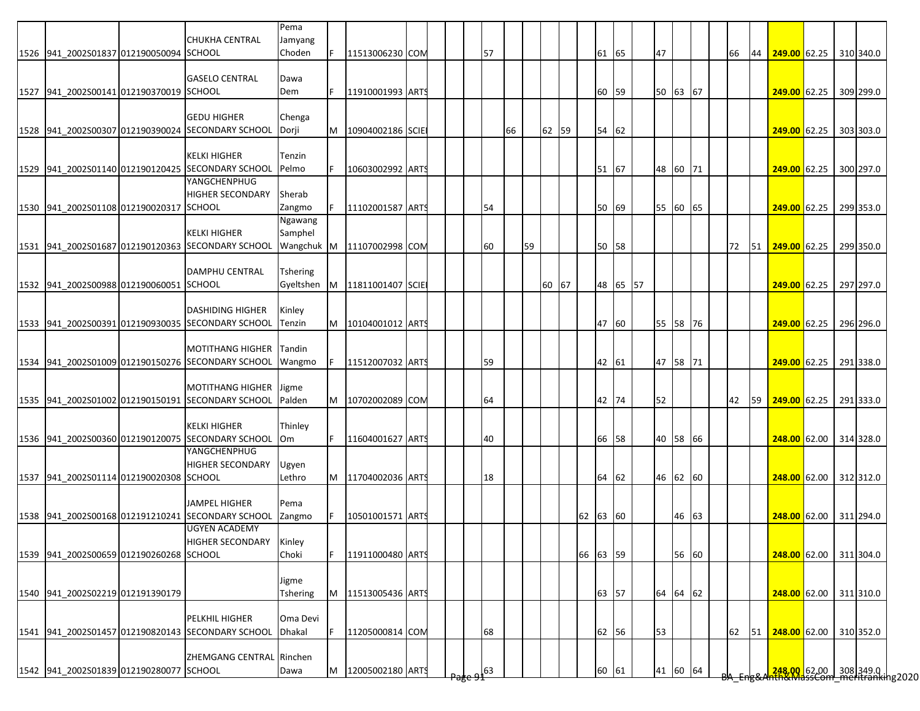|                                         |                                                   | Pema            |    |                    |  |    |    |    |       |          |       |          |    |          |  |    |    |                        |  |                                                                                         |
|-----------------------------------------|---------------------------------------------------|-----------------|----|--------------------|--|----|----|----|-------|----------|-------|----------|----|----------|--|----|----|------------------------|--|-----------------------------------------------------------------------------------------|
|                                         | <b>CHUKHA CENTRAL</b>                             | Jamyang         |    |                    |  |    |    |    |       |          |       |          |    |          |  |    |    |                        |  |                                                                                         |
| 1526 941 2002S01837 012190050094 SCHOOL |                                                   | Choden          | F. | 11513006230 COM    |  | 57 |    |    |       |          | 61 65 |          | 47 |          |  | 66 | 44 | $249.00$ 62.25         |  | 310 340.0                                                                               |
|                                         |                                                   |                 |    |                    |  |    |    |    |       |          |       |          |    |          |  |    |    |                        |  |                                                                                         |
|                                         | <b>GASELO CENTRAL</b>                             | Dawa            | F. |                    |  |    |    |    |       |          |       |          |    |          |  |    |    |                        |  |                                                                                         |
| 1527 941 2002S00141 012190370019 SCHOOL |                                                   | Dem             |    | 11910001993 ARTS   |  |    |    |    |       |          | 60 59 |          |    | 50 63 67 |  |    |    | 249.00 62.25           |  | 309 299.0                                                                               |
|                                         | <b>GEDU HIGHER</b>                                |                 |    |                    |  |    |    |    |       |          |       |          |    |          |  |    |    |                        |  |                                                                                         |
|                                         | 1528 941 2002S00307 012190390024 SECONDARY SCHOOL | Chenga<br>Dorji | M  | 10904002186 SCIE   |  |    | 66 |    | 62 59 |          | 54 62 |          |    |          |  |    |    | <b>249.00</b> 62.25    |  | 303 303.0                                                                               |
|                                         |                                                   |                 |    |                    |  |    |    |    |       |          |       |          |    |          |  |    |    |                        |  |                                                                                         |
|                                         | <b>KELKI HIGHER</b>                               | Tenzin          |    |                    |  |    |    |    |       |          |       |          |    |          |  |    |    |                        |  |                                                                                         |
|                                         | 1529 941 2002S01140 012190120425 SECONDARY SCHOOL | Pelmo           |    | 10603002992 ARTS   |  |    |    |    |       |          | 51 67 |          |    | 48 60 71 |  |    |    | $249.00$ 62.25         |  | 300 297.0                                                                               |
|                                         | YANGCHENPHUG                                      |                 |    |                    |  |    |    |    |       |          |       |          |    |          |  |    |    |                        |  |                                                                                         |
|                                         | <b>HIGHER SECONDARY</b>                           | Sherab          |    |                    |  |    |    |    |       |          |       |          |    |          |  |    |    |                        |  |                                                                                         |
| 1530 941 2002S01108 012190020317 SCHOOL |                                                   | Zangmo          |    | 11102001587 ARTS   |  | 54 |    |    |       |          | 50 69 |          |    | 55 60 65 |  |    |    | 249.00 62.25           |  | 299 353.0                                                                               |
|                                         |                                                   | Ngawang         |    |                    |  |    |    |    |       |          |       |          |    |          |  |    |    |                        |  |                                                                                         |
|                                         | <b>KELKI HIGHER</b>                               | Samphel         |    |                    |  |    |    |    |       |          |       |          |    |          |  |    |    |                        |  |                                                                                         |
|                                         | 1531 941 2002S01687 012190120363 SECONDARY SCHOOL | Wangchuk M      |    | 11107002998 COM    |  | 60 |    | 59 |       |          | 50 58 |          |    |          |  | 72 |    | 51 249.00 62.25        |  | 299 350.0                                                                               |
|                                         |                                                   |                 |    |                    |  |    |    |    |       |          |       |          |    |          |  |    |    |                        |  |                                                                                         |
|                                         | <b>DAMPHU CENTRAL</b>                             | <b>Tshering</b> |    |                    |  |    |    |    |       |          |       |          |    |          |  |    |    |                        |  |                                                                                         |
| 1532 941 2002S00988 012190060051 SCHOOL |                                                   | Gyeltshen       | M  | 11811001407 SCIE   |  |    |    |    | 60 67 |          |       | 48 65 57 |    |          |  |    |    | 249.00 62.25           |  | 297 297.0                                                                               |
|                                         |                                                   |                 |    |                    |  |    |    |    |       |          |       |          |    |          |  |    |    |                        |  |                                                                                         |
|                                         | <b>DASHIDING HIGHER</b>                           | Kinley          |    |                    |  |    |    |    |       |          |       |          |    |          |  |    |    |                        |  |                                                                                         |
|                                         | 1533 941 2002S00391 012190930035 SECONDARY SCHOOL | Tenzin          | M  | 10104001012 ARTS   |  |    |    |    |       |          | 47 60 |          |    | 55 58 76 |  |    |    | 249.00 62.25           |  | 296 296.0                                                                               |
|                                         |                                                   |                 |    |                    |  |    |    |    |       |          |       |          |    |          |  |    |    |                        |  |                                                                                         |
|                                         | <b>MOTITHANG HIGHER</b>                           | Tandin          |    |                    |  |    |    |    |       |          |       |          |    |          |  |    |    |                        |  |                                                                                         |
|                                         | 1534 941 2002S01009 012190150276 SECONDARY SCHOOL | Wangmo          |    | 11512007032 ARTS   |  | 59 |    |    |       |          | 42 61 |          |    | 47 58 71 |  |    |    | <b>249.00</b> 62.25    |  | 291 338.0                                                                               |
|                                         |                                                   |                 |    |                    |  |    |    |    |       |          |       |          |    |          |  |    |    |                        |  |                                                                                         |
|                                         | MOTITHANG HIGHER Jigme                            |                 |    |                    |  |    |    |    |       |          |       |          |    |          |  |    |    |                        |  |                                                                                         |
|                                         | 1535 941 2002S01002 012190150191 SECONDARY SCHOOL | Palden          | M  | 10702002089 COM    |  | 64 |    |    |       |          | 42 74 |          | 52 |          |  | 42 | 59 | 249.00 62.25           |  | 291 333.0                                                                               |
|                                         |                                                   |                 |    |                    |  |    |    |    |       |          |       |          |    |          |  |    |    |                        |  |                                                                                         |
|                                         | <b>KELKI HIGHER</b>                               | Thinley         |    |                    |  |    |    |    |       |          |       |          |    |          |  |    |    |                        |  |                                                                                         |
|                                         | 1536 941 2002S00360 012190120075 SECONDARY SCHOOL | <b>Om</b>       | F. | 11604001627 ARTS   |  | 40 |    |    |       |          | 66 58 |          |    | 40 58 66 |  |    |    | 248.00 62.00 314 328.0 |  |                                                                                         |
|                                         | YANGCHENPHUG                                      |                 |    |                    |  |    |    |    |       |          |       |          |    |          |  |    |    |                        |  |                                                                                         |
|                                         | <b>HIGHER SECONDARY</b>                           | Ugyen           |    |                    |  |    |    |    |       |          |       |          |    |          |  |    |    |                        |  |                                                                                         |
| 1537 941 2002S01114 012190020308 SCHOOL |                                                   | Lethro          |    | M 11704002036 ARTS |  | 18 |    |    |       |          | 64 62 |          |    | 46 62 60 |  |    |    | 248.00 62.00           |  | 312 312.0                                                                               |
|                                         |                                                   |                 |    |                    |  |    |    |    |       |          |       |          |    |          |  |    |    |                        |  |                                                                                         |
|                                         | <b>JAMPEL HIGHER</b>                              | Pema            |    |                    |  |    |    |    |       |          |       |          |    |          |  |    |    |                        |  |                                                                                         |
|                                         | 1538 941 2002S00168 012191210241 SECONDARY SCHOOL | Zangmo          |    | 10501001571 ARTS   |  |    |    |    |       | 62 63 60 |       |          |    | 46 63    |  |    |    | 248.00 62.00           |  | 311 294.0                                                                               |
|                                         | <b>UGYEN ACADEMY</b>                              |                 |    |                    |  |    |    |    |       |          |       |          |    |          |  |    |    |                        |  |                                                                                         |
|                                         | <b>HIGHER SECONDARY</b>                           | Kinley          |    |                    |  |    |    |    |       |          |       |          |    |          |  |    |    |                        |  |                                                                                         |
| 1539 941_2002S00659 012190260268 SCHOOL |                                                   | Choki           | F  | 11911000480 ARTS   |  |    |    |    |       | 66 63 59 |       |          |    | 56 60    |  |    |    | 248.00 62.00           |  | 311 304.0                                                                               |
|                                         |                                                   |                 |    |                    |  |    |    |    |       |          |       |          |    |          |  |    |    |                        |  |                                                                                         |
|                                         |                                                   | Jigme           |    |                    |  |    |    |    |       |          |       |          |    |          |  |    |    |                        |  |                                                                                         |
| 1540 941_2002S02219 012191390179        |                                                   | Tshering        | M  | 11513005436 ARTS   |  |    |    |    |       |          | 63 57 |          |    | 64 64 62 |  |    |    | 248.00 62.00           |  | 311 310.0                                                                               |
|                                         |                                                   |                 |    |                    |  |    |    |    |       |          |       |          |    |          |  |    |    |                        |  |                                                                                         |
|                                         | PELKHIL HIGHER                                    | Oma Devi        |    |                    |  |    |    |    |       |          |       |          |    |          |  |    |    |                        |  |                                                                                         |
|                                         | 1541 941_2002S01457 012190820143 SECONDARY SCHOOL | <b>Dhakal</b>   | F. | 11205000814 COM    |  | 68 |    |    |       |          | 62 56 |          | 53 |          |  | 62 | 51 | 248.00 62.00           |  | 310 352.0                                                                               |
|                                         |                                                   |                 |    |                    |  |    |    |    |       |          |       |          |    |          |  |    |    |                        |  |                                                                                         |
|                                         | ZHEMGANG CENTRAL Rinchen                          |                 |    |                    |  |    |    |    |       |          |       |          |    |          |  |    |    |                        |  |                                                                                         |
| 1542 941_2002S01839 012190280077 SCHOOL |                                                   | Dawa            | M  | 12005002180 ARTS   |  | 63 |    |    |       |          | 60 61 |          |    | 41 60 64 |  |    |    |                        |  | <mark>248.00 </mark> 62.00   308 349.0  <br><del>1h&amp;MassCom meritranki</del> ng2020 |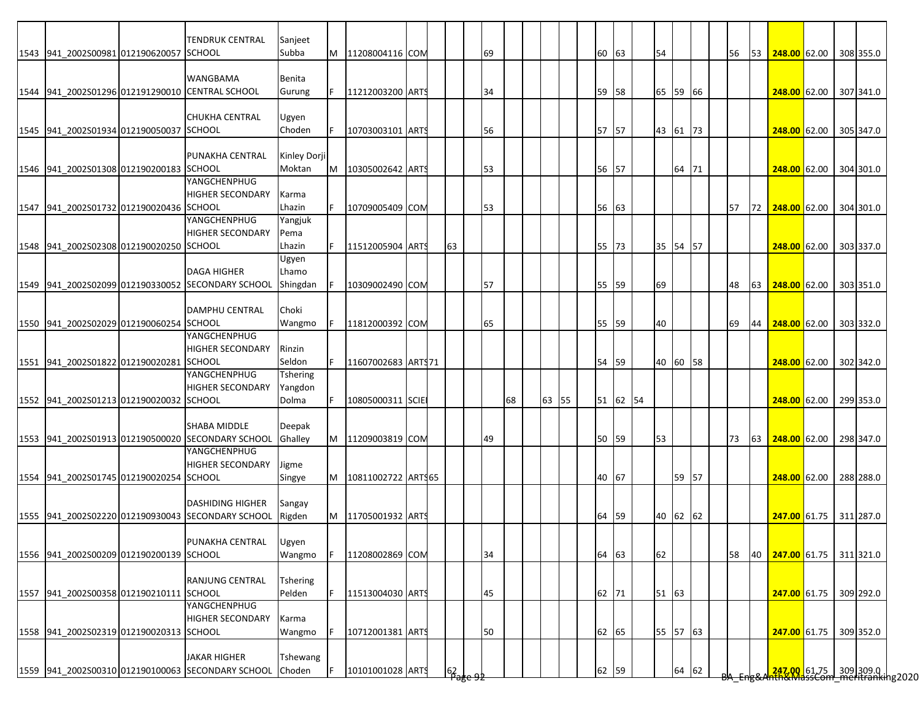|                                         | TENDRUK CENTRAL                                   | Sanjeet         |   |                     |  |    |                         |    |       |          |  |          |       |  |    |    |                                                            |  |           |
|-----------------------------------------|---------------------------------------------------|-----------------|---|---------------------|--|----|-------------------------|----|-------|----------|--|----------|-------|--|----|----|------------------------------------------------------------|--|-----------|
| 1543 941_2002S00981 012190620057 SCHOOL |                                                   | Subba           |   | 11208004116 COM     |  |    | 69                      |    |       | 60 63    |  | 54       |       |  | 56 | 53 | $248.00$ 62.00                                             |  | 308 355.0 |
|                                         |                                                   |                 |   |                     |  |    |                         |    |       |          |  |          |       |  |    |    |                                                            |  |           |
|                                         | <b>WANGBAMA</b>                                   | Benita          |   |                     |  |    |                         |    |       |          |  |          |       |  |    |    |                                                            |  |           |
|                                         | 1544 941_2002S01296 012191290010 CENTRAL SCHOOL   | Gurung          |   | 11212003200 ARTS    |  |    | 34                      |    |       | 59 58    |  | 65 59 66 |       |  |    |    | 248.00 62.00                                               |  | 307 341.0 |
|                                         |                                                   |                 |   |                     |  |    |                         |    |       |          |  |          |       |  |    |    |                                                            |  |           |
|                                         | <b>CHUKHA CENTRAL</b>                             | Ugyen           |   |                     |  |    |                         |    |       |          |  |          |       |  |    |    |                                                            |  |           |
| 1545 941 2002S01934 012190050037 SCHOOL |                                                   | Choden          |   | 10703003101 ARTS    |  |    | 56                      |    |       | 57 57    |  | 43 61 73 |       |  |    |    | 248.00 62.00                                               |  | 305 347.0 |
|                                         |                                                   |                 |   |                     |  |    |                         |    |       |          |  |          |       |  |    |    |                                                            |  |           |
|                                         | <b>PUNAKHA CENTRAL</b>                            | Kinley Dorji    |   |                     |  |    |                         |    |       |          |  |          |       |  |    |    |                                                            |  |           |
| 1546 941 2002S01308 012190200183 SCHOOL |                                                   | Moktan          | M | 10305002642 ARTS    |  |    | 53                      |    |       | 56 57    |  |          | 64 71 |  |    |    | <b>248.00 62.00</b>                                        |  | 304 301.0 |
|                                         | YANGCHENPHUG                                      |                 |   |                     |  |    |                         |    |       |          |  |          |       |  |    |    |                                                            |  |           |
|                                         | <b>HIGHER SECONDARY</b>                           | Karma           |   |                     |  |    |                         |    |       |          |  |          |       |  |    |    |                                                            |  |           |
| 1547 941_2002S01732 012190020436 SCHOOL |                                                   | Lhazin          |   | 10709005409 COM     |  |    | 53                      |    |       | 56 63    |  |          |       |  | 57 | 72 | 248.00 62.00                                               |  | 304 301.0 |
|                                         | YANGCHENPHUG                                      | Yangjuk         |   |                     |  |    |                         |    |       |          |  |          |       |  |    |    |                                                            |  |           |
|                                         | <b>HIGHER SECONDARY</b>                           | Pema            |   |                     |  |    |                         |    |       |          |  |          |       |  |    |    |                                                            |  |           |
| 1548 941 2002S02308 012190020250 SCHOOL |                                                   | Lhazin          |   | 11512005904 ARTS    |  | 63 |                         |    |       | 55 73    |  | 35 54 57 |       |  |    |    | 248.00 62.00                                               |  | 303 337.0 |
|                                         |                                                   | Ugyen           |   |                     |  |    |                         |    |       |          |  |          |       |  |    |    |                                                            |  |           |
|                                         | <b>DAGA HIGHER</b>                                | Lhamo           |   |                     |  |    |                         |    |       |          |  |          |       |  |    |    |                                                            |  |           |
|                                         | 1549 941 2002S02099 012190330052 SECONDARY SCHOOL | Shingdan        |   | 10309002490 COM     |  |    | 57                      |    |       | 55 59    |  | 69       |       |  | 48 | 63 | 248.00 62.00                                               |  | 303 351.0 |
|                                         |                                                   |                 |   |                     |  |    |                         |    |       |          |  |          |       |  |    |    |                                                            |  |           |
|                                         | <b>DAMPHU CENTRAL</b>                             | Choki           |   |                     |  |    |                         |    |       |          |  |          |       |  |    |    |                                                            |  |           |
|                                         |                                                   |                 |   |                     |  |    |                         |    |       |          |  |          |       |  |    |    |                                                            |  |           |
| 1550 941_2002S02029 012190060254 SCHOOL |                                                   | Wangmo          |   | 11812000392 COM     |  |    | 65                      |    |       | 55 59    |  | 40       |       |  | 69 | 44 | 248.00 62.00                                               |  | 303 332.0 |
|                                         | YANGCHENPHUG                                      |                 |   |                     |  |    |                         |    |       |          |  |          |       |  |    |    |                                                            |  |           |
|                                         | <b>HIGHER SECONDARY</b>                           | Rinzin          |   |                     |  |    |                         |    |       |          |  |          |       |  |    |    |                                                            |  |           |
| 1551 941_2002S01822 012190020281 SCHOOL |                                                   | Seldon          |   | 11607002683 ART\$71 |  |    |                         |    |       | 54 59    |  | 40 60 58 |       |  |    |    | 248.00 62.00                                               |  | 302 342.0 |
|                                         | YANGCHENPHUG                                      | Tshering        |   |                     |  |    |                         |    |       |          |  |          |       |  |    |    |                                                            |  |           |
|                                         | <b>HIGHER SECONDARY</b>                           | Yangdon         |   |                     |  |    |                         |    |       |          |  |          |       |  |    |    |                                                            |  |           |
| 1552 941_2002S01213 012190020032 SCHOOL |                                                   | Dolma           |   | 10805000311 SCIE    |  |    |                         | 68 | 63 55 | 51 62 54 |  |          |       |  |    |    | 248.00 62.00                                               |  | 299 353.0 |
|                                         |                                                   |                 |   |                     |  |    |                         |    |       |          |  |          |       |  |    |    |                                                            |  |           |
|                                         | <b>SHABA MIDDLE</b>                               | Deepak          |   |                     |  |    |                         |    |       |          |  |          |       |  |    |    |                                                            |  |           |
|                                         | 1553 941_2002S01913 012190500020 SECONDARY SCHOOL | Ghalley         | M | 11209003819 COM     |  |    | 49                      |    |       | 50 59    |  | 53       |       |  | 73 | 63 | $\frac{248.00}{62.00}$                                     |  | 298 347.0 |
|                                         | YANGCHENPHUG                                      |                 |   |                     |  |    |                         |    |       |          |  |          |       |  |    |    |                                                            |  |           |
|                                         | <b>HIGHER SECONDARY</b>                           | Jigme           |   |                     |  |    |                         |    |       |          |  |          |       |  |    |    |                                                            |  |           |
| 1554 941 2002S01745 012190020254 SCHOOL |                                                   | Singye          | M | 10811002722 ARTS65  |  |    |                         |    |       | 40 67    |  |          | 59 57 |  |    |    | 248.00 62.00                                               |  | 288 288.0 |
|                                         |                                                   |                 |   |                     |  |    |                         |    |       |          |  |          |       |  |    |    |                                                            |  |           |
|                                         | <b>DASHIDING HIGHER</b>                           | Sangay          |   |                     |  |    |                         |    |       |          |  |          |       |  |    |    |                                                            |  |           |
|                                         | 1555 941 2002S02220 012190930043 SECONDARY SCHOOL | Rigden          | M | 11705001932 ARTS    |  |    |                         |    |       | 64 59    |  | 40 62 62 |       |  |    |    | 247.00 61.75 311 287.0                                     |  |           |
|                                         |                                                   |                 |   |                     |  |    |                         |    |       |          |  |          |       |  |    |    |                                                            |  |           |
|                                         | PUNAKHA CENTRAL                                   |                 |   |                     |  |    |                         |    |       |          |  |          |       |  |    |    |                                                            |  |           |
|                                         |                                                   | <b>Lugyen</b>   |   |                     |  |    |                         |    |       |          |  |          |       |  |    |    |                                                            |  |           |
| 1556 941 2002S00209 012190200139 SCHOOL |                                                   | Wangmo          |   | 11208002869 COM     |  |    | 34                      |    |       | 64 63    |  | 62       |       |  | 58 | 40 | 247.00 61.75 311 321.0                                     |  |           |
|                                         |                                                   |                 |   |                     |  |    |                         |    |       |          |  |          |       |  |    |    |                                                            |  |           |
|                                         | <b>RANJUNG CENTRAL</b>                            | <b>Tshering</b> |   |                     |  |    |                         |    |       |          |  |          |       |  |    |    |                                                            |  |           |
| 1557 941_2002S00358 012190210111 SCHOOL |                                                   | Pelden          |   | 11513004030 ARTS    |  |    | 45                      |    |       | 62 71    |  | 51 63    |       |  |    |    | 247.00 61.75                                               |  | 309 292.0 |
|                                         | YANGCHENPHUG                                      |                 |   |                     |  |    |                         |    |       |          |  |          |       |  |    |    |                                                            |  |           |
|                                         | <b>HIGHER SECONDARY</b>                           | Karma           |   |                     |  |    |                         |    |       |          |  |          |       |  |    |    |                                                            |  |           |
| 1558 941_2002S02319 012190020313 SCHOOL |                                                   | Wangmo          |   | 10712001381 ARTS    |  |    | 50                      |    |       | 62 65    |  | 55 57 63 |       |  |    |    | 247.00 61.75                                               |  | 309 352.0 |
|                                         |                                                   |                 |   |                     |  |    |                         |    |       |          |  |          |       |  |    |    |                                                            |  |           |
|                                         | <b>JAKAR HIGHER</b>                               | Tshewang        |   |                     |  |    |                         |    |       |          |  |          |       |  |    |    |                                                            |  |           |
|                                         | 1559 941_2002S00310 012190100063 SECONDARY SCHOOL | Choden          |   | 10101001028 ARTS    |  |    | $162$ <sub>age 92</sub> |    |       | 62 59    |  |          | 64 62 |  |    |    | 247.00 61.75 309 309.0  <br>247.00   61.75   309 309.0   1 |  |           |
|                                         |                                                   |                 |   |                     |  |    |                         |    |       |          |  |          |       |  |    |    |                                                            |  |           |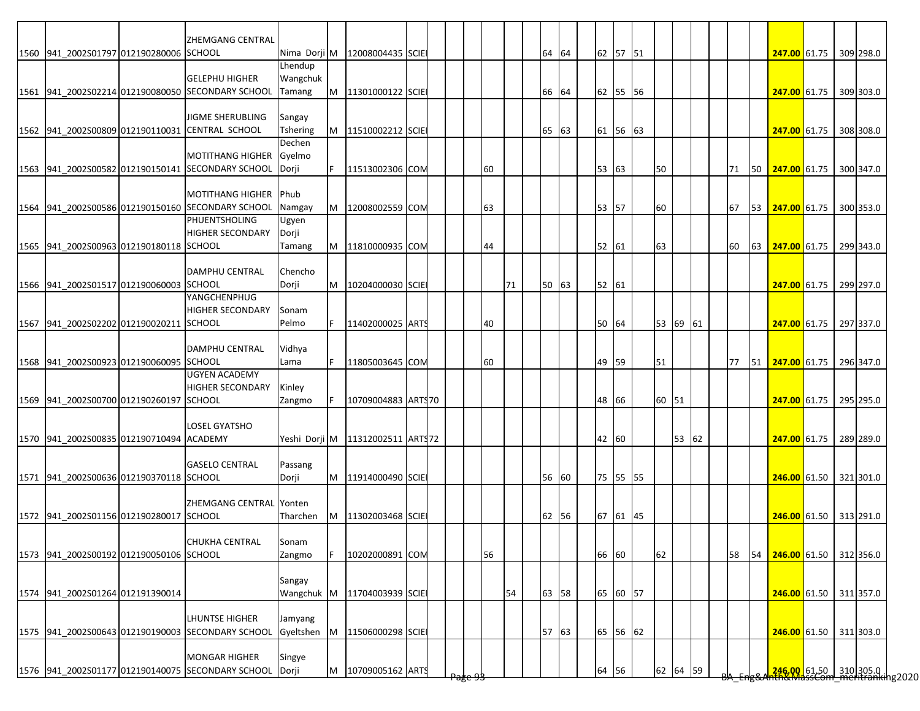|                                          | ZHEMGANG CENTRAL                                  |               |     |                                       |  |               |    |    |       |       |          |          |       |  |    |    |                                                                   |  |           |
|------------------------------------------|---------------------------------------------------|---------------|-----|---------------------------------------|--|---------------|----|----|-------|-------|----------|----------|-------|--|----|----|-------------------------------------------------------------------|--|-----------|
| 1560 941 2002S01797 012190280006 SCHOOL  |                                                   |               |     | Nima Dorji M 12008004435 SCIE         |  |               |    |    | 64 64 |       | 62 57 51 |          |       |  |    |    | 247.00 61.75 309 298.0                                            |  |           |
|                                          |                                                   | Lhendup       |     |                                       |  |               |    |    |       |       |          |          |       |  |    |    |                                                                   |  |           |
|                                          | <b>GELEPHU HIGHER</b>                             | Wangchuk      |     |                                       |  |               |    |    |       |       |          |          |       |  |    |    |                                                                   |  |           |
|                                          | 1561 941 2002S02214 012190080050 SECONDARY SCHOOL | Tamang        |     | M  11301000122  SCIE                  |  |               |    |    | 66 64 |       | 62 55 56 |          |       |  |    |    | <b>247.00</b> 61.75                                               |  | 309 303.0 |
|                                          |                                                   |               |     |                                       |  |               |    |    |       |       |          |          |       |  |    |    |                                                                   |  |           |
|                                          | <b>JIGME SHERUBLING</b>                           | Sangay        |     |                                       |  |               |    |    |       |       |          |          |       |  |    |    |                                                                   |  |           |
|                                          | 1562 941_2002S00809 012190110031 CENTRAL SCHOOL   | Tshering      |     | M   11510002212 SCIE                  |  |               |    |    | 65 63 |       | 61 56 63 |          |       |  |    |    | 247.00 61.75                                                      |  | 308 308.0 |
|                                          |                                                   | Dechen        |     |                                       |  |               |    |    |       |       |          |          |       |  |    |    |                                                                   |  |           |
|                                          | <b>MOTITHANG HIGHER</b>                           | Gyelmo        |     |                                       |  |               |    |    |       |       |          |          |       |  |    |    |                                                                   |  |           |
|                                          | 1563 941 2002S00582 012190150141 SECONDARY SCHOOL | <b>IDorji</b> | lF. | 11513002306 COM                       |  |               | 60 |    |       | 53 63 |          | 50       |       |  | 71 |    | 50 247.00 61.75 300 347.0                                         |  |           |
|                                          |                                                   |               |     |                                       |  |               |    |    |       |       |          |          |       |  |    |    |                                                                   |  |           |
|                                          | MOTITHANG HIGHER Phub                             |               |     |                                       |  |               |    |    |       |       |          |          |       |  |    |    |                                                                   |  |           |
|                                          |                                                   |               |     |                                       |  |               |    |    |       |       |          | 60       |       |  |    |    |                                                                   |  |           |
|                                          | 1564 941 2002S00586 012190150160 SECONDARY SCHOOL | Namgay        | M   | 12008002559 COM                       |  |               | 63 |    |       | 53    | 57       |          |       |  | 67 | 53 | 247.00 61.75                                                      |  | 300 353.0 |
|                                          | PHUENTSHOLING                                     | Ugyen         |     |                                       |  |               |    |    |       |       |          |          |       |  |    |    |                                                                   |  |           |
|                                          | <b>HIGHER SECONDARY</b>                           | Dorji         |     |                                       |  |               |    |    |       |       |          |          |       |  |    |    |                                                                   |  |           |
| 1565 941 2002S00963 012190180118 SCHOOL  |                                                   | Tamang        |     | M 11810000935 COM                     |  |               | 44 |    |       | 52 61 |          | 63       |       |  | 60 |    | 63 247.00 61.75 299 343.0                                         |  |           |
|                                          |                                                   |               |     |                                       |  |               |    |    |       |       |          |          |       |  |    |    |                                                                   |  |           |
|                                          | <b>DAMPHU CENTRAL</b>                             | Chencho       |     |                                       |  |               |    |    |       |       |          |          |       |  |    |    |                                                                   |  |           |
| 1566 941 2002S01517 012190060003 SCHOOL  |                                                   | Dorji         | M   | 10204000030 SCIE                      |  |               |    | 71 | 50 63 | 52 61 |          |          |       |  |    |    | 247.00 61.75                                                      |  | 299 297.0 |
|                                          | YANGCHENPHUG                                      |               |     |                                       |  |               |    |    |       |       |          |          |       |  |    |    |                                                                   |  |           |
|                                          | <b>HIGHER SECONDARY</b>                           | Sonam         |     |                                       |  |               |    |    |       |       |          |          |       |  |    |    |                                                                   |  |           |
| 1567 941 2002S02202 012190020211 SCHOOL  |                                                   | Pelmo         | F.  | 11402000025 ARTS                      |  |               | 40 |    |       | 50 64 |          | 53 69 61 |       |  |    |    | 247.00 61.75 297 337.0                                            |  |           |
|                                          |                                                   |               |     |                                       |  |               |    |    |       |       |          |          |       |  |    |    |                                                                   |  |           |
|                                          | DAMPHU CENTRAL                                    | Vidhya        |     |                                       |  |               |    |    |       |       |          |          |       |  |    |    |                                                                   |  |           |
| 1568 941 2002S00923 012190060095 SCHOOL  |                                                   | Lama          | IF. | 11805003645 COM                       |  |               | 60 |    |       | 49    | 59       | 51       |       |  | 77 | 51 | 247.00 61.75                                                      |  | 296 347.0 |
|                                          | <b>UGYEN ACADEMY</b>                              |               |     |                                       |  |               |    |    |       |       |          |          |       |  |    |    |                                                                   |  |           |
|                                          | <b>HIGHER SECONDARY</b>                           | Kinley        |     |                                       |  |               |    |    |       |       |          |          |       |  |    |    |                                                                   |  |           |
| 1569 941 2002S00700 012190260197 SCHOOL  |                                                   | Zangmo        |     | 10709004883 ARTS70                    |  |               |    |    |       | 48 66 |          | 60 51    |       |  |    |    | 247.00 61.75 295 295.0                                            |  |           |
|                                          |                                                   |               |     |                                       |  |               |    |    |       |       |          |          |       |  |    |    |                                                                   |  |           |
|                                          | <b>LOSEL GYATSHO</b>                              |               |     |                                       |  |               |    |    |       |       |          |          |       |  |    |    |                                                                   |  |           |
| 1570 941 2002S00835 012190710494 ACADEMY |                                                   |               |     | Yeshi Dorji M   11312002511   ARTS 72 |  |               |    |    |       | 42 60 |          |          | 53 62 |  |    |    | 247.00 61.75                                                      |  | 289 289.0 |
|                                          |                                                   |               |     |                                       |  |               |    |    |       |       |          |          |       |  |    |    |                                                                   |  |           |
|                                          | <b>GASELO CENTRAL</b>                             |               |     |                                       |  |               |    |    |       |       |          |          |       |  |    |    |                                                                   |  |           |
|                                          |                                                   | Passang       |     |                                       |  |               |    |    |       |       |          |          |       |  |    |    |                                                                   |  |           |
| 1571 941 2002S00636 012190370118 SCHOOL  |                                                   | Dorji         |     | M 11914000490 SCIE                    |  |               |    |    | 56 60 |       | 75 55 55 |          |       |  |    |    | 246.00 61.50 321 301.0                                            |  |           |
|                                          |                                                   |               |     |                                       |  |               |    |    |       |       |          |          |       |  |    |    |                                                                   |  |           |
|                                          | ZHEMGANG CENTRAL Yonten                           |               |     |                                       |  |               |    |    |       |       |          |          |       |  |    |    |                                                                   |  |           |
| 1572 941 2002S01156 012190280017 SCHOOL  |                                                   | Tharchen      |     | M 11302003468 SCIE                    |  |               |    |    | 62 56 |       | 67 61 45 |          |       |  |    |    | 246.00 61.50 313 291.0                                            |  |           |
|                                          |                                                   |               |     |                                       |  |               |    |    |       |       |          |          |       |  |    |    |                                                                   |  |           |
|                                          | <b>CHUKHA CENTRAL</b>                             | sonam         |     |                                       |  |               |    |    |       |       |          |          |       |  |    |    |                                                                   |  |           |
| 1573 941 2002S00192 012190050106 SCHOOL  |                                                   | Zangmo        |     | 10202000891 COM                       |  |               | 56 |    |       | 66 60 |          | 62       |       |  | 58 | 54 | 246.00 61.50 312 356.0                                            |  |           |
|                                          |                                                   |               |     |                                       |  |               |    |    |       |       |          |          |       |  |    |    |                                                                   |  |           |
|                                          |                                                   | Sangay        |     |                                       |  |               |    |    |       |       |          |          |       |  |    |    |                                                                   |  |           |
| 1574 941_2002S01264 012191390014         |                                                   |               |     | Wangchuk M 11704003939 SCIE           |  |               |    | 54 | 63 58 |       | 65 60 57 |          |       |  |    |    | 246.00 61.50 311 357.0                                            |  |           |
|                                          |                                                   |               |     |                                       |  |               |    |    |       |       |          |          |       |  |    |    |                                                                   |  |           |
|                                          | LHUNTSE HIGHER                                    | Jamyang       |     |                                       |  |               |    |    |       |       |          |          |       |  |    |    |                                                                   |  |           |
|                                          | 1575 941_2002S00643 012190190003 SECONDARY SCHOOL | Gyeltshen     | M   | 11506000298 SCIE                      |  |               |    |    | 57 63 |       | 65 56 62 |          |       |  |    |    | 246.00 61.50                                                      |  | 311 303.0 |
|                                          |                                                   |               |     |                                       |  |               |    |    |       |       |          |          |       |  |    |    |                                                                   |  |           |
|                                          | <b>MONGAR HIGHER</b>                              | Singye        |     |                                       |  |               |    |    |       |       |          |          |       |  |    |    |                                                                   |  |           |
|                                          | 1576 941_2002S01177 012190140075 SECONDARY SCHOOL | Dorji         |     | M 10709005162 ARTS                    |  |               |    |    |       | 64 56 |          | 62 64 59 |       |  |    |    | 246.00. 61.50 310 305.0  <br>246.00. 61.50   310   305.0   102020 |  |           |
|                                          |                                                   |               |     |                                       |  | $^{\rm{usc}}$ |    |    |       |       |          |          |       |  |    |    |                                                                   |  |           |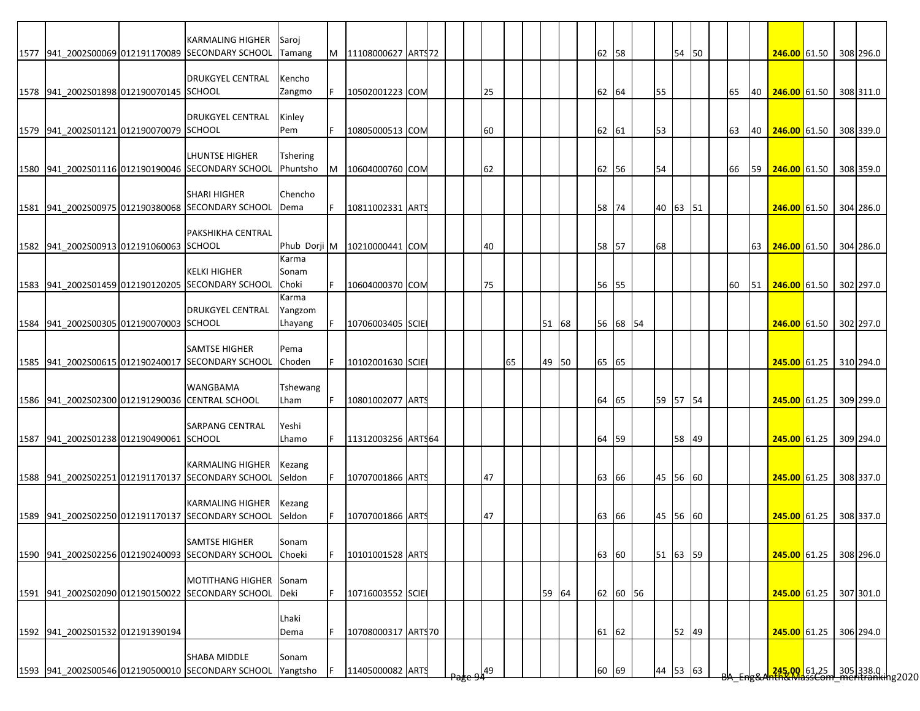|                                         | <b>KARMALING HIGHER</b>                                                          | Saroj                       |    |                                |  |     |    |       |  |       |          |          |       |  |    |           |                           |  |           |
|-----------------------------------------|----------------------------------------------------------------------------------|-----------------------------|----|--------------------------------|--|-----|----|-------|--|-------|----------|----------|-------|--|----|-----------|---------------------------|--|-----------|
|                                         | 1577 941 2002S00069 012191170089 SECONDARY SCHOOL                                | Tamang                      |    | M 11108000627 ARTS72           |  |     |    |       |  | 62 58 |          |          | 54 50 |  |    |           | 246.00 61.50 308 296.0    |  |           |
| 1578 941 2002S01898 012190070145 SCHOOL | <b>DRUKGYEL CENTRAL</b>                                                          | Kencho<br>Zangmo            | F  | 10502001223 COM                |  | 25  |    |       |  | 62 64 |          | 55       |       |  | 65 |           | 40 246.00 61.50 308 311.0 |  |           |
| 1579 941 2002S01121 012190070079 SCHOOL | <b>DRUKGYEL CENTRAL</b>                                                          | Kinley<br>Pem               | F  | 10805000513 COM                |  | 60  |    |       |  | 62 61 |          | 53       |       |  | 63 | 40        | 246.00 61.50 308 339.0    |  |           |
|                                         | LHUNTSE HIGHER<br>1580 941 2002S01116 012190190046 SECONDARY SCHOOL              | <b>Tshering</b><br>Phuntsho | M  | 10604000760 COM                |  | 62  |    |       |  | 62 56 |          | 54       |       |  | 66 | <b>59</b> | 246.00 61.50 308 359.0    |  |           |
|                                         | <b>SHARI HIGHER</b><br>1581 941 2002S00975 012190380068 SECONDARY SCHOOL         | Chencho<br>Dema             |    | 10811002331 ARTS               |  |     |    |       |  | 58    | 74       | 40 63 51 |       |  |    |           | 246.00 61.50 304 286.0    |  |           |
| 1582 941 2002S00913 012191060063 SCHOOL | PAKSHIKHA CENTRAL                                                                |                             |    | Phub Dorji M   10210000441 COM |  | 40  |    |       |  | 58 57 |          | 68       |       |  |    | 63 I      | 246.00 61.50 304 286.0    |  |           |
|                                         | <b>KELKI HIGHER</b><br>1583 941 2002S01459 012190120205 SECONDARY SCHOOL         | Karma<br>Sonam<br>Choki     |    | 10604000370 COM                |  | 75  |    |       |  | 56    | 55       |          |       |  | 60 | 51        | 246.00 61.50 302 297.0    |  |           |
| 1584 941 2002S00305 012190070003 SCHOOL | <b>DRUKGYEL CENTRAL</b>                                                          | Karma<br>Yangzom<br>Lhayang |    | 10706003405 SCIE               |  |     |    | 51 68 |  |       | 56 68 54 |          |       |  |    |           | 246.00 61.50 302 297.0    |  |           |
|                                         | <b>SAMTSE HIGHER</b><br>1585 941 2002S00615 012190240017 SECONDARY SCHOOL        | Pema<br>Choden              |    | 10102001630 SCIE               |  |     | 65 | 49 50 |  | 65 65 |          |          |       |  |    |           | 245.00 61.25 310 294.0    |  |           |
|                                         | <b>WANGBAMA</b><br>1586 941 2002S02300 012191290036 CENTRAL SCHOOL               | Tshewang<br>Lham            |    | 10801002077 ARTS               |  |     |    |       |  | 64 65 |          | 59 57 54 |       |  |    |           | 245.00 61.25              |  | 309 299.0 |
| 1587 941 2002S01238 012190490061 SCHOOL | <b>SARPANG CENTRAL</b>                                                           | Yeshi<br>Lhamo              | F. | 11312003256 ARTS64             |  |     |    |       |  | 64    | 59       |          | 58 49 |  |    |           | 245.00 61.25 309 294.0    |  |           |
|                                         | <b>KARMALING HIGHER</b><br>1588 941 2002S02251 012191170137 SECONDARY SCHOOL     | Kezang<br>Seldon            |    | 10707001866 ARTS               |  | 47  |    |       |  | 63 66 |          | 45 56 60 |       |  |    |           | 245.00 61.25 308 337.0    |  |           |
|                                         | <b>KARMALING HIGHER</b><br>1589 941 2002S02250 012191170137 SECONDARY SCHOOL     | Kezang<br>Seldon            |    | 10707001866 ARTS               |  | 47  |    |       |  | 63    | 66       | 45 56 60 |       |  |    |           | 245.00 61.25 308 337.0    |  |           |
|                                         | <b>SAMTSE HIGHER</b><br>1590 941 2002S02256 012190240093 SECONDARY SCHOOL        | sonam<br>Choeki             |    | 10101001528 ARTS               |  |     |    |       |  | 63 60 |          | 51 63 59 |       |  |    |           | 245.00 61.25 308 296.0    |  |           |
|                                         | MOTITHANG HIGHER Sonam<br>1591 941 2002S02090 012190150022 SECONDARY SCHOOL Deki |                             | F. | 10716003552 SCIE               |  |     |    | 59 64 |  |       | 62 60 56 |          |       |  |    |           | 245.00 61.25 307 301.0    |  |           |
| 1592 941_2002S01532 012191390194        |                                                                                  | Lhaki<br>Dema               |    | 10708000317 ARTS70             |  |     |    |       |  | 61 62 |          |          | 52 49 |  |    |           | 245.00 61.25              |  | 306 294.0 |
|                                         | <b>SHABA MIDDLE</b><br>1593 941_2002S00546 012190500010 SECONDARY SCHOOL         | Sonam<br>Yangtsho           | F  | 11405000082 ARTS               |  | 49, |    |       |  | 60    | 69       | 44 53 63 |       |  |    |           |                           |  |           |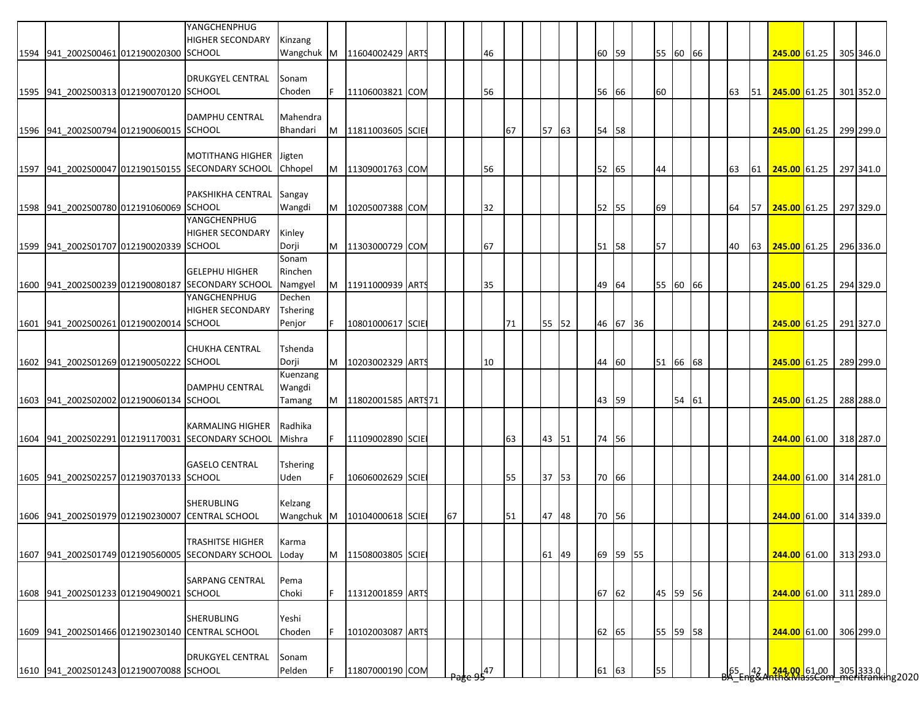|                                         | YANGCHENPHUG<br><b>HIGHER SECONDARY</b>           | Kinzang         |    |                    |  |    |    |           |       |       |          |          |       |  |    |    |                        |  |           |
|-----------------------------------------|---------------------------------------------------|-----------------|----|--------------------|--|----|----|-----------|-------|-------|----------|----------|-------|--|----|----|------------------------|--|-----------|
| 1594 941 2002S00461 012190020300 SCHOOL |                                                   | Wangchuk M      |    | 11604002429 ARTS   |  |    | 46 |           |       | 60 59 |          | 55 60 66 |       |  |    |    | 245.00 61.25           |  | 305 346.0 |
|                                         |                                                   |                 |    |                    |  |    |    |           |       |       |          |          |       |  |    |    |                        |  |           |
|                                         | <b>DRUKGYEL CENTRAL</b>                           | Sonam           |    |                    |  |    |    |           |       |       |          |          |       |  |    |    |                        |  |           |
| 1595 941 2002S00313 012190070120 SCHOOL |                                                   | Choden          |    | 11106003821 COM    |  |    | 56 |           |       | 56 66 |          | 60       |       |  | 63 |    | 51 <b>245.00</b> 61.25 |  | 301 352.0 |
|                                         |                                                   |                 |    |                    |  |    |    |           |       |       |          |          |       |  |    |    |                        |  |           |
|                                         | <b>DAMPHU CENTRAL</b>                             | Mahendra        |    |                    |  |    |    |           |       |       |          |          |       |  |    |    |                        |  |           |
| 1596 941_2002S00794 012190060015 SCHOOL |                                                   | Bhandari        | M  | 11811003605 SCIE   |  |    |    | 67        | 57 63 | 54 58 |          |          |       |  |    |    | 245.00 61.25           |  | 299 299.0 |
|                                         |                                                   |                 |    |                    |  |    |    |           |       |       |          |          |       |  |    |    |                        |  |           |
|                                         | <b>MOTITHANG HIGHER</b>                           | Jigten          |    |                    |  |    |    |           |       |       |          |          |       |  |    |    |                        |  |           |
|                                         | 1597 941_2002S00047 012190150155 SECONDARY SCHOOL | Chhopel         |    | M 11309001763 COM  |  |    | 56 |           |       | 52 65 |          | 44       |       |  | 63 | 61 | 245.00 61.25           |  | 297 341.0 |
|                                         |                                                   |                 |    |                    |  |    |    |           |       |       |          |          |       |  |    |    |                        |  |           |
|                                         | PAKSHIKHA CENTRAL                                 | Sangay          |    |                    |  |    |    |           |       |       |          |          |       |  |    |    |                        |  |           |
| 1598 941 2002S00780 012191060069 SCHOOL |                                                   | Wangdi          | M  | 10205007388 COM    |  |    | 32 |           |       | 52 55 |          | 69       |       |  | 64 | 57 | 245.00 61.25 297 329.0 |  |           |
|                                         | YANGCHENPHUG                                      |                 |    |                    |  |    |    |           |       |       |          |          |       |  |    |    |                        |  |           |
|                                         | <b>HIGHER SECONDARY</b>                           | Kinley          |    |                    |  |    |    |           |       |       |          |          |       |  |    |    |                        |  |           |
| 1599 941 2002S01707 012190020339 SCHOOL |                                                   | Dorji           |    | 11303000729 COM    |  |    | 67 |           |       | 51 58 |          | 57       |       |  | 40 | 63 | 245.00 61.25           |  | 296 336.0 |
|                                         |                                                   | Sonam           |    |                    |  |    |    |           |       |       |          |          |       |  |    |    |                        |  |           |
|                                         | <b>GELEPHU HIGHER</b>                             | Rinchen         |    |                    |  |    |    |           |       |       |          |          |       |  |    |    |                        |  |           |
|                                         | 1600 941 2002S00239 012190080187 SECONDARY SCHOOL | Namgyel         | M  | 11911000939 ARTS   |  |    | 35 |           |       | 49 64 |          | 55 60 66 |       |  |    |    | 245.00 61.25           |  | 294 329.0 |
|                                         | YANGCHENPHUG                                      | Dechen          |    |                    |  |    |    |           |       |       |          |          |       |  |    |    |                        |  |           |
|                                         | <b>HIGHER SECONDARY</b>                           | <b>Tshering</b> |    |                    |  |    |    |           |       |       |          |          |       |  |    |    |                        |  |           |
| 1601 941 2002S00261 012190020014 SCHOOL |                                                   | Penjor          | F. | 10801000617 SCIE   |  |    |    | 71        | 55 52 |       | 46 67 36 |          |       |  |    |    | 245.00 61.25           |  | 291 327.0 |
|                                         |                                                   |                 |    |                    |  |    |    |           |       |       |          |          |       |  |    |    |                        |  |           |
|                                         | <b>CHUKHA CENTRAL</b>                             | Tshenda         |    |                    |  |    |    |           |       |       |          |          |       |  |    |    |                        |  |           |
| 1602 941 2002S01269 012190050222 SCHOOL |                                                   | Dorji           | M  | 10203002329 ARTS   |  |    | 10 |           |       | 44 60 |          | 51 66 68 |       |  |    |    | $245.00$ 61.25         |  | 289 299.0 |
|                                         |                                                   | Kuenzang        |    |                    |  |    |    |           |       |       |          |          |       |  |    |    |                        |  |           |
|                                         | <b>DAMPHU CENTRAL</b>                             | Wangdi          |    |                    |  |    |    |           |       |       |          |          |       |  |    |    |                        |  |           |
| 1603 941 2002S02002 012190060134 SCHOOL |                                                   | Tamang          | M  | 11802001585 ARTS71 |  |    |    |           |       | 43 59 |          |          | 54 61 |  |    |    | <b>245.00</b> 61.25    |  | 288 288.0 |
|                                         |                                                   |                 |    |                    |  |    |    |           |       |       |          |          |       |  |    |    |                        |  |           |
|                                         | <b>KARMALING HIGHER</b>                           | Radhika         |    |                    |  |    |    |           |       |       |          |          |       |  |    |    |                        |  |           |
|                                         | 1604 941_2002S02291 012191170031 SECONDARY SCHOOL | Mishra          |    | 11109002890 SCIE   |  |    |    | 63        | 43 51 | 74 56 |          |          |       |  |    |    | 244.00 61.00           |  | 318 287.0 |
|                                         |                                                   |                 |    |                    |  |    |    |           |       |       |          |          |       |  |    |    |                        |  |           |
|                                         | <b>GASELO CENTRAL</b>                             | Tshering        |    |                    |  |    |    |           |       |       |          |          |       |  |    |    |                        |  |           |
| 1605 941_2002S02257 012190370133 SCHOOL |                                                   | Uden            | F. | 10606002629 SCIE   |  |    |    | <b>55</b> | 37 53 | 70 66 |          |          |       |  |    |    | 244.00 61.00           |  | 314 281.0 |
|                                         |                                                   |                 |    |                    |  |    |    |           |       |       |          |          |       |  |    |    |                        |  |           |
|                                         | <b>SHERUBLING</b>                                 | Kelzang         |    |                    |  |    |    |           |       |       |          |          |       |  |    |    |                        |  |           |
|                                         | 1606 941 2002S01979 012190230007 CENTRAL SCHOOL   | Wangchuk M      |    | 10104000618 SCIE   |  | 67 |    | 51        | 47 48 | 70 56 |          |          |       |  |    |    | 244.00 61.00 314 339.0 |  |           |
|                                         |                                                   |                 |    |                    |  |    |    |           |       |       |          |          |       |  |    |    |                        |  |           |
|                                         | <b>TRASHITSE HIGHER</b>                           | Karma           |    |                    |  |    |    |           |       |       |          |          |       |  |    |    |                        |  |           |
|                                         | 1607 941 2002S01749 012190560005 SECONDARY SCHOOL | Loday           | M  | 11508003805 SCIE   |  |    |    |           | 61 49 |       | 69 59 55 |          |       |  |    |    | 244.00 61.00           |  | 313 293.0 |
|                                         |                                                   |                 |    |                    |  |    |    |           |       |       |          |          |       |  |    |    |                        |  |           |
|                                         | <b>SARPANG CENTRAL</b>                            | Pema            |    |                    |  |    |    |           |       |       |          |          |       |  |    |    |                        |  |           |
| 1608 941 2002S01233 012190490021 SCHOOL |                                                   | Choki           | F  | 11312001859 ARTS   |  |    |    |           |       | 67 62 |          | 45 59 56 |       |  |    |    | 244.00 61.00           |  | 311 289.0 |
|                                         |                                                   |                 |    |                    |  |    |    |           |       |       |          |          |       |  |    |    |                        |  |           |
|                                         | <b>SHERUBLING</b>                                 | Yeshi           |    |                    |  |    |    |           |       |       |          |          |       |  |    |    |                        |  |           |
|                                         | 1609 941_2002S01466 012190230140 CENTRAL SCHOOL   | Choden          |    | 10102003087 ARTS   |  |    |    |           |       | 62 65 |          | 55 59 58 |       |  |    |    | 244.00 61.00           |  | 306 299.0 |
|                                         |                                                   |                 |    |                    |  |    |    |           |       |       |          |          |       |  |    |    |                        |  |           |
|                                         |                                                   |                 |    |                    |  |    |    |           |       |       |          |          |       |  |    |    |                        |  |           |
| 1610 941_2002S01243 012190070088 SCHOOL | <b>DRUKGYEL CENTRAL</b>                           | Sonam           |    |                    |  |    |    |           |       |       |          |          |       |  |    |    |                        |  |           |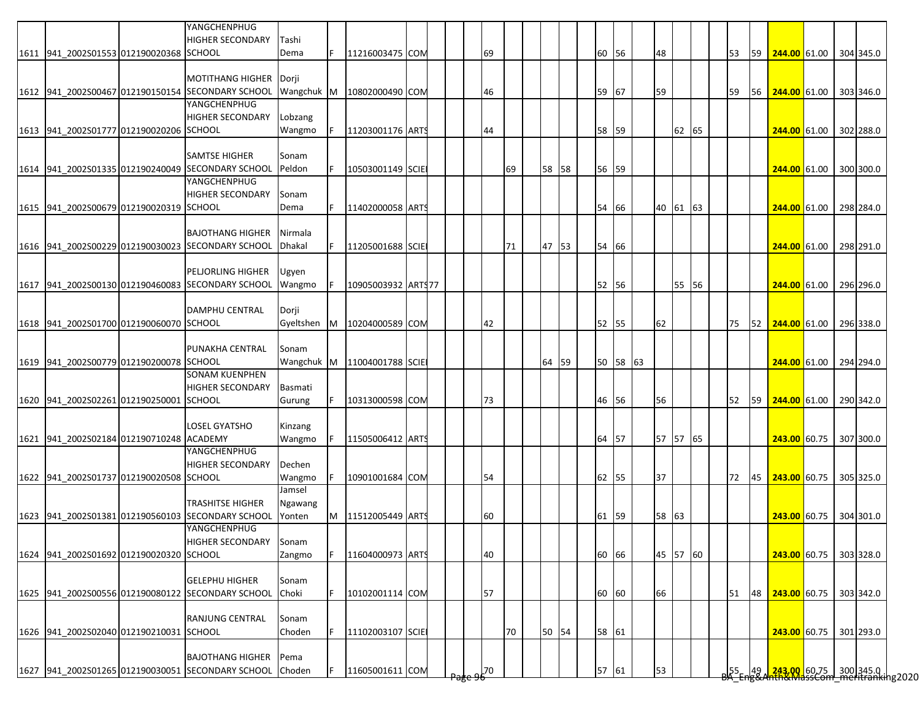|                                          | YANGCHENPHUG<br><b>HIGHER SECONDARY</b>                                      | Tashi              |   |                    |  |    |    |       |    |          |          |       |  |    |    |                                                                                                                 |  |           |
|------------------------------------------|------------------------------------------------------------------------------|--------------------|---|--------------------|--|----|----|-------|----|----------|----------|-------|--|----|----|-----------------------------------------------------------------------------------------------------------------|--|-----------|
| 1611 941_2002S01553 012190020368 SCHOOL  |                                                                              | Dema               |   | 11216003475 COM    |  | 69 |    |       | 60 | 56       | 48       |       |  | 53 | 59 | 244.00 61.00                                                                                                    |  | 304 345.0 |
|                                          |                                                                              |                    |   |                    |  |    |    |       |    |          |          |       |  |    |    |                                                                                                                 |  |           |
|                                          | <b>MOTITHANG HIGHER</b><br>1612 941 2002S00467 012190150154 SECONDARY SCHOOL | Dorji              |   |                    |  |    |    |       |    |          |          |       |  |    |    |                                                                                                                 |  |           |
|                                          | YANGCHENPHUG                                                                 | Wangchuk M         |   | 10802000490 COM    |  | 46 |    |       | 59 | 67       | 59       |       |  | 59 | 56 | 244.00 61.00 303 346.0                                                                                          |  |           |
|                                          | <b>HIGHER SECONDARY</b>                                                      | Lobzang            |   |                    |  |    |    |       |    |          |          |       |  |    |    |                                                                                                                 |  |           |
| 1613 941_2002S01777 012190020206 SCHOOL  |                                                                              | Wangmo             |   | 11203001176 ARTS   |  | 44 |    |       | 58 | 59       |          | 62 65 |  |    |    | 244.00 61.00 302 288.0                                                                                          |  |           |
|                                          |                                                                              |                    |   |                    |  |    |    |       |    |          |          |       |  |    |    |                                                                                                                 |  |           |
|                                          | <b>SAMTSE HIGHER</b>                                                         | Sonam              |   |                    |  |    |    |       |    |          |          |       |  |    |    |                                                                                                                 |  |           |
|                                          | 1614 941 2002S01335 012190240049 SECONDARY SCHOOL                            | Peldon             |   | 10503001149 SCIE   |  |    | 69 | 58 58 |    | 56 59    |          |       |  |    |    | 244.00 61.00 300 300.0                                                                                          |  |           |
|                                          | YANGCHENPHUG                                                                 |                    |   |                    |  |    |    |       |    |          |          |       |  |    |    |                                                                                                                 |  |           |
| 1615 941_2002S00679 012190020319 SCHOOL  | <b>HIGHER SECONDARY</b>                                                      | Sonam              |   |                    |  |    |    |       |    | 54 66    | 40 61 63 |       |  |    |    |                                                                                                                 |  |           |
|                                          |                                                                              | Dema               |   | 11402000058 ART    |  |    |    |       |    |          |          |       |  |    |    | 244.00 61.00 298 284.0                                                                                          |  |           |
|                                          | <b>BAJOTHANG HIGHER</b>                                                      | Nirmala            |   |                    |  |    |    |       |    |          |          |       |  |    |    |                                                                                                                 |  |           |
|                                          | 1616 941 2002S00229 012190030023 SECONDARY SCHOOL                            | <b>Dhakal</b>      |   | 11205001688 SCIE   |  |    | 71 | 47 53 |    | 54 66    |          |       |  |    |    | 244.00 61.00 298 291.0                                                                                          |  |           |
|                                          |                                                                              |                    |   |                    |  |    |    |       |    |          |          |       |  |    |    |                                                                                                                 |  |           |
|                                          | <b>PELJORLING HIGHER</b>                                                     | Ugyen              |   |                    |  |    |    |       |    |          |          |       |  |    |    |                                                                                                                 |  |           |
|                                          | 1617 941_2002S00130 012190460083 SECONDARY SCHOOL                            | Wangmo             |   | 10905003932 ARTS77 |  |    |    |       |    | 52 56    |          | 55 56 |  |    |    | 244.00 61.00                                                                                                    |  | 296 296.0 |
|                                          |                                                                              |                    |   |                    |  |    |    |       |    |          |          |       |  |    |    |                                                                                                                 |  |           |
| 1618 941 2002S01700 012190060070 SCHOOL  | <b>DAMPHU CENTRAL</b>                                                        | Dorji<br>Gyeltshen | M | 10204000589 COM    |  | 42 |    |       |    | 52 55    | 62       |       |  | 75 |    | 52 244.00 61.00 296 338.0                                                                                       |  |           |
|                                          |                                                                              |                    |   |                    |  |    |    |       |    |          |          |       |  |    |    |                                                                                                                 |  |           |
|                                          | PUNAKHA CENTRAL                                                              | Sonam              |   |                    |  |    |    |       |    |          |          |       |  |    |    |                                                                                                                 |  |           |
| 1619 941 2002S00779 012190200078 SCHOOL  |                                                                              | Wangchuk M         |   | 11004001788 SCIE   |  |    |    | 64 59 |    | 50 58 63 |          |       |  |    |    | 244.00 61.00                                                                                                    |  | 294 294.0 |
|                                          | <b>SONAM KUENPHEN</b>                                                        |                    |   |                    |  |    |    |       |    |          |          |       |  |    |    |                                                                                                                 |  |           |
|                                          | <b>HIGHER SECONDARY</b>                                                      | Basmati            |   |                    |  |    |    |       |    |          |          |       |  |    |    |                                                                                                                 |  |           |
| 1620 941 2002S02261 012190250001 SCHOOL  |                                                                              | Gurung             |   | 10313000598 COM    |  | 73 |    |       |    | 46 56    | 56       |       |  | 52 | 59 | 244.00 61.00                                                                                                    |  | 290 342.0 |
|                                          |                                                                              |                    |   |                    |  |    |    |       |    |          |          |       |  |    |    |                                                                                                                 |  |           |
| 1621 941 2002S02184 012190710248 ACADEMY | <b>LOSEL GYATSHO</b>                                                         | Kinzang            |   | 11505006412 ARTS   |  |    |    |       | 64 | 57       | 57 57 65 |       |  |    |    | 243.00 60.75 307 300.0                                                                                          |  |           |
|                                          | YANGCHENPHUG                                                                 | Wangmo             |   |                    |  |    |    |       |    |          |          |       |  |    |    |                                                                                                                 |  |           |
|                                          | <b>HIGHER SECONDARY</b>                                                      | Dechen             |   |                    |  |    |    |       |    |          |          |       |  |    |    |                                                                                                                 |  |           |
| 1622 941 2002S01737 012190020508 SCHOOL  |                                                                              | Wangmo             |   | 10901001684 COM    |  | 54 |    |       |    | 62 55    | 37       |       |  | 72 | 45 | 243.00 60.75                                                                                                    |  | 305 325.0 |
|                                          |                                                                              | Jamsel             |   |                    |  |    |    |       |    |          |          |       |  |    |    |                                                                                                                 |  |           |
|                                          | <b>TRASHITSE HIGHER</b>                                                      | Ngawang            |   |                    |  |    |    |       |    |          |          |       |  |    |    |                                                                                                                 |  |           |
|                                          | 1623 941 2002S01381 012190560103 SECONDARY SCHOOL                            | Yonten             | M | 11512005449 ARTS   |  | 60 |    |       |    | 61 59    | 58 63    |       |  |    |    | 243.00 60.75 304 301.0                                                                                          |  |           |
|                                          | YANGCHENPHUG                                                                 |                    |   |                    |  |    |    |       |    |          |          |       |  |    |    |                                                                                                                 |  |           |
|                                          | <b>HIGHER SECONDARY</b>                                                      | Sonam              |   |                    |  |    |    |       |    |          |          |       |  |    |    |                                                                                                                 |  |           |
| 1624 941 2002S01692 012190020320 SCHOOL  |                                                                              | Zangmo             |   | 11604000973 ARTS   |  | 40 |    |       |    | 60 66    | 45 57 60 |       |  |    |    | 243.00 60.75 303 328.0                                                                                          |  |           |
|                                          | <b>GELEPHU HIGHER</b>                                                        | Sonam              |   |                    |  |    |    |       |    |          |          |       |  |    |    |                                                                                                                 |  |           |
|                                          | 1625 941 2002S00556 012190080122 SECONDARY SCHOOL                            | Choki              |   | 10102001114 COM    |  | 57 |    |       |    | 60 60    | 66       |       |  | 51 | 48 | 243.00 60.75                                                                                                    |  | 303 342.0 |
|                                          |                                                                              |                    |   |                    |  |    |    |       |    |          |          |       |  |    |    |                                                                                                                 |  |           |
|                                          | <b>RANJUNG CENTRAL</b>                                                       | Sonam              |   |                    |  |    |    |       |    |          |          |       |  |    |    |                                                                                                                 |  |           |
| 1626 941_2002S02040 012190210031 SCHOOL  |                                                                              | Choden             |   | 11102003107 SCIE   |  |    | 70 | 50 54 |    | 58 61    |          |       |  |    |    | 243.00 60.75                                                                                                    |  | 301 293.0 |
|                                          |                                                                              |                    |   |                    |  |    |    |       |    |          |          |       |  |    |    |                                                                                                                 |  |           |
|                                          | <b>BAJOTHANG HIGHER</b>                                                      | Pema               |   |                    |  |    |    |       |    |          |          |       |  |    |    |                                                                                                                 |  |           |
|                                          | 1627 941_2002S01265 012190030051 SECONDARY SCHOOL                            | Choden             |   | 11605001611 COM    |  | 70 |    |       |    | 57 61    | 53       |       |  |    |    | 55   49 <mark>  243.00  </mark> 60.75   300 345.0  <br><del>JA Eng&amp;Anth&amp;MassCom meritranki</del> ng2020 |  |           |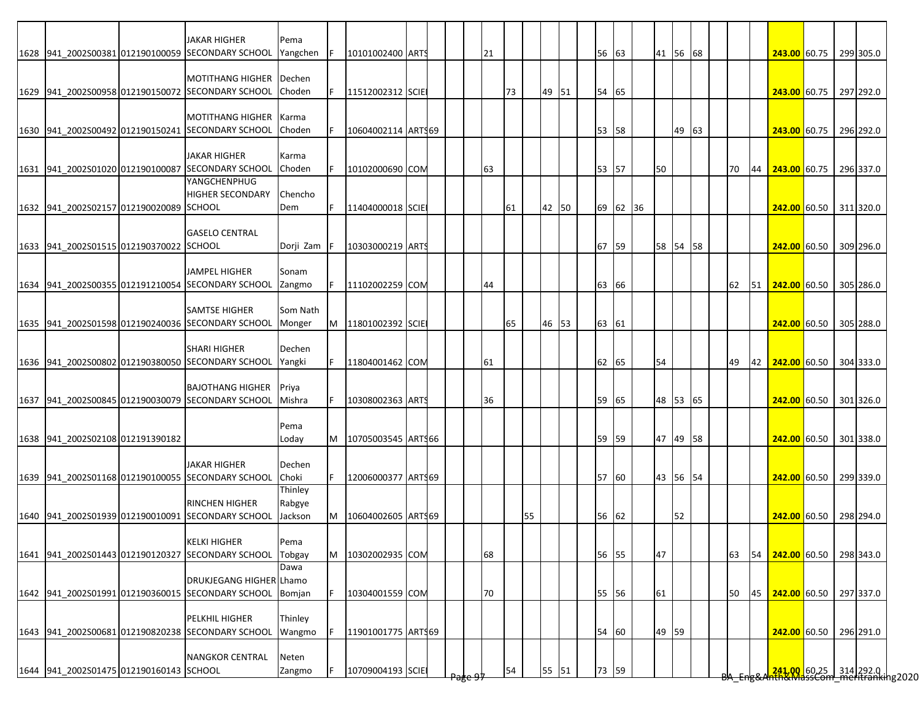|                                         | JAKAR HIGHER<br>1628 941 2002S00381 012190100059 SECONDARY SCHOOL            | Pema<br>Yangchen |    | 10101002400 ARTS       |  | 21 |    |    |       |  | 56 63 |          | 41 56 68 |    |    |    |    | 243.00 60.75             |  | 299 305.0 |
|-----------------------------------------|------------------------------------------------------------------------------|------------------|----|------------------------|--|----|----|----|-------|--|-------|----------|----------|----|----|----|----|--------------------------|--|-----------|
|                                         |                                                                              |                  |    |                        |  |    |    |    |       |  |       |          |          |    |    |    |    |                          |  |           |
|                                         | <b>MOTITHANG HIGHER</b>                                                      | Dechen           |    |                        |  |    |    |    |       |  |       |          |          |    |    |    |    |                          |  |           |
|                                         | 1629 941 2002S00958 012190150072 SECONDARY SCHOOL                            | Choden           |    | 11512002312 SCIE       |  |    | 73 |    | 49 51 |  | 54 65 |          |          |    |    |    |    | 243.00 60.75             |  | 297 292.0 |
|                                         |                                                                              |                  |    |                        |  |    |    |    |       |  |       |          |          |    |    |    |    |                          |  |           |
|                                         | <b>MOTITHANG HIGHER</b><br>1630 941 2002S00492 012190150241 SECONDARY SCHOOL | Karma<br>Choden  |    | 10604002114 ART\$69    |  |    |    |    |       |  | 53 58 |          |          | 49 | 63 |    |    | <b>243.00</b> 60.75      |  | 296 292.0 |
|                                         |                                                                              |                  |    |                        |  |    |    |    |       |  |       |          |          |    |    |    |    |                          |  |           |
|                                         | <b>JAKAR HIGHER</b>                                                          | Karma            |    |                        |  |    |    |    |       |  |       |          |          |    |    |    |    |                          |  |           |
|                                         | 1631 941 2002S01020 012190100087 SECONDARY SCHOOL                            | Choden           |    | 10102000690 COM        |  | 63 |    |    |       |  | 53 57 |          | 50       |    |    | 70 | 44 | 243.00 60.75             |  | 296 337.0 |
|                                         | YANGCHENPHUG                                                                 |                  |    |                        |  |    |    |    |       |  |       |          |          |    |    |    |    |                          |  |           |
| 1632 941 2002S02157 012190020089 SCHOOL | HIGHER SECONDARY                                                             | Chencho<br>Dem   | F. | 11404000018 SCIE       |  |    | 61 |    | 42 50 |  |       | 69 62 36 |          |    |    |    |    | 242.00 60.50 311 320.0   |  |           |
|                                         |                                                                              |                  |    |                        |  |    |    |    |       |  |       |          |          |    |    |    |    |                          |  |           |
|                                         | <b>GASELO CENTRAL</b>                                                        |                  |    |                        |  |    |    |    |       |  |       |          |          |    |    |    |    |                          |  |           |
| 1633 941 2002S01515 012190370022 SCHOOL |                                                                              | Dorji Zam        |    | 10303000219 ARTS       |  |    |    |    |       |  | 67 59 |          | 58 54 58 |    |    |    |    | 242.00 60.50 309 296.0   |  |           |
|                                         |                                                                              |                  |    |                        |  |    |    |    |       |  |       |          |          |    |    |    |    |                          |  |           |
|                                         | <b>JAMPEL HIGHER</b><br>1634 941_2002S00355 012191210054 SECONDARY SCHOOL    | Sonam<br>Zangmo  |    | 11102002259 COM        |  | 44 |    |    |       |  | 63 66 |          |          |    |    | 62 | 51 | 242.00 60.50             |  | 305 286.0 |
|                                         |                                                                              |                  |    |                        |  |    |    |    |       |  |       |          |          |    |    |    |    |                          |  |           |
|                                         | <b>SAMTSE HIGHER</b>                                                         | Som Nath         |    |                        |  |    |    |    |       |  |       |          |          |    |    |    |    |                          |  |           |
|                                         | 1635 941_2002S01598 012190240036 SECONDARY SCHOOL                            | Monger           | M  | 11801002392 SCIE       |  |    | 65 |    | 46 53 |  | 63 61 |          |          |    |    |    |    | 242.00 60.50 305 288.0   |  |           |
|                                         |                                                                              |                  |    |                        |  |    |    |    |       |  |       |          |          |    |    |    |    |                          |  |           |
|                                         | <b>SHARI HIGHER</b><br>1636 941 2002S00802 012190380050 SECONDARY SCHOOL     | Dechen<br>Yangki |    |                        |  |    |    |    |       |  |       |          | 54       |    |    | 49 | 42 | $242.00$ 60.50 304 333.0 |  |           |
|                                         |                                                                              |                  |    | 11804001462 COM        |  | 61 |    |    |       |  | 62 65 |          |          |    |    |    |    |                          |  |           |
|                                         | <b>BAJOTHANG HIGHER</b>                                                      | Priya            |    |                        |  |    |    |    |       |  |       |          |          |    |    |    |    |                          |  |           |
|                                         | 1637 941 2002S00845 012190030079 SECONDARY SCHOOL                            | Mishra           |    | 10308002363 ARTS       |  | 36 |    |    |       |  | 59 65 |          | 48 53 65 |    |    |    |    | 242.00 60.50 301 326.0   |  |           |
|                                         |                                                                              |                  |    |                        |  |    |    |    |       |  |       |          |          |    |    |    |    |                          |  |           |
|                                         |                                                                              | Pema             |    |                        |  |    |    |    |       |  |       |          |          |    |    |    |    |                          |  |           |
| 1638 941 2002S02108 012191390182        |                                                                              | Loday            |    | M   10705003545 ARTS66 |  |    |    |    |       |  | 59 59 |          | 47 49 58 |    |    |    |    | 242.00 60.50 301 338.0   |  |           |
|                                         | <b>JAKAR HIGHER</b>                                                          | Dechen           |    |                        |  |    |    |    |       |  |       |          |          |    |    |    |    |                          |  |           |
|                                         | 1639 941 2002S01168 012190100055 SECONDARY SCHOOL                            | Choki            | F. | 12006000377 ARTS69     |  |    |    |    |       |  | 57 60 |          | 43 56 54 |    |    |    |    | 242.00 60.50 299 339.0   |  |           |
|                                         |                                                                              | Thinley          |    |                        |  |    |    |    |       |  |       |          |          |    |    |    |    |                          |  |           |
|                                         | RINCHEN HIGHER                                                               | Rabgye           |    |                        |  |    |    |    |       |  |       |          |          |    |    |    |    |                          |  |           |
|                                         | 1640 941 2002S01939 012190010091 SECONDARY SCHOOL                            | Jackson          | M  | 10604002605 ART969     |  |    |    | 55 |       |  | 56 62 |          |          | 52 |    |    |    | 242.00 60.50             |  | 298 294.0 |
|                                         | <b>KELKI HIGHER</b>                                                          | Pema             |    |                        |  |    |    |    |       |  |       |          |          |    |    |    |    |                          |  |           |
|                                         | 1641 941 2002S01443 012190120327 SECONDARY SCHOOL                            | Tobgay           | M  | 10302002935 COM        |  | 68 |    |    |       |  | 56 55 |          | 47       |    |    | 63 | 54 | 242.00 60.50             |  | 298 343.0 |
|                                         |                                                                              | Dawa             |    |                        |  |    |    |    |       |  |       |          |          |    |    |    |    |                          |  |           |
|                                         | DRUKJEGANG HIGHER Lhamo                                                      |                  |    |                        |  |    |    |    |       |  |       |          |          |    |    |    |    |                          |  |           |
|                                         | 1642 941_2002S01991 012190360015 SECONDARY SCHOOL                            | Bomjan           |    | 10304001559 COM        |  | 70 |    |    |       |  | 55 56 |          | 61       |    |    | 50 | 45 | 242.00 60.50             |  | 297 337.0 |
|                                         | PELKHIL HIGHER                                                               | Thinley          |    |                        |  |    |    |    |       |  |       |          |          |    |    |    |    |                          |  |           |
|                                         | 1643 941_2002S00681 012190820238 SECONDARY SCHOOL                            | Wangmo           |    | 11901001775 ARTS69     |  |    |    |    |       |  | 54 60 |          | 49 59    |    |    |    |    | 242.00 60.50             |  | 296 291.0 |
|                                         |                                                                              |                  |    |                        |  |    |    |    |       |  |       |          |          |    |    |    |    |                          |  |           |
|                                         | <b>NANGKOR CENTRAL</b>                                                       | Neten            |    |                        |  |    |    |    |       |  |       |          |          |    |    |    |    |                          |  |           |
| 1644 941_2002S01475 012190160143 SCHOOL |                                                                              | Zangmo           |    | 10709004193 SCIE       |  |    | 54 |    | 55 51 |  | 73 59 |          |          |    |    |    |    |                          |  |           |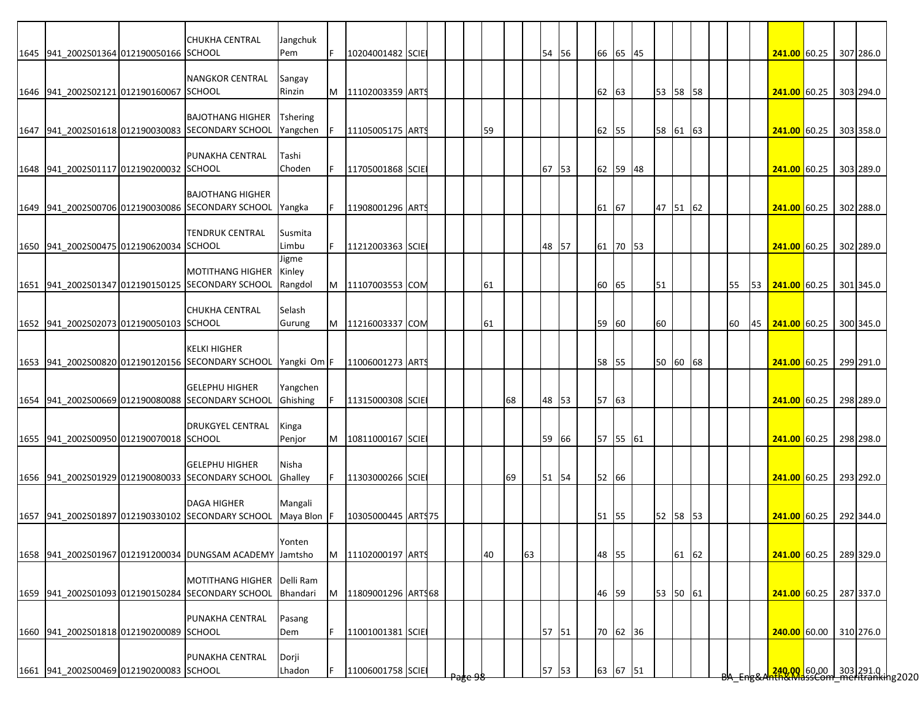|                                         | <b>CHUKHA CENTRAL</b>                                                                    | Jangchuk                    |   |                    |  |                    |    |    |    |       |  |       |          |          |       |  |    |    |                        |  |           |
|-----------------------------------------|------------------------------------------------------------------------------------------|-----------------------------|---|--------------------|--|--------------------|----|----|----|-------|--|-------|----------|----------|-------|--|----|----|------------------------|--|-----------|
| 1645 941_2002S01364 012190050166 SCHOOL |                                                                                          | Pem                         | F | 10204001482 SCIE   |  |                    |    |    |    | 54 56 |  |       | 66 65 45 |          |       |  |    |    | 241.00 60.25 307 286.0 |  |           |
|                                         | <b>NANGKOR CENTRAL</b>                                                                   | Sangay                      |   |                    |  |                    |    |    |    |       |  |       |          |          |       |  |    |    |                        |  |           |
| 1646 941_2002S02121 012190160067 SCHOOL |                                                                                          | Rinzin                      | M | 11102003359 ARTS   |  |                    |    |    |    |       |  | 62 63 |          | 53 58 58 |       |  |    |    | 241.00 60.25           |  | 303 294.0 |
|                                         | <b>BAJOTHANG HIGHER</b><br>1647 941_2002S01618 012190030083 SECONDARY SCHOOL             | <b>Tshering</b><br>Yangchen | F | 11105005175 ARTS   |  |                    | 59 |    |    |       |  | 62 55 |          | 58 61 63 |       |  |    |    | 241.00 60.25           |  | 303 358.0 |
| 1648 941_2002S01117 012190200032 SCHOOL | PUNAKHA CENTRAL                                                                          | Tashi<br>Choden             |   | 11705001868 SCIE   |  |                    |    |    |    | 67 53 |  |       | 62 59 48 |          |       |  |    |    | 241.00 60.25 303 289.0 |  |           |
|                                         | <b>BAJOTHANG HIGHER</b><br>1649 941_2002S00706 012190030086 SECONDARY SCHOOL             | Yangka                      |   | 11908001296 ARTS   |  |                    |    |    |    |       |  | 61 67 |          | 47 51 62 |       |  |    |    | 241.00 60.25 302 288.0 |  |           |
|                                         | <b>TENDRUK CENTRAL</b>                                                                   | Susmita                     |   |                    |  |                    |    |    |    |       |  |       |          |          |       |  |    |    |                        |  |           |
| 1650 941 2002S00475 012190620034 SCHOOL |                                                                                          | Limbu<br>Jigme              |   | 11212003363 SCIE   |  |                    |    |    |    | 48 57 |  |       | 61 70 53 |          |       |  |    |    | 241.00 60.25 302 289.0 |  |           |
|                                         | <b>MOTITHANG HIGHER</b><br>1651 941 2002S01347 012190150125 SECONDARY SCHOOL             | Kinley<br>Rangdol           | M | 11107003553 COM    |  |                    | 61 |    |    |       |  | 60    | 65       | 51       |       |  | 55 | 53 | 241.00 60.25           |  | 301 345.0 |
| 1652 941 2002S02073 012190050103 SCHOOL | <b>CHUKHA CENTRAL</b>                                                                    | Selash<br>Gurung            | M | 11216003337 COM    |  |                    | 61 |    |    |       |  | 59    | 60       | 60       |       |  | 60 |    | 45 <b>241.00</b> 60.25 |  | 300 345.0 |
|                                         | <b>KELKI HIGHER</b><br>1653 941_2002S00820 012190120156 SECONDARY SCHOOL Yangki Om F     |                             |   |                    |  |                    |    |    |    |       |  | 58    | 55       | 50 60 68 |       |  |    |    |                        |  | 299 291.0 |
|                                         |                                                                                          |                             |   | 11006001273 ART    |  |                    |    |    |    |       |  |       |          |          |       |  |    |    | <b>241.00</b> 60.25    |  |           |
|                                         | <b>GELEPHU HIGHER</b><br>1654 941_2002S00669 012190080088 SECONDARY SCHOOL               | Yangchen<br>Ghishing        |   | 11315000308 SCIE   |  |                    |    | 68 |    | 48 53 |  | 57 63 |          |          |       |  |    |    | 241.00 60.25           |  | 298 289.0 |
| 1655 941_2002S00950 012190070018 SCHOOL | <b>DRUKGYEL CENTRAL</b>                                                                  | Kinga<br>Penjor             |   | 10811000167 SCIE   |  |                    |    |    |    | 59 66 |  |       | 57 55 61 |          |       |  |    |    | 241.00 60.25           |  | 298 298.0 |
|                                         | <b>GELEPHU HIGHER</b>                                                                    | Nisha                       |   |                    |  |                    |    |    |    |       |  |       |          |          |       |  |    |    |                        |  |           |
|                                         | 1656 941 2002S01929 012190080033 SECONDARY SCHOOL                                        | Ghalley                     | F | 11303000266 SCIE   |  |                    |    | 69 |    | 51 54 |  | 52 66 |          |          |       |  |    |    | 241.00 60.25           |  | 293 292.0 |
|                                         | <b>DAGA HIGHER</b><br>1657 941 2002S01897 012190330102 SECONDARY SCHOOL                  | Mangali<br>Maya Blon F      |   | 10305000445 ARTS75 |  |                    |    |    |    |       |  | 51 55 |          | 52 58 53 |       |  |    |    | $241.00$ 60.25         |  | 292 344.0 |
|                                         | 1658 941 2002S01967 012191200034 DUNGSAM ACADEMY Jamtsho                                 | Yonten                      | M | 11102000197 ARTS   |  |                    | 40 |    | 63 |       |  | 48 55 |          |          | 61 62 |  |    |    | 241.00 60.25 289 329.0 |  |           |
|                                         |                                                                                          |                             |   |                    |  |                    |    |    |    |       |  |       |          |          |       |  |    |    |                        |  |           |
|                                         | MOTITHANG HIGHER Delli Ram<br>1659 941 2002S01093 012190150284 SECONDARY SCHOOL Bhandari |                             | M | 11809001296 ARTS68 |  |                    |    |    |    |       |  | 46 59 |          | 53 50 61 |       |  |    |    | 241.00 60.25           |  | 287 337.0 |
| 1660 941_2002S01818 012190200089 SCHOOL | PUNAKHA CENTRAL                                                                          | Pasang<br>Dem               |   | 11001001381 SCIE   |  |                    |    |    |    | 57 51 |  |       | 70 62 36 |          |       |  |    |    | 240.00 60.00 310 276.0 |  |           |
|                                         | PUNAKHA CENTRAL                                                                          | Dorji                       |   |                    |  |                    |    |    |    |       |  |       |          |          |       |  |    |    |                        |  |           |
| 1661 941_2002S00469 012190200083 SCHOOL |                                                                                          | Lhadon                      |   | 11006001758 SCIE   |  | <del>rage vo</del> |    |    |    | 57 53 |  |       | 63 67 51 |          |       |  |    |    |                        |  |           |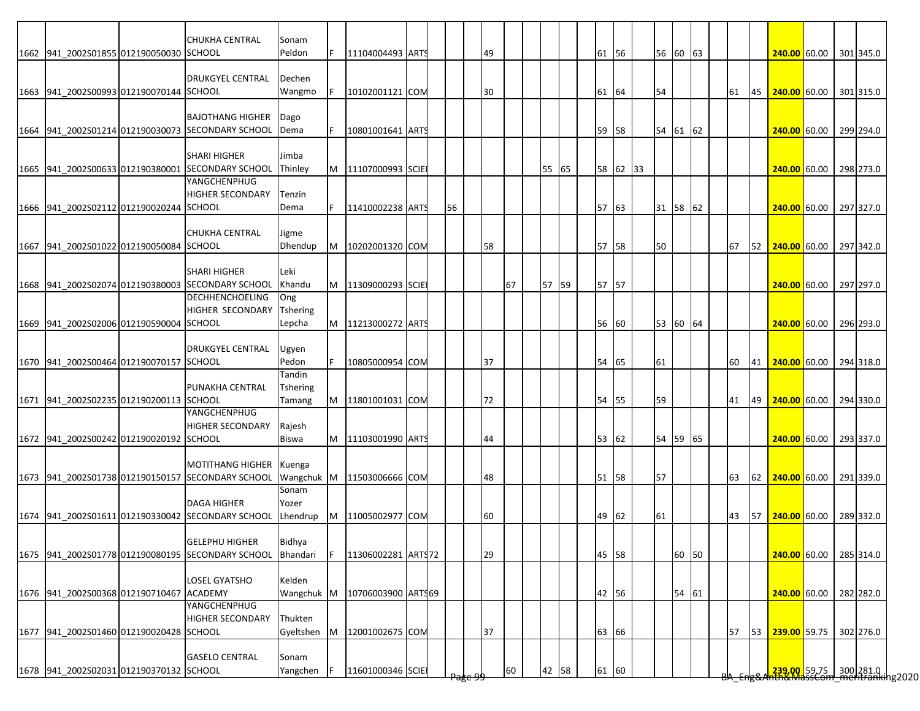|                                          | <b>CHUKHA CENTRAL</b>                             | Sonam           |   |                     |  |    |    |    |       |  |       |          |          |       |  |    |    |                                                                         |  |           |
|------------------------------------------|---------------------------------------------------|-----------------|---|---------------------|--|----|----|----|-------|--|-------|----------|----------|-------|--|----|----|-------------------------------------------------------------------------|--|-----------|
| 1662 941 2002S01855 012190050030 SCHOOL  |                                                   | Peldon          |   | 11104004493 ARTS    |  |    | 49 |    |       |  | 61 56 |          | 56 60 63 |       |  |    |    | 240.00 60.00 301 345.0                                                  |  |           |
|                                          |                                                   |                 |   |                     |  |    |    |    |       |  |       |          |          |       |  |    |    |                                                                         |  |           |
|                                          | <b>DRUKGYEL CENTRAL</b>                           | Dechen          |   |                     |  |    |    |    |       |  |       |          |          |       |  |    |    |                                                                         |  |           |
| 1663 941 2002S00993 012190070144 SCHOOL  |                                                   | Wangmo          |   | 10102001121 COM     |  |    | 30 |    |       |  | 61    | 64       | 54       |       |  | 61 | 45 | <b>240.00</b> 60.00                                                     |  | 301 315.0 |
|                                          |                                                   |                 |   |                     |  |    |    |    |       |  |       |          |          |       |  |    |    |                                                                         |  |           |
|                                          | <b>BAJOTHANG HIGHER</b>                           | Dago            |   |                     |  |    |    |    |       |  |       |          |          |       |  |    |    |                                                                         |  |           |
|                                          | 1664 941 2002S01214 012190030073 SECONDARY SCHOOL | Dema            |   | 10801001641 ARTS    |  |    |    |    |       |  | 59    | 58       | 54 61 62 |       |  |    |    | 240.00 60.00                                                            |  | 299 294.0 |
|                                          |                                                   |                 |   |                     |  |    |    |    |       |  |       |          |          |       |  |    |    |                                                                         |  |           |
|                                          | <b>SHARI HIGHER</b>                               | Jimba           |   |                     |  |    |    |    |       |  |       |          |          |       |  |    |    |                                                                         |  |           |
|                                          | 1665 941 2002S00633 012190380001 SECONDARY SCHOOL | Thinley         | M | 11107000993 SCIE    |  |    |    |    | 55 65 |  |       | 58 62 33 |          |       |  |    |    | 240.00 60.00 298 273.0                                                  |  |           |
|                                          | YANGCHENPHUG                                      |                 |   |                     |  |    |    |    |       |  |       |          |          |       |  |    |    |                                                                         |  |           |
|                                          | <b>HIGHER SECONDARY</b>                           | Tenzin          |   |                     |  |    |    |    |       |  |       |          |          |       |  |    |    |                                                                         |  |           |
| 1666 941 2002S02112 012190020244 SCHOOL  |                                                   | Dema            |   | 11410002238 ARTS    |  | 56 |    |    |       |  | 57 63 |          | 31 58 62 |       |  |    |    | 240.00 60.00                                                            |  | 297 327.0 |
|                                          |                                                   |                 |   |                     |  |    |    |    |       |  |       |          |          |       |  |    |    |                                                                         |  |           |
|                                          | <b>CHUKHA CENTRAL</b>                             | Jigme           |   |                     |  |    |    |    |       |  |       |          |          |       |  |    |    |                                                                         |  |           |
| 1667 941 2002S01022 012190050084 SCHOOL  |                                                   | Dhendup         | M | 10202001320 COM     |  |    | 58 |    |       |  | 57 58 |          | 50       |       |  | 67 | 52 | 240.00 60.00 297 342.0                                                  |  |           |
|                                          |                                                   |                 |   |                     |  |    |    |    |       |  |       |          |          |       |  |    |    |                                                                         |  |           |
|                                          | <b>SHARI HIGHER</b>                               | Leki            |   |                     |  |    |    |    |       |  |       |          |          |       |  |    |    |                                                                         |  |           |
|                                          | 1668 941_2002S02074 012190380003 SECONDARY SCHOOL | Khandu          | M | 11309000293 SCIE    |  |    |    | 67 | 57 59 |  | 57 57 |          |          |       |  |    |    | 240.00 60.00                                                            |  | 297 297.0 |
|                                          | <b>DECHHENCHOELING</b>                            | Ong             |   |                     |  |    |    |    |       |  |       |          |          |       |  |    |    |                                                                         |  |           |
|                                          | <b>HIGHER SECONDARY</b>                           | <b>Tshering</b> |   |                     |  |    |    |    |       |  |       |          |          |       |  |    |    |                                                                         |  |           |
| 1669 941 2002S02006 012190590004 SCHOOL  |                                                   | Lepcha          | M | 11213000272 ARTS    |  |    |    |    |       |  | 56 60 |          | 53 60 64 |       |  |    |    | 240.00 60.00 296 293.0                                                  |  |           |
|                                          |                                                   |                 |   |                     |  |    |    |    |       |  |       |          |          |       |  |    |    |                                                                         |  |           |
|                                          | <b>DRUKGYEL CENTRAL</b>                           | Ugyen           |   |                     |  |    |    |    |       |  |       |          |          |       |  |    |    |                                                                         |  |           |
| 1670 941_2002S00464 012190070157 SCHOOL  |                                                   | Pedon           |   | 10805000954 COM     |  |    | 37 |    |       |  | 54 65 |          | 61       |       |  | 60 | 41 | 240.00 60.00 294 318.0                                                  |  |           |
|                                          |                                                   | Tandin          |   |                     |  |    |    |    |       |  |       |          |          |       |  |    |    |                                                                         |  |           |
|                                          | PUNAKHA CENTRAL                                   | <b>Tshering</b> |   |                     |  |    |    |    |       |  |       |          |          |       |  |    |    |                                                                         |  |           |
| 1671 941 2002S02235 012190200113 SCHOOL  |                                                   | Tamang          | M | 11801001031 COM     |  |    | 72 |    |       |  | 54 55 |          | 59       |       |  | 41 | 49 | 240.00 60.00 294 330.0                                                  |  |           |
|                                          | YANGCHENPHUG                                      |                 |   |                     |  |    |    |    |       |  |       |          |          |       |  |    |    |                                                                         |  |           |
|                                          | <b>HIGHER SECONDARY</b>                           | Rajesh          |   |                     |  |    |    |    |       |  |       |          |          |       |  |    |    |                                                                         |  |           |
| 1672 941 2002S00242 012190020192 SCHOOL  |                                                   | <b>Biswa</b>    | M | 11103001990 ARTS    |  |    | 44 |    |       |  | 53 62 |          | 54 59 65 |       |  |    |    | 240.00 60.00 293 337.0                                                  |  |           |
|                                          |                                                   |                 |   |                     |  |    |    |    |       |  |       |          |          |       |  |    |    |                                                                         |  |           |
|                                          | MOTITHANG HIGHER Kuenga                           |                 |   |                     |  |    |    |    |       |  |       |          |          |       |  |    |    |                                                                         |  |           |
|                                          | 1673 941 2002S01738 012190150157 SECONDARY SCHOOL | Wangchuk M      |   | 11503006666 COM     |  |    | 48 |    |       |  | 51 58 |          | 57       |       |  | 63 |    | 62 <b>240.00</b> 60.00                                                  |  | 291 339.0 |
|                                          |                                                   | Sonam           |   |                     |  |    |    |    |       |  |       |          |          |       |  |    |    |                                                                         |  |           |
|                                          | <b>DAGA HIGHER</b>                                | Yozer           |   |                     |  |    |    |    |       |  |       |          |          |       |  |    |    |                                                                         |  |           |
|                                          | 1674 941 2002S01611 012190330042 SECONDARY SCHOOL | Lhendrup        | M | 11005002977 COM     |  |    | 60 |    |       |  | 49    | 62       | 61       |       |  | 43 | 57 | <b>240.00</b> 60.00                                                     |  | 289 332.0 |
|                                          |                                                   |                 |   |                     |  |    |    |    |       |  |       |          |          |       |  |    |    |                                                                         |  |           |
|                                          | <b>GELEPHU HIGHER</b>                             | <b>Bidhya</b>   |   |                     |  |    |    |    |       |  |       |          |          |       |  |    |    |                                                                         |  |           |
|                                          | 1675 941 2002S01778 012190080195 SECONDARY SCHOOL | Bhandari        |   | 11306002281 ART\$72 |  |    | 29 |    |       |  | 45 58 |          |          | 60 50 |  |    |    | 240.00 60.00                                                            |  | 285 314.0 |
|                                          |                                                   |                 |   |                     |  |    |    |    |       |  |       |          |          |       |  |    |    |                                                                         |  |           |
|                                          | <b>LOSEL GYATSHO</b>                              | Kelden          |   |                     |  |    |    |    |       |  |       |          |          |       |  |    |    |                                                                         |  |           |
| 1676 941_2002S00368 012190710467 ACADEMY |                                                   | Wangchuk M      |   | 10706003900 ARTS69  |  |    |    |    |       |  | 42 56 |          |          | 54 61 |  |    |    | 240.00 60.00                                                            |  | 282 282.0 |
|                                          | YANGCHENPHUG                                      |                 |   |                     |  |    |    |    |       |  |       |          |          |       |  |    |    |                                                                         |  |           |
|                                          | <b>HIGHER SECONDARY</b>                           | Thukten         |   |                     |  |    |    |    |       |  |       |          |          |       |  |    |    |                                                                         |  |           |
| 1677 941_2002S01460 012190020428 SCHOOL  |                                                   | Gyeltshen       | M | 12001002675 COM     |  |    | 37 |    |       |  | 63 66 |          |          |       |  | 57 | 53 | 239.00 59.75                                                            |  | 302 276.0 |
|                                          |                                                   |                 |   |                     |  |    |    |    |       |  |       |          |          |       |  |    |    |                                                                         |  |           |
|                                          | <b>GASELO CENTRAL</b>                             | Sonam           |   |                     |  |    |    |    |       |  |       |          |          |       |  |    |    |                                                                         |  |           |
| 1678 941_2002S02031 012190370132 SCHOOL  |                                                   | Yangchen        |   | 11601000346 SCIE    |  |    |    | 60 | 42 58 |  | 61 60 |          |          |       |  |    |    | <mark>.239,00.</mark> 59.75 300.281.0  <br>hth&MdssCom meritranking2020 |  |           |
|                                          |                                                   |                 |   |                     |  |    |    |    |       |  |       |          |          |       |  |    |    |                                                                         |  |           |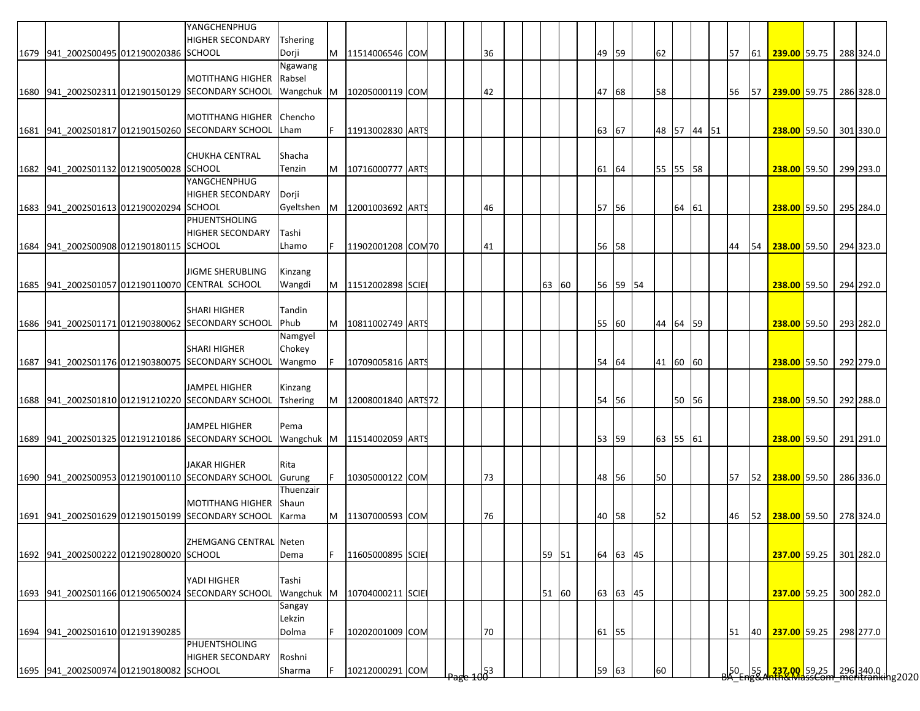|                                         | YANGCHENPHUG                                      |                          |    |                             |  |       |     |  |       |       |          |             |       |  |    |    |                                                                                                                    |  |           |
|-----------------------------------------|---------------------------------------------------|--------------------------|----|-----------------------------|--|-------|-----|--|-------|-------|----------|-------------|-------|--|----|----|--------------------------------------------------------------------------------------------------------------------|--|-----------|
| 1679 941 2002S00495 012190020386 SCHOOL | <b>HIGHER SECONDARY</b>                           | <b>Tshering</b><br>Dorji | M  | 11514006546 COM             |  |       | 36  |  |       | 49 59 |          | 62          |       |  | 57 | 61 | 239.00 59.75                                                                                                       |  | 288 324.0 |
|                                         |                                                   | Ngawang                  |    |                             |  |       |     |  |       |       |          |             |       |  |    |    |                                                                                                                    |  |           |
|                                         | <b>MOTITHANG HIGHER</b>                           | Rabsel                   |    |                             |  |       |     |  |       |       |          |             |       |  |    |    |                                                                                                                    |  |           |
|                                         | 1680 941 2002S02311 012190150129 SECONDARY SCHOOL | Wangchuk M               |    | 10205000119 COM             |  |       | 42  |  |       | 47 68 |          | 58          |       |  | 56 |    | 57 239.00 59.75                                                                                                    |  | 286 328.0 |
|                                         |                                                   |                          |    |                             |  |       |     |  |       |       |          |             |       |  |    |    |                                                                                                                    |  |           |
|                                         | <b>MOTITHANG HIGHER</b>                           | Chencho                  |    |                             |  |       |     |  |       |       |          |             |       |  |    |    |                                                                                                                    |  |           |
|                                         | 1681 941 2002S01817 012190150260 SECONDARY SCHOOL | Lham                     | F. | 11913002830 ART             |  |       |     |  |       | 63 67 |          | 48 57 44 51 |       |  |    |    | 238.00 59.50                                                                                                       |  | 301 330.0 |
|                                         |                                                   |                          |    |                             |  |       |     |  |       |       |          |             |       |  |    |    |                                                                                                                    |  |           |
|                                         | <b>CHUKHA CENTRAL</b>                             | Shacha                   |    |                             |  |       |     |  |       |       |          |             |       |  |    |    |                                                                                                                    |  |           |
| 1682 941_2002S01132 012190050028 SCHOOL |                                                   | Tenzin                   | M  | 10716000777 ARTS            |  |       |     |  |       | 61 64 |          | 55 55 58    |       |  |    |    | 238.00 59.50 299 293.0                                                                                             |  |           |
|                                         | YANGCHENPHUG<br><b>HIGHER SECONDARY</b>           |                          |    |                             |  |       |     |  |       |       |          |             |       |  |    |    |                                                                                                                    |  |           |
| 1683 941_2002S01613 012190020294 SCHOOL |                                                   | Dorji<br>Gyeltshen       | M  | 12001003692 ARTS            |  |       | 46  |  |       | 57 56 |          |             | 64 61 |  |    |    | 238.00 59.50 295 284.0                                                                                             |  |           |
|                                         | <b>PHUENTSHOLING</b>                              |                          |    |                             |  |       |     |  |       |       |          |             |       |  |    |    |                                                                                                                    |  |           |
|                                         | <b>HIGHER SECONDARY</b>                           | Tashi                    |    |                             |  |       |     |  |       |       |          |             |       |  |    |    |                                                                                                                    |  |           |
| 1684 941 2002S00908 012190180115 SCHOOL |                                                   | Lhamo                    |    | 11902001208 COM70           |  |       | 41  |  |       | 56 58 |          |             |       |  | 44 | 54 | 238.00 59.50 294 323.0                                                                                             |  |           |
|                                         |                                                   |                          |    |                             |  |       |     |  |       |       |          |             |       |  |    |    |                                                                                                                    |  |           |
|                                         | <b>JIGME SHERUBLING</b>                           | Kinzang                  |    |                             |  |       |     |  |       |       |          |             |       |  |    |    |                                                                                                                    |  |           |
|                                         | 1685 941 2002S01057 012190110070 CENTRAL SCHOOL   | Wangdi                   | M  | 11512002898 SCIE            |  |       |     |  | 63 60 |       | 56 59 54 |             |       |  |    |    | 238.00 59.50 294 292.0                                                                                             |  |           |
|                                         |                                                   |                          |    |                             |  |       |     |  |       |       |          |             |       |  |    |    |                                                                                                                    |  |           |
|                                         | <b>SHARI HIGHER</b>                               | Tandin                   |    |                             |  |       |     |  |       |       |          |             |       |  |    |    |                                                                                                                    |  |           |
|                                         | 1686 941 2002S01171 012190380062 SECONDARY SCHOOL | Phub                     |    | M   10811002749 ARTS        |  |       |     |  |       | 55 60 |          | 44 64 59    |       |  |    |    | 238.00 59.50 293 282.0                                                                                             |  |           |
|                                         |                                                   | Namgyel                  |    |                             |  |       |     |  |       |       |          |             |       |  |    |    |                                                                                                                    |  |           |
|                                         | <b>SHARI HIGHER</b>                               | Chokey                   |    |                             |  |       |     |  |       |       |          |             |       |  |    |    |                                                                                                                    |  |           |
|                                         | 1687 941 2002S01176 012190380075 SECONDARY SCHOOL | Wangmo                   |    | 10709005816 ARTS            |  |       |     |  |       | 54 64 |          | 41 60 60    |       |  |    |    | 238.00 59.50 292 279.0                                                                                             |  |           |
|                                         | <b>JAMPEL HIGHER</b>                              | Kinzang                  |    |                             |  |       |     |  |       |       |          |             |       |  |    |    |                                                                                                                    |  |           |
|                                         | 1688 941 2002S01810 012191210220 SECONDARY SCHOOL | <b>Tshering</b>          | M  | 12008001840 ARTS72          |  |       |     |  |       | 54 56 |          |             | 50 56 |  |    |    | 238.00 59.50                                                                                                       |  | 292 288.0 |
|                                         |                                                   |                          |    |                             |  |       |     |  |       |       |          |             |       |  |    |    |                                                                                                                    |  |           |
|                                         | <b>JAMPEL HIGHER</b>                              | Pema                     |    |                             |  |       |     |  |       |       |          |             |       |  |    |    |                                                                                                                    |  |           |
|                                         | 1689 941 2002S01325 012191210186 SECONDARY SCHOOL |                          |    | Wangchuk M 11514002059 ARTS |  |       |     |  |       | 53 59 |          | 63 55 61    |       |  |    |    | 238.00 59.50                                                                                                       |  | 291 291.0 |
|                                         |                                                   |                          |    |                             |  |       |     |  |       |       |          |             |       |  |    |    |                                                                                                                    |  |           |
|                                         | <b>JAKAR HIGHER</b>                               | Rita                     |    |                             |  |       |     |  |       |       |          |             |       |  |    |    |                                                                                                                    |  |           |
|                                         | 1690 941 2002S00953 012190100110 SECONDARY SCHOOL | Gurung                   |    | 10305000122 COM             |  |       | 73  |  |       | 48 56 |          | 50          |       |  | 57 |    | 52 238.00 59.50                                                                                                    |  | 286 336.0 |
|                                         |                                                   | Thuenzair                |    |                             |  |       |     |  |       |       |          |             |       |  |    |    |                                                                                                                    |  |           |
|                                         | <b>MOTITHANG HIGHER</b>                           | Shaun                    |    |                             |  |       |     |  |       |       |          |             |       |  |    |    |                                                                                                                    |  |           |
|                                         | 1691 941 2002S01629 012190150199 SECONDARY SCHOOL | Karma                    | M  | 11307000593 COM             |  |       | 76  |  |       |       | 40 58    | 52          |       |  | 46 |    | 52 238.00 59.50 278 324.0                                                                                          |  |           |
|                                         | ZHEMGANG CENTRAL Neten                            |                          |    |                             |  |       |     |  |       |       |          |             |       |  |    |    |                                                                                                                    |  |           |
| 1692 941_2002S00222 012190280020 SCHOOL |                                                   | Dema                     | F  | 11605000895 SCIE            |  |       |     |  | 59 51 |       | 64 63 45 |             |       |  |    |    | 237.00 59.25                                                                                                       |  | 301 282.0 |
|                                         |                                                   |                          |    |                             |  |       |     |  |       |       |          |             |       |  |    |    |                                                                                                                    |  |           |
|                                         | YADI HIGHER                                       | Tashi                    |    |                             |  |       |     |  |       |       |          |             |       |  |    |    |                                                                                                                    |  |           |
|                                         | 1693 941_2002S01166 012190650024 SECONDARY SCHOOL | Wangchuk M               |    | 10704000211 SCIE            |  |       |     |  | 51 60 |       | 63 63 45 |             |       |  |    |    | 237.00 59.25                                                                                                       |  | 300 282.0 |
|                                         |                                                   | Sangay                   |    |                             |  |       |     |  |       |       |          |             |       |  |    |    |                                                                                                                    |  |           |
|                                         |                                                   | Lekzin                   |    |                             |  |       |     |  |       |       |          |             |       |  |    |    |                                                                                                                    |  |           |
| 1694 941_2002S01610 012191390285        |                                                   | Dolma                    | F  | 10202001009 COM             |  |       | 70  |  |       | 61 55 |          |             |       |  | 51 | 40 | 237.00 59.25                                                                                                       |  | 298 277.0 |
|                                         | PHUENTSHOLING                                     |                          |    |                             |  |       |     |  |       |       |          |             |       |  |    |    |                                                                                                                    |  |           |
|                                         | <b>HIGHER SECONDARY</b>                           | Roshni                   |    |                             |  |       |     |  |       |       |          |             |       |  |    |    |                                                                                                                    |  |           |
| 1695 941_2002S00974 012190180082 SCHOOL |                                                   | Sharma                   |    | 10212000291 COM             |  | क्षुप | d53 |  |       |       | 59 63    | 60          |       |  |    |    | _l50__l55_l <mark>_237.00_</mark> 59.25 _l_296 340.0 .<br><del>3A_Eng&amp;Anth&amp;MassCom_meritranki</del> ng2020 |  |           |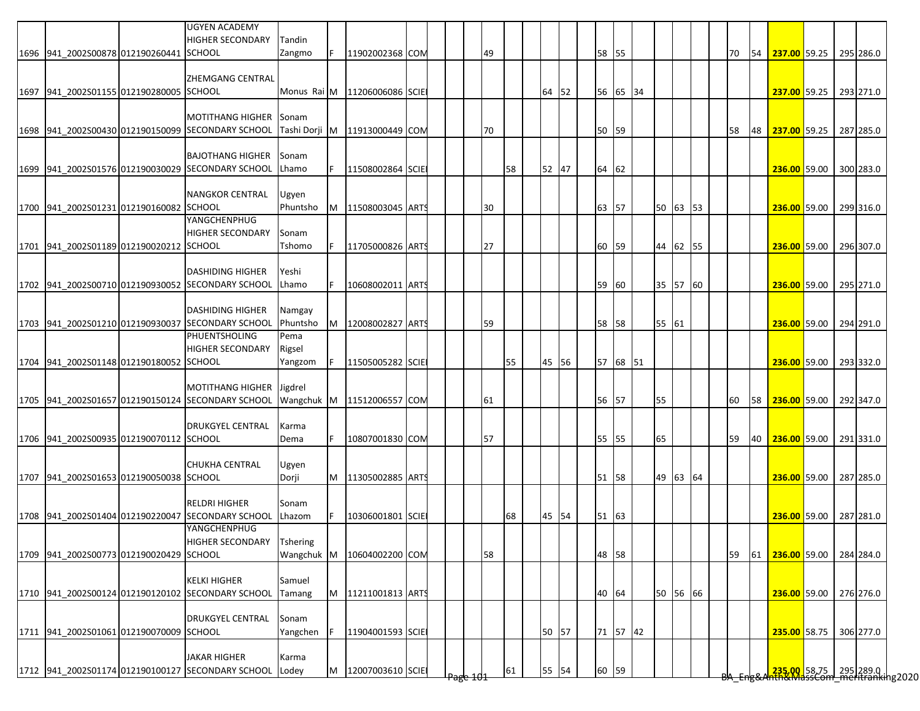|                                         | <b>UGYEN ACADEMY</b><br><b>HIGHER SECONDARY</b>                              | Tandin                        |          |                  |  |    |    |    |       |       |          |          |  |    |    |                        |  |                                                                                        |
|-----------------------------------------|------------------------------------------------------------------------------|-------------------------------|----------|------------------|--|----|----|----|-------|-------|----------|----------|--|----|----|------------------------|--|----------------------------------------------------------------------------------------|
| 1696 941_2002S00878 012190260441 SCHOOL |                                                                              | Zangmo                        |          | 11902002368 COM  |  |    | 49 |    |       | 58 55 |          |          |  | 70 | 54 | 237.00 59.25           |  | 295 286.0                                                                              |
|                                         | <b>ZHEMGANG CENTRAL</b>                                                      |                               |          |                  |  |    |    |    |       |       |          |          |  |    |    |                        |  |                                                                                        |
| 1697 941 2002S01155 012190280005 SCHOOL |                                                                              | Monus Rai M                   |          | 11206006086 SCIE |  |    |    |    | 64 52 |       | 56 65 34 |          |  |    |    | 237.00 59.25 293 271.0 |  |                                                                                        |
|                                         |                                                                              |                               |          |                  |  |    |    |    |       |       |          |          |  |    |    |                        |  |                                                                                        |
|                                         | <b>MOTITHANG HIGHER</b>                                                      | Sonam                         |          |                  |  |    |    |    |       |       |          |          |  |    |    |                        |  |                                                                                        |
|                                         | 1698 941_2002S00430 012190150099 SECONDARY SCHOOL                            | Tashi Dorji                   | <b>M</b> | 11913000449 COM  |  |    | 70 |    |       | 50    | 59       |          |  | 58 | 48 | 237.00 59.25           |  | 287 285.0                                                                              |
|                                         | <b>BAJOTHANG HIGHER</b>                                                      | Sonam                         |          |                  |  |    |    |    |       |       |          |          |  |    |    |                        |  |                                                                                        |
|                                         | 1699 941_2002S01576 012190030029 SECONDARY SCHOOL                            | Lhamo                         |          | 11508002864 SCIE |  |    |    | 58 | 52 47 | 64 62 |          |          |  |    |    | 236.00 59.00 300 283.0 |  |                                                                                        |
|                                         |                                                                              |                               |          |                  |  |    |    |    |       |       |          |          |  |    |    |                        |  |                                                                                        |
|                                         | <b>NANGKOR CENTRAL</b>                                                       | Ugyen                         |          |                  |  |    |    |    |       |       |          |          |  |    |    |                        |  |                                                                                        |
| 1700 941_2002S01231 012190160082 SCHOOL | YANGCHENPHUG                                                                 | Phuntsho                      | M        | 11508003045 ART  |  |    | 30 |    |       | 63 57 |          | 50 63 53 |  |    |    | 236.00 59.00 299 316.0 |  |                                                                                        |
|                                         | <b>HIGHER SECONDARY</b>                                                      | Sonam                         |          |                  |  |    |    |    |       |       |          |          |  |    |    |                        |  |                                                                                        |
| 1701 941_2002S01189 012190020212 SCHOOL |                                                                              | Tshomo                        |          | 11705000826 ARTS |  |    | 27 |    |       | 60    | 59       | 44 62 55 |  |    |    | 236.00 59.00 296 307.0 |  |                                                                                        |
|                                         |                                                                              |                               |          |                  |  |    |    |    |       |       |          |          |  |    |    |                        |  |                                                                                        |
|                                         | <b>DASHIDING HIGHER</b>                                                      | Yeshi                         |          |                  |  |    |    |    |       |       |          |          |  |    |    |                        |  |                                                                                        |
|                                         | 1702 941_2002S00710 012190930052 SECONDARY SCHOOL                            | Lhamo                         |          | 10608002011 ARTS |  |    |    |    |       | 59    | 60       | 35 57 60 |  |    |    | 236.00 59.00 295 271.0 |  |                                                                                        |
|                                         | <b>DASHIDING HIGHER</b>                                                      | Namgay                        |          |                  |  |    |    |    |       |       |          |          |  |    |    |                        |  |                                                                                        |
|                                         | 1703 941 2002S01210 012190930037 SECONDARY SCHOOL                            | Phuntsho                      | M        | 12008002827 ARTS |  |    | 59 |    |       | 58 58 |          | 55 61    |  |    |    | 236.00 59.00 294 291.0 |  |                                                                                        |
|                                         | <b>PHUENTSHOLING</b>                                                         | Pema                          |          |                  |  |    |    |    |       |       |          |          |  |    |    |                        |  |                                                                                        |
|                                         | <b>HIGHER SECONDARY</b>                                                      | Rigsel                        |          |                  |  |    |    |    |       |       |          |          |  |    |    |                        |  |                                                                                        |
| 1704 941_2002S01148 012190180052 SCHOOL |                                                                              | Yangzom                       |          | 11505005282 SCIE |  |    |    | 55 | 45 56 |       | 57 68 51 |          |  |    |    | 236.00 59.00           |  | 293 332.0                                                                              |
|                                         |                                                                              |                               |          |                  |  |    |    |    |       |       |          |          |  |    |    |                        |  |                                                                                        |
|                                         | <b>MOTITHANG HIGHER</b><br>1705 941 2002S01657 012190150124 SECONDARY SCHOOL | Jigdrel<br>Wangchuk M         |          | 11512006557 COM  |  |    | 61 |    |       | 56 57 |          | 55       |  | 60 | 58 | 236.00 59.00 292 347.0 |  |                                                                                        |
|                                         |                                                                              |                               |          |                  |  |    |    |    |       |       |          |          |  |    |    |                        |  |                                                                                        |
|                                         | <b>DRUKGYEL CENTRAL</b>                                                      | Karma                         |          |                  |  |    |    |    |       |       |          |          |  |    |    |                        |  |                                                                                        |
| 1706 941 2002S00935 012190070112 SCHOOL |                                                                              | Dema                          |          | 10807001830 COM  |  | 57 |    |    |       | 55 55 |          | 65       |  | 59 |    | 40 236.00 59.00        |  | 291 331.0                                                                              |
|                                         |                                                                              |                               |          |                  |  |    |    |    |       |       |          |          |  |    |    |                        |  |                                                                                        |
| 1707 941_2002S01653 012190050038 SCHOOL | <b>CHUKHA CENTRAL</b>                                                        | Ugyen<br>Dorji                | M        | 11305002885 ARTS |  |    |    |    |       | 51 58 |          | 49 63 64 |  |    |    | 236.00 59.00           |  | 287 285.0                                                                              |
|                                         |                                                                              |                               |          |                  |  |    |    |    |       |       |          |          |  |    |    |                        |  |                                                                                        |
|                                         | <b>RELDRI HIGHER</b>                                                         | Sonam                         |          |                  |  |    |    |    |       |       |          |          |  |    |    |                        |  |                                                                                        |
|                                         | 1708 941 2002S01404 012190220047 SECONDARY SCHOOL                            | Lhazom                        |          | 10306001801 SCIE |  |    |    | 68 | 45 54 | 51 63 |          |          |  |    |    | 236.00 59.00           |  | 287 281.0                                                                              |
|                                         | YANGCHENPHUG                                                                 |                               |          |                  |  |    |    |    |       |       |          |          |  |    |    |                        |  |                                                                                        |
| 1709 941 2002S00773 012190020429 SCHOOL | <b>HIGHER SECONDARY</b>                                                      | <b>Tshering</b><br>Wangchuk M |          | 10604002200 COM  |  |    | 58 |    |       | 48 58 |          |          |  | 59 | 61 | 236.00 59.00           |  | 284 284.0                                                                              |
|                                         |                                                                              |                               |          |                  |  |    |    |    |       |       |          |          |  |    |    |                        |  |                                                                                        |
|                                         | <b>KELKI HIGHER</b>                                                          | Samuel                        |          |                  |  |    |    |    |       |       |          |          |  |    |    |                        |  |                                                                                        |
|                                         | 1710 941 2002S00124 012190120102 SECONDARY SCHOOL                            | Tamang                        | M        | 11211001813 ARTS |  |    |    |    |       | 40 64 |          | 50 56 66 |  |    |    | 236.00 59.00 276 276.0 |  |                                                                                        |
|                                         |                                                                              |                               |          |                  |  |    |    |    |       |       |          |          |  |    |    |                        |  |                                                                                        |
| 1711 941_2002S01061 012190070009 SCHOOL | <b>DRUKGYEL CENTRAL</b>                                                      | Sonam                         |          |                  |  |    |    |    |       |       |          |          |  |    |    |                        |  |                                                                                        |
|                                         |                                                                              | Yangchen                      |          | 11904001593 SCIE |  |    |    |    | 50 57 |       | 71 57 42 |          |  |    |    | 235.00 58.75 306 277.0 |  |                                                                                        |
|                                         | <b>JAKAR HIGHER</b>                                                          | Karma                         |          |                  |  |    |    |    |       |       |          |          |  |    |    |                        |  |                                                                                        |
|                                         | 1712 941_2002S01174 012190100127 SECONDARY SCHOOL                            | Lodey                         | M        | 12007003610 SCIE |  |    |    | 61 | 55 54 | 60 59 |          |          |  |    |    |                        |  | <mark>.235.00.</mark> 58.75 295 289.0  <br><del>Nh&amp;MassCom meritranki</del> ng2020 |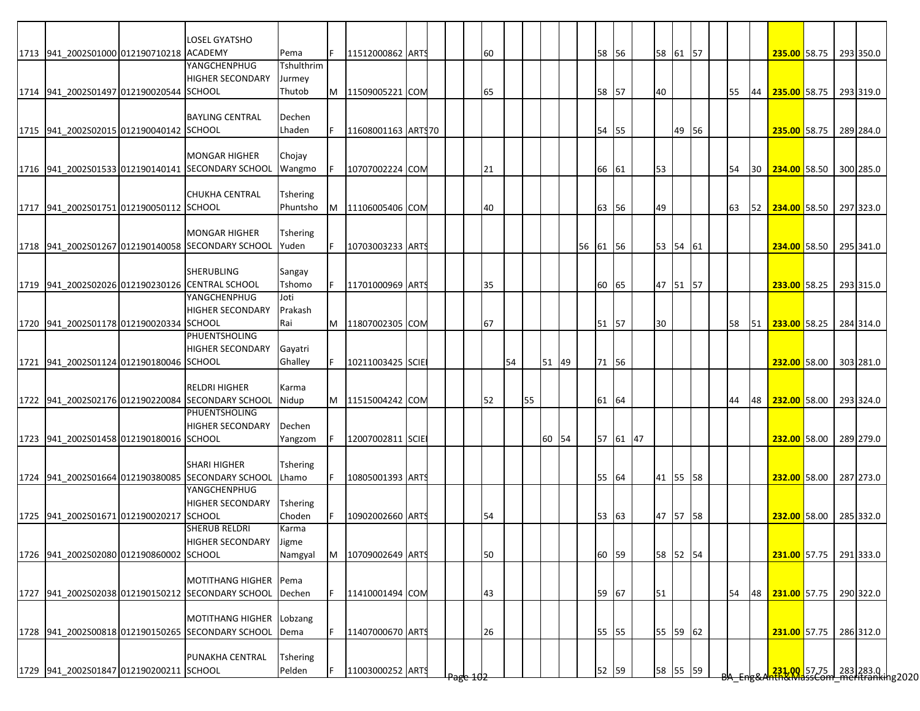|                                                 | <b>LOSEL GYATSHO</b>                                     |                 |   |                    |  |    |    |    |    |       |          |       |          |          |       |  |    |    |                                                            |  |           |
|-------------------------------------------------|----------------------------------------------------------|-----------------|---|--------------------|--|----|----|----|----|-------|----------|-------|----------|----------|-------|--|----|----|------------------------------------------------------------|--|-----------|
| 1713 941 2002S01000 012190710218 ACADEMY        |                                                          | Pema            |   | 11512000862 ARTS   |  | 60 |    |    |    |       |          | 58 56 |          | 58 61 57 |       |  |    |    | 235.00 58.75                                               |  | 293 350.0 |
|                                                 | <b>YANGCHENPHUG</b>                                      | Tshulthrim      |   |                    |  |    |    |    |    |       |          |       |          |          |       |  |    |    |                                                            |  |           |
|                                                 | <b>HIGHER SECONDARY</b>                                  | Jurmey          |   |                    |  |    |    |    |    |       |          |       |          |          |       |  |    |    |                                                            |  |           |
| 1714 941 2002S01497 012190020544 SCHOOL         |                                                          | Thutob          | M | 11509005221 COM    |  | 65 |    |    |    |       |          | 58 57 |          | 40       |       |  | 55 | 44 | 235.00 58.75                                               |  | 293 319.0 |
|                                                 |                                                          |                 |   |                    |  |    |    |    |    |       |          |       |          |          |       |  |    |    |                                                            |  |           |
|                                                 | <b>BAYLING CENTRAL</b>                                   | Dechen          |   |                    |  |    |    |    |    |       |          |       |          |          |       |  |    |    |                                                            |  |           |
| 1715 941_2002S02015 012190040142 SCHOOL         |                                                          | Lhaden          |   | 11608001163 ARTS70 |  |    |    |    |    |       |          | 54 55 |          |          | 49 56 |  |    |    | 235.00 58.75                                               |  | 289 284.0 |
|                                                 |                                                          |                 |   |                    |  |    |    |    |    |       |          |       |          |          |       |  |    |    |                                                            |  |           |
|                                                 | <b>MONGAR HIGHER</b>                                     | Chojay          |   |                    |  |    |    |    |    |       |          |       |          |          |       |  |    |    |                                                            |  |           |
|                                                 | 1716 941 2002S01533 012190140141 SECONDARY SCHOOL        | Wangmo          |   | 10707002224 COM    |  |    | 21 |    |    |       |          | 66 61 |          | 53       |       |  | 54 | 30 | 234.00 58.50                                               |  | 300 285.0 |
|                                                 |                                                          |                 |   |                    |  |    |    |    |    |       |          |       |          |          |       |  |    |    |                                                            |  |           |
|                                                 | <b>CHUKHA CENTRAL</b>                                    | Tshering        |   |                    |  |    |    |    |    |       |          |       |          |          |       |  |    |    |                                                            |  |           |
| 1717 941 2002S01751 012190050112 SCHOOL         |                                                          | Phuntsho        | M | 11106005406 COM    |  |    | 40 |    |    |       |          | 63 56 |          | 49       |       |  | 63 | 52 | 234.00 58.50                                               |  | 297 323.0 |
|                                                 |                                                          |                 |   |                    |  |    |    |    |    |       |          |       |          |          |       |  |    |    |                                                            |  |           |
|                                                 | <b>MONGAR HIGHER</b>                                     | Tshering        |   |                    |  |    |    |    |    |       |          |       |          |          |       |  |    |    |                                                            |  |           |
|                                                 | 1718 941 2002S01267 012190140058 SECONDARY SCHOOL        | Yuden           |   | 10703003233 ARTS   |  |    |    |    |    |       | 56 61 56 |       |          | 53 54 61 |       |  |    |    | 234.00 58.50 295 341.0                                     |  |           |
|                                                 |                                                          |                 |   |                    |  |    |    |    |    |       |          |       |          |          |       |  |    |    |                                                            |  |           |
|                                                 | <b>SHERUBLING</b>                                        | Sangay          |   |                    |  |    |    |    |    |       |          |       |          |          |       |  |    |    |                                                            |  |           |
| 1719 941_2002S02026 012190230126 CENTRAL SCHOOL |                                                          | Tshomo          |   | 11701000969 ARTS   |  | 35 |    |    |    |       |          | 60 65 |          | 47 51 57 |       |  |    |    | 233.00 58.25                                               |  | 293 315.0 |
|                                                 | YANGCHENPHUG                                             | Joti            |   |                    |  |    |    |    |    |       |          |       |          |          |       |  |    |    |                                                            |  |           |
|                                                 | <b>HIGHER SECONDARY</b>                                  | Prakash         |   |                    |  |    |    |    |    |       |          |       |          |          |       |  |    |    |                                                            |  |           |
|                                                 |                                                          |                 |   |                    |  |    |    |    |    |       |          |       |          |          |       |  |    |    |                                                            |  |           |
| 1720 941 2002S01178 012190020334 SCHOOL         |                                                          | Rai             | M | 11807002305 COM    |  | 67 |    |    |    |       |          | 51 57 |          | 30       |       |  | 58 |    | 51 <b>233.00</b> 58.25                                     |  | 284 314.0 |
|                                                 | <b>PHUENTSHOLING</b>                                     |                 |   |                    |  |    |    |    |    |       |          |       |          |          |       |  |    |    |                                                            |  |           |
|                                                 | <b>HIGHER SECONDARY</b>                                  | Gayatri         |   |                    |  |    |    |    |    |       |          |       |          |          |       |  |    |    |                                                            |  |           |
| 1721 941_2002S01124 012190180046 SCHOOL         |                                                          | Ghalley         |   | 10211003425 SCIE   |  |    |    | 54 |    | 51 49 |          | 71 56 |          |          |       |  |    |    | 232.00 58.00                                               |  | 303 281.0 |
|                                                 |                                                          |                 |   |                    |  |    |    |    |    |       |          |       |          |          |       |  |    |    |                                                            |  |           |
|                                                 | <b>RELDRI HIGHER</b>                                     | Karma           |   |                    |  |    |    |    |    |       |          |       |          |          |       |  |    |    |                                                            |  |           |
|                                                 | 1722 941 2002S02176 012190220084 SECONDARY SCHOOL        | Nidup           | M | 11515004242 COM    |  |    | 52 |    | 55 |       |          | 61 64 |          |          |       |  | 44 | 48 | 232.00 58.00                                               |  | 293 324.0 |
|                                                 | <b>PHUENTSHOLING</b>                                     |                 |   |                    |  |    |    |    |    |       |          |       |          |          |       |  |    |    |                                                            |  |           |
|                                                 | <b>HIGHER SECONDARY</b>                                  | Dechen          |   |                    |  |    |    |    |    |       |          |       |          |          |       |  |    |    |                                                            |  |           |
| 1723 941 2002S01458 012190180016 SCHOOL         |                                                          | Yangzom         |   | 12007002811 SCIE   |  |    |    |    |    | 60 54 |          |       | 57 61 47 |          |       |  |    |    | 232.00 58.00                                               |  | 289 279.0 |
|                                                 |                                                          |                 |   |                    |  |    |    |    |    |       |          |       |          |          |       |  |    |    |                                                            |  |           |
|                                                 | <b>SHARI HIGHER</b>                                      | Tshering        |   |                    |  |    |    |    |    |       |          |       |          |          |       |  |    |    |                                                            |  |           |
|                                                 | 1724 941_2002S01664 012190380085 SECONDARY SCHOOL        | Lhamo           |   | 10805001393 ARTS   |  |    |    |    |    |       |          | 55 64 |          | 41 55 58 |       |  |    |    | 232.00 58.00                                               |  | 287 273.0 |
|                                                 | YANGCHENPHUG                                             |                 |   |                    |  |    |    |    |    |       |          |       |          |          |       |  |    |    |                                                            |  |           |
|                                                 | <b>HIGHER SECONDARY</b>                                  | Tshering        |   |                    |  |    |    |    |    |       |          |       |          |          |       |  |    |    |                                                            |  |           |
| 1725 941 2002S01671 012190020217 SCHOOL         |                                                          | Choden          |   | 10902002660 ARTS   |  |    | 54 |    |    |       |          | 53 63 |          | 47       | 57 58 |  |    |    | 232.00 58.00                                               |  | 285 332.0 |
|                                                 | SHERUB RELDRI                                            | Karma           |   |                    |  |    |    |    |    |       |          |       |          |          |       |  |    |    |                                                            |  |           |
|                                                 | HIGHER SECONDARY                                         | Jigme           |   |                    |  |    |    |    |    |       |          |       |          |          |       |  |    |    |                                                            |  |           |
| 1726 941_2002S02080 012190860002 SCHOOL         |                                                          | Namgyal         | M | 10709002649 ARTS   |  |    | 50 |    |    |       |          | 60 59 |          | 58 52 54 |       |  |    |    | 231.00 57.75 291 333.0                                     |  |           |
|                                                 |                                                          |                 |   |                    |  |    |    |    |    |       |          |       |          |          |       |  |    |    |                                                            |  |           |
|                                                 | <b>MOTITHANG HIGHER</b>                                  | Pema            |   |                    |  |    |    |    |    |       |          |       |          |          |       |  |    |    |                                                            |  |           |
|                                                 | 1727 941_2002S02038 012190150212 SECONDARY SCHOOL Dechen |                 |   | 11410001494 COM    |  |    |    |    |    |       |          |       |          | 51       |       |  | 54 | 48 | 231.00 57.75                                               |  | 290 322.0 |
|                                                 |                                                          |                 |   |                    |  |    | 43 |    |    |       |          | 59 67 |          |          |       |  |    |    |                                                            |  |           |
|                                                 |                                                          |                 |   |                    |  |    |    |    |    |       |          |       |          |          |       |  |    |    |                                                            |  |           |
|                                                 | <b>MOTITHANG HIGHER</b>                                  | Lobzang         |   |                    |  |    |    |    |    |       |          |       |          |          |       |  |    |    |                                                            |  |           |
|                                                 | 1728 941_2002S00818 012190150265 SECONDARY SCHOOL        | Dema            |   | 11407000670 ARTS   |  |    | 26 |    |    |       |          | 55 55 |          | 55 59 62 |       |  |    |    | 231.00 57.75                                               |  | 286 312.0 |
|                                                 |                                                          |                 |   |                    |  |    |    |    |    |       |          |       |          |          |       |  |    |    |                                                            |  |           |
|                                                 | PUNAKHA CENTRAL                                          | <b>Tshering</b> |   |                    |  |    |    |    |    |       |          |       |          |          |       |  |    |    |                                                            |  |           |
| 1729 941_2002S01847 012190200211 SCHOOL         |                                                          | Pelden          |   | 11003000252 ARTS   |  |    |    |    |    |       |          | 52 59 |          | 58 55 59 |       |  |    |    | 231.00 57.75 283 283.0  <br>231.00   57.75   283 283.0   1 |  |           |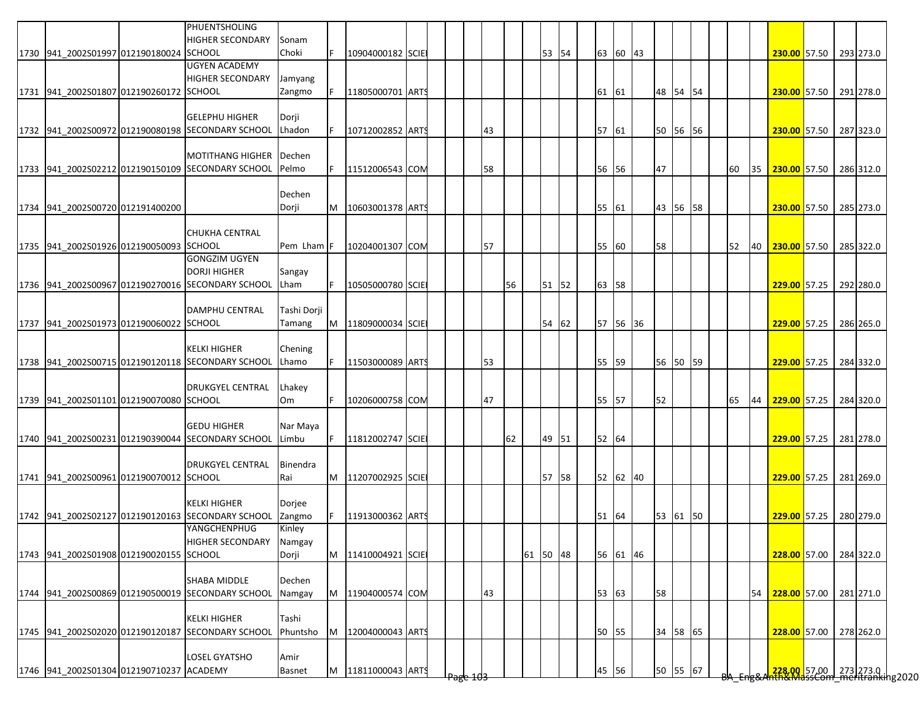|                                          | PHUENTSHOLING<br><b>HIGHER SECONDARY</b>          | Sonam             |          |                    |  |                     |    |          |          |          |          |  |    |    |                                                                         |  |           |
|------------------------------------------|---------------------------------------------------|-------------------|----------|--------------------|--|---------------------|----|----------|----------|----------|----------|--|----|----|-------------------------------------------------------------------------|--|-----------|
| 1730 941 2002S01997 012190180024 SCHOOL  |                                                   | Choki             | IF.      | 10904000182 SCIE   |  |                     |    | 53 54    |          | 63 60 43 |          |  |    |    | 230.00 57.50                                                            |  | 293 273.0 |
|                                          | <b>UGYEN ACADEMY</b>                              |                   |          |                    |  |                     |    |          |          |          |          |  |    |    |                                                                         |  |           |
|                                          | <b>HIGHER SECONDARY</b>                           | Jamyang           |          |                    |  |                     |    |          |          |          |          |  |    |    |                                                                         |  |           |
| 1731 941 2002S01807 012190260172 SCHOOL  |                                                   | Zangmo            |          | 11805000701 ARTS   |  |                     |    |          | 61 61    |          | 48 54 54 |  |    |    | 230.00 57.50                                                            |  | 291 278.0 |
|                                          |                                                   |                   |          |                    |  |                     |    |          |          |          |          |  |    |    |                                                                         |  |           |
|                                          | <b>GELEPHU HIGHER</b>                             | Dorji             |          |                    |  |                     |    |          |          |          |          |  |    |    |                                                                         |  |           |
|                                          | 1732 941 2002S00972 012190080198 SECONDARY SCHOOL | Lhadon            | IF.      | 10712002852 ARTS   |  | 43                  |    |          | 57 61    |          | 50 56 56 |  |    |    | 230.00 57.50                                                            |  | 287 323.0 |
|                                          |                                                   |                   |          |                    |  |                     |    |          |          |          |          |  |    |    |                                                                         |  |           |
|                                          | <b>MOTITHANG HIGHER</b>                           | Dechen            |          |                    |  |                     |    |          |          |          |          |  |    |    |                                                                         |  |           |
|                                          | 1733 941 2002S02212 012190150109 SECONDARY SCHOOL | Pelmo             | IF.      | 11512006543 COM    |  | 58                  |    |          | 56 56    |          | 47       |  | 60 |    | 35 230.00 57.50 286 312.0                                               |  |           |
|                                          |                                                   |                   |          |                    |  |                     |    |          |          |          |          |  |    |    |                                                                         |  |           |
|                                          |                                                   | Dechen            |          |                    |  |                     |    |          |          |          |          |  |    |    |                                                                         |  |           |
| 1734 941 2002S00720 012191400200         |                                                   | Dorji             | M        | 10603001378 ARTS   |  |                     |    |          | 55 61    |          | 43 56 58 |  |    |    | 230.00 57.50                                                            |  | 285 273.0 |
|                                          |                                                   |                   |          |                    |  |                     |    |          |          |          |          |  |    |    |                                                                         |  |           |
|                                          | <b>CHUKHA CENTRAL</b>                             |                   |          |                    |  |                     |    |          |          |          |          |  |    |    |                                                                         |  |           |
| 1735 941 2002S01926 012190050093 SCHOOL  |                                                   | Pem Lham F        |          | 10204001307 COM    |  | 57                  |    |          | 55       | 60       | 58       |  | 52 |    | 40 230.00 57.50 285 322.0                                               |  |           |
|                                          | <b>GONGZIM UGYEN</b>                              |                   |          |                    |  |                     |    |          |          |          |          |  |    |    |                                                                         |  |           |
|                                          | <b>DORJI HIGHER</b>                               | Sangay            |          |                    |  |                     |    |          |          |          |          |  |    |    |                                                                         |  |           |
|                                          | 1736 941_2002S00967 012190270016 SECONDARY SCHOOL | Lham              | F        | 10505000780 SCIE   |  |                     | 56 | 51 52    | 63 58    |          |          |  |    |    | <b>229.00</b> 57.25                                                     |  | 292 280.0 |
|                                          |                                                   |                   |          |                    |  |                     |    |          |          |          |          |  |    |    |                                                                         |  |           |
|                                          | <b>DAMPHU CENTRAL</b>                             | Tashi Dorji       |          |                    |  |                     |    |          |          |          |          |  |    |    |                                                                         |  |           |
| 1737 941 2002S01973 012190060022 SCHOOL  |                                                   | Tamang            |          | M 11809000034 SCIE |  |                     |    | 54 62    | 57 56 36 |          |          |  |    |    | 229.00 57.25 286 265.0                                                  |  |           |
|                                          |                                                   |                   |          |                    |  |                     |    |          |          |          |          |  |    |    |                                                                         |  |           |
|                                          | <b>KELKI HIGHER</b>                               | Chening           |          |                    |  |                     |    |          |          |          |          |  |    |    |                                                                         |  |           |
|                                          | 1738 941 2002S00715 012190120118 SECONDARY SCHOOL | Lhamo             | IF.      | 11503000089 ARTS   |  | 53                  |    |          | 55 59    |          | 56 50 59 |  |    |    | 229.00 57.25                                                            |  | 284 332.0 |
|                                          |                                                   |                   |          |                    |  |                     |    |          |          |          |          |  |    |    |                                                                         |  |           |
|                                          | <b>DRUKGYEL CENTRAL</b>                           | Lhakey            |          |                    |  |                     |    |          |          |          |          |  |    |    |                                                                         |  |           |
| 1739 941 2002S01101 012190070080 SCHOOL  |                                                   | Om                | IF.      | 10206000758 COM    |  | 47                  |    |          | 55 57    |          | 52       |  | 65 | 44 | 229.00 57.25                                                            |  | 284 320.0 |
|                                          |                                                   |                   |          |                    |  |                     |    |          |          |          |          |  |    |    |                                                                         |  |           |
|                                          | <b>GEDU HIGHER</b>                                | Nar Maya          |          |                    |  |                     |    |          |          |          |          |  |    |    |                                                                         |  |           |
|                                          | 1740 941 2002S00231 012190390044 SECONDARY SCHOOL | Limbu             | IF.      | 11812002747 SCIE   |  |                     | 62 | 49 51    | 52 64    |          |          |  |    |    | 229.00 57.25                                                            |  | 281 278.0 |
|                                          |                                                   |                   |          |                    |  |                     |    |          |          |          |          |  |    |    |                                                                         |  |           |
|                                          | DRUKGYEL CENTRAL                                  | Binendra          |          |                    |  |                     |    |          |          |          |          |  |    |    |                                                                         |  |           |
| 1741 941 2002S00961 012190070012 SCHOOL  |                                                   | Rai               |          | M 11207002925 SCIE |  |                     |    | 57 58    |          | 52 62 40 |          |  |    |    | 229.00 57.25                                                            |  | 281 269.0 |
|                                          |                                                   |                   |          |                    |  |                     |    |          |          |          |          |  |    |    |                                                                         |  |           |
|                                          | <b>KELKI HIGHER</b>                               | Dorjee            |          |                    |  |                     |    |          |          |          |          |  |    |    |                                                                         |  |           |
|                                          | 1742 941 2002S02127 012190120163 SECONDARY SCHOOL | Zangmo            |          | 11913000362 ARTS   |  |                     |    |          | 51 64    |          | 53 61 50 |  |    |    | 229.00 57.25 280 279.0                                                  |  |           |
|                                          | YANGCHENPHUG                                      | Kinley            |          |                    |  |                     |    |          |          |          |          |  |    |    |                                                                         |  |           |
|                                          | HIGHER SECONDARY Namgay                           |                   |          |                    |  |                     |    |          |          |          |          |  |    |    |                                                                         |  |           |
| 1743 941 2002S01908 012190020155 SCHOOL  |                                                   | Dorji             |          | M 11410004921 SCIE |  |                     |    | 61 50 48 |          | 56 61 46 |          |  |    |    | 228.00 57.00                                                            |  | 284 322.0 |
|                                          |                                                   |                   |          |                    |  |                     |    |          |          |          |          |  |    |    |                                                                         |  |           |
|                                          | SHABA MIDDLE                                      | Dechen            |          |                    |  |                     |    |          |          |          |          |  |    |    |                                                                         |  |           |
|                                          | 1744 941 2002S00869 012190500019 SECONDARY SCHOOL | Namgay            |          | M 11904000574 COM  |  | 43                  |    |          | 53 63    |          | 58       |  |    | 54 | 228.00 57.00 281 271.0                                                  |  |           |
|                                          |                                                   |                   |          |                    |  |                     |    |          |          |          |          |  |    |    |                                                                         |  |           |
|                                          | <b>KELKI HIGHER</b>                               | Tashi<br>Phuntsho |          | 12004000043 ARTS   |  |                     |    |          |          |          |          |  |    |    |                                                                         |  |           |
|                                          | 1745 941 2002S02020 012190120187 SECONDARY SCHOOL |                   | <b>M</b> |                    |  |                     |    |          | 50       | 55       | 34 58 65 |  |    |    | 228.00 57.00                                                            |  | 278 262.0 |
|                                          | LOSEL GYATSHO                                     | Amir              |          |                    |  |                     |    |          |          |          |          |  |    |    |                                                                         |  |           |
| 1746 941 2002S01304 012190710237 ACADEMY |                                                   |                   |          |                    |  |                     |    |          |          |          |          |  |    |    |                                                                         |  |           |
|                                          |                                                   | <b>Basnet</b>     |          | M 11811000043 ARTS |  | <del>Page 103</del> |    |          | 45       | 56       | 50 55 67 |  |    |    | <mark>.228.00 </mark> 57.00  273  273.0<br>hth&MassCom_meritranking2020 |  |           |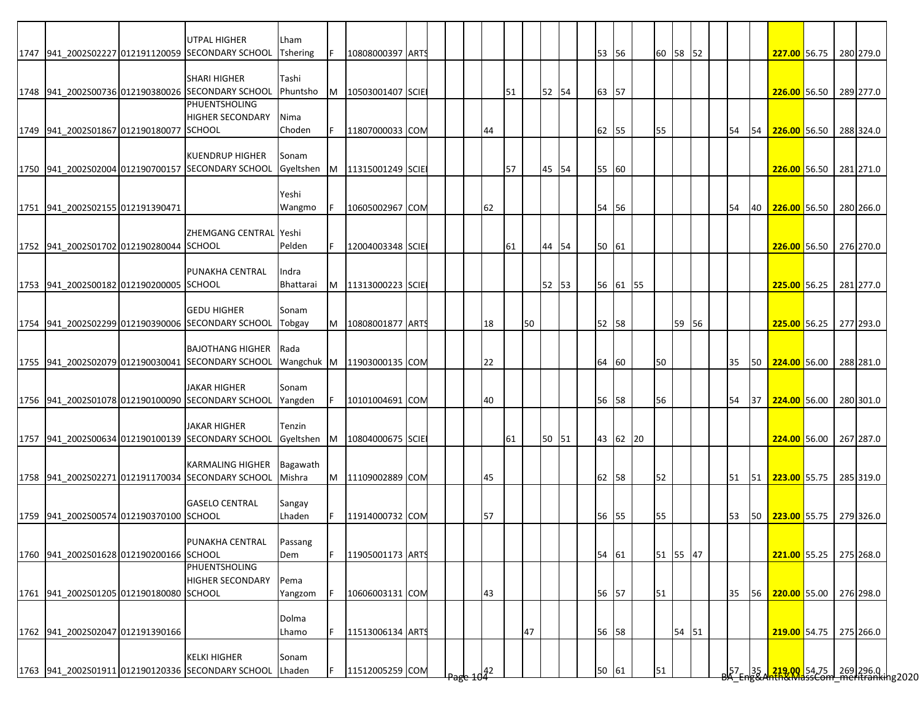|                                         | <b>UTPAL HIGHER</b><br>1747 941 2002S02227 012191120059 SECONDARY SCHOOL     | Lham<br><b>Tshering</b> | IF. | 10808000397 ARTS             |  |    |    |    |       |  | 53 56 |          |    | 60 58 52 |  |    |    | 227.00 56.75 280 279.0                                                                              |  |           |
|-----------------------------------------|------------------------------------------------------------------------------|-------------------------|-----|------------------------------|--|----|----|----|-------|--|-------|----------|----|----------|--|----|----|-----------------------------------------------------------------------------------------------------|--|-----------|
|                                         |                                                                              |                         |     |                              |  |    |    |    |       |  |       |          |    |          |  |    |    |                                                                                                     |  |           |
|                                         | <b>SHARI HIGHER</b>                                                          | Tashi                   |     |                              |  |    |    |    |       |  |       |          |    |          |  |    |    |                                                                                                     |  |           |
|                                         | 1748 941_2002S00736 012190380026 SECONDARY SCHOOL                            | Phuntsho                |     | M   10503001407 SCIE         |  |    | 51 |    | 52 54 |  | 63 57 |          |    |          |  |    |    | 226.00 56.50 289 277.0                                                                              |  |           |
|                                         | PHUENTSHOLING                                                                |                         |     |                              |  |    |    |    |       |  |       |          |    |          |  |    |    |                                                                                                     |  |           |
| 1749 941 2002S01867 012190180077 SCHOOL | <b>HIGHER SECONDARY</b>                                                      | Nima<br>Choden          | IF. | 11807000033 COM              |  | 44 |    |    |       |  | 62 55 |          | 55 |          |  | 54 |    | 54 226.00 56.50 288 324.0                                                                           |  |           |
|                                         |                                                                              |                         |     |                              |  |    |    |    |       |  |       |          |    |          |  |    |    |                                                                                                     |  |           |
|                                         | <b>KUENDRUP HIGHER</b>                                                       | Sonam                   |     |                              |  |    |    |    |       |  |       |          |    |          |  |    |    |                                                                                                     |  |           |
|                                         | 1750 941 2002S02004 012190700157 SECONDARY SCHOOL                            |                         |     | Gyeltshen M 11315001249 SCIE |  |    | 57 |    | 45 54 |  | 55 60 |          |    |          |  |    |    | 226.00 56.50 281 271.0                                                                              |  |           |
|                                         |                                                                              |                         |     |                              |  |    |    |    |       |  |       |          |    |          |  |    |    |                                                                                                     |  |           |
|                                         |                                                                              | Yeshi                   |     |                              |  |    |    |    |       |  |       |          |    |          |  |    |    |                                                                                                     |  |           |
| 1751 941 2002S02155 012191390471        |                                                                              | Wangmo                  | IF. | 10605002967 COM              |  | 62 |    |    |       |  | 54 56 |          |    |          |  | 54 | 40 | 226.00 56.50                                                                                        |  | 280 266.0 |
|                                         | ZHEMGANG CENTRAL Yeshi                                                       |                         |     |                              |  |    |    |    |       |  |       |          |    |          |  |    |    |                                                                                                     |  |           |
| 1752 941 2002S01702 012190280044 SCHOOL |                                                                              | Pelden                  | IF. | 12004003348 SCIE             |  |    | 61 |    | 44 54 |  | 50 61 |          |    |          |  |    |    | 226.00 56.50 276 270.0                                                                              |  |           |
|                                         |                                                                              |                         |     |                              |  |    |    |    |       |  |       |          |    |          |  |    |    |                                                                                                     |  |           |
|                                         | PUNAKHA CENTRAL                                                              | Indra                   |     |                              |  |    |    |    |       |  |       |          |    |          |  |    |    |                                                                                                     |  |           |
| 1753 941 2002S00182 012190200005 SCHOOL |                                                                              | Bhattarai               |     | M   11313000223 SCIE         |  |    |    |    | 52 53 |  |       | 56 61 55 |    |          |  |    |    | 225.00 56.25 281 277.0                                                                              |  |           |
|                                         | <b>GEDU HIGHER</b>                                                           | Sonam                   |     |                              |  |    |    |    |       |  |       |          |    |          |  |    |    |                                                                                                     |  |           |
|                                         | 1754 941 2002S02299 012190390006 SECONDARY SCHOOL                            | Tobgay                  |     | M 10808001877 ARTS           |  | 18 |    | 50 |       |  | 52 58 |          |    | 59 56    |  |    |    | 225.00 56.25 277 293.0                                                                              |  |           |
|                                         |                                                                              |                         |     |                              |  |    |    |    |       |  |       |          |    |          |  |    |    |                                                                                                     |  |           |
|                                         | <b>BAJOTHANG HIGHER</b>                                                      | Rada                    |     |                              |  |    |    |    |       |  |       |          |    |          |  |    |    |                                                                                                     |  |           |
|                                         | 1755 941 2002S02079 012190030041 SECONDARY SCHOOL                            |                         |     | Wangchuk M 11903000135 COM   |  | 22 |    |    |       |  | 64 60 |          | 50 |          |  | 35 |    | 50 224.00 56.00 288 281.0                                                                           |  |           |
|                                         | <b>JAKAR HIGHER</b>                                                          | Sonam                   |     |                              |  |    |    |    |       |  |       |          |    |          |  |    |    |                                                                                                     |  |           |
|                                         | 1756 941 2002S01078 012190100090 SECONDARY SCHOOL                            | Yangden                 | IF. | 10101004691 COM              |  | 40 |    |    |       |  | 56 58 |          | 56 |          |  | 54 |    | 37 224.00 56.00 280 301.0                                                                           |  |           |
|                                         |                                                                              |                         |     |                              |  |    |    |    |       |  |       |          |    |          |  |    |    |                                                                                                     |  |           |
|                                         | <b>JAKAR HIGHER</b>                                                          | Tenzin                  |     |                              |  |    |    |    |       |  |       |          |    |          |  |    |    |                                                                                                     |  |           |
|                                         | 1757 941 2002S00634 012190100139 SECONDARY SCHOOL                            | Gyeltshen M             |     | 10804000675 SCIE             |  |    | 61 |    | 50 51 |  |       | 43 62 20 |    |          |  |    |    | 224.00 56.00 267 287.0                                                                              |  |           |
|                                         |                                                                              |                         |     |                              |  |    |    |    |       |  |       |          |    |          |  |    |    |                                                                                                     |  |           |
|                                         | <b>KARMALING HIGHER</b><br>1758 941 2002S02271 012191170034 SECONDARY SCHOOL | Bagawath<br>Mishra      |     | M 11109002889 COM            |  | 45 |    |    |       |  | 62 58 |          | 52 |          |  | 51 |    | 51 223.00 55.75 285 319.0                                                                           |  |           |
|                                         |                                                                              |                         |     |                              |  |    |    |    |       |  |       |          |    |          |  |    |    |                                                                                                     |  |           |
|                                         | <b>GASELO CENTRAL</b>                                                        | Sangay                  |     |                              |  |    |    |    |       |  |       |          |    |          |  |    |    |                                                                                                     |  |           |
| 1759 941 2002S00574 012190370100 SCHOOL |                                                                              | Lhaden                  | IF. | 11914000732 COM              |  | 57 |    |    |       |  | 56 55 |          | 55 |          |  | 53 |    | 50 223.00 55.75 279 326.0                                                                           |  |           |
|                                         |                                                                              |                         |     |                              |  |    |    |    |       |  |       |          |    |          |  |    |    |                                                                                                     |  |           |
|                                         | PUNAKHA CENTRAL                                                              | Passang                 |     |                              |  |    |    |    |       |  |       |          |    |          |  |    |    |                                                                                                     |  |           |
| 1760 941 2002S01628 012190200166 SCHOOL | PHUENTSHOLING                                                                | Dem                     | IF. | 11905001173 ARTS             |  |    |    |    |       |  | 54 61 |          |    | 51 55 47 |  |    |    | 221.00 55.25 275 268.0                                                                              |  |           |
|                                         | <b>HIGHER SECONDARY</b>                                                      | Pema                    |     |                              |  |    |    |    |       |  |       |          |    |          |  |    |    |                                                                                                     |  |           |
| 1761 941 2002S01205 012190180080 SCHOOL |                                                                              | Yangzom                 | IF. | 10606003131 COM              |  | 43 |    |    |       |  | 56 57 |          | 51 |          |  | 35 |    | 56 220.00 55.00 276 298.0                                                                           |  |           |
|                                         |                                                                              |                         |     |                              |  |    |    |    |       |  |       |          |    |          |  |    |    |                                                                                                     |  |           |
|                                         |                                                                              | Dolma                   |     |                              |  |    |    |    |       |  |       |          |    |          |  |    |    |                                                                                                     |  |           |
| 1762 941 2002S02047 012191390166        |                                                                              | Lhamo                   | IF. | 11513006134 ARTS             |  |    |    | 47 |       |  | 56 58 |          |    | 54 51    |  |    |    | 219.00 54.75 275 266.0                                                                              |  |           |
|                                         |                                                                              |                         |     |                              |  |    |    |    |       |  |       |          |    |          |  |    |    |                                                                                                     |  |           |
|                                         | <b>KELKI HIGHER</b><br>1763 941 2002S01911 012190120336 SECONDARY SCHOOL     | Sonam<br>Lhaden         | F   | 11512005259 COM              |  |    |    |    |       |  | 50 61 |          | 51 |          |  |    |    | <br> 57 - 35   <mark>-219,00 </mark> 54,75   269   296.0  <br>"A TERRA ARTICAL SCOM METITARING PO20 |  |           |
|                                         |                                                                              |                         |     |                              |  | 42 |    |    |       |  |       |          |    |          |  |    |    |                                                                                                     |  |           |